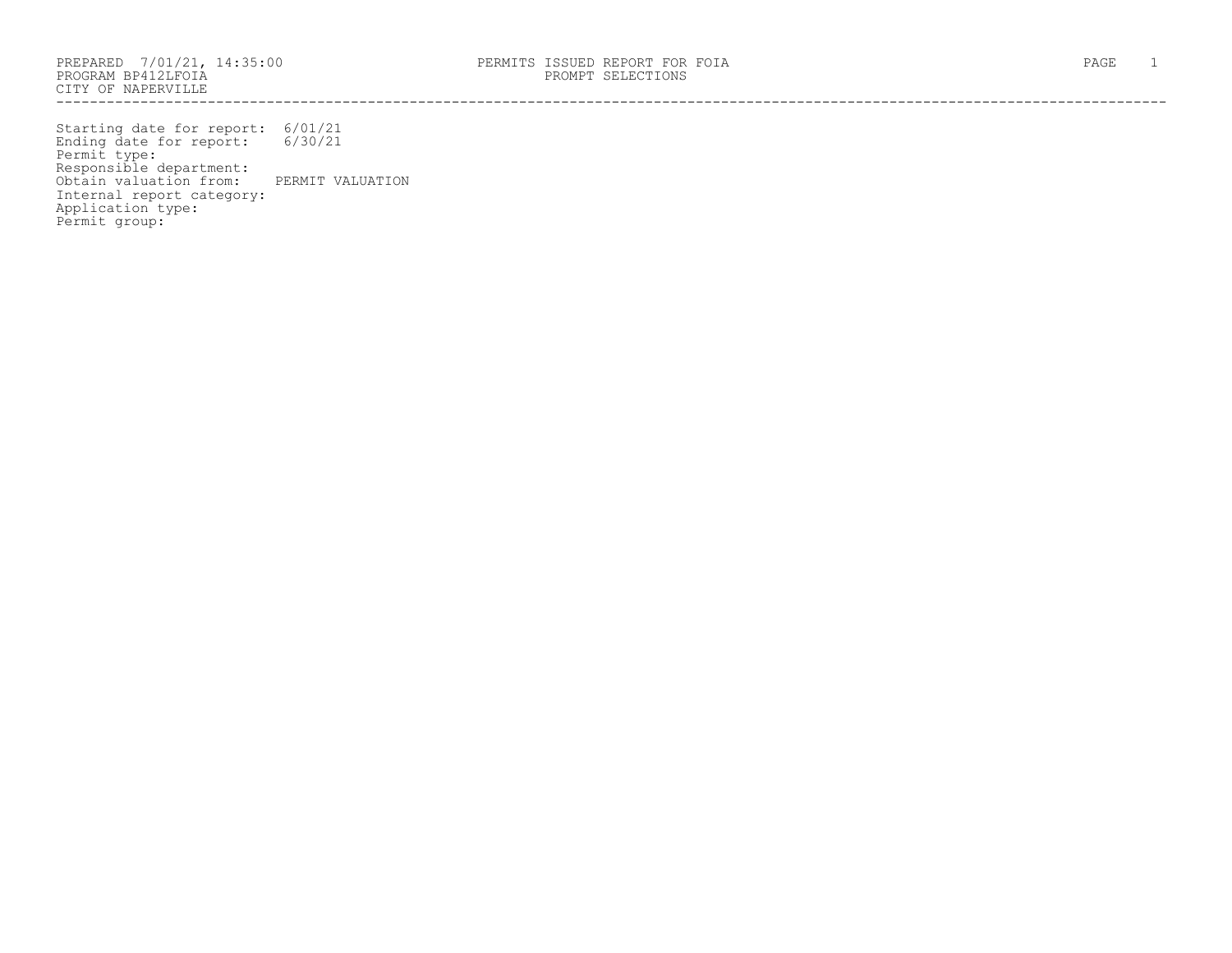Starting date for report: 6/01/21 Ending date for report: 6/30/21 Permit type: Responsible department: Obtain valuation from: PERMIT VALUATION Internal report category: Application type: Permit group: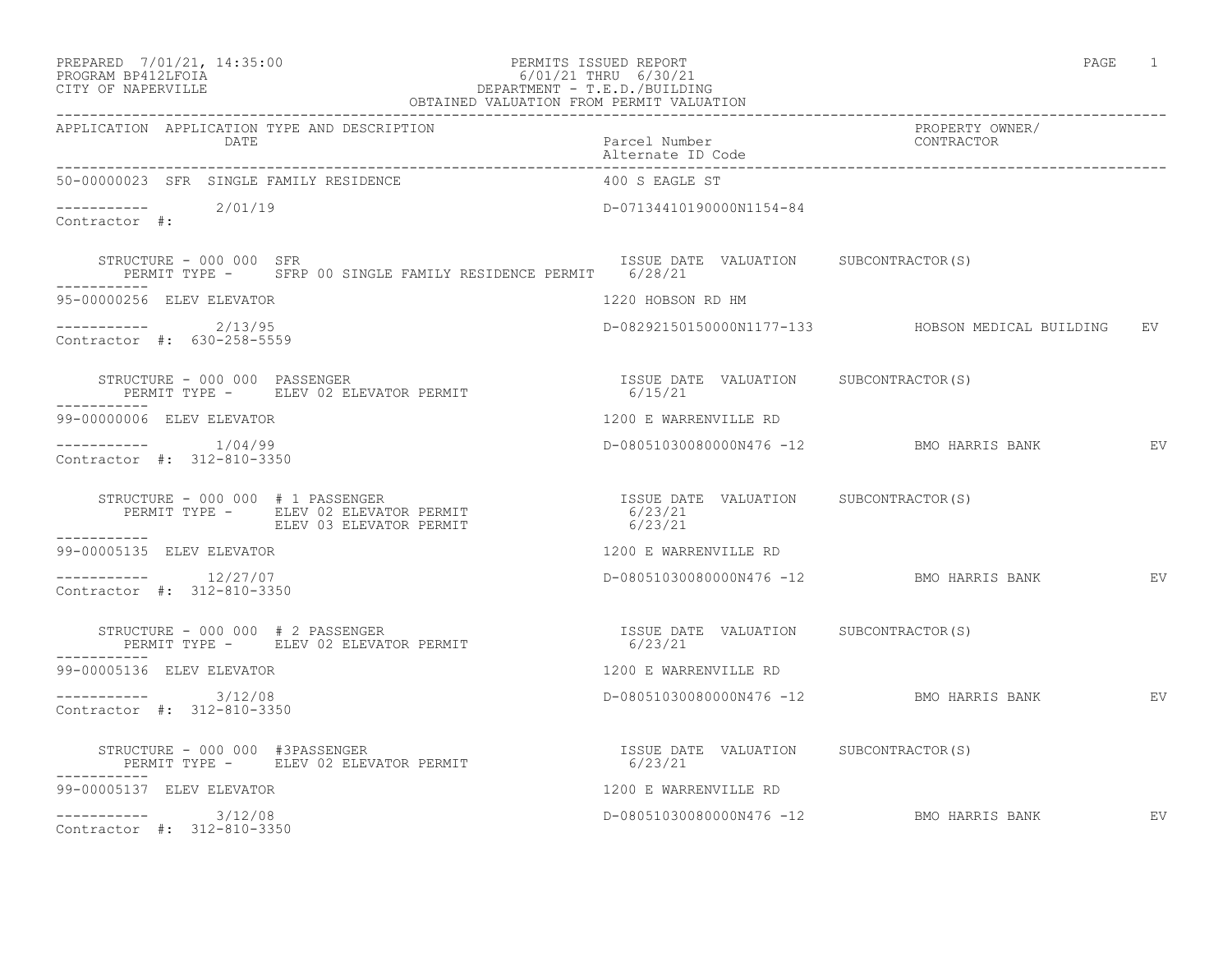# PREPARED 7/01/21, 14:35:00 PERMITS ISSUED REPORT PAGE 1 PROGRAM BP412LFOIA 6/01/21 THRU 6/30/21 CITY OF NAPERVILLE **DEPARTMENT - T.E.D./BUILDING**

| OBTAINED VALUATION FROM PERMIT VALUATION                                                                             |                                                                        |                                                   |    |
|----------------------------------------------------------------------------------------------------------------------|------------------------------------------------------------------------|---------------------------------------------------|----|
| APPLICATION APPLICATION TYPE AND DESCRIPTION<br>DATE                                                                 | Parcel Number<br>Alternate ID Code                                     | PROPERTY OWNER/<br>CONTRACTOR                     |    |
| 50-00000023 SFR SINGLE FAMILY RESIDENCE                                                                              | 400 S EAGLE ST                                                         |                                                   |    |
| ---------- 2/01/19<br>Contractor #:                                                                                  | D-07134410190000N1154-84                                               |                                                   |    |
| STRUCTURE - 000 000 SFR<br>PERMIT TYPE - SFRP 00 SINGLE FAMILY RESIDENCE PERMIT 6/28/21                              | ISSUE DATE VALUATION SUBCONTRACTOR(S)                                  |                                                   |    |
| 95-00000256 ELEV ELEVATOR                                                                                            | 1220 HOBSON RD HM                                                      |                                                   |    |
| $---------2/13/95$<br>Contractor #: 630-258-5559                                                                     |                                                                        | D-08292150150000N1177-133 HOBSON MEDICAL BUILDING | EV |
| STRUCTURE – 000 000 PASSENGER<br>PERMIT TYPE –      ELEV 02 ELEVATOR PERMIT                                  6/15/21 |                                                                        |                                                   |    |
| 99-00000006 ELEV ELEVATOR                                                                                            | 1200 E WARRENVILLE RD                                                  |                                                   |    |
| $---------$ 1/04/99<br>Contractor #: 312-810-3350                                                                    |                                                                        | D-08051030080000N476 -12 BMO HARRIS BANK EV       |    |
| STRUCTURE - 000 000 # 1 PASSENGER<br>PERMIT TYPE -     ELEV 02 ELEVATOR PERMIT<br>ELEV 03 ELEVATOR PERMIT            | ISSUE DATE VALUATION SUBCONTRACTOR(S)<br>6/23/21<br>6/23/21<br>6/23/21 |                                                   |    |
| ___________<br>99-00005135 ELEV ELEVATOR                                                                             | 1200 E WARRENVILLE RD                                                  |                                                   |    |
| $--------- 12/27/07$<br>Contractor #: 312-810-3350                                                                   |                                                                        | D-08051030080000N476 -12 BMO HARRIS BANK EV       |    |
| STRUCTURE - 000 000 # 2 PASSENGER<br>PERMIT TYPE - ELEV 02 ELEVATOR PERMIT                                           | ISSUE DATE VALUATION SUBCONTRACTOR(S)<br>6/23/21                       |                                                   |    |
| -----------<br>99-00005136 ELEV ELEVATOR                                                                             | 1200 E WARRENVILLE RD                                                  |                                                   |    |
| $--------- 3/12/08$<br>Contractor #: 312-810-3350                                                                    |                                                                        | D-08051030080000N476 -12 BMO HARRIS BANK EV       |    |
| STRUCTURE - 000 000 #3PASSENGER<br>ISSUE DA1<br>6/23/21<br>PERMIT TYPE - ELEV 02 ELEVATOR PERMIT                     | ISSUE DATE VALUATION SUBCONTRACTOR(S)                                  |                                                   |    |
| -----------<br>99-00005137 ELEV ELEVATOR                                                                             | 1200 E WARRENVILLE RD                                                  |                                                   |    |
| $--------- 3/12/08$<br>Contractor #: 312-810-3350                                                                    |                                                                        | D-08051030080000N476 -12 BMO HARRIS BANK          | EV |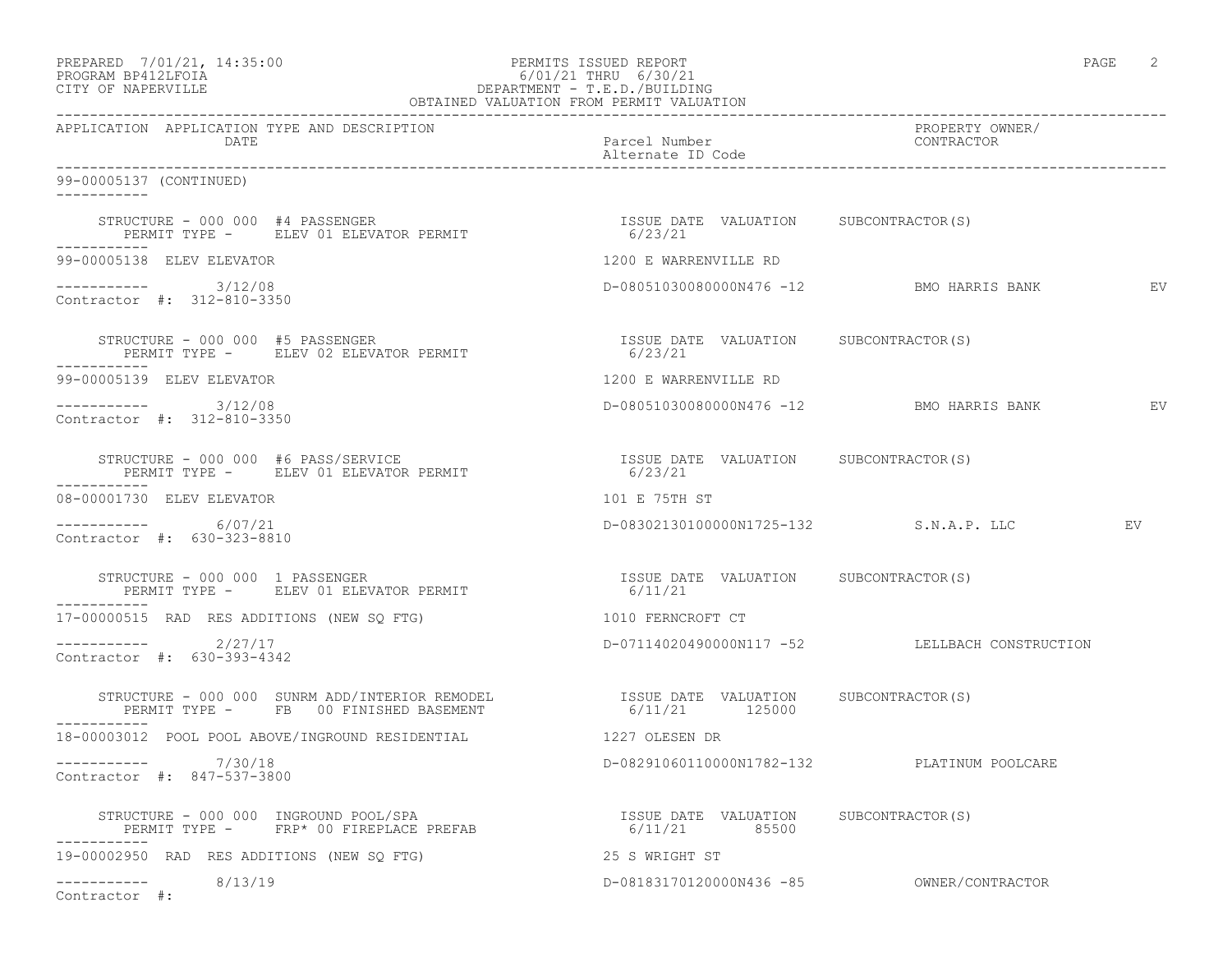|                   | PREPARED 7/01/21, 14:35:00 | PERMITS ISSUED REPORT     | PAGE |  |
|-------------------|----------------------------|---------------------------|------|--|
| EDOCRAM RRATTEOTA |                            | $6/01/21$ THRII $6/30/21$ |      |  |

# PROGRAM BP412LFOIA 6/01/21 THRU 6/30/21 CITY OF NAPERVILLE DEPARTMENT - T.E.D./BUILDING

|                                                                                                                                                                                                  | OBTAINED VALUATION FROM PERMIT VALUATION                    |                                                |                 |
|--------------------------------------------------------------------------------------------------------------------------------------------------------------------------------------------------|-------------------------------------------------------------|------------------------------------------------|-----------------|
| APPLICATION APPLICATION TYPE AND DESCRIPTION<br>DATE                                                                                                                                             | Parcel Number<br>Alternate ID Code                          | PROPERTY OWNER/<br>CONTRACTOR                  |                 |
| 99-00005137 (CONTINUED)                                                                                                                                                                          |                                                             |                                                |                 |
| STRUCTURE - 000 000 #4 PASSENGER<br>PERMIT TYPE -     ELEV 01 ELEVATOR PERMIT<br>-----------                                                                                                     | ISSUE DATE VALUATION SUBCONTRACTOR(S)<br>6/23/21            |                                                |                 |
| 99-00005138 ELEV ELEVATOR                                                                                                                                                                        | 1200 E WARRENVILLE RD                                       |                                                |                 |
| $--------- 3/12/08$<br>Contractor #: 312-810-3350                                                                                                                                                | D-08051030080000N476 -12 BMO HARRIS BANK                    |                                                | EV <sub>.</sub> |
| STRUCTURE - 000 000 #5 PASSENGER<br>PERMIT TYPE - ELEV 02 ELEVATOR PERMIT                                                                                                                        | ISSUE DATE VALUATION SUBCONTRACTOR(S)<br>6/23/21<br>6/23/21 |                                                |                 |
| 99-00005139 ELEV ELEVATOR                                                                                                                                                                        | 1200 E WARRENVILLE RD                                       |                                                |                 |
| ----------- 3/12/08<br>Contractor #: 312-810-3350                                                                                                                                                |                                                             | D-08051030080000N476 -12 BMO HARRIS BANK       | EV              |
| STRUCTURE - 000 000 #6 PASS/SERVICE<br>PERMIT TYPE - ELEV 01 ELEVATOR PERMIT                                                                                                                     | ISSUE DATE VALUATION SUBCONTRACTOR(S)<br>6/23/21            |                                                |                 |
| 08-00001730 ELEV ELEVATOR                                                                                                                                                                        | 101 E 75TH ST                                               |                                                |                 |
| ---------- 6/07/21<br>Contractor #: 630-323-8810                                                                                                                                                 |                                                             | D-08302130100000N1725-132 S.N.A.P. LLC         | EV              |
| STRUCTURE - 000 000 1 PASSENGER<br>PERMIT TYPE - ELEV 01 ELEVATOR PERMIT                                                                                                                         | ISSUE DATE VALUATION SUBCONTRACTOR(S)<br>6/11/21            |                                                |                 |
| 17-00000515 RAD RES ADDITIONS (NEW SQ FTG)                                                                                                                                                       | 1010 FERNCROFT CT                                           |                                                |                 |
| $---------$ 2/27/17<br>Contractor #: 630-393-4342                                                                                                                                                |                                                             | D-07114020490000N117 -52 LELLBACH CONSTRUCTION |                 |
| STRUCTURE – 000 000 SUNRM ADD/INTERIOR REMODEL                    ISSUE DATE VALUATION PERMIT TYPE –         FB     00 FINISHED BASEMENT                                   6/11/21        125000 |                                                             | SUBCONTRACTOR(S)                               |                 |
| 18-00003012 POOL POOL ABOVE/INGROUND RESIDENTIAL THE SAME RESPOND RESEN DR                                                                                                                       |                                                             |                                                |                 |
| -----------    7/30/18<br>Contractor #: 847-537-3800                                                                                                                                             |                                                             | D-08291060110000N1782-132 PLATINUM POOLCARE    |                 |
| STRUCTURE - 000 000 INGROUND POOL/SPA<br>STRUCTURE – 000 000 INGROUND POOL/SPA<br>PERMIT TYPE – FRP* 00 FIREPLACE PREFAB                           6/11/21         85500                         | ISSUE DATE VALUATION SUBCONTRACTOR (S)                      |                                                |                 |
| 19-00002950 RAD RES ADDITIONS (NEW SO FTG)                                                                                                                                                       | 25 S WRIGHT ST                                              |                                                |                 |
| $--------- 8/13/19$<br>Contractor #:                                                                                                                                                             |                                                             | D-08183170120000N436 -85 OWNER/CONTRACTOR      |                 |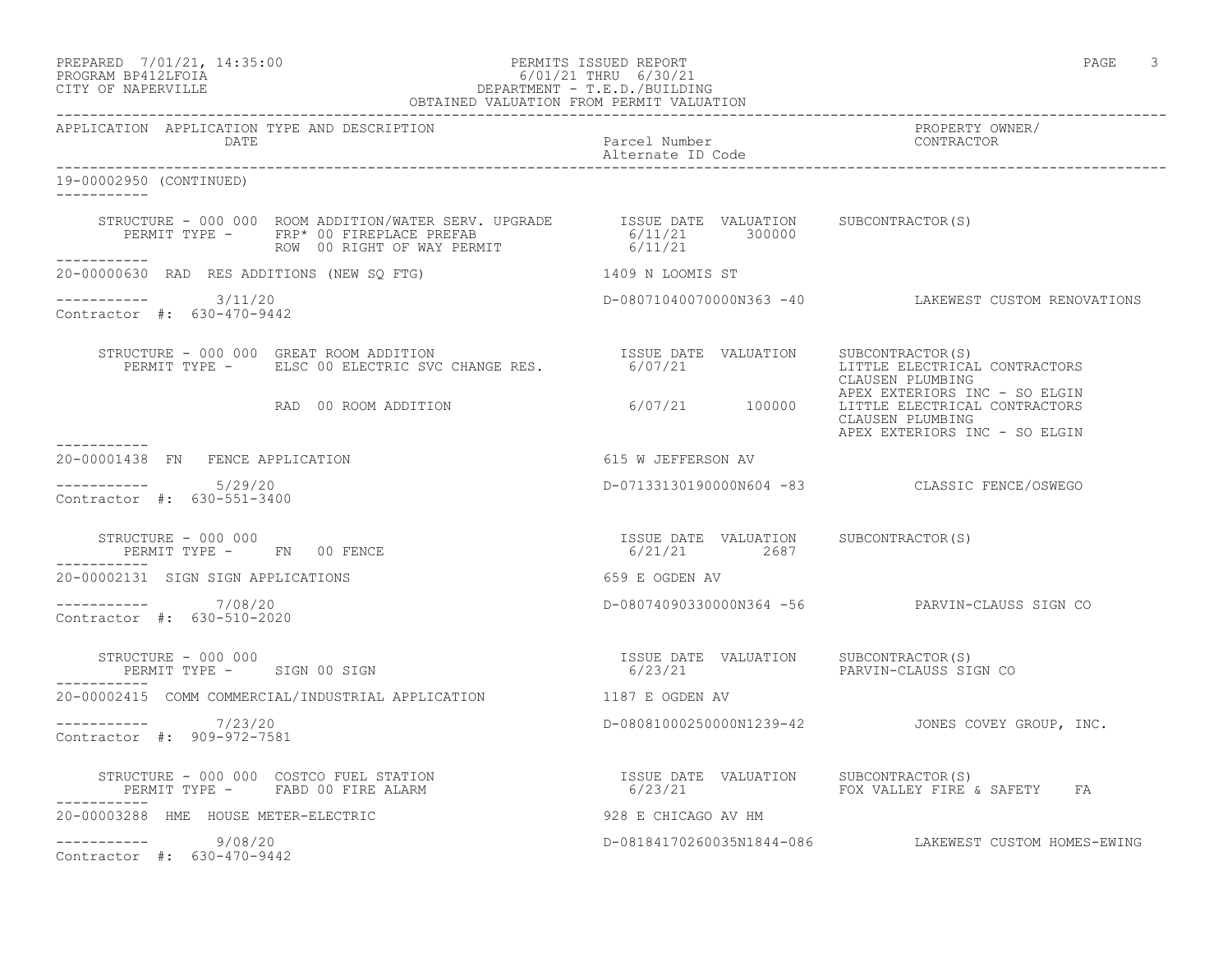### PREPARED 7/01/21, 14:35:00 PERMITS ISSUED REPORT PAGE 3 PROGRAM BP412LFOIA 6/01/21 THRU 6/30/21 CITY OF NAPERVILLE DEPARTMENT - T.E.D./BUILDING OBTAINED VALUATION FROM PERMIT VALUATION

------------------------------------------------------------------------------------------------------------------------------------

APPLICATION APPLICATION TYPE AND DESCRIPTION PROPERTY OWNER/ Parcel Number Alternate ID Code ------------------------------------------------------------------------------------------------------------------------------------ 19-00002950 (CONTINUED) ----------- STRUCTURE - 000 000 ROOM ADDITION/WATER SERV. UPGRADE ISSUE DATE VALUATION SUBCONTRACTOR(S) PERMIT TYPE - FRP\* 00 FIREPLACE PREFAB  $6/11/21$  300000 ROW 00 RIGHT OF WAY PERMIT 6/11/21 ----------- 20-00000630 RAD RES ADDITIONS (NEW SQ FTG) 1409 N LOOMIS ST  $--------- 3/11/20$ D-08071040070000N363 -40 LAKEWEST CUSTOM RENOVATIONS Contractor #: 630-470-9442 STRUCTURE - 000 000 GREAT ROOM ADDITION ISSUE DATE VALUATION SUBCONTRACTOR(S) PERMIT TYPE - ELSC 00 ELECTRIC SVC CHANGE RES. 6/07/21 LITTLE ELECTRICAL CONTRACTORS CLAUSEN PLUMBING APEX EXTERIORS INC - SO ELGIN RAD 00 ROOM ADDITION 6/07/21 100000 LITTLE ELECTRICAL CONTRACTORS CLAUSEN PLUMBING APEX EXTERIORS INC - SO ELGIN ----------- 20-00001438 FN FENCE APPLICATION 615 W JEFFERSON AV  $--------- 5/29/20$ ----------- 5/29/20 D-07133130190000N604 -83 CLASSIC FENCE/OSWEGO Contractor #: 630-551-3400 STRUCTURE - 000 000 ISSUE DATE VALUATION SUBCONTRACTOR(S) PERMIT TYPE - FN 00 FENCE 6/21/21 2687 ----------- 20-00002131 SIGN SIGN APPLICATIONS 659 E OGDEN AV ----------- 7/08/20 D-08074090330000N364 -56 PARVIN-CLAUSS SIGN CO Contractor #: 630-510-2020 STRUCTURE - 000 000 ISSUE DATE VALUATION SUBCONTRACTOR(S) PERMIT TYPE - SIGN 00 SIGN 6/23/21 PARVIN-CLAUSS SIGN CO ----------- 20-00002415 COMM COMMERCIAL/INDUSTRIAL APPLICATION 1187 E OGDEN AV ----------- 7/23/20 D-08081000250000N1239-42 JONES COVEY GROUP, INC. Contractor #: 909-972-7581 STRUCTURE - 000 000 COSTCO FUEL STATION ISSUE DATE VALUATION SUBCONTRACTOR(S) STRUCTURE - 000 000 COSTCO FUEL STATION<br>PERMIT TYPE - FABD 00 FIRE ALARM ----------- 20-00003288 HME HOUSE METER-ELECTRIC 928 E CHICAGO AV HM ----------- 9/08/20 D-08184170260035N1844-086 LAKEWEST CUSTOM HOMES-EWING Contractor #: 630-470-9442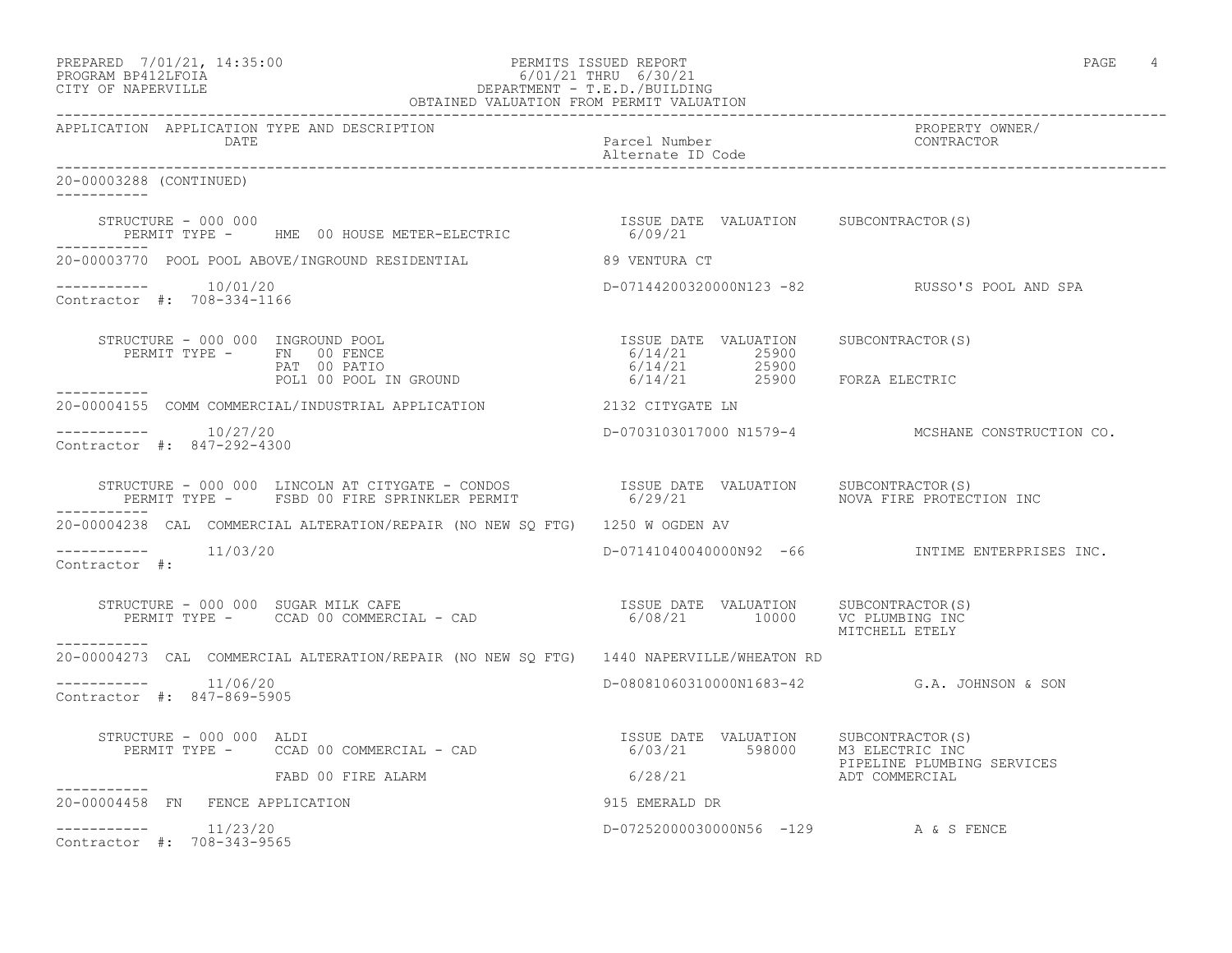| PREPARED            | 7/01/21, 14:35:0 |  |
|---------------------|------------------|--|
| DDOCD3M DD410T DOT3 |                  |  |

### PREPARED 7/01/21, 14:35:00 PERMITS ISSUED REPORT PAGE 4 PROGRAM BP412LFOIA 6/01/21 THRU 6/30/21 CITY OF NAPERVILLE DEPARTMENT - T.E.D./BUILDING OBTAINED VALUATION FROM PERMIT VALUATION

------------------------------------------------------------------------------------------------------------------------------------ APPLICATION APPLICATION TYPE AND DESCRIPTION PROPERTY OWNER/ Parcel Number<br>Alternate ID Code Alternate ID Code ------------------------------------------------------------------------------------------------------------------------------------ 20-00003288 (CONTINUED) ----------- STRUCTURE - 000 000<br>
PERMIT TYPE - HME 00 HOUSE METER-ELECTRIC 6/09/21 PERMIT TYPE - HME 00 HOUSE METER-ELECTRIC ----------- 20-00003770 POOL POOL ABOVE/INGROUND RESIDENTIAL 89 VENTURA CT ----------- 10/01/20 D-07144200320000N123 -82 RUSSO'S POOL AND SPA Contractor #: 708-334-1166 STRUCTURE - 000 000 INGROUND POOL ISSUE DATE VALUATION SUBCONTRACTOR(S) PERMIT TYPE - FN 00 FENCE 6/14/21 25900 PAT 00 PATIO 6/14/21 25900 POL1 00 POOL IN GROUND  $6/14/21$  25900 FORZA ELECTRIC ----------- 20-00004155 COMM COMMERCIAL/INDUSTRIAL APPLICATION 2132 CITYGATE LN \_\_\_\_\_\_\_\_\_\_\_ ----------- 10/27/20 D-0703103017000 N1579-4 MCSHANE CONSTRUCTION CO. Contractor #: 847-292-4300 STRUCTURE - 000 000 LINCOLN AT CITYGATE - CONDOS ISSUE DATE VALUATION SUBCONTRACTOR(S) PERMIT TYPE - FSBD 00 FIRE SPRINKLER PERMIT 6/29/21 60000 NOVA FIRE PROTECTION INC ----------- 20-00004238 CAL COMMERCIAL ALTERATION/REPAIR (NO NEW SQ FTG) 1250 W OGDEN AV ----------- 11/03/20 D-07141040040000N92 -66 INTIME ENTERPRISES INC. Contractor #: STRUCTURE - 000 000 SUGAR MILK CAFE ISSUE DATE VALUATION SUBCONTRACTOR(S)  $6/08/21$   $10000$  VC PLUMBING INC MITCHELL ETELY ----------- 20-00004273 CAL COMMERCIAL ALTERATION/REPAIR (NO NEW SQ FTG) 1440 NAPERVILLE/WHEATON RD \_\_\_\_\_\_\_\_\_\_\_ ----------- 11/06/20 D-08081060310000N1683-42 G.A. JOHNSON & SON Contractor #: 847-869-5905 STRUCTURE - 000 000 ALDI ISSUE DATE VALUATION SUBCONTRACTOR(S) PERMIT TYPE - CCAD 00 COMMERCIAL - CAD PIPELINE PLUMBING SERVICES FABD 00 FIRE ALARM ----------- 20-00004458 FN FENCE APPLICATION 915 EMERALD DR  $--------- 11/23/20$ D-07252000030000N56 -129 A & S FENCE Contractor #: 708-343-9565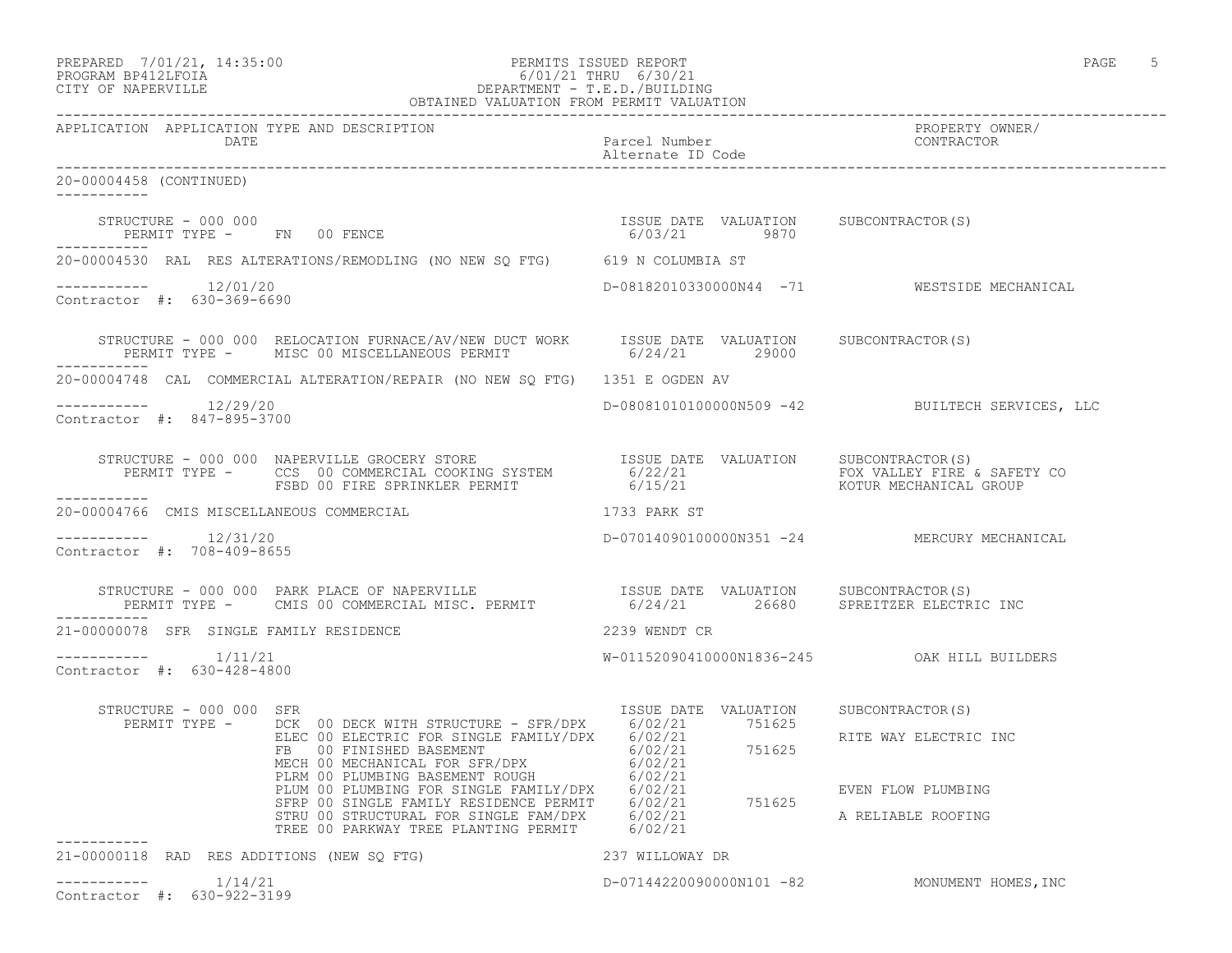# PREPARED 7/01/21, 14:35:00 PERMITS ISSUED REPORT PAGE 5 PROGRAM BP412LFOIA 6/01/21 THRU 6/30/21 CITY OF NAPERVILLE DEPARTMENT - T.E.D./BUILDING

| OBTAINED VALUATION FROM PERMIT VALUATION              |                                                                                                                                                                                                                                                                                                               |                                                        |                                                                   |
|-------------------------------------------------------|---------------------------------------------------------------------------------------------------------------------------------------------------------------------------------------------------------------------------------------------------------------------------------------------------------------|--------------------------------------------------------|-------------------------------------------------------------------|
| APPLICATION APPLICATION TYPE AND DESCRIPTION<br>DATE  |                                                                                                                                                                                                                                                                                                               | Parcel Number<br>Alternate ID Code                     | PROPERTY OWNER/<br>CONTRACTOR                                     |
| 20-00004458 (CONTINUED)<br>-----------                |                                                                                                                                                                                                                                                                                                               |                                                        |                                                                   |
| STRUCTURE - 000 000                                   | PERMIT TYPE - FN 00 FENCE                                                                                                                                                                                                                                                                                     | ISSUE DATE VALUATION SUBCONTRACTOR (S)<br>6/03/21 9870 |                                                                   |
|                                                       | 20-00004530 RAL RES ALTERATIONS/REMODLING (NO NEW SQ FTG) 619 N COLUMBIA ST                                                                                                                                                                                                                                   |                                                        |                                                                   |
| $--------- 12/01/20$<br>Contractor #: 630-369-6690    |                                                                                                                                                                                                                                                                                                               |                                                        | D-08182010330000N44 -71 WESTSIDE MECHANICAL                       |
|                                                       | STRUCTURE – 000 000 RELOCATION FURNACE/AV/NEW DUCT WORK ISSUE DATE VALUATION SUBCONTRACTOR(S)<br>PERMIT TYPE – MISC 00 MISCELLANEOUS PERMIT 6/24/21 29000                                                                                                                                                     |                                                        |                                                                   |
|                                                       | 20-00004748 CAL COMMERCIAL ALTERATION/REPAIR (NO NEW SQ FTG) 1351 E OGDEN AV                                                                                                                                                                                                                                  |                                                        |                                                                   |
| -----------    12/29/20<br>Contractor #: 847-895-3700 |                                                                                                                                                                                                                                                                                                               |                                                        | D-080810101000000N509 -42 BUILTECH SERVICES, LLC                  |
|                                                       | STRUCTURE - 000 000 NAPERVILLE GROCERY STORE                      ISSUE DATE VALUATION     SUBCONTRACTOR(S)<br>PERMIT TYPE -      CCS  00 COMMERCIAL COOKING SYSTEM              6/22/21                             FOX VALLEY F                                                                             |                                                        |                                                                   |
| 20-00004766 CMIS MISCELLANEOUS COMMERCIAL             | 1733 PARK ST                                                                                                                                                                                                                                                                                                  |                                                        |                                                                   |
| $--------- 12/31/20$<br>Contractor #: 708-409-8655    |                                                                                                                                                                                                                                                                                                               |                                                        | D-07014090100000N351 -24 MERCURY MECHANICAL                       |
|                                                       | STRUCTURE – 000 000 PARK PLACE OF NAPERVILLE                       ISSUE DATE VALUATION     SUBCONTRACTOR(S)<br>PERMIT TYPE –     CMIS 00 COMMERCIAL MISC. PERMIT              6/24/21       26680    SPREITZER ELECTRIC INC                                                                                  |                                                        |                                                                   |
| 21-00000078 SFR SINGLE FAMILY RESIDENCE               |                                                                                                                                                                                                                                                                                                               | 2239 WENDT CR                                          |                                                                   |
| $--------$ 1/11/21<br>Contractor #: 630-428-4800      |                                                                                                                                                                                                                                                                                                               |                                                        |                                                                   |
| STRUCTURE - 000 000 SFR                               | PERMIT TYPE - DCK 00 DECK WITH STRUCTURE - SFR/DPX 6/02/21 751625<br>DCK OO DECK WITH STRUCTURE - SFR/DPX 6/02/21 / 51625<br>ELEC OO ELECTRIC FOR SINGLE FAMILY/DPX 6/02/21<br>FB 00 FINISHED BASEMENT<br>MECH 00 MECHANICAL FOR SFR/DPX 6/02/21<br>PLIM 00 PLUMBING BASEMENT ROUGH 6/02/21<br>PLUM 00 PLUMBI | ISSUE DATE VALUATION SUBCONTRACTOR(S)                  | RITE WAY ELECTRIC INC<br>EVEN FLOW PLUMBING<br>A RELIABLE ROOFING |
| 21-00000118 RAD RES ADDITIONS (NEW SQ FTG)            |                                                                                                                                                                                                                                                                                                               | 237 WILLOWAY DR                                        |                                                                   |
| 1/14/21<br>Contractor #: 630-922-3199                 |                                                                                                                                                                                                                                                                                                               |                                                        | D-07144220090000N101 -82 MONUMENT HOMES, INC                      |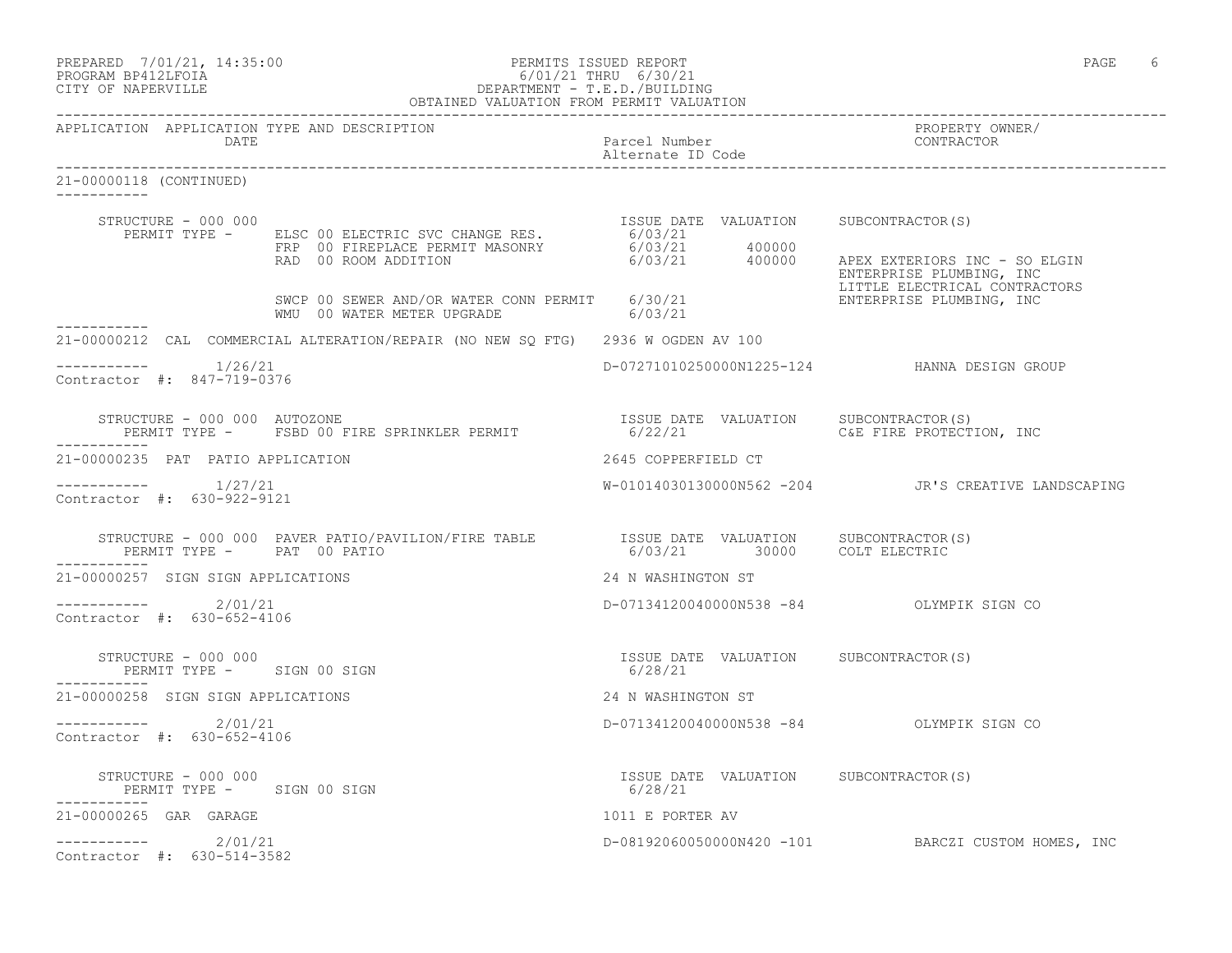| PREPARED | 7/01/21, 14:35:00 |  |
|----------|-------------------|--|
| -------- |                   |  |

# PREPARED 7/01/21, 14:35:00 PERMITS ISSUED REPORT<br>PROGRAM BP412LFOIA PAGE 6 6/01/21 THRU 6/30/21 PROGRAM BP412LFOIA  $6/01/21$  THRU  $6/30/21$ <br>CITY OF NAPERVILLE DEPARTMENT - T.E.D./BUILDIN CITY OF NAPERVILLE DEPARTMENT - T.E.D./BUILDING

|                                                      |      | OBTAINED VALUATION FROM PERMIT VALUATION                                                                                                                                                                                                        |                                    |                                                                                                    |
|------------------------------------------------------|------|-------------------------------------------------------------------------------------------------------------------------------------------------------------------------------------------------------------------------------------------------|------------------------------------|----------------------------------------------------------------------------------------------------|
|                                                      | DATE | APPLICATION APPLICATION TYPE AND DESCRIPTION                                                                                                                                                                                                    | Parcel Number<br>Alternate ID Code | PROPERTY OWNER/<br>CONTRACTOR                                                                      |
| 21-00000118 (CONTINUED)<br>___________               |      |                                                                                                                                                                                                                                                 |                                    |                                                                                                    |
| STRUCTURE - 000 000                                  |      | RUCTURE - 000 000<br>PERMIT TYPE - ELSC 00 ELECTRIC SVC CHANGE RES. 6/03/21<br>FRP 00 FIREPLACE PERMIT MASONRY 6/03/21 400000<br>RAD 00 ROOM ADDITION 6/03/21 400000                                                                            |                                    | ISSUE DATE VALUATION SUBCONTRACTOR(S)<br>APEX EXTERIORS INC - SO ELGIN<br>ENTERPRISE PLUMBING, INC |
|                                                      |      | SWCP 00 SEWER AND/OR WATER CONN PERMIT 6/30/21<br>WMU 00 WATER METER UPGRADE 6/03/21                                                                                                                                                            |                                    | LITTLE ELECTRICAL CONTRACTORS<br>ENTERPRISE PLUMBING, INC                                          |
| ------------                                         |      | 21-00000212 CAL COMMERCIAL ALTERATION/REPAIR (NO NEW SQ FTG) 2936 W OGDEN AV 100                                                                                                                                                                |                                    |                                                                                                    |
| $--------$ 1/26/21<br>Contractor #: 847-719-0376     |      |                                                                                                                                                                                                                                                 |                                    |                                                                                                    |
| STRUCTURE - 000 000 AUTOZONE                         |      | PERMIT TYPE - FSBD 00 FIRE SPRINKLER PERMIT                                                                                                                                                                                                     |                                    | ISSUE DATE VALUATION SUBCONTRACTOR(S)<br>6/22/21 C&E FIRE PROTECTION, INC                          |
| 21-00000235 PAT PATIO APPLICATION                    |      |                                                                                                                                                                                                                                                 | 2645 COPPERFIELD CT                |                                                                                                    |
| -----------    1/27/21<br>Contractor #: 630-922-9121 |      |                                                                                                                                                                                                                                                 |                                    | W-01014030130000N562 -204 JR'S CREATIVE LANDSCAPING                                                |
| ___________                                          |      | $\begin{tabular}{llllll} \texttt{STRUCTURE} & 000 000 & PAVER PATIO/PAVILION/FIRE TABLE & 1SSUE DATE & VALUATION & SUBCONTRACTOR(S) \\ \texttt{PERMIT TYPE} & - & PAT & 00 PATIO & 00 PATIO & 6/03/21 & 30000 & COLT ELECTRIC \\ \end{tabular}$ |                                    |                                                                                                    |
| 21-00000257 SIGN SIGN APPLICATIONS                   |      |                                                                                                                                                                                                                                                 | 24 N WASHINGTON ST                 |                                                                                                    |
| $--------$ 2/01/21<br>Contractor #: 630-652-4106     |      |                                                                                                                                                                                                                                                 |                                    | D-07134120040000N538 -84 OLYMPIK SIGN CO                                                           |
| STRUCTURE - 000 000                                  |      | PERMIT TYPE - SIGN 00 SIGN                                                                                                                                                                                                                      | 6/28/21                            | ISSUE DATE VALUATION SUBCONTRACTOR(S)                                                              |
| 21-00000258 SIGN SIGN APPLICATIONS                   |      |                                                                                                                                                                                                                                                 | 24 N WASHINGTON ST                 |                                                                                                    |
| $---------2/01/21$<br>Contractor #: 630-652-4106     |      |                                                                                                                                                                                                                                                 |                                    | D-07134120040000N538 -84 OLYMPIK SIGN CO                                                           |
| STRUCTURE - 000 000                                  |      | PERMIT TYPE - SIGN 00 SIGN                                                                                                                                                                                                                      | 6/28/21                            | ISSUE DATE VALUATION SUBCONTRACTOR (S)                                                             |
| 21-00000265 GAR GARAGE                               |      |                                                                                                                                                                                                                                                 | 1011 E PORTER AV                   |                                                                                                    |
| $--------- 2/01/21$<br>Contractor #: 630-514-3582    |      |                                                                                                                                                                                                                                                 |                                    | D-08192060050000N420 -101 BARCZI CUSTOM HOMES, INC                                                 |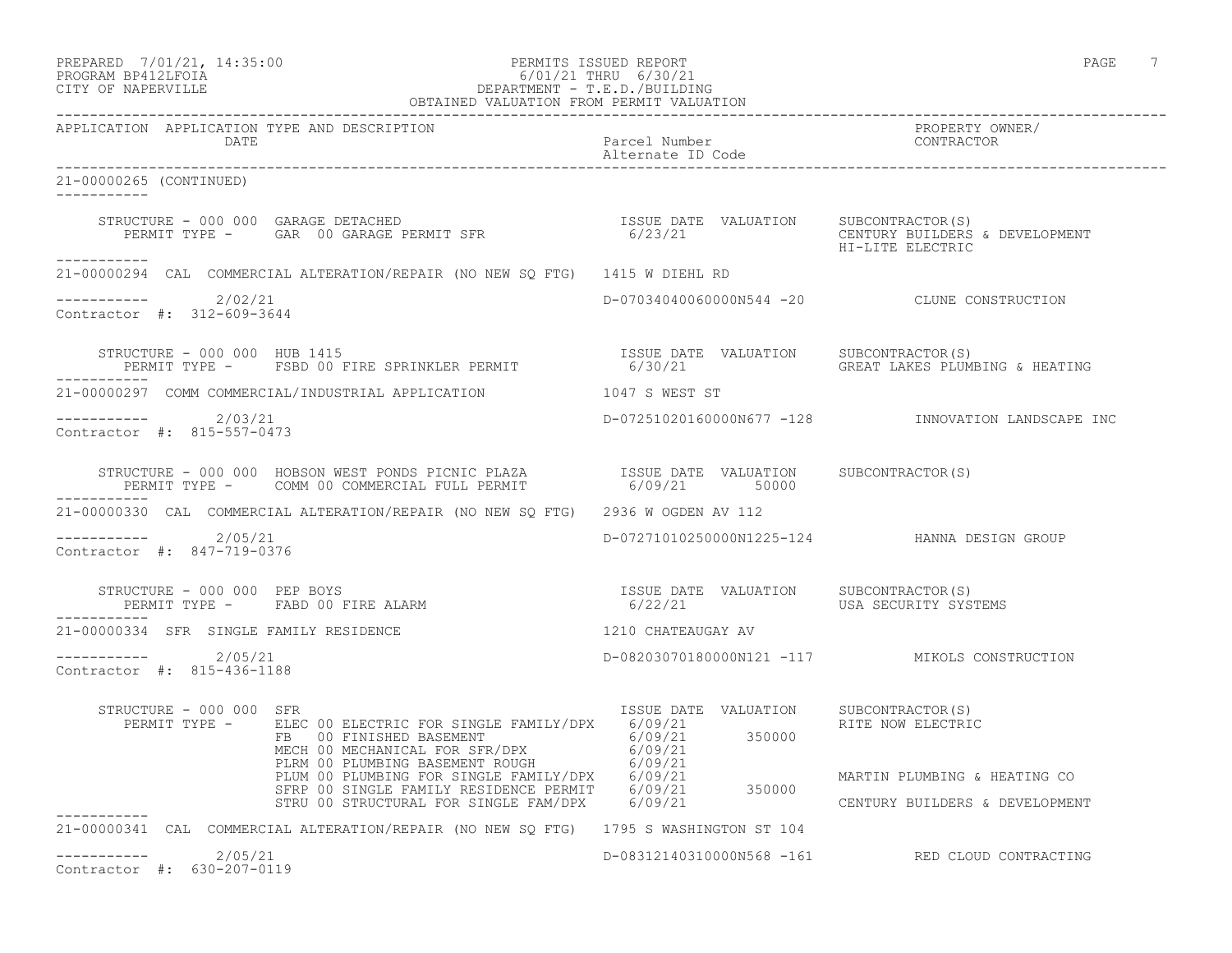| PREPARED           | 7/01/21, 14:35:00 |
|--------------------|-------------------|
| PROCRAM RP412LFOIA |                   |

#### PREPARED 7/01/21, 14:35:00 PERMITS ISSUED REPORT PAGE 7 PROGRAM BP412LFOIA 6/01/21 THRU 6/30/21 CITY OF NAPERVILLE DEPARTMENT - T.E.D./BUILDING OBTAINED VALUATION FROM PERMIT VALUATION

------------------------------------------------------------------------------------------------------------------------------------ APPLICATION APPLICATION TYPE AND DESCRIPTION PROPERTY OWNER/ DATE Parcel Number Contractor Contractor Contractor Parcel Number Alternate ID Code ------------------------------------------------------------------------------------------------------------------------------------ 21-00000265 (CONTINUED) ----------- STRUCTURE - 000 000 GARAGE DETACHED ISSUE DATE VALUATION SUBCONTRACTOR(S) PERMIT TYPE - GAR 00 GARAGE PERMIT SFR 6/23/21 CENTURY BUILDERS & DEVELOPMENT HI-LITE ELECTRIC ----------- 21-00000294 CAL COMMERCIAL ALTERATION/REPAIR (NO NEW SQ FTG) 1415 W DIEHL RD  $--------- 2/02/21$ D-07034040060000N544 -20 CLUNE CONSTRUCTION Contractor #: 312-609-3644 STRUCTURE - 000 000 HUB 1415<br>PERMIT TYPE - FSBD 00 FIRE SPRINKLER PERMIT 6/30/21 6/30/21 GREAT LAKES PLUMBING & HEATING PERMIT TYPE - FSBD 00 FIRE SPRINKLER PERMIT ----------- 21-00000297 COMM COMMERCIAL/INDUSTRIAL APPLICATION 1047 S WEST ST ----------- 2/03/21 D-07251020160000N677 -128 INNOVATION LANDSCAPE INC Contractor #: 815-557-0473 STRUCTURE - 000 000 HOBSON WEST PONDS PICNIC PLAZA ISSUE DATE VALUATION SUBCONTRACTOR(S) PERMIT TYPE - COMM 00 COMMERCIAL FULL PERMIT 6/09/21 50000 ----------- 21-00000330 CAL COMMERCIAL ALTERATION/REPAIR (NO NEW SQ FTG) 2936 W OGDEN AV 112 ----------- 2/05/21 D-07271010250000N1225-124 HANNA DESIGN GROUP Contractor #: 847-719-0376 STRUCTURE - 000 000 PEP BOYS<br>PERMIT TYPE - FABD 00 FIRE ALARM - 1999 - 1999 - 1999 - 1999 - 1999 - 1999 - 1999 - 1999 - 1999 - 1999 - 1999<br>G/22/21 - 1999 - USA SECURITY SYSTEMS PERMIT TYPE - FABD 00 FIRE ALARM ----------- 21-00000334 SFR SINGLE FAMILY RESIDENCE 1210 CHATEAUGAY AV ----------- 2/05/21 D-08203070180000N121 -117 MIKOLS CONSTRUCTION Contractor #: 815-436-1188 STRUCTURE - 000 000 SFR ISSUE DATE VALUATION SUBCONTRACTOR(S) PERMIT TYPE - ELEC 00 ELECTRIC FOR SINGLE FAMILY/DPX 6/09/21 RITE NOW ELECTRIC FB 00 FINISHED BASEMENT 6/09/21 350000 MECH 00 MECHANICAL FOR SFR/DPX 6/09/21 PLRM 00 PLUMBING BASEMENT ROUGH 6/09/21 PLUM 00 PLUMBING FOR SINGLE FAMILY/DPX 6/09/21 MARTIN PLUMBING & HEATING CO SFRP 00 SINGLE FAMILY RESIDENCE PERMIT 6/09/21 350000 STRU 00 STRUCTURAL FOR SINGLE FAM/DPX 6/09/21 CENTURY BUILDERS & DEVELOPMENT ----------- 21-00000341 CAL COMMERCIAL ALTERATION/REPAIR (NO NEW SQ FTG) 1795 S WASHINGTON ST 104  $--------- 2/05/21$ D-08312140310000N568 -161 RED CLOUD CONTRACTING Contractor #: 630-207-0119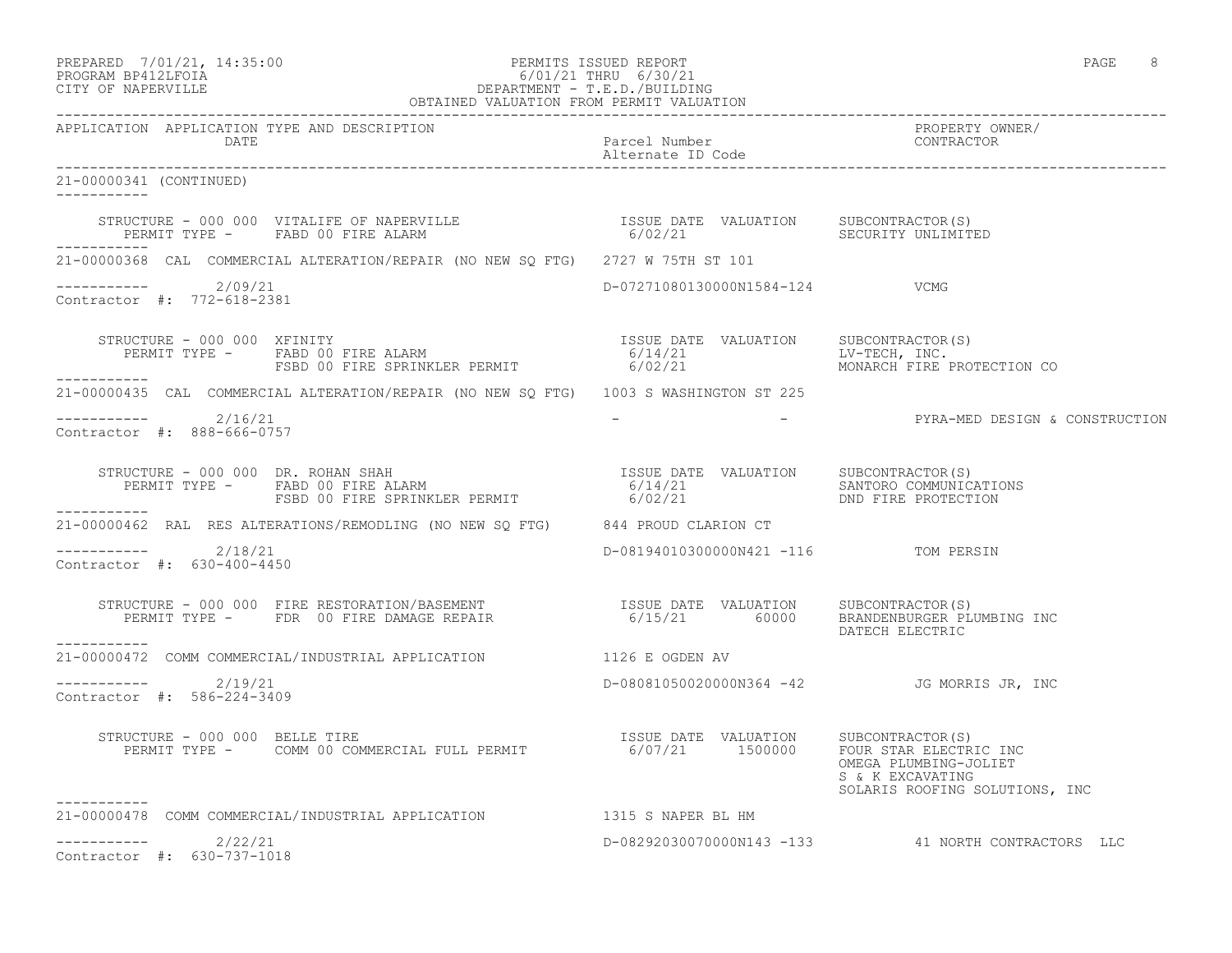| PREPARED | 7/01/21, 14:35:00  |  |
|----------|--------------------|--|
|          | PROGRAM BP412LFOTA |  |

# PERMITS ISSUED REPORT AND REPORT AND REPORT AND RESIDENCE ASSUED REPORT AND RESIDENCE ASSUED ASSUED ASSUED AND REPORT AND RESIDENCE ASSUED AND REPORT OF A SAMPLE ASSUED ASSUED ASSUED ASSUED ASSUED ASSUED ASSUED ASSUED ASSU PROGRAM BP412LFOIA 6/01/21 THRU 6/30/21 CITY OF NAPERVILLE DEPARTMENT - T.E.D./BUILDING

|                                                             | OBTAINED VALUATION FROM PERMIT VALUATION                                                                                                                                                                                                                      |                                      |                                                                                                       |
|-------------------------------------------------------------|---------------------------------------------------------------------------------------------------------------------------------------------------------------------------------------------------------------------------------------------------------------|--------------------------------------|-------------------------------------------------------------------------------------------------------|
| APPLICATION APPLICATION TYPE AND DESCRIPTION<br><b>DATE</b> |                                                                                                                                                                                                                                                               | Parcel Number<br>Alternate ID Code   | PROPERTY OWNER/<br>CONTRACTOR                                                                         |
| 21-00000341 (CONTINUED)<br>-----------                      |                                                                                                                                                                                                                                                               |                                      |                                                                                                       |
| ------------                                                | $\begin{array}{cccc} \texttt{STRUCTURE} - 000 000 & \texttt{VITALIFE OF NAPERVILLE} & \texttt{SUSUE DATE} & \texttt{VALUATION} & \texttt{SUBCONTRACTOR(S)} \\ \texttt{PERMIT TYPE -} & \texttt{FABD 00 FIRE ALARM} & \texttt{SLORISTY UNLIMITED} \end{array}$ |                                      |                                                                                                       |
|                                                             | 21-00000368 CAL COMMERCIAL ALTERATION/REPAIR (NO NEW SO FTG) 2727 W 75TH ST 101                                                                                                                                                                               |                                      |                                                                                                       |
| $--------- 2/09/21$<br>Contractor #: 772-618-2381           |                                                                                                                                                                                                                                                               | D-07271080130000N1584-124 VCMG       |                                                                                                       |
|                                                             |                                                                                                                                                                                                                                                               |                                      | MONARCH FIRE PROTECTION CO                                                                            |
|                                                             | 21-00000435 CAL COMMERCIAL ALTERATION/REPAIR (NO NEW SQ FTG) 1003 S WASHINGTON ST 225                                                                                                                                                                         |                                      |                                                                                                       |
| $--------$ 2/16/21<br>Contractor #: 888-666-0757            |                                                                                                                                                                                                                                                               |                                      | - THE PYRA-MED DESIGN & CONSTRUCTION                                                                  |
|                                                             |                                                                                                                                                                                                                                                               |                                      |                                                                                                       |
|                                                             | 21-00000462 RAL RES ALTERATIONS/REMODLING (NO NEW SO FTG) 844 PROUD CLARION CT                                                                                                                                                                                |                                      |                                                                                                       |
| $---------2/18/21$<br>Contractor #: 630-400-4450            |                                                                                                                                                                                                                                                               | D-08194010300000N421 -116 TOM PERSIN |                                                                                                       |
|                                                             | STRUCTURE - 000 000 FIRE RESTORATION/BASEMENT<br>PERMIT TYPE - FDR 00 FIRE DAMAGE REPAIR<br>6/15/21 60000 BRANDENE PLUMBING INC                                                                                                                               |                                      | DATECH ELECTRIC                                                                                       |
|                                                             | 21-00000472 COMM COMMERCIAL/INDUSTRIAL APPLICATION 1126 E OGDEN AV                                                                                                                                                                                            |                                      |                                                                                                       |
| ----------- 2/19/21<br>Contractor #: 586-224-3409           |                                                                                                                                                                                                                                                               |                                      | D-08081050020000N364 -42 JG MORRIS JR, INC                                                            |
|                                                             | STRUCTURE - 000 000 BELLE TIRE<br>PERMIT TYPE - COMM 00 COMMERCIAL FULL PERMIT 150000 FOUR STAR ELECTRIC                                                                                                                                                      |                                      | FOUR STAR ELECTRIC INC<br>OMEGA PLUMBING-JOLIET<br>S & K EXCAVATING<br>SOLARIS ROOFING SOLUTIONS, INC |
|                                                             | 21-00000478 COMM COMMERCIAL/INDUSTRIAL APPLICATION 1315 S NAPER BL HM                                                                                                                                                                                         |                                      |                                                                                                       |
| -----------<br>2/22/21<br>Contractor #: 630-737-1018        |                                                                                                                                                                                                                                                               |                                      | D-08292030070000N143 -133 41 NORTH CONTRACTORS LLC                                                    |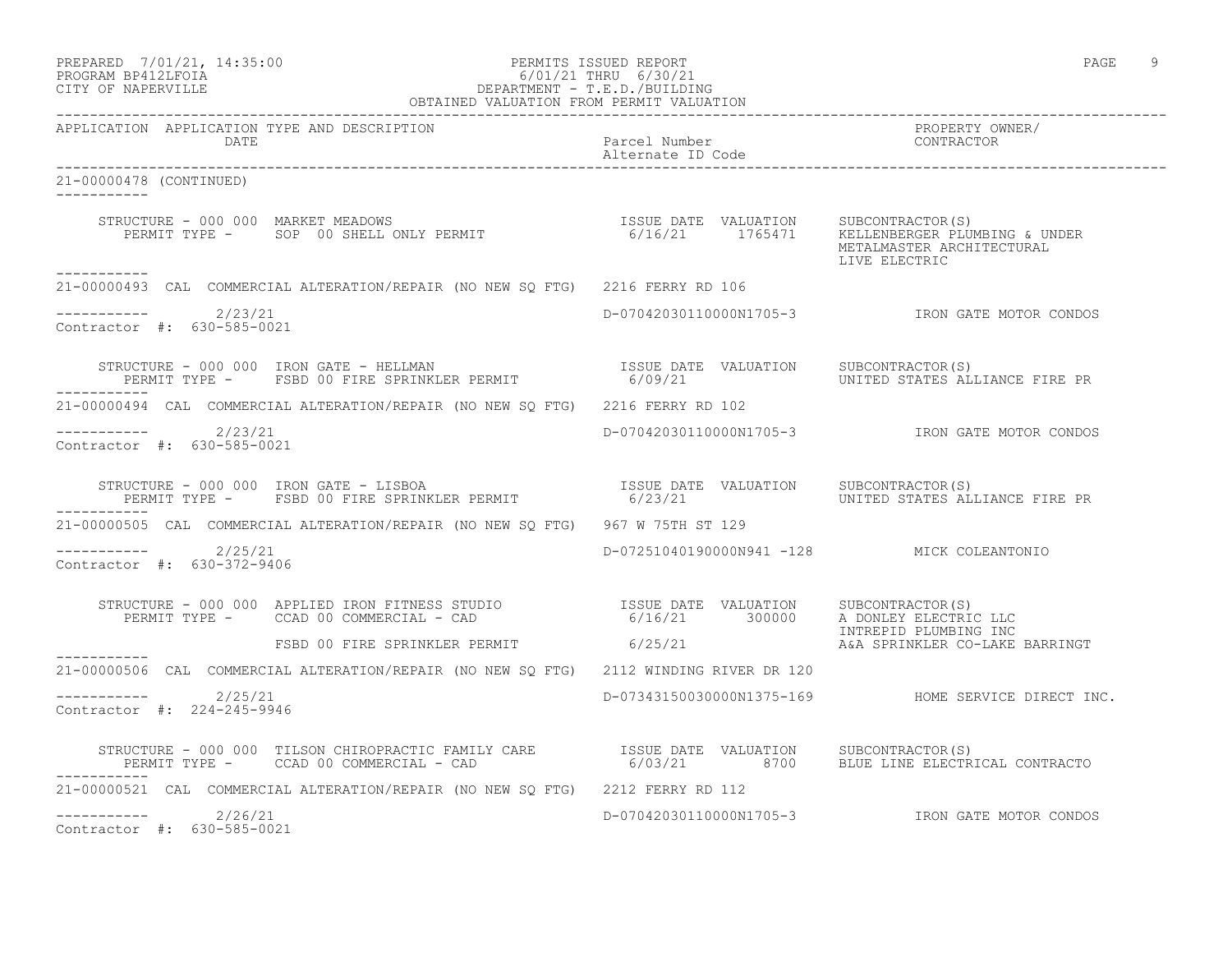| PREPARED           | 7/01/21, 14:35:00 |  |
|--------------------|-------------------|--|
| PROGRAM RP412LFOIA |                   |  |

# PREPARED 7/01/21, 14:35:00 PERMITS ISSUED REPORT PAGE 9 PROGRAM BP412LFOIA 6/01/21 THRU 6/30/21 CITY OF NAPERVILLE DEPARTMENT - T.E.D./BUILDING

| OBTAINED VALUATION FROM PERMIT VALUATION                                                                                                                                                                                          |                                            |                                                    |  |
|-----------------------------------------------------------------------------------------------------------------------------------------------------------------------------------------------------------------------------------|--------------------------------------------|----------------------------------------------------|--|
| APPLICATION APPLICATION TYPE AND DESCRIPTION<br>DATE                                                                                                                                                                              | Parcel Number<br>Alternate ID Code         | PROPERTY OWNER/<br>CONTRACTOR                      |  |
| 21-00000478 (CONTINUED)<br>-----------                                                                                                                                                                                            |                                            |                                                    |  |
| STRUCTURE - 000 000 MARKET MEADOWS<br>PERMIT TYPE - SOP 00 SHELL ONLY PERMIT - 1765471 1765471 MELLENBERGER PLUMBING & UNDER                                                                                                      |                                            | METALMASTER ARCHITECTURAL<br>LIVE ELECTRIC         |  |
| 21-00000493 CAL COMMERCIAL ALTERATION/REPAIR (NO NEW SO FTG) 2216 FERRY RD 106                                                                                                                                                    |                                            |                                                    |  |
| $------ 2/23/21$<br>Contractor #: 630-585-0021                                                                                                                                                                                    |                                            | D-07042030110000N1705-3 IRON GATE MOTOR CONDOS     |  |
| STRUCTURE - 000 000 IRON GATE - HELLMAN                       ISSUE DATE VALUATION   SUBCONTRACTOR(S)<br>PERMIT TYPE -   FSBD 00 FIRE SPRINKLER PERMIT             6/09/21         UNITED STATES ALLIANCE FIRE PR                 |                                            |                                                    |  |
| 21-00000494 CAL COMMERCIAL ALTERATION/REPAIR (NO NEW SQ FTG) 2216 FERRY RD 102                                                                                                                                                    |                                            |                                                    |  |
| $---------2/23/21$<br>Contractor #: 630-585-0021                                                                                                                                                                                  |                                            | D-07042030110000N1705-3 IRON GATE MOTOR CONDOS     |  |
| STRUCTURE - 000 000 IRON GATE - LISBOA                         ISSUE DATE VALUATION   SUBCONTRACTOR(S)<br>PERMIT TYPE -   FSBD 00 FIRE SPRINKLER PERMIT             6/23/21         UNITED STATES ALLIANCE FIRE PR                |                                            |                                                    |  |
| 21-00000505 CAL COMMERCIAL ALTERATION/REPAIR (NO NEW SO FTG) 967 W 75TH ST 129                                                                                                                                                    |                                            |                                                    |  |
| $--------$ 2/25/21<br>Contractor #: 630-372-9406                                                                                                                                                                                  | D-07251040190000N941 -128 MICK COLEANTONIO |                                                    |  |
| STRUCTURE - 000 000 APPLIED IRON FITNESS STUDIO                 ISSUE DATE VALUATION     SUBCONTRACTOR(S)<br>PERMIT TYPE -     CCAD 00 COMMERCIAL - CAD                               6/16/21                                     |                                            |                                                    |  |
| FSBD 00 FIRE SPRINKLER PERMIT 6/25/21<br>-----------                                                                                                                                                                              |                                            | A&A SPRINKLER CO-LAKE BARRINGT                     |  |
| 21-00000506 CAL COMMERCIAL ALTERATION/REPAIR (NO NEW SO FTG) 2112 WINDING RIVER DR 120                                                                                                                                            |                                            |                                                    |  |
| $--------- 2/25/21$<br>Contractor #: 224-245-9946                                                                                                                                                                                 |                                            | D-07343150030000N1375-169 HOME SERVICE DIRECT INC. |  |
| STRUCTURE - 000 000 TILSON CHIROPRACTIC FAMILY CARE           ISSUE DATE VALUATION    SUBCONTRACTOR(S)<br>PERMIT TYPE -     CCAD 00 COMMERCIAL - CAD                           6/03/21          8700    BLUE LINE ELECTRICAL CONT |                                            |                                                    |  |
| 21-00000521 CAL COMMERCIAL ALTERATION/REPAIR (NO NEW SQ FTG) 2212 FERRY RD 112                                                                                                                                                    |                                            |                                                    |  |
| $--------- 2/26/21$<br>Contractor #: 630-585-0021                                                                                                                                                                                 |                                            | D-07042030110000N1705-3 IRON GATE MOTOR CONDOS     |  |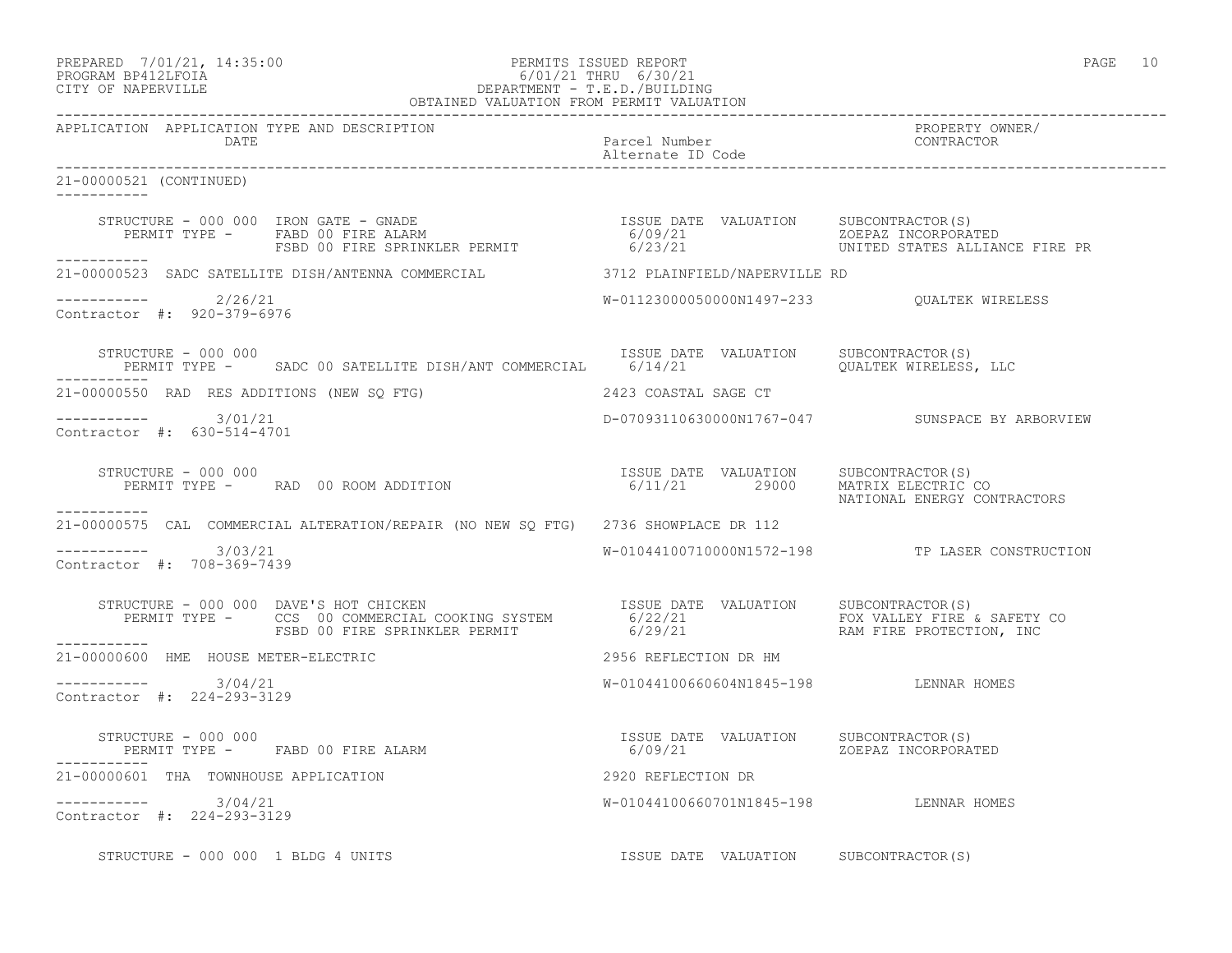#### PREPARED 7/01/21, 14:35:00 PERMITS ISSUED REPORT PAGE 10 PROGRAM BP412LFOIA 6/01/21 THRU 6/30/21 CITY OF NAPERVILLE DEPARTMENT - T.E.D./BUILDING OBTAINED VALUATION FROM PERMIT VALUATION

------------------------------------------------------------------------------------------------------------------------------------ APPLICATION APPLICATION TYPE AND DESCRIPTION<br>DATE barcel Number Parcel Number (CONTRACTOR DATE Parcel Number Contractor Contractor Contractor Parcel Number Contractor Contractor Contractor Contractor Contractor Contractor Contractor Contractor Contractor Contractor Contractor Contractor Contractor Contractor Co Alternate ID Code ------------------------------------------------------------------------------------------------------------------------------------ 21-00000521 (CONTINUED) ----------- STRUCTURE - 000 000 IRON GATE - GNADE ISSUE DATE VALUATION SUBCONTRACTOR(S) PERMIT TYPE - FABD 00 FIRE ALARM 6/09/21 ZOEPAZ INCORPORATED FSBD 00 FIRE SPRINKLER PERMIT 6/23/21 UNITED STATES ALLIANCE FIRE PR ----------- 21-00000523 SADC SATELLITE DISH/ANTENNA COMMERCIAL 3712 PLAINFIELD/NAPERVILLE RD  $--------- 2/26/21$ ----------- 2/26/21 W-01123000050000N1497-233 QUALTEK WIRELESS Contractor #: 920-379-6976 STRUCTURE - 000 000<br>PERMIT TYPE - SADC 00 SATELLITE DISH/ANT COMMERCIAL 6/14/21 0ALUATION OUALTEK WIRELESS, LLC PERMIT TYPE - SADC 00 SATELLITE DISH/ANT COMMERCIAL 6/14/21 ----------- 21-00000550 RAD RES ADDITIONS (NEW SQ FTG) 2423 COASTAL SAGE CT ----------- 3/01/21 D-07093110630000N1767-047 SUNSPACE BY ARBORVIEW Contractor #: 630-514-4701 STRUCTURE - 000 000 **ISSUE DATE VALUATION** SUBCONTRACTOR(S) PERMIT TYPE - RAD 00 ROOM ADDITION 6/11/21 29000 MATRIX ELECTRIC CO NATIONAL ENERGY CONTRACTORS ----------- 21-00000575 CAL COMMERCIAL ALTERATION/REPAIR (NO NEW SQ FTG) 2736 SHOWPLACE DR 112  $--------- 3/03/21$ W-01044100710000N1572-198 TP LASER CONSTRUCTION Contractor #: 708-369-7439 STRUCTURE - 000 000 DAVE'S HOT CHICKEN ISSUE DATE VALUATION SUBCONTRACTOR(S) PERMIT TYPE - CCS 00 COMMERCIAL COOKING SYSTEM 6/22/21 FOX VALLEY FIRE & SAFETY CO FSBD 00 FIRE SPRINKLER PERMIT 6/29/21 THE RAM FIRE PROTECTION, INC ----------- 21-00000600 HME HOUSE METER-ELECTRIC 2956 REFLECTION DR HM  $--------- 3/04/21$ W-01044100660604N1845-198 LENNAR HOMES Contractor #: 224-293-3129 STRUCTURE - 000 000 ISSUE DATE VALUATION SUBCONTRACTOR(S) PERMIT TYPE - FABD 00 FIRE ALARM ----------- 21-00000601 THA TOWNHOUSE APPLICATION 2920 REFLECTION DR ----------- 3/04/21 W-01044100660701N1845-198 LENNAR HOMES Contractor #: 224-293-3129 STRUCTURE - 000 000 1 BLDG 4 UNITS TESSUE DATE VALUATION SUBCONTRACTOR(S)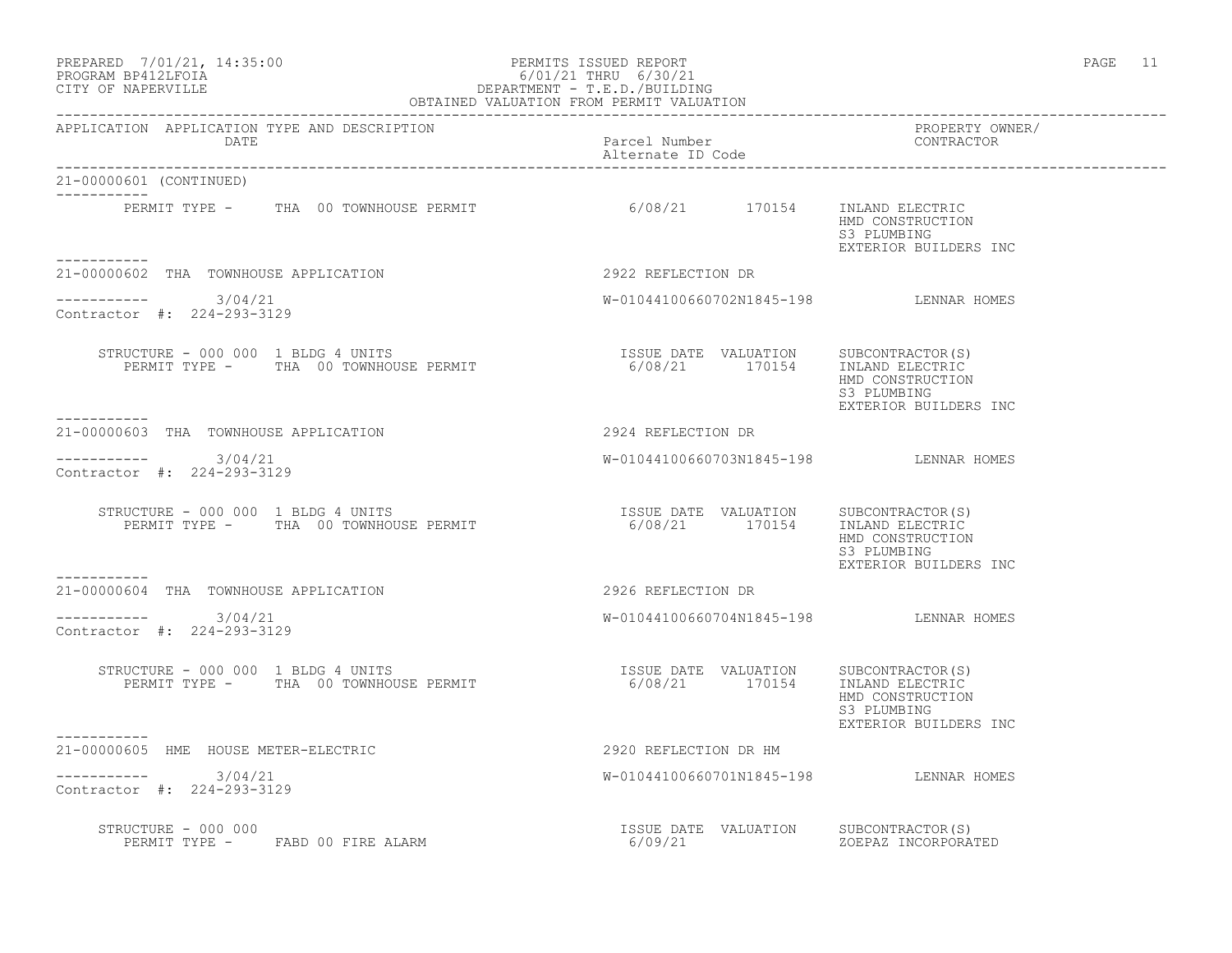#### PREPARED 7/01/21, 14:35:00 PERMITS ISSUED REPORT PAGE 11 PROGRAM BP412LFOIA 6/01/21 THRU 6/30/21 CITY OF NAPERVILLE DEPARTMENT - T.E.D./BUILDING OBTAINED VALUATION FROM PERMIT VALUATION

------------------------------------------------------------------------------------------------------------------------------------ APPLICATION APPLICATION TYPE AND DESCRIPTION PROPERTY OWNER/ Parcel Number Alternate ID Code ------------------------------------------------------------------------------------------------------------------------------------ 21-00000601 (CONTINUED) ----------- PERMIT TYPE - THA 00 TOWNHOUSE PERMIT 6/08/21 170154 INLAND ELECTRIC HMD CONSTRUCTION S3 PLUMBING EXTERIOR BUILDERS INC ----------- 21-00000602 THA TOWNHOUSE APPLICATION 2922 REFLECTION DR  $--------- 3/04/21$ W-01044100660702N1845-198 LENNAR HOMES Contractor #: 224-293-3129 STRUCTURE - 000 000 1 BLDG 4 UNITS **ISSUE DATE VALUATION** SUBCONTRACTOR(S) PERMIT TYPE - THA 00 TOWNHOUSE PERMIT 6/08/21 170154 INLAND ELECTRIC HMD CONSTRUCTION<br>S3 PLUMBING S3 PLUMBING EXTERIOR BUILDERS INC ----------- 21-00000603 THA TOWNHOUSE APPLICATION 2924 REFLECTION DR \_\_\_\_\_\_\_\_\_\_\_ ----------- 3/04/21 W-01044100660703N1845-198 LENNAR HOMES Contractor #: 224-293-3129 STRUCTURE - 000 000 1 BLDG 4 UNITS **ISSUE DATE VALUATION** SUBCONTRACTOR(S) PERMIT TYPE - THA 00 TOWNHOUSE PERMIT 6/08/21 170154 INLAND ELECTRIC 6/08/21 170154 INLAND ELECTRIC<br>
HMD CONSTRUCTION<br>
S3 PLUMBING S3 PLUMBING EXTERIOR BUILDERS INC -----------<br>21-0000604 THA TOWNHOUSE APPLICATION 2926 REFLECTION DR  $--------- 3/04/21$ W-01044100660704N1845-198 LENNAR HOMES Contractor #: 224-293-3129 STRUCTURE - 000 000 1 BLDG 4 UNITS **ISSUE DATE VALUATION** SUBCONTRACTOR(S) PERMIT TYPE - THA 00 TOWNHOUSE PERMIT 6/08/21 170154 INLAND ELECTRIC HMD CONSTRUCTION S3 PLUMBING EXTERIOR BUILDERS INC 21-00000605 HME HOUSE METER-ELECTRIC 2920 REFLECTION DR HM ----------- 3/04/21 W-01044100660701N1845-198 LENNAR HOMES Contractor #: 224-293-3129 STRUCTURE - 000 000<br>
SUBCONTRACTOR(S) ERRIT TYPE - FABD 00 FIRE ALARM CONNECTION SUBCONTRACTOR(S) PERMIT TYPE - FABD 00 FIRE ALARM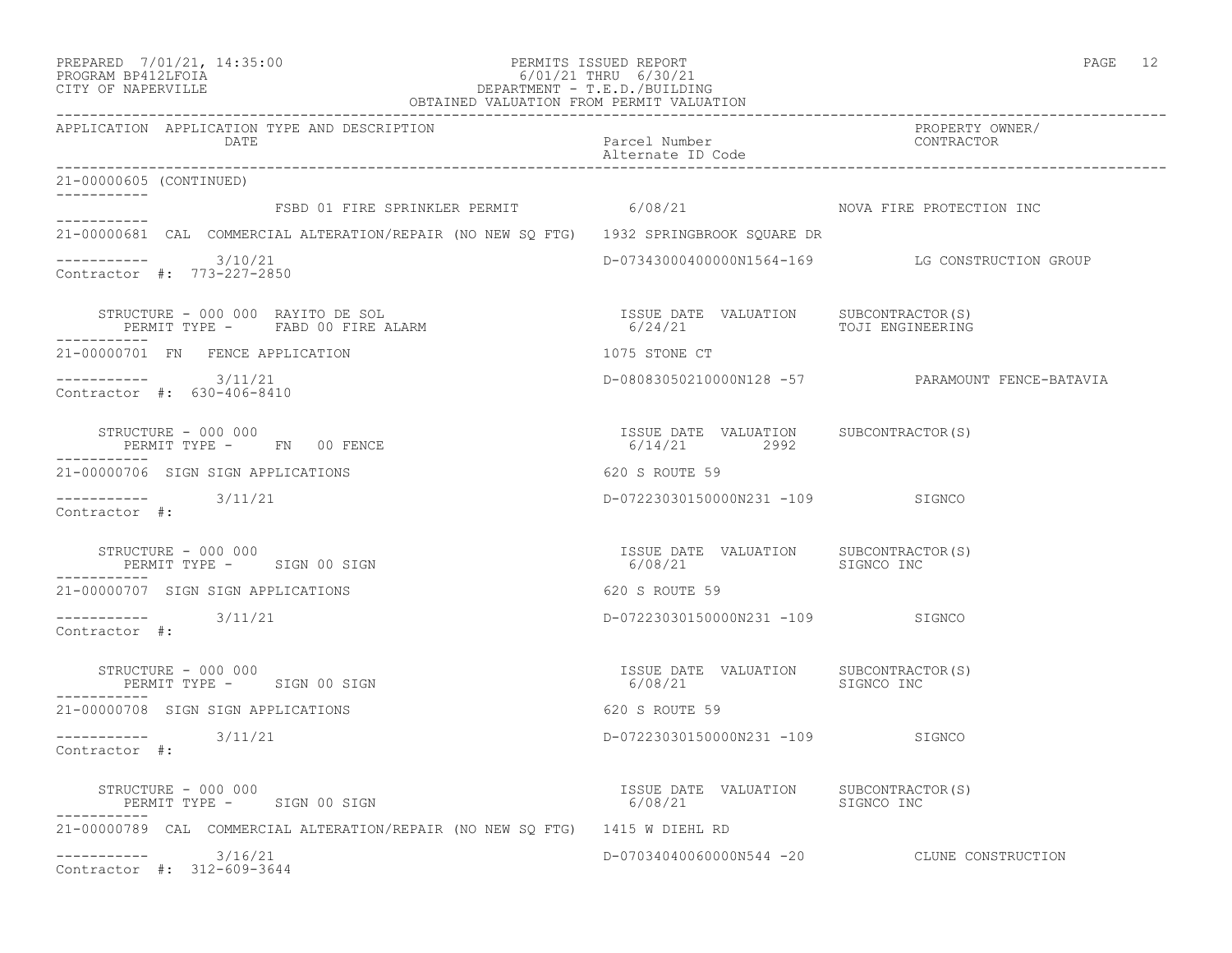| PREPARED | 7/01/21, 14:35:00 |  |
|----------|-------------------|--|
| -------- | ----------        |  |

### PREPARED 7/01/21, 14:35:00 PERMITS ISSUED REPORT PAGE 12 PROGRAM BP412LFOIA 6/01/21 THRU 6/30/21 CITY OF NAPERVILLE DEPARTMENT - T.E.D./BUILDING OBTAINED VALUATION FROM PERMIT VALUATION

| APPLICATION APPLICATION TYPE AND DESCRIPTION<br>DATE                                          | Parcel Number<br>Alternate ID Code                           | PROPERTY OWNER/<br>CONTRACTOR                    |
|-----------------------------------------------------------------------------------------------|--------------------------------------------------------------|--------------------------------------------------|
| 21-00000605 (CONTINUED)                                                                       |                                                              |                                                  |
| ------------<br>FSBD 01 FIRE SPRINKLER PERMIT 6/08/21 NOVA FIRE PROTECTION INC<br>___________ |                                                              |                                                  |
| 21-00000681 CAL COMMERCIAL ALTERATION/REPAIR (NO NEW SO FTG) 1932 SPRINGBROOK SOUARE DR       |                                                              |                                                  |
| $--------- 3/10/21$<br>Contractor #: 773-227-2850                                             |                                                              | D-07343000400000N1564-169 LG CONSTRUCTION GROUP  |
|                                                                                               |                                                              |                                                  |
| 21-00000701 FN FENCE APPLICATION                                                              | 1075 STONE CT                                                |                                                  |
| $--------- 3/11/21$<br>Contractor #: 630-406-8410                                             |                                                              | D-08083050210000N128 -57 PARAMOUNT FENCE-BATAVIA |
| STRUCTURE - 000 000<br>PERMIT TYPE - FN 00 FENCE                                              | ISSUE DATE VALUATION SUBCONTRACTOR(S)<br>6/14/21 2992        |                                                  |
| 21-00000706 SIGN SIGN APPLICATIONS                                                            | 620 S ROUTE 59                                               |                                                  |
| $--------$ 3/11/21<br>Contractor #:                                                           | D-07223030150000N231 -109 SIGNCO                             |                                                  |
| STRUCTURE - 000 000<br>PERMIT TYPE - SIGN 00 SIGN                                             | ISSUE DATE VALUATION SUBCONTRACTOR(S)<br>6/08/21             | SIGNCO INC                                       |
| 21-00000707 SIGN SIGN APPLICATIONS                                                            | 620 S ROUTE 59                                               |                                                  |
| $--------$ 3/11/21<br>Contractor #:                                                           | D-07223030150000N231 -109 SIGNCO                             |                                                  |
| STRUCTURE - 000 000<br>PERMIT TYPE - SIGN 00 SIGN                                             | ISSUE DATE VALUATION SUBCONTRACTOR(S)<br>6/08/21 SIGNCO INC  |                                                  |
| 21-00000708 SIGN SIGN APPLICATIONS                                                            | 620 S ROUTE 59                                               |                                                  |
| $--------$ 3/11/21<br>Contractor #:                                                           | D-07223030150000N231 -109 SIGNCO                             |                                                  |
| STRUCTURE - 000 000<br>PERMIT TYPE - SIGN 00 SIGN                                             | ISSUE DATE VALUATION SUBCONTRACTOR (S)<br>6/08/21 SIGNCO INC |                                                  |
| 21-00000789 CAL COMMERCIAL ALTERATION/REPAIR (NO NEW SQ FTG) 1415 W DIEHL RD                  |                                                              |                                                  |
| $--------- 3/16/21$<br>Contractor #: 312-609-3644                                             |                                                              | D-07034040060000N544 -20 CLUNE CONSTRUCTION      |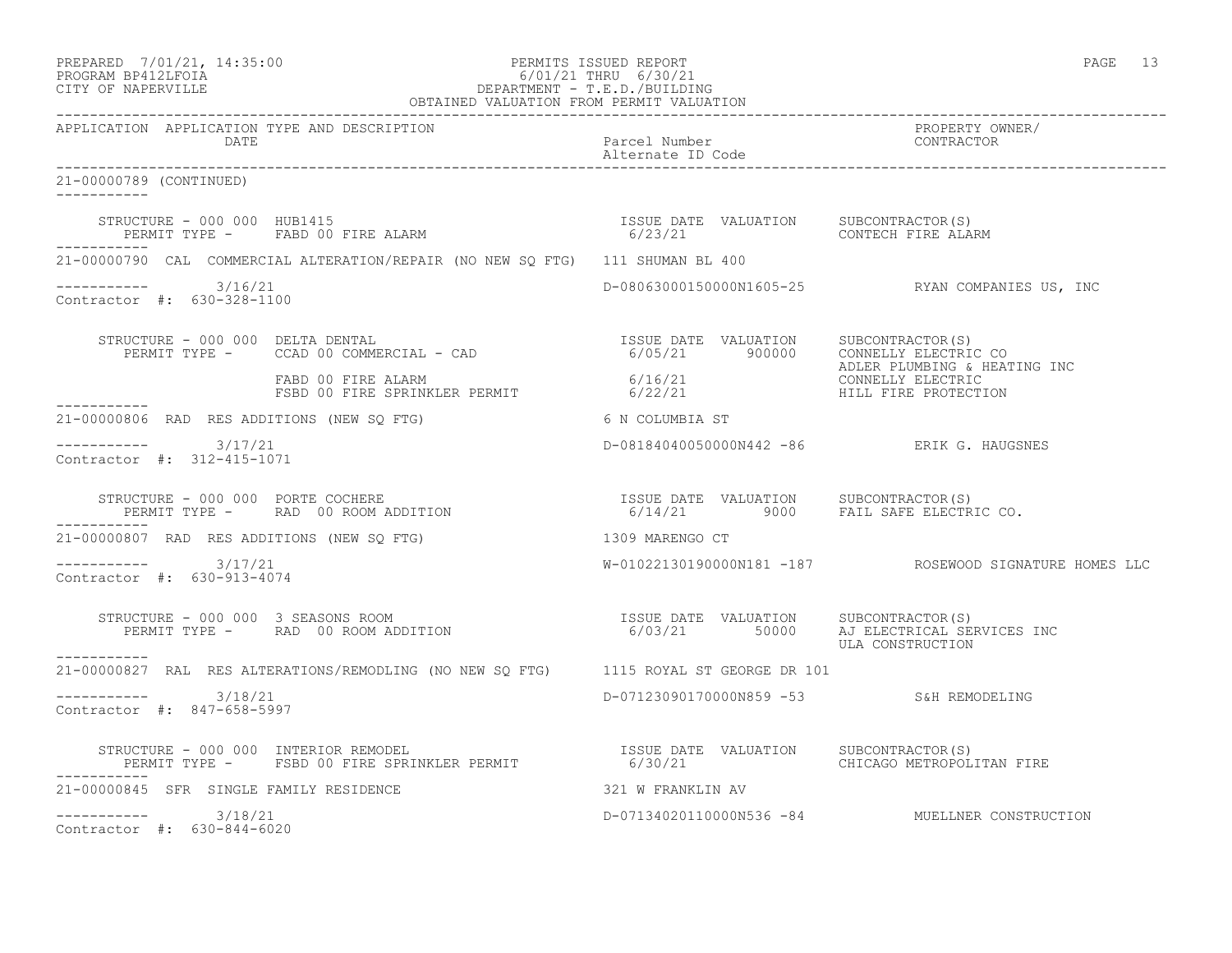| PREPARED            | 7/01/21, 14:35:00 |
|---------------------|-------------------|
| גד∩ם זר11תם וגמר∩חם |                   |

# PREPARED 7/01/21, 14:35:00 PERMITS ISSUED REPORT<br>PROGRAM BP412LFOIA PAGE 13 PROGRAM BP412LFOIA 6/01/21 THRU 6/30/21 CITY OF NAPERVILLE DEPARTMENT - T.E.D./BUILDING

|                                                      | OBTAINED VALUATION FROM PERMIT VALUATION                                                                                                                                                                                             |                                           |                                                        |
|------------------------------------------------------|--------------------------------------------------------------------------------------------------------------------------------------------------------------------------------------------------------------------------------------|-------------------------------------------|--------------------------------------------------------|
| APPLICATION APPLICATION TYPE AND DESCRIPTION<br>DATE |                                                                                                                                                                                                                                      | Parcel Number<br>Alternate ID Code        | PROPERTY OWNER/<br>CONTRACTOR                          |
| 21-00000789 (CONTINUED)                              |                                                                                                                                                                                                                                      |                                           |                                                        |
|                                                      | STRUCTURE – 000 000 HUB1415<br>PERMIT TYPE – FABD 00 FIRE ALARM – 1999 – 1999 – 6/23/21 – 1999 – 2001 – 2008 – 2008 – 2008 – 2009 – 2009 – 20<br>GY23/21 – 2008 – 2008 – 2008 – 2009 – 2009 – 2009 – 2009 – 2009 – 2009 – 2009 – 200 |                                           |                                                        |
|                                                      | 21-00000790 CAL COMMERCIAL ALTERATION/REPAIR (NO NEW SQ FTG) 111 SHUMAN BL 400                                                                                                                                                       |                                           |                                                        |
| $--------- 3/16/21$<br>Contractor #: 630-328-1100    |                                                                                                                                                                                                                                      |                                           | D-08063000150000N1605-25 RYAN COMPANIES US, INC        |
|                                                      | STRUCTURE - 000 000 DELTA DENTAL<br>PERMIT TYPE - CCAD 00 COMMERCIAL - CAD<br>FABD 00 FIRE ALARM 6/05/21 6/16/21 CONNELLY ELECTRIC CONNELLY ELECTRIC CONNELLY ELECTRIC CONNELLY ELECTRIC CONNELLY ELECTRIC<br>FABD 00 FIRE ALARM 6/  |                                           | ADLER PLUMBING & HEATING INC                           |
|                                                      |                                                                                                                                                                                                                                      |                                           |                                                        |
|                                                      | 21-00000806 RAD RES ADDITIONS (NEW SQ FTG) 6 N COLUMBIA ST                                                                                                                                                                           |                                           |                                                        |
| $--------- 3/17/21$<br>Contractor #: 312-415-1071    |                                                                                                                                                                                                                                      | D-08184040050000N442 -86 ERIK G. HAUGSNES |                                                        |
|                                                      |                                                                                                                                                                                                                                      | $6/14/21$ 9000 FAIL SAFE ELECTRIC CO.     |                                                        |
|                                                      | 21-00000807 RAD RES ADDITIONS (NEW SQ FTG) 1309 MARENGO CT                                                                                                                                                                           |                                           |                                                        |
| $--------$ 3/17/21<br>Contractor #: 630-913-4074     |                                                                                                                                                                                                                                      |                                           | W-01022130190000N181 -187 ROSEWOOD SIGNATURE HOMES LLC |
|                                                      |                                                                                                                                                                                                                                      | 6/03/21 50000 AJ ELECTRICAL SERVICES INC  | ULA CONSTRUCTION                                       |
|                                                      | 21-00000827 RAL RES ALTERATIONS/REMODLING (NO NEW SQ FTG) 1115 ROYAL ST GEORGE DR 101                                                                                                                                                |                                           |                                                        |
| $--------- 3/18/21$<br>Contractor #: 847-658-5997    |                                                                                                                                                                                                                                      | D-07123090170000N859 -53 S&H REMODELING   |                                                        |
| ------------                                         | STRUCTURE - 000 000 INTERIOR REMODEL                                  ISSUE DATE VALUATION     SUBCONTRACTOR(S)<br>PERMIT TYPE -     FSBD 00 FIRE SPRINKLER PERMIT                6/30/21                       CHICAGO METROPOLI    |                                           |                                                        |
| 21-00000845 SFR SINGLE FAMILY RESIDENCE              |                                                                                                                                                                                                                                      | 321 W FRANKLIN AV                         |                                                        |
| $--------- 3/18/21$<br>Contractor #: 630-844-6020    |                                                                                                                                                                                                                                      |                                           | D-07134020110000N536 -84 MUELLNER CONSTRUCTION         |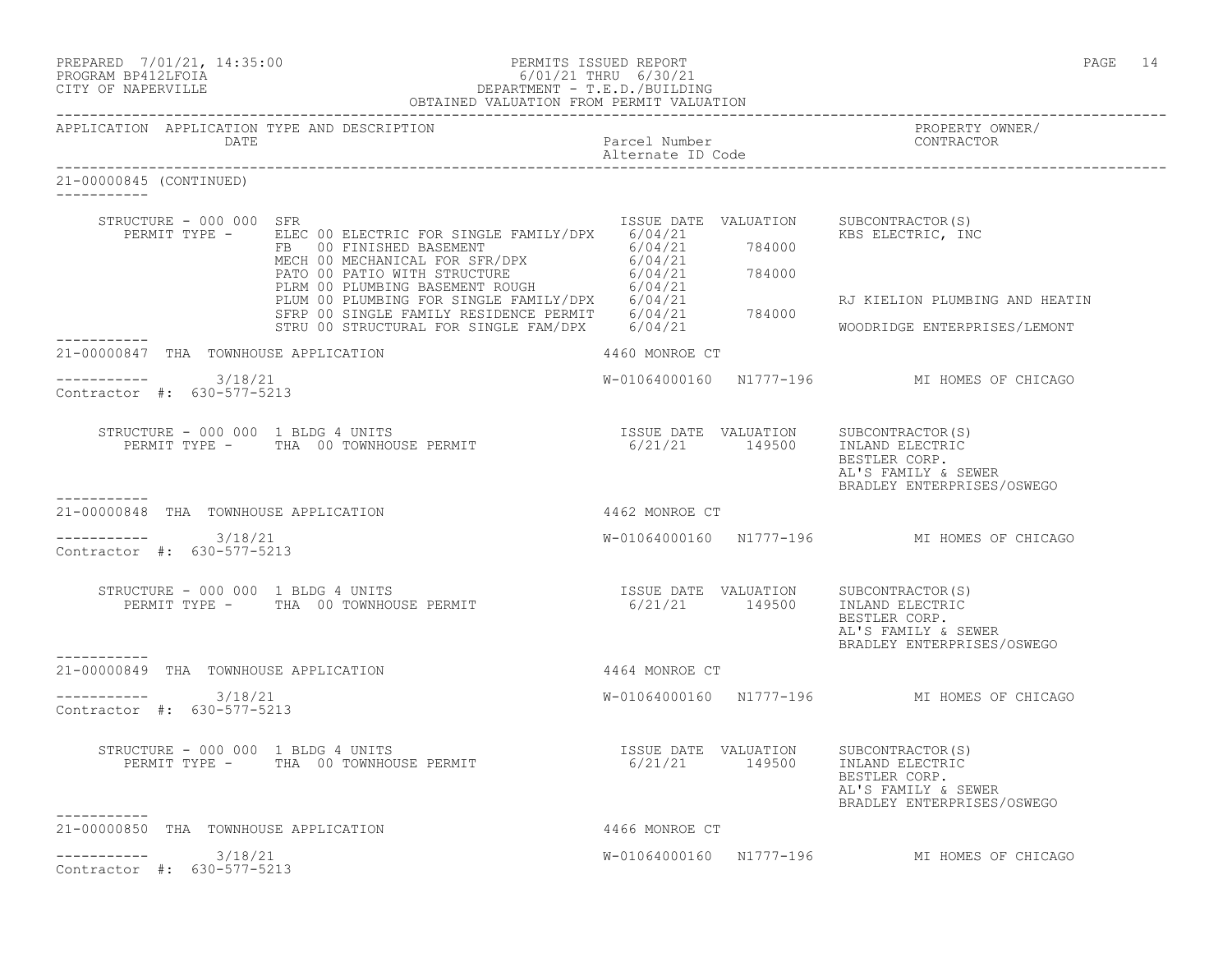| PREPARED | 7/01/21, 14:35:00 |
|----------|-------------------|
|          |                   |

# PREPARED 7/01/21, 14:35:00 PERMITS ISSUED REPORT<br>PROGRAM BP412LFOIA PAGE 14 PROGRAM BP412LFOIA 6/01/21 THRU 6/30/21 CITY OF NAPERVILLE DEPARTMENT - T.E.D./BUILDING

|                                              |                                                        | OBTAINED VALUATION FROM PERMIT VALUATION                                                                                                                                                                                                                                                                                                       |                                    |                                                                                                                                               |
|----------------------------------------------|--------------------------------------------------------|------------------------------------------------------------------------------------------------------------------------------------------------------------------------------------------------------------------------------------------------------------------------------------------------------------------------------------------------|------------------------------------|-----------------------------------------------------------------------------------------------------------------------------------------------|
|                                              | DATE                                                   | APPLICATION APPLICATION TYPE AND DESCRIPTION                                                                                                                                                                                                                                                                                                   | Parcel Number<br>Alternate ID Code | PROPERTY OWNER/<br>CONTRACTOR                                                                                                                 |
| 21-00000845 (CONTINUED)<br>$---------------$ |                                                        |                                                                                                                                                                                                                                                                                                                                                |                                    |                                                                                                                                               |
|                                              | STRUCTURE - 000 000 SFR                                | REAMIT TYPE - ELEC 00 ELECTRIC FOR SINGLE FAMILY/DPX 6/04/21 784000<br>FERMIT TYPE - ELEC 00 ELECTRIC FOR SINGLE FAMILY/DPX 6/04/21 784000<br>MECH 00 MECHANICAL FOR SFR/DPX 6/04/21 784000<br>PATO 00 PATIO WITH STRUCTURE<br>PLEW 00                                                                                                         | ISSUE DATE VALUATION               | SUBCONTRACTOR(S)<br>RJ KIELION PLUMBING AND HEATIN                                                                                            |
|                                              |                                                        |                                                                                                                                                                                                                                                                                                                                                |                                    | WOODRIDGE ENTERPRISES/LEMONT                                                                                                                  |
|                                              |                                                        | 21-00000847 THA TOWNHOUSE APPLICATION                                                                                                                                                                                                                                                                                                          | 4460 MONROE CT                     |                                                                                                                                               |
|                                              | $--------- 3/18/21$<br>Contractor #: 630-577-5213      |                                                                                                                                                                                                                                                                                                                                                |                                    | W-01064000160 N1777-196 MI HOMES OF CHICAGO                                                                                                   |
| -----------                                  |                                                        |                                                                                                                                                                                                                                                                                                                                                |                                    | BESTLER CORP.<br>AL'S FAMILY & SEWER<br>BRADLEY ENTERPRISES/OSWEGO                                                                            |
|                                              |                                                        | 21-00000848 THA TOWNHOUSE APPLICATION                                                                                                                                                                                                                                                                                                          | 4462 MONROE CT                     |                                                                                                                                               |
|                                              | $-$ ---------- $3/18/21$<br>Contractor #: 630-577-5213 |                                                                                                                                                                                                                                                                                                                                                |                                    | W-01064000160 N1777-196 MI HOMES OF CHICAGO                                                                                                   |
|                                              |                                                        | STRUCTURE - 000 000 1 BLDG 4 UNITS<br>PERMIT TYPE - THA 00 TOWNHOUSE PERMIT                                                                                                                                                                                                                                                                    |                                    | ISSUE DATE VALUATION SUBCONTRACTOR(S)<br>6/21/21 149500 INLAND ELECTRIC<br>BESTLER CORP.<br>AL'S FAMILY & SEWER<br>BRADLEY ENTERPRISES/OSWEGO |
| ----------                                   |                                                        | 21-00000849 THA TOWNHOUSE APPLICATION                                                                                                                                                                                                                                                                                                          | 4464 MONROE CT                     |                                                                                                                                               |
|                                              | $--------$ 3/18/21<br>Contractor #: 630-577-5213       |                                                                                                                                                                                                                                                                                                                                                |                                    | W-01064000160 N1777-196 MI HOMES OF CHICAGO                                                                                                   |
|                                              |                                                        | $\begin{tabular}{lcccccc} \texttt{STRUCTURE} & - & 000 & 000 & 1 & \texttt{BLDG} & 4 & \texttt{UNITS} & & & & & & & & \texttt{ISSUE} & \texttt{DATE} & \texttt{VALUATION} & & & & & & \texttt{SUBCONTRACTOR(S)} \\ & & & & & & & & & & & \texttt{PERMIT} & & & & & \texttt{6/21/21} & & & 149500 & & & \texttt{INLAND ELECTRIC} \end{tabular}$ |                                    | ISSUE DATE VALUATION SUBCONTRACTOR(S)<br>BESTLER CORP.<br>AL'S FAMILY & SEWER<br>BRADLEY ENTERPRISES/OSWEGO                                   |
| ----------                                   |                                                        | 21-00000850 THA TOWNHOUSE APPLICATION<br>4466 MONROE CT                                                                                                                                                                                                                                                                                        |                                    |                                                                                                                                               |
|                                              | ----------- 3/18/21<br>Contractor #: 630-577-5213      |                                                                                                                                                                                                                                                                                                                                                |                                    | W-01064000160 N1777-196 MI HOMES OF CHICAGO                                                                                                   |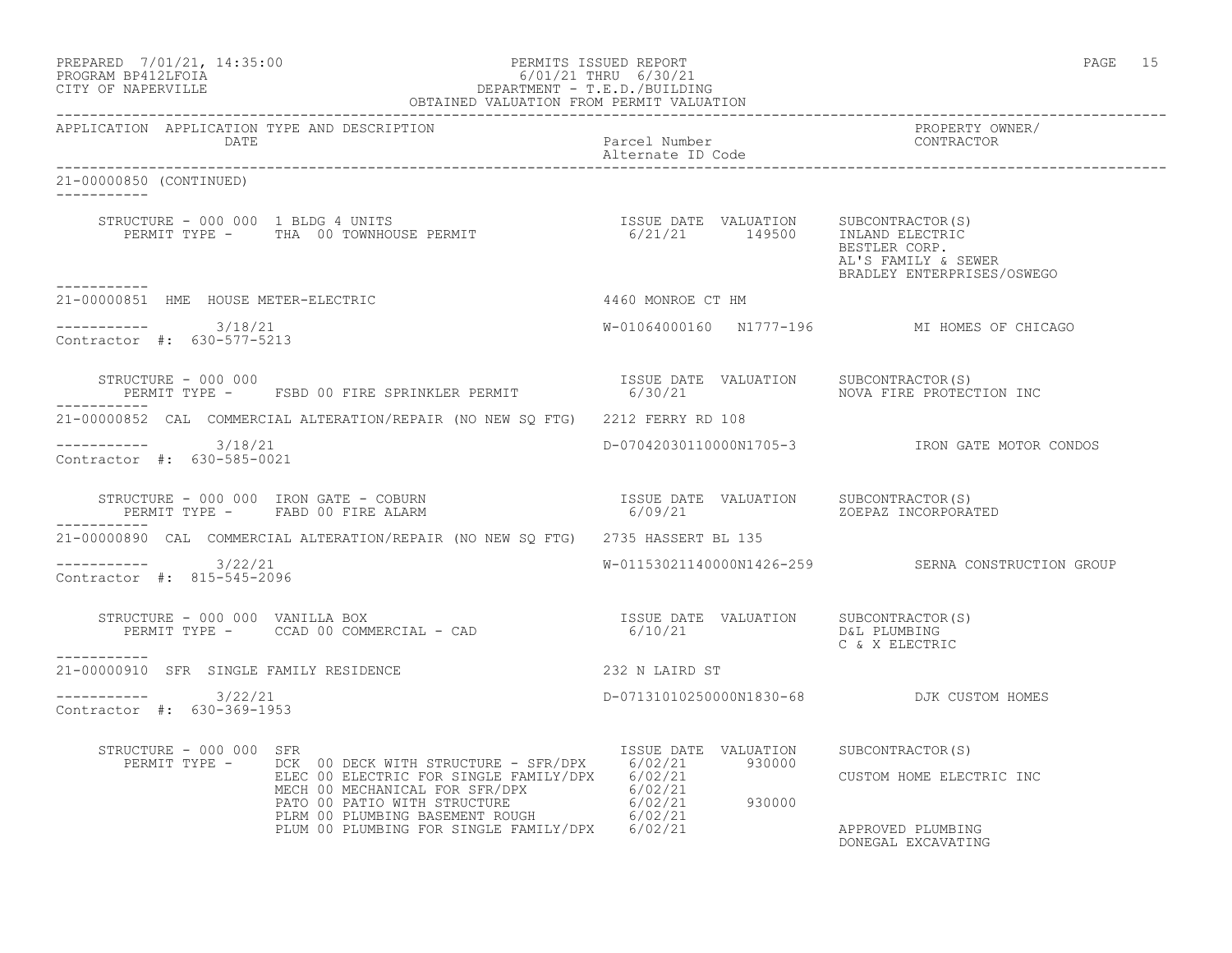| PREPARED | 7/01/21, 14:35:00  |  |
|----------|--------------------|--|
|          | PROGRAM BP412LFOTA |  |

### order the end of the person of the PERMITS ISSUED REPORT the end of the end of the end of the page of the end of the end of the end of the end of the end of the end of the end of the end of the end of the end of the end of PROGRAM BP412LFOIA 6/01/21 THRU 6/30/21 CITY OF NAPERVILLE DEPARTMENT - T.E.D./BUILDING OBTAINED VALUATION FROM PERMIT VALUATION

------------------------------------------------------------------------------------------------------------------------------------ APPLICATION APPLICATION TYPE AND DESCRIPTION PROPERTY OWNER/ DATE Parcel Number CONTRACTOR Alternate ID Code ------------------------------------------------------------------------------------------------------------------------------------ 21-00000850 (CONTINUED) ----------- STRUCTURE - 000 000 1 BLDG 4 UNITS **ISSUE DATE VALUATION** SUBCONTRACTOR(S) PERMIT TYPE - THA 00 TOWNHOUSE PERMIT 6/21/21 149500 INLAND ELECTRIC BESTLER CORP. AL'S FAMILY & SEWER BRADLEY ENTERPRISES/OSWEGO ----------- 21-00000851 HME HOUSE METER-ELECTRIC 4460 MONROE CT HM \_\_\_\_\_\_\_\_\_\_\_ ----------- 3/18/21 W-01064000160 N1777-196 MI HOMES OF CHICAGO Contractor #: 630-577-5213 STRUCTURE - 000 000<br>PERMIT TYPE - FSBD 00 FIRE SPRINKLER PERMIT 6/30/21 ALUATION NOVA FIRE PROTECTION INC PERMIT TYPE - FSBD 00 FIRE SPRINKLER PERMIT ----------- 21-00000852 CAL COMMERCIAL ALTERATION/REPAIR (NO NEW SQ FTG) 2212 FERRY RD 108 ----------- 3/18/21 D-07042030110000N1705-3 IRON GATE MOTOR CONDOS Contractor #: 630-585-0021 STRUCTURE - 000 000 IRON GATE - COBURN ISSUE DATE VALUATION SUBCONTRACTOR(S) PERMIT TYPE - FABD 00 FIRE ALARM 6/09/21 ZOEPAZ INCORPORATED ----------- 21-00000890 CAL COMMERCIAL ALTERATION/REPAIR (NO NEW SQ FTG) 2735 HASSERT BL 135 ----------- 3/22/21 W-01153021140000N1426-259 SERNA CONSTRUCTION GROUP Contractor #: 815-545-2096 STRUCTURE - 000 000 VANILLA BOX ISSUE DATE VALUATION SUBCONTRACTOR(S) PERMIT TYPE - CCAD 00 COMMERCIAL - CAD 6/10/21 D&L PLUMBING C & X ELECTRIC ----------- 21-00000910 SFR SINGLE FAMILY RESIDENCE 232 N LAIRD ST \_\_\_\_\_\_\_\_\_\_\_ ----------- 3/22/21 D-07131010250000N1830-68 DJK CUSTOM HOMES Contractor #: 630-369-1953 STRUCTURE - 000 000 SFR ISSUE DATE VALUATION SUBCONTRACTOR(S) PERMIT TYPE - DCK 00 DECK WITH STRUCTURE - SFR/DPX 6/02/21 930000 ELEC 00 ELECTRIC FOR SINGLE FAMILY/DPX 6/02/21 CUSTOM HOME ELECTRIC INC MECH 00 MECHANICAL FOR SFR/DPX 6/02/21 PATO 00 PATIO WITH STRUCTURE  $6/02/21$  930000 PLRM 00 PLUMBING BASEMENT ROUGH 6/02/21 PLUM 00 PLUMBING FOR SINGLE FAMILY/DPX 6/02/21 APPROVED PLUMBING

DONEGAL EXCAVATING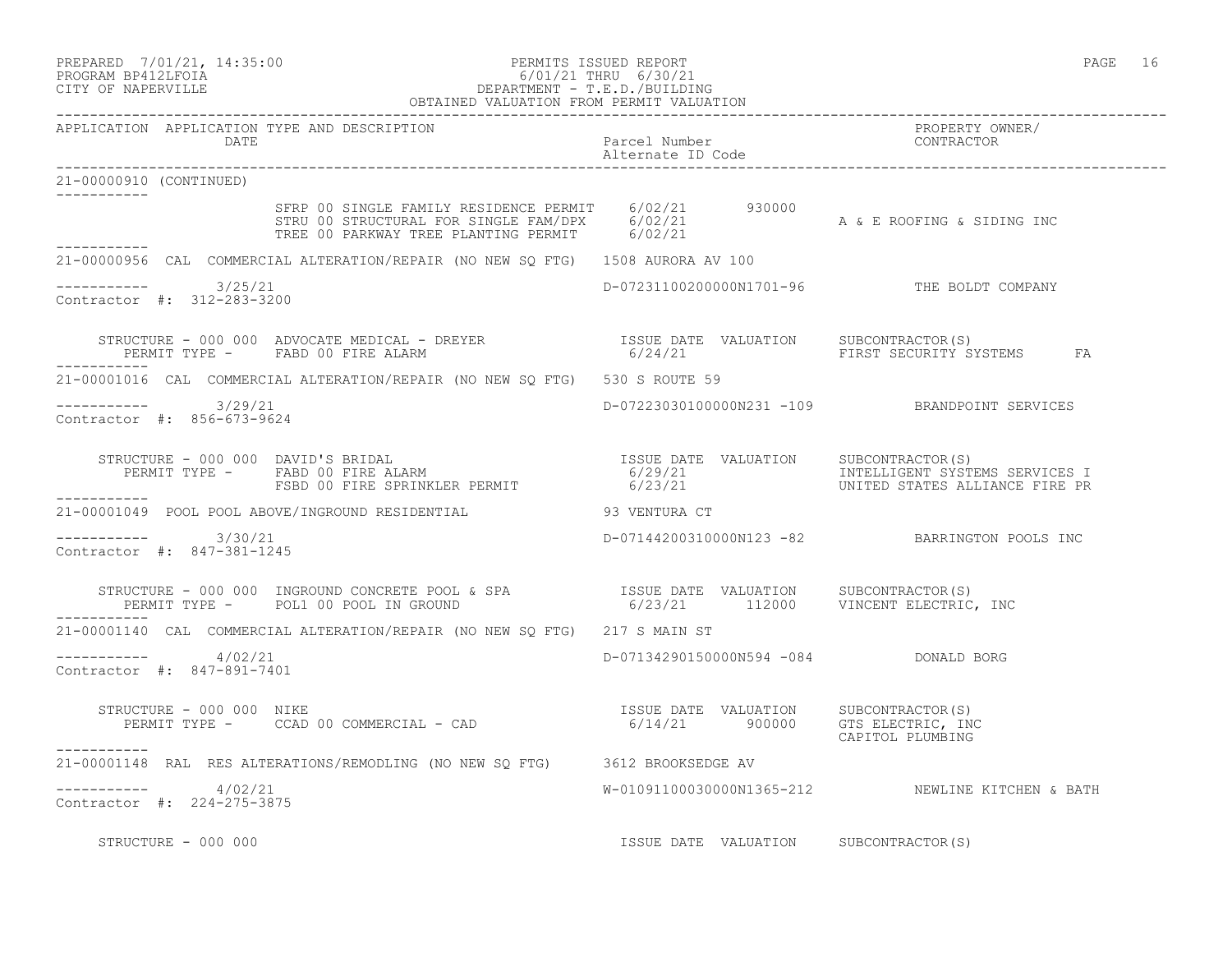# PREPARED 7/01/21, 14:35:00 PERMITS ISSUED REPORT PAGE 16 PROGRAM BP412LFOIA 6/01/21 THRU 6/30/21 CITY OF NAPERVILLE DEPARTMENT - T.E.D./BUILDING

|                                                      | OBTAINED VALUATION FROM PERMIT VALUATION                                                                                                                                                                                                                              |                                       |                                                  |
|------------------------------------------------------|-----------------------------------------------------------------------------------------------------------------------------------------------------------------------------------------------------------------------------------------------------------------------|---------------------------------------|--------------------------------------------------|
| APPLICATION APPLICATION TYPE AND DESCRIPTION<br>DATE |                                                                                                                                                                                                                                                                       | Parcel Number<br>Alternate ID Code    | PROPERTY OWNER/<br>CONTRACTOR                    |
| 21-00000910 (CONTINUED)                              |                                                                                                                                                                                                                                                                       |                                       |                                                  |
|                                                      | SFRP 00 SINGLE FAMILY RESIDENCE PERMIT     6/02/21        930000<br>STRU 00 STRUCTURAL FOR SINGLE FAM/DPX     6/02/21                         A & E ROOFING & SIDING INC<br>TREE 00 PARKWAY TREE PLANTING PERMIT       6/02/21                                        |                                       |                                                  |
|                                                      | 21-00000956 CAL COMMERCIAL ALTERATION/REPAIR (NO NEW SQ FTG) 1508 AURORA AV 100                                                                                                                                                                                       |                                       |                                                  |
| $--------- 3/25/21$<br>Contractor #: 312-283-3200    |                                                                                                                                                                                                                                                                       |                                       | D-07231100200000N1701-96 THE BOLDT COMPANY       |
|                                                      | STRUCTURE – 000 000 ADVOCATE MEDICAL – DREYER                    ISSUE DATE VALUATION     SUBCONTRACTOR(S)<br>PERMIT TYPE –     FABD 00 FIRE ALARM                                    6/24/21                         FIRST SECUR<br>PERMIT TYPE - FABD 00 FIRE ALARM |                                       |                                                  |
|                                                      | 21-00001016 CAL COMMERCIAL ALTERATION/REPAIR (NO NEW SQ FTG) 530 S ROUTE 59                                                                                                                                                                                           |                                       |                                                  |
| $--------- 3/29/21$<br>Contractor #: 856-673-9624    |                                                                                                                                                                                                                                                                       |                                       | D-07223030100000N231 -109 BRANDPOINT SERVICES    |
|                                                      | STRUCTURE - 000 000 DAVID'S BRIDAL (STRUCTURE - 000 000 DAVID'S BRIDAL)<br>PERMIT TYPE - FABD 00 FIRE ALARM (6/29/21 ) = 6/23/21 (STRUCTES INTELLIGENT SYSTEMS SERVICES I<br>FSBD 00 FIRE SPRINKLER PERMIT (6/23/21 ) = 000 UNITED S                                  |                                       |                                                  |
|                                                      | 21-00001049 POOL POOL ABOVE/INGROUND RESIDENTIAL 6000001049 POOL POOL ABOVE/INGROUND RESIDENTIAL                                                                                                                                                                      |                                       |                                                  |
| ----------- 3/30/21<br>Contractor #: 847-381-1245    |                                                                                                                                                                                                                                                                       |                                       | D-07144200310000N123 -82 BARRINGTON POOLS INC    |
|                                                      |                                                                                                                                                                                                                                                                       |                                       |                                                  |
|                                                      | 21-00001140 CAL COMMERCIAL ALTERATION/REPAIR (NO NEW SQ FTG) 217 S MAIN ST                                                                                                                                                                                            |                                       |                                                  |
| $--------- 4/02/21$<br>Contractor #: 847-891-7401    |                                                                                                                                                                                                                                                                       | D-07134290150000N594 -084 DONALD BORG |                                                  |
| STRUCTURE - 000 000 NIKE                             | Example 2000 1000 NOTE<br>PERMIT TYPE - CCAD 00 COMMERCIAL - CAD 10 10/14/21 135UE DATE VALUATION 5UBCONTRACTOR<br>PERMIT TYPE - CCAD 00 COMMERCIAL - CAD 10 10/14/21 100000 100000 100000 100000 100000                                                              |                                       | CAPITOL PLUMBING                                 |
| -----------                                          | 21-00001148 RAL RES ALTERATIONS/REMODLING (NO NEW SO FTG) 3612 BROOKSEDGE AV                                                                                                                                                                                          |                                       |                                                  |
| $--------- 4/02/21$<br>Contractor #: 224-275-3875    |                                                                                                                                                                                                                                                                       |                                       | W-01091100030000N1365-212 NEWLINE KITCHEN & BATH |
| STRUCTURE - 000 000                                  | ISSUE DATE VALUATION SUBCONTRACTOR(S)                                                                                                                                                                                                                                 |                                       |                                                  |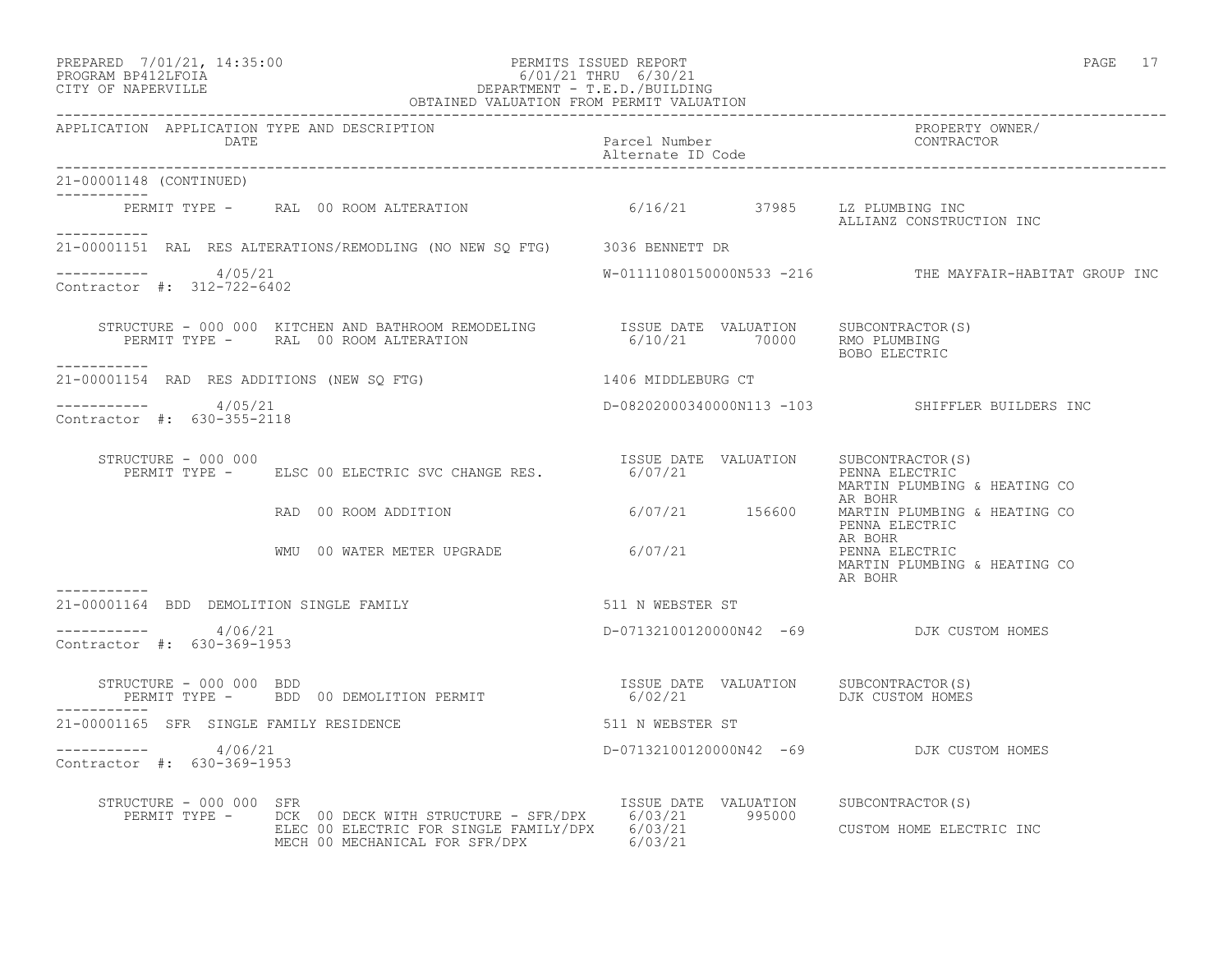# PREPARED 7/01/21, 14:35:00 PERMITS ISSUED REPORT PAGE 17 PROGRAM BP412LFOIA 6/01/21 THRU 6/30/21 CITY OF NAPERVILLE DEPARTMENT - T.E.D./BUILDING

|                                                      | OBTAINED VALUATION FROM PERMIT VALUATION                                                                                                                      |                                    |                                                                                         |
|------------------------------------------------------|---------------------------------------------------------------------------------------------------------------------------------------------------------------|------------------------------------|-----------------------------------------------------------------------------------------|
| APPLICATION APPLICATION TYPE AND DESCRIPTION<br>DATE |                                                                                                                                                               | Parcel Number<br>Alternate ID Code | PROPERTY OWNER/<br>CONTRACTOR                                                           |
| 21-00001148 (CONTINUED)                              |                                                                                                                                                               |                                    |                                                                                         |
| ------------                                         | PERMIT TYPE - RAL 00 ROOM ALTERATION 6/16/21 37985 LZ PLUMBING INC                                                                                            |                                    | ALLIANZ CONSTRUCTION INC                                                                |
|                                                      | 21-00001151 RAL RES ALTERATIONS/REMODLING (NO NEW SQ FTG) 3036 BENNETT DR                                                                                     |                                    |                                                                                         |
| $--------- 4/05/21$<br>Contractor #: 312-722-6402    |                                                                                                                                                               |                                    | W-01111080150000N533 -216 THE MAYFAIR-HABITAT GROUP INC                                 |
| -----------                                          | STRUCTURE - 000 000 KITCHEN AND BATHROOM REMODELING TSSUE DATE VALUATION SUBCONTRACTOR(S)                                                                     |                                    |                                                                                         |
|                                                      | 21-00001154 RAD RES ADDITIONS (NEW SQ FTG) 1406 MIDDLEBURG CT                                                                                                 |                                    |                                                                                         |
| $--------- 4/05/21$<br>Contractor #: 630-355-2118    |                                                                                                                                                               |                                    | D-08202000340000N113 -103 SHIFFLER BUILDERS INC                                         |
| STRUCTURE - 000 000                                  | RUCTURE - 000 000<br>PERMIT TYPE -     ELSC 00 ELECTRIC SVC CHANGE RES.                              6/07/21                                                  |                                    | ISSUE DATE VALUATION SUBCONTRACTOR(S)<br>PENNA ELECTRIC<br>MARTIN PLUMBING & HEATING CO |
|                                                      | RAD 00 ROOM ADDITION 6/07/21 156600 MARTIN PLUMBING & HEATING CO                                                                                              |                                    | AR BOHR<br>PENNA ELECTRIC                                                               |
|                                                      | WMU 00 WATER METER UPGRADE 6/07/21                                                                                                                            |                                    | AR BOHR<br>PENNA ELECTRIC<br>MARTIN PLUMBING & HEATING CO<br>AR BOHR                    |
|                                                      | 21-00001164 BDD DEMOLITION SINGLE FAMILY THE SERIES OF STRING RESTER ST                                                                                       |                                    |                                                                                         |
| -----------    4/06/21<br>Contractor #: 630-369-1953 |                                                                                                                                                               |                                    | D-07132100120000N42 -69 DJK CUSTOM HOMES                                                |
|                                                      |                                                                                                                                                               |                                    |                                                                                         |
| 21-00001165 SFR SINGLE FAMILY RESIDENCE              | 511 N WEBSTER ST                                                                                                                                              |                                    |                                                                                         |
| ----------- 4/06/21<br>Contractor #: 630-369-1953    |                                                                                                                                                               |                                    | D-07132100120000N42 -69 DJK CUSTOM HOMES                                                |
| STRUCTURE - 000 000 SFR                              | PERMIT TYPE - DCK 00 DECK WITH STRUCTURE - SFR/DPX 6/03/21 995000<br>ELEC 00 ELECTRIC FOR SINGLE FAMILY/DPX 6/03/21<br>MECH 00 MECHANICAL FOR SFR/DPX 6/03/21 |                                    | ISSUE DATE VALUATION SUBCONTRACTOR(S)<br>CUSTOM HOME ELECTRIC INC                       |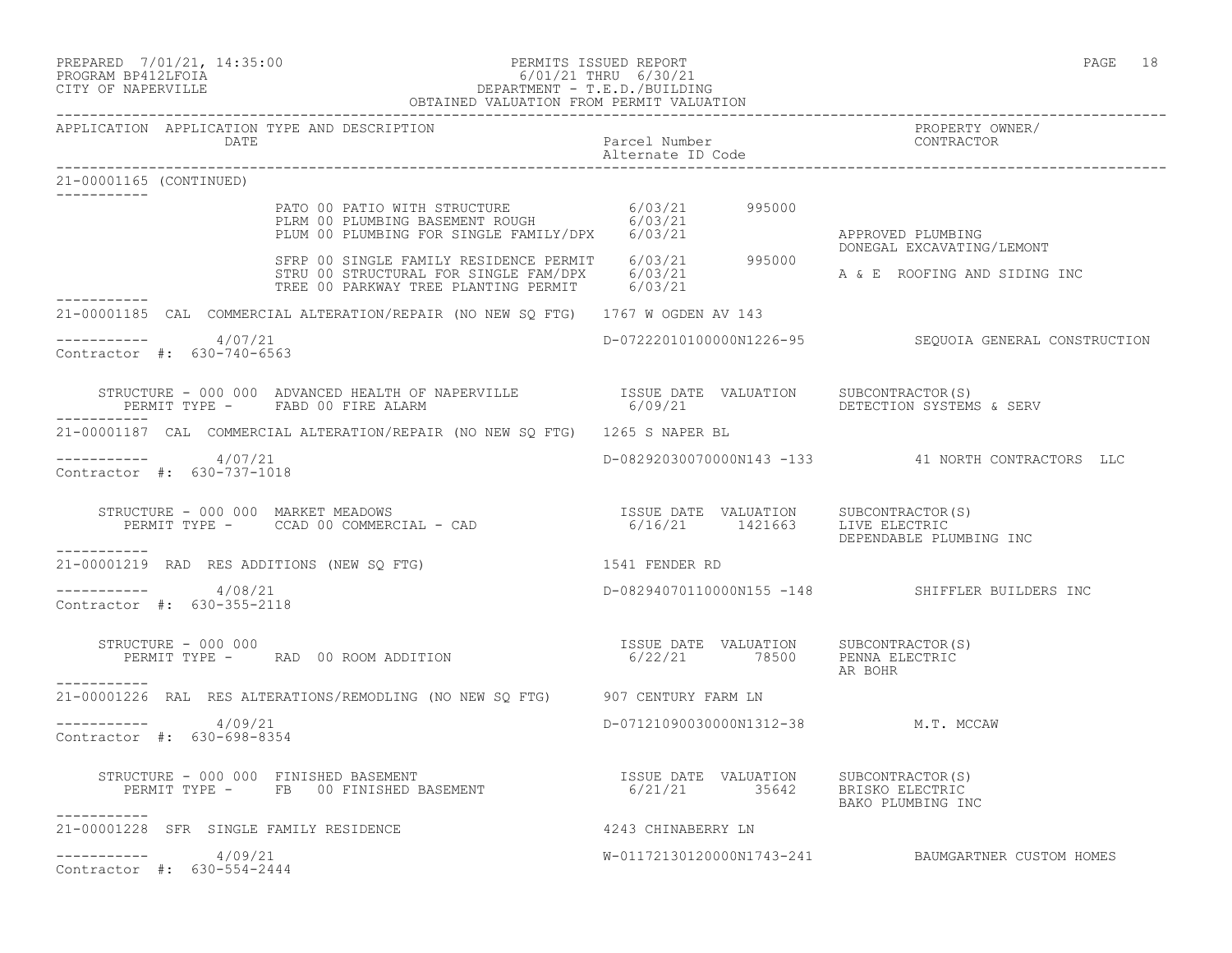# PREPARED 7/01/21, 14:35:00 PERMITS ISSUED REPORT PAGE 18 PROGRAM BP412LFOIA 6/01/21 THRU 6/30/21 CITY OF NAPERVILLE DEPARTMENT - T.E.D./BUILDING

|                                                      | OBTAINED VALUATION FROM PERMIT VALUATION                                                                                                                                                                                                                                                                              |                                     |                                                           |
|------------------------------------------------------|-----------------------------------------------------------------------------------------------------------------------------------------------------------------------------------------------------------------------------------------------------------------------------------------------------------------------|-------------------------------------|-----------------------------------------------------------|
| APPLICATION APPLICATION TYPE AND DESCRIPTION<br>DATE |                                                                                                                                                                                                                                                                                                                       | Parcel Number<br>Alternate ID Code  | PROPERTY OWNER/<br>CONTRACTOR                             |
| 21-00001165 (CONTINUED)<br>___________               |                                                                                                                                                                                                                                                                                                                       |                                     |                                                           |
|                                                      | PATO 00 PATIO WITH STRUCTURE 6/03/21 995000<br>PLRM 00 PLUMBING BASEMENT ROUGH 6/03/21<br>PLUM 00 PLUMBING FOR SINGLE FAMILY/DPX 6/03/21                                                                                                                                                                              |                                     | APPROVED PLUMBING                                         |
| ___________                                          | SFRP 00 SINGLE FAMILY RESIDENCE PERMIT 6/03/21 995000<br>STRU 00 STRUCTURAL FOR SINGLE FAM/DPX 6/03/21<br>TREE 00 PARKWAY TREE PLANTING PERMIT 6/03/21                                                                                                                                                                |                                     | DONEGAL EXCAVATING/LEMONT<br>A & E ROOFING AND SIDING INC |
|                                                      | 21-00001185 CAL COMMERCIAL ALTERATION/REPAIR (NO NEW SQ FTG) 1767 W OGDEN AV 143                                                                                                                                                                                                                                      |                                     |                                                           |
| ----------- 4/07/21<br>Contractor #: 630-740-6563    |                                                                                                                                                                                                                                                                                                                       |                                     | D-07222010100000N1226-95 SEQUOIA GENERAL CONSTRUCTION     |
|                                                      | $\begin{array}{cccc} \texttt{STRUCTURE} - 000~000 & \texttt{ADVANCED HEALTH OF NAPERVILLE} & \texttt{ISSUE DATE} & \texttt{VALUATION} & \texttt{SUBCONTRACTOR(S)} \\ \texttt{PERMIT TYPE} - & \texttt{FABD}~00~ \texttt{FIRE ALARM} & \texttt{6/09/21} & \texttt{VALUATION} & \texttt{DETECTION SYSTEMS} \end{array}$ |                                     | 6/09/21 DETECTION SYSTEMS & SERV                          |
|                                                      | 21-00001187 CAL COMMERCIAL ALTERATION/REPAIR (NO NEW SQ FTG) 1265 S NAPER BL                                                                                                                                                                                                                                          |                                     |                                                           |
| -----------    4/07/21<br>Contractor #: 630-737-1018 |                                                                                                                                                                                                                                                                                                                       |                                     | D-08292030070000N143 -133 41 NORTH CONTRACTORS LLC        |
| ------------                                         | STRUCTURE - 000 000 MARKET MEADOWS<br>PERMIT TYPE - CCAD 00 COMMERCIAL - CAD (6/16/21 1421663 LIVE ELECTRIC IN                                                                                                                                                                                                        |                                     | DEPENDABLE PLUMBING INC                                   |
|                                                      | 21-00001219 RAD RES ADDITIONS (NEW SQ FTG)                                                                                                                                                                                                                                                                            | 1541 FENDER RD                      |                                                           |
| $--------- 4/08/21$<br>Contractor #: 630-355-2118    |                                                                                                                                                                                                                                                                                                                       |                                     | D-08294070110000N155 -148 SHIFFLER BUILDERS INC           |
| STRUCTURE - 000 000                                  | STRUCTURE - 000 000<br>PERMIT TYPE -     RAD 00 ROOM ADDITION                                     6/22/21       78500     PENNA ELECTRIC                                                                                                                                                                              |                                     | AR BOHR                                                   |
| ----------                                           | 21-00001226 RAL RES ALTERATIONS/REMODLING (NO NEW SQ FTG) 907 CENTURY FARM LN                                                                                                                                                                                                                                         |                                     |                                                           |
| ---------- 4/09/21<br>Contractor #: 630-698-8354     |                                                                                                                                                                                                                                                                                                                       | D-07121090030000N1312-38 M.T. MCCAW |                                                           |
| STRUCTURE - 000 000 FINISHED BASEMENT<br>___________ | RUCTURE – 000 000 FINISHED BASEMENT<br>PERMIT TYPE – FB 00 FINISHED BASEMENT – 16/21/21 35642 BRISKO ELECTRIC                                                                                                                                                                                                         |                                     | BAKO PLUMBING INC                                         |
| 21-00001228 SFR SINGLE FAMILY RESIDENCE              | 4243 CHINABERRY LN                                                                                                                                                                                                                                                                                                    |                                     |                                                           |
| 4/09/21<br>Contractor #: 630-554-2444                |                                                                                                                                                                                                                                                                                                                       |                                     | W-01172130120000N1743-241 BAUMGARTNER CUSTOM HOMES        |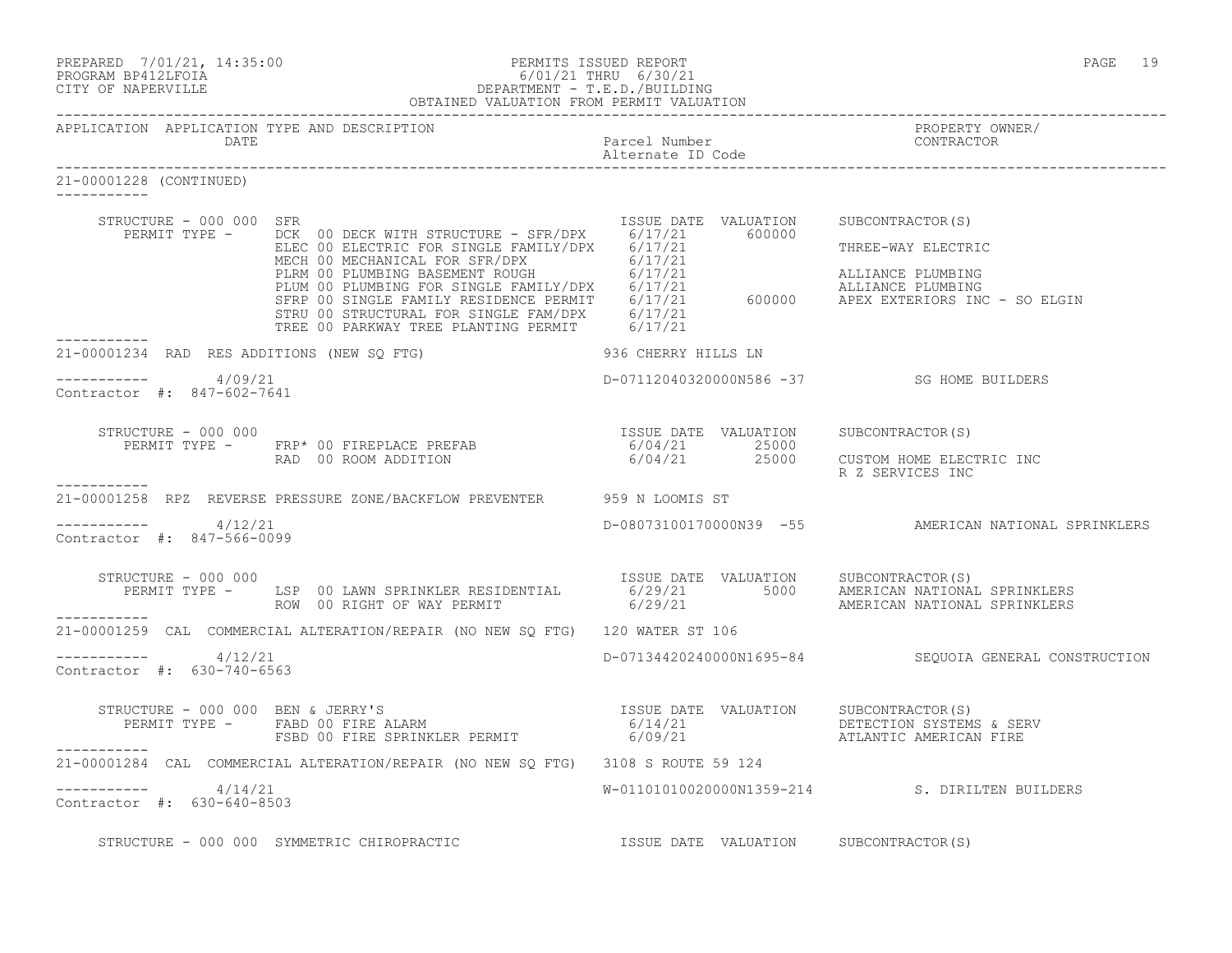| PREPARED | 7/01/21, 14:35:0 |  |
|----------|------------------|--|
|          |                  |  |

### PREPARED 7/01/21, 14:35:00 PERMITS ISSUED REPORT PAGE 19 PROGRAM BP412LFOIA 6/01/21 THRU 6/30/21 CITY OF NAPERVILLE DEPARTMENT - T.E.D./BUILDING OBTAINED VALUATION FROM PERMIT VALUATION

| 21-00001228 (CONTINUED)                                    |                                                                                                                                                                                                                                                                                                               |                                           |                                                       |
|------------------------------------------------------------|---------------------------------------------------------------------------------------------------------------------------------------------------------------------------------------------------------------------------------------------------------------------------------------------------------------|-------------------------------------------|-------------------------------------------------------|
| STRUCTURE - 000 000 SFR                                    | PERMIT TYPE - DCK 00 DECK WITH STRUCTURE - SFR/DPX 6/17/21 600000<br>ELECTRIC<br>ELECTRIC ON ELECTRIC FOR SINGLE FAMILY/DPX 6/17/21<br>MECH 00 MECHANICAL FOR SINGLE FAMILY/DPX 6/17/21<br>PLUM 00 PLUMBING BASEMENT ROUGH 6/17/21<br>FRIM 00 PLUMBING FOR SINGLE FAMILY/DPX 6/17/21<br>SFRP 00 SINGLE FAMILY | ISSUE DATE VALUATION SUBCONTRACTOR(S)     |                                                       |
|                                                            |                                                                                                                                                                                                                                                                                                               |                                           |                                                       |
| ------------<br>21-00001234 RAD RES ADDITIONS (NEW SO FTG) |                                                                                                                                                                                                                                                                                                               | 936 CHERRY HILLS LN                       |                                                       |
| $--------- 4/09/21$<br>Contractor #: 847-602-7641          |                                                                                                                                                                                                                                                                                                               | D-07112040320000N586 -37 SG HOME BUILDERS |                                                       |
| STRUCTURE - 000 000                                        |                                                                                                                                                                                                                                                                                                               |                                           |                                                       |
| ------------                                               |                                                                                                                                                                                                                                                                                                               |                                           | R Z SERVICES INC                                      |
|                                                            | 21-00001258 RPZ REVERSE PRESSURE ZONE/BACKFLOW PREVENTER 959 N LOOMIS ST                                                                                                                                                                                                                                      |                                           |                                                       |
| ----------- 4/12/21<br>Contractor #: 847-566-0099          |                                                                                                                                                                                                                                                                                                               |                                           | D-08073100170000N39 -55 AMERICAN NATIONAL SPRINKLERS  |
| STRUCTURE - 000 000                                        |                                                                                                                                                                                                                                                                                                               |                                           |                                                       |
|                                                            | 21-00001259 CAL COMMERCIAL ALTERATION/REPAIR (NO NEW SQ FTG) 120 WATER ST 106                                                                                                                                                                                                                                 |                                           |                                                       |
| $--------- 4/12/21$<br>Contractor #: 630-740-6563          |                                                                                                                                                                                                                                                                                                               |                                           | D-07134420240000N1695-84 SEQUOIA GENERAL CONSTRUCTION |
|                                                            |                                                                                                                                                                                                                                                                                                               |                                           |                                                       |
| -----------                                                | 21-00001284 CAL COMMERCIAL ALTERATION/REPAIR (NO NEW SQ FTG) 3108 S ROUTE 59 124                                                                                                                                                                                                                              |                                           |                                                       |
| $--------- 4/14/21$<br>Contractor #: 630-640-8503          |                                                                                                                                                                                                                                                                                                               |                                           | W-01101010020000N1359-214 S. DIRILTEN BUILDERS        |
|                                                            | STRUCTURE - 000 000 SYMMETRIC CHIROPRACTIC<br>STRUCTURE - 000 000 SYMMETRIC CHIROPRACTIC<br>STRUCTURE - 000 000 SYMMETRIC CHIROPRACTIC<br>$\begin{array}{ccc} \text{ISSUE} & \text{DATE} & \text{VALUATION} & \text{SUBCONTRACTOR (S)}\\ \end{array}$                                                         |                                           |                                                       |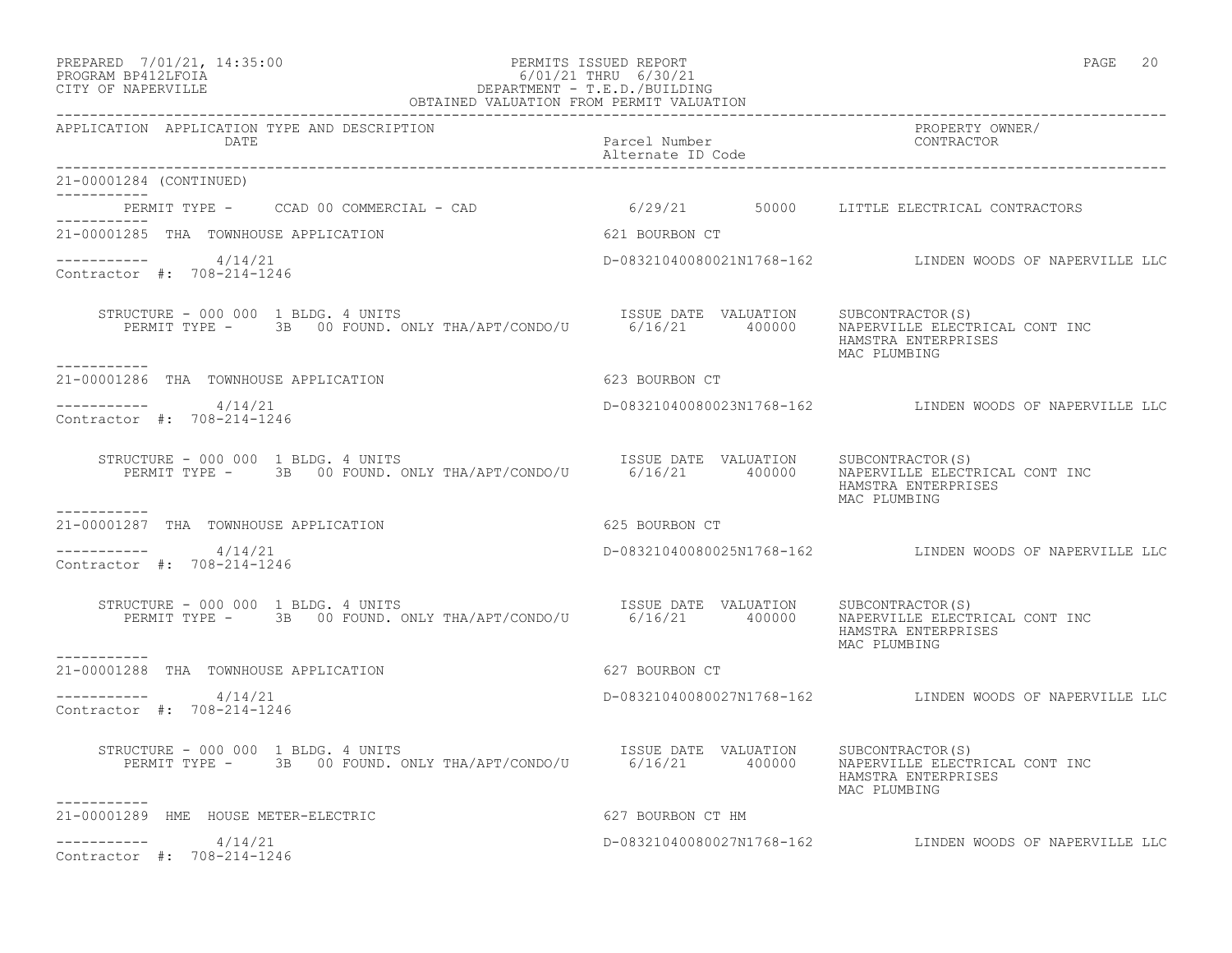# PREPARED 7/01/21, 14:35:00 PERMITS ISSUED REPORT PAGE 20 PROGRAM BP412LFOIA 6/01/21 THRU 6/30/21 PREPARED 7/01/21, 14:35:00<br>
PROGRAM BP412LFOIA 6/01/21 THRU 6/30/21<br>
CITY OF NAPERVILLE

| OBTAINED VALUATION FROM PERMIT VALUATION                                                                                                                                    |                                       |                                                                       |
|-----------------------------------------------------------------------------------------------------------------------------------------------------------------------------|---------------------------------------|-----------------------------------------------------------------------|
| APPLICATION APPLICATION TYPE AND DESCRIPTION<br>DATE                                                                                                                        | Parcel Number<br>Alternate ID Code    | PROPERTY OWNER/<br>CONTRACTOR                                         |
| 21-00001284 (CONTINUED)<br>------------                                                                                                                                     |                                       |                                                                       |
| PERMIT TYPE - CCAD 00 COMMERCIAL - CAD                                                                                                                                      |                                       | 6/29/21 50000 LITTLE ELECTRICAL CONTRACTORS                           |
| <b>EXECUTE: 1999 12:30 SOCIED BOURBON CT</b><br>21-00001285 THA TOWNHOUSE APPLICATION                                                                                       |                                       |                                                                       |
| ----------- 4/14/21<br>Contractor #: 708-214-1246                                                                                                                           |                                       | D-08321040080021N1768-162 LINDEN WOODS OF NAPERVILLE LLC              |
| STRUCTURE - 000 000 1 BLDG. 4 UNITS<br>VUCTURE - 000 000 1 BLDG. 4 UNITS<br>PERMIT TYPE - 3B 00 FOUND. ONLY THA/APT/CONDO/U 6/16/21 400000<br>. _ _ _ _ _ _ _ _ _           | ISSUE DATE VALUATION SUBCONTRACTOR(S) | NAPERVILLE ELECTRICAL CONT INC<br>HAMSTRA ENTERPRISES<br>MAC PLUMBING |
| 21-00001286 THA TOWNHOUSE APPLICATION                                                                                                                                       | 623 BOURBON CT                        |                                                                       |
| $--------- 4/14/21$<br>Contractor #: 708-214-1246                                                                                                                           |                                       | D-08321040080023N1768-162 LINDEN WOODS OF NAPERVILLE LLC              |
| STRUCTURE - 000 000 1 BLDG. 4 UNITS<br>RUCTURE – 000 000 1 BLDG. 4 UNITS<br>PERMIT TYPE – 3B 00 FOUND. ONLY THA/APT/CONDO/U 6/16/21 400000 NAPERVILLE ELECT                 |                                       | NAPERVILLE ELECTRICAL CONT INC<br>HAMSTRA ENTERPRISES<br>MAC PLUMBING |
| -----------<br>21-00001287 THA TOWNHOUSE APPLICATION                                                                                                                        | 625 BOURBON CT                        |                                                                       |
| $--------- 4/14/21$<br>Contractor #: 708-214-1246                                                                                                                           |                                       | D-08321040080025N1768-162 LINDEN WOODS OF NAPERVILLE LLC              |
| RUCTURE – 000 000 1 BLDG. 4 UNITS<br>PERMIT TYPE – 3B 00 FOUND. ONLY THA/APT/CONDO/U 6/16/21 400000 NAPERVILLE ELECTI<br>STRUCTURE - 000 000 1 BLDG. 4 UNITS<br>----------- |                                       | NAPERVILLE ELECTRICAL CONT INC<br>HAMSTRA ENTERPRISES<br>MAC PLUMBING |
| 21-00001288 THA TOWNHOUSE APPLICATION                                                                                                                                       | 627 BOURBON CT                        |                                                                       |
| ----------- 4/14/21<br>Contractor #: 708-214-1246                                                                                                                           |                                       | D-08321040080027N1768-162 LINDEN WOODS OF NAPERVILLE LLC              |
| RUCTURE – 000 000 1 BLDG. 4 UNITS<br>PERMIT TYPE – 3B 00 FOUND. ONLY THA/APT/CONDO/U 6/16/21 400000 NAPERVILLE ELECTI<br>STRUCTURE - 000 000 1 BLDG. 4 UNITS                |                                       | NAPERVILLE ELECTRICAL CONT INC<br>HAMSTRA ENTERPRISES<br>MAC PLUMBING |
| ----------<br>21-00001289 HME HOUSE METER-ELECTRIC                                                                                                                          | 627 BOURBON CT HM                     |                                                                       |
| 4/14/21<br>Contractor #: 708-214-1246                                                                                                                                       |                                       | D-08321040080027N1768-162 LINDEN WOODS OF NAPERVILLE LLC              |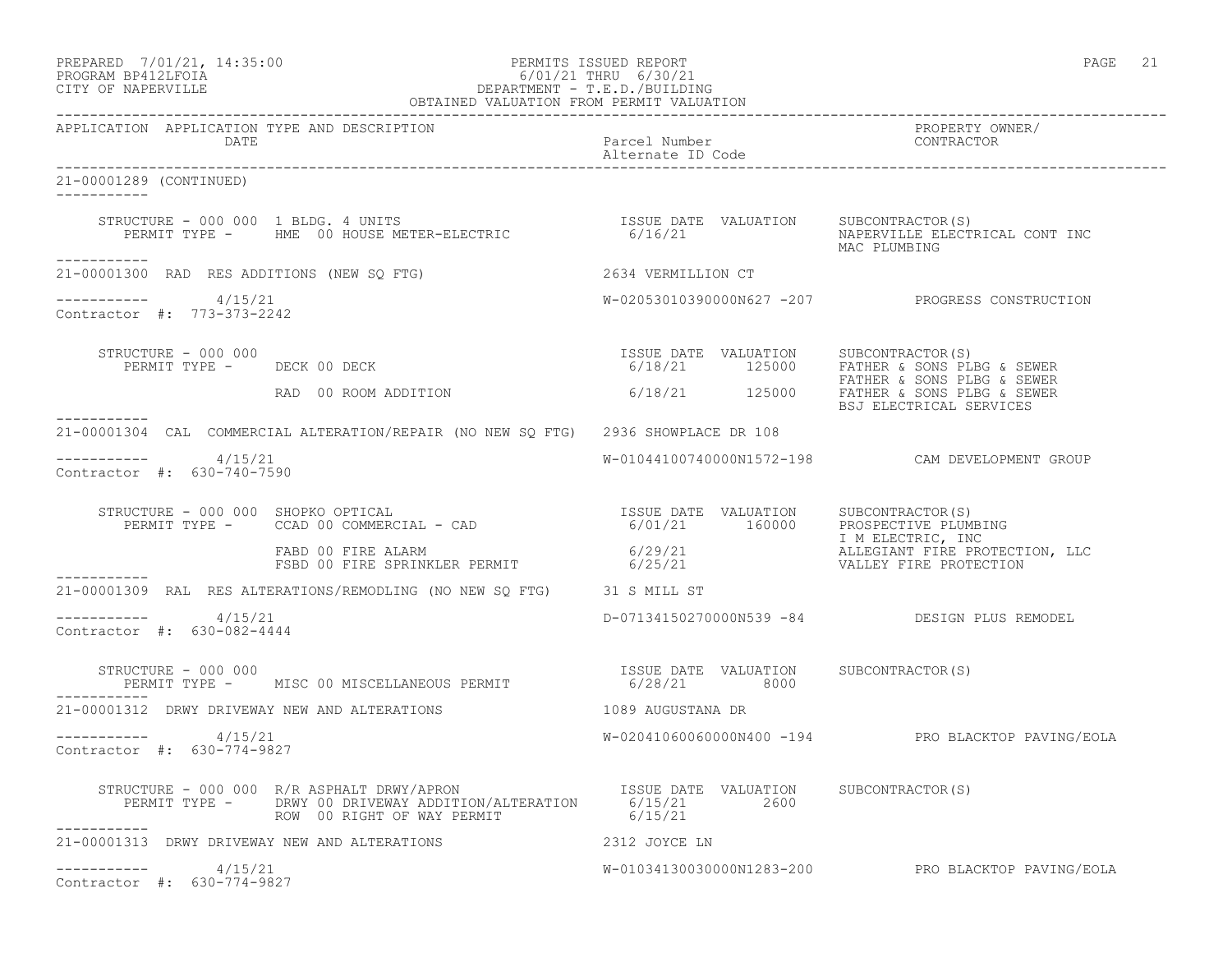| PREPARED | 7/01/21, 14:35:00  |  |
|----------|--------------------|--|
|          | PROGRAM RP412LFOIA |  |

### PREPARED 7/01/21, 14:35:00 PERMITS ISSUED REPORT PAGE 21 PROGRAM BP412LFOIA 6/01/21 THRU 6/30/21 CITY OF NAPERVILLE DEPARTMENT - T.E.D./BUILDING OBTAINED VALUATION FROM PERMIT VALUATION

------------------------------------------------------------------------------------------------------------------------------------

APPLICATION APPLICATION TYPE AND DESCRIPTION PROPERTY OWNER/ DATE Parcel Number Alternate ID Code ------------------------------------------------------------------------------------------------------------------------------------ 21-00001289 (CONTINUED) ----------- STRUCTURE - 000 000 1 BLDG. 4 UNITS ISSUE DATE VALUATION SUBCONTRACTOR(S) PERMIT TYPE - HME 00 HOUSE METER-ELECTRIC 6/16/21 NAPERVILLE ELECTRICAL CONT INC MAC PLUMBING ----------- 21-00001300 RAD RES ADDITIONS (NEW SQ FTG) 2634 VERMILLION CT  $--------- 4/15/21$ W-02053010390000N627 -207 PROGRESS CONSTRUCTION Contractor #: 773-373-2242 STRUCTURE - 000 000 ISSUE DATE VALUATION SUBCONTRACTOR(S)  $6/18/21$  125000 FATHER & SONS PLBG & SEWER FATHER & SONS PLBG & SEWER RAD 00 ROOM ADDITION 6/18/21 125000 FATHER & SONS PLBG & SEWER BRI ELECTRICAL SERVICES ----------- 21-00001304 CAL COMMERCIAL ALTERATION/REPAIR (NO NEW SQ FTG) 2936 SHOWPLACE DR 108 ----------- 4/15/21 W-01044100740000N1572-198 CAM DEVELOPMENT GROUP Contractor #: 630-740-7590 STRUCTURE - 000 000 SHOPKO OPTICAL ISSUE DATE VALUATION SUBCONTRACTOR(S) PERMIT TYPE - CCAD 00 COMMERCIAL - CAD 6/01/21 160000 PROSPECTIVE PLUMBING I M ELECTRIC, INC FABD 00 FIRE ALARM 6/29/21 ALLEGIANT FIRE PROTECTION, LLC FSBD 00 FIRE SPRINKLER PERMIT 6/25/21 VALLEY FIRE PROTECTION ----------- 21-00001309 RAL RES ALTERATIONS/REMODLING (NO NEW SQ FTG) 31 S MILL ST  $--------- 4/15/21$ ----------- 4/15/21 D-07134150270000N539 -84 DESIGN PLUS REMODEL Contractor #: 630-082-4444 STRUCTURE - 000 000<br>
PERMIT TYPE - MISC 00 MISCELLANEOUS PERMIT 6/28/21 8000 SUBCONTRACTOR(S) PERMIT TYPE - MISC 00 MISCELLANEOUS PERMIT ----------- 21-00001312 DRWY DRIVEWAY NEW AND ALTERATIONS 1089 AUGUSTANA DR ----------- 4/15/21 W-02041060060000N400 -194 PRO BLACKTOP PAVING/EOLA Contractor #: 630-774-9827 STRUCTURE - 000 000 R/R ASPHALT DRWY/APRON ISSUE DATE VALUATION SUBCONTRACTOR(S) PERMIT TYPE - DRWY 00 DRIVEWAY ADDITION/ALTERATION 6/15/21 2600 ROW 00 RIGHT OF WAY PERMIT 6/15/21 ----------- 21-00001313 DRWY DRIVEWAY NEW AND ALTERATIONS 2312 JOYCE LN  $--------- 4/15/21$ W-01034130030000N1283-200 PRO BLACKTOP PAVING/EOLA Contractor #: 630-774-9827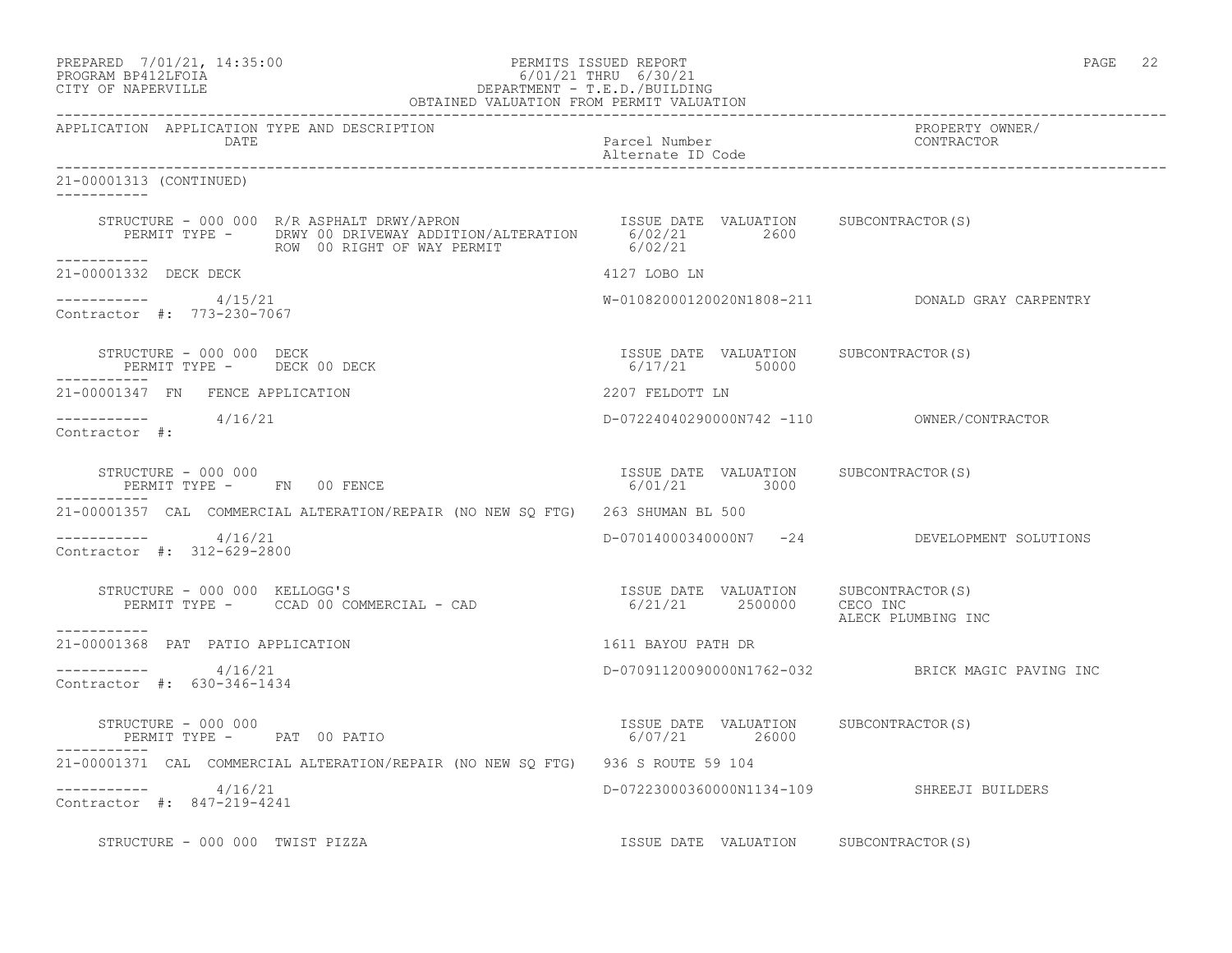PREPARED 7/01/21, 14:35:00 PERMITS ISSUED REPORT PAGE 22

# PROGRAM BP412LFOIA 6/01/21 THRU 6/30/21 CITY OF NAPERVILLE DEPARTMENT - T.E.D./BUILDING

| OBTAINED VALUATION FROM PERMIT VALUATION                                                                                                                                                          |                                                        |                                                  |
|---------------------------------------------------------------------------------------------------------------------------------------------------------------------------------------------------|--------------------------------------------------------|--------------------------------------------------|
| APPLICATION APPLICATION TYPE AND DESCRIPTION<br>DATE                                                                                                                                              | Parcel Number<br>Alternate ID Code                     | PROPERTY OWNER/<br>CONTRACTOR                    |
| 21-00001313 (CONTINUED)<br>___________                                                                                                                                                            |                                                        |                                                  |
| STRUCTURE - 000 000 R/R ASPHALT DRWY/APRON ISSUE DATE VALUATION SUBCONTRACTOR(S)<br>PERMIT TYPE - DRWY 00 DRIVEWAY ADDITION/ALTERATION 6/02/21 2600<br>ROW 00 RIGHT OF WAY PERMIT<br>------------ | 6/02/21                                                |                                                  |
| 21-00001332 DECK DECK                                                                                                                                                                             | 4127 LOBO LN                                           |                                                  |
| ----------- 4/15/21<br>Contractor #: 773-230-7067                                                                                                                                                 |                                                        |                                                  |
| STRUCTURE - 000 000 DECK<br>PERMIT TYPE - DECK 00 DECK                                                                                                                                            | ISSUE DATE VALUATION SUBCONTRACTOR(S)<br>6/17/21 50000 |                                                  |
| 21-00001347 FN FENCE APPLICATION                                                                                                                                                                  | 2207 FELDOTT LN                                        |                                                  |
| $--------- 4/16/21$<br>Contractor #:                                                                                                                                                              |                                                        |                                                  |
| STRUCTURE - 000 000<br>PERMIT TYPE - FN 00 FENCE                                                                                                                                                  | ISSUE DATE VALUATION SUBCONTRACTOR(S)<br>6/01/21 3000  |                                                  |
| 21-00001357 CAL COMMERCIAL ALTERATION/REPAIR (NO NEW SQ FTG) 263 SHUMAN BL 500                                                                                                                    |                                                        |                                                  |
| $--------- 4/16/21$<br>Contractor #: 312-629-2800                                                                                                                                                 |                                                        | D-07014000340000N7 -24 DEVELOPMENT SOLUTIONS     |
| RUCTURE - 000 000 KELLOGG'S<br>PERMIT TYPE - CCAD 00 COMMERCIAL - CAD                           6/21/21     2500000    CECO INC<br>STRUCTURE - 000 000 KELLOGG'S<br>-----------                   |                                                        | ALECK PLUMBING INC                               |
| 21-00001368 PAT PATIO APPLICATION                                                                                                                                                                 | 1611 BAYOU PATH DR                                     |                                                  |
| $--------- 4/16/21$<br>Contractor #: 630-346-1434                                                                                                                                                 |                                                        | D-07091120090000N1762-032 BRICK MAGIC PAVING INC |
| STRUCTURE - 000 000<br>PERMIT TYPE - PAT 00 PATIO                                                                                                                                                 | ISSUE DATE VALUATION SUBCONTRACTOR(S)                  |                                                  |
| 21-00001371 CAL COMMERCIAL ALTERATION/REPAIR (NO NEW SO FTG) 936 S ROUTE 59 104                                                                                                                   |                                                        |                                                  |
| ----------- 4/16/21<br>Contractor #: 847-219-4241                                                                                                                                                 | D-07223000360000N1134-109 SHREEJI BUILDERS             |                                                  |
| STRUCTURE - 000 000 TWIST PIZZA                                                                                                                                                                   | ISSUE DATE VALUATION SUBCONTRACTOR(S)                  |                                                  |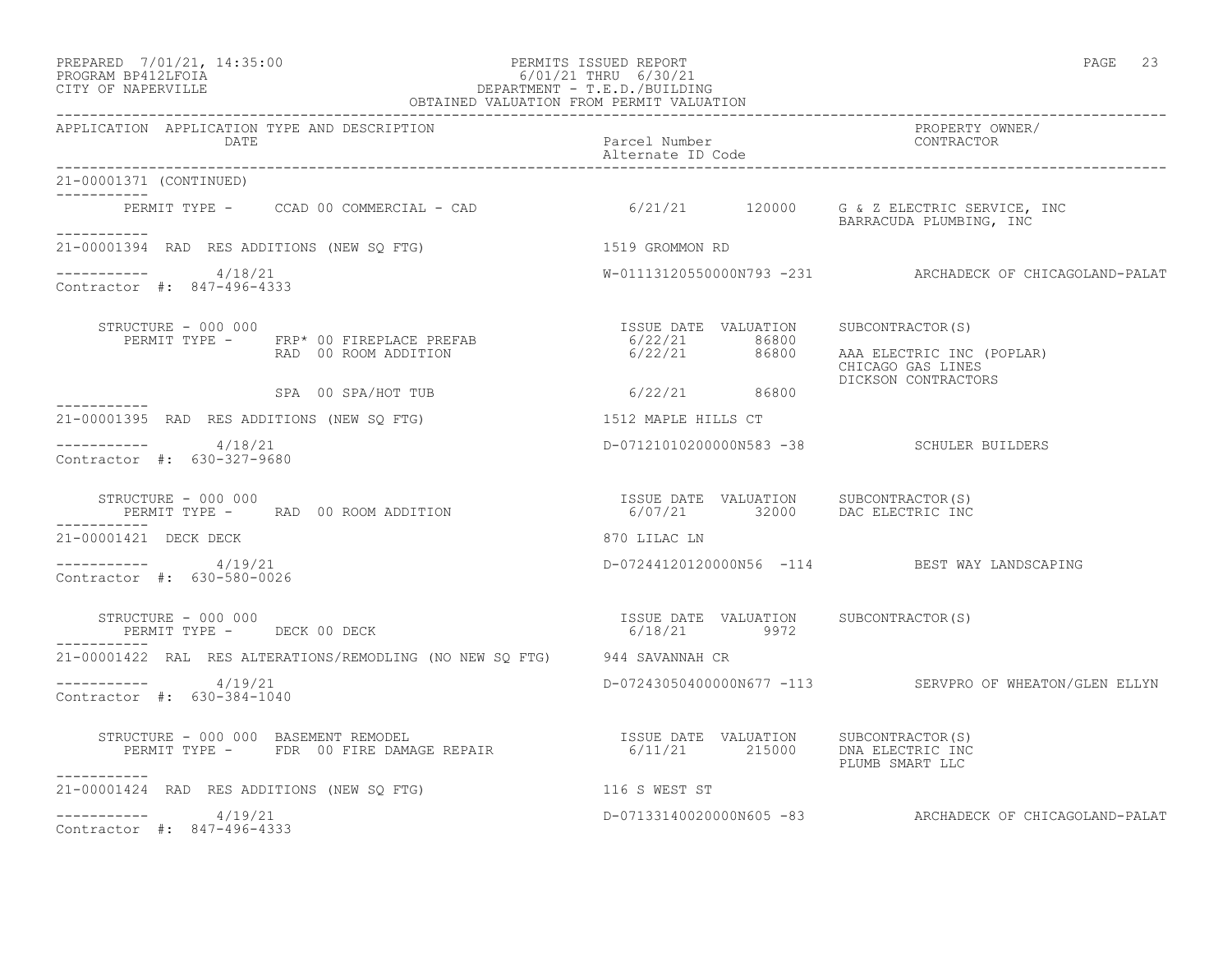### PREPARED 7/01/21, 14:35:00 PERMITS ISSUED REPORT PAGE 23 PROGRAM BP412LFOIA 6/01/21 THRU 6/30/21 CITY OF NAPERVILLE DEPARTMENT - T.E.D./BUILDING OBTAINED VALUATION FROM PERMIT VALUATION

------------------------------------------------------------------------------------------------------------------------------------ APPLICATION APPLICATION TYPE AND DESCRIPTION PROPERTY OWNER/ DATE Parcel Number CONTRACTOR Alternate ID Code ------------------------------------------------------------------------------------------------------------------------------------ 21-00001371 (CONTINUED) ----------- PERMIT TYPE - CCAD 00 COMMERCIAL - CAD 6/21/21 120000 G & Z ELECTRIC SERVICE, INC BARRACUDA PLUMBING, INC ----------- 21-00001394 RAD RES ADDITIONS (NEW SQ FTG) 1519 GROMMON RD  $--------- 4/18/21$ W-01113120550000N793 -231 ARCHADECK OF CHICAGOLAND-PALAT Contractor #: 847-496-4333 STRUCTURE - 000 000<br>PERMIT TYPE - FRP\* 00 FIREPLACE PREFAB - 15SUE DATE VALUATION SUBCONTRACTOR(S)<br>RAD 00 ROOM ADDITION - 6/22/21 86800 AAA ELECTRIC INC PERMIT TYPE - FRP\* 00 FIREPLACE PREFAB 6/22/21 86800 RAD 00 ROOM ADDITION 6/22/21 86800 AAA ELECTRIC INC (POPLAR) CHICAGO GAS LINES SPA 00 SPA/HOT TUB  $6/22/21$  86800 DICKSON CONTRACTORS  $6/22/21$  86800 ----------- 21-00001395 RAD RES ADDITIONS (NEW SQ FTG) 1512 MAPLE HILLS CT \_\_\_\_\_\_\_\_\_\_\_ ----------- 4/18/21 D-07121010200000N583 -38 SCHULER BUILDERS Contractor #: 630-327-9680 STRUCTURE - 000 000 ISSUE DATE VALUATION SUBCONTRACTOR(S) PERMIT TYPE - RAD 00 ROOM ADDITION 6/07/21 32000 DAC ELECTRIC INC ----------- 21-00001421 DECK DECK 870 LILAC LN ----------- 4/19/21 D-07244120120000N56 -114 BEST WAY LANDSCAPING Contractor #: 630-580-0026 STRUCTURE - 000 000 ISSUE DATE VALUATION SUBCONTRACTOR(S) PERMIT TYPE - DECK 00 DECK 6/18/21 9972 ----------- 21-00001422 RAL RES ALTERATIONS/REMODLING (NO NEW SQ FTG) 944 SAVANNAH CR ----------- 4/19/21 D-07243050400000N677 -113 SERVPRO OF WHEATON/GLEN ELLYN Contractor #: 630-384-1040 STRUCTURE - 000 000 BASEMENT REMODEL ISSUE DATE VALUATION SUBCONTRACTOR(S) PERMIT TYPE - FDR 00 FIRE DAMAGE REPAIR 6/11/21 215000 DNA ELECTRIC INC PLUMB SMART LLC ----------- 21-00001424 RAD RES ADDITIONS (NEW SQ FTG) 116 S WEST ST  $--------- 4/19/21$ D-07133140020000N605 -83 ARCHADECK OF CHICAGOLAND-PALAT Contractor #: 847-496-4333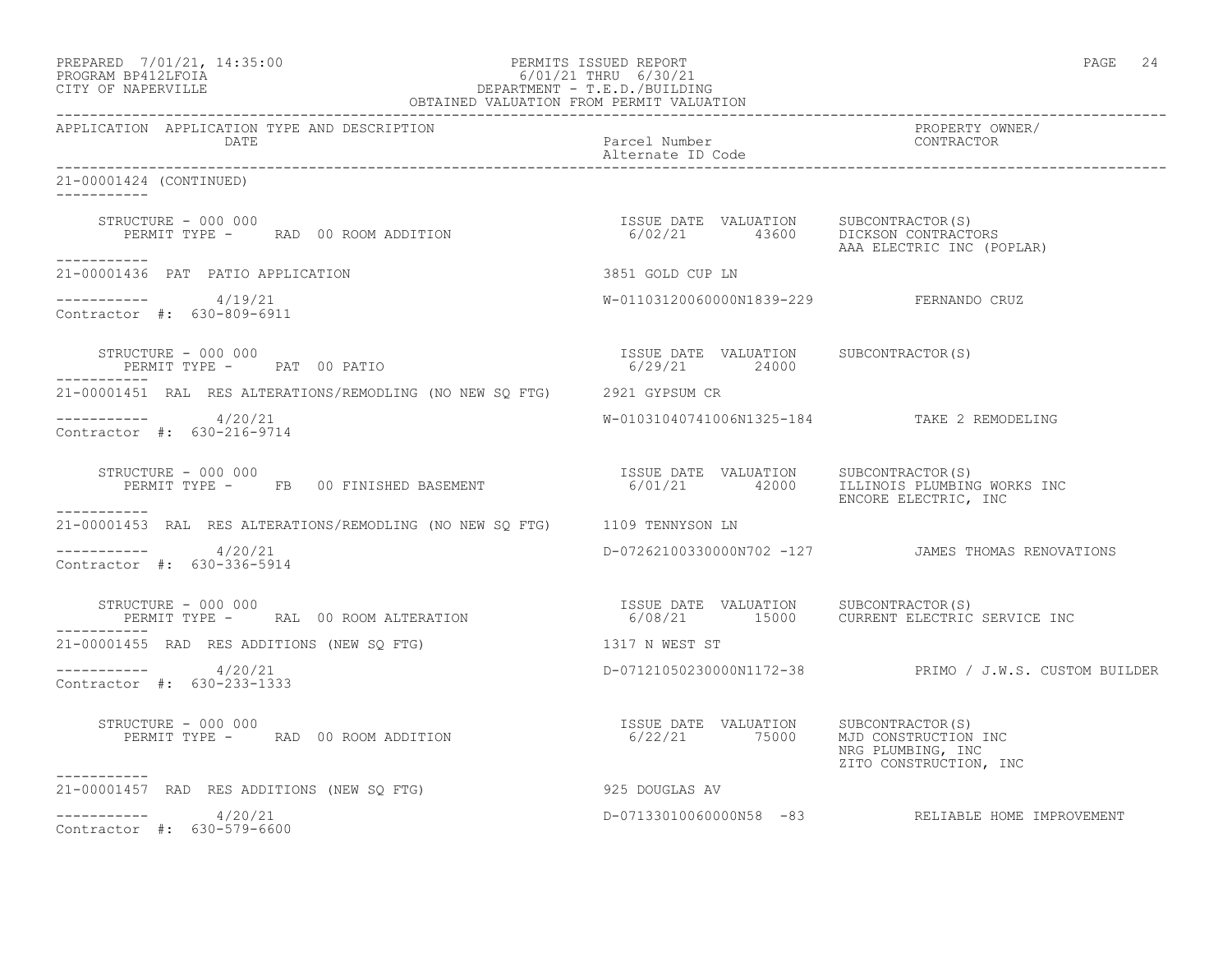| PREPARED | 7/01/21, 14:35:00 |
|----------|-------------------|
|          |                   |

### PREPARED 7/01/21, 14:35:00 PERMITS ISSUED REPORT PAGE 24 PROGRAM BP412LFOIA 6/01/21 THRU 6/30/21 CITY OF NAPERVILLE DEPARTMENT - T.E.D./BUILDING OBTAINED VALUATION FROM PERMIT VALUATION

------------------------------------------------------------------------------------------------------------------------------------ APPLICATION APPLICATION TYPE AND DESCRIPTION PROPERTY OWNER/ DATE Parcel Number Contractor of the Parcel Number Contractor of the Parcel Number Contractor of the Parcel Number Alternate ID Code ------------------------------------------------------------------------------------------------------------------------------------ 21-00001424 (CONTINUED) ----------- STRUCTURE - 000 000 ISSUE DATE VALUATION SUBCONTRACTOR(S) PERMIT TYPE - RAD 00 ROOM ADDITION 6/02/21 43600 DICKSON CONTRACTORS AAA ELECTRIC INC (POPLAR) ----------- 21-00001436 PAT PATIO APPLICATION 3851 GOLD CUP LN  $--------- 4/19/21$ W-01103120060000N1839-229 FERNANDO CRUZ Contractor #: 630-809-6911 STRUCTURE - 000 000 ISSUE DATE VALUATION SUBCONTRACTOR(S) PERMIT TYPE - PAT 00 PATIO ----------- 21-00001451 RAL RES ALTERATIONS/REMODLING (NO NEW SQ FTG) 2921 GYPSUM CR ----------- 4/20/21 W-01031040741006N1325-184 TAKE 2 REMODELING Contractor #: 630-216-9714 STRUCTURE - 000 000<br>PERMIT TYPE - FB 00 FINISHED BASEMENT 6/01/21 42000 ILLINOIS PLUMBING 6/01/21 42000 ILLINOIS PLUMBING WORKS INC ENCORE ELECTRIC, INC ----------- 21-00001453 RAL RES ALTERATIONS/REMODLING (NO NEW SQ FTG) 1109 TENNYSON LN  $--------- 4/20/21$ ----------- 4/20/21 D-07262100330000N702 -127 JAMES THOMAS RENOVATIONS Contractor #: 630-336-5914 STRUCTURE - 000 000<br>PERMIT TYPE - RAL 00 ROOM ALTERATION 6/08/21 15000 CURRENT ELECTRIC SERVICE INC PERMIT TYPE - RAL 00 ROOM ALTERATION ----------- 21-00001455 RAD RES ADDITIONS (NEW SQ FTG) 1317 N WEST ST ----------- 4/20/21 D-07121050230000N1172-38 PRIMO / J.W.S. CUSTOM BUILDER Contractor #: 630-233-1333 STRUCTURE - 000 000<br>
PERMIT TYPE - RAD 00 ROOM ADDITION 6/22/21 75000 MJD CONSTRUCTION INC PERMIT TYPE - RAD 00 ROOM ADDITION NRG PLUMBING, INC ZITO CONSTRUCTION, INC ----------- 21-00001457 RAD RES ADDITIONS (NEW SQ FTG) 925 DOUGLAS AV  $--------- 4/20/21$ D-07133010060000N58 -83 RELIABLE HOME IMPROVEMENT Contractor #: 630-579-6600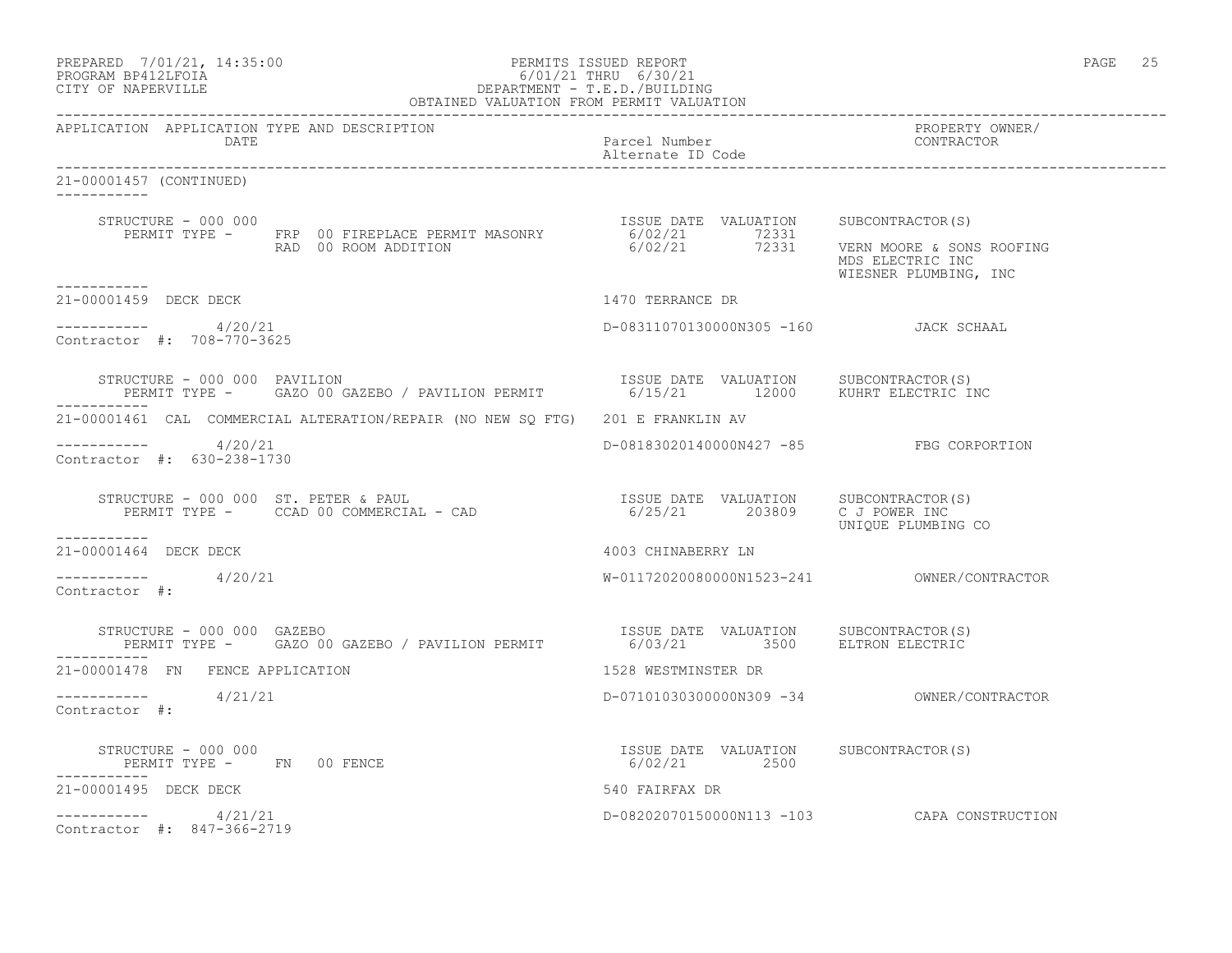| PREPARED            | 7/01/21, 14:35:00 |  |
|---------------------|-------------------|--|
| גדרת ולולפם וגמרוסם |                   |  |

### PREPARED 7/01/21, 14:35:00 PERMITS ISSUED REPORT PAGE 25 PROGRAM BP412LFOIA 6/01/21 THRU 6/30/21 CITY OF NAPERVILLE DEPARTMENT - T.E.D./BUILDING OBTAINED VALUATION FROM PERMIT VALUATION

------------------------------------------------------------------------------------------------------------------------------------ APPLICATION APPLICATION TYPE AND DESCRIPTION PROPERTY OWNER/ DATE Parcel Number Contractor Contractor Contractor Parcel Number Alternate ID Code ------------------------------------------------------------------------------------------------------------------------------------ 21-00001457 (CONTINUED) ----------- STRUCTURE - 000 000 ISSUE DATE VALUATION SUBCONTRACTOR(S) PERMIT TYPE - FRP 00 FIREPLACE PERMIT MASONRY 6/02/21 72331 RAD 00 ROOM ADDITION 6/02/21 72331 VERN MOORE & SONS ROOFING MDS ELECTRIC INC WIESNER PLUMBING, INC ----------- 21-00001459 DECK DECK 1470 TERRANCE DR  $--------- 4/20/21$ D-08311070130000N305 -160 JACK SCHAAL Contractor #: 708-770-3625 STRUCTURE - 000 000 PAVILION<br>PERMIT TYPE - GAZO 00 GAZEBO / PAVILION PERMIT 6/15/21 12000 KUHRT ELECTRIC INC PERMIT TYPE - GAZO 00 GAZEBO / PAVILION PERMIT ----------- 21-00001461 CAL COMMERCIAL ALTERATION/REPAIR (NO NEW SQ FTG) 201 E FRANKLIN AV ----------- 4/20/21 D-08183020140000N427 -85 FBG CORPORTION Contractor #: 630-238-1730 STRUCTURE - 000 000 ST. PETER & PAUL ISSUE DATE VALUATION SUBCONTRACTOR(S) PERMIT TYPE - CCAD 00 COMMERCIAL - CAD 6/25/21 203809 C J POWER INC UNIQUE PLUMBING CO ----------- 21-00001464 DECK DECK 4003 CHINABERRY LN  $--------- 4/20/21$ ----------- 4/20/21 W-01172020080000N1523-241 OWNER/CONTRACTOR Contractor #: STRUCTURE - 000 000 GAZEBO ISSUE DATE VALUATION SUBCONTRACTOR(S) PERMIT TYPE - GAZO 00 GAZEBO / PAVILION PERMIT ----------- 21-00001478 FN FENCE APPLICATION 1528 WESTMINSTER DR ----------- 4/21/21 D-07101030300000N309 -34 OWNER/CONTRACTOR Contractor #: STRUCTURE - 000 000 ISSUE DATE VALUATION SUBCONTRACTOR(S) PERMIT TYPE - FN 00 FENCE ----------- 21-00001495 DECK DECK 540 FAIRFAX DR ----------- 4/21/21 D-08202070150000N113 -103 CAPA CONSTRUCTION Contractor #: 847-366-2719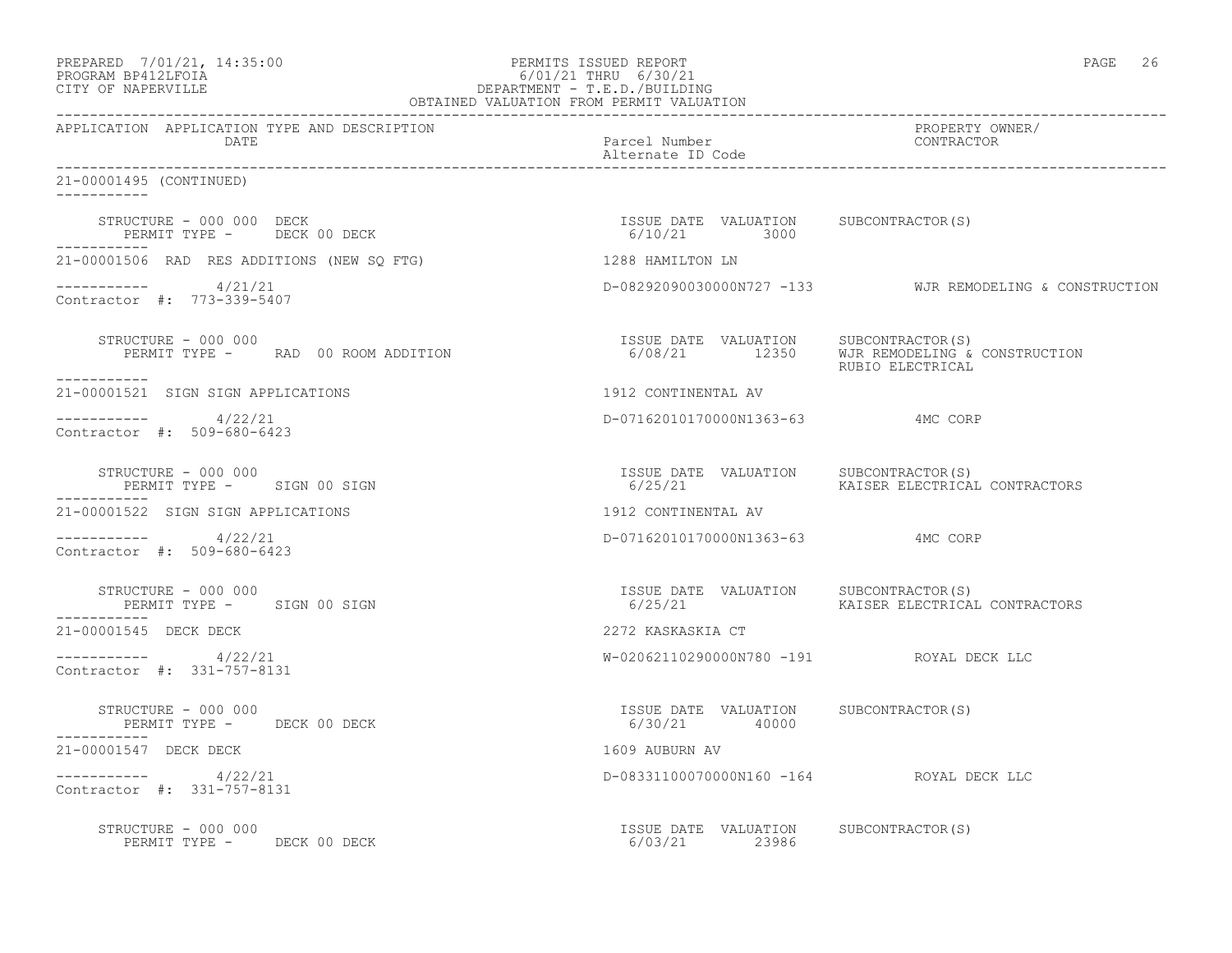| PREPARED 7/01/21, 14:35:00   | PERMITS ISSUED REPORT     | 26<br>PAGE |  |
|------------------------------|---------------------------|------------|--|
| $\Lambda$ דמה זמנות המממחת ה | $C/01/01$ munit $C/00/01$ |            |  |

# PROGRAM BP412LFOIA 6/01/21 THRU 6/30/21 CITY OF NAPERVILLE DEPARTMENT - T.E.D./BUILDING

| OBTAINED VALUATION FROM PERMIT VALUATION                                 |                                                         |                                                                                                          |
|--------------------------------------------------------------------------|---------------------------------------------------------|----------------------------------------------------------------------------------------------------------|
| APPLICATION APPLICATION TYPE AND DESCRIPTION<br>DATE                     | Parcel Number<br>Alternate ID Code                      | PROPERTY OWNER/<br>CONTRACTOR                                                                            |
| 21-00001495 (CONTINUED)                                                  |                                                         |                                                                                                          |
|                                                                          |                                                         |                                                                                                          |
| 21-00001506 RAD RES ADDITIONS (NEW SO FTG)                               | 1288 HAMILTON LN                                        |                                                                                                          |
| $--------- 4/21/21$<br>Contractor #: 773-339-5407                        |                                                         | D-08292090030000N727 -133 WJR REMODELING & CONSTRUCTION                                                  |
| STRUCTURE - 000 000<br>PERMIT TYPE - RAD 00 ROOM ADDITION<br>___________ |                                                         | ISSUE DATE VALUATION SUBCONTRACTOR(S)<br>6/08/21 12350 WJR REMODELING & CONSTRUCTION<br>RUBIO ELECTRICAL |
| 21-00001521 SIGN SIGN APPLICATIONS                                       | 1912 CONTINENTAL AV                                     |                                                                                                          |
| $--------- 4/22/21$<br>Contractor #: 509-680-6423                        | D-07162010170000N1363-63 4MC CORP                       |                                                                                                          |
| STRUCTURE - 000 000<br>PERMIT TYPE - SIGN 00 SIGN                        | ISSUE DATE VALUATION SUBCONTRACTOR(S)<br>6/25/21        | KAISER ELECTRICAL CONTRACTORS                                                                            |
| 21-00001522 SIGN SIGN APPLICATIONS                                       | 1912 CONTINENTAL AV                                     |                                                                                                          |
| $--------- 4/22/21$<br>Contractor #: 509-680-6423                        | D-07162010170000N1363-63 4MC CORP                       |                                                                                                          |
| STRUCTURE - 000 000<br>PERMIT TYPE - SIGN 00 SIGN                        | ISSUE DATE VALUATION SUBCONTRACTOR(S)                   |                                                                                                          |
| 21-00001545 DECK DECK                                                    | 2272 KASKASKIA CT                                       |                                                                                                          |
| $--------- 4/22/21$<br>Contractor #: 331-757-8131                        | W-02062110290000N780 -191 ROYAL DECK LLC                |                                                                                                          |
| STRUCTURE - 000 000<br>PERMIT TYPE - DECK 00 DECK                        | ISSUE DATE VALUATION SUBCONTRACTOR(S)<br>6/30/21 40000  |                                                                                                          |
| 21-00001547 DECK DECK                                                    | 1609 AUBURN AV                                          |                                                                                                          |
| $--------- 4/22/21$<br>Contractor #: 331-757-8131                        | D-08331100070000N160 -164 ROYAL DECK LLC                |                                                                                                          |
| STRUCTURE - 000 000<br>PERMIT TYPE - DECK 00 DECK                        | ISSUE DATE VALUATION SUBCONTRACTOR (S)<br>6/03/21 23986 |                                                                                                          |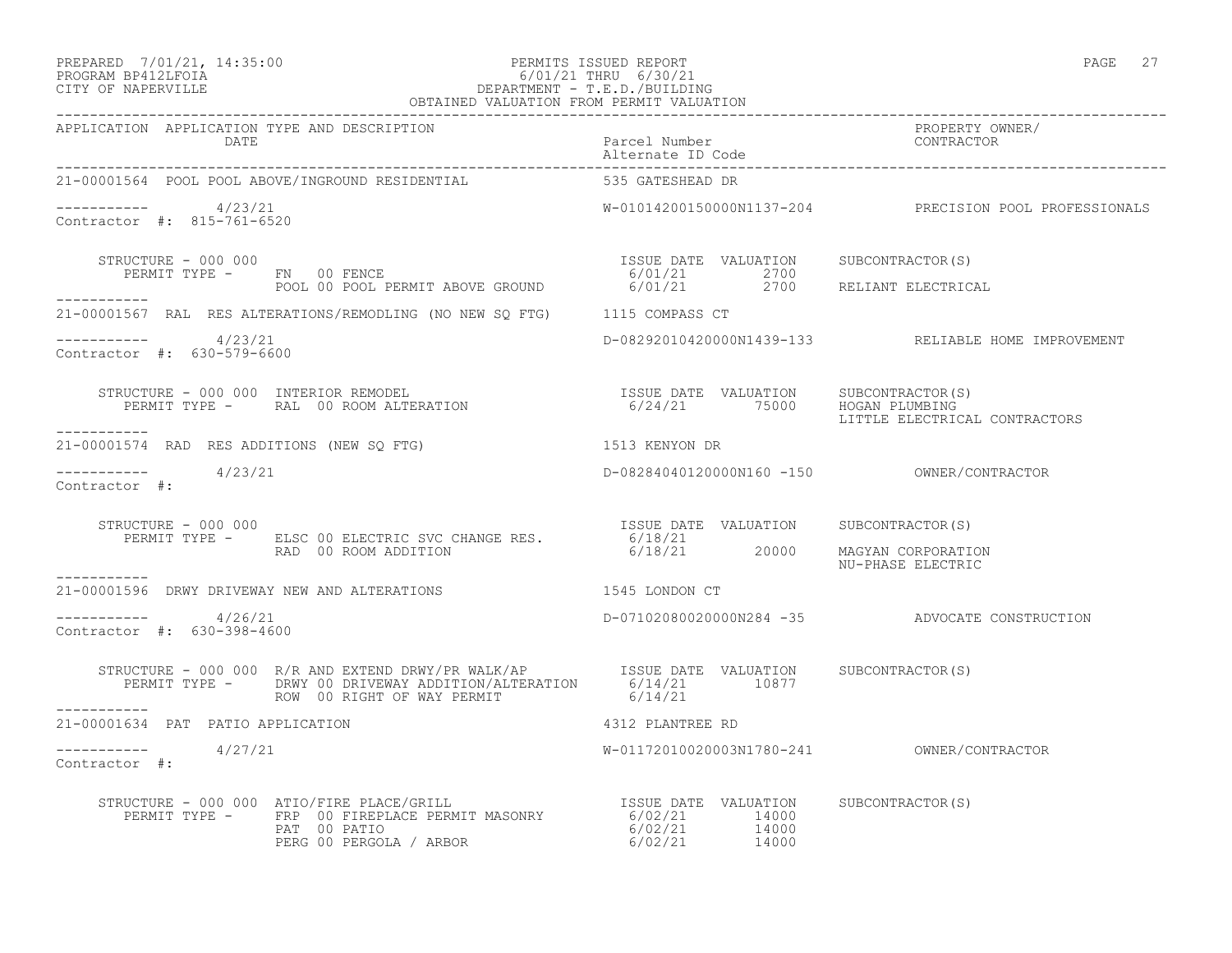### PREPARED 7/01/21, 14:35:00 PERMITS ISSUED REPORT PAGE 27 PROGRAM BP412LFOIA 6/01/21 THRU 6/30/21 CITY OF NAPERVILLE DEPARTMENT - T.E.D./BUILDING OBTAINED VALUATION FROM PERMIT VALUATION

| APPLICATION APPLICATION TYPE AND DESCRIPTION         |                                                                                                                                                                                                                                                                                                                                                                                                                                     |                                            | PROPERTY OWNER/<br>CONTRACTOR                          |
|------------------------------------------------------|-------------------------------------------------------------------------------------------------------------------------------------------------------------------------------------------------------------------------------------------------------------------------------------------------------------------------------------------------------------------------------------------------------------------------------------|--------------------------------------------|--------------------------------------------------------|
|                                                      | 21-00001564 POOL POOL ABOVE/INGROUND RESIDENTIAL 535 GATESHEAD DR                                                                                                                                                                                                                                                                                                                                                                   |                                            |                                                        |
| ----------     4/23/21<br>Contractor #: 815-761-6520 |                                                                                                                                                                                                                                                                                                                                                                                                                                     |                                            | W-01014200150000N1137-204 PRECISION POOL PROFESSIONALS |
| STRUCTURE - 000 000                                  | FRUCTURE - 000 000<br>PERMIT TYPE - FN 00 FENCE<br>POOL 00 POOL PERMIT ABOVE GROUND 6/01/21 2700<br>POOL 00 POOL PERMIT ABOVE GROUND 6/01/21 2700 RELIANT ELECTRICAL                                                                                                                                                                                                                                                                |                                            |                                                        |
| -----------                                          | 21-00001567 RAL RES ALTERATIONS/REMODLING (NO NEW SQ FTG) 1115 COMPASS CT                                                                                                                                                                                                                                                                                                                                                           |                                            |                                                        |
|                                                      |                                                                                                                                                                                                                                                                                                                                                                                                                                     |                                            |                                                        |
| $--------- 4/23/21$<br>Contractor #: 630-579-6600    |                                                                                                                                                                                                                                                                                                                                                                                                                                     |                                            | D-08292010420000N1439-133 RELIABLE HOME IMPROVEMENT    |
|                                                      |                                                                                                                                                                                                                                                                                                                                                                                                                                     |                                            | LITTLE ELECTRICAL CONTRACTORS                          |
| -----------                                          | 21-00001574 RAD RES ADDITIONS (NEW SQ FTG) 1513 KENYON DR                                                                                                                                                                                                                                                                                                                                                                           |                                            |                                                        |
| $--------- 4/23/21$<br>Contractor #:                 |                                                                                                                                                                                                                                                                                                                                                                                                                                     |                                            |                                                        |
|                                                      | STRUCTURE - 000 000<br>PERMIT TYPE - ELSC 00 ELECTRIC SVC CHANGE RES. 6/18/21<br>6/18/21 20000 MAGYAN CORPORATION 6/18/21 20000 MAGYAN CORPORATION                                                                                                                                                                                                                                                                                  |                                            | NU-PHASE ELECTRIC                                      |
| -----------                                          | 21-00001596 DRWY DRIVEWAY NEW AND ALTERATIONS 1545 LONDON CT                                                                                                                                                                                                                                                                                                                                                                        |                                            |                                                        |
| $--------- 4/26/21$<br>Contractor #: 630-398-4600    |                                                                                                                                                                                                                                                                                                                                                                                                                                     |                                            | D-07102080020000N284 -35 ADVOCATE CONSTRUCTION         |
|                                                      |                                                                                                                                                                                                                                                                                                                                                                                                                                     |                                            |                                                        |
| 21-00001634 PAT PATIO APPLICATION                    |                                                                                                                                                                                                                                                                                                                                                                                                                                     | 4312 PLANTREE RD                           |                                                        |
| $--------- 4/27/21$<br>Contractor #:                 |                                                                                                                                                                                                                                                                                                                                                                                                                                     | W-01172010020003N1780-241 OWNER/CONTRACTOR |                                                        |
|                                                      | $\begin{array}{cccc} \texttt{STRUCTURE} & - & 000 & 000 & \texttt{ATIO/FIRE PLACE/GRILL} & \texttt{IRB} & \texttt{ISSUE} \texttt{DATE} & \texttt{VALUATION} & \texttt{SUBCONTRACTOR(S)} \\ \texttt{PERMIT TYPE} & - & \texttt{FRP} & 00 \texttt{ FIREPLACE} \texttt{PERMIT MASONRY} & 6/02/21 & 14000 \\ \texttt{PART} & 00 \texttt{PATIO} & \texttt{ARBOR} & 6/02/21 & 14000 \\ \texttt{PERG 00 PERGOLA} / \texttt{ARBOR} & 6/02/$ |                                            |                                                        |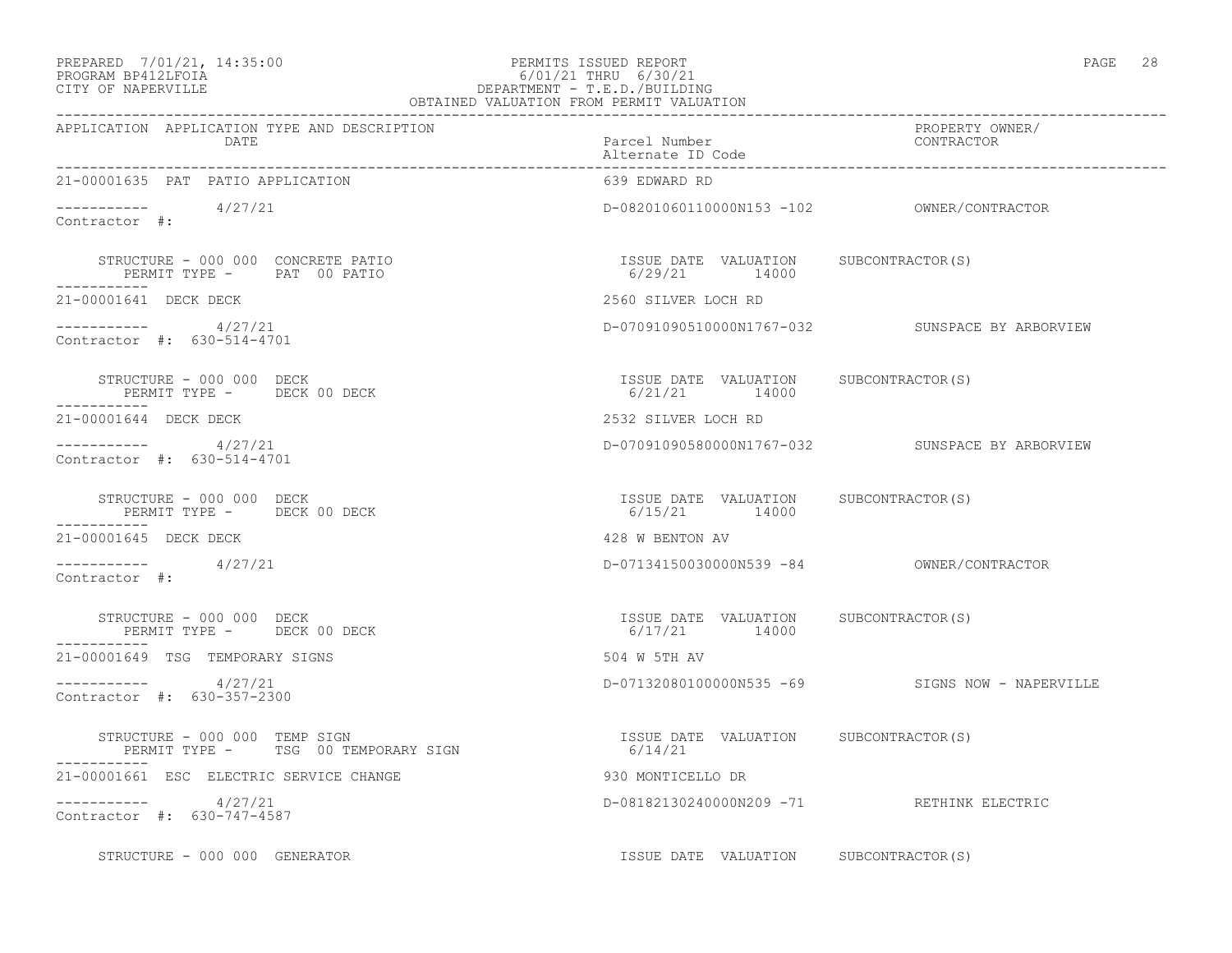# PREPARED 7/01/21, 14:35:00 PERMITS ISSUED REPORT PAGE 28 PROGRAM BP412LFOIA 6/01/21 THRU 6/30/21 CITY OF NAPERVILLE DEPARTMENT - T.E.D./BUILDING

| OBTAINED VALUATION FROM PERMIT VALUATION                                        |                                                        |                                                 |  |
|---------------------------------------------------------------------------------|--------------------------------------------------------|-------------------------------------------------|--|
| APPLICATION APPLICATION TYPE AND DESCRIPTION<br>DATE                            | Parcel Number<br>Alternate ID Code                     | PROPERTY OWNER/<br>CONTRACTOR                   |  |
| 21-00001635 PAT PATIO APPLICATION                                               | 639 EDWARD RD                                          |                                                 |  |
| $\frac{1}{27/21}$ Contractor #:                                                 |                                                        |                                                 |  |
| STRUCTURE - 000 000 CONCRETE PATIO<br>PERMIT TYPE - PAT 00 PATIO<br>----------- | ISSUE DATE VALUATION SUBCONTRACTOR(S)<br>6/29/21 14000 |                                                 |  |
| 21-00001641 DECK DECK                                                           | 2560 SILVER LOCH RD                                    |                                                 |  |
| $--------- 4/27/21$<br>Contractor #: 630-514-4701                               |                                                        | D-07091090510000N1767-032 SUNSPACE BY ARBORVIEW |  |
| STRUCTURE - 000 000 DECK<br>PERMIT TYPE - DECK 00 DECK<br>-----------           | ISSUE DATE VALUATION SUBCONTRACTOR(S)<br>6/21/21 14000 |                                                 |  |
| 21-00001644 DECK DECK                                                           | 2532 SILVER LOCH RD                                    |                                                 |  |
| $--------- 4/27/21$<br>Contractor #: 630-514-4701                               |                                                        | D-07091090580000N1767-032 SUNSPACE BY ARBORVIEW |  |
| STRUCTURE - 000 000 DECK<br>PERMIT TYPE - DECK 00 DECK                          | ISSUE DATE VALUATION SUBCONTRACTOR(S)<br>6/15/21 14000 |                                                 |  |
| 21-00001645 DECK DECK                                                           | 428 W BENTON AV                                        |                                                 |  |
| $--------- 4/27/21$<br>Contractor #:                                            | D-07134150030000N539 -84 OWNER/CONTRACTOR              |                                                 |  |
| STRUCTURE - 000 000 DECK<br>PERMIT TYPE - DECK 00 DECK                          | ISSUE DATE VALUATION SUBCONTRACTOR(S)<br>6/17/21 14000 |                                                 |  |
| 21-00001649 TSG TEMPORARY SIGNS                                                 | 504 W 5TH AV                                           |                                                 |  |
| $--------- 4/27/21$<br>Contractor #: 630-357-2300                               |                                                        | D-07132080100000N535 -69 SIGNS NOW - NAPERVILLE |  |
|                                                                                 |                                                        |                                                 |  |
| 21-00001661 ESC ELECTRIC SERVICE CHANGE                                         | 930 MONTICELLO DR                                      |                                                 |  |
| $--------- 4/27/21$<br>Contractor #: 630-747-4587                               |                                                        | D-08182130240000N209 -71 RETHINK ELECTRIC       |  |
| STRUCTURE - 000 000 GENERATOR                                                   | ISSUE DATE VALUATION SUBCONTRACTOR(S)                  |                                                 |  |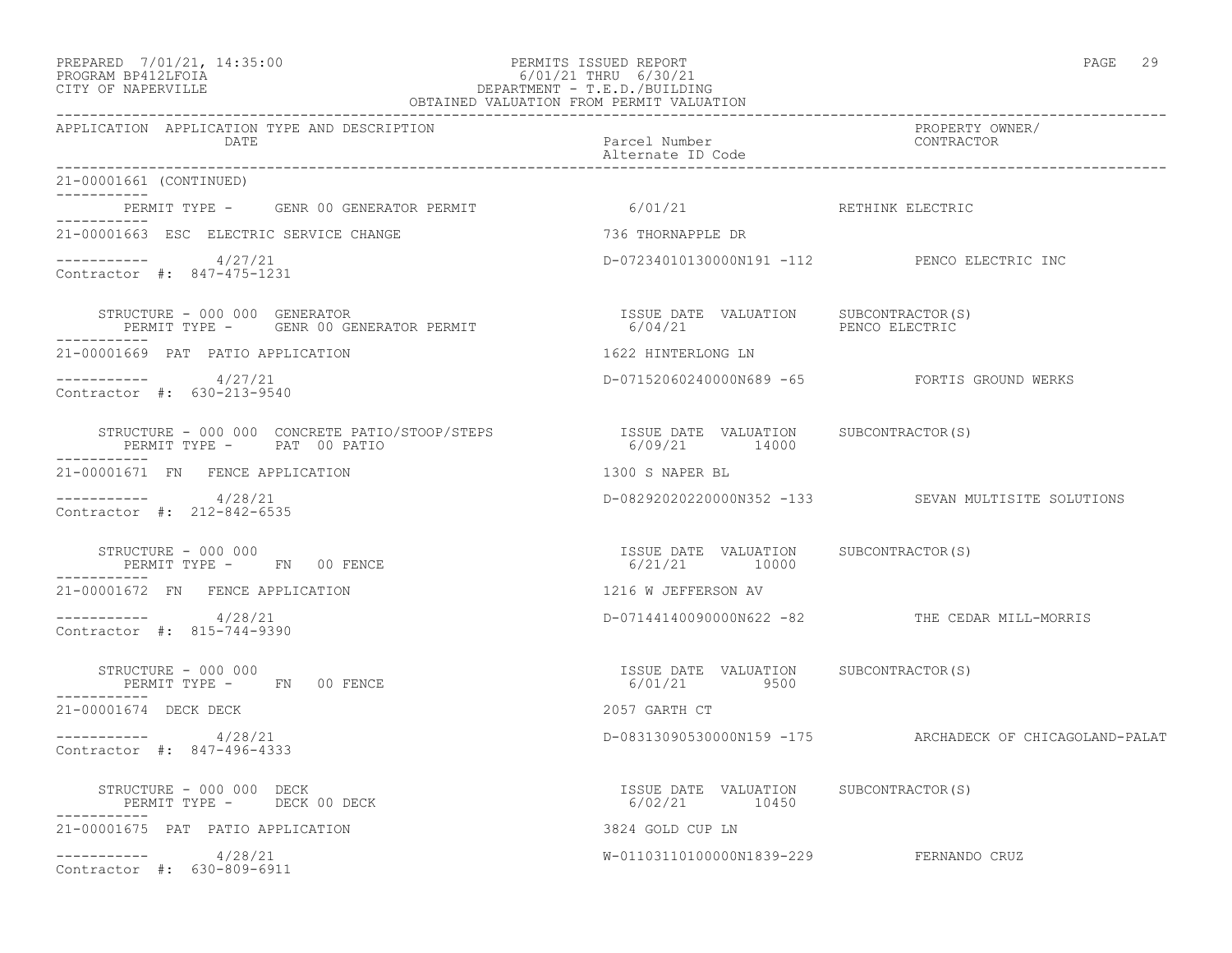### PREPARED 7/01/21, 14:35:00 PERMITS ISSUED REPORT PAGE 29 PROGRAM BP412LFOIA 6/01/21 THRU 6/30/21 CITY OF NAPERVILLE DEPARTMENT - T.E.D./BUILDING OBTAINED VALUATION FROM PERMIT VALUATION

| APPLICATION APPLICATION TYPE AND DESCRIPTION<br>DATE                                   | Parcel Number<br>Alternate ID Code                      | PROPERTY OWNER/<br>CONTRACTOR                            |
|----------------------------------------------------------------------------------------|---------------------------------------------------------|----------------------------------------------------------|
| 21-00001661 (CONTINUED)                                                                |                                                         |                                                          |
| PERMIT TYPE - GENR 00 GENERATOR PERMIT                                                 | 6/01/21 RETHINK ELECTRIC                                |                                                          |
| 21-00001663 ESC ELECTRIC SERVICE CHANGE                                                | 736 THORNAPPLE DR                                       |                                                          |
| $--------- 4/27/21$<br>Contractor #: 847-475-1231                                      |                                                         | D-07234010130000N191 -112 PENCO ELECTRIC INC             |
| STRUCTURE - 000 000 GENERATOR<br>PERMIT TYPE - GENR 00 GENERATOR PERMIT<br>----------- |                                                         |                                                          |
| 21-00001669 PAT PATIO APPLICATION                                                      | 1622 HINTERLONG LN                                      |                                                          |
| $--------- 4/27/21$<br>Contractor #: 630-213-9540                                      |                                                         | D-07152060240000N689 -65 FORTIS GROUND WERKS             |
| STRUCTURE - 000 000 CONCRETE PATIO/STOOP/STEPS<br>PERMIT TYPE - PAT 00 PATIO           | ISSUE DATE VALUATION SUBCONTRACTOR(S)<br>6/09/21 14000  |                                                          |
| 21-00001671 FN FENCE APPLICATION                                                       | 1300 S NAPER BL                                         |                                                          |
| ----------- 4/28/21<br>Contractor #: 212-842-6535                                      |                                                         | D-08292020220000N352 -133 SEVAN MULTISITE SOLUTIONS      |
| STRUCTURE - 000 000<br>PERMIT TYPE - FN 00 FENCE                                       | ISSUE DATE VALUATION SUBCONTRACTOR(S)<br>6/21/21 10000  |                                                          |
| 21-00001672 FN FENCE APPLICATION                                                       | 1216 W JEFFERSON AV                                     |                                                          |
| $--------- 4/28/21$<br>Contractor #: 815-744-9390                                      |                                                         | D-07144140090000N622 -82 THE CEDAR MILL-MORRIS           |
| STRUCTURE - 000 000<br>PERMIT TYPE - FN 00 FENCE                                       | ISSUE DATE VALUATION SUBCONTRACTOR(S)<br>6/01/21 9500   |                                                          |
| 21-00001674 DECK DECK                                                                  | 2057 GARTH CT                                           |                                                          |
| $--------- 4/28/21$<br>Contractor #: 847-496-4333                                      |                                                         | D-08313090530000N159 -175 ARCHADECK OF CHICAGOLAND-PALAT |
| STRUCTURE - 000 000 DECK<br>PERMIT TYPE - DECK 00 DECK                                 | ISSUE DATE VALUATION SUBCONTRACTOR (S)<br>6/02/21 10450 |                                                          |
| 21-00001675 PAT PATIO APPLICATION                                                      | 3824 GOLD CUP LN                                        |                                                          |
| $--------- 4/28/21$<br>Contractor #: 630-809-6911                                      | W-01103110100000N1839-229 FERNANDO CRUZ                 |                                                          |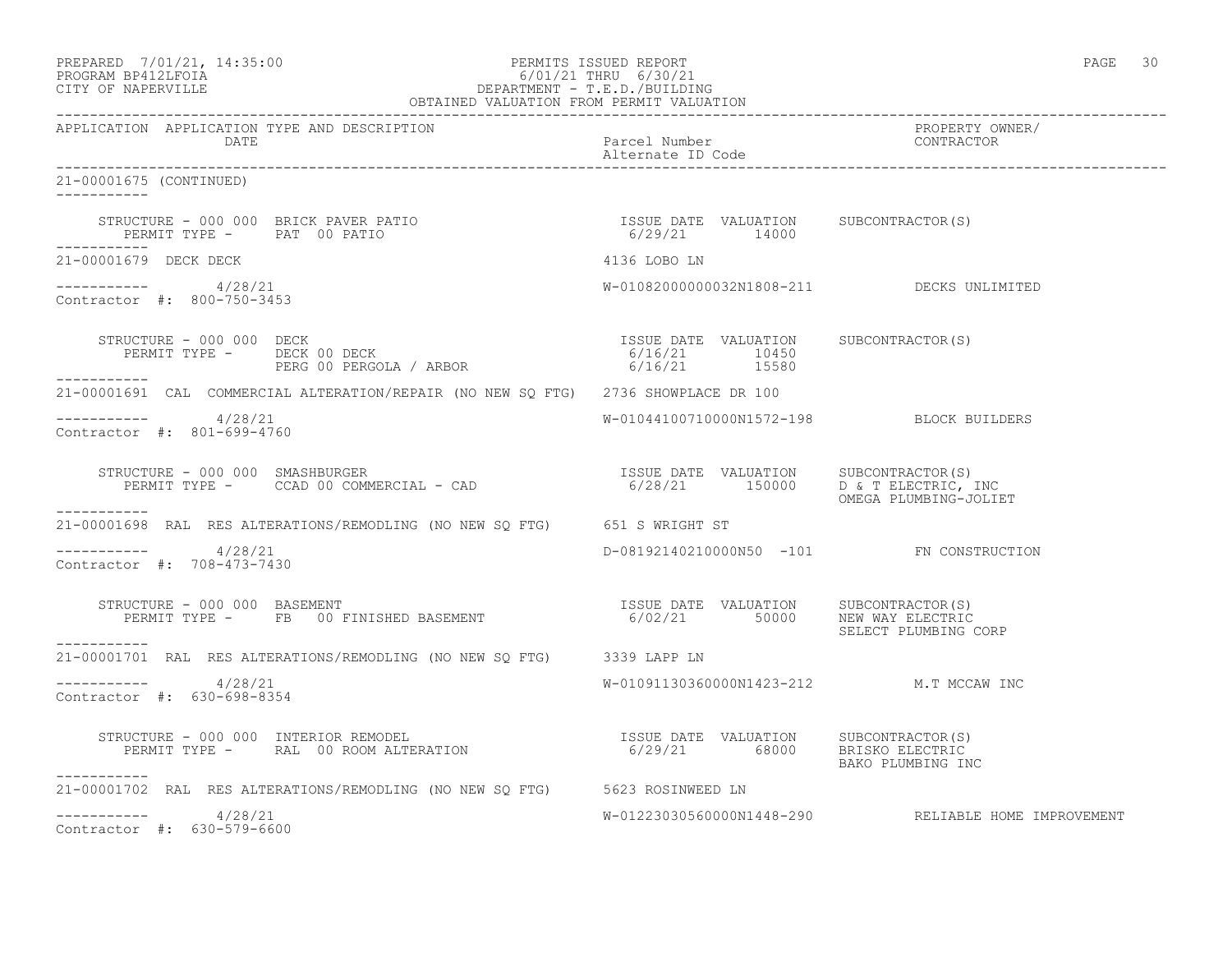| PREPARED            | 7/01/21, 14:35:00 |
|---------------------|-------------------|
| DDACDAM BDA12T FATA |                   |

### PREPARED 7/01/21, 14:35:00 PERMITS ISSUED REPORT PAGE 30 PROGRAM BP412LFOIA 6/01/21 THRU 6/30/21 CITY OF NAPERVILLE DEPARTMENT - T.E.D./BUILDING OBTAINED VALUATION FROM PERMIT VALUATION

------------------------------------------------------------------------------------------------------------------------------------ APPLICATION APPLICATION TYPE AND DESCRIPTION PROPERTY OWNER/ DATE Parcel Number Contractor Contractor Contractor Contractor Contractor Contractor Contractor Contractor Contractor Contractor Contractor Contractor Contractor Contractor Contractor Contractor Contractor Contractor Contr Alternate ID Code ------------------------------------------------------------------------------------------------------------------------------------ 21-00001675 (CONTINUED) ----------- STRUCTURE - 000 000 BRICK PAVER PATIO ISSUE DATE VALUATION SUBCONTRACTOR(S) PERMIT TYPE - PAT 00 PATIO 6/29/21 14000 ----------- 21-00001679 DECK DECK **And All and All and All and All and All and All and All and All and All and All and All a** ----------- 4/28/21 W-01082000000032N1808-211 DECKS UNLIMITED Contractor #: 800-750-3453 STRUCTURE - 000 000 DECK ISSUE DATE VALUATION SUBCONTRACTOR(S) PERMIT TYPE - DECK 00 DECK 6/16/21 10450 PERG 00 PERGOLA / ARBOR 16/16/21 15580 ----------- 21-00001691 CAL COMMERCIAL ALTERATION/REPAIR (NO NEW SQ FTG) 2736 SHOWPLACE DR 100 ----------- 4/28/21 W-01044100710000N1572-198 BLOCK BUILDERS Contractor #: 801-699-4760 STRUCTURE - 000 000 SMASHBURGER ISSUE DATE VALUATION SUBCONTRACTOR(S) PERMIT TYPE - CCAD 00 COMMERCIAL - CAD 6/28/21 150000 D & T ELECTRIC, INC OMEGA PLUMBING-JOLIET ----------- 21-00001698 RAL RES ALTERATIONS/REMODLING (NO NEW SQ FTG) 651 S WRIGHT ST  $--------- 4/28/21$ D-08192140210000N50 -101 FN CONSTRUCTION Contractor #: 708-473-7430 STRUCTURE - 000 000 BASEMENT ISSUE DATE VALUATION SUBCONTRACTOR(S) PERMIT TYPE - FB 00 FINISHED BASEMENT 6/02/21 50000 NEW WAY ELECTRIC SELECT PLUMBING CORP ----------- 21-00001701 RAL RES ALTERATIONS/REMODLING (NO NEW SQ FTG) 3339 LAPP LN \_\_\_\_\_\_\_\_\_\_\_ ----------- 4/28/21 W-01091130360000N1423-212 M.T MCCAW INC Contractor #: 630-698-8354 STRUCTURE - 000 000 INTERIOR REMODEL ISSUE DATE VALUATION SUBCONTRACTOR(S) PERMIT TYPE - RAL 00 ROOM ALTERATION 6/29/21 68000 BRISKO ELECTRIC BAKO PLUMBING INC ----------- 21-00001702 RAL RES ALTERATIONS/REMODLING (NO NEW SQ FTG) 5623 ROSINWEED LN  $--------- 4/28/21$ W-01223030560000N1448-290 RELIABLE HOME IMPROVEMENT Contractor #: 630-579-6600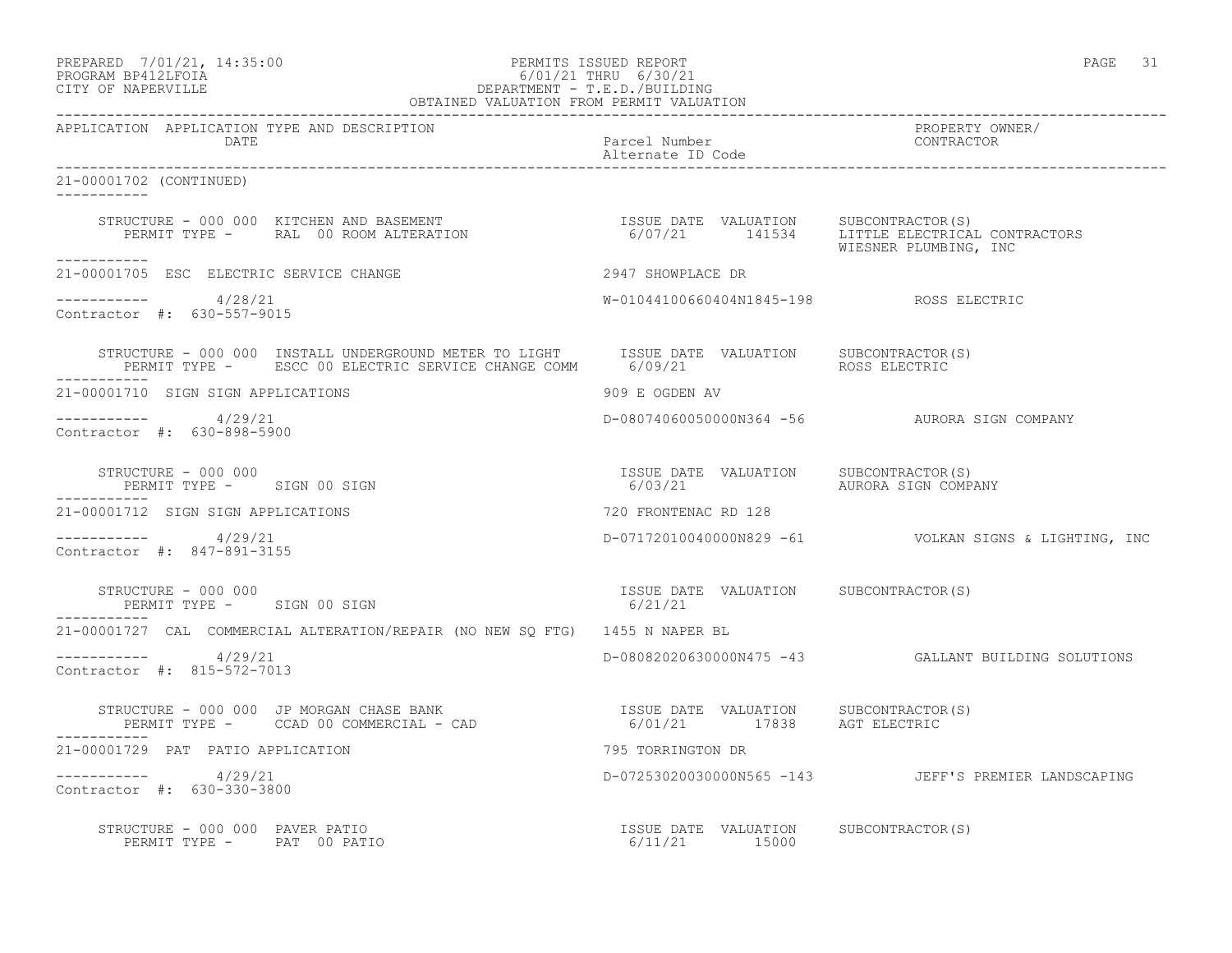PREPARED 7/01/21, 14:35:00 PERMITS ISSUED REPORT PAGE 31

# PROGRAM BP412LFOIA 6/01/21 THRU 6/30/21 CITY OF NAPERVILLE DEPARTMENT - T.E.D./BUILDING OBTAINED VALUATION FROM PERMIT VALUATION

------------------------------------------------------------------------------------------------------------------------------------ APPLICATION APPLICATION TYPE AND DESCRIPTION PROPERTY OWNER/ Parcel Number Alternate ID Code ------------------------------------------------------------------------------------------------------------------------------------ 21-00001702 (CONTINUED) ----------- STRUCTURE - 000 000 KITCHEN AND BASEMENT ISSUE DATE VALUATION SUBCONTRACTOR(S) PERMIT TYPE - RAL 00 ROOM ALTERATION 6/07/21 141534 LITTLE ELECTRICAL CONTRACTORS WIESNER PLUMBING, INC ----------- 21-00001705 ESC ELECTRIC SERVICE CHANGE 2947 SHOWPLACE DR  $--------- 4/28/21$ ----------- 4/28/21 W-01044100660404N1845-198 ROSS ELECTRIC Contractor #: 630-557-9015 STRUCTURE - 000 000 INSTALL UNDERGROUND METER TO LIGHT ISSUE DATE VALUATION SUBCONTRACTOR(S)<br>PERMIT TYPE - ESCC 00 ELECTRIC SERVICE CHANGE COMM 6/09/21 ROSS ELECTRIC PERMIT TYPE - ESCC 00 ELECTRIC SERVICE CHANGE COMM 6/09/21 ----------- 21-00001710 SIGN SIGN APPLICATIONS 909 E OGDEN AV ----------- 4/29/21 D-08074060050000N364 -56 AURORA SIGN COMPANY Contractor #: 630-898-5900 STRUCTURE – 000 000<br>
STRUCTURE – 000 000 SIGN 00 SIGN COMPA (S) ERMIT TYPE – SIGN 00 SIGN COMPA PERMIT TYPE - SIGN 00 SIGN 6/03/21 AURORA SIGN COMPANY ----------- 21-00001712 SIGN SIGN APPLICATIONS 720 FRONTENAC RD 128 ----------- 4/29/21 D-07172010040000N829 -61 VOLKAN SIGNS & LIGHTING, INC Contractor #: 847-891-3155 STRUCTURE – 000 000<br>
PERMIT TYPE – SIGN 00 SIGN CONTRACTOR (S) 6/21/21 PERMIT TYPE - SIGN 00 SIGN ----------- 21-00001727 CAL COMMERCIAL ALTERATION/REPAIR (NO NEW SQ FTG) 1455 N NAPER BL ----------- 4/29/21 D-08082020630000N475 -43 GALLANT BUILDING SOLUTIONS Contractor #: 815-572-7013 STRUCTURE - 000 000 JP MORGAN CHASE BANK ISSUE DATE VALUATION SUBCONTRACTOR(S) PERMIT TYPE - CCAD 00 COMMERCIAL - CAD 6/01/21 17838 AGT ELECTRIC 21-00001729 PAT PATIO APPLICATION 795 TORRINGTON DR ----------- 4/29/21 D-07253020030000N565 -143 JEFF'S PREMIER LANDSCAPING Contractor #: 630-330-3800 STRUCTURE - 000 000 PAVER PATIO ISSUE DATE VALUATION SUBCONTRACTOR(S) PERMIT TYPE - PAT 00 PATIO 15000 16/11/21 15000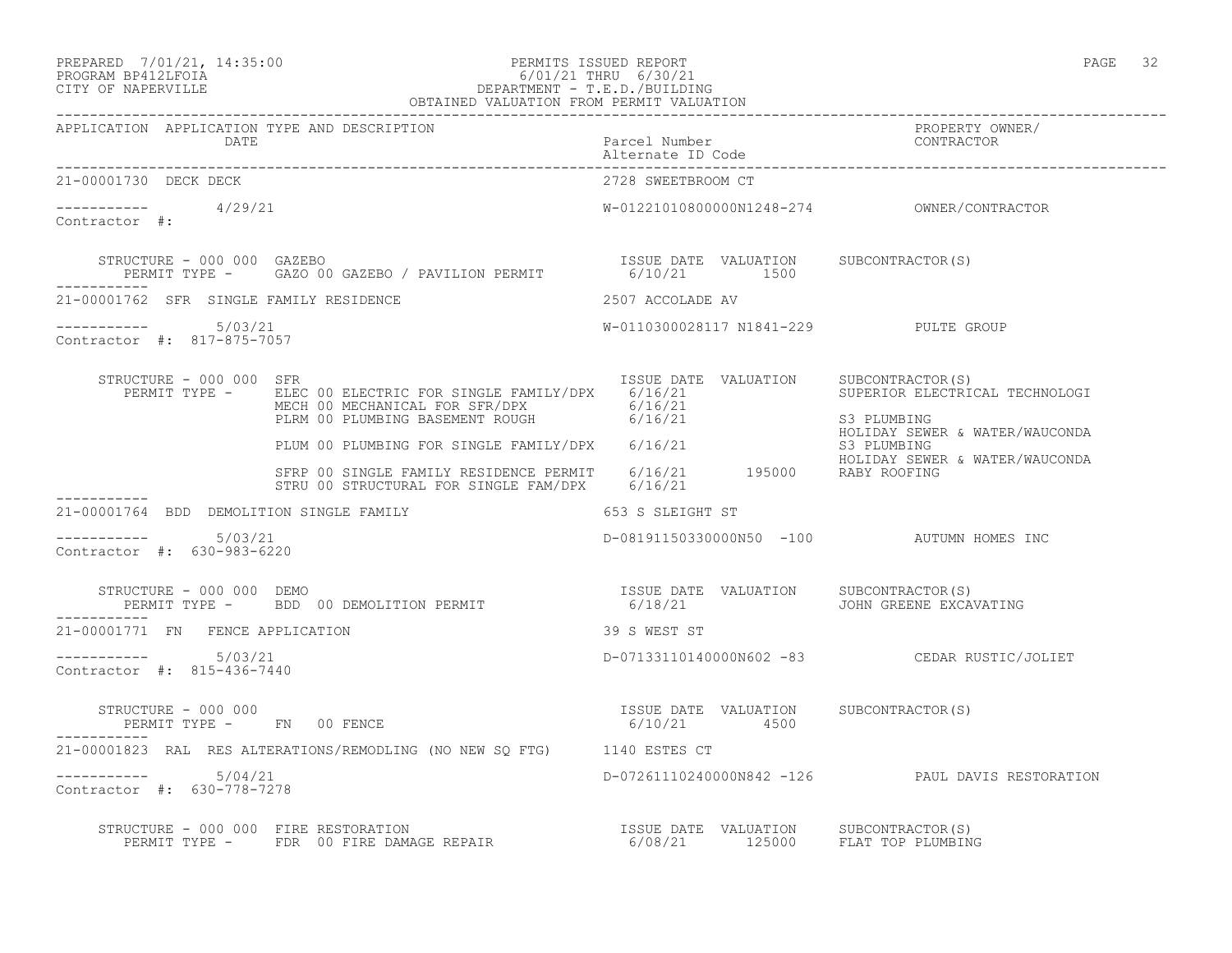# PREPARED 7/01/21, 14:35:00 PERMITS ISSUED REPORT PAGE 32 PROGRAM BP412LFOIA 6/01/21 THRU 6/30/21 CITY OF NAPERVILLE DEPARTMENT - T.E.D./BUILDING

| ת כד<br>$\overline{ }$<br>1 L T I<br>∼ |  |
|----------------------------------------|--|
|----------------------------------------|--|

| OBTAINED VALUATION FROM PERMIT VALUATION                     |                                                                                                                                                                                                                                                                                                      |                                                         |                                                  |  |  |
|--------------------------------------------------------------|------------------------------------------------------------------------------------------------------------------------------------------------------------------------------------------------------------------------------------------------------------------------------------------------------|---------------------------------------------------------|--------------------------------------------------|--|--|
| APPLICATION APPLICATION TYPE AND DESCRIPTION<br>DATE         |                                                                                                                                                                                                                                                                                                      | Parcel Number<br>Alternate ID Code                      | PROPERTY OWNER/<br>CONTRACTOR                    |  |  |
| 21-00001730 DECK DECK                                        |                                                                                                                                                                                                                                                                                                      | 2728 SWEETBROOM CT                                      |                                                  |  |  |
| $\frac{1}{29/21}$ Contractor #: $\frac{4}{29/21}$            |                                                                                                                                                                                                                                                                                                      |                                                         |                                                  |  |  |
|                                                              | $\begin{array}{cccc} \texttt{STRUCTURE} - 000 000 & \texttt{GAZERO} & \texttt{PAVILION} & \texttt{ISSUE} \texttt{DATE} & \texttt{VALUATION} & \texttt{SUBCONTRACTOR(S)} \\ \texttt{PERMIT TYPE} - \texttt{GAZO 00 GAZEBO} / \texttt{PAVILION PERMIT} & \texttt{6/10/21} & \texttt{1500} \end{array}$ |                                                         |                                                  |  |  |
| 21-00001762 SFR SINGLE FAMILY RESIDENCE                      | 2507 ACCOLADE AV                                                                                                                                                                                                                                                                                     |                                                         |                                                  |  |  |
| Contractor #: 817-875-7057                                   |                                                                                                                                                                                                                                                                                                      | W-0110300028117 N1841-229 PULTE GROUP                   |                                                  |  |  |
| STRUCTURE - 000 000 SFR                                      | RUCTURE - 000 000 SFR<br>PERMIT TYPE - ELEC 00 ELECTRIC FOR SINGLE FAMILY/DPX 6/16/21 SUPERIOR ELECTRICAL TECHNOLOGI<br>MECH 00 MECHANICAL FOR SFR/DPX 6/16/21 SUPERIOR ELECTRICAL TECHNOLOGI<br>PLRM 00 PLUMBING BASEMENT ROUGH 6/1                                                                 |                                                         |                                                  |  |  |
|                                                              |                                                                                                                                                                                                                                                                                                      |                                                         | HOLIDAY SEWER & WATER/WAUCONDA                   |  |  |
|                                                              | PLUM 00 PLUMBING FOR SINGLE FAMILY/DPX 6/16/21 63 PLUMBING<br>STRP 00 SINGLE FAMILY RESIDENCE PERMIT 6/16/21 195000 RABY ROOFING<br>STRP 00 SINGLE FAMILY RESIDENCE PERMIT 6/16/21 195000 RABY ROOFING<br>STRU 00 STRUCTURAL FOR SINGLE FAM/DPX 6/16/21                                              |                                                         |                                                  |  |  |
| 21-00001764 BDD DEMOLITION SINGLE FAMILY<br>653 S SLEIGHT ST |                                                                                                                                                                                                                                                                                                      |                                                         |                                                  |  |  |
| -----------     5/03/21<br>Contractor #: 630-983-6220        |                                                                                                                                                                                                                                                                                                      |                                                         | D-08191150330000N50 -100 AUTUMN HOMES INC        |  |  |
| STRUCTURE - 000 000 DEMO                                     | STRUCTURE - 000 000 DEMO<br>PERMIT TYPE - BDD 00 DEMOLITION PERMIT                             6/18/21                  JOHN GREENE EXCAVATING                                                                                                                                                       |                                                         |                                                  |  |  |
| 21-00001771 FN FENCE APPLICATION                             |                                                                                                                                                                                                                                                                                                      | 39 S WEST ST                                            |                                                  |  |  |
| Contractor #: 815-436-7440                                   |                                                                                                                                                                                                                                                                                                      |                                                         | D-07133110140000N602 -83 CEDAR RUSTIC/JOLIET     |  |  |
| STRUCTURE - 000 000<br>PERMIT TYPE - FN 00 FENCE             |                                                                                                                                                                                                                                                                                                      | ISSUE DATE VALUATION SUBCONTRACTOR(S)<br>$6/10/21$ 4500 |                                                  |  |  |
|                                                              | 21-00001823 RAL RES ALTERATIONS/REMODLING (NO NEW SQ FTG) 1140 ESTES CT                                                                                                                                                                                                                              |                                                         |                                                  |  |  |
| $--------- 5/04/21$<br>Contractor #: 630-778-7278            |                                                                                                                                                                                                                                                                                                      |                                                         | D-07261110240000N842 -126 PAUL DAVIS RESTORATION |  |  |
|                                                              | STRUCTURE - 000 000 FIRE RESTORATION<br>PERMIT TYPE -    FDR 00 FIRE DAMAGE REPAIR                          6/08/21       125000     FLAT TOP PLUMBING                                                                                                                                               |                                                         |                                                  |  |  |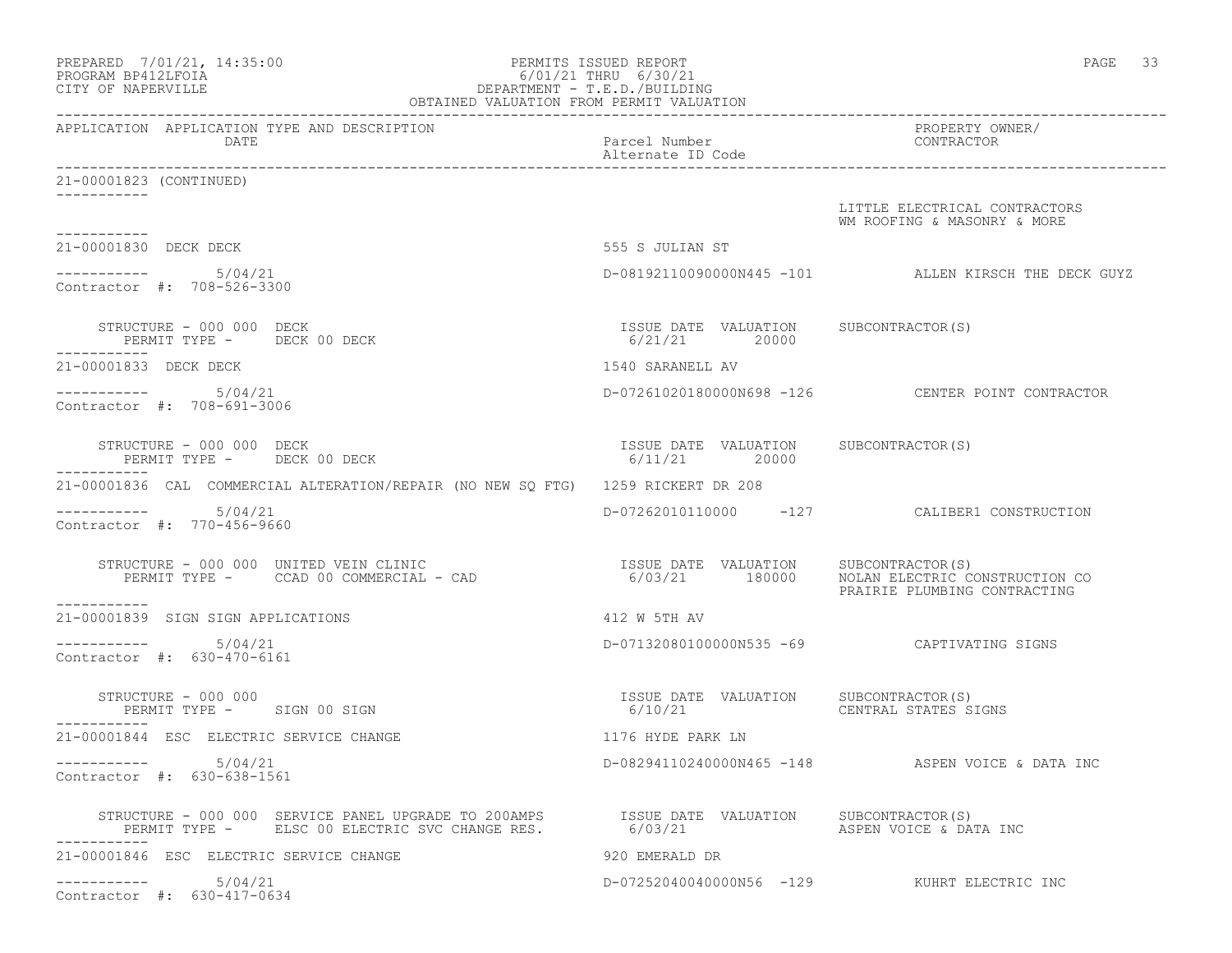| PREPARED 7/01/21, 14:35:00<br>PROGRAM BP412LFOIA<br>CITY OF NAPERVILLE                                                                                | PERMITS ISSUED REPORT<br>6/01/21 THRU 6/30/21<br>DEPARTMENT - T.E.D./BUILDING<br>OBTAINED VALUATION FROM PERMIT VALUATION | PAGE 33                                                        |
|-------------------------------------------------------------------------------------------------------------------------------------------------------|---------------------------------------------------------------------------------------------------------------------------|----------------------------------------------------------------|
| APPLICATION APPLICATION TYPE AND DESCRIPTION<br>DATE                                                                                                  | Parcel Number<br>Alternate ID Code                                                                                        | PROPERTY OWNER/<br>CONTRACTOR                                  |
| 21-00001823 (CONTINUED)                                                                                                                               |                                                                                                                           |                                                                |
| -----------                                                                                                                                           |                                                                                                                           | LITTLE ELECTRICAL CONTRACTORS<br>WM ROOFING & MASONRY & MORE   |
| 21-00001830 DECK DECK                                                                                                                                 | 555 S JULIAN ST                                                                                                           |                                                                |
| $--------- 5/04/21$<br>Contractor #: 708-526-3300                                                                                                     |                                                                                                                           | D-08192110090000N445 -101 ALLEN KIRSCH THE DECK GUYZ           |
| STRUCTURE - 000 000 DECK<br>PERMIT TYPE - DECK 00 DECK                                                                                                | ISSUE DATE VALUATION SUBCONTRACTOR(S)<br>6/21/21 20000                                                                    |                                                                |
| -----------<br>21-00001833 DECK DECK                                                                                                                  | 1540 SARANELL AV                                                                                                          |                                                                |
| $--------- 5/04/21$<br>Contractor #: 708-691-3006                                                                                                     |                                                                                                                           | D-07261020180000N698 -126 CENTER POINT CONTRACTOR              |
| STRUCTURE - 000 000 DECK<br>PERMIT TYPE - DECK 00 DECK                                                                                                | ISSUE DATE VALUATION SUBCONTRACTOR(S)<br>6/11/21 20000                                                                    |                                                                |
| 21-00001836 CAL COMMERCIAL ALTERATION/REPAIR (NO NEW SO FTG) 1259 RICKERT DR 208                                                                      |                                                                                                                           |                                                                |
| $--------- 5/04/21$<br>Contractor #: 770-456-9660                                                                                                     |                                                                                                                           | D-07262010110000 -127 CALIBER1 CONSTRUCTION                    |
| RUCTURE - 000 000 UNITED VEIN CLINIC<br>PERMIT TYPE -      CCAD 00 COMMERCIAL - CAD<br>STRUCTURE - 000 000 UNITED VEIN CLINIC                         | ISSUE DATE VALUATION SUBCONTRACTOR (S)<br>6/03/21 180000                                                                  | NOLAN ELECTRIC CONSTRUCTION CO<br>PRAIRIE PLUMBING CONTRACTING |
| 21-00001839 SIGN SIGN APPLICATIONS                                                                                                                    | 412 W 5TH AV                                                                                                              |                                                                |
| $--------- 5/04/21$<br>Contractor #: 630-470-6161                                                                                                     |                                                                                                                           | D-07132080100000N535 -69 CAPTIVATING SIGNS                     |
| STRUCTURE - 000 000<br>PERMIT TYPE - SIGN 00 SIGN                                                                                                     | ISSUE DATE VALUATION<br>6/10/21                                                                                           | SUBCONTRACTOR(S)<br>CENTRAL STATES SIGNS                       |
| 21-00001844 ESC ELECTRIC SERVICE CHANGE                                                                                                               | 1176 HYDE PARK LN                                                                                                         |                                                                |
| 5/04/21<br>____________<br>Contractor #: 630-638-1561                                                                                                 |                                                                                                                           | D-08294110240000N465 -148 ASPEN VOICE & DATA INC               |
| STRUCTURE - 000 000 SERVICE PANEL UPGRADE TO 200AMPS SISSUE DATE VALUATION SUBCONTRACTOR(S)<br>PERMIT TYPE - ELSC 00 ELECTRIC SVC CHANGE RES. 6/03/21 |                                                                                                                           | ASPEN VOICE & DATA INC                                         |
| 21-00001846 ESC ELECTRIC SERVICE CHANGE                                                                                                               | 920 EMERALD DR                                                                                                            |                                                                |
| 5/04/21<br>Contractor #: 630-417-0634                                                                                                                 |                                                                                                                           | D-07252040040000N56 -129 KUHRT ELECTRIC INC                    |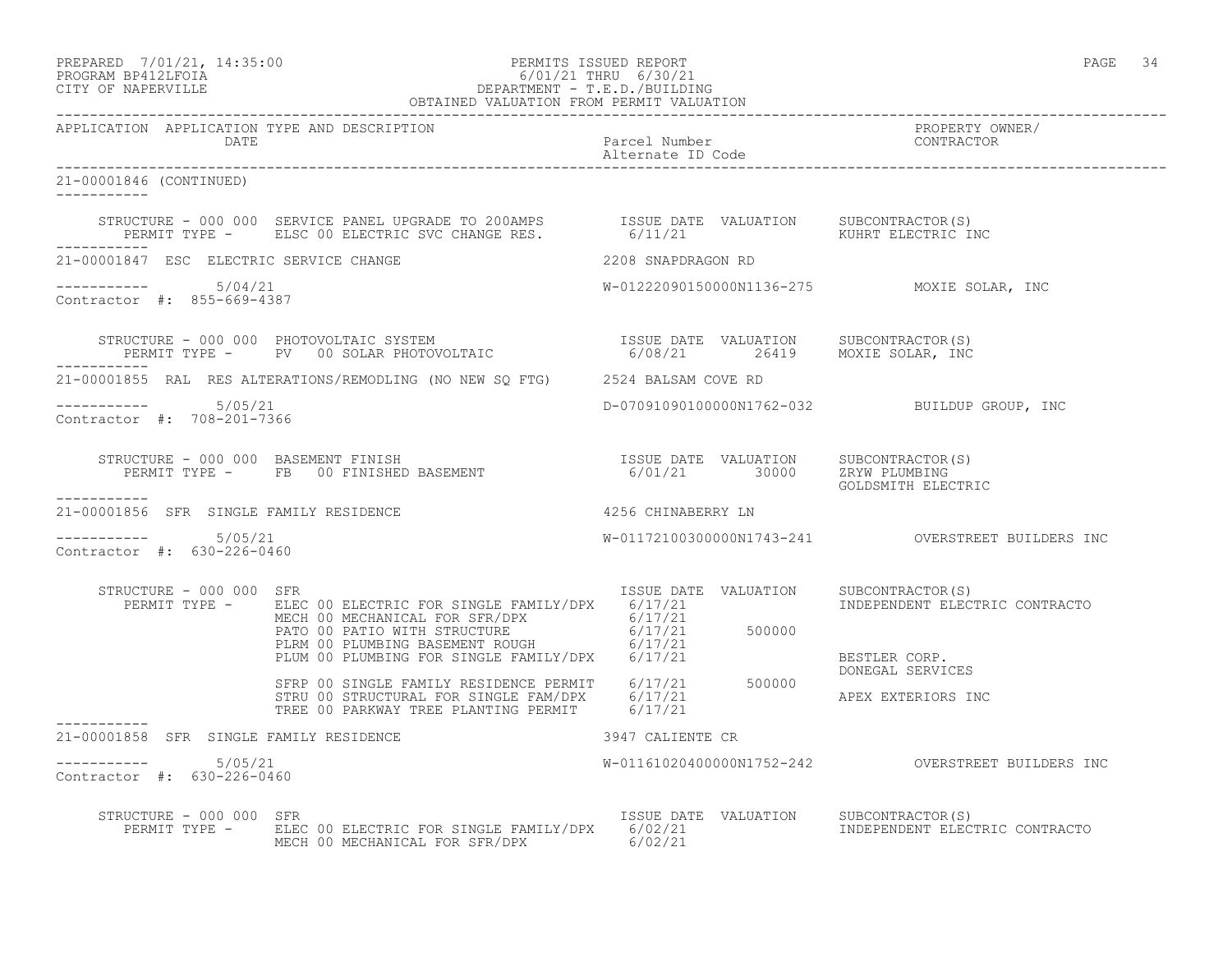PREPARED 7/01/21, 14:35:00 PERMITS ISSUED REPORT PAGE 34

# PROGRAM BP412LFOIA 6/01/21 THRU 6/30/21 CITY OF NAPERVILLE DEPARTMENT - T.E.D./BUILDING OBTAINED VALUATION FROM PERMIT VALUATION

------------------------------------------------------------------------------------------------------------------------------------ APPLICATION APPLICATION TYPE AND DESCRIPTION PROPERTY OWNER/ Parcel Number<br>Alternate ID Code Alternate ID Code ------------------------------------------------------------------------------------------------------------------------------------ 21-00001846 (CONTINUED) ----------- STRUCTURE - 000 000 SERVICE PANEL UPGRADE TO 200AMPS ISSUE DATE VALUATION SUBCONTRACTOR(S) PERMIT TYPE - ELSC 00 ELECTRIC SVC CHANGE RES. 6/11/21 60 KUHRT ELECTRIC INC ----------- 21-00001847 ESC ELECTRIC SERVICE CHANGE 2208 SNAPDRAGON RD ----------- 5/04/21 W-01222090150000N1136-275 MOXIE SOLAR, INC Contractor #: 855-669-4387 STRUCTURE - 000 000 PHOTOVOLTAIC SYSTEM ISSUE DATE VALUATION SUBCONTRACTOR(S) PERMIT TYPE - PV 00 SOLAR PHOTOVOLTAIC 6/08/21 26419 MOXIE SOLAR, INC ----------- 21-00001855 RAL RES ALTERATIONS/REMODLING (NO NEW SQ FTG) 2524 BALSAM COVE RD ----------- 5/05/21 D-07091090100000N1762-032 BUILDUP GROUP, INC Contractor #: 708-201-7366 STRUCTURE - 000 000 BASEMENT FINISH ISSUE DATE VALUATION SUBCONTRACTOR(S) PERMIT TYPE - FB 00 FINISHED BASEMENT 6/01/21 30000 ZRYW PLUMBING GOLDSMITH ELECTRIC ----------- 21-00001856 SFR SINGLE FAMILY RESIDENCE **1200001856 CHINABERRY LN**  $--------- 5/05/21$ W-01172100300000N1743-241 OVERSTREET BUILDERS INC Contractor #: 630-226-0460 STRUCTURE - 000 000 SFR<br>PERMIT TYPE - ELEC 00 ELECTRIC FOR SINGLE FAMILY/DPX 6/17/21 6100 INDEPENDENT ELECTRIC CONTRACTO PERMIT TYPE - ELEC 00 ELECTRIC FOR SINGLE FAMILY/DPX 6/17/21 MECH 00 MECHANICAL FOR SFR/DPX 6/17/21 PATO 00 PATIO WITH STRUCTURE  $6/17/21$  500000 PLRM 00 PLUMBING BASEMENT ROUGH 6/17/21 PLUM 00 PLUMBING FOR SINGLE FAMILY/DPX 6/17/21 BESTLER CORP. DONEGAL SERVICES SFRP 00 SINGLE FAMILY RESIDENCE PERMIT 6/17/21 500000 STRU 00 STRUCTURAL FOR SINGLE FAM/DPX 6/17/21 APEX EXTERIORS INC TREE 00 PARKWAY TREE PLANTING PERMIT 6/17/21 21-00001858 SFR SINGLE FAMILY RESIDENCE 21-00001858 SFR SINGLE FAMILY RESIDENCE 3947 CALIENTE CR \_\_\_\_\_\_\_\_\_\_\_ ----------- 5/05/21 W-01161020400000N1752-242 OVERSTREET BUILDERS INC Contractor #: 630-226-0460 STRUCTURE - 000 000 SFR<br>PERMIT TYPE - ELEC 00 ELECTRIC FOR SINGLE FAMILY/DPX 6/02/21 6002 TNDEPENDENT ELECTRIC CONTRACTO PERMIT TYPE - ELEC 00 ELECTRIC FOR SINGLE FAMILY/DPX 6/02/21 MECH 00 MECHANICAL FOR SFR/DPX 6/02/21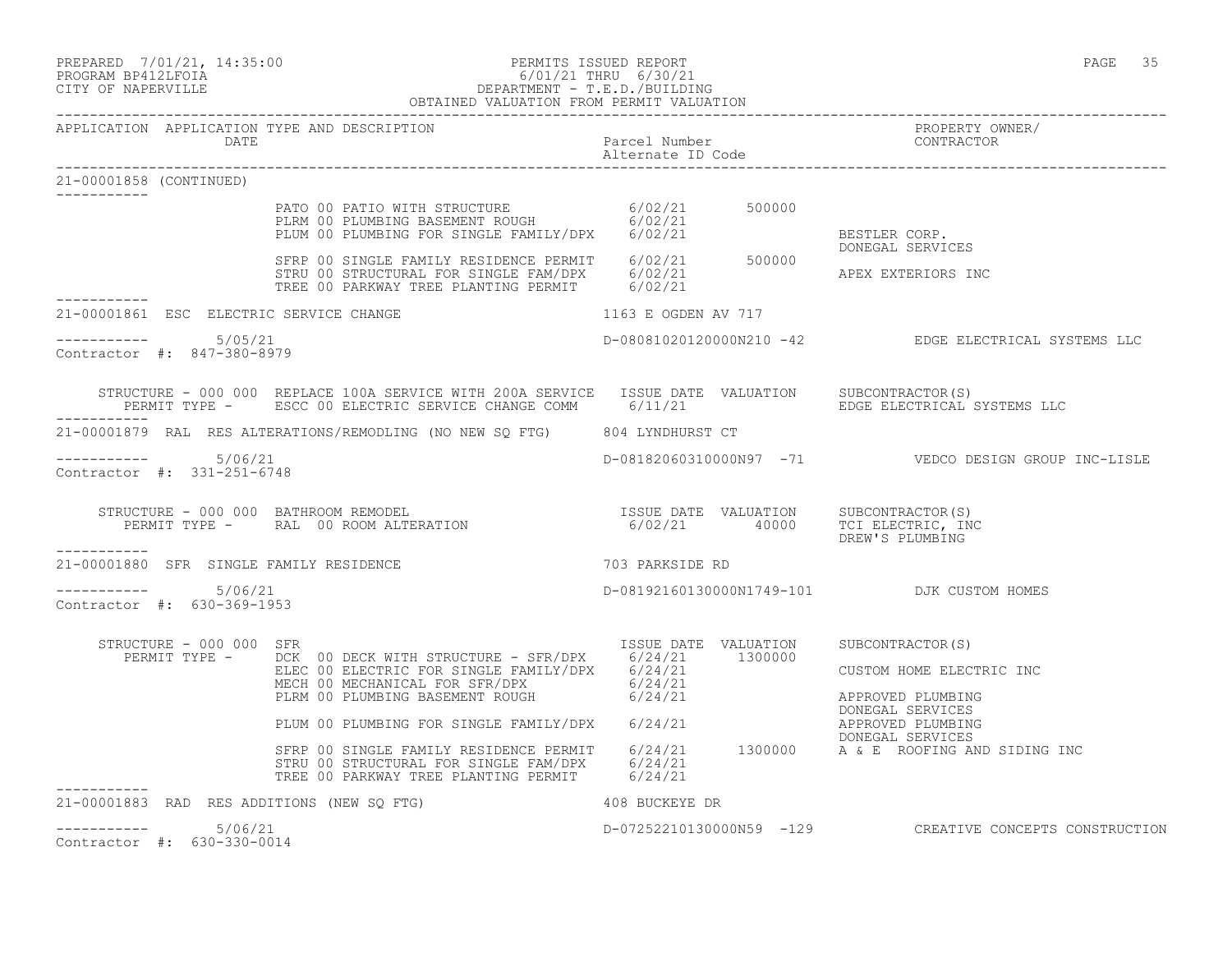# PREPARED 7/01/21, 14:35:00 PERMITS ISSUED REPORT PAGE 35 PROGRAM BP412LFOIA 6/01/21 THRU 6/30/21 CITY OF NAPERVILLE DEPARTMENT - T.E.D./BUILDING

| OBTAINED VALUATION FROM PERMIT VALUATION                                   |                                                                                                                                                                                                                                                                                                                                                                                                                                                                                                                                                                                                                                                                                                                                                           |                                                         |                                                                    |  |  |
|----------------------------------------------------------------------------|-----------------------------------------------------------------------------------------------------------------------------------------------------------------------------------------------------------------------------------------------------------------------------------------------------------------------------------------------------------------------------------------------------------------------------------------------------------------------------------------------------------------------------------------------------------------------------------------------------------------------------------------------------------------------------------------------------------------------------------------------------------|---------------------------------------------------------|--------------------------------------------------------------------|--|--|
| APPLICATION APPLICATION TYPE AND DESCRIPTION<br>DATE                       |                                                                                                                                                                                                                                                                                                                                                                                                                                                                                                                                                                                                                                                                                                                                                           | Parcel Number<br>Alternate ID Code<br>Alternate ID Code | PROPERTY OWNER/                                                    |  |  |
| 21-00001858 (CONTINUED)                                                    |                                                                                                                                                                                                                                                                                                                                                                                                                                                                                                                                                                                                                                                                                                                                                           |                                                         |                                                                    |  |  |
|                                                                            | PATO 00 PATIO WITH STRUCTURE $6/02/21$<br>PLRM 00 PLUMBING BASEMENT ROUGH $6/02/21$<br>PLUM 00 PLUMBING FOR SINGLE FAMILY/DPX $6/02/21$<br>SFRP 00 SINGLE FAMILY RESIDENCE PERMIT $6/02/21$<br>SFRP 00 SINGLE FAMILY RESIDENCE PERMIT                                                                                                                                                                                                                                                                                                                                                                                                                                                                                                                     |                                                         |                                                                    |  |  |
|                                                                            |                                                                                                                                                                                                                                                                                                                                                                                                                                                                                                                                                                                                                                                                                                                                                           |                                                         |                                                                    |  |  |
| 21-00001861 ESC ELECTRIC SERVICE CHANGE                                    |                                                                                                                                                                                                                                                                                                                                                                                                                                                                                                                                                                                                                                                                                                                                                           | 1163 E OGDEN AV 717                                     |                                                                    |  |  |
| ----------- 5/05/21<br>Contractor #: 847-380-8979                          |                                                                                                                                                                                                                                                                                                                                                                                                                                                                                                                                                                                                                                                                                                                                                           |                                                         | D-08081020120000N210 -42 EDGE ELECTRICAL SYSTEMS LLC               |  |  |
|                                                                            | STRUCTURE - 000 000 REPLACE 100A SERVICE WITH 200A SERVICE ISSUE DATE VALUATION SUBCONTRACTOR(S)                                                                                                                                                                                                                                                                                                                                                                                                                                                                                                                                                                                                                                                          |                                                         |                                                                    |  |  |
| 21-00001879 RAL RES ALTERATIONS/REMODLING (NO NEW SQ FTG) 804 LYNDHURST CT |                                                                                                                                                                                                                                                                                                                                                                                                                                                                                                                                                                                                                                                                                                                                                           |                                                         |                                                                    |  |  |
| $--------- 5/06/21$<br>Contractor #: 331-251-6748                          |                                                                                                                                                                                                                                                                                                                                                                                                                                                                                                                                                                                                                                                                                                                                                           |                                                         | D-08182060310000N97 -71    VEDCO DESIGN GROUP INC-LISLE            |  |  |
| ----------                                                                 | STRUCTURE - 000 000 BATHROOM REMODEL<br>PERMIT TYPE - RAL 00 ROOM ALTERATION 1990 1990/21 40000 TCI ELECTRIC, INC                                                                                                                                                                                                                                                                                                                                                                                                                                                                                                                                                                                                                                         |                                                         | DREW'S PLUMBING                                                    |  |  |
| 21-00001880 SFR SINGLE FAMILY RESIDENCE                                    | 703 PARKSIDE RD                                                                                                                                                                                                                                                                                                                                                                                                                                                                                                                                                                                                                                                                                                                                           |                                                         |                                                                    |  |  |
| $--------- 5/06/21$<br>Contractor #: 630-369-1953                          |                                                                                                                                                                                                                                                                                                                                                                                                                                                                                                                                                                                                                                                                                                                                                           | D-08192160130000N1749-101 DJK CUSTOM HOMES              |                                                                    |  |  |
| STRUCTURE - 000 000 SFR                                                    | $\begin{tabular}{l c c c c c} \multicolumn{1}{c}{\textbf{RUCTURE}} & $\textbf{00 000} & $\textbf{SFR}$ & $\textbf{1SSUE} & $\textbf{DATE}$ & $\textbf{VALUATION} & $\textbf{SUBCONTRACTOR(S)}$ \\ \multicolumn{1}{c}{\textbf{PERMIT TYPE}} & $\textbf{DCK}$ & $\textbf{00 000} & $\textbf{ELECTRIC FOR SIMGLE FAMILI/DPX}$ & $\textbf{6/24/21}$ & $\textbf{1300000}$ & $\textbf{CUSTOM HOME ELECT}$. \\ & $\textbf{ELECTC} & $\textbf{00 000} & $\textbf{ELECT$<br>SFRP 00 SINGLE FAMILY RESIDENCE PERMIT 6/24/21 1300000 A & E ROOFING AND SIDING INC<br>STRU 00 STRUCTURAL FOR SINGLE FAM/DPX 6/24/21 1300000 A & E ROOFING AND SIDING INC<br>TREE 00 PARKWAY TREE PLANTING PERMIT 6/24/21<br>21-00001883 RAD RES ADDITIONS (NEW SQ FTG) 408 BUCKEYE DR |                                                         | CUSTOM HOME ELECTRIC INC<br>APPROVED PLUMBING<br>APPROVED PLUMBING |  |  |
| $--------- 5/06/21$                                                        |                                                                                                                                                                                                                                                                                                                                                                                                                                                                                                                                                                                                                                                                                                                                                           |                                                         | D-07252210130000N59 -129 CREATIVE CONCEPTS CONSTRUCTION            |  |  |
| Contractor #: 630-330-0014                                                 |                                                                                                                                                                                                                                                                                                                                                                                                                                                                                                                                                                                                                                                                                                                                                           |                                                         |                                                                    |  |  |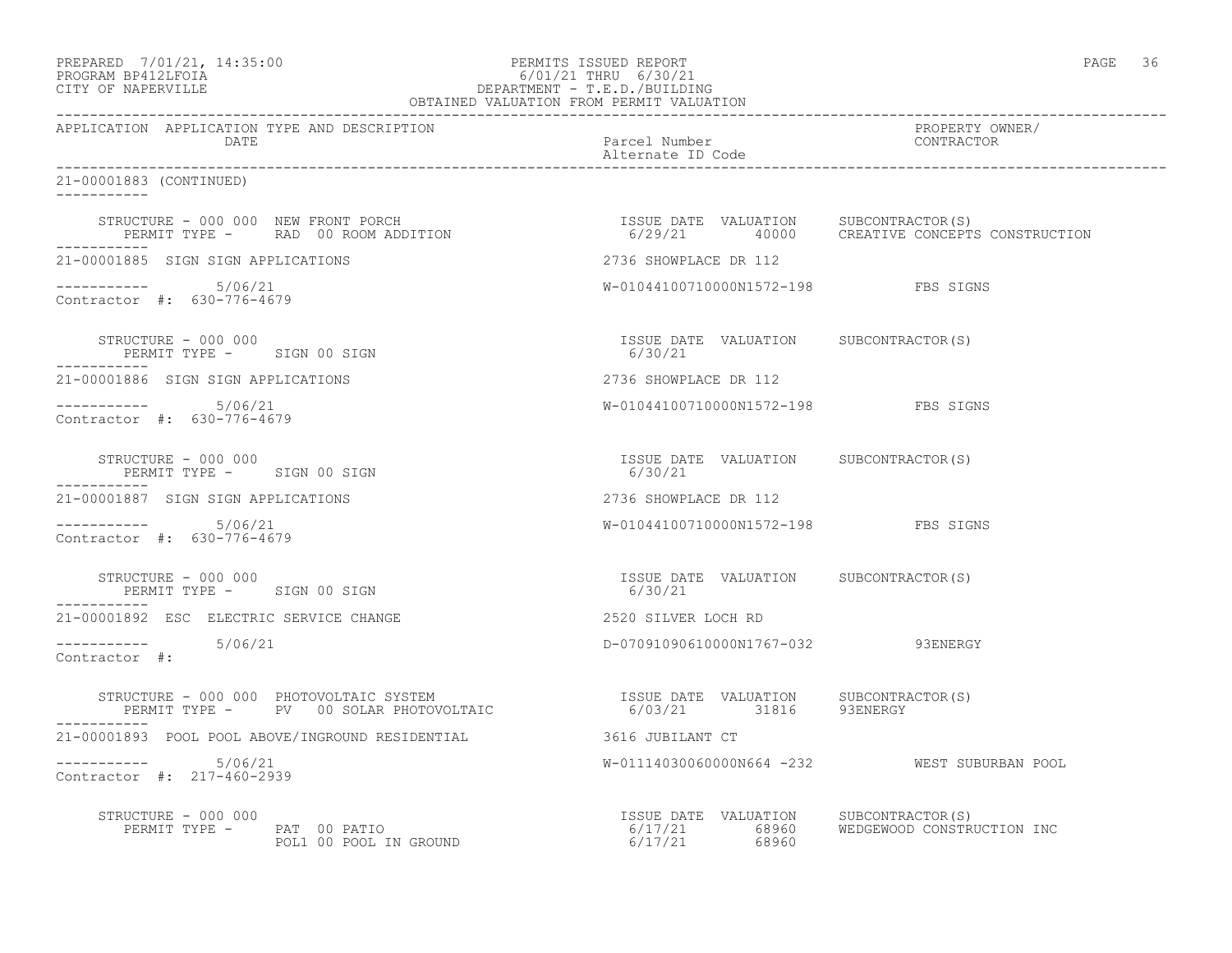#### PREPARED 7/01/21, 14:35:00 PERMITS ISSUED REPORT PAGE 36 PROGRAM BP412LFOIA 6/01/21 THRU 6/30/21 CITY OF NAPERVILLE DEPARTMENT - T.E.D./BUILDING OBTAINED VALUATION FROM PERMIT VALUATION

| APPLICATION APPLICATION TYPE AND DESCRIPTION<br>DATE                                                                                                                                                                       | Parcel Number<br>Alternate ID Code                     | PROPERTY OWNER/<br>CONTRACTOR                                                              |
|----------------------------------------------------------------------------------------------------------------------------------------------------------------------------------------------------------------------------|--------------------------------------------------------|--------------------------------------------------------------------------------------------|
| 21-00001883 (CONTINUED)                                                                                                                                                                                                    |                                                        |                                                                                            |
| STRUCTURE - 000 000 NEW FRONT PORCH<br>PERMIT TYPE - RAD 00 ROOM ADDITION                                                                                                                                                  |                                                        | ISSUE DATE VALUATION SUBCONTRACTOR(S)<br>6/29/21    40000   CREATIVE CONCEPTS CONSTRUCTION |
| 21-00001885 SIGN SIGN APPLICATIONS                                                                                                                                                                                         | 2736 SHOWPLACE DR 112                                  |                                                                                            |
| -----------    5/06/21<br>Contractor #: 630-776-4679                                                                                                                                                                       | W-01044100710000N1572-198 FBS SIGNS                    |                                                                                            |
| STRUCTURE - 000 000<br>PERMIT TYPE - SIGN 00 SIGN                                                                                                                                                                          | ISSUE DATE VALUATION SUBCONTRACTOR(S)<br>6/30/21       |                                                                                            |
| 21-00001886 SIGN SIGN APPLICATIONS                                                                                                                                                                                         | 2736 SHOWPLACE DR 112                                  |                                                                                            |
| ----------- 5/06/21<br>Contractor #: 630-776-4679                                                                                                                                                                          | W-01044100710000N1572-198 FBS SIGNS                    |                                                                                            |
| STRUCTURE - 000 000<br>PERMIT TYPE - SIGN 00 SIGN                                                                                                                                                                          | ISSUE DATE VALUATION SUBCONTRACTOR(S)<br>6/30/21       |                                                                                            |
| 21-00001887 SIGN SIGN APPLICATIONS                                                                                                                                                                                         | 2736 SHOWPLACE DR 112                                  |                                                                                            |
| $--------$ 5/06/21<br>Contractor #: 630-776-4679                                                                                                                                                                           | W-01044100710000N1572-198 FBS SIGNS                    |                                                                                            |
| STRUCTURE - 000 000<br>PERMIT TYPE - SIGN 00 SIGN                                                                                                                                                                          | ISSUE DATE VALUATION SUBCONTRACTOR(S)<br>6/30/21       |                                                                                            |
| 21-00001892 ESC ELECTRIC SERVICE CHANGE                                                                                                                                                                                    | 2520 SILVER LOCH RD                                    |                                                                                            |
| ----------    5/06/21<br>Contractor #:                                                                                                                                                                                     | D-07091090610000N1767-032 93ENERGY                     |                                                                                            |
| STRUCTURE – 000 000 PHOTOVOLTAIC SYSTEM                              ISSUE DATE VALUATION      SUBCONTRACTOR(S)<br>PERMIT TYPE –      PV   00 SOLAR PHOTOVOLTAIC                       6/03/21        31816       93ENERGY |                                                        |                                                                                            |
|                                                                                                                                                                                                                            |                                                        |                                                                                            |
| $--------$ 5/06/21<br>Contractor #: 217-460-2939                                                                                                                                                                           |                                                        | W-01114030060000N664 -232 WEST SUBURBAN POOL                                               |
| STRUCTURE - 000 000                                                                                                                                                                                                        | ISSUE DATE VALUATION SUBCONTRACTOR(S)<br>6/17/21 68960 | 6/17/21 68960 WEDGEWOOD CONSTRUCTION INC                                                   |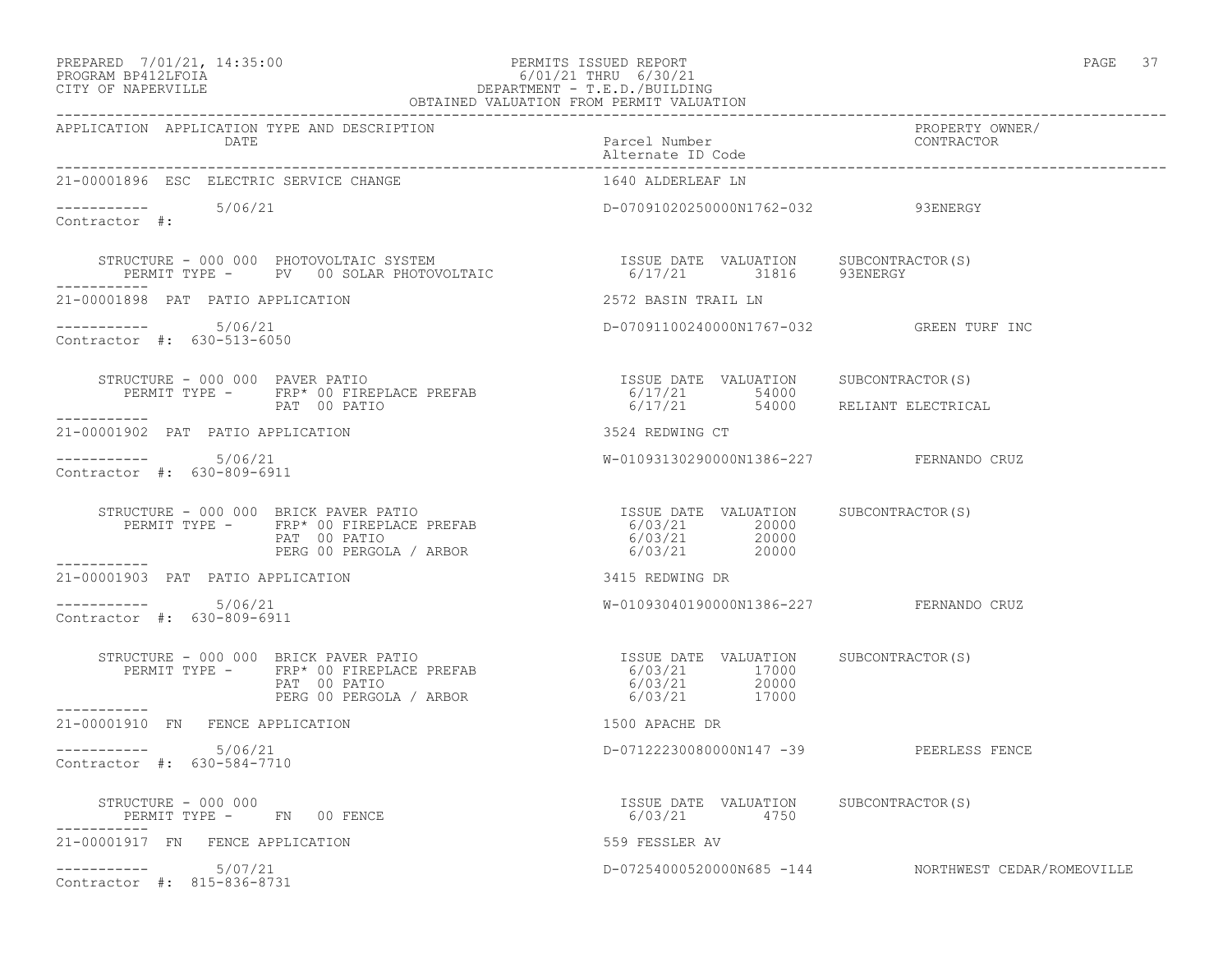# PREPARED 7/01/21, 14:35:00 PERMITS ISSUED REPORT PAGE 37 PROGRAM BP412LFOIA 6/01/21 THRU 6/30/21 CITY OF NAPERVILLE CHARGES OF DEPARTMENT - T.E.D./BUILDING

| OBTAINED VALUATION FROM PERMIT VALUATION                                                                                                                                                                                                                                                                                                                                                                                |                                                       |                                                      |  |
|-------------------------------------------------------------------------------------------------------------------------------------------------------------------------------------------------------------------------------------------------------------------------------------------------------------------------------------------------------------------------------------------------------------------------|-------------------------------------------------------|------------------------------------------------------|--|
| APPLICATION APPLICATION TYPE AND DESCRIPTION<br>DATE                                                                                                                                                                                                                                                                                                                                                                    | Parcel Number<br>Alternate ID Code                    | PROPERTY OWNER/<br>CONTRACTOR                        |  |
| 21-00001896 ESC ELECTRIC SERVICE CHANGE                                                                                                                                                                                                                                                                                                                                                                                 | 1640 ALDERLEAF LN                                     |                                                      |  |
| $--------- 5/06/21$<br>Contractor #:                                                                                                                                                                                                                                                                                                                                                                                    | D-07091020250000N1762-032 93ENERGY                    |                                                      |  |
| $\begin{array}{cccc} \texttt{STRUCTURE} - 000 000 \texttt{PHOTOVOLTAIC} \texttt{SYSTEM} & \texttt{ISSUE} \texttt{DATE} \texttt{VALUATION} & \texttt{SUBCONTRACTOR(S)} \\ \texttt{PERMIT TYPE} - & \texttt{PV} & 00 \texttt{SOLAR PHOTOVOLTAIC} & \texttt{6/17/21} & 31816 & 93ENERGY \\ \end{array}$                                                                                                                    |                                                       |                                                      |  |
| 21-00001898 PAT PATIO APPLICATION                                                                                                                                                                                                                                                                                                                                                                                       | 2572 BASIN TRAIL LN                                   |                                                      |  |
| $--------- 5/06/21$<br>Contractor #: 630-513-6050                                                                                                                                                                                                                                                                                                                                                                       | D-07091100240000N1767-032 GREEN TURF INC              |                                                      |  |
|                                                                                                                                                                                                                                                                                                                                                                                                                         |                                                       |                                                      |  |
|                                                                                                                                                                                                                                                                                                                                                                                                                         |                                                       |                                                      |  |
| ___________<br>21-00001902 PAT PATIO APPLICATION                                                                                                                                                                                                                                                                                                                                                                        | 3524 REDWING CT                                       |                                                      |  |
| --------- 5/06/21<br>Contractor #: 630-809-6911                                                                                                                                                                                                                                                                                                                                                                         | W-01093130290000N1386-227 FERNANDO CRUZ               |                                                      |  |
| $\begin{array}{cccccccc} \texttt{STRUCTURE} & - & 000 & 000 & \texttt{BRICK} & \texttt{PATE} & \texttt{PATE} & \texttt{VALUATION} & & \texttt{SUBCONTRACTOR(S)} \\ \texttt{PERMIT TYPE} & - & \texttt{FRP*} & 00 & \texttt{FIREPLACE} & \texttt{PREFAB} & & 6/03/21 & 20000 \\ & \texttt{PAT} & 00 & \texttt{PATIC} & & & 6/03/21 & 20000 \\ & \texttt{PERG 00 } & \texttt{PERGOLA} & / \texttt{ARBOR} & & & 6/03/21 &$ |                                                       |                                                      |  |
| -----------<br>21-00001903 PAT PATIO APPLICATION                                                                                                                                                                                                                                                                                                                                                                        | 3415 REDWING DR                                       |                                                      |  |
| ----------- 5/06/21<br>Contractor #: 630-809-6911                                                                                                                                                                                                                                                                                                                                                                       | W-01093040190000N1386-227 FERNANDO CRUZ               |                                                      |  |
| STRUCTURE - 000 000 BRICK PAVER PATIO<br>PERMIT TYPE - FRP* 00 FIREPLACE PREFAB 6/03/21 17000<br>6/03/21 20000 6/03/21 20000<br>PERG 00 PERGOLA / ARBOR<br>___________                                                                                                                                                                                                                                                  | 6/03/21 17000<br>6/03/21 20000<br>6/03/21 17000       |                                                      |  |
| 21-00001910 FN FENCE APPLICATION                                                                                                                                                                                                                                                                                                                                                                                        | 1500 APACHE DR                                        |                                                      |  |
| $--------- 5/06/21$<br>Contractor #: 630-584-7710                                                                                                                                                                                                                                                                                                                                                                       | D-07122230080000N147 -39 PEERLESS FENCE               |                                                      |  |
| STRUCTURE - 000 000<br>PERMIT TYPE - FN 00 FENCE                                                                                                                                                                                                                                                                                                                                                                        | ISSUE DATE VALUATION SUBCONTRACTOR(S)<br>6/03/21 4750 |                                                      |  |
| 21-00001917 FN FENCE APPLICATION                                                                                                                                                                                                                                                                                                                                                                                        | 559 FESSLER AV                                        |                                                      |  |
| $--------- 5/07/21$<br>Contractor #: 815-836-8731                                                                                                                                                                                                                                                                                                                                                                       |                                                       | D-07254000520000N685 -144 NORTHWEST CEDAR/ROMEOVILLE |  |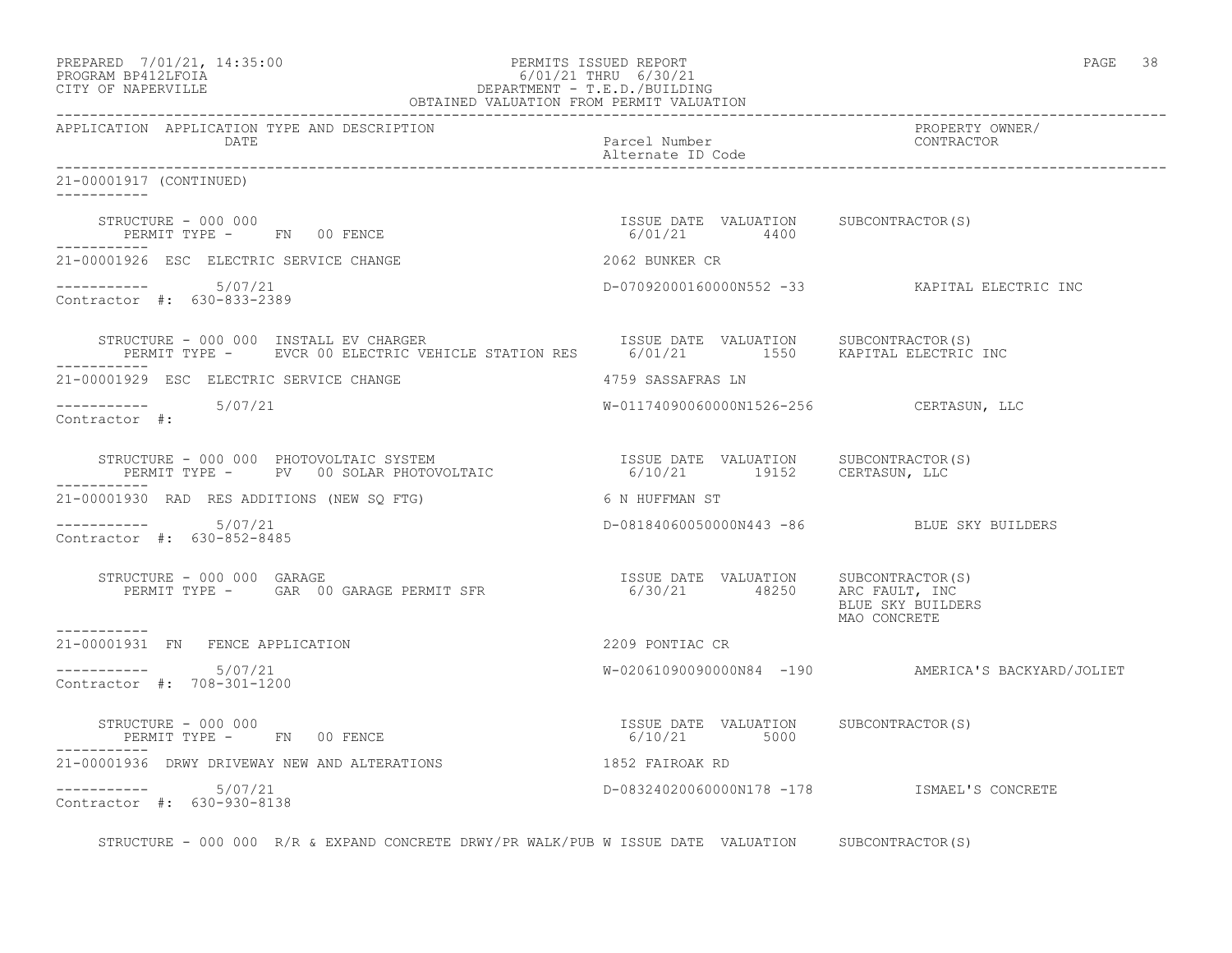| PREPARED | 7/01/21, 14:35:00 |
|----------|-------------------|
|          |                   |

# PREPARED 7/01/21, 14:35:00 PERMITS ISSUED REPORT<br>PROGRAM BP412LFOIA PAGE 38 PROGRAM BP412LFOIA<br>
EROGRAM BP412LFOIA<br>
CITY OF NAPERVILLE<br>
CITY OF NAPERVILLE CITY OF NAPERVILLE DEPARTMENT - T.E.D./BUILDING

| OBTAINED VALUATION FROM PERMIT VALUATION                                                                                                                                                                                                         |                                                         |                                                     |  |
|--------------------------------------------------------------------------------------------------------------------------------------------------------------------------------------------------------------------------------------------------|---------------------------------------------------------|-----------------------------------------------------|--|
| APPLICATION APPLICATION TYPE AND DESCRIPTION<br>DATE                                                                                                                                                                                             | Parcel Number<br>Alternate ID Code                      | PROPERTY OWNER/<br>CONTRACTOR                       |  |
| 21-00001917 (CONTINUED)<br><u> Liberalis Liberal</u>                                                                                                                                                                                             |                                                         |                                                     |  |
| STRUCTURE - 000 000<br>PERMIT TYPE - FN 00 FENCE                                                                                                                                                                                                 | ISSUE DATE VALUATION SUBCONTRACTOR(S)<br>$6/01/21$ 4400 |                                                     |  |
| 21-00001926 ESC ELECTRIC SERVICE CHANGE                                                                                                                                                                                                          | 2062 BUNKER CR                                          |                                                     |  |
| $-$ ---------- $5/07/21$<br>Contractor #: 630-833-2389                                                                                                                                                                                           |                                                         | D-07092000160000N552 -33 KAPITAL ELECTRIC INC       |  |
| STRUCTURE - 000 000 INSTALL EV CHARGER<br>PERMIT TYPE -     EVCR 00 ELECTRIC VEHICLE STATION RES      6/01/21        1550     KAPITAL ELECTRIC INC                                                                                               |                                                         |                                                     |  |
| 21-00001929 ESC ELECTRIC SERVICE CHANGE                                                                                                                                                                                                          | 4759 SASSAFRAS LN                                       |                                                     |  |
| Contractor #:                                                                                                                                                                                                                                    | W-01174090060000N1526-256 CERTASUN, LLC                 |                                                     |  |
| STRUCTURE - 000 000 PHOTOVOLTAIC SYSTEM                               ISSUE DATE VALUATION     SUBCONTRACTOR(S)<br>PERMIT TYPE -      PV   00 SOLAR PHOTOVOLTAIC                            6/10/21        19152     CERTASUN, LL<br>----------- |                                                         |                                                     |  |
| 21-00001930 RAD RES ADDITIONS (NEW SO FTG) 6 N HUFFMAN ST                                                                                                                                                                                        |                                                         |                                                     |  |
| ----------- 5/07/21<br>Contractor #: 630-852-8485                                                                                                                                                                                                | D-08184060050000N443 -86 BLUE SKY BUILDERS              |                                                     |  |
| TRUCTURE – 000 000 GARAGE (S)<br>PERMIT TYPE – CAR 00 GARAGE PERMIT SFR                                 6/30/21        48250      ARC FAULT, INC<br>STRUCTURE - 000 000 GARAGE                                                                   |                                                         | BLUE SKY BUILDERS<br>MAO CONCRETE                   |  |
| ------------<br>21-00001931 FN FENCE APPLICATION                                                                                                                                                                                                 | 2209 PONTIAC CR                                         |                                                     |  |
| $-$ --------- $5/07/21$<br>Contractor #: 708-301-1200                                                                                                                                                                                            |                                                         | W-020610900900000084 -190 AMERICA'S BACKYARD/JOLIET |  |
| STRUCTURE - 000 000<br>PERMIT TYPE - FN 00 FENCE                                                                                                                                                                                                 | ISSUE DATE VALUATION SUBCONTRACTOR(S)<br>$6/10/21$ 5000 |                                                     |  |
| 21-00001936 DRWY DRIVEWAY NEW AND ALTERATIONS                                                                                                                                                                                                    | 1852 FAIROAK RD                                         |                                                     |  |
| $--------$ 5/07/21<br>Contractor #: 630-930-8138                                                                                                                                                                                                 |                                                         | D-08324020060000N178 -178 ISMAEL'S CONCRETE         |  |

STRUCTURE - 000 000 R/R & EXPAND CONCRETE DRWY/PR WALK/PUB W ISSUE DATE VALUATION SUBCONTRACTOR(S)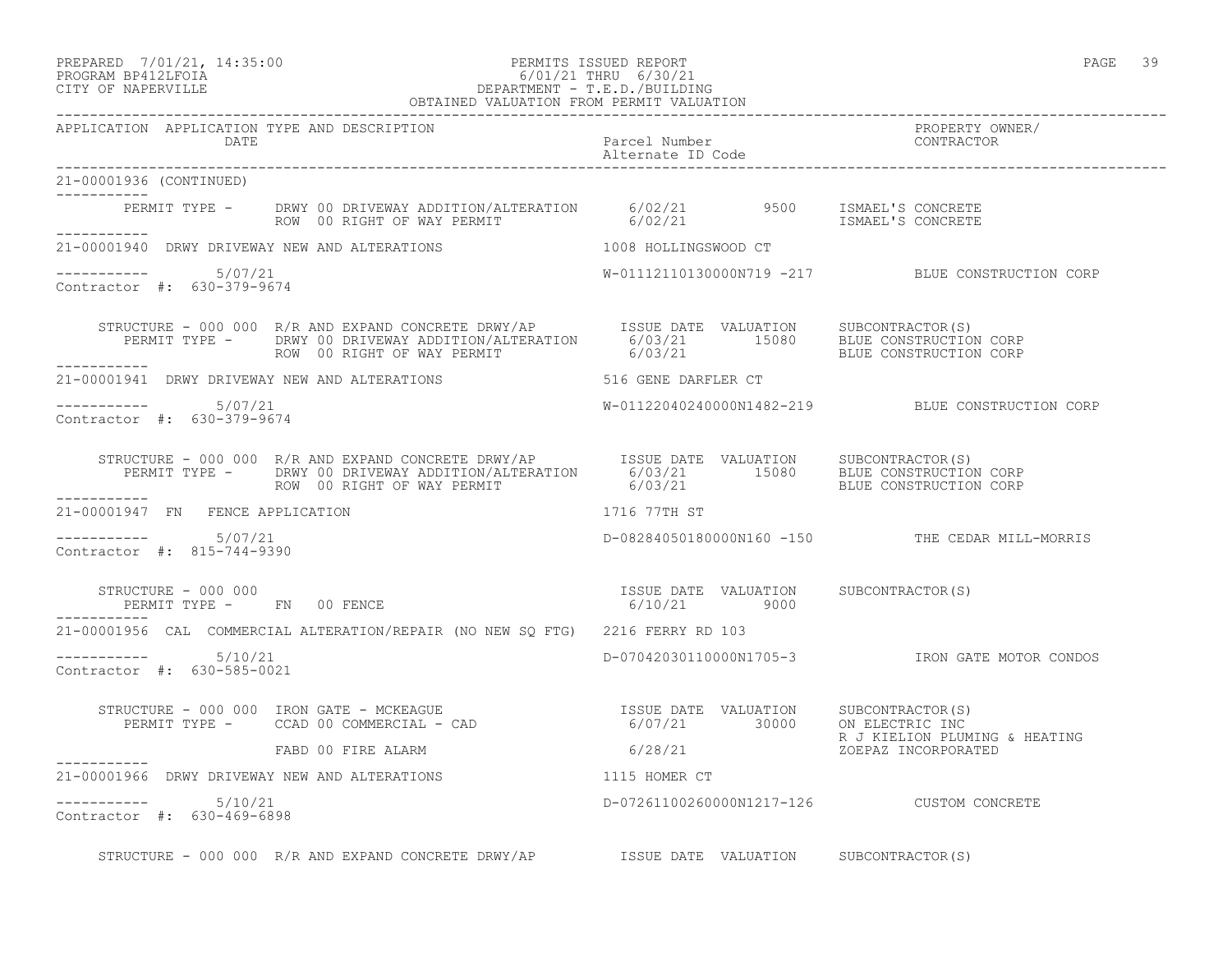#### PREPARED 7/01/21, 14:35:00 PERMITS ISSUED REPORT PAGE 39 PROGRAM BP412LFOIA 6/01/21 THRU 6/30/21 CITY OF NAPERVILLE DEPARTMENT - T.E.D./BUILDING DEPARTMENT - T.E.D./BUILDING<br>OBTAINED VALUATION FROM PERMIT VALUATION

| APPLICATION APPLICATION TYPE AND DESCRIPTION<br>DATE          |                                                                                                                                                                                                                                      | Parcel Number<br>Alternate ID Code | PROPERTY OWNER/<br>CONTRACTOR                                  |
|---------------------------------------------------------------|--------------------------------------------------------------------------------------------------------------------------------------------------------------------------------------------------------------------------------------|------------------------------------|----------------------------------------------------------------|
| 21-00001936 (CONTINUED)<br>____________                       |                                                                                                                                                                                                                                      |                                    |                                                                |
|                                                               | PERMIT TYPE - DRWY 00 DRIVEWAY ADDITION/ALTERATION 6/02/21 9500 ISMAEL'S CONCRETE<br>ROW 00 RIGHT OF WAY PERMIT 6/02/21 6/02/21 ISMAEL'S CONCRETE                                                                                    |                                    |                                                                |
|                                                               | 21-00001940 DRWY DRIVEWAY NEW AND ALTERATIONS 1008 HOLLINGSWOOD CT                                                                                                                                                                   |                                    |                                                                |
| $--------- 5/07/21$<br>Contractor #: 630-379-9674             |                                                                                                                                                                                                                                      |                                    | W-01112110130000N719 -217 BLUE CONSTRUCTION CORP               |
| ___________                                                   | STRUCTURE - 000 000 R/R AND EXPAND CONCRETE DRWY/AP      ISSUE DATE VALUATION     SUBCONTRACTOR(S)<br>PERMIT TYPE -      DRWY 00 DRIVEWAY ADDITION/ALTERATION       6/03/21        15080      BLUE CONSTRUCTION CORP<br>ROW 00 RIGHT |                                    |                                                                |
|                                                               | 21-00001941 DRWY DRIVEWAY NEW AND ALTERATIONS 516 GENE DARFLER CT                                                                                                                                                                    |                                    |                                                                |
| $--------- 5/07/21$<br>Contractor #: 630-379-9674             |                                                                                                                                                                                                                                      |                                    | W-01122040240000N1482-219 BLUE CONSTRUCTION CORP               |
|                                                               | STRUCTURE - 000 000 R/R AND EXPAND CONCRETE DRWY/AP    ISSUE DATE VALUATION SUBCONTRACTOR(S)<br>PERMIT TYPE - DRWY 00 DRIVEWAY ADDITION/ALTERATION 6/03/21 15080 BLUE CONSTRUCTION CORP<br>----------- ROW 00 RIGHT OF WAY PERMIT    |                                    |                                                                |
| 21-00001947 FN FENCE APPLICATION                              |                                                                                                                                                                                                                                      | 1716 77TH ST                       |                                                                |
| $--------- 5/07/21$<br>Contractor #: 815-744-9390             |                                                                                                                                                                                                                                      |                                    | D-08284050180000N160 -150 THE CEDAR MILL-MORRIS                |
| STRUCTURE - 000 000<br>PERMIT TYPE - FN 00 FENCE              | ISSUE DATE VALUATION SUBCONTRACTOR(S)<br>6/10/21 9000                                                                                                                                                                                |                                    |                                                                |
|                                                               | 21-00001956 CAL COMMERCIAL ALTERATION/REPAIR (NO NEW SO FTG) 2216 FERRY RD 103                                                                                                                                                       |                                    |                                                                |
| $--------- 5/10/21$<br>Contractor #: 630-585-0021             |                                                                                                                                                                                                                                      |                                    | D-07042030110000N1705-3 TRON GATE MOTOR CONDOS                 |
|                                                               | STRUCTURE - 000 000 IRON GATE - MCKEAGUE<br>PERMIT TYPE - CCAD 00 COMMERCIAL - CAD 00 COMMERCIAL - CAD 6/07/21 30000 ON ELECTRIC INC                                                                                                 |                                    |                                                                |
|                                                               | FABD 00 FIRE ALARM                                                                                                                                                                                                                   |                                    | R J KIELION PLUMING & HEATING<br>6/28/21 R J KIELION PLUMING & |
| ------------<br>21-00001966 DRWY DRIVEWAY NEW AND ALTERATIONS | 1115 HOMER CT                                                                                                                                                                                                                        |                                    |                                                                |
| $--------- 5/10/21$<br>Contractor #: 630-469-6898             |                                                                                                                                                                                                                                      |                                    | D-07261100260000N1217-126 CUSTOM CONCRETE                      |
|                                                               | STRUCTURE - 000 000 R/R AND EXPAND CONCRETE DRWY/AP  ISSUE DATE VALUATION SUBCONTRACTOR(S)                                                                                                                                           |                                    |                                                                |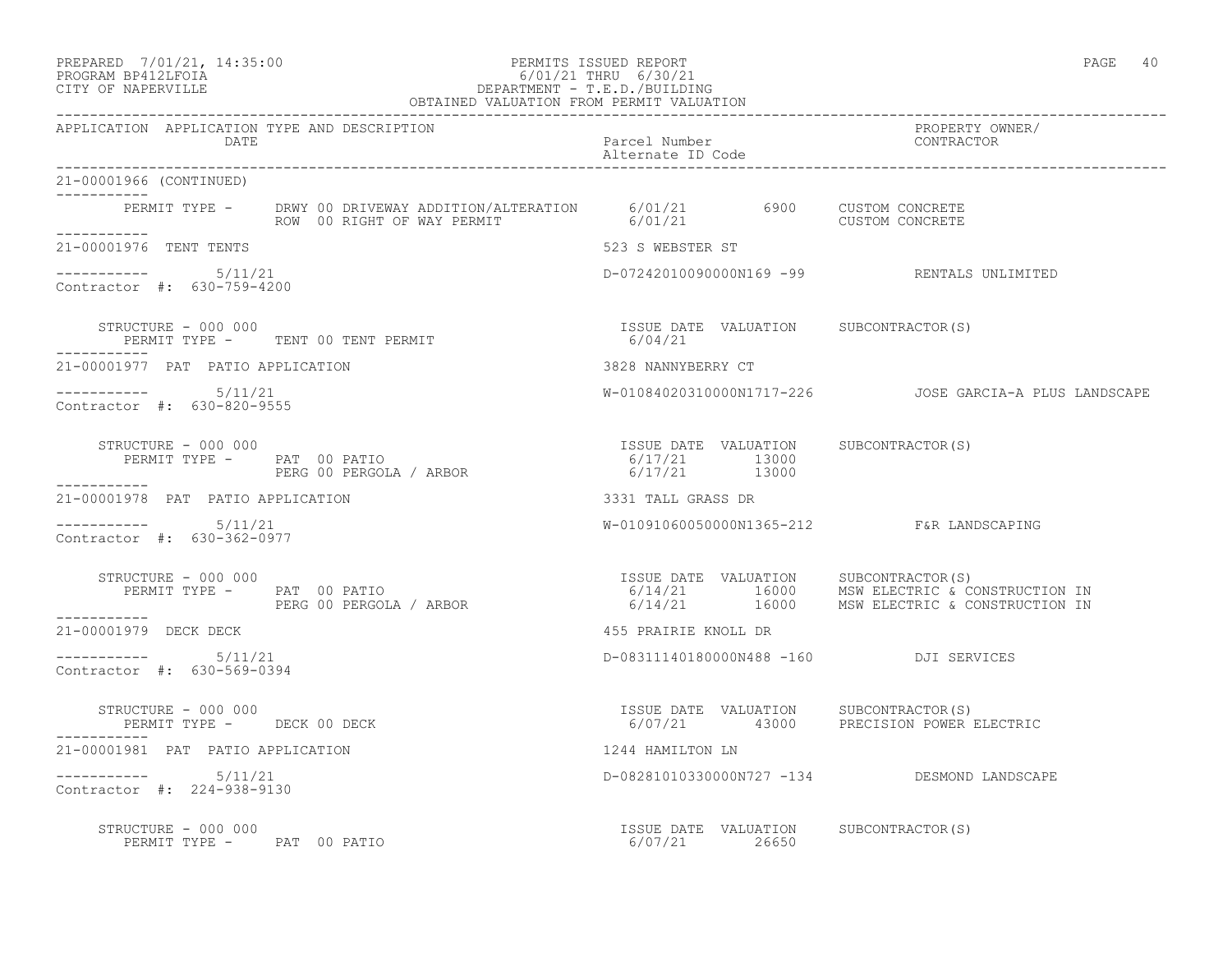# PREPARED 7/01/21, 14:35:00 PERMITS ISSUED REPORT PAGE 40<br>PROGRAM BP412LFOIA PAGE 40 PROGRAM BP412LFOIA 6/01/21 THRU 6/30/21 CITY OF NAPERVILLE DEPARTMENT - T.E.D./BUILDING

| OBTAINED VALUATION FROM PERMIT VALUATION                                                                                                                  |                                                                                 |                                                                                              |
|-----------------------------------------------------------------------------------------------------------------------------------------------------------|---------------------------------------------------------------------------------|----------------------------------------------------------------------------------------------|
| APPLICATION APPLICATION TYPE AND DESCRIPTION<br>DATE                                                                                                      | Parcel Number<br>Alternate ID Code                                              | PROPERTY OWNER/<br>CONTRACTOR                                                                |
| 21-00001966 (CONTINUED)<br>----------                                                                                                                     |                                                                                 |                                                                                              |
| PERMIT TYPE - DRWY 00 DRIVEWAY ADDITION/ALTERATION 6/01/21 6900 CUSTOM CONCRETE<br>ROW 00 RIGHT OF WAY PERMIT 6/01/21 6900 CUSTOM CONCRETE<br>___________ |                                                                                 |                                                                                              |
| 21-00001976 TENT TENTS                                                                                                                                    | 523 S WEBSTER ST                                                                |                                                                                              |
| $--------- 5/11/21$<br>Contractor #: 630-759-4200                                                                                                         | D-07242010090000N169 -99 RENTALS UNLIMITED                                      |                                                                                              |
| STRUCTURE - 000 000<br>PERMIT TYPE - TENT 00 TENT PERMIT                                                                                                  | ISSUE DATE VALUATION SUBCONTRACTOR(S)<br>6/04/21                                |                                                                                              |
| 21-00001977 PAT PATIO APPLICATION                                                                                                                         | 3828 NANNYBERRY CT                                                              |                                                                                              |
| $--------- 5/11/21$<br>Contractor #: 630-820-9555                                                                                                         |                                                                                 | W-01084020310000N1717-226  JOSE GARCIA-A PLUS LANDSCAPE                                      |
| STRUCTURE - 000 000<br>-----------                                                                                                                        |                                                                                 |                                                                                              |
| 21-00001978 PAT PATIO APPLICATION                                                                                                                         | 3331 TALL GRASS DR                                                              |                                                                                              |
| $--------- 5/11/21$<br>Contractor #: 630-362-0977                                                                                                         | W-01091060050000N1365-212 F&R LANDSCAPING                                       |                                                                                              |
| STRUCTURE - 000 000<br>PERMIT TYPE - PAT 00 PATIO<br>PERG 00 PERGOLA / ARBOR<br>STRUCTURE - 000 000<br>___________                                        | ISSUE DATE VALUATION SUBCONTRACTOR(S)                                           | 6/14/21 16000 MSW ELECTRIC & CONSTRUCTION IN<br>6/14/21 16000 MSW ELECTRIC & CONSTRUCTION IN |
| 21-00001979 DECK DECK                                                                                                                                     | 455 PRAIRIE KNOLL DR                                                            |                                                                                              |
| $--------- 5/11/21$<br>Contractor #: 630-569-0394                                                                                                         | D-08311140180000N488 -160 DJI SERVICES                                          |                                                                                              |
| STRUCTURE - 000 000<br>PERMIT TYPE - DECK 00 DECK                                                                                                         | ISSUE DATE VALUATION SUBCONTRACTOR(S)<br>6/07/21 43000 PRECISION POWER ELECTRIC |                                                                                              |
| 21-00001981 PAT PATIO APPLICATION                                                                                                                         | 1244 HAMILTON LN                                                                |                                                                                              |
| $--------- 5/11/21$<br>Contractor #: 224-938-9130                                                                                                         |                                                                                 | D-08281010330000N727 -134 DESMOND LANDSCAPE                                                  |
| STRUCTURE - 000 000                                                                                                                                       | ISSUE DATE VALUATION SUBCONTRACTOR(S)                                           |                                                                                              |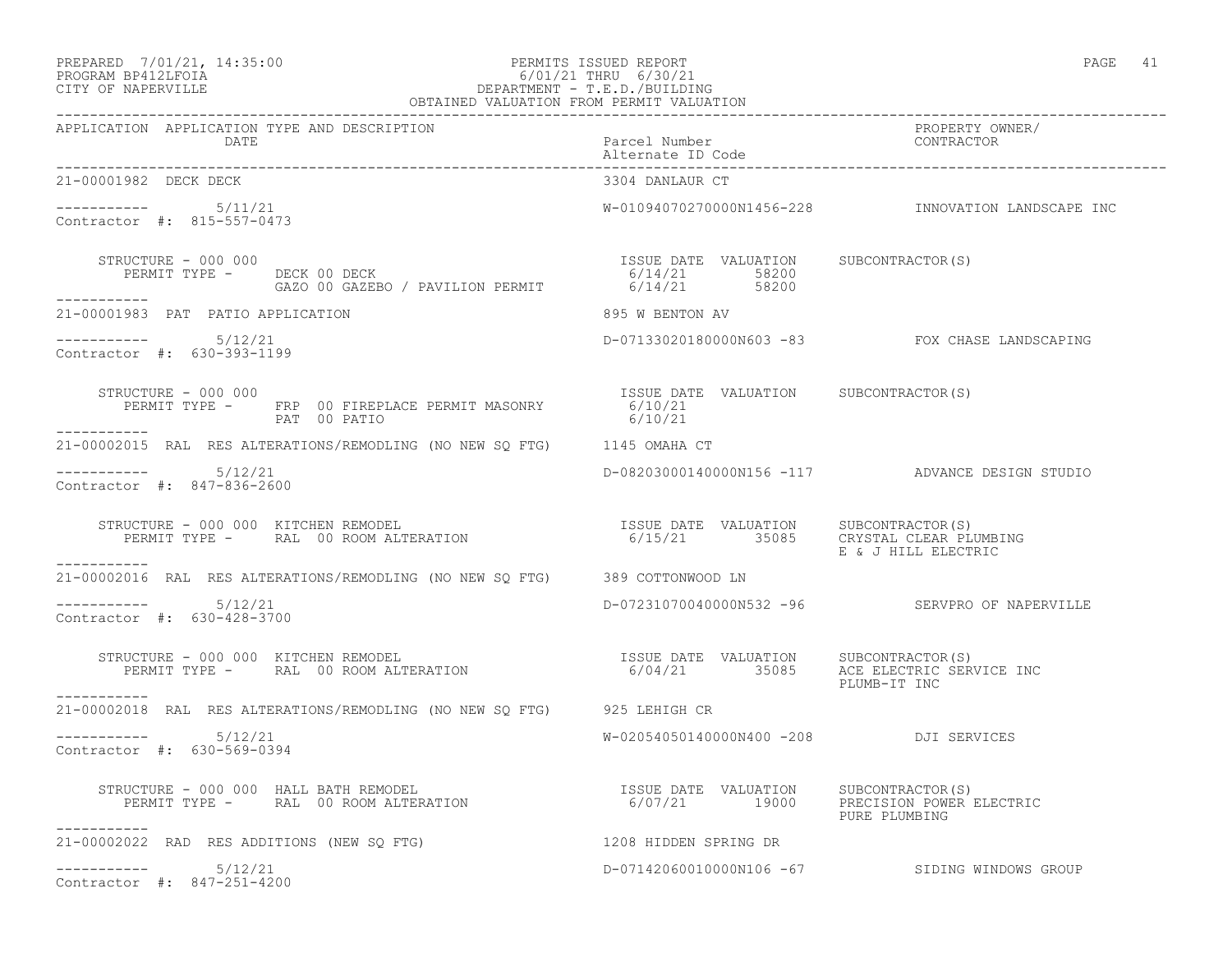# PREPARED 7/01/21, 14:35:00 PERMITS ISSUED REPORT PAGE 41 PROGRAM BP412LFOIA 6/01/21 THRU 6/30/21 CITY OF NAPERVILLE DEPARTMENT - T.E.D./BUILDING

| OBTAINED VALUATION FROM PERMIT VALUATION                                                                                                                                                                                                                                                 |                                        |                                                    |  |
|------------------------------------------------------------------------------------------------------------------------------------------------------------------------------------------------------------------------------------------------------------------------------------------|----------------------------------------|----------------------------------------------------|--|
| APPLICATION APPLICATION TYPE AND DESCRIPTION<br>DATE                                                                                                                                                                                                                                     | Parcel Number<br>Alternate ID Code     | PROPERTY OWNER/<br>CONTRACTOR                      |  |
| 21-00001982 DECK DECK                                                                                                                                                                                                                                                                    | 3304 DANLAUR CT                        |                                                    |  |
| -----------    5/11/21<br>Contractor #: 815-557-0473                                                                                                                                                                                                                                     |                                        | W-01094070270000N1456-228 INNOVATION LANDSCAPE INC |  |
| STRUCTURE - 000 000<br>__________                                                                                                                                                                                                                                                        |                                        |                                                    |  |
| 21-00001983 PAT PATIO APPLICATION                                                                                                                                                                                                                                                        | 895 W BENTON AV                        |                                                    |  |
| -----------    5/12/21<br>Contractor #: 630-393-1199                                                                                                                                                                                                                                     |                                        | D-07133020180000N603 -83 FOX CHASE LANDSCAPING     |  |
| STRUCTURE - 000 000<br>STRUCTURE - 000 000<br>PERMIT TYPE - FRP 00 FIREPLACE PERMIT MASONRY 6/10/21<br>6/10/21                                                                                                                                                                           | ISSUE DATE VALUATION SUBCONTRACTOR(S)  |                                                    |  |
| 21-00002015 RAL RES ALTERATIONS/REMODLING (NO NEW SQ FTG) 1145 OMAHA CT                                                                                                                                                                                                                  |                                        |                                                    |  |
| $--------$ 5/12/21<br>Contractor #: 847-836-2600                                                                                                                                                                                                                                         |                                        | D-08203000140000N156 -117 ADVANCE DESIGN STUDIO    |  |
| $\begin{array}{cccc} \texttt{STRUCTURE} - 000 000 & \texttt{KITCHEN REMOPEL} & \texttt{SUSUE} \texttt{DATE} & \texttt{VALUATION} & \texttt{SUBCONTRACTOR(S)} \\ \texttt{PERMIT TYPE} - \texttt{RAL} & 00 ROM ALTERATION & 6/15/21 & 35085 & \texttt{CRYSTAL CLEAR PLUMBING} \end{array}$ |                                        | E & J HILL ELECTRIC                                |  |
| ___________<br>21-00002016 RAL RES ALTERATIONS/REMODLING (NO NEW SO FTG) 389 COTTONWOOD LN                                                                                                                                                                                               |                                        |                                                    |  |
| $--------- 5/12/21$<br>Contractor #: 630-428-3700                                                                                                                                                                                                                                        |                                        | D-07231070040000N532 -96 SERVPRO OF NAPERVILLE     |  |
| STRUCTURE - 000 000 KITCHEN REMODEL<br>PERMIT TYPE - RAL 00 ROOM ALTERATION - 1990 1991 - 1991 1992 1993 1994/21<br>PERMIT TYPE - RAL 00 ROOM ALTERATION - 1991 1992 1994/21<br>___________                                                                                              |                                        | PLUMB-IT INC                                       |  |
| 21-00002018 RAL RES ALTERATIONS/REMODLING (NO NEW SQ FTG) 925 LEHIGH CR                                                                                                                                                                                                                  |                                        |                                                    |  |
| $--------$ 5/12/21<br>Contractor #: 630-569-0394                                                                                                                                                                                                                                         | W-02054050140000N400 -208 DJI SERVICES |                                                    |  |
| RUCTURE – 000 000 HALL BATH REMODEL<br>PERMIT TYPE – RAL 00 ROOM ALTERATION – 6/07/21 19000 PRECISION POWER ELECTRIC<br>STRUCTURE - 000 000 HALL BATH REMODEL                                                                                                                            |                                        | PURE PLUMBING                                      |  |
| 21-00002022 RAD RES ADDITIONS (NEW SQ FTG) 1208 HIDDEN SPRING DR                                                                                                                                                                                                                         |                                        |                                                    |  |
| 5/12/21<br>Contractor #: 847-251-4200                                                                                                                                                                                                                                                    |                                        | D-07142060010000N106 -67 SIDING WINDOWS GROUP      |  |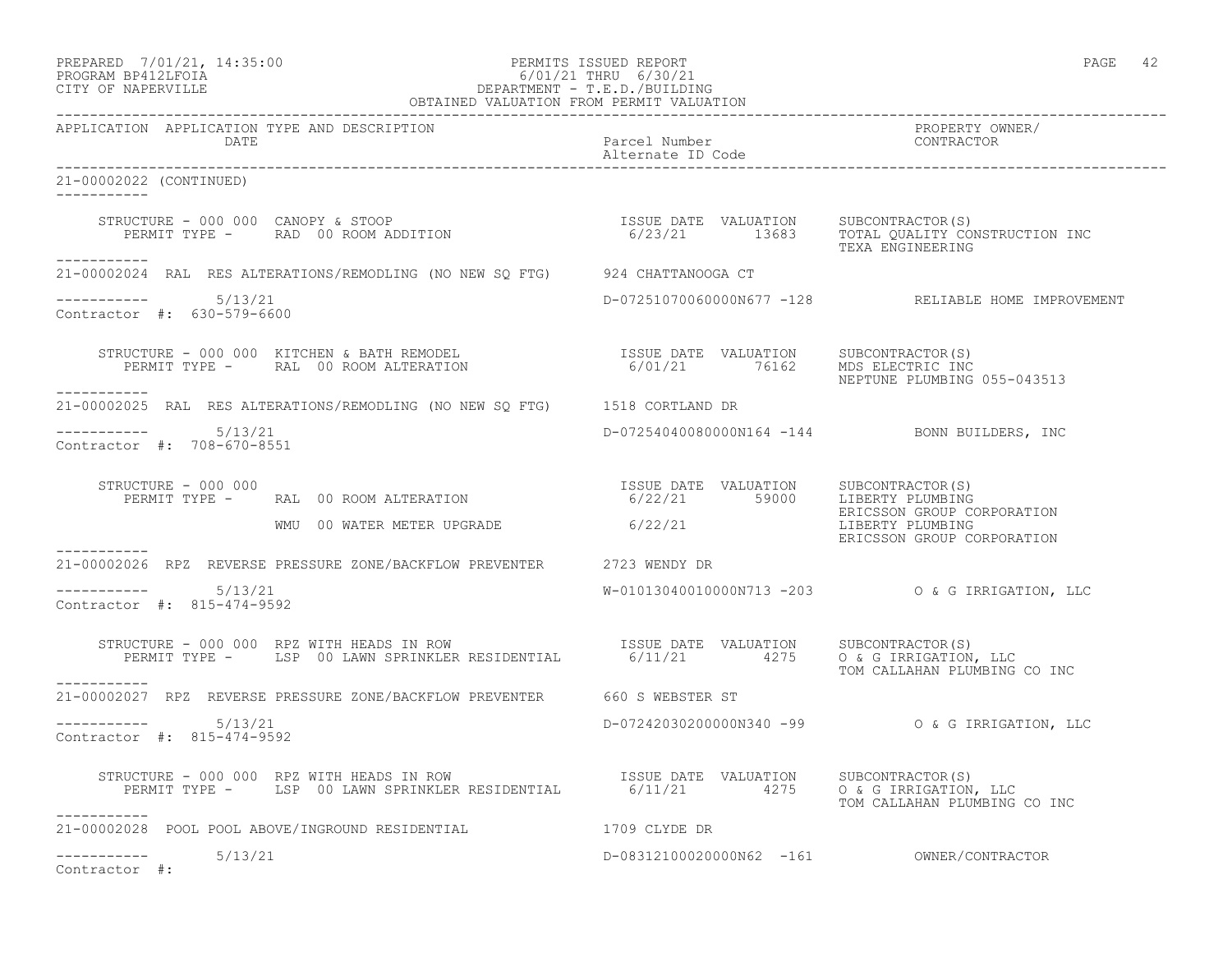# PREPARED 7/01/21, 14:35:00 PERMITS ISSUED REPORT PAGE 42 PROGRAM BP412LFOIA 6/01/21 THRU 6/30/21 CITY OF NAPERVILLE DEPARTMENT - T.E.D./BUILDING

| OBTAINED VALUATION FROM PERMIT VALUATION                                                                                                                                                                                                                                                                                                                                                                                                  |                                                                                                                                                                                                                                  |                                                     |
|-------------------------------------------------------------------------------------------------------------------------------------------------------------------------------------------------------------------------------------------------------------------------------------------------------------------------------------------------------------------------------------------------------------------------------------------|----------------------------------------------------------------------------------------------------------------------------------------------------------------------------------------------------------------------------------|-----------------------------------------------------|
| APPLICATION APPLICATION TYPE AND DESCRIPTION<br><b>DATE</b>                                                                                                                                                                                                                                                                                                                                                                               | essential de la partida de la partida de la partida de la partida de la partida de la partida de la partida de<br>La partida de la partida de la partida de la partida de la partida de la partida de la partida de la partida d | PROPERTY OWNER/<br>CONTRACTOR                       |
| 21-00002022 (CONTINUED)<br>-----------                                                                                                                                                                                                                                                                                                                                                                                                    |                                                                                                                                                                                                                                  |                                                     |
| STRUCTURE - 000 000 CANOPY & STOOP                                  ISSUE DATE VALUATION     SUBCONTRACTOR(S)<br>PERMIT TYPE -     RAD 00 ROOM ADDITION                             6/23/21       13683     TOTAL QUALITY CONSTRU<br>___________                                                                                                                                                                                          |                                                                                                                                                                                                                                  | TEXA ENGINEERING                                    |
| 21-00002024 RAL RES ALTERATIONS/REMODLING (NO NEW SQ FTG) 924 CHATTANOOGA CT                                                                                                                                                                                                                                                                                                                                                              |                                                                                                                                                                                                                                  |                                                     |
| -----------    5/13/21<br>Contractor #: 630-579-6600                                                                                                                                                                                                                                                                                                                                                                                      |                                                                                                                                                                                                                                  | D-07251070060000N677 -128 RELIABLE HOME IMPROVEMENT |
| $\begin{tabular}{lllllllllllll} \multicolumn{4}{c}{\textbf{STRUCTURE}}&-&000&000&\textbf{KITCHEN}&\&\textbf{BATH}\texttt{REMODEL}&\textbf{SUE} &\textbf{DATE}&\textbf{VALUATION}&\textbf{SUBCONTRACTOR(S)}\\ &\textbf{PERMIT}\texttt{TYPE}&-&\textbf{RAL}&00\texttt{ ROOTALTERATION}&\textbf{SUE} &\textbf{SUE}&0000&\textbf{SUE} &\textbf{SUE}&0000&\textbf{SUE}&0000\\ \multicolumn{4}{c}{\textbf{DRTC}}&0000&0000&0000$<br>___________ |                                                                                                                                                                                                                                  | NEPTUNE PLUMBING 055-043513                         |
| 21-00002025 RAL RES ALTERATIONS/REMODLING (NO NEW SQ FTG) 1518 CORTLAND DR                                                                                                                                                                                                                                                                                                                                                                |                                                                                                                                                                                                                                  |                                                     |
| Contractor #: 708-670-8551                                                                                                                                                                                                                                                                                                                                                                                                                |                                                                                                                                                                                                                                  | D-07254040080000N164 -144 BONN BUILDERS, INC        |
| STRUCTURE - 000 000<br>PERMIT TYPE - RAL 00 ROOM ALTERATION                                                                                                                                                                                                                                                                                                                                                                               | ISSUE DATE VALUATION SUBCONTRACTOR(S)<br>6/22/21 59000 LIBERTY PLUMBING                                                                                                                                                          | ERICSSON GROUP CORPORATION                          |
| WMU 00 WATER METER UPGRADE 6/22/21                                                                                                                                                                                                                                                                                                                                                                                                        |                                                                                                                                                                                                                                  | LIBERTY PLUMBING<br>ERICSSON GROUP CORPORATION      |
| 21-00002026 RPZ REVERSE PRESSURE ZONE/BACKFLOW PREVENTER 2723 WENDY DR                                                                                                                                                                                                                                                                                                                                                                    |                                                                                                                                                                                                                                  |                                                     |
| -----------    5/13/21<br>Contractor #: 815-474-9592                                                                                                                                                                                                                                                                                                                                                                                      |                                                                                                                                                                                                                                  | W-01013040010000N713 -203 0 & G IRRIGATION, LLC     |
| STRUCTURE - 000 000 RPZ WITH HEADS IN ROW<br>PERMIT TYPE - LSP 00 LAWN SPRINKLER RESIDENTIAL 6/11/21 4275 0 & G IRRIGATION, LLC<br>-----------                                                                                                                                                                                                                                                                                            |                                                                                                                                                                                                                                  | TOM CALLAHAN PLUMBING CO INC                        |
| 21-00002027 RPZ REVERSE PRESSURE ZONE/BACKFLOW PREVENTER 660 S WEBSTER ST                                                                                                                                                                                                                                                                                                                                                                 |                                                                                                                                                                                                                                  |                                                     |
| Contractor #: 815-474-9592                                                                                                                                                                                                                                                                                                                                                                                                                |                                                                                                                                                                                                                                  |                                                     |
| STRUCTURE - 000 000 RPZ WITH HEADS IN ROW<br>PERMIT TYPE - LSP 00 LAWN SPRINKLER RESIDENTIAL 6/11/21 4275 0 & G IRRIGATION, LLC                                                                                                                                                                                                                                                                                                           |                                                                                                                                                                                                                                  | TOM CALLAHAN PLUMBING CO INC                        |
| 21-00002028 POOL POOL ABOVE/INGROUND RESIDENTIAL THE REAL THAT THE DR                                                                                                                                                                                                                                                                                                                                                                     |                                                                                                                                                                                                                                  |                                                     |
| 5/13/21<br>Contractor #:                                                                                                                                                                                                                                                                                                                                                                                                                  |                                                                                                                                                                                                                                  | D-08312100020000N62 -161 OWNER/CONTRACTOR           |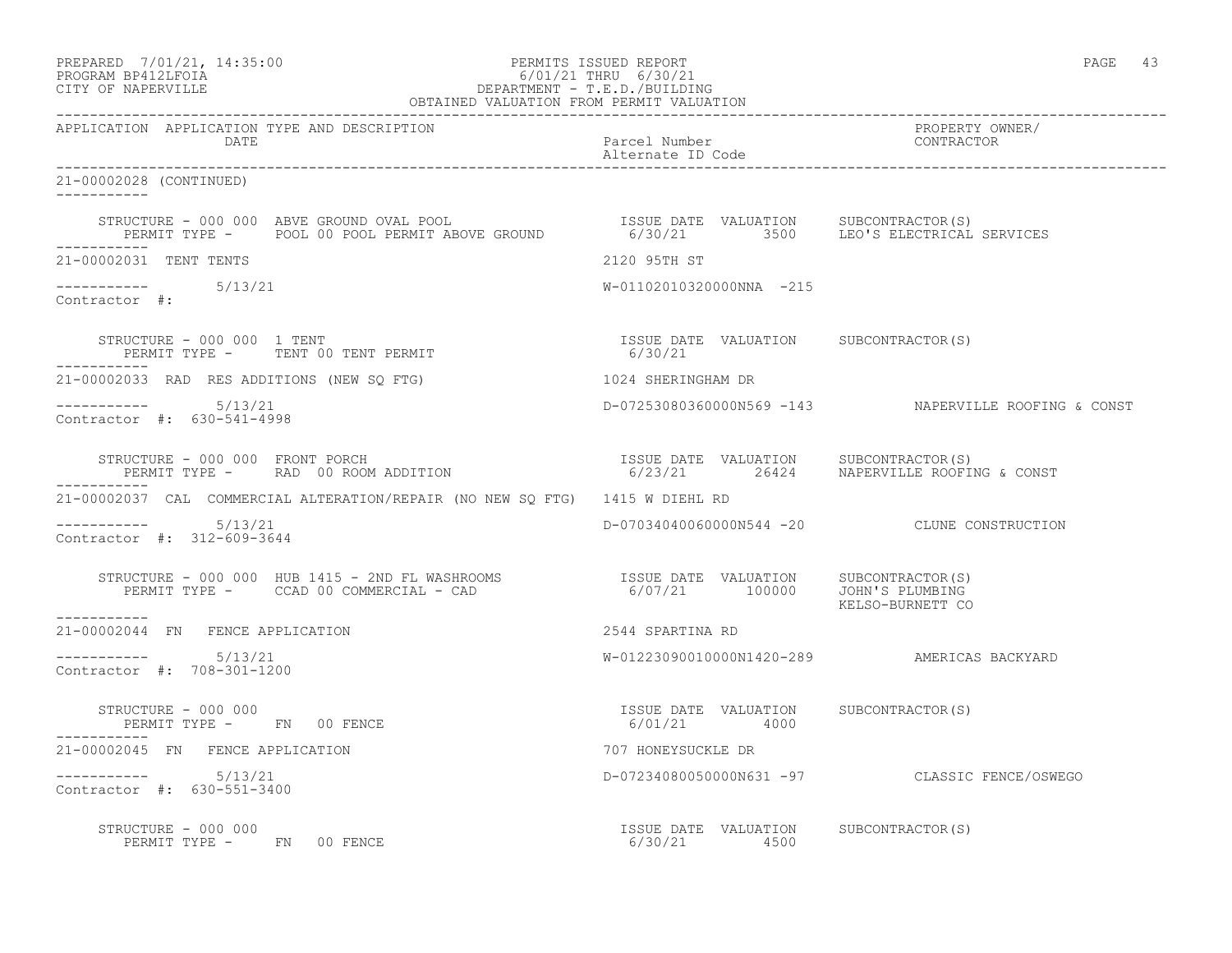PREPARED 7/01/21, 14:35:00 PERMITS ISSUED REPORT PAGE 43

# PROGRAM BP412LFOIA 6/01/21 THRU 6/30/21 CITY OF NAPERVILLE DEPARTMENT - T.E.D./BUILDING

| OBTAINED VALUATION FROM PERMIT VALUATION                                                                                                                                                                                                  |                                                       |                                                      |  |
|-------------------------------------------------------------------------------------------------------------------------------------------------------------------------------------------------------------------------------------------|-------------------------------------------------------|------------------------------------------------------|--|
| APPLICATION APPLICATION TYPE AND DESCRIPTION<br>DATE                                                                                                                                                                                      | Parcel Number<br>Alternate ID Code                    | PROPERTY OWNER/<br>CONTRACTOR                        |  |
| 21-00002028 (CONTINUED)                                                                                                                                                                                                                   |                                                       |                                                      |  |
| STRUCTURE - 000 000 ABVE GROUND OVAL POOL (ISSUE DATE VALUATION SUBCONTRACTOR(S)<br>PERMIT TYPE -    POOL 00 POOL PERMIT ABOVE GROUND             6/30/21         3500     LEO'S ELECTRICAL SERVICES                                      |                                                       |                                                      |  |
| 21-00002031 TENT TENTS                                                                                                                                                                                                                    | 2120 95TH ST                                          |                                                      |  |
| $--------$ 5/13/21<br>Contractor #:                                                                                                                                                                                                       | W-01102010320000NNA -215                              |                                                      |  |
| STRUCTURE - 000 000 1 TENT<br>PERMIT TYPE - TENT 00 TENT PERMIT<br>------------                                                                                                                                                           | ISSUE DATE VALUATION SUBCONTRACTOR(S)<br>6/30/21      |                                                      |  |
| 21-00002033 RAD RES ADDITIONS (NEW SQ FTG)                                                                                                                                                                                                | 1024 SHERINGHAM DR                                    |                                                      |  |
| $--------- 5/13/21$<br>Contractor #: 630-541-4998                                                                                                                                                                                         |                                                       | D-07253080360000N569 -143 NAPERVILLE ROOFING & CONST |  |
| STRUCTURE – 000 000 FRONT PORCH<br>PERMIT TYPE –    RAD 00 ROOM ADDITION                               6/23/21     26424    NAPERVILLE ROOFING & CONST                                                                                    |                                                       |                                                      |  |
| 21-00002037 CAL COMMERCIAL ALTERATION/REPAIR (NO NEW SO FTG) 1415 W DIEHL RD                                                                                                                                                              |                                                       |                                                      |  |
| $--------- 5/13/21$<br>Contractor #: 312-609-3644                                                                                                                                                                                         |                                                       | D-07034040060000N544 -20 CLUNE CONSTRUCTION          |  |
| STRUCTURE - 000 000 HUB 1415 - 2ND FL WASHROOMS                 ISSUE DATE VALUATION      SUBCONTRACTOR(S)<br>PERMIT TYPE -       CCAD 00 COMMERCIAL - CAD                         6/07/21       100000     JOHN'S PLUMBING<br>__________ |                                                       | KELSO-BURNETT CO                                     |  |
| 21-00002044 FN FENCE APPLICATION                                                                                                                                                                                                          | 2544 SPARTINA RD                                      |                                                      |  |
| $--------- 5/13/21$<br>Contractor #: 708-301-1200                                                                                                                                                                                         | W-01223090010000N1420-289 AMERICAS BACKYARD           |                                                      |  |
| STRUCTURE - 000 000<br>PERMIT TYPE - FN 00 FENCE                                                                                                                                                                                          | ISSUE DATE VALUATION SUBCONTRACTOR(S)<br>6/01/21 4000 |                                                      |  |
| 21-00002045 FN FENCE APPLICATION                                                                                                                                                                                                          | 707 HONEYSUCKLE DR                                    |                                                      |  |
| $--------- 5/13/21$<br>Contractor #: 630-551-3400                                                                                                                                                                                         |                                                       | D-07234080050000N631 -97 CLASSIC FENCE/OSWEGO        |  |
| STRUCTURE - 000 000<br>PERMIT TYPE - FN 00 FENCE                                                                                                                                                                                          | ISSUE DATE VALUATION SUBCONTRACTOR(S)<br>6/30/21 4500 |                                                      |  |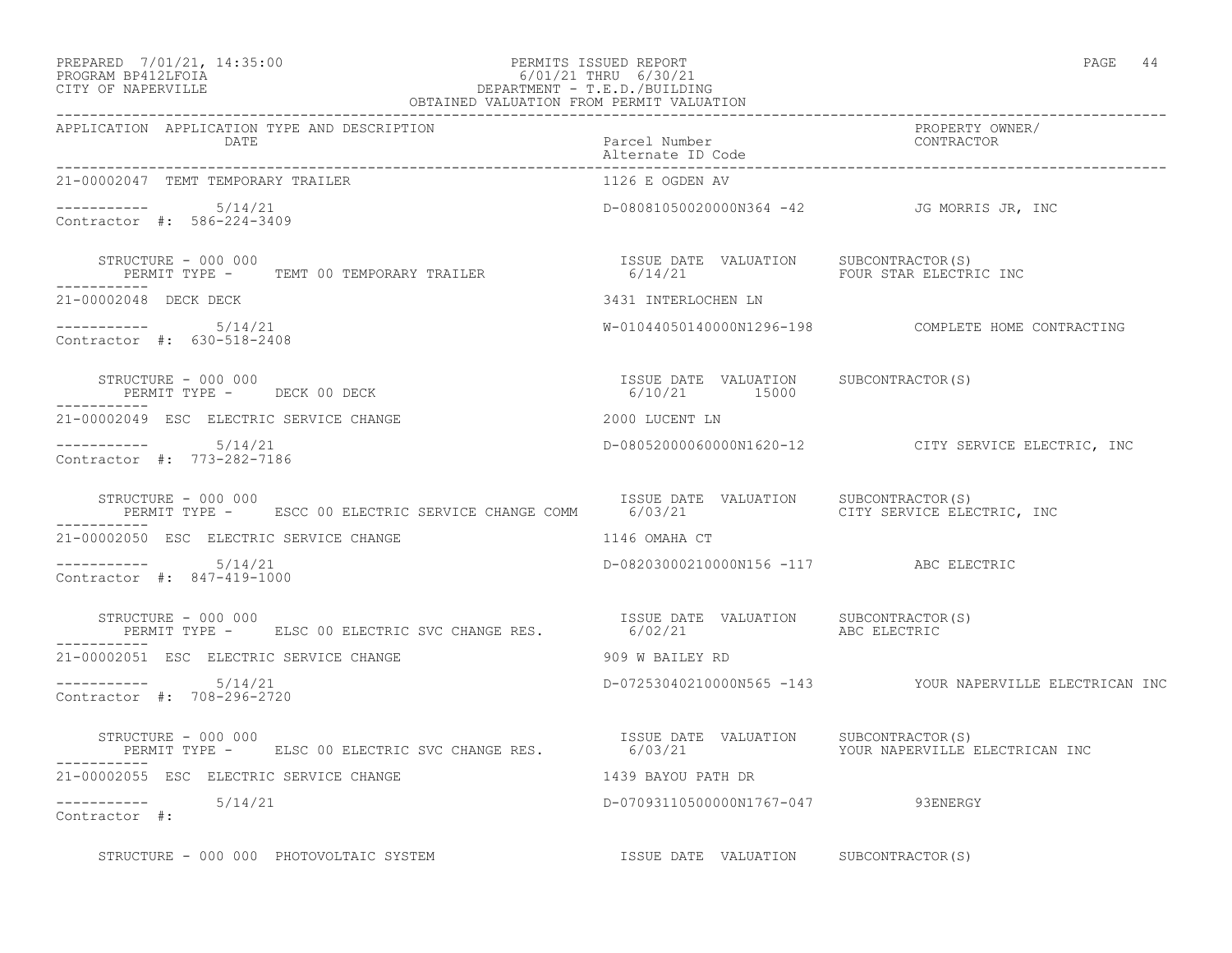# PREPARED 7/01/21, 14:35:00 PERMITS ISSUED REPORT PAGE 44 PROGRAM BP412LFOIA 6/01/21 THRU 6/30/21 CITY OF NAPERVILLE DEPARTMENT - T.E.D./BUILDING

| $\cdot$ .<br>$\sqrt{2}$<br>×<br>× |  |
|-----------------------------------|--|
|-----------------------------------|--|

| OBTAINED VALUATION FROM PERMIT VALUATION                                                                                                             |                                                        |                                                          |
|------------------------------------------------------------------------------------------------------------------------------------------------------|--------------------------------------------------------|----------------------------------------------------------|
| APPLICATION APPLICATION TYPE AND DESCRIPTION<br>DATE                                                                                                 | Parcel Number<br>Alternate ID Code                     | PROPERTY OWNER/<br>CONTRACTOR                            |
| 21-00002047 TEMT TEMPORARY TRAILER                                                                                                                   | 1126 E OGDEN AV                                        |                                                          |
| Contractor #: 586-224-3409                                                                                                                           |                                                        | D-08081050020000N364 -42 JG MORRIS JR, INC               |
| STRUCTURE - 000 000<br>PERMIT TYPE -     TEMT 00 TEMPORARY TRAILER                            6/14/21                         FOUR STAR ELECTRIC INC |                                                        |                                                          |
| 21-00002048 DECK DECK                                                                                                                                | 3431 INTERLOCHEN LN                                    |                                                          |
| $--------- 5/14/21$<br>Contractor #: 630-518-2408                                                                                                    |                                                        | W-01044050140000N1296-198    COMPLETE HOME CONTRACTING   |
| STRUCTURE - 000 000<br>PERMIT TYPE - DECK 00 DECK                                                                                                    | ISSUE DATE VALUATION SUBCONTRACTOR(S)<br>6/10/21 15000 |                                                          |
| 21-00002049 ESC ELECTRIC SERVICE CHANGE                                                                                                              | 2000 LUCENT LN                                         |                                                          |
| -----------     5/14/21<br>Contractor #: 773-282-7186                                                                                                |                                                        | D-08052000060000N1620-12 CITY SERVICE ELECTRIC, INC      |
| STRUCTURE - 000 000                                                                                                                                  | ISSUE DATE VALUATION SUBCONTRACTOR(S)                  |                                                          |
| 21-00002050 ESC ELECTRIC SERVICE CHANGE<br>1146 OMAHA CT                                                                                             |                                                        |                                                          |
| $--------- 5/14/21$<br>Contractor #: 847-419-1000                                                                                                    | D-08203000210000N156 -117 ABC ELECTRIC                 |                                                          |
| STRUCTURE - 000 000<br>PERMIT TYPE - ELSC 00 ELECTRIC SVC CHANGE RES. 6/02/21 ABC ELECTRIC                                                           | ISSUE DATE VALUATION SUBCONTRACTOR(S)                  |                                                          |
| 21-00002051 ESC ELECTRIC SERVICE CHANGE                                                                                                              | 909 W BAILEY RD                                        |                                                          |
| $--------- 5/14/21$<br>Contractor #: 708-296-2720                                                                                                    |                                                        | D-07253040210000N565 -143 YOUR NAPERVILLE ELECTRICAN INC |
| STRUCTURE - 000 000<br>PERMIT TYPE - ELSC 00 ELECTRIC SVC CHANGE RES.                                                                                | ISSUE DATE VALUATION SUBCONTRACTOR (S)                 |                                                          |
| 21-00002055 ESC ELECTRIC SERVICE CHANGE                                                                                                              | 1439 BAYOU PATH DR                                     |                                                          |
| $--------- 5/14/21$<br>Contractor #:                                                                                                                 | D-07093110500000N1767-047 93ENERGY                     |                                                          |
| STRUCTURE - 000 000 PHOTOVOLTAIC SYSTEM                                                                                                              | ISSUE DATE VALUATION SUBCONTRACTOR(S)                  |                                                          |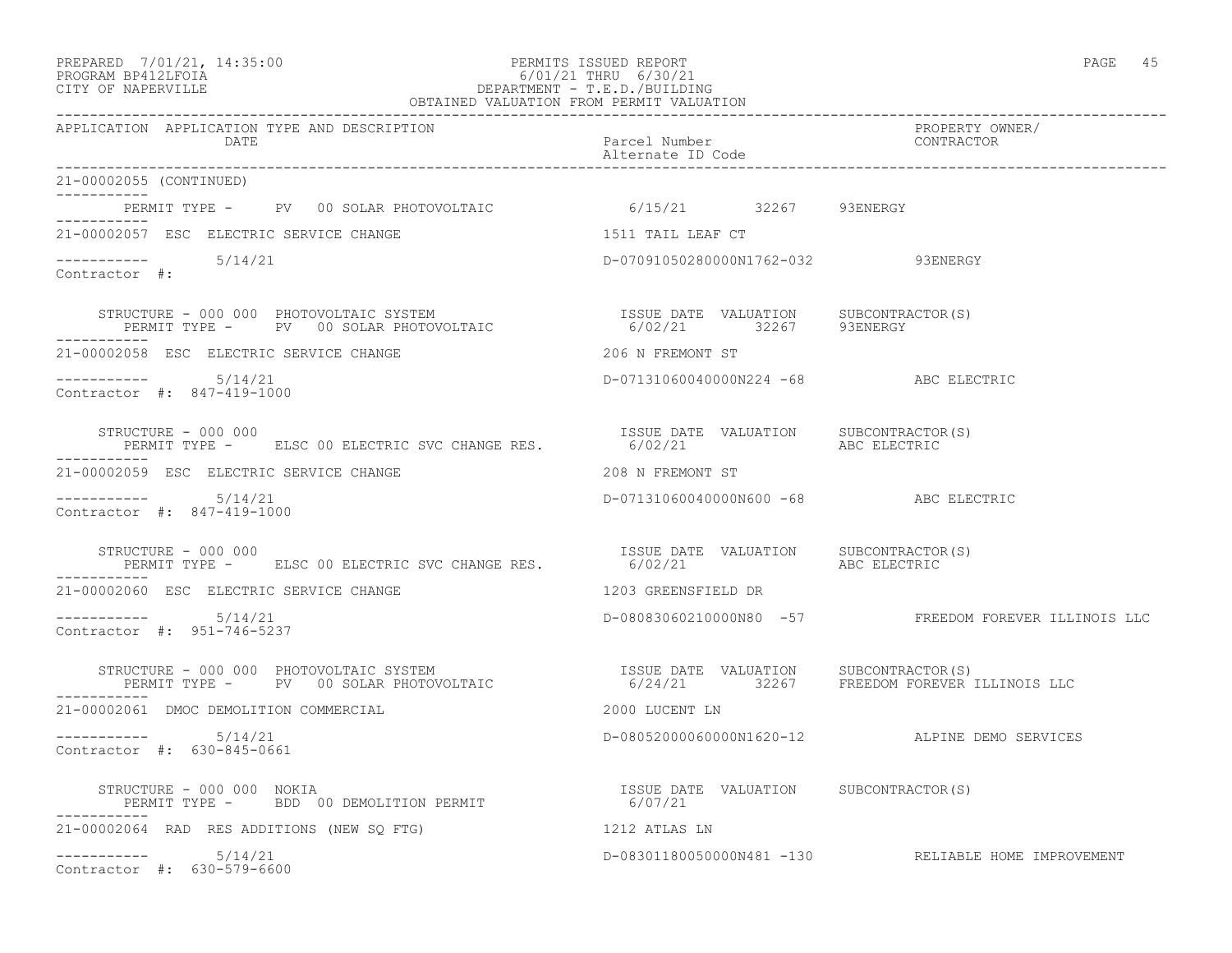#### PREPARED 7/01/21, 14:35:00 PERMITS ISSUED REPORT PAGE 45 PROGRAM BP412LFOIA 6/01/21 THRU 6/30/21 CITY OF NAPERVILLE DEPARTMENT - T.E.D./BUILDING OBTAINED VALUATION FROM PERMIT VALUATION

------------------------------------------------------------------------------------------------------------------------------------ APPLICATION APPLICATION TYPE AND DESCRIPTION PROPERTY OWNER/ DATE **Parcel Number** Parcel Number Contractor of the Parcel Number of the Parcel Number of the Parcel Number of the Parcel Number of the Parcel Number of the Parcel Number of the Parcel Number of the Parcel Number of the P Alternate ID Code ------------------------------------------------------------------------------------------------------------------------------------ 21-00002055 (CONTINUED) ----------- PERMIT TYPE - PV 00 SOLAR PHOTOVOLTAIC 6/15/21 32267 93ENERGY ----------- 21-00002057 ESC ELECTRIC SERVICE CHANGE 1511 TAIL LEAF CT  $--------- 5/14/21$ D-07091050280000N1762-032 93ENERGY Contractor #: STRUCTURE - 000 000 PHOTOVOLTAIC SYSTEM ISSUE DATE VALUATION SUBCONTRACTOR(S) PERMIT TYPE - PV 00 SOLAR PHOTOVOLTAIC 6/02/21 32267 93ENERGY ----------- 21-00002058 ESC ELECTRIC SERVICE CHANGE 206 N FREMONT ST ----------- 5/14/21 D-07131060040000N224 -68 ABC ELECTRIC Contractor #: 847-419-1000 STRUCTURE - 000 000 ISSUE DATE VALUATION SUBCONTRACTOR(S) PERMIT TYPE - ELSC 00 ELECTRIC SVC CHANGE RES. ----------- 21-00002059 ESC ELECTRIC SERVICE CHANGE 208 N FREMONT ST ----------- 5/14/21 D-07131060040000N600 -68 ABC ELECTRIC Contractor #: 847-419-1000 STRUCTURE - 000 000 ISSUE DATE VALUATION SUBCONTRACTOR(S) PERMIT TYPE - ELSC 00 ELECTRIC SVC CHANGE RES. 6/02/21 ABC ELECTRIC ----------- 21-00002060 ESC ELECTRIC SERVICE CHANGE 1203 GREENSFIELD DR ----------- 5/14/21 D-08083060210000N80 -57 FREEDOM FOREVER ILLINOIS LLC Contractor #: 951-746-5237 STRUCTURE - 000 000 PHOTOVOLTAIC SYSTEM ISSUE DATE VALUATION SUBCONTRACTOR(S) PERMIT TYPE - PV 00 SOLAR PHOTOVOLTAIC 6/24/21 32267 FREEDOM FOREVER ILLINOIS LLC ----------- 21-00002061 DMOC DEMOLITION COMMERCIAL 2000 LUCENT LN ----------- 5/14/21 D-08052000060000N1620-12 ALPINE DEMO SERVICES Contractor #: 630-845-0661 STRUCTURE - 000 000 NOKIA ISSUE DATE VALUATION SUBCONTRACTOR(S) PERMIT TYPE - BDD 00 DEMOLITION PERMIT ----------- 21-00002064 RAD RES ADDITIONS (NEW SQ FTG) 1212 ATLAS LN ----------- 5/14/21 D-08301180050000N481 -130 RELIABLE HOME IMPROVEMENT Contractor #: 630-579-6600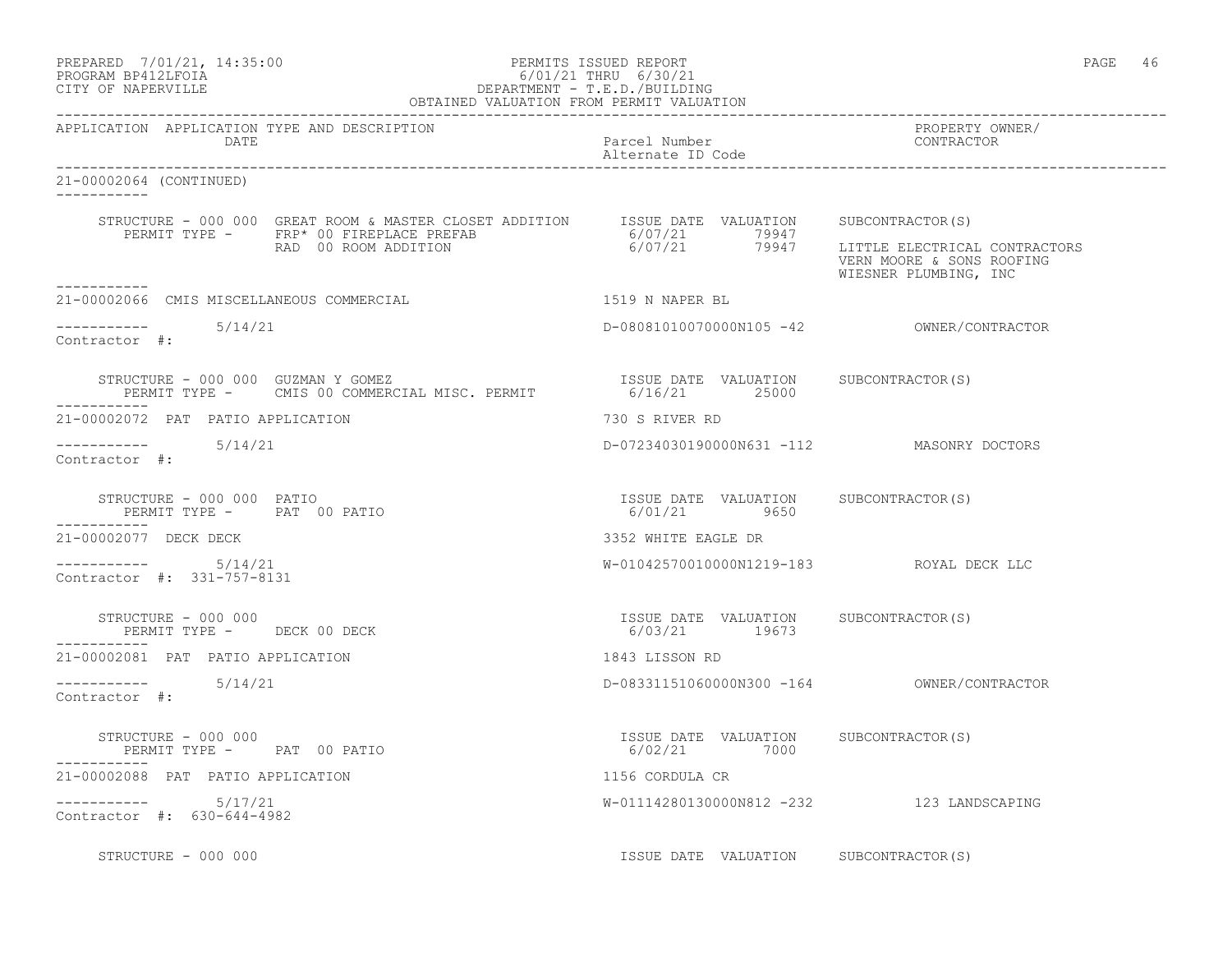| PREPARED | 7/01/21, 14:35:00  |  |
|----------|--------------------|--|
|          | PROGRAM RP412LFOIA |  |

#### PERMITS ISSUED REPORT AND SERVED REPORT AND SERVED ON A SERVED ON THE REPORT OF A SERVED ON A SERVED ON A SERVED ON A SERVED ON A SERVED ON A SERVED ON A SERVED ON A SERVED ON A SERVED ON A SERVED ON A SERVED ON A SERVED O PROGRAM BP412LFOIA 6/01/21 THRU 6/30/21 DEPARTMENT - T.E.D./BUILDING OBTAINED VALUATION FROM PERMIT VALUATION

------------------------------------------------------------------------------------------------------------------------------------ APPLICATION APPLICATION TYPE AND DESCRIPTION PROPERTY OWNER/ DATE Parcel Number Contractor Contractor Contractor Parcel Number Alternate ID Code ------------------------------------------------------------------------------------------------------------------------------------ 21-00002064 (CONTINUED) ----------- STRUCTURE - 000 000 GREAT ROOM & MASTER CLOSET ADDITION ISSUE DATE VALUATION SUBCONTRACTOR(S)<br>PERMIT TYPE - FRP\* 00 FIREPLACE PREFAB 6/07/21 79947 LITTLE ELECTRICA:<br>RAD 00 ROOM ADDITION 6/07/21 79947 LITTLE ELECTRICA: PERMIT TYPE - FRP\* 00 FIREPLACE PREFAB<br>RAD 00 ROOM ADDITION 79947 LITTLE ELECTRICAL CONTRACTORS VERN MOORE & SONS ROOFING WIESNER PLUMBING, INC ----------- 21-00002066 CMIS MISCELLANEOUS COMMERCIAL 1519 N NAPER BL ----------- 5/14/21 D-08081010070000N105 -42 OWNER/CONTRACTOR Contractor #: STRUCTURE - 000 000 GUZMAN Y GOMEZ<br>
PERMIT TYPE - CMIS 00 COMMERCIAL MISC. PERMIT 6/16/21 25000 25000 PERMIT TYPE - CMIS 00 COMMERCIAL MISC. PERMIT 21-00002072 PAT PATIO APPLICATION 730 S RIVER RD ----------- 5/14/21 D-07234030190000N631 -112 MASONRY DOCTORS Contractor #: STRUCTURE - 000 000 PATIO ISSUE DATE VALUATION SUBCONTRACTOR(S) PERMIT TYPE - PAT 00 PATIO -----------<br>21-00002077 DECK DECK 21-00002077 DECK DECK 3352 WHITE EAGLE DR ----------- 5/14/21 W-01042570010000N1219-183 ROYAL DECK LLC Contractor #: 331-757-8131 STRUCTURE - 000 000 ISSUE DATE VALUATION SUBCONTRACTOR(S) PERMIT TYPE - DECK 00 DECK ----------- 21-00002081 PAT PATIO APPLICATION 1843 LISSON RD ----------- 5/14/21 D-08331151060000N300 -164 OWNER/CONTRACTOR Contractor #: STRUCTURE - 000 000 ISSUE DATE VALUATION SUBCONTRACTOR(S) PERMIT TYPE - PAT 00 PATIO ----------- 21-00002088 PAT PATIO APPLICATION 1156 CORDULA CR ----------- 5/17/21 W-01114280130000N812 -232 123 LANDSCAPING Contractor #: 630-644-4982 STRUCTURE - 000 000 **ISSUE DATE VALUATION** SUBCONTRACTOR(S)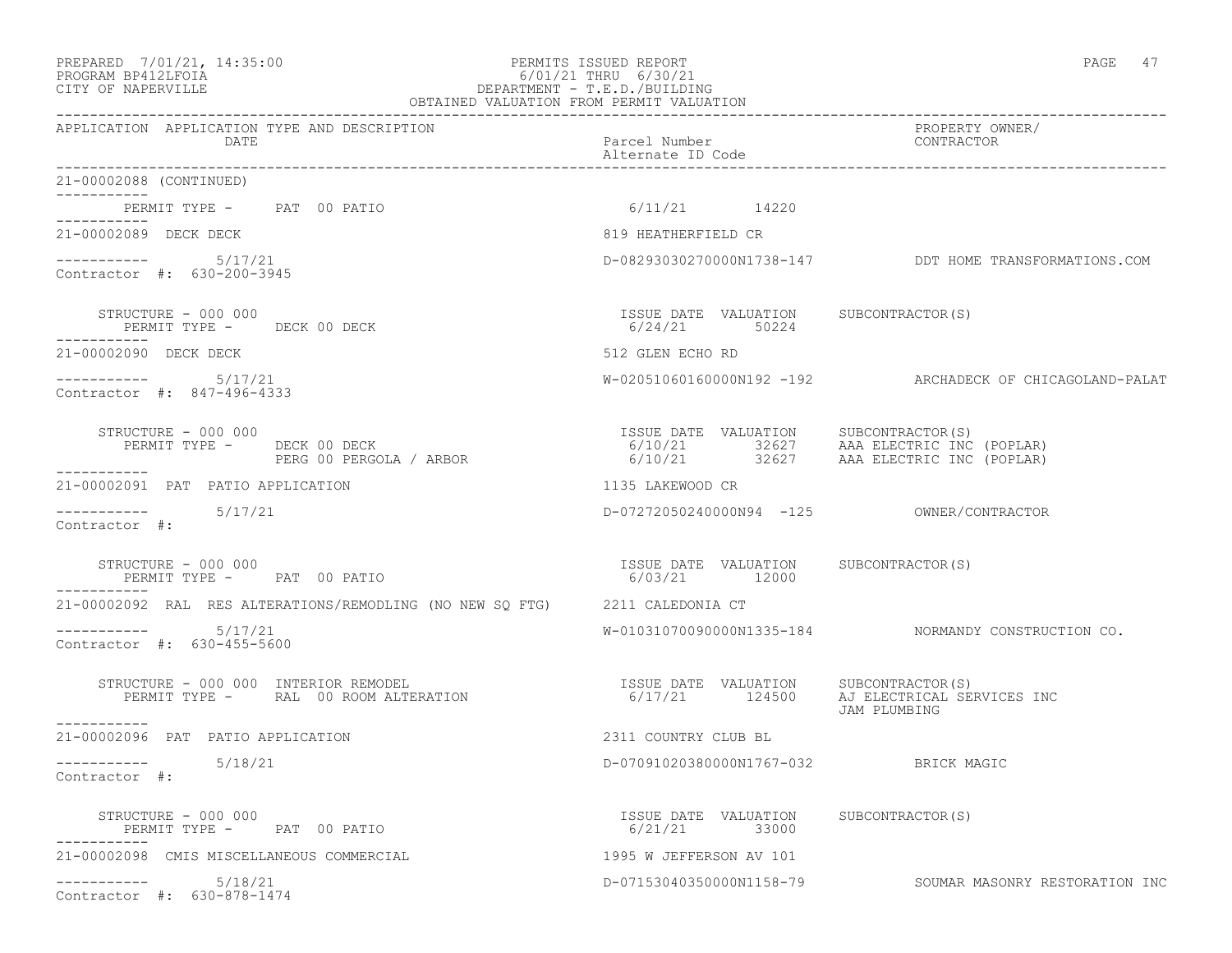# PREPARED 7/01/21, 14:35:00 PERMITS ISSUED REPORT PAGE 47 PROGRAM BP412LFOIA 6/01/21 THRU 6/30/21 CITY OF NAPERVILLE **DEPARTMENT - T.E.D./BUILDING**

| OBTAINED VALUATION FROM PERMIT VALUATION                                     |                                                        |                                                                                                                             |
|------------------------------------------------------------------------------|--------------------------------------------------------|-----------------------------------------------------------------------------------------------------------------------------|
| APPLICATION APPLICATION TYPE AND DESCRIPTION<br>DATE                         | Parcel Number<br>Alternate ID Code                     | PROPERTY OWNER/<br>CONTRACTOR                                                                                               |
| 21-00002088 (CONTINUED)<br>------------                                      |                                                        |                                                                                                                             |
| PERMIT TYPE - PAT 00 PATIO<br>------------                                   | $6/11/21$ 14220                                        |                                                                                                                             |
| 21-00002089 DECK DECK                                                        | 819 HEATHERFIELD CR                                    |                                                                                                                             |
| $--------$ 5/17/21<br>Contractor #: 630-200-3945                             |                                                        | D-08293030270000N1738-147 DDT HOME TRANSFORMATIONS.COM                                                                      |
| STRUCTURE - 000 000<br>PERMIT TYPE - DECK 00 DECK                            | ISSUE DATE VALUATION SUBCONTRACTOR(S)<br>6/24/21 50224 |                                                                                                                             |
| 21-00002090 DECK DECK                                                        | 512 GLEN ECHO RD                                       |                                                                                                                             |
| Contractor #: 847-496-4333                                                   |                                                        | W-02051060160000N192 -192 ARCHADECK OF CHICAGOLAND-PALAT                                                                    |
| STRUCTURE - 000 000<br>PERMIT TYPE - DECK 00 DECK<br>PERG 00 PERGOLA / ARBOR |                                                        | ISSUE DATE VALUATION SUBCONTRACTOR(S)<br>6/10/21 32627 AAA ELECTRIC INC (POPLAR)<br>6/10/21 32627 AAA ELECTRIC INC (POPLAR) |
| -----------<br>21-00002091 PAT PATIO APPLICATION                             | 1135 LAKEWOOD CR                                       |                                                                                                                             |
| $--------- 5/17/21$<br>Contractor #:                                         | D-07272050240000N94 -125 OWNER/CONTRACTOR              |                                                                                                                             |
| STRUCTURE - 000 000<br>PERMIT TYPE - PAT 00 PATIO                            | ISSUE DATE VALUATION SUBCONTRACTOR(S)<br>6/03/21 12000 |                                                                                                                             |
| 21-00002092 RAL RES ALTERATIONS/REMODLING (NO NEW SQ FTG) 2211 CALEDONIA CT  |                                                        |                                                                                                                             |
| $--------$ 5/17/21<br>Contractor #: 630-455-5600                             |                                                        | W-01031070090000N1335-184 NORMANDY CONSTRUCTION CO.                                                                         |
| STRUCTURE - 000 000 INTERIOR REMODEL<br>PERMIT TYPE - RAL 00 ROOM ALTERATION | ISSUE DATE VALUATION SUBCONTRACTOR (S)                 | 6/17/21 124500 AJ ELECTRICAL SERVICES INC<br>JAM PLUMBING                                                                   |
| -----------<br>21-00002096 PAT PATIO APPLICATION                             | 2311 COUNTRY CLUB BL                                   |                                                                                                                             |
| -----------    5/18/21<br>Contractor #:                                      | D-07091020380000N1767-032 BRICK MAGIC                  |                                                                                                                             |
| STRUCTURE - 000 000<br>PERMIT TYPE - PAT 00 PATIO                            | ISSUE DATE VALUATION SUBCONTRACTOR(S)<br>6/21/21 33000 |                                                                                                                             |
| 21-00002098 CMIS MISCELLANEOUS COMMERCIAL                                    | 1995 W JEFFERSON AV 101                                |                                                                                                                             |
| 5/18/21<br>___________<br>Contractor #: 630-878-1474                         | D-07153040350000N1158-79                               | SOUMAR MASONRY RESTORATION INC                                                                                              |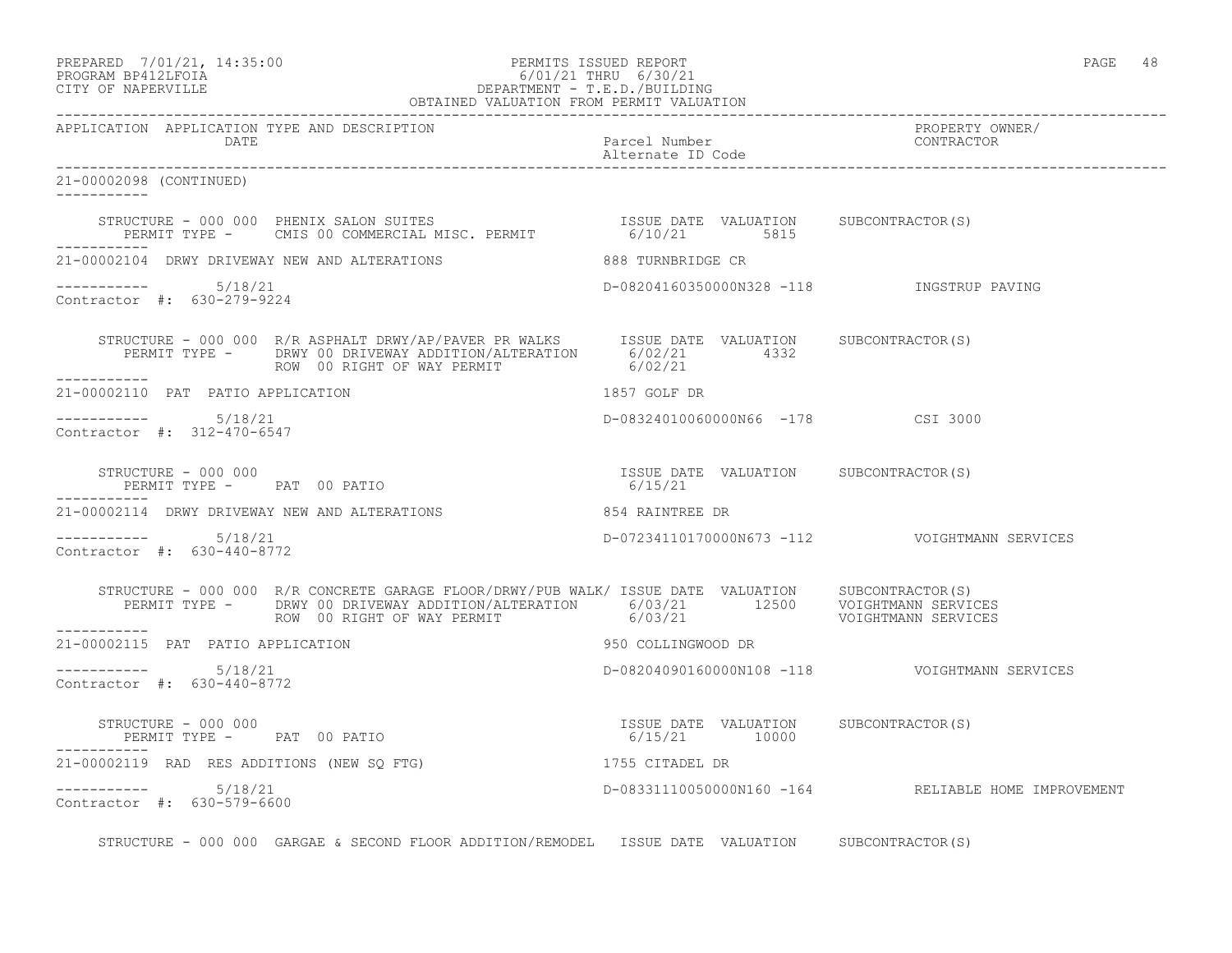#### PREPARED 7/01/21, 14:35:00 PERMITS ISSUED REPORT PAGE 48 PROGRAM BP412LFOIA 6/01/21 THRU 6/30/21 CITY OF NAPERVILLE DEPARTMENT - T.E.D./BUILDING OBTAINED VALUATION FROM PERMIT VALUATION

------------------------------------------------------------------------------------------------------------------------------------ APPLICATION APPLICATION TYPE AND DESCRIPTION PROPERTY OWNER/ DATE Parcel Number CONTRACTOR Alternate ID Code ------------------------------------------------------------------------------------------------------------------------------------ 21-00002098 (CONTINUED) ----------- STRUCTURE - 000 000 PHENIX SALON SUITES ISSUE DATE VALUATION SUBCONTRACTOR(S) PERMIT TYPE - CMIS 00 COMMERCIAL MISC. PERMIT 6/10/21 5815 ----------- 21-00002104 DRWY DRIVEWAY NEW AND ALTERATIONS 888 TURNBRIDGE CR ----------- 5/18/21 D-08204160350000N328 -118 INGSTRUP PAVING Contractor #: 630-279-9224 STRUCTURE - 000 000 R/R ASPHALT DRWY/AP/PAVER PR WALKS ISSUE DATE VALUATION SUBCONTRACTOR(S) PERMIT TYPE - DRWY 00 DRIVEWAY ADDITION/ALTERATION 6/02/21 4332<br>ROW 00 RIGHT OF WAY PERMIT 6/02/21 ROW 00 RIGHT OF WAY PERMIT ----------- 21-00002110 PAT PATIO APPLICATION 1857 GOLF DR ----------- 5/18/21 D-08324010060000N66 -178 CSI 3000 Contractor #: 312-470-6547 STRUCTURE - 000 000 ISSUE DATE VALUATION SUBCONTRACTOR(S) PERMIT TYPE - PAT 00 PATIO ----------- 21-00002114 DRWY DRIVEWAY NEW AND ALTERATIONS 854 RAINTREE DR ----------- 5/18/21 D-07234110170000N673 -112 VOIGHTMANN SERVICES Contractor #: 630-440-8772 STRUCTURE - 000 000 R/R CONCRETE GARAGE FLOOR/DRWY/PUB WALK/ ISSUE DATE VALUATION SUBCONTRACTOR(S) PERMIT TYPE - DRWY 00 DRIVEWAY ADDITION/ALTERATION 6/03/21 12500 VOIGHTMANN SERVICES ROW 00 RIGHT OF WAY PERMIT  $6/03/21$  6/03/21 VOIGHTMANN SERVICES ----------- 21-00002115 PAT PATIO APPLICATION 950 COLLINGWOOD DR  $--------- 5/18/21$ D-08204090160000N108 -118 VOIGHTMANN SERVICES Contractor #: 630-440-8772 STRUCTURE - 000 000 ISSUE DATE VALUATION SUBCONTRACTOR(S) PERMIT TYPE - PAT 00 PATIO ----------- 21-00002119 RAD RES ADDITIONS (NEW SQ FTG) 1755 CITADEL DR ----------- 5/18/21 D-08331110050000N160 -164 RELIABLE HOME IMPROVEMENT Contractor #: 630-579-6600

STRUCTURE - 000 000 GARGAE & SECOND FLOOR ADDITION/REMODEL ISSUE DATE VALUATION SUBCONTRACTOR(S)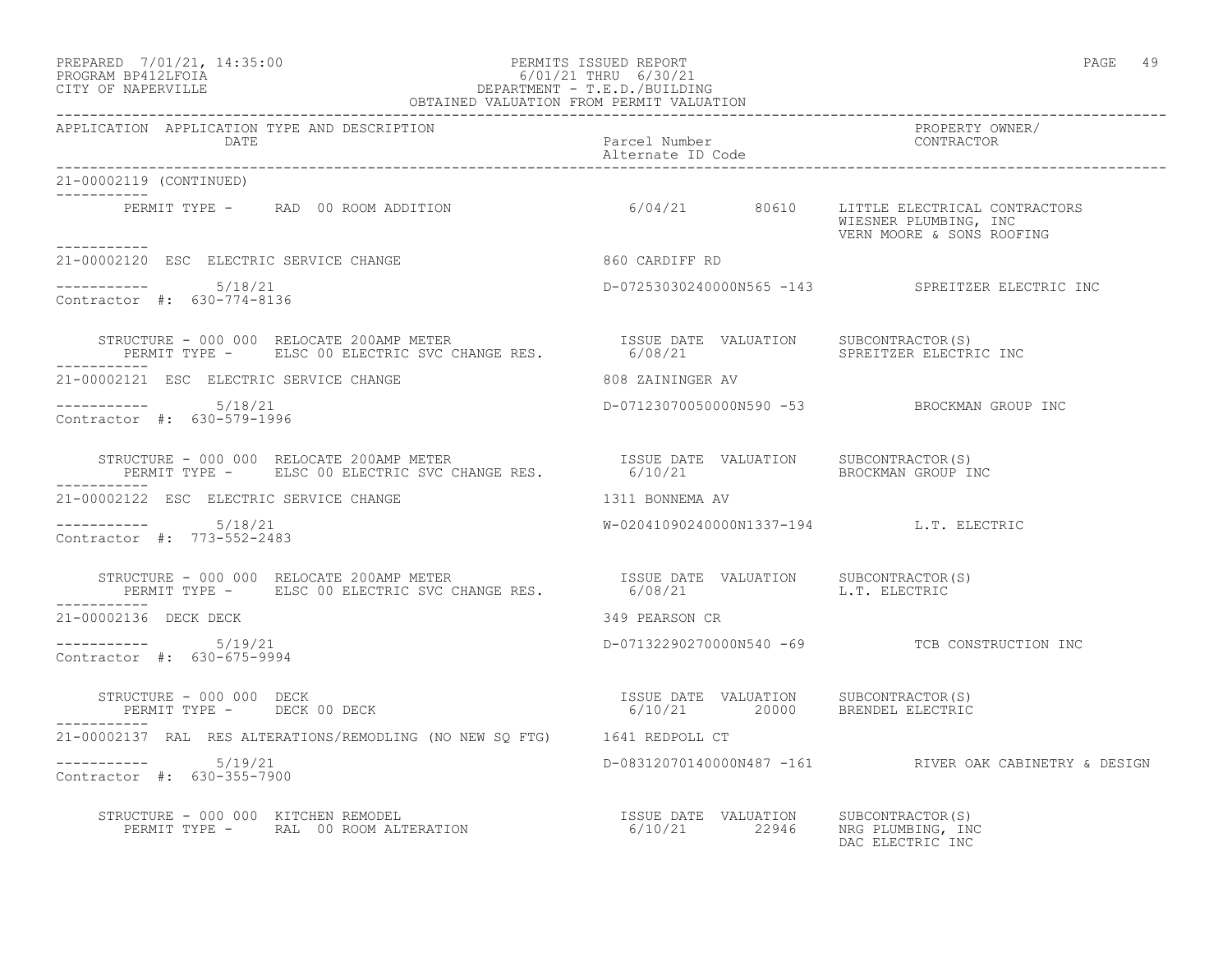#### PREPARED 7/01/21, 14:35:00 PERMITS ISSUED REPORT PAGE 49 PROGRAM BP412LFOIA 6/01/21 THRU 6/30/21 CITY OF NAPERVILLE DEPARTMENT - T.E.D./BUILDING OBTAINED VALUATION FROM PERMIT VALUATION

------------------------------------------------------------------------------------------------------------------------------------ APPLICATION APPLICATION TYPE AND DESCRIPTION PROPERTY OWNER/ DATE Parcel Number CONTRACTOR Alternate ID Code ------------------------------------------------------------------------------------------------------------------------------------ 21-00002119 (CONTINUED) ----------- PERMIT TYPE - RAD 00 ROOM ADDITION 6/04/21 80610 LITTLE ELECTRICAL CONTRACTORS WIESNER PLUMBING, INC VERN MOORE & SONS ROOFING ----------- 21-00002120 ESC ELECTRIC SERVICE CHANGE 860 CARDIFF RD  $--------- 5/18/21$ ----------- 5/18/21 D-07253030240000N565 -143 SPREITZER ELECTRIC INC Contractor #: 630-774-8136 STRUCTURE - 000 000 RELOCATE 200AMP METER ISSUE DATE VALUATION SUBCONTRACTOR(S) PERMIT TYPE - ELSC 00 ELECTRIC SVC CHANGE RES. 6/08/21 SPREITZER ELECTRIC INC ----------- 21-00002121 ESC ELECTRIC SERVICE CHANGE 808 ZAININGER AV ----------- 5/18/21 D-07123070050000N590 -53 BROCKMAN GROUP INC Contractor #: 630-579-1996 STRUCTURE - 000 000 RELOCATE 200AMP METER ISSUE DATE VALUATION SUBCONTRACTOR(S) PERMIT TYPE - ELSC 00 ELECTRIC SVC CHANGE RES. 6/10/21 BROCKMAN GROUP INC ----------- 21-00002122 ESC ELECTRIC SERVICE CHANGE 1311 BONNEMA AV ----------- 5/18/21 W-02041090240000N1337-194 L.T. ELECTRIC Contractor #: 773-552-2483 STRUCTURE - 000 000 RELOCATE 200AMP METER ISSUE DATE VALUATION SUBCONTRACTOR(S) PERMIT TYPE - ELSC 00 ELECTRIC SVC CHANGE RES. 6/08/21 L.T. ELECTRIC ----------- 21-00002136 DECK DECK 349 PEARSON CR ----------- 5/19/21 D-07132290270000N540 -69 TCB CONSTRUCTION INC Contractor #: 630-675-9994 STRUCTURE - 000 000 DECK ISSUE DATE VALUATION SUBCONTRACTOR(S) PERMIT TYPE - DECK 00 DECK 6/10/21 20000 BRENDEL ELECTRIC ----------- 21-00002137 RAL RES ALTERATIONS/REMODLING (NO NEW SQ FTG) 1641 REDPOLL CT ----------- 5/19/21 D-08312070140000N487 -161 RIVER OAK CABINETRY & DESIGN Contractor #: 630-355-7900 STRUCTURE - 000 000 KITCHEN REMODEL ISSUE DATE VALUATION SUBCONTRACTOR(S) PERMIT TYPE - RAL 00 ROOM ALTERATION 6/10/21 22946 NRG PLUMBING, INC

DAC ELECTRIC INC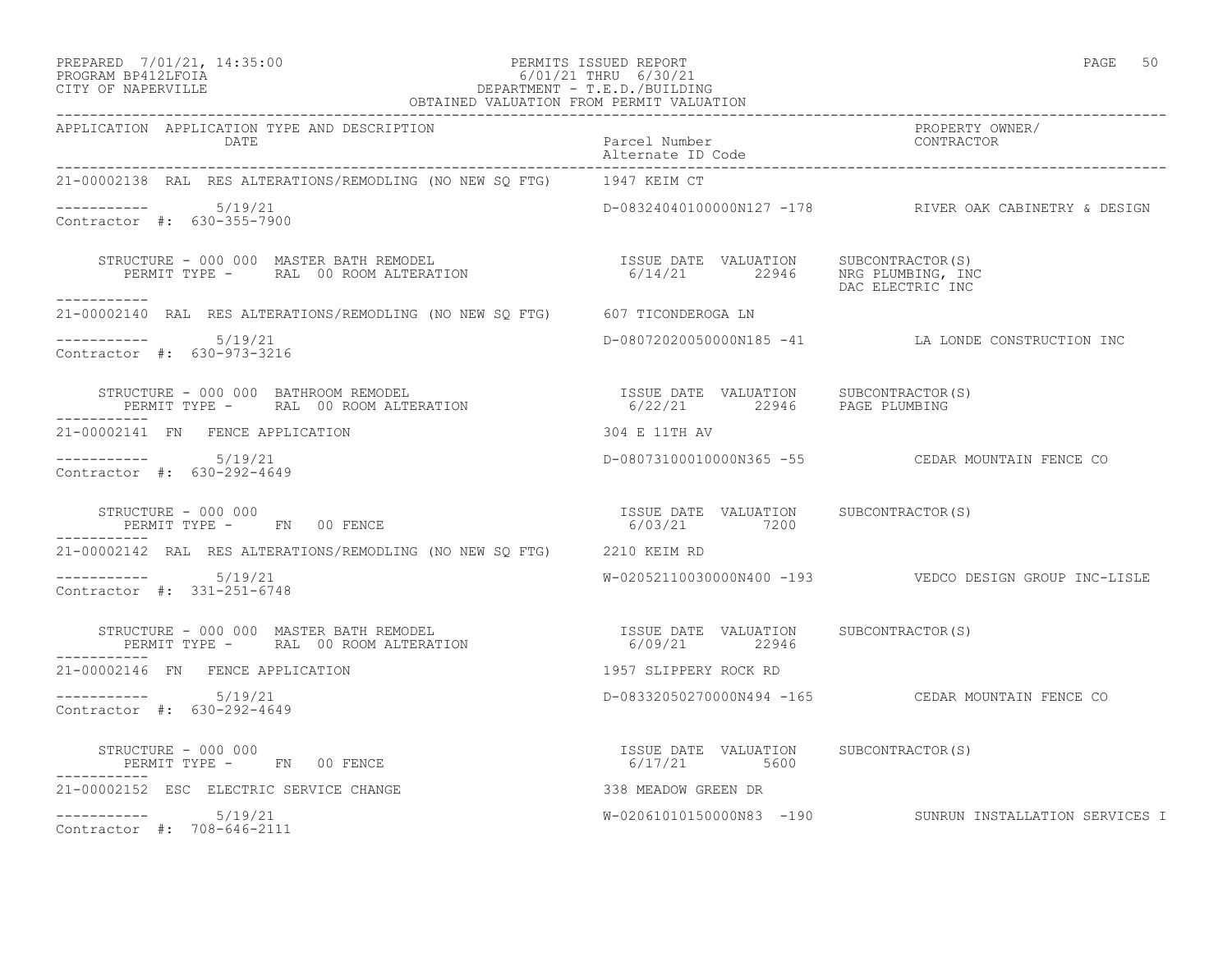#### PREPARED 7/01/21, 14:35:00 PERMITS ISSUED REPORT PAGE 50 PROGRAM BP412LFOIA 6/01/21 THRU 6/30/21 CITY OF NAPERVILLE DEPARTMENT - T.E.D./BUILDING OBTAINED VALUATION FROM PERMIT VALUATION

| APPLICATION APPLICATION TYPE AND DESCRIPTION<br>DATE                                                                                                                                                                                                                                 |                                                         |                                                           |  |  |
|--------------------------------------------------------------------------------------------------------------------------------------------------------------------------------------------------------------------------------------------------------------------------------------|---------------------------------------------------------|-----------------------------------------------------------|--|--|
| 21-00002138 RAL RES ALTERATIONS/REMODLING (NO NEW SQ FTG) 1947 KEIM CT                                                                                                                                                                                                               |                                                         |                                                           |  |  |
| $-$ ---------- $5/19/21$<br>Contractor #: 630-355-7900                                                                                                                                                                                                                               |                                                         | D-08324040100000N127 -178 RIVER OAK CABINETRY & DESIGN    |  |  |
| STRUCTURE – 000 000 MASTER BATH REMODEL (S)<br>PERMIT TYPE – RAL 00 ROOM ALTERATION (S) SALL 19946 MRG PLUMBING, INC<br>DAC ELECTRIC INC                                                                                                                                             |                                                         | DAC ELECTRIC INC                                          |  |  |
| -----------<br>21-00002140 RAL RES ALTERATIONS/REMODLING (NO NEW SQ FTG) 607 TICONDEROGA LN                                                                                                                                                                                          |                                                         |                                                           |  |  |
| $--------- 5/19/21$<br>Contractor #: 630-973-3216                                                                                                                                                                                                                                    |                                                         | D-08072020050000N185 -41 LA LONDE CONSTRUCTION INC        |  |  |
| $\begin{array}{cccccc} \texttt{STRUCTURE} & - & 000 & 000 & \texttt{BATHROM REMODEL} & & & & & & \\ \texttt{PERMIT TYPE} & - & \texttt{RAL} & 00\texttt{ ROM ALTERATION} & & & & & \\ \texttt{PERMIT TYPE} & - & \texttt{RAL} & 00\texttt{ ROM ALTERATION} & & & & & \\ \end{array}$ |                                                         |                                                           |  |  |
| 21-00002141 FN FENCE APPLICATION                                                                                                                                                                                                                                                     | 304 E 11TH AV                                           |                                                           |  |  |
| -----------    5/19/21<br>Contractor #: 630-292-4649                                                                                                                                                                                                                                 |                                                         | D-08073100010000N365 -55 CEDAR MOUNTAIN FENCE CO          |  |  |
| STRUCTURE - 000 000<br>PERMIT TYPE - FN 00 FENCE                                                                                                                                                                                                                                     | ISSUE DATE VALUATION SUBCONTRACTOR(S)<br>6/03/21 7200   |                                                           |  |  |
| 21-00002142 RAL RES ALTERATIONS/REMODLING (NO NEW SO FTG) 2210 KEIM RD                                                                                                                                                                                                               |                                                         |                                                           |  |  |
| $--------- 5/19/21$<br>Contractor #: 331-251-6748                                                                                                                                                                                                                                    |                                                         | W-02052110030000N400 -193    VEDCO DESIGN GROUP INC-LISLE |  |  |
| STRUCTURE – 000 000 MASTER BATH REMODEL                              ISSUE DATE VALUATION     SUBCONTRACTOR(S)<br>PERMIT TYPE –      RAL  00 ROOM ALTERATION                           6/09/21         22946<br>-----------                                                          |                                                         |                                                           |  |  |
| 21-00002146 FN FENCE APPLICATION                                                                                                                                                                                                                                                     | 1957 SLIPPERY ROCK RD                                   |                                                           |  |  |
| $--------- 5/19/21$<br>Contractor #: 630-292-4649                                                                                                                                                                                                                                    |                                                         | D-08332050270000N494 -165 CEDAR MOUNTAIN FENCE CO         |  |  |
| STRUCTURE - 000 000<br>PERMIT TYPE - FN 00 FENCE                                                                                                                                                                                                                                     | ISSUE DATE VALUATION SUBCONTRACTOR(S)<br>$6/17/21$ 5600 |                                                           |  |  |
| 21-00002152 ESC ELECTRIC SERVICE CHANGE                                                                                                                                                                                                                                              | 338 MEADOW GREEN DR                                     |                                                           |  |  |
| $--------- 5/19/21$<br>Contractor #: 708-646-2111                                                                                                                                                                                                                                    |                                                         | W-02061010150000N83 -190 SUNRUN INSTALLATION SERVICES I   |  |  |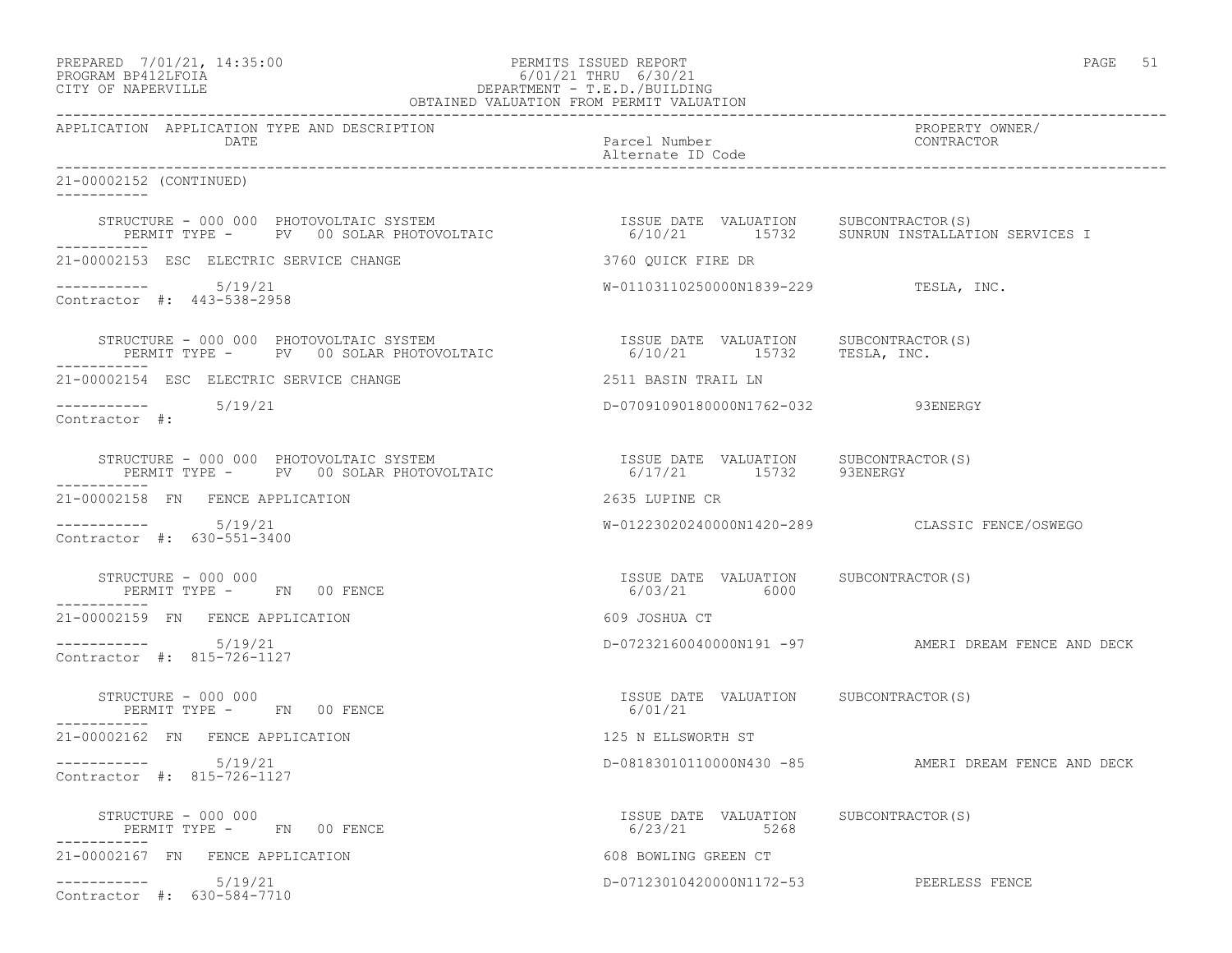# PREPARED 7/01/21, 14:35:00 PERMITS ISSUED REPORT PAGE 51 PROGRAM BP412LFOIA 6/01/21 THRU 6/30/21 CITY OF NAPERVILLE DEPARTMENT - T.E.D./BUILDING

| OBTAINED VALUATION FROM PERMIT VALUATION                                                                                                                                                                                 |                                                                  |                                                                                                 |  |  |
|--------------------------------------------------------------------------------------------------------------------------------------------------------------------------------------------------------------------------|------------------------------------------------------------------|-------------------------------------------------------------------------------------------------|--|--|
| APPLICATION APPLICATION TYPE AND DESCRIPTION<br>DATE                                                                                                                                                                     | Parcel Number<br>Alternate ID Code                               | PROPERTY OWNER/<br>CONTRACTOR                                                                   |  |  |
| 21-00002152 (CONTINUED)<br>-----------                                                                                                                                                                                   |                                                                  |                                                                                                 |  |  |
| STRUCTURE - 000 000 PHOTOVOLTAIC SYSTEM<br>PERMIT TYPE -    PV  00 SOLAR PHOTOVOLTAIC<br>STRUCTURE - 000 000 PHOTOVOLTAIC SYSTEM                                                                                         |                                                                  | ISSUE DATE VALUATION SUBCONTRACTOR(S)<br>6/10/21       15732     SUNRUN INSTALLATION SERVICES I |  |  |
| 21-00002153 ESC ELECTRIC SERVICE CHANGE                                                                                                                                                                                  | 3760 OUICK FIRE DR                                               |                                                                                                 |  |  |
| $--------- 5/19/21$<br>Contractor #: 443-538-2958                                                                                                                                                                        | $W-01103110250000N1839-229$ TESLA, INC.                          |                                                                                                 |  |  |
| STRUCTURE – 000 000 PHOTOVOLTAIC SYSTEM                              ISSUE DATE VALUATION     SUBCONTRACTOR(S)<br>PERMIT TYPE –     PV   00 SOLAR PHOTOVOLTAIC                        6/10/21      15732     TESLA, INC. |                                                                  |                                                                                                 |  |  |
| 21-00002154 ESC ELECTRIC SERVICE CHANGE                                                                                                                                                                                  | 2511 BASIN TRAIL LN                                              |                                                                                                 |  |  |
| $--------- 5/19/21$<br>Contractor #:                                                                                                                                                                                     | D-07091090180000N1762-032 93ENERGY                               |                                                                                                 |  |  |
| STRUCTURE - 000 000 PHOTOVOLTAIC SYSTEM<br>PERMIT TYPE - PV 00 SOLAR PHOTOVOLTAIC                                                                                                                                        | ISSUE DATE VALUATION SUBCONTRACTOR (S)<br>6/17/21 15732 93ENERGY |                                                                                                 |  |  |
| 21-00002158 FN FENCE APPLICATION                                                                                                                                                                                         | 2635 LUPINE CR                                                   |                                                                                                 |  |  |
| $--------$ 5/19/21<br>Contractor #: 630-551-3400                                                                                                                                                                         |                                                                  | W-01223020240000N1420-289 CLASSIC FENCE/OSWEGO                                                  |  |  |
| STRUCTURE - 000 000<br>PERMIT TYPE - FN 00 FENCE                                                                                                                                                                         | ISSUE DATE VALUATION SUBCONTRACTOR(S)<br>6/03/21 6000            |                                                                                                 |  |  |
| 21-00002159 FN FENCE APPLICATION                                                                                                                                                                                         | 609 JOSHUA CT                                                    |                                                                                                 |  |  |
| $--------- 5/19/21$<br>Contractor #: 815-726-1127                                                                                                                                                                        |                                                                  | D-07232160040000N191 -97 AMERI DREAM FENCE AND DECK                                             |  |  |
| STRUCTURE - 000 000<br>PERMIT TYPE - FN 00 FENCE<br>-----------                                                                                                                                                          | ISSUE DATE VALUATION SUBCONTRACTOR(S)<br>6/01/21                 |                                                                                                 |  |  |
| 21-00002162 FN FENCE APPLICATION                                                                                                                                                                                         | 125 N ELLSWORTH ST                                               |                                                                                                 |  |  |
| -----------    5/19/21<br>Contractor #: 815-726-1127                                                                                                                                                                     |                                                                  | D-08183010110000N430 -85 AMERI DREAM FENCE AND DECK                                             |  |  |
| STRUCTURE - 000 000<br>PERMIT TYPE - FN 00 FENCE                                                                                                                                                                         | ISSUE DATE VALUATION SUBCONTRACTOR(S)<br>6/23/21 5268            |                                                                                                 |  |  |
| 21-00002167 FN FENCE APPLICATION                                                                                                                                                                                         | 608 BOWLING GREEN CT                                             |                                                                                                 |  |  |
| $--------- 5/19/21$<br>Contractor #: 630-584-7710                                                                                                                                                                        | D-07123010420000N1172-53 PEERLESS FENCE                          |                                                                                                 |  |  |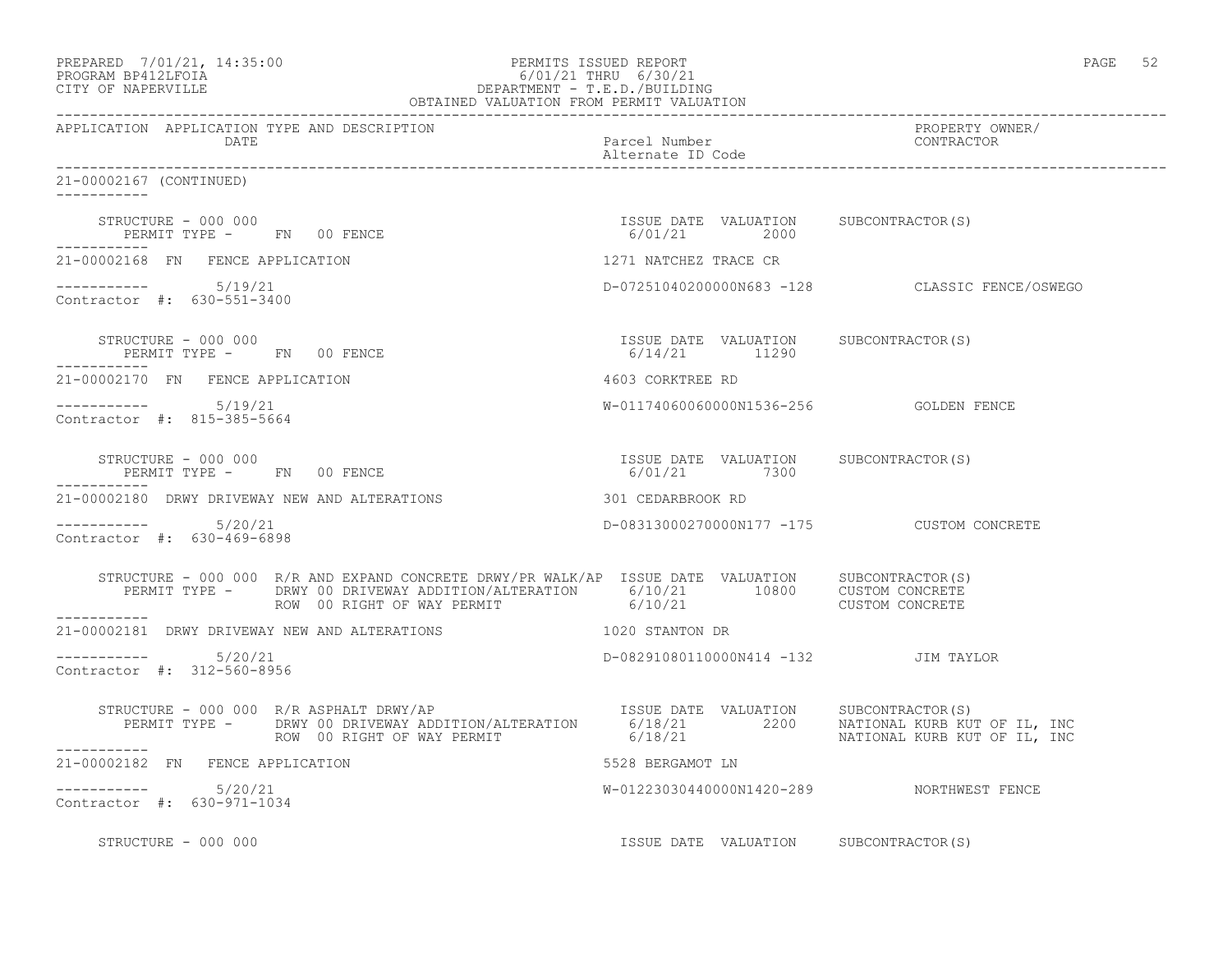| PERMITS ISSUED REPARED 7/01/21, 14:35:00<br>PROGRAM BP412LFOIA 6/01/21 THRU 6/30/21<br>CITY OF NAPERVILLE DEPARTMENT - T.E.D./BUILDING<br>OBTAINED VALUATION FROM PERMIT VALUATION                                                                                                                           |                                                        | PAGE 52                                        |
|--------------------------------------------------------------------------------------------------------------------------------------------------------------------------------------------------------------------------------------------------------------------------------------------------------------|--------------------------------------------------------|------------------------------------------------|
| APPLICATION APPLICATION TYPE AND DESCRIPTION<br><b>DATE</b>                                                                                                                                                                                                                                                  |                                                        | PROPERTY OWNER/<br>PROPERTY OW<br>CONTRACTOR   |
| 21-00002167 (CONTINUED)                                                                                                                                                                                                                                                                                      |                                                        |                                                |
| $\begin{array}{cccc} \texttt{STRUCTURE} & - & 000 & 000 \\ \texttt{PERMIT TYPE} & - & \texttt{FN} & 00 & \texttt{FENCE} \\ \end{array} \qquad \begin{array}{cccc} \texttt{TSSUE} & \texttt{DATE} & \texttt{VALUATION} & \texttt{SUBCONTRACTOR(S)} \\ \texttt{6/01/21} & 2000 \\ \end{array}$<br>------------ |                                                        |                                                |
| 21-00002168 FN FENCE APPLICATION                                                                                                                                                                                                                                                                             | 1271 NATCHEZ TRACE CR                                  |                                                |
| Contractor #: 630-551-3400                                                                                                                                                                                                                                                                                   |                                                        | D-07251040200000N683 -128 CLASSIC FENCE/OSWEGO |
| STRUCTURE - 000 000<br>PERMIT TYPE - FN 00 FENCE<br>-----------                                                                                                                                                                                                                                              | ISSUE DATE VALUATION SUBCONTRACTOR(S)<br>6/14/21 11290 |                                                |
| 21-00002170 FN FENCE APPLICATION                                                                                                                                                                                                                                                                             | 4603 CORKTREE RD                                       |                                                |
| $--------- 5/19/21$<br>Contractor #: 815-385-5664                                                                                                                                                                                                                                                            | W-01174060060000N1536-256    GOLDEN FENCE              |                                                |
| STRUCTURE - 000 000<br>PERMIT TYPE - FN 00 FENCE                                                                                                                                                                                                                                                             | ISSUE DATE VALUATION SUBCONTRACTOR(S)<br>6/01/21 7300  |                                                |
| 21-00002180 DRWY DRIVEWAY NEW AND ALTERATIONS THE RESIDENCE OF SOLUTION RD                                                                                                                                                                                                                                   |                                                        |                                                |
| $--------- 5/20/21$<br>Contractor #: 630-469-6898                                                                                                                                                                                                                                                            | D-08313000270000N177 -175 CUSTOM CONCRETE              |                                                |
| STRUCTURE - 000 000 R/R AND EXPAND CONCRETE DRWY/PR WALK/AP ISSUE DATE VALUATION SUBCONTRACTOR(S)                                                                                                                                                                                                            |                                                        |                                                |
| 21-00002181 DRWY DRIVEWAY NEW AND ALTERATIONS THE RESERVED OF STANTON DR                                                                                                                                                                                                                                     |                                                        |                                                |
| $--------- 5/20/21$<br>Contractor #: 312-560-8956                                                                                                                                                                                                                                                            | D-08291080110000N414 -132 JIM TAYLOR                   |                                                |
|                                                                                                                                                                                                                                                                                                              |                                                        |                                                |
| 21-00002182 FN FENCE APPLICATION                                                                                                                                                                                                                                                                             | 5528 BERGAMOT LN                                       |                                                |
| $--------- 5/20/21$<br>Contractor #: 630-971-1034                                                                                                                                                                                                                                                            | W-01223030440000N1420-289 NORTHWEST FENCE              |                                                |

STRUCTURE - 000 000 **ISSUE DATE VALUATION** SUBCONTRACTOR(S)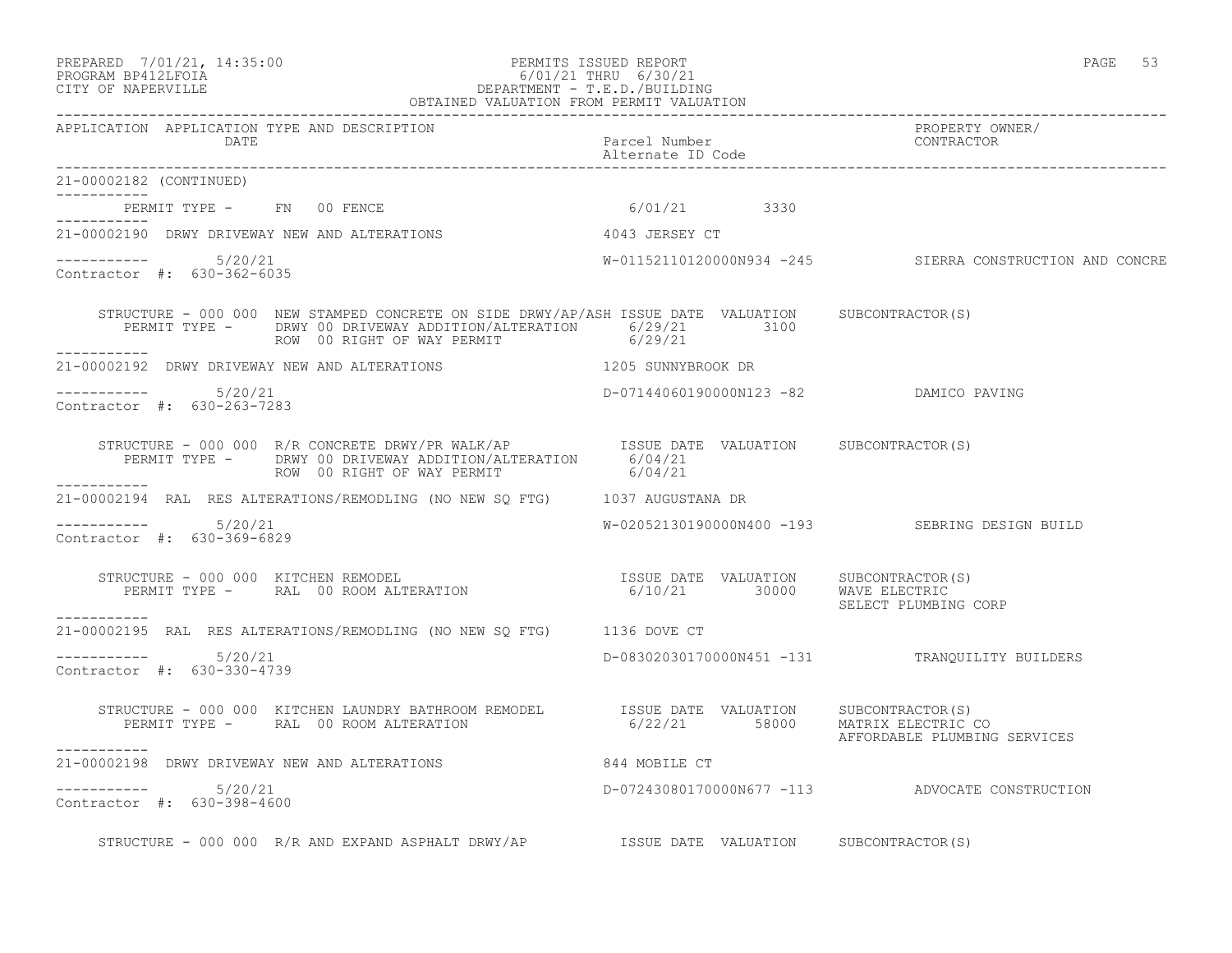#### PREPARED 7/01/21, 14:35:00 PERMITS ISSUED REPORT PAGE 53 PROGRAM BP412LFOIA 6/01/21 THRU 6/30/21 CITY OF NAPERVILLE DEPARTMENT - T.E.D./BUILDING OBTAINED VALUATION FROM PERMIT VALUATION

| APPLICATION APPLICATION TYPE AND DESCRIPTION<br>DATE                                                                                                                                                                       | Parcel Number<br>Alternate ID Code                                   | PROPERTY OWNER/<br>CONTRACTOR                            |
|----------------------------------------------------------------------------------------------------------------------------------------------------------------------------------------------------------------------------|----------------------------------------------------------------------|----------------------------------------------------------|
| 21-00002182 (CONTINUED)                                                                                                                                                                                                    |                                                                      |                                                          |
| PERMIT TYPE - FN 00 FENCE                                                                                                                                                                                                  | 6/01/21 3330                                                         |                                                          |
| 21-00002190 DRWY DRIVEWAY NEW AND ALTERATIONS                                                                                                                                                                              | 4043 JERSEY CT                                                       |                                                          |
| $--------- 5/20/21$<br>Contractor #: 630-362-6035                                                                                                                                                                          |                                                                      | W-01152110120000N934 -245 SIERRA CONSTRUCTION AND CONCRE |
| STRUCTURE - 000 000 NEW STAMPED CONCRETE ON SIDE DRWY/AP/ASH ISSUE DATE VALUATION SUBCONTRACTOR(S)<br>PERMIT TYPE - DRWY 00 DRIVEWAY ADDITION/ALTERATION 6/29/21 3100<br>ROW 00 RIGHT OF WAY PERMIT 6/29/21<br>___________ |                                                                      |                                                          |
| 21-00002192 DRWY DRIVEWAY NEW AND ALTERATIONS 1205 SUNNYBROOK DR                                                                                                                                                           |                                                                      |                                                          |
| $--------- 5/20/21$<br>Contractor #: 630-263-7283                                                                                                                                                                          | D-07144060190000N123 -82 DAMICO PAVING                               |                                                          |
| STRUCTURE - 000 000 R/R CONCRETE DRWY/PR WALK/AP<br>PERMIT TYPE - DRWY 00 DRIVEWAY ADDITION/ALTERATION 6/04/21<br>$\frac{6}{104/21}$<br>ROW 00 RIGHT OF WAY PERMIT                                                         | 6/04/21                                                              |                                                          |
| __________<br>21-00002194 RAL RES ALTERATIONS/REMODLING (NO NEW SQ FTG) 1037 AUGUSTANA DR                                                                                                                                  |                                                                      |                                                          |
| $--------- 5/20/21$<br>Contractor #: 630-369-6829                                                                                                                                                                          |                                                                      | W-02052130190000N400 -193 SEBRING DESIGN BUILD           |
| STRUCTURE - 000 000 KITCHEN REMODEL<br>KUCTUKE - UUU UUU KITCHEN REMODEL<br>PERMIT TYPE -     RAL  00 ROOM ALTERATION<br>-----------                                                                                       | ISSUE DATE VALUATION SUBCONTRACTOR(S)<br>6/10/21 30000 WAVE ELECTRIC | SELECT PLUMBING CORP                                     |
| 21-00002195 RAL RES ALTERATIONS/REMODLING (NO NEW SQ FTG) 1136 DOVE CT                                                                                                                                                     |                                                                      |                                                          |
| $--------- 5/20/21$<br>Contractor #: 630-330-4739                                                                                                                                                                          |                                                                      | D-08302030170000N451 -131 TRANQUILITY BUILDERS           |
| STRUCTURE - 000 000 KITCHEN LAUNDRY BATHROOM REMODEL SISUE DATE VALUATION SUBCONTRACTOR(S)<br>PERMIT TYPE - RAL 00 ROOM ALTERATION                                                                                         | 6/22/21 58000 MATRIX ELECTRIC CO                                     | AFFORDABLE PLUMBING SERVICES                             |
| -----------<br>21-00002198 DRWY DRIVEWAY NEW AND ALTERATIONS                                                                                                                                                               | 844 MOBILE CT                                                        |                                                          |
| $--------- 5/20/21$<br>Contractor #: 630-398-4600                                                                                                                                                                          |                                                                      | D-07243080170000N677 -113 ADVOCATE CONSTRUCTION          |
| STRUCTURE - 000 000 R/R AND EXPAND ASPHALT DRWY/AP STRUCT DATE VALUATION SUBCONTRACTOR(S)                                                                                                                                  |                                                                      |                                                          |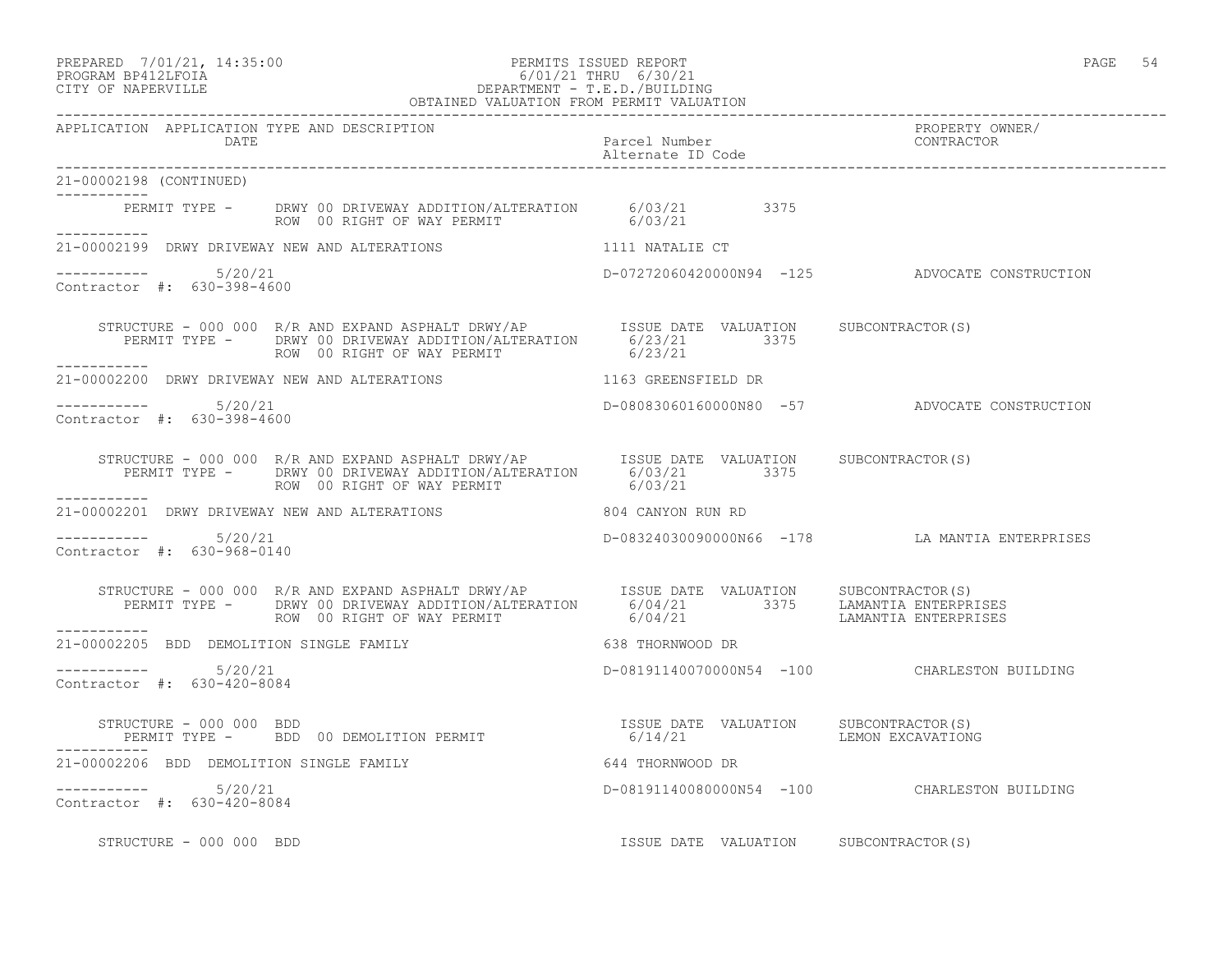#### PREPARED 7/01/21, 14:35:00 PERMITS ISSUED REPORT PAGE 54 PROGRAM BP412LFOIA 6/01/21 THRU 6/30/21 CITY OF NAPERVILLE DEPARTMENT - T.E.D./BUILDING OBTAINED VALUATION FROM PERMIT VALUATION

------------------------------------------------------------------------------------------------------------------------------------

| APPLICATION APPLICATION TYPE AND DESCRIPTION<br><b>DATE</b> |                                                                                                                                                                                                                                      | Parcel Number<br>Alternate ID Code    | PROPERTY OWNER/<br>CONTRACTOR                  |
|-------------------------------------------------------------|--------------------------------------------------------------------------------------------------------------------------------------------------------------------------------------------------------------------------------------|---------------------------------------|------------------------------------------------|
| 21-00002198 (CONTINUED)                                     |                                                                                                                                                                                                                                      |                                       |                                                |
| -----------<br>------------                                 | PERMIT TYPE - DRWY 00 DRIVEWAY ADDITION/ALTERATION 6/03/21 3375<br>ROW 00 RIGHT OF WAY PERMIT                                                                                                                                        |                                       |                                                |
|                                                             | 21-00002199 DRWY DRIVEWAY NEW AND ALTERATIONS 1111 NATALIE CT                                                                                                                                                                        |                                       |                                                |
| ----------- 5/20/21<br>Contractor #: 630-398-4600           |                                                                                                                                                                                                                                      |                                       | D-07272060420000N94 -125 ADVOCATE CONSTRUCTION |
| -----------                                                 | STRUCTURE - 000 000 R/R AND EXPAND ASPHALT DRWY/AP<br>PERMIT TYPE - DRWY 00 DRIVEWAY ADDITION/ALTERATION 6/23/21 3375<br>ROW 00 RIGHT OF WAY PERMIT                                                                                  | 6/23/21                               |                                                |
|                                                             | 21-00002200 DRWY DRIVEWAY NEW AND ALTERATIONS 1163 GREENSFIELD DR                                                                                                                                                                    |                                       |                                                |
| $--------- 5/20/21$<br>Contractor #: 630-398-4600           |                                                                                                                                                                                                                                      |                                       | D-08083060160000N80 -57 ADVOCATE CONSTRUCTION  |
| -----------                                                 |                                                                                                                                                                                                                                      |                                       |                                                |
|                                                             | 21-00002201 DRWY DRIVEWAY NEW AND ALTERATIONS 604 CANYON RUN RD                                                                                                                                                                      |                                       |                                                |
| $--------- 5/20/21$<br>Contractor #: 630-968-0140           |                                                                                                                                                                                                                                      |                                       | D-08324030090000N66 -178 LA MANTIA ENTERPRISES |
|                                                             | STRUCTURE - 000 000 R/R AND EXPAND ASPHALT DRWY/AP        ISSUE DATE VALUATION     SUBCONTRACTOR(S)<br>PERMIT TYPE -      DRWY 00 DRIVEWAY ADDITION/ALTERATION       6/04/21            3375     LAMANTIA ENTERPRISES<br>ROW 00 RIGH |                                       |                                                |
| -----------<br>21-00002205 BDD DEMOLITION SINGLE FAMILY     |                                                                                                                                                                                                                                      | 638 THORNWOOD DR                      |                                                |
| $--------- 5/20/21$<br>Contractor #: 630-420-8084           |                                                                                                                                                                                                                                      |                                       | D-08191140070000N54 -100 CHARLESTON BUILDING   |
| STRUCTURE - 000 000 BDD                                     | RUCTURE - 000 000 BDD<br>PERMIT TYPE -   BDD 00 DEMOLITION PERMIT                         6/14/21                                                                                                                                    | ISSUE DATE VALUATION SUBCONTRACTOR(S) | LEMON EXCAVATIONG                              |
| 21-00002206 BDD DEMOLITION SINGLE FAMILY                    |                                                                                                                                                                                                                                      | 644 THORNWOOD DR                      |                                                |
| -----------    5/20/21<br>Contractor #: 630-420-8084        |                                                                                                                                                                                                                                      |                                       | D-08191140080000N54 -100 CHARLESTON BUILDING   |
| STRUCTURE - 000 000 BDD                                     |                                                                                                                                                                                                                                      | ISSUE DATE VALUATION SUBCONTRACTOR(S) |                                                |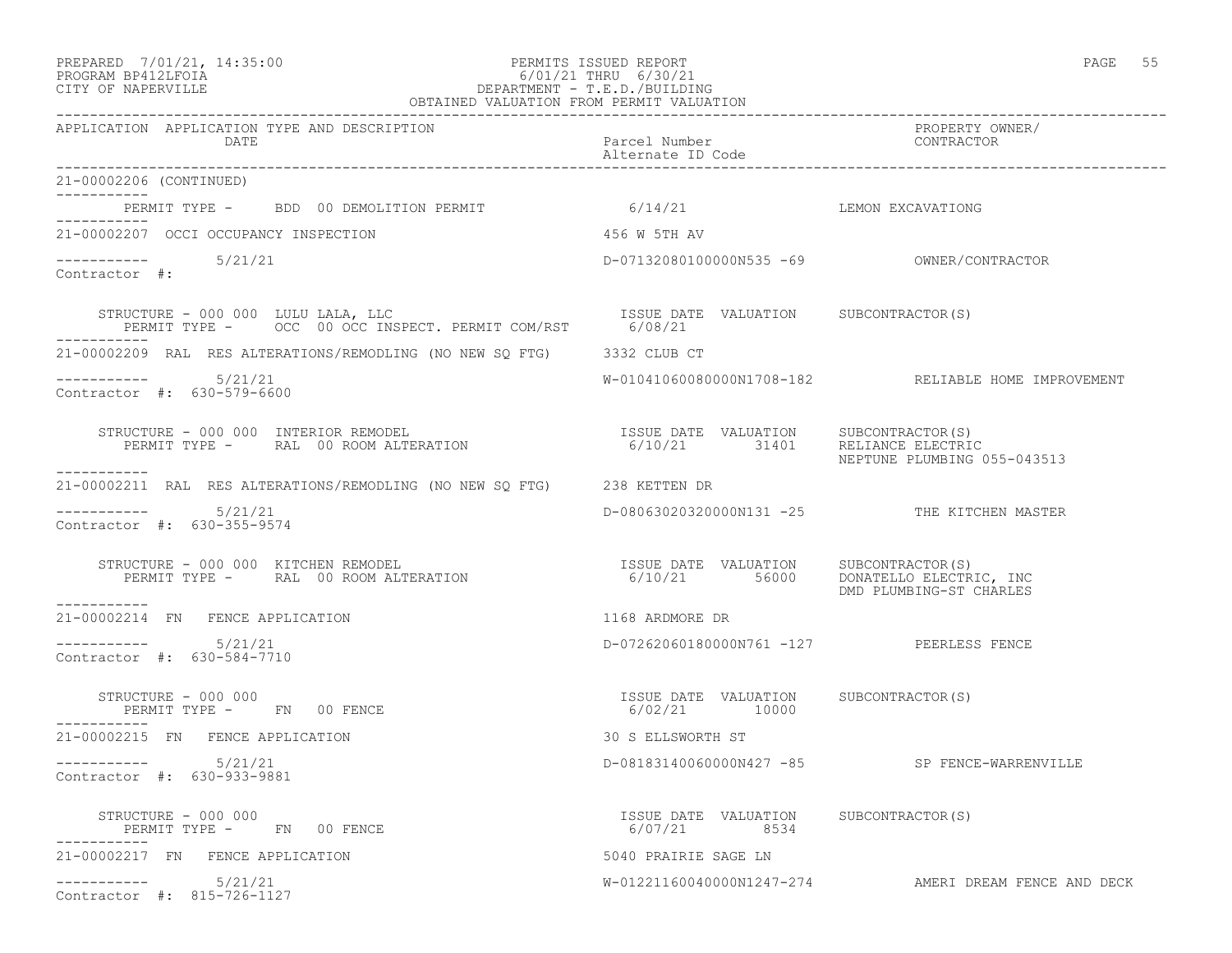#### PREPARED 7/01/21, 14:35:00 PERMITS ISSUED REPORT PAGE 55 PROGRAM BP412LFOIA 6/01/21 THRU 6/30/21 CITY OF NAPERVILLE DEPARTMENT - T.E.D./BUILDING OBTAINED VALUATION FROM PERMIT VALUATION

------------------------------------------------------------------------------------------------------------------------------------ APPLICATION APPLICATION TYPE AND DESCRIPTION PROPERTY OWNER/ DATE Parcel Number CONTRACTOR Alternate ID Code ------------------------------------------------------------------------------------------------------------------------------------ 21-00002206 (CONTINUED) ----------- PERMIT TYPE - BDD 00 DEMOLITION PERMIT 6/14/21 6/14/21 LEMON EXCAVATIONG ----------- 21-00002207 OCCI OCCUPANCY INSPECTION 456 W 5TH AV ----------- 5/21/21 D-07132080100000N535 -69 OWNER/CONTRACTOR Contractor #: STRUCTURE - 000 000 LULU LALA, LLC ISSUE DATE VALUATION SUBCONTRACTOR(S) PERMIT TYPE - OCC 00 OCC INSPECT. PERMIT COM/RST 6/08/21 ----------- 21-00002209 RAL RES ALTERATIONS/REMODLING (NO NEW SQ FTG) 3332 CLUB CT ----------- 5/21/21 W-01041060080000N1708-182 RELIABLE HOME IMPROVEMENT Contractor #: 630-579-6600 STRUCTURE - 000 000 INTERIOR REMODEL ISSUE DATE VALUATION SUBCONTRACTOR(S) PERMIT TYPE - RAL 00 ROOM ALTERATION 6/10/21 31401 RELIANCE ELECTRIC NEPTUNE PLUMBING 055-043513 ----------- 21-00002211 RAL RES ALTERATIONS/REMODLING (NO NEW SQ FTG) 238 KETTEN DR \_\_\_\_\_\_\_\_\_\_\_\_ 5/21/21 D-08063020320000N131 -25 THE KITCHEN MASTER Contractor #: 630-355-9574 STRUCTURE - 000 000 KITCHEN REMODEL ISSUE DATE VALUATION SUBCONTRACTOR(S) PERMIT TYPE - RAL 00 ROOM ALTERATION 6/10/21 56000 DONATELLO ELECTRIC, INC ISSUE DATE VALUATION SUBCONTRACTOR(S)<br>6/10/21 56000 DONATELLO ELECTRIC, INC<br>DMD PLUMBING-ST CHARLES ----------- 21-00002214 FN FENCE APPLICATION 1168 ARDMORE DR  $--------- 5/21/21$ D-07262060180000N761 -127 PEERLESS FENCE Contractor #: 630-584-7710 STRUCTURE - 000 000 ISSUE DATE VALUATION SUBCONTRACTOR(S) PERMIT TYPE - FN 00 FENCE ----------- 21-00002215 FN FENCE APPLICATION 30 S ELLSWORTH ST ----------- 5/21/21 D-08183140060000N427 -85 SP FENCE-WARRENVILLE Contractor #: 630-933-9881 STRUCTURE - 000 000 ISSUE DATE VALUATION SUBCONTRACTOR(S) PERMIT TYPE - FN 00 FENCE ----------- 21-00002217 FN FENCE APPLICATION 5040 PRAIRIE SAGE LN ----------- 5/21/21 W-01221160040000N1247-274 AMERI DREAM FENCE AND DECK Contractor #: 815-726-1127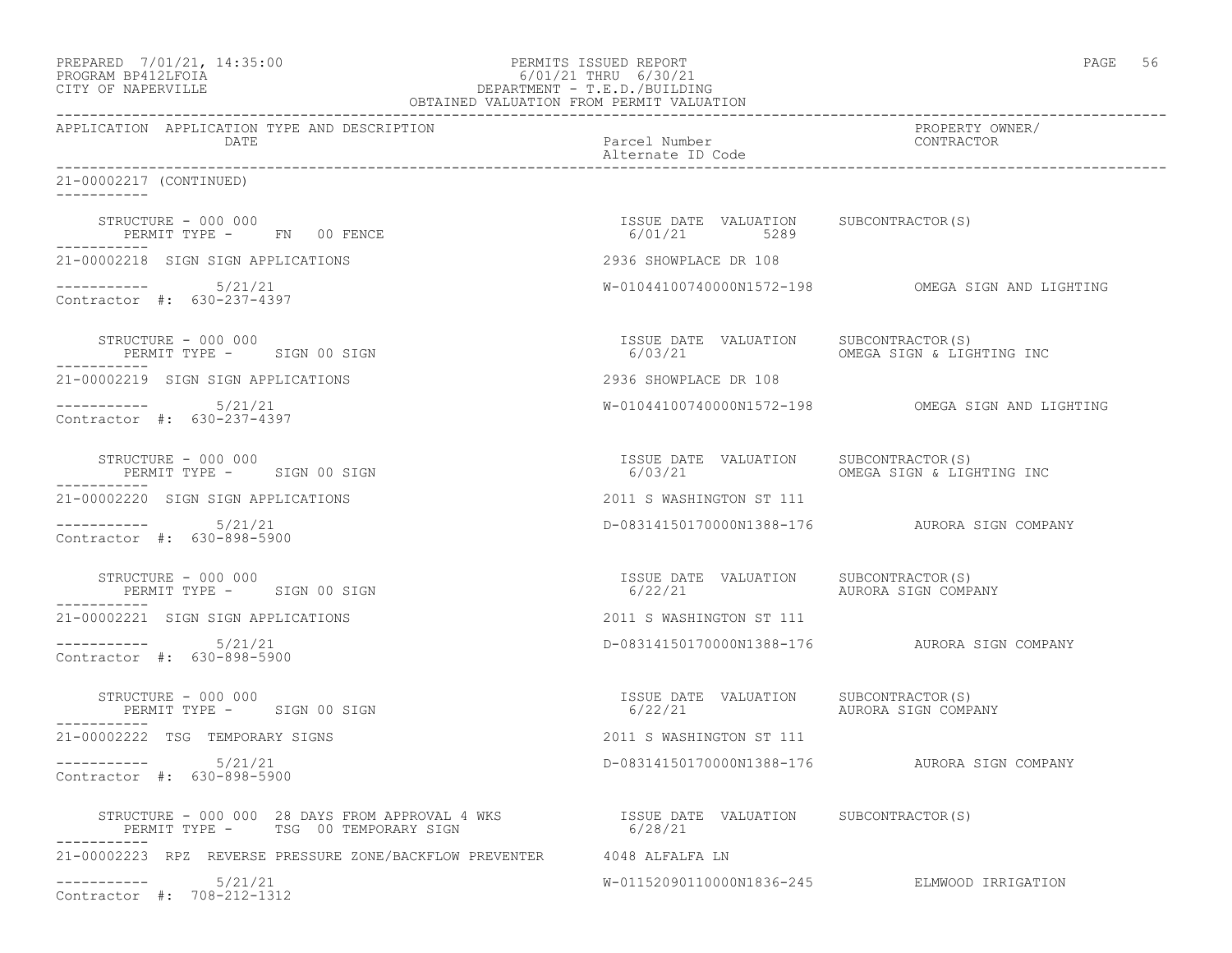| PREPARED 7/01/21, 14:35:00 | PERMITS ISSUED REPORT           | 56<br>PAGE |
|----------------------------|---------------------------------|------------|
| DDOCD3M DD419T DOT3        | $(101/21 \text{ min} + 101/21)$ |            |

### PROGRAM BP412LFOIA 6/01/21 THRU 6/30/21 CITY OF NAPERVILLE DEPARTMENT - T.E.D./BUILDING OBTAINED VALUATION FROM PERMIT VALUATION

------------------------------------------------------------------------------------------------------------------------------------

APPLICATION APPLICATION TYPE AND DESCRIPTION PROPERTY OWNER/ DATE **Parcel Number** Parcel Number Alternate ID Code ------------------------------------------------------------------------------------------------------------------------------------ 21-00002217 (CONTINUED) ----------- STRUCTURE - 000 000 ISSUE DATE VALUATION SUBCONTRACTOR(S) PERMIT TYPE - FN 00 FENCE ----------- 21-00002218 SIGN SIGN APPLICATIONS 2936 SHOWPLACE DR 108 ----------- 5/21/21 W-01044100740000N1572-198 OMEGA SIGN AND LIGHTING Contractor #: 630-237-4397 STRUCTURE - 000 000 ISSUE DATE VALUATION SUBCONTRACTOR(S) PERMIT TYPE - SIGN 00 SIGN ----------- 21-00002219 SIGN SIGN APPLICATIONS 2936 SHOWPLACE DR 108 ----------- 5/21/21 W-01044100740000N1572-198 OMEGA SIGN AND LIGHTING Contractor #: 630-237-4397 STRUCTURE - 000 000<br>
STRUCTURE - 000 000<br>
PERMIT TYPE - SIGN 00 SIGN CONSTANT PRESSUE DATE VALUATION SUBCONTRACTOR(S) PERMIT TYPE - SIGN 00 SIGN ----------- 21-00002220 SIGN SIGN APPLICATIONS 2011 S WASHINGTON ST 111 ----------- 5/21/21 D-08314150170000N1388-176 AURORA SIGN COMPANY Contractor #: 630-898-5900 STRUCTURE – 000 000<br>
STRUCTURE – 000 000 SIGN 00 SIGN COMPANY (6/22/21 VALUATION SUBCONTRACTOR(S) PERMIT TYPE - SIGN 00 SIGN ----------- 21-00002221 SIGN SIGN APPLICATIONS 2011 S WASHINGTON ST 111 ----------- 5/21/21 D-08314150170000N1388-176 AURORA SIGN COMPANY Contractor #: 630-898-5900 STRUCTURE – 000 000<br>
STRUCTURE – 000 000 ISSUE DATE VALUATION SUBCONTRACTOR(S)<br>
FERMIT TYPE – SIGN 00 SIGN – 6/22/21 AURORA SIGN COMPANY PERMIT TYPE - SIGN 00 SIGN ----------- 21-00002222 TSG TEMPORARY SIGNS 2011 S WASHINGTON ST 111 ----------- 5/21/21 D-08314150170000N1388-176 AURORA SIGN COMPANY Contractor #: 630-898-5900 STRUCTURE - 000 000 28 DAYS FROM APPROVAL 4 WKS ISSUE DATE VALUATION SUBCONTRACTOR(S) PERMIT TYPE - TSG 00 TEMPORARY SIGN ----------- 21-00002223 RPZ REVERSE PRESSURE ZONE/BACKFLOW PREVENTER 4048 ALFALFA LN ----------- 5/21/21 W-01152090110000N1836-245 ELMWOOD IRRIGATION Contractor #: 708-212-1312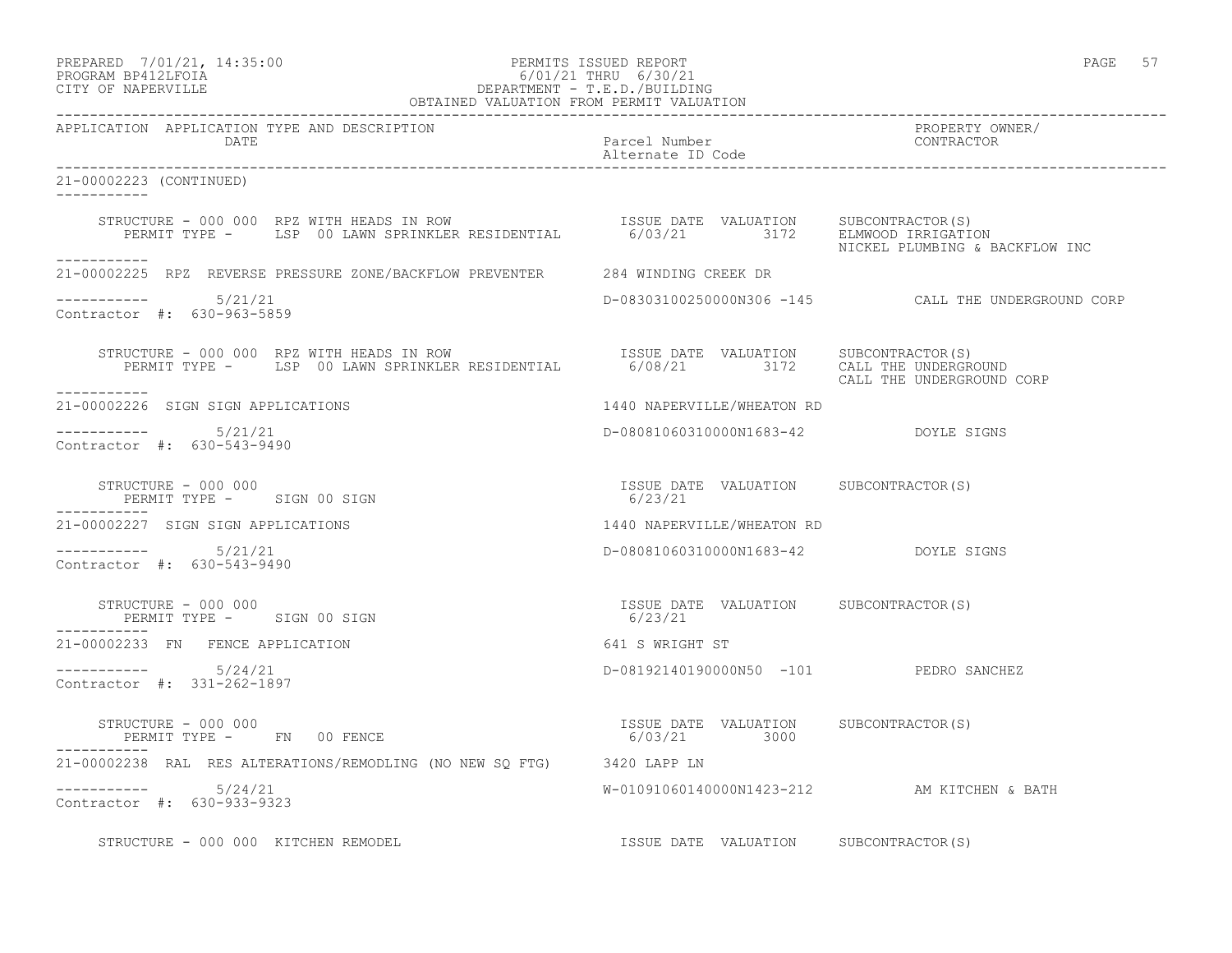# PREPARED 7/01/21, 14:35:00 PERMITS ISSUED REPORT PROGRAM BP412LFOIA PAGE 57<br>PROGRAM BP412LFOIA PROGRAM BP412LFOIA 6/01/21 THRU 6/30/21 CITY OF NAPERVILLE DEPARTMENT - T.E.D./BUILDING

|                                                                                                                                                                                                       | OBTAINED VALUATION FROM PERMIT VALUATION              |                                                     |
|-------------------------------------------------------------------------------------------------------------------------------------------------------------------------------------------------------|-------------------------------------------------------|-----------------------------------------------------|
| APPLICATION APPLICATION TYPE AND DESCRIPTION<br>DATE                                                                                                                                                  | Parcel Number<br>Alternate ID Code                    | PROPERTY OWNER/<br>CONTRACTOR                       |
| 21-00002223 (CONTINUED)<br>-----------                                                                                                                                                                |                                                       |                                                     |
| STRUCTURE - 000 000 RPZ WITH HEADS IN ROW [ISSUE DATE VALUATION SUBCONTRACTOR(S)<br>PERMIT TYPE - LSP 00 LAWN SPRINKLER RESIDENTIAL 6/03/21 3172 ELMWOOD IRRIGATION<br>NICKEL PLUMBING & BACKFLOW INC |                                                       |                                                     |
| ------------<br>21-00002225 RPZ REVERSE PRESSURE ZONE/BACKFLOW PREVENTER 284 WINDING CREEK DR                                                                                                         |                                                       |                                                     |
| $--------- 5/21/21$<br>Contractor #: 630-963-5859                                                                                                                                                     |                                                       | D-08303100250000N306 -145 CALL THE UNDERGROUND CORP |
| STRUCTURE - 000 000 RPZ WITH HEADS IN ROW<br>PERMIT TYPE - LSP 00 LAWN SPRINKLER RESIDENTIAL 6/08/21 3172 CALL THE UNDERGROUND<br>___________                                                         |                                                       | CALL THE UNDERGROUND CORP                           |
| 21-00002226 SIGN SIGN APPLICATIONS                                                                                                                                                                    | 1440 NAPERVILLE/WHEATON RD                            |                                                     |
| $--------$ 5/21/21<br>Contractor #: 630-543-9490                                                                                                                                                      | D-08081060310000N1683-42 DOYLE SIGNS                  |                                                     |
| STRUCTURE - 000 000<br>PERMIT TYPE - SIGN 00 SIGN                                                                                                                                                     | ISSUE DATE VALUATION SUBCONTRACTOR(S)<br>6/23/21      |                                                     |
| 21-00002227 SIGN SIGN APPLICATIONS                                                                                                                                                                    | 1440 NAPERVILLE/WHEATON RD                            |                                                     |
| $--------- 5/21/21$<br>Contractor #: 630-543-9490                                                                                                                                                     | D-08081060310000N1683-42 DOYLE SIGNS                  |                                                     |
| STRUCTURE - 000 000<br>PERMIT TYPE - SIGN 00 SIGN                                                                                                                                                     | ISSUE DATE VALUATION SUBCONTRACTOR(S)<br>6/23/21      |                                                     |
| 21-00002233 FN FENCE APPLICATION                                                                                                                                                                      | 641 S WRIGHT ST                                       |                                                     |
| $--------- 5/24/21$<br>Contractor #: 331-262-1897                                                                                                                                                     | D-08192140190000N50 -101 PEDRO SANCHEZ                |                                                     |
| STRUCTURE - 000 000<br>PERMIT TYPE - FN 00 FENCE                                                                                                                                                      | ISSUE DATE VALUATION SUBCONTRACTOR(S)<br>6/03/21 3000 |                                                     |
| 21-00002238 RAL RES ALTERATIONS/REMODLING (NO NEW SQ FTG) 3420 LAPP LN                                                                                                                                |                                                       |                                                     |
| $--------- 5/24/21$<br>Contractor #: 630-933-9323                                                                                                                                                     | W-01091060140000N1423-212 AM KITCHEN & BATH           |                                                     |
| STRUCTURE - 000 000 KITCHEN REMODEL                                                                                                                                                                   | ISSUE DATE VALUATION SUBCONTRACTOR(S)                 |                                                     |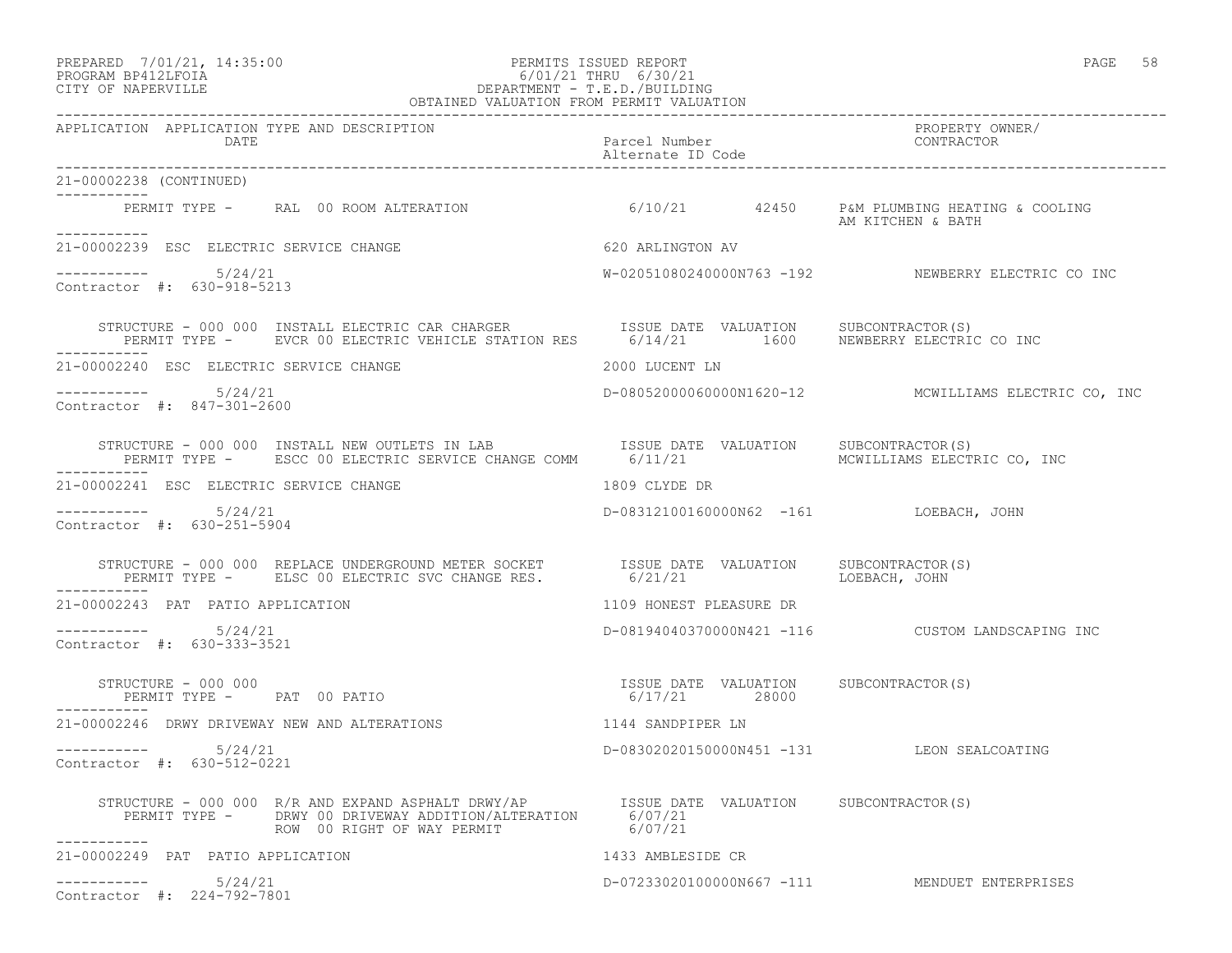# PREPARED 7/01/21, 14:35:00 PERMITS ISSUED REPORT PAGE 58 PROGRAM BP412LFOIA 6/01/21 THRU 6/30/21 CITY OF NAPERVILLE DEPARTMENT - T.E.D./BUILDING

|                                                                                                                                                                                                                                                                                                                                                | OBTAINED VALUATION FROM PERMIT VALUATION          |                                                      |
|------------------------------------------------------------------------------------------------------------------------------------------------------------------------------------------------------------------------------------------------------------------------------------------------------------------------------------------------|---------------------------------------------------|------------------------------------------------------|
| APPLICATION APPLICATION TYPE AND DESCRIPTION<br><b>DATE</b>                                                                                                                                                                                                                                                                                    | Parcel Number<br>Alternate ID Code                | PROPERTY OWNER/<br>CONTRACTOR                        |
| 21-00002238 (CONTINUED)<br>___________                                                                                                                                                                                                                                                                                                         |                                                   |                                                      |
| PERMIT TYPE - RAL 00 ROOM ALTERATION 6/10/21 42450 P&M PLUMBING HEATING & COOLING<br>___________                                                                                                                                                                                                                                               |                                                   | AM KITCHEN & BATH                                    |
| 21-00002239 ESC ELECTRIC SERVICE CHANGE                                                                                                                                                                                                                                                                                                        | 620 ARLINGTON AV                                  |                                                      |
| $--------- 5/24/21$<br>Contractor #: 630-918-5213                                                                                                                                                                                                                                                                                              |                                                   | W-02051080240000N763 -192 NEWBERRY ELECTRIC CO INC   |
| STRUCTURE - 000 000 INSTALL ELECTRIC CAR CHARGER              ISSUE DATE VALUATION      SUBCONTRACTOR(S)<br>PERMIT TYPE -       EVCR 00 ELECTRIC VEHICLE STATION RES        6/14/21         1600     NEWBERRY ELECTRIC CO INC                                                                                                                  |                                                   |                                                      |
| 21-00002240 ESC ELECTRIC SERVICE CHANGE                                                                                                                                                                                                                                                                                                        | 2000 LUCENT LN                                    |                                                      |
| $--------$ 5/24/21<br>Contractor #: 847-301-2600                                                                                                                                                                                                                                                                                               |                                                   | D-08052000060000N1620-12 MCWILLIAMS ELECTRIC CO, INC |
| STRUCTURE - 000 000 INSTALL NEW OUTLETS IN LAB   ISSUE DATE VALUATION SUBCONTRACTOR(S)<br>PERMIT TYPE - ESCC 00 ELECTRIC SERVICE CHANGE COMM   6/11/21   INCRILLIAMS ELECTRIC CO, INC                                                                                                                                                          |                                                   |                                                      |
| 21-00002241 ESC ELECTRIC SERVICE CHANGE                                                                                                                                                                                                                                                                                                        | 1809 CLYDE DR                                     |                                                      |
| $--------- 5/24/21$<br>Contractor #: 630-251-5904                                                                                                                                                                                                                                                                                              | D-08312100160000N62 -161 LOEBACH, JOHN            |                                                      |
|                                                                                                                                                                                                                                                                                                                                                | 6/21/21                                           |                                                      |
| 21-00002243 PAT PATIO APPLICATION                                                                                                                                                                                                                                                                                                              | 1109 HONEST PLEASURE DR                           |                                                      |
| $--------- 5/24/21$<br>Contractor #: 630-333-3521                                                                                                                                                                                                                                                                                              | D-08194040370000N421 -116  CUSTOM LANDSCAPING INC |                                                      |
| $\begin{array}{cccc} \texttt{STRUCTURE} & - & 000 & 000 \\ \texttt{PERMIT TYPE} & - & \texttt{PAT} & 00 \texttt{ PATIO} \\ \end{array} \qquad \begin{array}{cccc} \texttt{TSSUE} & \texttt{DATE} & \texttt{VALUATION} \\ \texttt{6/17/21} & \texttt{28000} \\ \end{array} \qquad \begin{array}{cccc} \texttt{SUECOMTRACTOR(S)} \\ \end{array}$ |                                                   |                                                      |
| 21-00002246 DRWY DRIVEWAY NEW AND ALTERATIONS THE RESERVED MADE THAT SANDPIPER LN                                                                                                                                                                                                                                                              |                                                   |                                                      |
| $--------$ 5/24/21<br>Contractor #: 630-512-0221                                                                                                                                                                                                                                                                                               | D-08302020150000N451 -131 LEON SEALCOATING        |                                                      |
| STRUCTURE - 000 000 R/R AND EXPAND ASPHALT DRWY/AP<br>PERMIT TYPE - DRWY 00 DRIVEWAY ADDITION/ALTERATION 6/07/21<br>ROW 00 RIGHT OF WAY PERMIT 6/07/21                                                                                                                                                                                         |                                                   |                                                      |
| 21-00002249 PAT PATIO APPLICATION                                                                                                                                                                                                                                                                                                              | 1433 AMBLESIDE CR                                 |                                                      |
| 5/24/21<br>Contractor #: 224-792-7801                                                                                                                                                                                                                                                                                                          |                                                   | D-07233020100000N667 -111 MENDUET ENTERPRISES        |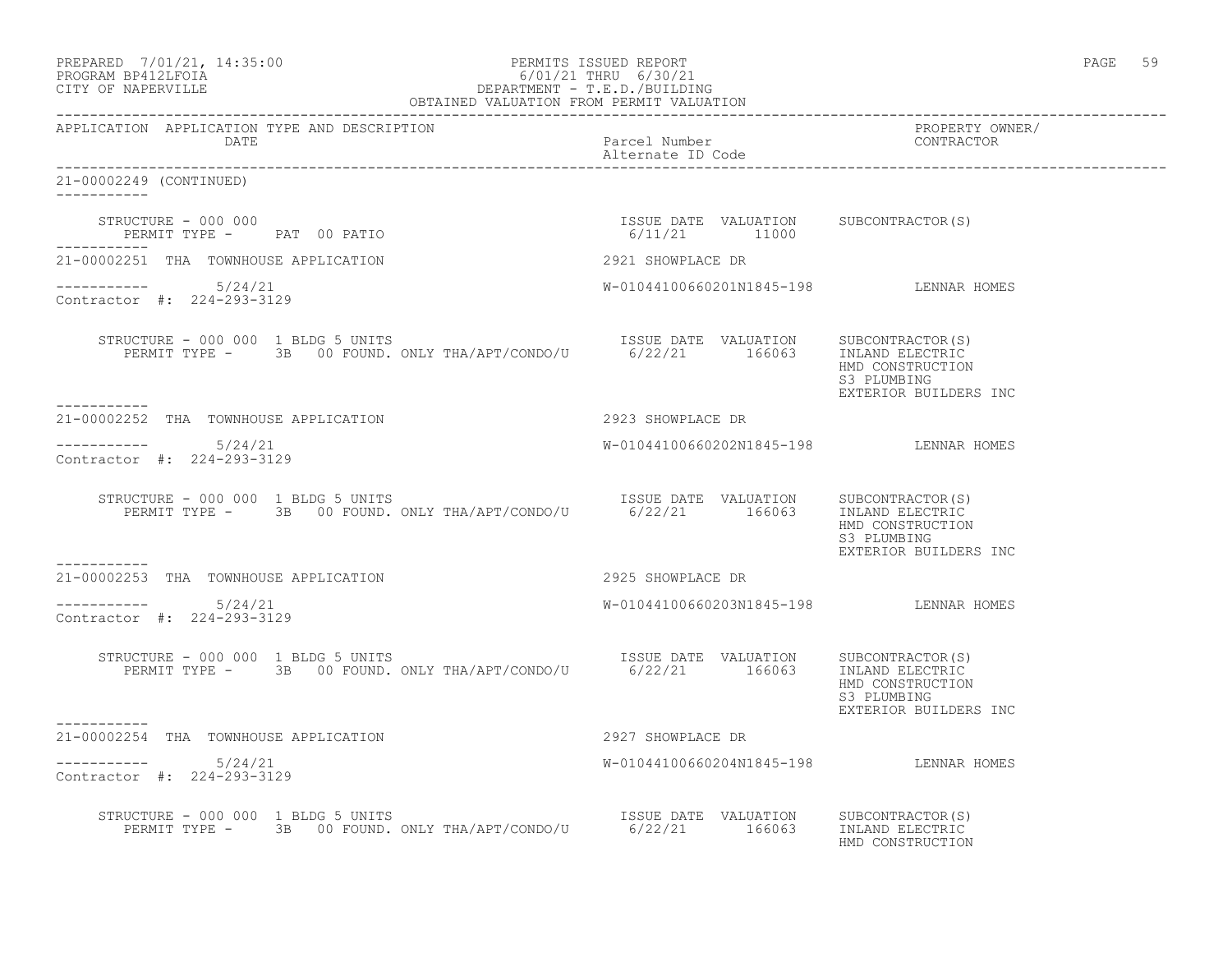| PREPARED 7/01/21, 14:35:00<br>PROGRAM BP412LFOIA<br>OBTAINED VALUATION FROM PERMIT VALUATION<br>OBTAINED VALUATION FROM PERMIT VALUATION<br>OBTAINED VALUATION FROM PERMIT VALUATION |                                                        |                                                          | PAGE 59 |  |
|--------------------------------------------------------------------------------------------------------------------------------------------------------------------------------------|--------------------------------------------------------|----------------------------------------------------------|---------|--|
| DATE                                                                                                                                                                                 | -------------<br>Parcel Number<br>Alternate ID Code    | PROPERTY OWNER/<br>CONTRACTOR                            |         |  |
| 21-00002249 (CONTINUED)                                                                                                                                                              |                                                        |                                                          |         |  |
| STRUCTURE - 000 000<br>PERMIT TYPE -       PAT   00  PATIO<br>------------                                                                                                           | ISSUE DATE VALUATION SUBCONTRACTOR(S)<br>6/11/21 11000 |                                                          |         |  |
| 21-00002251 THA TOWNHOUSE APPLICATION                                                                                                                                                | 2921 SHOWPLACE DR                                      |                                                          |         |  |
| -----------    5/24/21<br>Contractor #: 224-293-3129                                                                                                                                 | W-01044100660201N1845-198 LENNAR HOMES                 |                                                          |         |  |
| XUCTURE – 000 000 1 BLDG 5 UNITS<br>PERMIT TYPE – 3B 00 FOUND. ONLY THA/APT/CONDO/U 6/22/21 166063 INLAND ELECTRIC<br>STRUCTURE - 000 000 1 BLDG 5 UNITS                             |                                                        | HMD CONSTRUCTION<br>S3 PLUMBING<br>EXTERIOR BUILDERS INC |         |  |
| 21-00002252 THA TOWNHOUSE APPLICATION                                                                                                                                                | 2923 SHOWPLACE DR                                      |                                                          |         |  |
| $--------- 5/24/21$<br>Contractor #: 224-293-3129                                                                                                                                    | W-01044100660202N1845-198 LENNAR HOMES                 |                                                          |         |  |
| RUCTURE – 000 000 1 BLDG 5 UNITS<br>PERMIT TYPE – 3B 00 FOUND. ONLY THA/APT/CONDO/U 6/22/21 166063 INLAND ELECTRIC<br>STRUCTURE - 000 000 1 BLDG 5 UNITS                             |                                                        | HMD CONSTRUCTION<br>S3 PLUMBING<br>EXTERIOR BUILDERS INC |         |  |
| 21-00002253 THA TOWNHOUSE APPLICATION                                                                                                                                                | 2925 SHOWPLACE DR                                      |                                                          |         |  |
| $--------$ 5/24/21<br>Contractor #: 224-293-3129                                                                                                                                     | W-01044100660203N1845-198 LENNAR HOMES                 |                                                          |         |  |
| STRUCTURE - 000 000 1 BLDG 5 UNITS                                                                                                                                                   |                                                        | HMD CONSTRUCTION<br>S3 PLUMBING<br>EXTERIOR BUILDERS INC |         |  |
| ----------<br>21-00002254 THA TOWNHOUSE APPLICATION                                                                                                                                  | 2927 SHOWPLACE DR                                      |                                                          |         |  |
| 5/24/21<br>-----------<br>Contractor #: 224-293-3129                                                                                                                                 | W-01044100660204N1845-198 LENNAR HOMES                 |                                                          |         |  |
| STRUCTURE - 000 000 1 BLDG 5 UNITS<br>PERMIT TYPE - 3B 00 FOUND. ONLY THA/APT/CONDO/U 6/22/21 166063 INLAND ELECTRIC                                                                 |                                                        | HMD CONSTRUCTION                                         |         |  |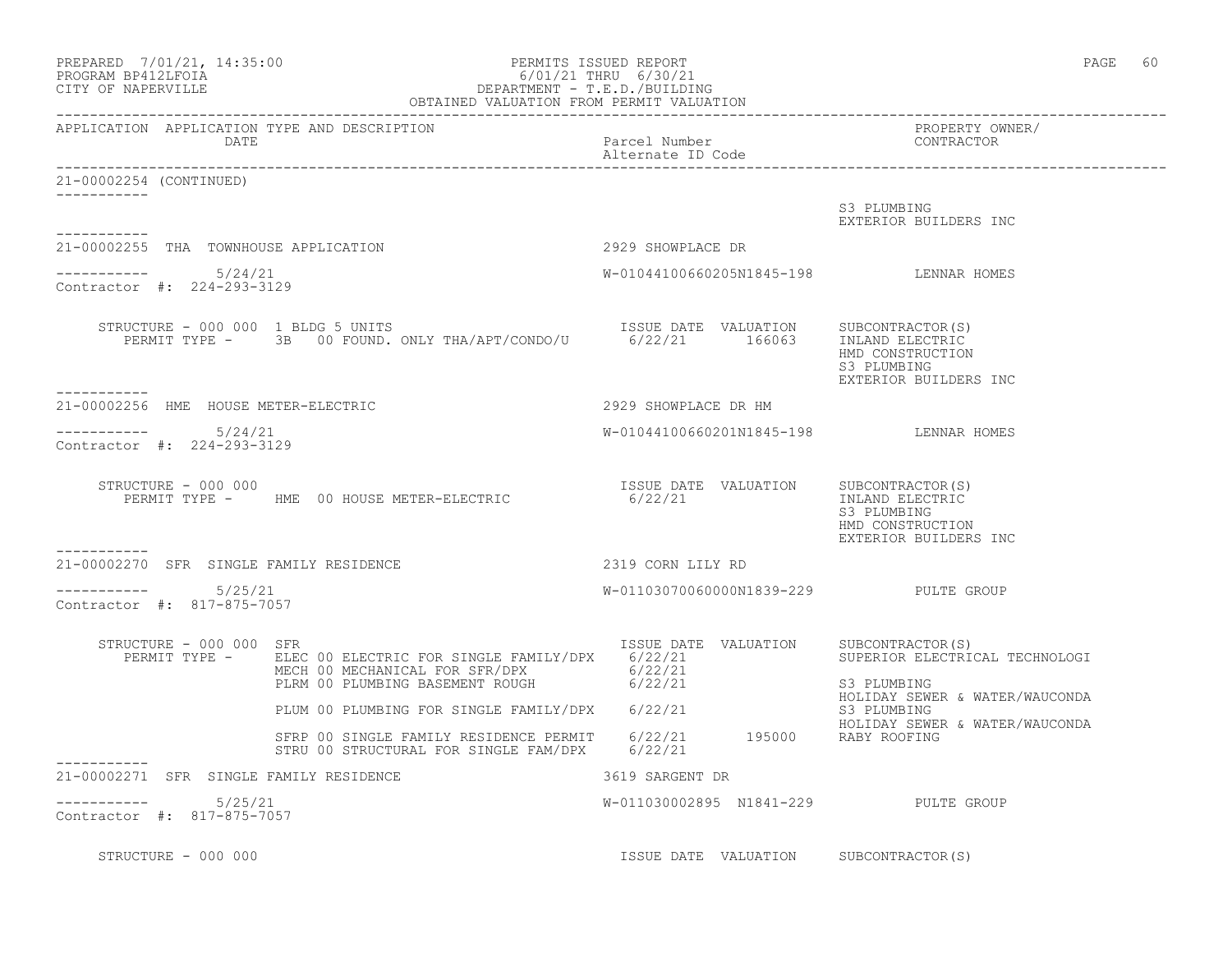|                                                        | $\begin{tabular}{l} \bf PREPARED & 7/01/21, 14:35:00 \\ \bf PROGRAM BP412LFOIA & DEPARTIMENT - T.E.D./BUIDING \\ \bf CITY OF NAPERVILLE & \bf OBTAINED VALUATION FROM PERMIT VALUATION \\ \end{tabular}$ |                                        | PAGE 60                                                                                         |
|--------------------------------------------------------|----------------------------------------------------------------------------------------------------------------------------------------------------------------------------------------------------------|----------------------------------------|-------------------------------------------------------------------------------------------------|
| APPLICATION APPLICATION TYPE AND DESCRIPTION<br>DATE   |                                                                                                                                                                                                          | Parcel Number<br>Alternate ID Code     | PROPERTY OWNER/<br>CONTRACTOR                                                                   |
| 21-00002254 (CONTINUED)                                |                                                                                                                                                                                                          |                                        |                                                                                                 |
| -----------                                            |                                                                                                                                                                                                          |                                        | S3 PLUMBING<br>EXTERIOR BUILDERS INC                                                            |
| 21-00002255 THA TOWNHOUSE APPLICATION                  |                                                                                                                                                                                                          | 2929 SHOWPLACE DR                      |                                                                                                 |
| 5/24/21<br>Contractor #: 224-293-3129                  |                                                                                                                                                                                                          | W-01044100660205N1845-198 LENNAR HOMES |                                                                                                 |
| STRUCTURE - 000 000 1 BLDG 5 UNITS<br>-----------      |                                                                                                                                                                                                          | ISSUE DATE VALUATION SUBCONTRACTOR(S)  | INLAND ELECTRIC<br>HMD CONSTRUCTION<br>S3 PLUMBING<br>EXTERIOR BUILDERS INC                     |
| 21-00002256 HME HOUSE METER-ELECTRIC                   |                                                                                                                                                                                                          | 2929 SHOWPLACE DR HM                   |                                                                                                 |
| $--------- 5/24/21$<br>Contractor #: 224-293-3129      |                                                                                                                                                                                                          | W-01044100660201N1845-198 LENNAR HOMES |                                                                                                 |
| STRUCTURE - 000 000                                    | PERMIT TYPE - MME 00 HOUSE METER-ELECTRIC                                                                                                                                                                | ISSUE DATE VALUATION<br>6/22/21        | SUBCONTRACTOR(S)<br>INLAND ELECTRIC<br>S3 PLUMBING<br>HMD CONSTRUCTION<br>EXTERIOR BUILDERS INC |
| -----------<br>21-00002270 SFR SINGLE FAMILY RESIDENCE |                                                                                                                                                                                                          | 2319 CORN LILY RD                      |                                                                                                 |
| 5/25/21<br>-----------<br>Contractor #: 817-875-7057   |                                                                                                                                                                                                          | W-01103070060000N1839-229 PULTE GROUP  |                                                                                                 |
| STRUCTURE - 000 000 SFR<br>PERMIT TYPE -               | ELEC 00 ELECTRIC FOR SINGLE FAMILY/DPX 6/22/21<br>MECH 00 MECHANICAL FOR SFR/DPX 6/22/21<br>PLRM 00 PLUMBING BASEMENT ROUGH 6/22/21                                                                      | ISSUE DATE VALUATION SUBCONTRACTOR(S)  | SUPERIOR ELECTRICAL TECHNOLOGI<br>S3 PLUMBING                                                   |
|                                                        | PLUM 00 PLUMBING FOR SINGLE FAMILY/DPX 6/22/21                                                                                                                                                           |                                        | HOLIDAY SEWER & WATER/WAUCONDA<br>S3 PLUMBING                                                   |
|                                                        | SFRP 00 SINGLE FAMILY RESIDENCE PERMIT 6/22/21 195000 RABY ROOFING<br>STRU 00 STRUCTURAL FOR SINGLE FAM/DPX 6/22/21                                                                                      |                                        | HOLIDAY SEWER & WATER/WAUCONDA                                                                  |
| 21-00002271 SFR SINGLE FAMILY RESIDENCE                |                                                                                                                                                                                                          | 3619 SARGENT DR                        |                                                                                                 |
| 5/25/21<br>Contractor #: 817-875-7057                  |                                                                                                                                                                                                          | W-011030002895 N1841-229 PULTE GROUP   |                                                                                                 |
| STRUCTURE - 000 000                                    |                                                                                                                                                                                                          | ISSUE DATE VALUATION SUBCONTRACTOR(S)  |                                                                                                 |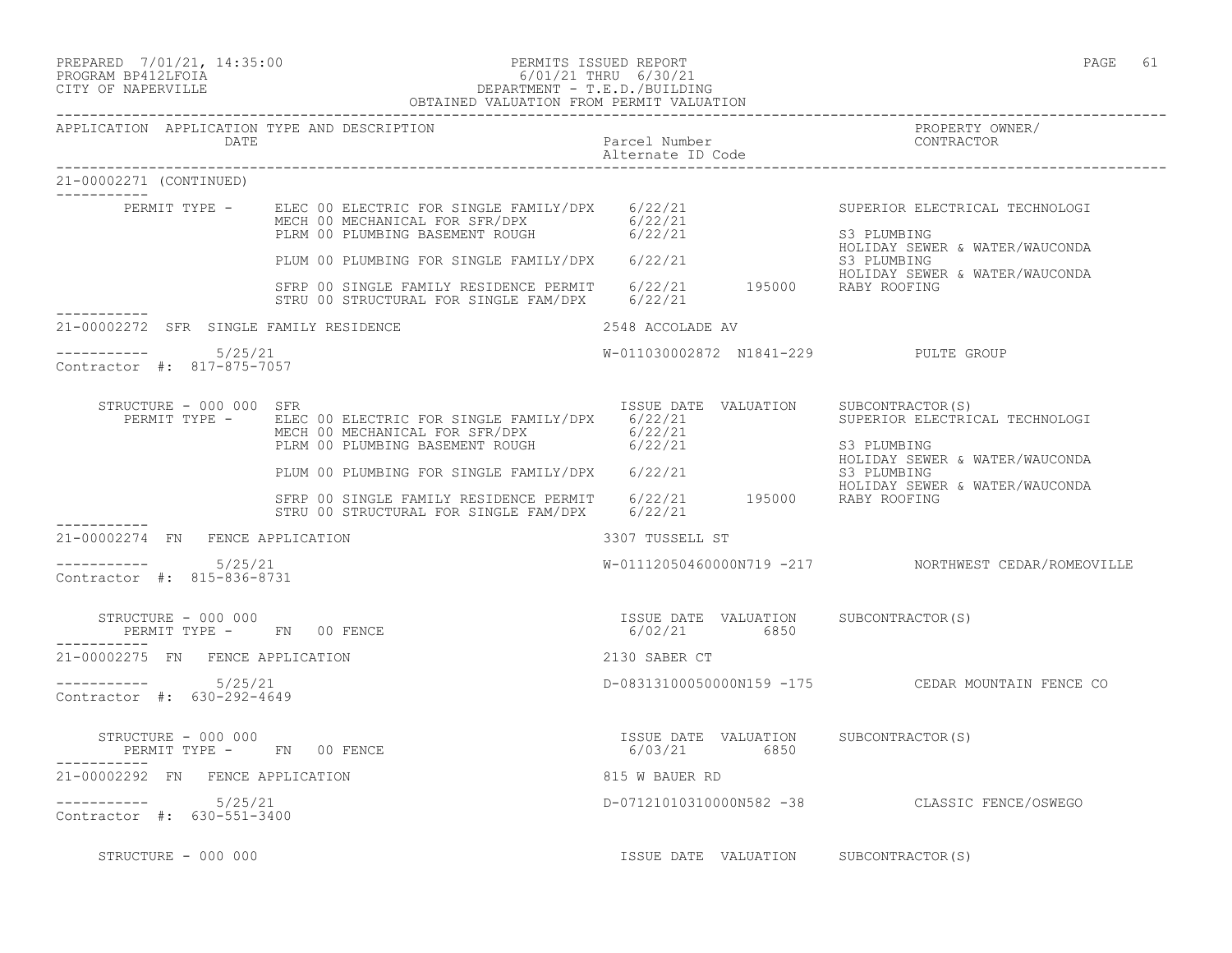PREPARED 7/01/21, 14:35:00 PERMITS ISSUED REPORT PAGE 61

# PROGRAM BP412LFOIA 6/01/21 THRU 6/30/21 CITY OF NAPERVILLE DEPARTMENT - T.E.D./BUILDING

|                                                   |      | OBTAINED VALUATION FROM PERMIT VALUATION                                                                                                                                                                                                                                                                                 |                                    |                                                                                                                                                                                                               |
|---------------------------------------------------|------|--------------------------------------------------------------------------------------------------------------------------------------------------------------------------------------------------------------------------------------------------------------------------------------------------------------------------|------------------------------------|---------------------------------------------------------------------------------------------------------------------------------------------------------------------------------------------------------------|
| APPLICATION APPLICATION TYPE AND DESCRIPTION      | DATE |                                                                                                                                                                                                                                                                                                                          | Parcel Number<br>Alternate ID Code | PROPERTY OWNER/<br>CONTRACTOR                                                                                                                                                                                 |
| 21-00002271 (CONTINUED)<br>__________             |      |                                                                                                                                                                                                                                                                                                                          |                                    |                                                                                                                                                                                                               |
|                                                   |      | PERMIT TYPE - ELEC 00 ELECTRIC FOR SINGLE FAMILY/DPX 6/22/21<br>MECH 00 MECHANICAL FOR SFR/DPX 6/22/21<br>PLRM 00 PLUMBING BASEMENT ROUGH 6/22/21<br>PLRM OU PLUMBING PASETIER RAMILY/DPX 6/22/21<br>BERP 00 SINGLE FAMILY RESIDENCE PERMIT 6/22/21 195000 RABY ROOFING<br>STRU 00 STRUCTURAL FOR SINGLE FAM/DPX 6/22/21 |                                    | SUPERIOR ELECTRICAL TECHNOLOGI<br>S3 PLUMBING<br>HOLIDAY SEWER & WATER/WAUCONDA<br>S3 PLUMBING<br>HOLIDAY SEWER & WATER/WAUCONDA                                                                              |
| 21-00002272 SFR SINGLE FAMILY RESIDENCE           |      | 2548 ACCOLADE AV                                                                                                                                                                                                                                                                                                         |                                    |                                                                                                                                                                                                               |
| $--------- 5/25/21$<br>Contractor #: 817-875-7057 |      |                                                                                                                                                                                                                                                                                                                          |                                    | W-011030002872 N1841-229 PULTE GROUP                                                                                                                                                                          |
| STRUCTURE - 000 000 SFR                           |      | PERMIT TYPE - ELEC 00 ELECTRIC FOR SINGLE FAMILY/DPX 6/22/21<br>MECH 00 MECHANICAL FOR SFR/DPX 6/22/21<br>PLRM 00 PLUMBING BASEMENT ROUGH 6/22/21                                                                                                                                                                        |                                    | ISSUE DATE VALUATION SUBCONTRACTOR(S)<br>SUPERIOR ELECTRICAL TECHNOLOGI<br>S3 PLUMBING<br>HOLIDAY SEWER & WATER/WAUCONDA                                                                                      |
|                                                   |      | STRU 00 STRUCTURAL FOR SINGLE FAM/DPX 6/22/21                                                                                                                                                                                                                                                                            |                                    | PLUM 00 PLUMBING FOR SINGLE FAMILY/DPX 6/22/21 622/21 S3 PLUMBING<br>STRP 00 SINGLE FAMILY RESIDENCE PERMIT 6/22/21 195000 RABY ROOFING<br>STRI 00 SINGLE FAMILY RESIDENCE PERMIT 6/22/21 195000 RABY ROOFING |
| 21-00002274 FN FENCE APPLICATION                  |      |                                                                                                                                                                                                                                                                                                                          | 3307 TUSSELL ST                    |                                                                                                                                                                                                               |
| Contractor #: 815-836-8731                        |      |                                                                                                                                                                                                                                                                                                                          |                                    | W-01112050460000N719 -217 NORTHWEST CEDAR/ROMEOVILLE                                                                                                                                                          |
| STRUCTURE - 000 000<br>PERMIT TYPE - FN 00 FENCE  |      |                                                                                                                                                                                                                                                                                                                          | 6/02/21 6850                       | ISSUE DATE VALUATION SUBCONTRACTOR(S)                                                                                                                                                                         |
| 21-00002275 FN FENCE APPLICATION                  |      |                                                                                                                                                                                                                                                                                                                          | 2130 SABER CT                      |                                                                                                                                                                                                               |
| $--------- 5/25/21$<br>Contractor #: 630-292-4649 |      |                                                                                                                                                                                                                                                                                                                          |                                    | D-08313100050000N159 -175 CEDAR MOUNTAIN FENCE CO                                                                                                                                                             |
|                                                   |      | PERMIT TYPE - FN 00 FENCE                                                                                                                                                                                                                                                                                                | 6/03/21 6850                       | ISSUE DATE VALUATION SUBCONTRACTOR(S)                                                                                                                                                                         |
| 21-00002292 FN FENCE APPLICATION                  |      |                                                                                                                                                                                                                                                                                                                          | 815 W BAUER RD                     |                                                                                                                                                                                                               |
| ----------- 5/25/21<br>Contractor #: 630-551-3400 |      |                                                                                                                                                                                                                                                                                                                          |                                    | D-07121010310000N582 -38 CLASSIC FENCE/OSWEGO                                                                                                                                                                 |
| STRUCTURE - 000 000                               |      |                                                                                                                                                                                                                                                                                                                          |                                    | ISSUE DATE VALUATION SUBCONTRACTOR(S)                                                                                                                                                                         |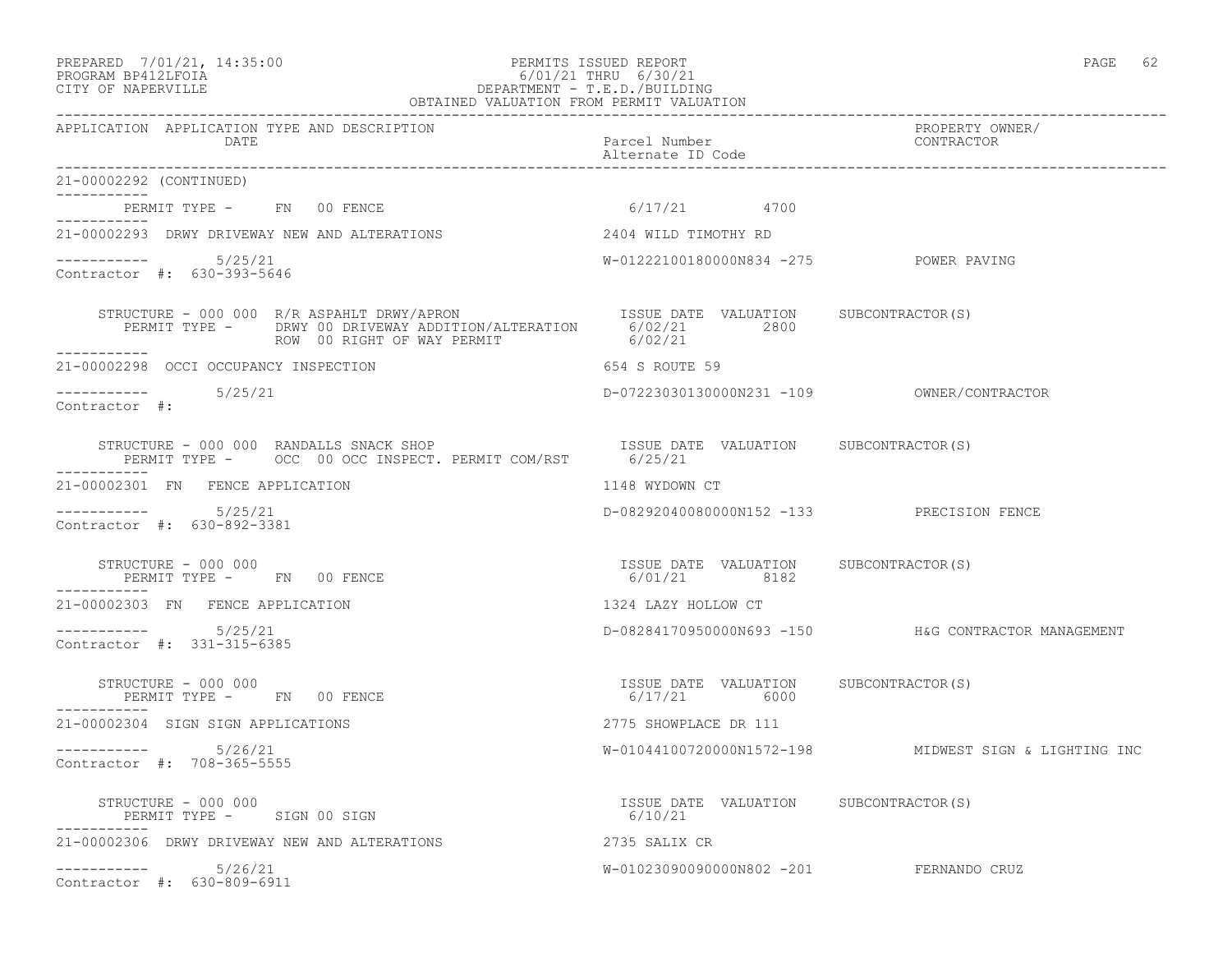#### PREPARED 7/01/21, 14:35:00 PERMITS ISSUED REPORT PAGE 62 PROGRAM BP412LFOIA 6/01/21 THRU 6/30/21 CITY OF NAPERVILLE DEPARTMENT - T.E.D./BUILDING OBTAINED VALUATION FROM PERMIT VALUATION

| APPLICATION APPLICATION TYPE AND DESCRIPTION<br>DATE                                                                                                                                      | Parcel Number<br>Alternate ID Code                    | PROPERTY OWNER/<br>CONTRACTOR                         |  |
|-------------------------------------------------------------------------------------------------------------------------------------------------------------------------------------------|-------------------------------------------------------|-------------------------------------------------------|--|
| 21-00002292 (CONTINUED)                                                                                                                                                                   |                                                       |                                                       |  |
| PERMIT TYPE - FN 00 FENCE                                                                                                                                                                 | $6/17/21$ 4700                                        |                                                       |  |
| 21-00002293 DRWY DRIVEWAY NEW AND ALTERATIONS                                                                                                                                             | 2404 WILD TIMOTHY RD                                  |                                                       |  |
| $--------- 5/25/21$<br>Contractor #: 630-393-5646                                                                                                                                         | W-01222100180000N834 -275 POWER PAVING                |                                                       |  |
| STRUCTURE - 000 000 R/R ASPAHLT DRWY/APRON ISSUE DATE VALUATION SUBCONTRACTOR(S)<br>PERMIT TYPE - DRWY 00 DRIVEWAY ADDITION/ALTERATION 6/02/21 2800<br>ROW 00 RIGHT OF WAY PERMIT 6/02/21 |                                                       |                                                       |  |
| -----------<br>21-00002298 OCCI OCCUPANCY INSPECTION                                                                                                                                      | 654 S ROUTE 59                                        |                                                       |  |
| $--------- 5/25/21$<br>Contractor #:                                                                                                                                                      |                                                       |                                                       |  |
|                                                                                                                                                                                           |                                                       |                                                       |  |
| -----------<br>21-00002301 FN FENCE APPLICATION                                                                                                                                           | 1148 WYDOWN CT                                        |                                                       |  |
| $--------- 5/25/21$<br>Contractor #: 630-892-3381                                                                                                                                         | D-08292040080000N152 -133 PRECISION FENCE             |                                                       |  |
| STRUCTURE - 000 000<br>PERMIT TYPE - FN 00 FENCE                                                                                                                                          | ISSUE DATE VALUATION SUBCONTRACTOR(S)<br>6/01/21 8182 |                                                       |  |
| 21-00002303 FN FENCE APPLICATION                                                                                                                                                          | 1324 LAZY HOLLOW CT                                   |                                                       |  |
| $--------- 5/25/21$<br>Contractor #: 331-315-6385                                                                                                                                         |                                                       | D-08284170950000N693 -150 H&G CONTRACTOR MANAGEMENT   |  |
| STRUCTURE - 000 000<br>PERMIT TYPE - FN 00 FENCE                                                                                                                                          | ISSUE DATE VALUATION SUBCONTRACTOR(S)<br>6/17/21 6000 |                                                       |  |
| 21-00002304 SIGN SIGN APPLICATIONS                                                                                                                                                        | 2775 SHOWPLACE DR 111                                 |                                                       |  |
| $--------- 5/26/21$<br>Contractor #: 708-365-5555                                                                                                                                         |                                                       | W-01044100720000N1572-198 MIDWEST SIGN & LIGHTING INC |  |
| STRUCTURE - 000 000<br>PERMIT TYPE - SIGN 00 SIGN                                                                                                                                         | ISSUE DATE VALUATION SUBCONTRACTOR (S)<br>6/10/21     |                                                       |  |
| 21-00002306 DRWY DRIVEWAY NEW AND ALTERATIONS                                                                                                                                             | 2735 SALIX CR                                         |                                                       |  |
| $--------- 5/26/21$<br>Contractor #: 630-809-6911                                                                                                                                         | W-01023090090000N802 -201 FERNANDO CRUZ               |                                                       |  |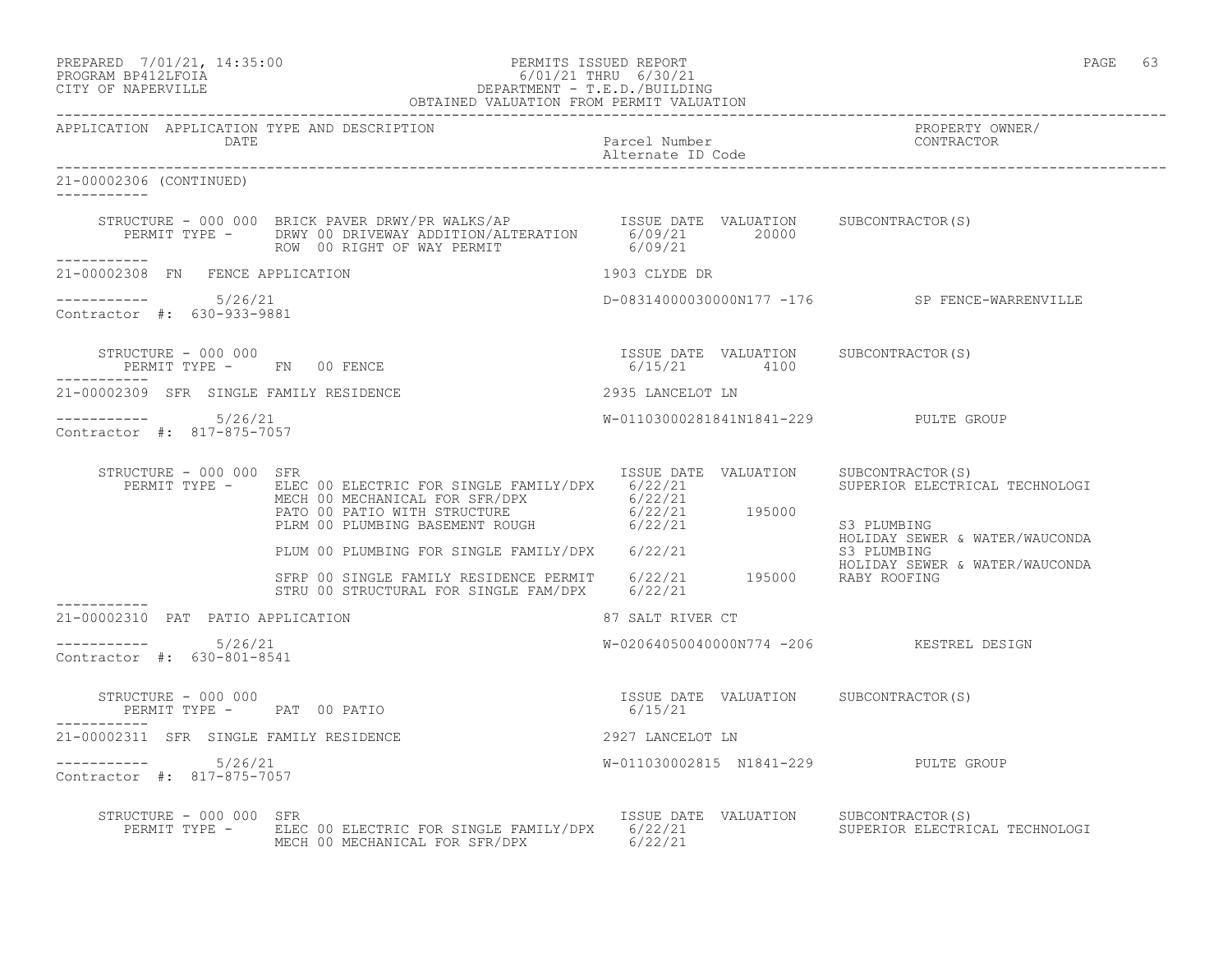PREPARED 7/01/21, 14:35:00 PERMITS ISSUED REPORT PAGE 63

21-00002306 (CONTINUED)

 $--------- 5/26/21$ 

Contractor #: 630-933-9881

Contractor #: 817-875-7057

-----------

-----------

-----------

# PROGRAM BP412LFOIA 6/01/21 THRU 6/30/21

CITY OF NAPERVILLE DEPARTMENT - T.E.D./BUILDING OBTAINED VALUATION FROM PERMIT VALUATION ------------------------------------------------------------------------------------------------------------------------------------ APPLICATION APPLICATION TYPE AND DESCRIPTION PROPERTY OWNER/ DATE **Parcel Number** Parcel Number Contractor Parcel Number Alternate ID Code ------------------------------------------------------------------------------------------------------------------------------------ STRUCTURE - 000 000 BRICK PAVER DRWY/PR WALKS/AP ISSUE DATE VALUATION SUBCONTRACTOR(S) PERMIT TYPE - DRWY 00 DRIVEWAY ADDITION/ALTERATION 6/09/21 20000 ROW 00 RIGHT OF WAY PERMIT 6/09/21 21-00002308 FN FENCE APPLICATION 1903 CLYDE DR ----------- 5/26/21 D-08314000030000N177 -176 SP FENCE-WARRENVILLE STRUCTURE - 000 000 ISSUE DATE VALUATION SUBCONTRACTOR(S) PERMIT TYPE - FN 00 FENCE 21-00002309 SFR SINGLE FAMILY RESIDENCE 2935 LANCELOT LN ----------- 5/26/21 W-01103000281841N1841-229 PULTE GROUP STRUCTURE - 000 000 SFR<br>PERMIT TYPE - ELEC 00 ELECTRIC FOR SINGLE FAMILY/DPX 6/22/21 61230 SUPERIOR ELECTRICAL TECHNOLOGI PERMIT TYPE - BLEC 00 ELECTRIC FOR SINGLE FAMILY/DPX 6/22/21

| MECH 00 MECHANICAL FOR SFR/DPX<br>PATO 00 PATIO WITH STRUCTURE<br>PLRM 00 PLUMBING BASEMENT ROUGH | 6/22/21<br>$6/22/21$ 195000<br>6/22/21   | S3 PLUMBING                                         |
|---------------------------------------------------------------------------------------------------|------------------------------------------|-----------------------------------------------------|
| PLUM 00 PLUMBING FOR SINGLE FAMILY/DPX                                                            | 6/22/21                                  | HOLIDAY SEWER & WATER/WAUCONDA<br>S3 PLUMBING       |
| SFRP 00 SINGLE FAMILY RESIDENCE PERMIT<br>STRU 00 STRUCTURAL FOR SINGLE FAM/DPX                   | 6/22/21 195000<br>6/22/21                | HOLIDAY SEWER & WATER/WAUCONDA<br>RABY ROOFING      |
| 21-00002310<br>PAT PATIO APPLICATION                                                              | 87 SALT RIVER CT                         |                                                     |
| 5/26/21<br>Contractor #:<br>630-801-8541                                                          | W-02064050040000N774 -206 KESTREL DESIGN |                                                     |
| STRUCTURE - 000 000<br>PERMIT TYPE - PAT 00 PATIO                                                 | ISSUE DATE<br>VALUATION<br>6/15/21       | SUBCONTRACTOR (S)                                   |
| 21-00002311<br>SFR SINGLE FAMILY RESIDENCE                                                        | 2927 LANCELOT LN                         |                                                     |
| 5/26/21<br>Contractor #: 817-875-7057                                                             | W-011030002815 N1841-229                 | PULTE GROUP                                         |
| STRUCTURE - 000 000<br>SFR<br>ELEC 00 ELECTRIC FOR SINGLE FAMILY/DPX<br>PERMIT TYPE -             | ISSUE DATE<br>VALUATION<br>6/22/21       | SUBCONTRACTOR (S)<br>SUPERIOR ELECTRICAL TECHNOLOGI |

MECH 00 MECHANICAL FOR SFR/DPX 6/22/21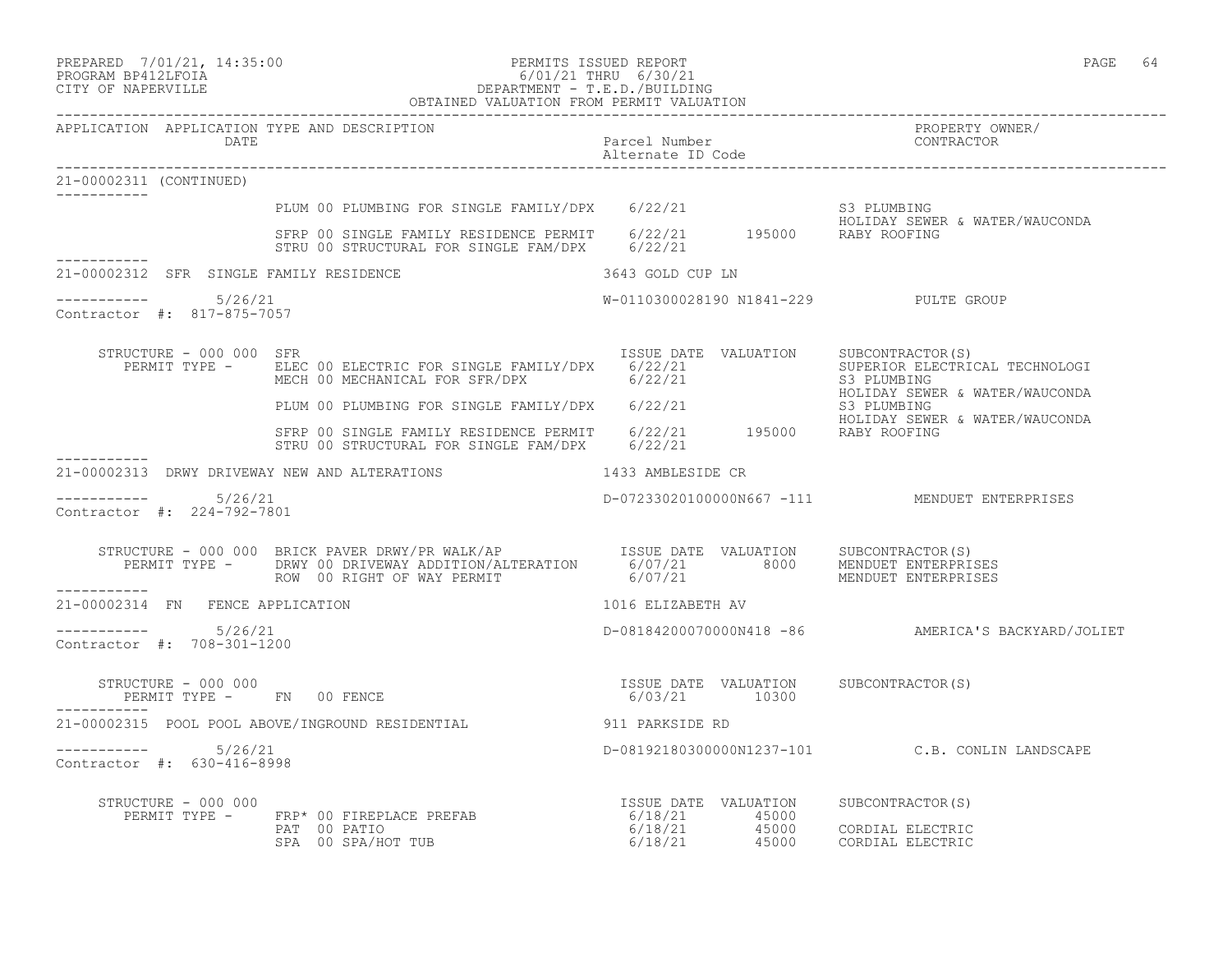# PREPARED 7/01/21, 14:35:00 PERMITS ISSUED REPORT PAGE 64<br>PROGRAM BP412LFOIA PAGE 64 PROGRAM PROGRAM PROGRAM PROGRAM PAGE 64 PROGRAM BP412LFOIA 6/01/21 THRU 6/30/21 CITY OF NAPERVILLE DEPARTMENT - T.E.D./BUILDING

|                                                       | OBTAINED VALUATION FROM PERMIT VALUATION                                                                                                                                                                                                                                                                                                                           |                                                                                                           |                                                    |
|-------------------------------------------------------|--------------------------------------------------------------------------------------------------------------------------------------------------------------------------------------------------------------------------------------------------------------------------------------------------------------------------------------------------------------------|-----------------------------------------------------------------------------------------------------------|----------------------------------------------------|
| APPLICATION APPLICATION TYPE AND DESCRIPTION<br>DATE  |                                                                                                                                                                                                                                                                                                                                                                    | Parcel Number<br>Alternate ID Code                                                                        | PROPERTY OWNER/<br>CONTRACTOR                      |
| 21-00002311 (CONTINUED)                               |                                                                                                                                                                                                                                                                                                                                                                    |                                                                                                           |                                                    |
|                                                       |                                                                                                                                                                                                                                                                                                                                                                    |                                                                                                           |                                                    |
|                                                       | PLUM 00 PLUMBING FOR SINGLE FAMILY/DPX 6/22/21 S3 PLUMBING<br>SFRP 00 SINGLE FAMILY RESIDENCE PERMIT 6/22/21 195000 RABY ROOFING<br>STRU 00 STRUCTURAL FOR SINGLE FAM/DPX 6/22/21                                                                                                                                                                                  |                                                                                                           |                                                    |
| 21-00002312 SFR SINGLE FAMILY RESIDENCE               |                                                                                                                                                                                                                                                                                                                                                                    | 3643 GOLD CUP LN                                                                                          |                                                    |
| ----------    5/26/21<br>Contractor #: 817-875-7057   |                                                                                                                                                                                                                                                                                                                                                                    | W-0110300028190 N1841-229 PULTE GROUP                                                                     |                                                    |
| STRUCTURE - 000 000 SFR                               | PERMIT TYPE - ELEC 00 ELECTRIC FOR SINGLE FAMILY/DPX 6/22/21 SUPERIOR ELECTRICAL TECHNOLOGI<br>MECH 00 MECHANICAL FOR SFR/DPX 6/22/21 6/22/21 S3 PLUMBING<br>HOLIDAY SEWER & WATER/WAUCONDA                                                                                                                                                                        | ISSUE DATE VALUATION SUBCONTRACTOR(S)                                                                     | HOLIDAY SEWER & WATER/WAUCONDA                     |
|                                                       | PLUM 00 PLUMBING FOR SINGLE FAMILY/DPX 6/22/21 6/22/21<br>STRP 00 SINGLE FAMILY RESIDENCE PERMIT 6/22/21 195000 RABY ROOFING<br>STRP 00 SINGLE FAMILY RESIDENCE PERMIT 6/22/21 195000 RABY ROOFING                                                                                                                                                                 |                                                                                                           |                                                    |
|                                                       | STRU 00 STRUCTURAL FOR SINGLE FAM/DPX 6/22/21                                                                                                                                                                                                                                                                                                                      |                                                                                                           |                                                    |
|                                                       | 21-00002313 DRWY DRIVEWAY NEW AND ALTERATIONS 1433 AMBLESIDE CR                                                                                                                                                                                                                                                                                                    |                                                                                                           |                                                    |
| -----------     5/26/21<br>Contractor #: 224-792-7801 |                                                                                                                                                                                                                                                                                                                                                                    |                                                                                                           | D-07233020100000N667 -111 MENDUET ENTERPRISES      |
|                                                       | STRUCTURE - 000 000 BRICK PAVER DRWY/PR WALK/AP                ISSUE DATE VALUATION      SUBCONTRACTOR(S)<br>PERMIT TYPE -        DRWY 00 DRIVEWAY ADDITION/ALTERATION         6/07/21                8000      MENDUET ENTERPRIS                                                                                                                                  |                                                                                                           |                                                    |
| 21-00002314 FN FENCE APPLICATION                      |                                                                                                                                                                                                                                                                                                                                                                    | 1016 ELIZABETH AV                                                                                         |                                                    |
| $--------- 5/26/21$<br>Contractor #: 708-301-1200     |                                                                                                                                                                                                                                                                                                                                                                    |                                                                                                           | D-08184200070000N418 -86 AMERICA'S BACKYARD/JOLIET |
|                                                       | $\begin{array}{cccccccccc} \texttt{STRUCTURE} & - & 000 & 000 & & & & & \\ \texttt{PERMIT TYPE} & - & & \texttt{FN} & 00 & \texttt{FENCE} & & & & \\ \end{array} \hspace{2.5in} \begin{array}{cccccccccc} \texttt{TSSUE} & \texttt{DATE} & \texttt{VALUATION} & & \texttt{SUBCONTRACTOR(S)} \\ & & & & & & \\ \texttt{6/03/21} & & & & & 10300 & & \\ \end{array}$ |                                                                                                           |                                                    |
|                                                       | 21-00002315 POOL POOL ABOVE/INGROUND RESIDENTIAL 911 PARKSIDE RD                                                                                                                                                                                                                                                                                                   |                                                                                                           |                                                    |
| $--------- 5/26/21$<br>Contractor #: 630-416-8998     |                                                                                                                                                                                                                                                                                                                                                                    |                                                                                                           | D-08192180300000N1237-101 C.B. CONLIN LANDSCAPE    |
| STRUCTURE - 000 000                                   | NUCTURE - 000 000<br>PERMIT TYPE -     FRP* 00 FIREPLACE PREFAB<br>PAT 00 PATIO<br>SPA 00 SPA/HOT TUB                                                                                                                                                                                                                                                              | 1SSUE DATE VALUATION SUBCONTRACTOR(S)<br>6/18/21 45000 CORDIAL ELECTRIC<br>6/18/21 45000 CORDIAL ELECTRIC |                                                    |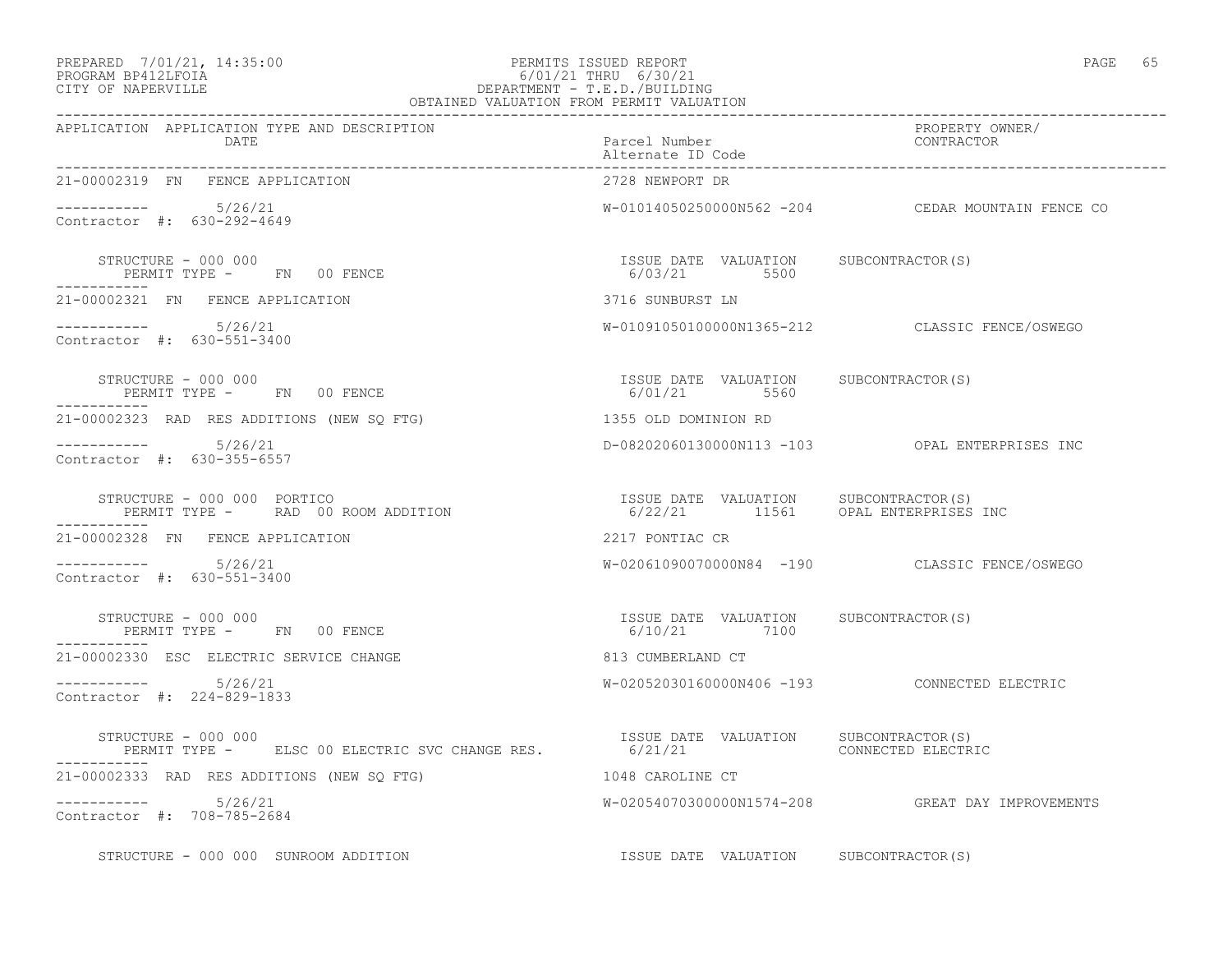#### PREPARED 7/01/21, 14:35:00 PERMITS ISSUED REPORT PAGE 65 PROGRAM BP412LFOIA 6/01/21 THRU 6/30/21 CITY OF NAPERVILLE DEPARTMENT - T.E.D./BUILDING OBTAINED VALUATION FROM PERMIT VALUATION

| APPLICATION APPLICATION TYPE AND DESCRIPTION<br>DATE                                                                                               | Parcel Number<br>Alternate ID Code                    | PROPERTY OWNER/<br>CONTRACTOR                     |  |
|----------------------------------------------------------------------------------------------------------------------------------------------------|-------------------------------------------------------|---------------------------------------------------|--|
| 21-00002319 FN FENCE APPLICATION                                                                                                                   | 2728 NEWPORT DR                                       |                                                   |  |
| $--------- 5/26/21$<br>Contractor #: 630-292-4649                                                                                                  |                                                       | W-01014050250000N562 -204 CEDAR MOUNTAIN FENCE CO |  |
| STRUCTURE - 000 000<br>PERMIT TYPE - FN 00 FENCE<br>-----------                                                                                    | ISSUE DATE VALUATION SUBCONTRACTOR(S)<br>6/03/21 5500 |                                                   |  |
| 21-00002321 FN FENCE APPLICATION                                                                                                                   | 3716 SUNBURST LN                                      |                                                   |  |
| $--------- 5/26/21$<br>Contractor #: 630-551-3400                                                                                                  |                                                       | W-01091050100000N1365-212 CLASSIC FENCE/OSWEGO    |  |
| STRUCTURE - 000 000<br>PERMIT TYPE - FN 00 FENCE                                                                                                   | ISSUE DATE VALUATION SUBCONTRACTOR(S)<br>6/01/21 5560 |                                                   |  |
| 21-00002323 RAD RES ADDITIONS (NEW SQ FTG)                                                                                                         | 1355 OLD DOMINION RD                                  |                                                   |  |
| $--------- 5/26/21$<br>Contractor #: 630-355-6557                                                                                                  |                                                       | D-08202060130000N113 -103 OPAL ENTERPRISES INC    |  |
| STRUCTURE - 000 000 PORTICO<br>PERMIT TYPE -     RAD 00 ROOM ADDITION                                   6/22/21       11561     OPAT. ENTERPRICTOR | 6/22/21 11561 OPAL ENTERPRISES INC                    |                                                   |  |
| 21-00002328 FN FENCE APPLICATION                                                                                                                   | 2217 PONTIAC CR                                       |                                                   |  |
| $--------- 5/26/21$<br>Contractor #: 630-551-3400                                                                                                  |                                                       | W-02061090070000N84 -190 CLASSIC FENCE/OSWEGO     |  |
| STRUCTURE - 000 000<br>PERMIT TYPE - FN 00 FENCE                                                                                                   | ISSUE DATE VALUATION SUBCONTRACTOR(S)<br>6/10/21 7100 |                                                   |  |
| 21-00002330 ESC ELECTRIC SERVICE CHANGE                                                                                                            | 813 CUMBERLAND CT                                     |                                                   |  |
| $--------- 5/26/21$<br>Contractor #: 224-829-1833                                                                                                  |                                                       | W-02052030160000N406 -193 CONNECTED ELECTRIC      |  |
| STRUCTURE - 000 000<br>PERMIT TYPE -      ELSC 00 ELECTRIC SVC CHANGE RES.              6/21/21<br>GONNECTED ELECTRIC (21/21                       |                                                       |                                                   |  |
| 21-00002333 RAD RES ADDITIONS (NEW SQ FTG)                                                                                                         | 1048 CAROLINE CT                                      |                                                   |  |
| $--------- 5/26/21$<br>Contractor #: 708-785-2684                                                                                                  |                                                       | W-02054070300000N1574-208 GREAT DAY IMPROVEMENTS  |  |
| STRUCTURE - 000 000 SUNROOM ADDITION                                                                                                               | ISSUE DATE VALUATION SUBCONTRACTOR(S)                 |                                                   |  |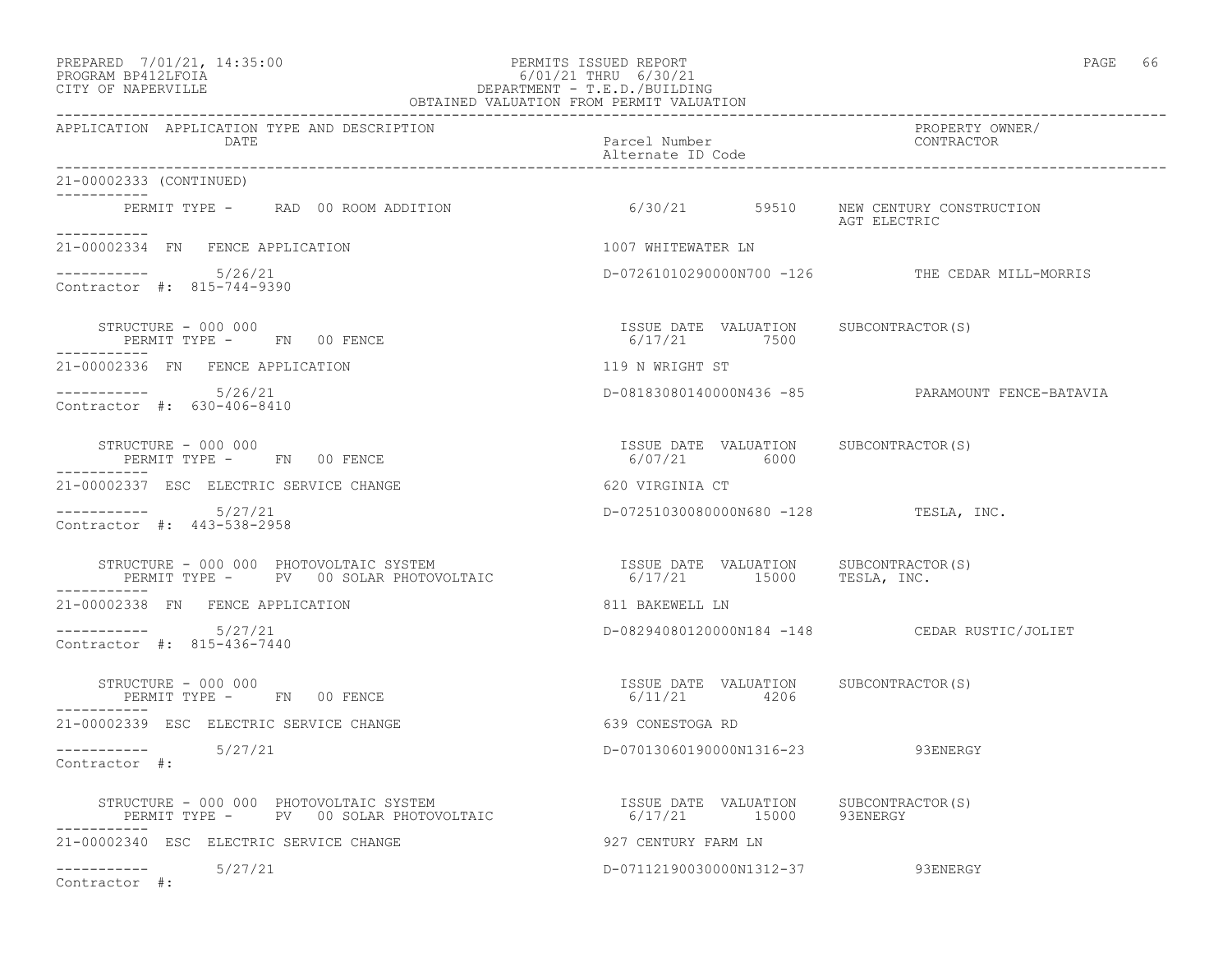# PREPARED 7/01/21, 14:35:00 PERMITS ISSUED REPORT PAGE 66 PROGRAM BP412LFOIA 6/01/21 THRU 6/30/21 CITY OF NAPERVILLE DEPARTMENT - T.E.D./BUILDING

| OBTAINED VALUATION FROM PERMIT VALUATION                                                                                                                                                                                     |                                                       |                                                  |  |  |
|------------------------------------------------------------------------------------------------------------------------------------------------------------------------------------------------------------------------------|-------------------------------------------------------|--------------------------------------------------|--|--|
| APPLICATION APPLICATION TYPE AND DESCRIPTION<br>DATE                                                                                                                                                                         | Parcel Number<br>Alternate ID Code                    | PROPERTY OWNER/<br>CONTRACTOR                    |  |  |
| 21-00002333 (CONTINUED)                                                                                                                                                                                                      |                                                       |                                                  |  |  |
| PERMIT TYPE - RAD 00 ROOM ADDITION 6/30/21 59510 NEW CENTURY CONSTRUCTION                                                                                                                                                    |                                                       | AGT ELECTRIC                                     |  |  |
| 21-00002334 FN FENCE APPLICATION                                                                                                                                                                                             | 1007 WHITEWATER LN                                    |                                                  |  |  |
| $--------- 5/26/21$<br>Contractor #: 815-744-9390                                                                                                                                                                            |                                                       | D-07261010290000N700 -126 THE CEDAR MILL-MORRIS  |  |  |
| STRUCTURE - 000 000<br>STRUCTURE - UUU UUU<br>PERMIT TYPE -     FN   00 FENCE                                                                                                                                                | ISSUE DATE VALUATION SUBCONTRACTOR(S)<br>6/17/21 7500 |                                                  |  |  |
| 21-00002336 FN FENCE APPLICATION                                                                                                                                                                                             | 119 N WRIGHT ST                                       |                                                  |  |  |
| $--------$ 5/26/21<br>Contractor #: 630-406-8410                                                                                                                                                                             |                                                       | D-08183080140000N436 -85 PARAMOUNT FENCE-BATAVIA |  |  |
| STRUCTURE - 000 000<br>PERMIT TYPE - FN 00 FENCE                                                                                                                                                                             | ISSUE DATE VALUATION SUBCONTRACTOR(S)<br>6/07/21 6000 |                                                  |  |  |
| 21-00002337 ESC ELECTRIC SERVICE CHANGE                                                                                                                                                                                      | 620 VIRGINIA CT                                       |                                                  |  |  |
| ----------    5/27/21<br>Contractor #: 443-538-2958                                                                                                                                                                          | D-07251030080000N680 -128 TESLA, INC.                 |                                                  |  |  |
| STRUCTURE - 000 000 PHOTOVOLTAIC SYSTEM                               ISSUE DATE VALUATION      SUBCONTRACTOR(S)<br>PERMIT TYPE -      PV   00 SOLAR PHOTOVOLTAIC                        6/17/21      15000      TESLA, INC. |                                                       |                                                  |  |  |
| 21-00002338 FN FENCE APPLICATION                                                                                                                                                                                             | 811 BAKEWELL LN                                       |                                                  |  |  |
| $--------- 5/27/21$<br>Contractor #: 815-436-7440                                                                                                                                                                            |                                                       | D-08294080120000N184 -148 CEDAR RUSTIC/JOLIET    |  |  |
| STRUCTURE - 000 000<br>PERMIT TYPE - FN 00 FENCE                                                                                                                                                                             | ISSUE DATE VALUATION SUBCONTRACTOR(S)<br>6/11/21 4206 |                                                  |  |  |
| 21-00002339 ESC ELECTRIC SERVICE CHANGE                                                                                                                                                                                      | 639 CONESTOGA RD                                      |                                                  |  |  |
| $--------- 5/27/21$<br>Contractor #:                                                                                                                                                                                         | D-07013060190000N1316-23 93ENERGY                     |                                                  |  |  |
| STRUCTURE - 000 000 PHOTOVOLTAIC SYSTEM                               ISSUE DATE VALUATION     SUBCONTRACTOR(S)<br>PERMIT TYPE -      PV   00 SOLAR PHOTOVOLTAIC                       6/17/21        15000       93ENERGY   |                                                       |                                                  |  |  |
| 21-00002340 ESC ELECTRIC SERVICE CHANGE                                                                                                                                                                                      | 927 CENTURY FARM LN                                   |                                                  |  |  |
| $--------- 5/27/21$<br>Contractor #:                                                                                                                                                                                         | D-07112190030000N1312-37 93ENERGY                     |                                                  |  |  |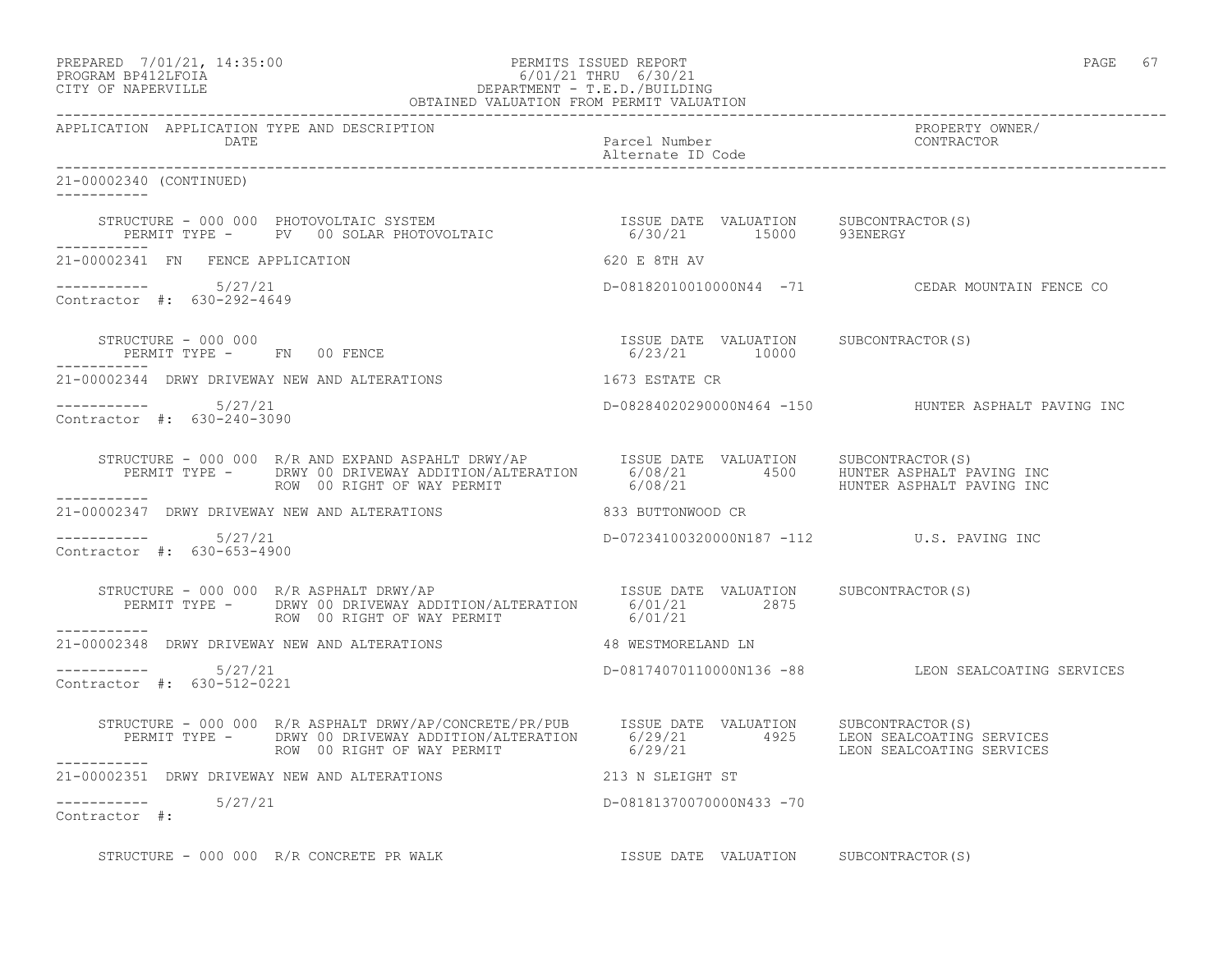| PREPARED            | 7/01/21, 14:35:00 |  |
|---------------------|-------------------|--|
| גדרת ולולפם וגמרוסם |                   |  |

#### PREPARED 7/01/21, 14:35:00 PERMITS ISSUED REPORT PAGE 67 PROGRAM BP412LFOIA 6/01/21 THRU 6/30/21 CITY OF NAPERVILLE DEPARTMENT - T.E.D./BUILDING OBTAINED VALUATION FROM PERMIT VALUATION

------------------------------------------------------------------------------------------------------------------------------------

APPLICATION APPLICATION TYPE AND DESCRIPTION PROPERTY OWNER/ DATE Parcel Number Contractor Contractor Contractor Parcel Number Contractor Contractor Contractor Contractor Contractor Contractor Contractor Contractor Contractor Contractor Contractor Contractor Contractor Contractor Co Alternate ID Code ------------------------------------------------------------------------------------------------------------------------------------ 21-00002340 (CONTINUED) ----------- STRUCTURE - 000 000 PHOTOVOLTAIC SYSTEM ISSUE DATE VALUATION SUBCONTRACTOR(S) PERMIT TYPE - PV 00 SOLAR PHOTOVOLTAIC 6/30/21 15000 93ENERGY ----------- 21-00002341 FN FENCE APPLICATION 620 E 8TH AV ----------- 5/27/21 D-08182010010000N44 -71 CEDAR MOUNTAIN FENCE CO Contractor #: 630-292-4649 STRUCTURE - 000 000 ISSUE DATE VALUATION SUBCONTRACTOR(S) PERMIT TYPE - FN 00 FENCE 10000 120000 FERMIT TYPE - FN 00 FENCE ----------- 21-00002344 DRWY DRIVEWAY NEW AND ALTERATIONS 1673 ESTATE CR ----------- 5/27/21 D-08284020290000N464 -150 HUNTER ASPHALT PAVING INC Contractor #: 630-240-3090 STRUCTURE - 000 000 R/R AND EXPAND ASPAHLT DRWY/AP ISSUE DATE VALUATION SUBCONTRACTOR(S) PERMIT TYPE - DRWY 00 DRIVEWAY ADDITION/ALTERATION 6/08/21 4500 HUNTER ASPHALT PAVING INC ROW 00 RIGHT OF WAY PERMIT  $6/08/21$  6.008/21 HUNTER ASPHALT PAVING INC ----------- 21-00002347 DRWY DRIVEWAY NEW AND ALTERATIONS 833 BUTTONWOOD CR  $--------- 5/27/21$ D-07234100320000N187 -112 U.S. PAVING INC Contractor #: 630-653-4900 STRUCTURE - 000 000 R/R ASPHALT DRWY/AP **ISSUE DATE** VALUATION SUBCONTRACTOR(S) PERMIT TYPE - DRWY 00 DRIVEWAY ADDITION/ALTERATION 6/01/21 2875<br>ROW 00 RIGHT OF WAY PERMIT 6001/21 ROW 00 RIGHT OF WAY PERMIT ----------- 21-00002348 DRWY DRIVEWAY NEW AND ALTERATIONS 48 WESTMORELAND LN  $--------- 5/27/21$ ----------- 5/27/21 D-08174070110000N136 -88 LEON SEALCOATING SERVICES Contractor #: 630-512-0221 STRUCTURE - 000 000 R/R ASPHALT DRWY/AP/CONCRETE/PR/PUB ISSUE DATE VALUATION SUBCONTRACTOR(S) PERMIT TYPE - DRWY 00 DRIVEWAY ADDITION/ALTERATION 6/29/21 4925 LEON SEALCOATING SERVICES ROW 00 RIGHT OF WAY PERMIT 6/29/21 CONSEALCOATING SERVICES ----------- 21-00002351 DRWY DRIVEWAY NEW AND ALTERATIONS 213 N SLEIGHT ST ----------- 5/27/21 D-08181370070000N433 -70 Contractor #:

STRUCTURE - 000 000 R/R CONCRETE PR WALK **ISSUE DATE VALUATION** SUBCONTRACTOR(S)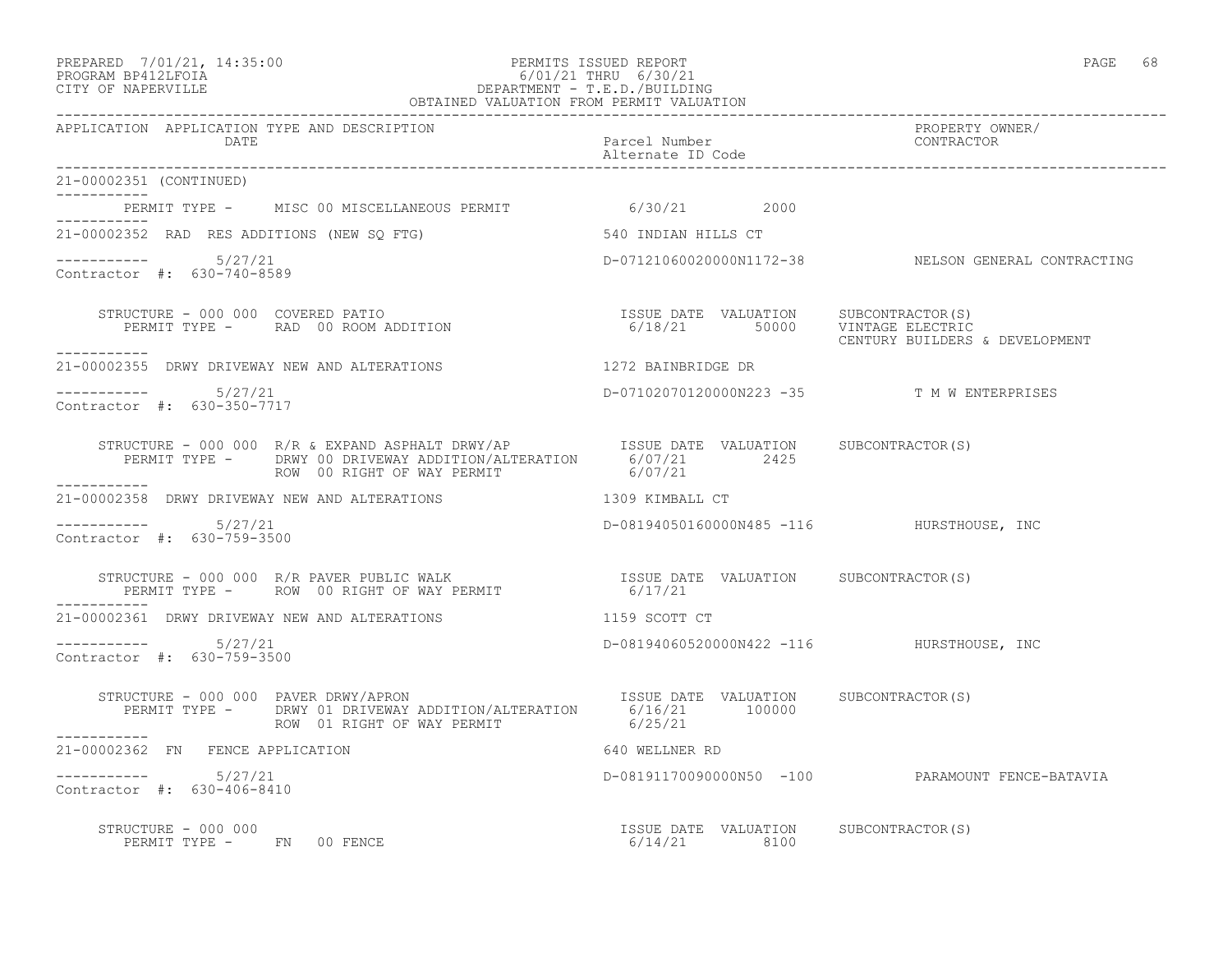#### PREPARED 7/01/21, 14:35:00 PERMITS ISSUED REPORT PAGE 68 PROGRAM BP412LFOIA 6/01/21 THRU 6/30/21 CITY OF NAPERVILLE DEPARTMENT - T.E.D./BUILDING OBTAINED VALUATION FROM PERMIT VALUATION

| APPLICATION APPLICATION TYPE AND DESCRIPTION                                                                                                                                           |                                                       | PROPERTY OWNER/                                     |
|----------------------------------------------------------------------------------------------------------------------------------------------------------------------------------------|-------------------------------------------------------|-----------------------------------------------------|
| <b>DATE</b>                                                                                                                                                                            | Parcel Number<br>Alternate ID Code                    | CONTRACTOR                                          |
| 21-00002351 (CONTINUED)<br>-----------                                                                                                                                                 |                                                       |                                                     |
| PERMIT TYPE - MISC 00 MISCELLANEOUS PERMIT 6/30/21 2000                                                                                                                                |                                                       |                                                     |
| 21-00002352 RAD RES ADDITIONS (NEW SQ FTG)                                                                                                                                             | 540 INDIAN HILLS CT                                   |                                                     |
| $--------- 5/27/21$<br>Contractor #: 630-740-8589                                                                                                                                      |                                                       | D-07121060020000N1172-38 NELSON GENERAL CONTRACTING |
| STRUCTURE - 000 000 COVERED PATIO<br>- - - - - - - - - - -                                                                                                                             |                                                       | CENTURY BUILDERS & DEVELOPMENT                      |
| 21-00002355 DRWY DRIVEWAY NEW AND ALTERATIONS                                                                                                                                          | 1272 BAINBRIDGE DR                                    |                                                     |
| Contractor #: 630-350-7717                                                                                                                                                             | D-07102070120000N223 -35 T M W ENTERPRISES            |                                                     |
| ROW 00 RIGHT OF WAY PERMIT                                                                                                                                                             | 6/07/21                                               |                                                     |
| 21-00002358 DRWY DRIVEWAY NEW AND ALTERATIONS                                                                                                                                          | 1309 KIMBALL CT                                       |                                                     |
| $--------- 5/27/21$<br>Contractor #: 630-759-3500                                                                                                                                      | D-08194050160000N485 -116 HURSTHOUSE, INC             |                                                     |
|                                                                                                                                                                                        |                                                       |                                                     |
| 21-00002361 DRWY DRIVEWAY NEW AND ALTERATIONS                                                                                                                                          | 1159 SCOTT CT                                         |                                                     |
| $--------- 5/27/21$<br>Contractor #: 630-759-3500                                                                                                                                      | D-08194060520000N422 -116 HURSTHOUSE, INC             |                                                     |
| TRUCTURE - 000 000 PAVER DRWY/APRON<br>PERMIT TYPE - DRWY 01 DRIVEWAY ADDITION/ALTERATION 6/16/21 100000<br>STRUCTURE - 000 000 PAVER DRWY/APRON<br>ROW 01 RIGHT OF WAY PERMIT 6/25/21 |                                                       |                                                     |
| -----------<br>21-00002362 FN FENCE APPLICATION                                                                                                                                        | 640 WELLNER RD                                        |                                                     |
| $--------- 5/27/21$<br>Contractor #: 630-406-8410                                                                                                                                      |                                                       | D-08191170090000N50 -100 PARAMOUNT FENCE-BATAVIA    |
| STRUCTURE - 000 000<br>PERMIT TYPE - FN 00 FENCE                                                                                                                                       | ISSUE DATE VALUATION SUBCONTRACTOR(S)<br>6/14/21 8100 |                                                     |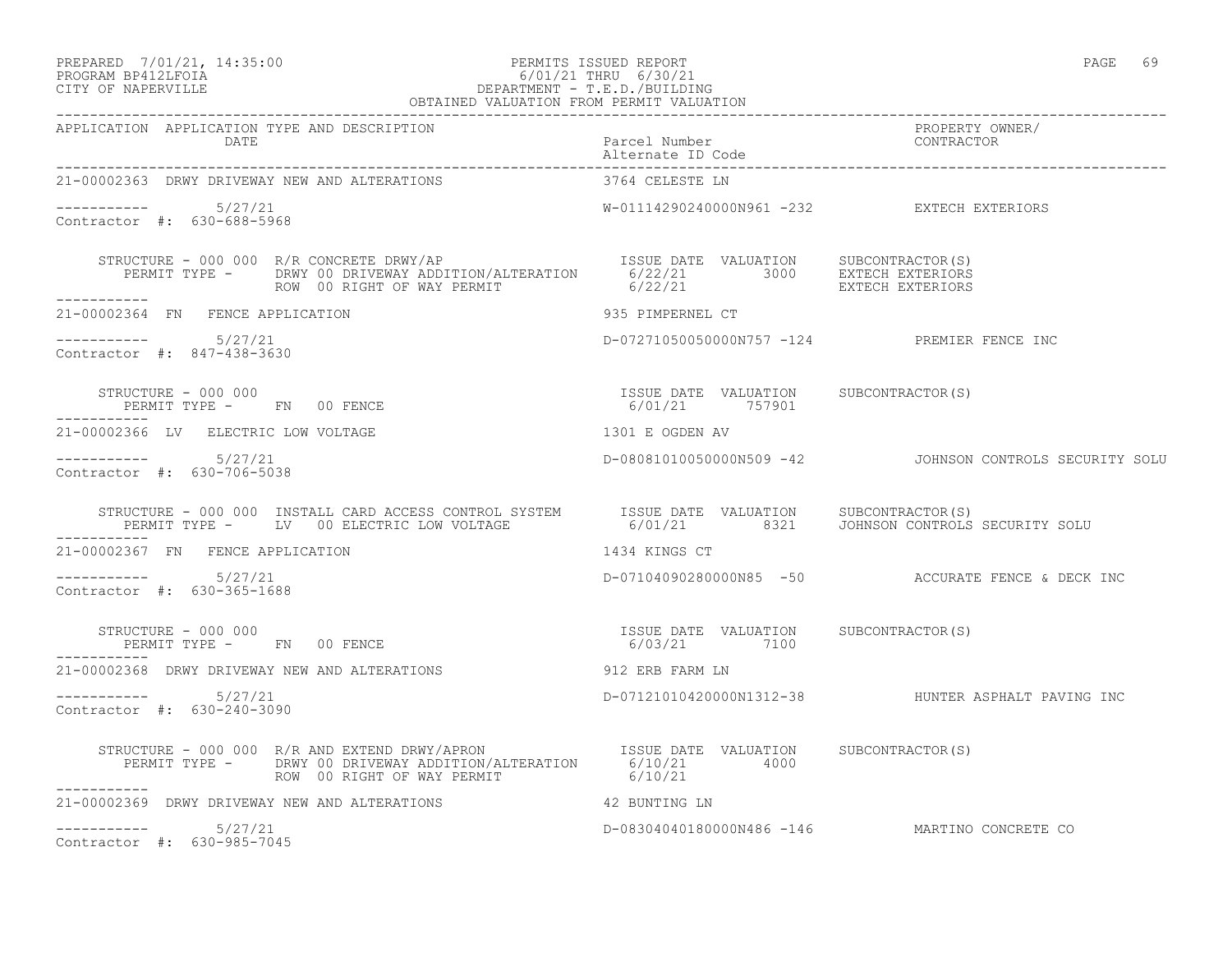# PREPARED 7/01/21, 14:35:00 PERMITS ISSUED REPORT PAGE 69 PROGRAM BP412LFOIA 6/01/21 THRU 6/30/21 CITY OF NAPERVILLE DEPARTMENT - T.E.D./BUILDING

| OBTAINED VALUATION FROM PERMIT VALUATION                                                                                                                                                                                           |                                                         |                                                         |  |
|------------------------------------------------------------------------------------------------------------------------------------------------------------------------------------------------------------------------------------|---------------------------------------------------------|---------------------------------------------------------|--|
| APPLICATION APPLICATION TYPE AND DESCRIPTION<br>DATE                                                                                                                                                                               | Parcel Number<br>Alternate ID Code                      | PROPERTY OWNER/<br>CONTRACTOR                           |  |
| 21-00002363 DRWY DRIVEWAY NEW AND ALTERATIONS                                                                                                                                                                                      | 3764 CELESTE LN                                         |                                                         |  |
| $--------- 5/27/21$<br>Contractor #: 630-688-5968                                                                                                                                                                                  | W-01114290240000N961 -232 EXTECH EXTERIORS              |                                                         |  |
|                                                                                                                                                                                                                                    |                                                         |                                                         |  |
| 21-00002364 FN FENCE APPLICATION                                                                                                                                                                                                   | 935 PIMPERNEL CT                                        |                                                         |  |
| ---------- 5/27/21<br>Contractor #: 847-438-3630                                                                                                                                                                                   | D-07271050050000N757 -124 PREMIER FENCE INC             |                                                         |  |
| STRUCTURE - 000 000<br>PERMIT TYPE - FN 00 FENCE                                                                                                                                                                                   | ISSUE DATE VALUATION SUBCONTRACTOR(S)<br>6/01/21 757901 |                                                         |  |
| 1301 E OGDEN AV<br>21-00002366 LV ELECTRIC LOW VOLTAGE                                                                                                                                                                             |                                                         |                                                         |  |
| $--------- 5/27/21$<br>Contractor #: 630-706-5038                                                                                                                                                                                  |                                                         | D-08081010050000N509 -42 JOHNSON CONTROLS SECURITY SOLU |  |
| STRUCTURE - 000 000 INSTALL CARD ACCESS CONTROL SYSTEM ISSUE DATE VALUATION SUBCONTRACTOR(S)<br>PERMIT TYPE - LV 00 ELECTRIC LOW VOLTAGE                   6/01/21          8321    JOHNSON CONTROLS SECURITY SOLU<br>------------ |                                                         |                                                         |  |
| 21-00002367 FN FENCE APPLICATION                                                                                                                                                                                                   | 1434 KINGS CT                                           |                                                         |  |
| $--------- 5/27/21$<br>Contractor #: 630-365-1688                                                                                                                                                                                  |                                                         | D-07104090280000N85 -50 ACCURATE FENCE & DECK INC       |  |
| STRUCTURE - 000 000<br>PERMIT TYPE - FN 00 FENCE                                                                                                                                                                                   | ISSUE DATE VALUATION SUBCONTRACTOR(S)<br>6/03/21 7100   |                                                         |  |
| 21-00002368 DRWY DRIVEWAY NEW AND ALTERATIONS                                                                                                                                                                                      | 912 ERB FARM LN                                         |                                                         |  |
| $--------$ 5/27/21<br>Contractor #: 630-240-3090                                                                                                                                                                                   |                                                         | D-07121010420000N1312-38 HUNTER ASPHALT PAVING INC      |  |
| ___________                                                                                                                                                                                                                        |                                                         |                                                         |  |
| 21-00002369 DRWY DRIVEWAY NEW AND ALTERATIONS 42 BUNTING LN                                                                                                                                                                        |                                                         |                                                         |  |
| $--------- 5/27/21$<br>Contractor #: 630-985-7045                                                                                                                                                                                  |                                                         | D-08304040180000N486 -146 MARTINO CONCRETE CO           |  |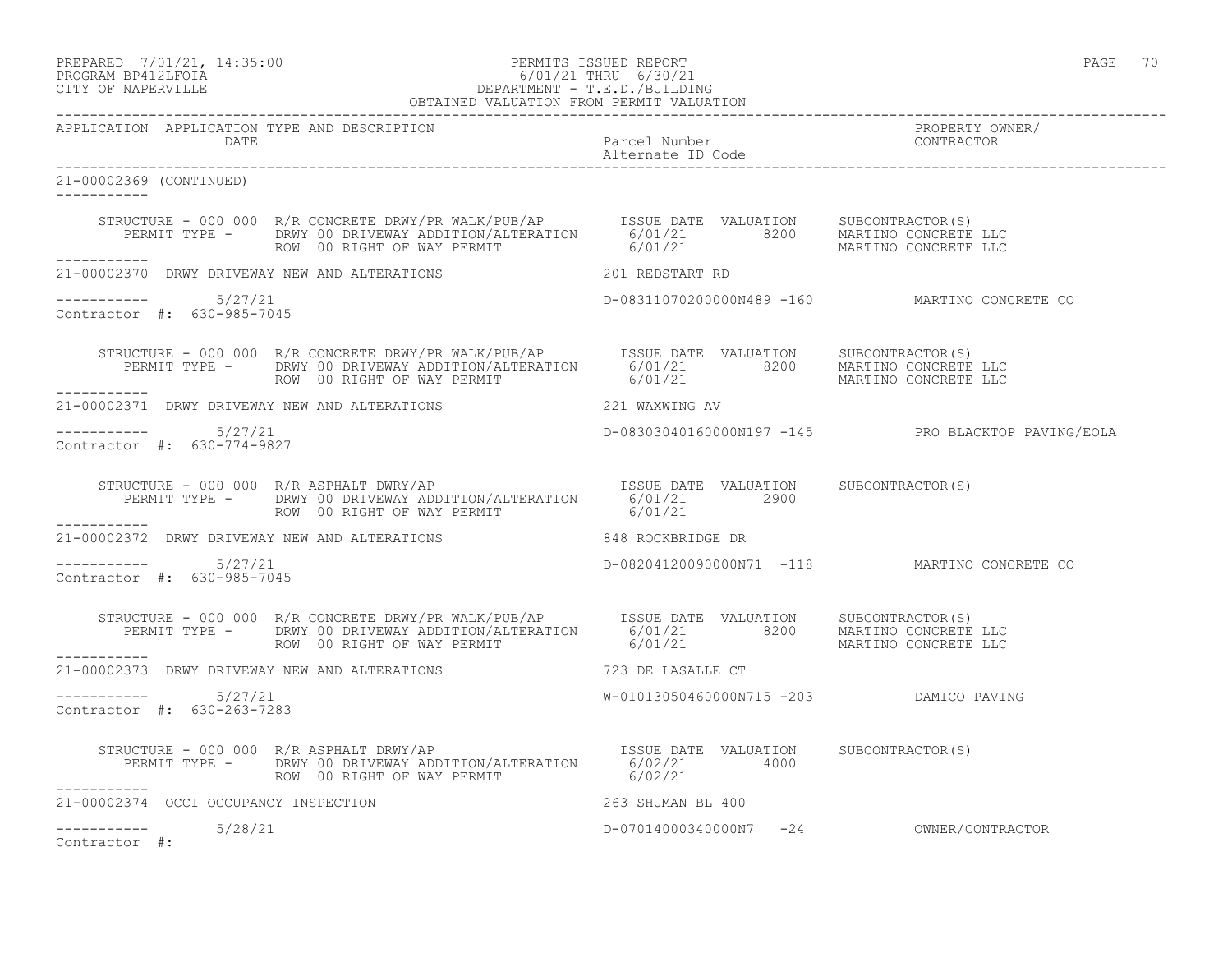PREPARED 7/01/21, 14:35:00 PERMITS ISSUED REPORT PAGE 70

# PROGRAM BP412LFOIA 6/01/21 THRU 6/30/21 CITY OF NAPERVILLE DEPARTMENT - T.E.D./BUILDING

|                                                      | OBTAINED VALUATION FROM PERMIT VALUATION                                                                                                                                                                                             |                                         |                                                    |
|------------------------------------------------------|--------------------------------------------------------------------------------------------------------------------------------------------------------------------------------------------------------------------------------------|-----------------------------------------|----------------------------------------------------|
| APPLICATION APPLICATION TYPE AND DESCRIPTION<br>DATE | Parcel Number<br>Parcel Number<br>Alternate ID Code                                                                                                                                                                                  |                                         | PROPERTY OWNER/<br>CONTRACTOR                      |
| 21-00002369 (CONTINUED)                              |                                                                                                                                                                                                                                      |                                         |                                                    |
|                                                      |                                                                                                                                                                                                                                      |                                         |                                                    |
| ___________                                          | 21-00002370 DRWY DRIVEWAY NEW AND ALTERATIONS 201 REDSTART RD                                                                                                                                                                        |                                         |                                                    |
| Contractor #: 630-985-7045                           |                                                                                                                                                                                                                                      |                                         | D-08311070200000N489 -160 MARTINO CONCRETE CO      |
|                                                      | STRUCTURE - 000 000 R/R CONCRETE DRWY/PR WALK/PUB/AP      ISSUE DATE VALUATION    SUBCONTRACTOR(S)<br>PERMIT TYPE -     DRWY 00 DRIVEWAY ADDITION/ALTERATION      6/01/21            8200     MARTINO CONCRETE LLC<br>ROW 00 RIGHT O |                                         |                                                    |
|                                                      | 21-00002371 DRWY DRIVEWAY NEW AND ALTERATIONS 221 WAXWING AV                                                                                                                                                                         |                                         |                                                    |
| $--------- 5/27/21$<br>Contractor #: 630-774-9827    |                                                                                                                                                                                                                                      |                                         | D-08303040160000N197 -145 PRO BLACKTOP PAVING/EOLA |
|                                                      | STRUCTURE - 000 000 R/R ASPHALT DWRY/AP [ISSUE DATE VALUATION SUBCONTRACTOR(S)<br>PERMIT TYPE - DRWY 00 DRIVEWAY ADDITION/ALTERATION 6/01/21 2900<br>------- ROW 00 RIGHT OF WAY PERMIT 6/01/21                                      |                                         |                                                    |
| . _ _ _ _ _ _ _ _ _ _                                | 21-00002372 DRWY DRIVEWAY NEW AND ALTERATIONS 848 ROCKBRIDGE DR                                                                                                                                                                      |                                         |                                                    |
| $--------- 5/27/21$<br>Contractor #: 630-985-7045    |                                                                                                                                                                                                                                      |                                         | D-08204120090000N71 -118 MARTINO CONCRETE CO       |
|                                                      |                                                                                                                                                                                                                                      |                                         |                                                    |
|                                                      | 21-00002373 DRWY DRIVEWAY NEW AND ALTERATIONS 723 DE LASALLE CT                                                                                                                                                                      |                                         |                                                    |
| $--------- 5/27/21$<br>Contractor #: 630-263-7283    |                                                                                                                                                                                                                                      | W-01013050460000N715 -203 DAMICO PAVING |                                                    |
|                                                      | STRUCTURE - 000 000 R/R ASPHALT DRWY/AP<br>PERMIT TYPE - DRWY 00 DRIVEWAY ADDITION/ALTERATION 6/02/21 4000<br>ROW 00 RIGHT OF WAY PERMIT (6/02/21                                                                                    |                                         |                                                    |
|                                                      |                                                                                                                                                                                                                                      |                                         |                                                    |
| $--------- 5/28/21$<br>Contractor #:                 |                                                                                                                                                                                                                                      |                                         | D-07014000340000N7 -24 OWNER/CONTRACTOR            |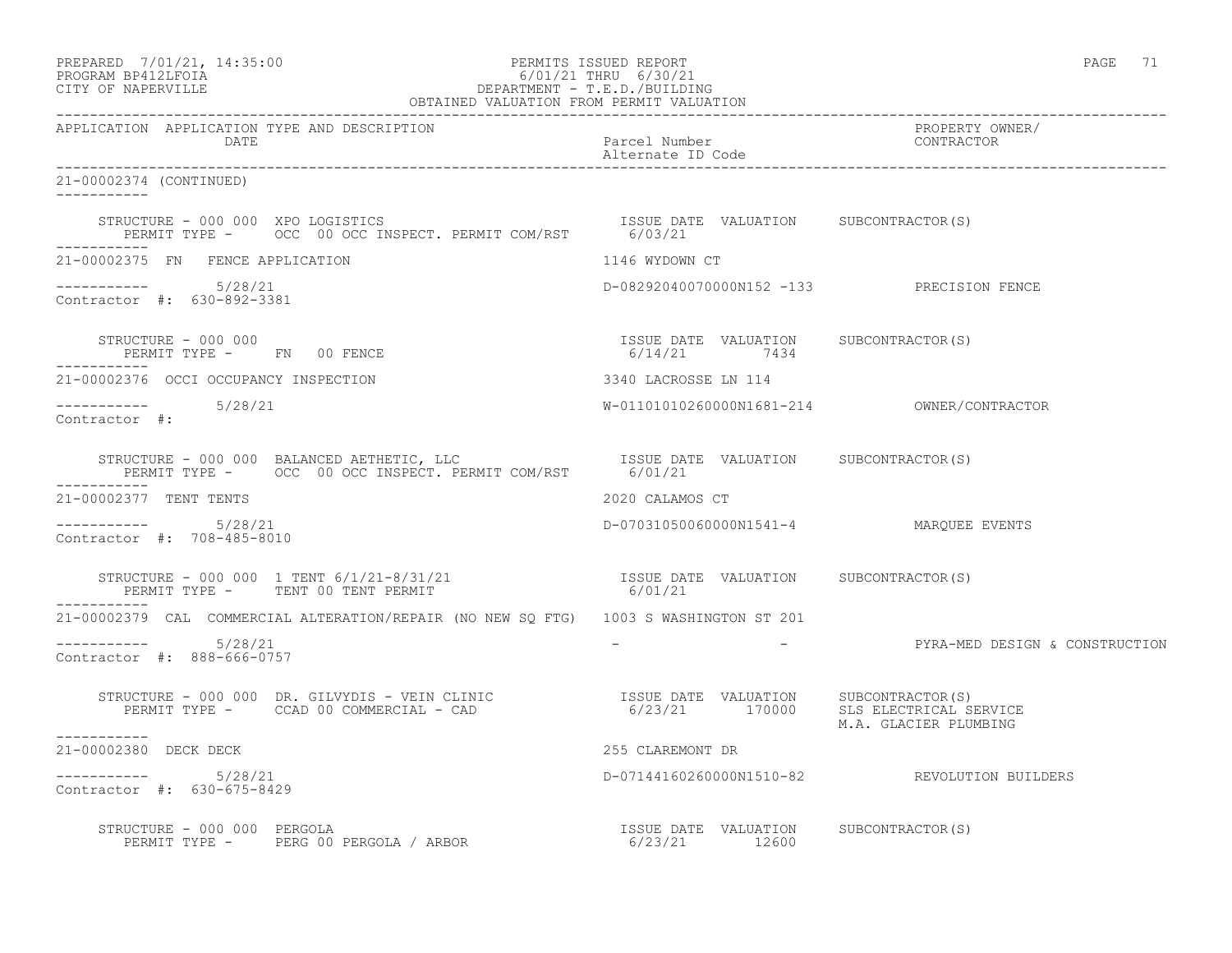| PREPARED             | 7/01/21, 14:35:00 |
|----------------------|-------------------|
| גדמת זרונתם ווגמממסת |                   |

# PREPARED 7/01/21, 14:35:00 PERMITS ISSUED REPORT PAGE 71 PROGRAM BP412LFOIA 6/01/21 THRU 6/30/21 CITY OF NAPERVILLE DEPARTMENT - T.E.D./BUILDING

| OBTAINED VALUATION FROM PERMIT VALUATION                                                                                                                                                                                                                                                 |  |                                    |  |                                                                    |
|------------------------------------------------------------------------------------------------------------------------------------------------------------------------------------------------------------------------------------------------------------------------------------------|--|------------------------------------|--|--------------------------------------------------------------------|
| APPLICATION APPLICATION TYPE AND DESCRIPTION<br>DATE                                                                                                                                                                                                                                     |  | Parcel Number<br>Alternate ID Code |  | PROPERTY OWNER/<br>CONTRACTOR                                      |
| 21-00002374 (CONTINUED)                                                                                                                                                                                                                                                                  |  |                                    |  |                                                                    |
|                                                                                                                                                                                                                                                                                          |  |                                    |  |                                                                    |
| 21-00002375 FN FENCE APPLICATION                                                                                                                                                                                                                                                         |  | 1146 WYDOWN CT                     |  |                                                                    |
| ----------- 5/28/21<br>Contractor #: 630-892-3381                                                                                                                                                                                                                                        |  |                                    |  | D-08292040070000N152 -133 PRECISION FENCE                          |
| $\begin{array}{cccccccccc} \texttt{STRUCTURE} & - & 000 & 000 & & & & & & \\ \texttt{PERMIT TYPE} & - & \texttt{FN} & 00 & \texttt{FENCE} & & & & & \\ \texttt{PERMIT TYPE} & - & \texttt{FN} & 00 & \texttt{FENCE} & & & & \\ \end{array}$<br>PERMIT TYPE - FN 00 FENCE<br>------------ |  |                                    |  |                                                                    |
| 21-00002376 OCCI OCCUPANCY INSPECTION                                                                                                                                                                                                                                                    |  | 3340 LACROSSE LN 114               |  |                                                                    |
| $--------- 5/28/21$<br>Contractor #:                                                                                                                                                                                                                                                     |  |                                    |  |                                                                    |
|                                                                                                                                                                                                                                                                                          |  |                                    |  |                                                                    |
| 21-00002377 TENT TENTS                                                                                                                                                                                                                                                                   |  | 2020 CALAMOS CT                    |  |                                                                    |
| $--------- 5/28/21$<br>Contractor #: 708-485-8010                                                                                                                                                                                                                                        |  |                                    |  | D-07031050060000N1541-4 MARQUEE EVENTS                             |
| STRUCTURE - 000 000 1 TENT 6/1/21-8/31/21<br>PERMIT TYPE - TENT 00 TENT PERMIT                                                                                                                                                                                                           |  | 6/01/21                            |  | ISSUE DATE VALUATION SUBCONTRACTOR(S)                              |
| ------------<br>21-00002379 CAL COMMERCIAL ALTERATION/REPAIR (NO NEW SO FTG) 1003 S WASHINGTON ST 201                                                                                                                                                                                    |  |                                    |  |                                                                    |
| $--------- 5/28/21$<br>Contractor #: 888-666-0757                                                                                                                                                                                                                                        |  |                                    |  | -                                   PYRA-MED DESIGN & CONSTRUCTION |
| STRUCTURE – 000 000 DR. GILVYDIS – VEIN CLINIC                  ISSUE DATE VALUATION     SUBCONTRACTOR(S)<br>PERMIT TYPE –      CCAD 00 COMMERCIAL – CAD                            6/23/21        170000     SLS ELECTRICAL SE<br>-----------                                           |  |                                    |  | 6/23/21 170000 SLS ELECTRICAL SERVICE<br>M.A. GLACIER PLUMBING     |
| 21-00002380 DECK DECK                                                                                                                                                                                                                                                                    |  | 255 CLAREMONT DR                   |  |                                                                    |
| $--------- 5/28/21$<br>Contractor #: 630-675-8429                                                                                                                                                                                                                                        |  |                                    |  | D-07144160260000N1510-82 REVOLUTION BUILDERS                       |
| RUCTURE - 000 000 PERGOLA<br>PERMIT TYPE - PERG 00 PERGOLA / ARBOR                                     6/23/21       12600<br>STRUCTURE - 000 000 PERGOLA                                                                                                                                |  |                                    |  | ISSUE DATE VALUATION SUBCONTRACTOR(S)                              |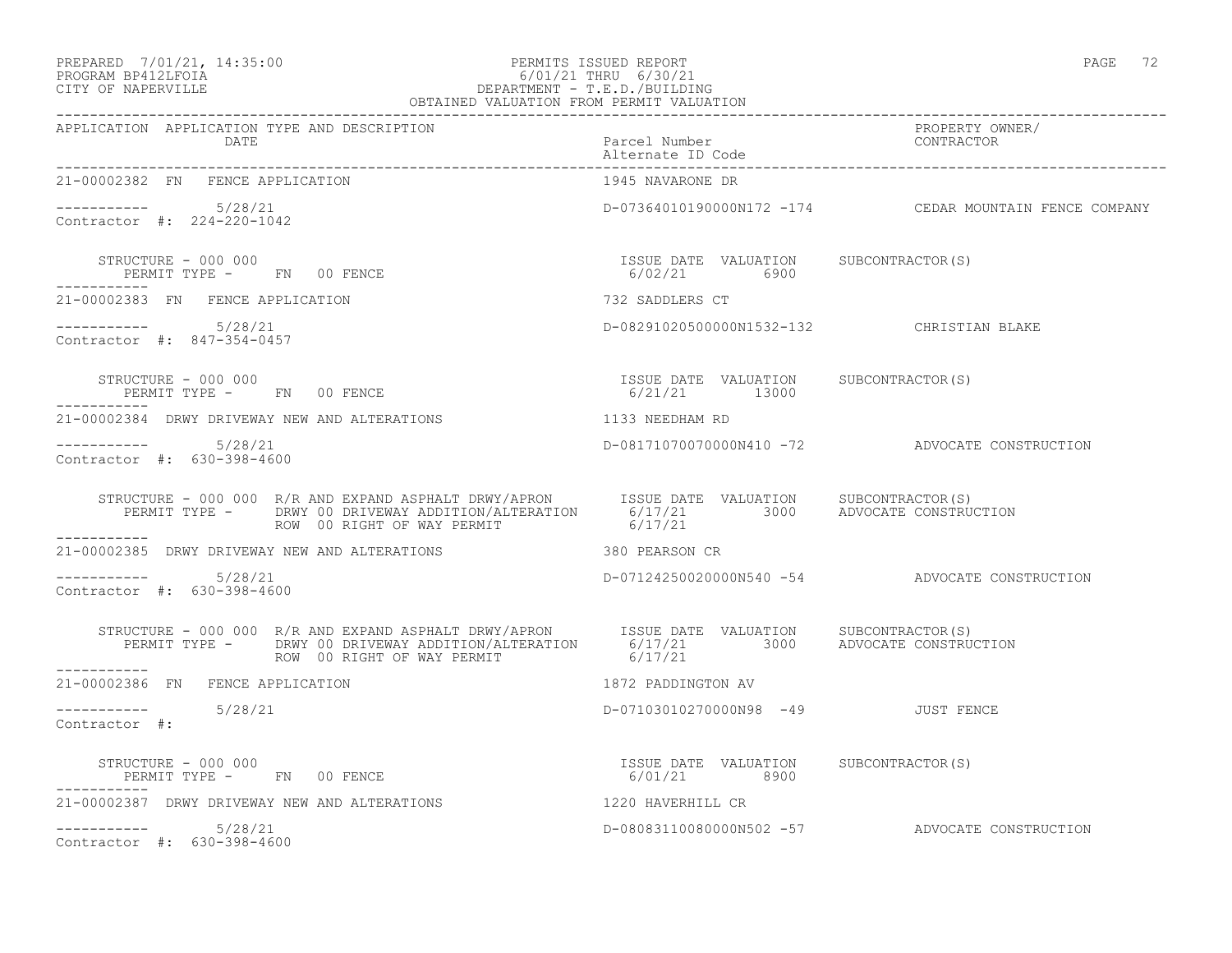### PREPARED 7/01/21, 14:35:00 PERMITS ISSUED REPORT PAGE 72 PROGRAM BP412LFOIA 6/01/21 THRU 6/30/21 CITY OF NAPERVILLE DEPARTMENT - T.E.D./BUILDING

| OBTAINED VALUATION FROM PERMIT VALUATION                                                                                                                                                                                                                                                                                                                                            |                                           |                                                        |
|-------------------------------------------------------------------------------------------------------------------------------------------------------------------------------------------------------------------------------------------------------------------------------------------------------------------------------------------------------------------------------------|-------------------------------------------|--------------------------------------------------------|
| APPLICATION APPLICATION TYPE AND DESCRIPTION<br>DATE                                                                                                                                                                                                                                                                                                                                | Parcel Number<br>Alternate ID Code        | PROPERTY OWNER/<br>CONTRACTOR                          |
| 21-00002382 FN FENCE APPLICATION                                                                                                                                                                                                                                                                                                                                                    | 1945 NAVARONE DR                          |                                                        |
| ----------- 5/28/21<br>Contractor #: 224-220-1042                                                                                                                                                                                                                                                                                                                                   |                                           | D-07364010190000N172 -174 CEDAR MOUNTAIN FENCE COMPANY |
| $\begin{array}{cccccccccc} \texttt{STRUCTURE} & - & 000 & 000 & & & & & & \\ \texttt{PERMIT TYPE} & - & \texttt{FN} & 00 & \texttt{FENCE} & & & & & \\ \end{array} \hspace{2.5in} \begin{array}{cccccccccc} \texttt{SSUB} & \texttt{DATE} & \texttt{VALUATION} & \texttt{SUBCONTRACTOR(S)} \\ \texttt{6/02/21} & 6900 & & & & \\ \end{array}$                                       |                                           |                                                        |
| 21-00002383 FN FENCE APPLICATION                                                                                                                                                                                                                                                                                                                                                    | 732 SADDLERS CT                           |                                                        |
| $--------- 5/28/21$<br>Contractor #: 847-354-0457                                                                                                                                                                                                                                                                                                                                   | D-08291020500000N1532-132 CHRISTIAN BLAKE |                                                        |
| $\begin{array}{cccccccccc} \texttt{STRUCTURE} & - & 000 & 000 & & & & & & \\ \texttt{PERMIT TYPE} & - & & \texttt{FN} & 00 & \texttt{FENCE} & & & & & \\ \end{array} \hspace{2.5in} \begin{array}{cccccccccc} \texttt{TSSUE} & \texttt{DATE} & \texttt{VALUATION} & & \texttt{SUBCONTRACTOR(S)} \\ & & & & & & \\ \texttt{6/21/21} & & & & 13000 & & \\ \end{array}$<br>----------- |                                           |                                                        |
| 21-00002384 DRWY DRIVEWAY NEW AND ALTERATIONS 1133 NEEDHAM RD                                                                                                                                                                                                                                                                                                                       |                                           |                                                        |
| $--------- 5/28/21$<br>Contractor #: 630-398-4600                                                                                                                                                                                                                                                                                                                                   |                                           | D-08171070070000N410 -72 ADVOCATE CONSTRUCTION         |
| STRUCTURE - 000 000 R/R AND EXPAND ASPHALT DRWY/APRON ISSUE DATE VALUATION SUBCONTRACTOR(S)<br>PERMIT TYPE - DRWY 00 DRIVEWAY ADDITION/ALTERATION 6/17/21 3000 ADVOCATE CONSTRUCTION<br>ROW 00 RIGHT OF WAY PERMIT 6/17/21                                                                                                                                                          |                                           |                                                        |
| 21-00002385 DRWY DRIVEWAY NEW AND ALTERATIONS 380 PEARSON CR                                                                                                                                                                                                                                                                                                                        |                                           |                                                        |
| $--------- 5/28/21$<br>Contractor #: 630-398-4600                                                                                                                                                                                                                                                                                                                                   |                                           | D-07124250020000N540 -54 ADVOCATE CONSTRUCTION         |
| STRUCTURE - 000 000 R/R AND EXPAND ASPHALT DRWY/APRON ISSUE DATE VALUATION SUBCONTRACTOR(S)<br>PERMIT TYPE - DRWY 00 DRIVEWAY ADDITION/ALTERATION 6/17/21 3000 ADVOCATE CONSTRUCTION<br>-----------                                                                                                                                                                                 |                                           |                                                        |
| 21-00002386 FN FENCE APPLICATION                                                                                                                                                                                                                                                                                                                                                    | 1872 PADDINGTON AV                        |                                                        |
| $--------- 5/28/21$<br>Contractor #:                                                                                                                                                                                                                                                                                                                                                | D-07103010270000N98 -49 JUST FENCE        |                                                        |
| $\begin{array}{cccccccccc} \texttt{STRUCTURE} & - & 000 & 000 & & & & & \\ \texttt{PERMIT TYPE} & - & & \texttt{FN} & 00 & \texttt{FENCE} & & & & \\ \end{array} \qquad \begin{array}{cccccccccc} \texttt{TSSUE} & \texttt{DATE} & \texttt{VALUATION} & & \texttt{SUBCONTRACTOR(S)} \\ & & & & & & \\ \texttt{6/01/21} & & & & & 8900 & & \\ \end{array}$                           |                                           |                                                        |
| 21-00002387 DRWY DRIVEWAY NEW AND ALTERATIONS 4220 HAVERHILL CR                                                                                                                                                                                                                                                                                                                     |                                           |                                                        |
| $--------- 5/28/21$<br>Contractor #: 630-398-4600                                                                                                                                                                                                                                                                                                                                   |                                           | D-08083110080000N502 -57 ADVOCATE CONSTRUCTION         |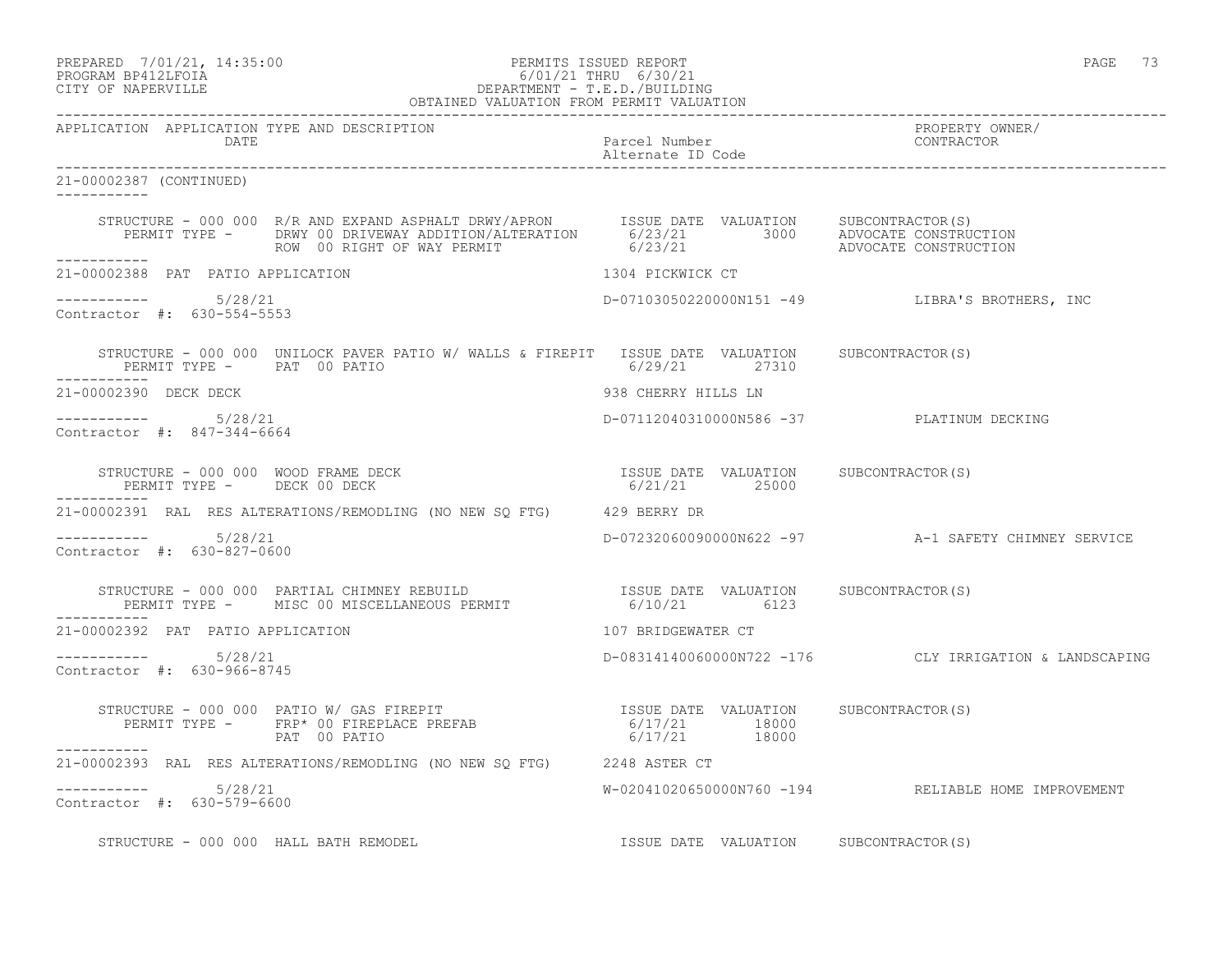PREPARED 7/01/21, 14:35:00 PERMITS ISSUED REPORT PAGE 73

### PROGRAM BP412LFOIA 6/01/21 THRU 6/30/21 CITY OF NAPERVILLE DEPARTMENT - T.E.D./BUILDING OBTAINED VALUATION FROM PERMIT VALUATION

------------------------------------------------------------------------------------------------------------------------------------ APPLICATION APPLICATION TYPE AND DESCRIPTION<br>DATE bated parcel Number property owner/ DATE Parcel Number CONTRACTOR Alternate ID Code ------------------------------------------------------------------------------------------------------------------------------------ 21-00002387 (CONTINUED) ----------- STRUCTURE - 000 000 R/R AND EXPAND ASPHALT DRWY/APRON ISSUE DATE VALUATION SUBCONTRACTOR(S) PERMIT TYPE - DRWY 00 DRIVEWAY ADDITION/ALTERATION 6/23/21 3000 ADVOCATE CONSTRUCTION ROW 00 RIGHT OF WAY PERMIT 6/23/21 ADVOCATE CONSTRUCTION ----------- 21-00002388 PAT PATIO APPLICATION 1304 PICKWICK CT  $--------- 5/28/21$ ----------- 5/28/21 D-07103050220000N151 -49 LIBRA'S BROTHERS, INC Contractor #: 630-554-5553 STRUCTURE - 000 000 UNILOCK PAVER PATIO W/WALLS & FIREPIT ISSUE DATE VALUATION SUBCONTRACTOR(S)<br>PERMIT TYPE - PAT 00 PATIO (27310 6/29/21 27310 PERMIT TYPE - PAT 00 PATIO ----------- 21-00002390 DECK DECK 938 CHERRY HILLS LN ----------- 5/28/21 D-07112040310000N586 -37 PLATINUM DECKING Contractor #: 847-344-6664 STRUCTURE - 000 000 WOOD FRAME DECK ISSUE DATE VALUATION SUBCONTRACTOR(S) PERMIT TYPE - DECK 00 DECK 6/21/21 25000 ----------- 21-00002391 RAL RES ALTERATIONS/REMODLING (NO NEW SQ FTG) 429 BERRY DR ----------- 5/28/21 D-07232060090000N622 -97 A-1 SAFETY CHIMNEY SERVICE Contractor #: 630-827-0600 STRUCTURE - 000 000 PARTIAL CHIMNEY REBUILD ISSUE DATE VALUATION SUBCONTRACTOR(S) PERMIT TYPE - MISC 00 MISCELLANEOUS PERMIT 6/10/21 6123 ----------- 21-00002392 PAT PATIO APPLICATION 107 BRIDGEWATER CT ----------- 5/28/21 D-08314140060000N722 -176 CLY IRRIGATION & LANDSCAPING Contractor #: 630-966-8745 STRUCTURE - 000 000 PATIO W/ GAS FIREPIT **ISSUE DATE VALUATION SUBCONTRACTOR**(S) PERMIT TYPE - FRP\* 00 FIREPLACE PREFAB  $6/17/21$  18000 PAT 00 PATIO 18000 6/17/21 18000 ----------- 21-00002393 RAL RES ALTERATIONS/REMODLING (NO NEW SQ FTG) 2248 ASTER CT  $--------- 5/28/21$ W-02041020650000N760 -194 RELIABLE HOME IMPROVEMENT Contractor #: 630-579-6600 STRUCTURE - 000 000 HALL BATH REMODEL **ISSUE DATE VALUATION** SUBCONTRACTOR(S)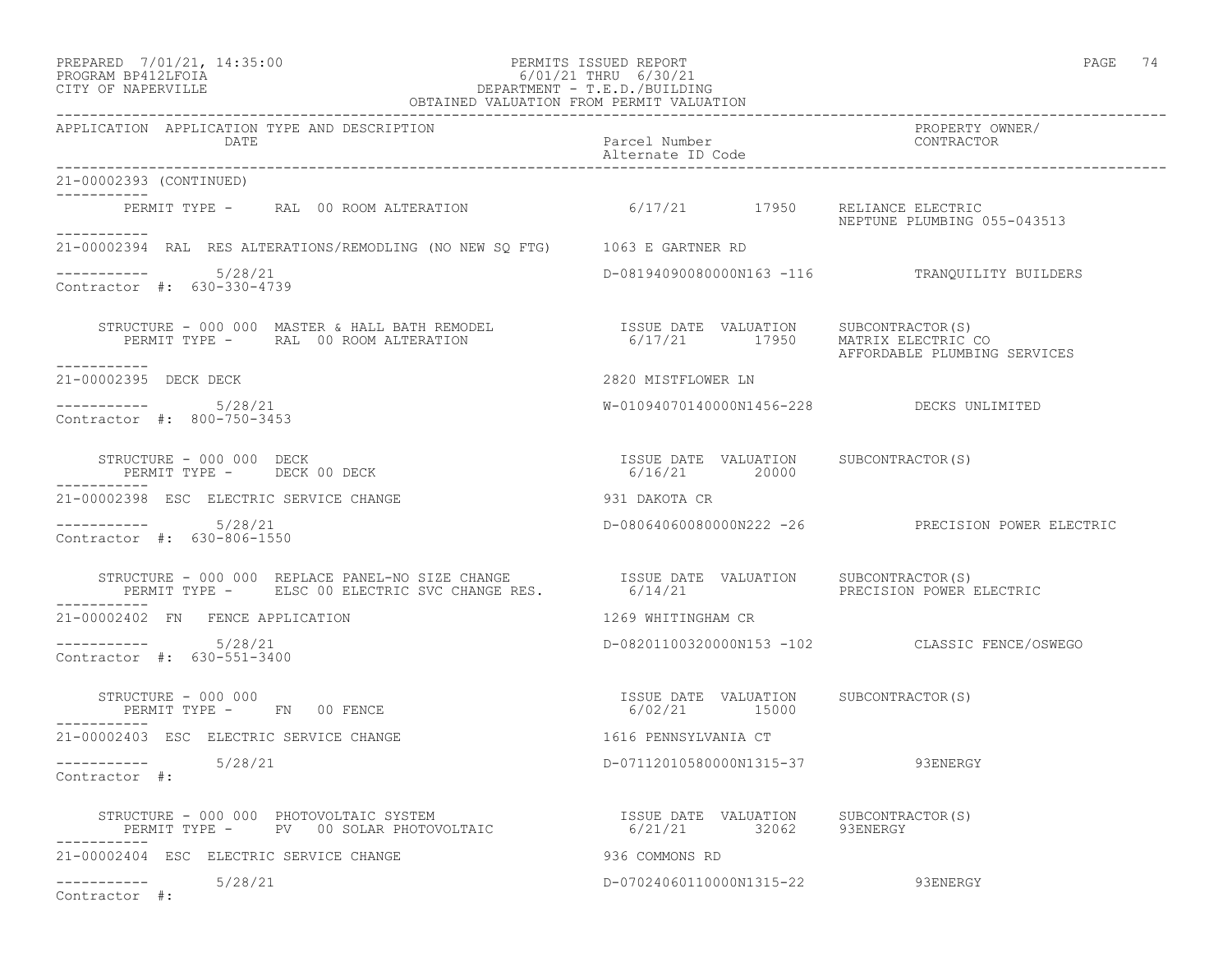### PREPARED 7/01/21, 14:35:00 PERMITS ISSUED REPORT PAGE 74 PAGE 74 PAGE 74 PROGRAM BP412LFOIA 6/01/21 THRU 6/30/21 CITY OF NAPERVILLE DEPARTMENT - T.E.D./BUILDING

| OBTAINED VALUATION FROM PERMIT VALUATION                                                                                                                                                                                                   |                                                        |                                                   |
|--------------------------------------------------------------------------------------------------------------------------------------------------------------------------------------------------------------------------------------------|--------------------------------------------------------|---------------------------------------------------|
| APPLICATION APPLICATION TYPE AND DESCRIPTION<br>DATE                                                                                                                                                                                       | Parcel Number<br>Alternate ID Code                     | PROPERTY OWNER/<br>CONTRACTOR                     |
| 21-00002393 (CONTINUED)<br>------------                                                                                                                                                                                                    |                                                        |                                                   |
| PERMIT TYPE - RAL 00 ROOM ALTERATION 6/17/21 17950 RELIANCE ELECTRIC<br>-----------                                                                                                                                                        |                                                        | NEPTUNE PLUMBING 055-043513                       |
| 21-00002394 RAL RES ALTERATIONS/REMODLING (NO NEW SQ FTG) 1063 E GARTNER RD                                                                                                                                                                |                                                        |                                                   |
| $--------- 5/28/21$<br>Contractor #: 630-330-4739                                                                                                                                                                                          |                                                        | D-08194090080000N163 -116 TRANQUILITY BUILDERS    |
| STRUCTURE - 000 000 MASTER & HALL BATH REMODEL                   ISSUE DATE VALUATION     SUBCONTRACTOR(S)<br>PERMIT TYPE -      RAL  00 ROOM ALTERATION                         6/17/21        17950    MATRIX ELECTRIC CO<br>----------- |                                                        | AFFORDABLE PLUMBING SERVICES                      |
| 21-00002395 DECK DECK                                                                                                                                                                                                                      | 2820 MISTFLOWER LN                                     |                                                   |
| 5/28/21<br>Contractor #: 800-750-3453                                                                                                                                                                                                      | W-01094070140000N1456-228 DECKS UNLIMITED              |                                                   |
| STRUCTURE - 000 000 DECK<br>PERMIT TYPE - DECK 00 DECK                                                                                                                                                                                     | ISSUE DATE VALUATION SUBCONTRACTOR(S)<br>6/16/21 20000 |                                                   |
| 21-00002398 ESC ELECTRIC SERVICE CHANGE                                                                                                                                                                                                    | 931 DAKOTA CR                                          |                                                   |
| $--------$ 5/28/21<br>Contractor #: 630-806-1550                                                                                                                                                                                           |                                                        | D-08064060080000N222 -26 PRECISION POWER ELECTRIC |
| STRUCTURE - 000 000 REPLACE PANEL-NO SIZE CHANGE               ISSUE DATE VALUATION    SUBCONTRACTOR(S)<br>PERMIT TYPE -     ELSC 00 ELECTRIC SVC CHANGE RES.            6/14/21                            PRECISION POWER ELECT          |                                                        |                                                   |
| 21-00002402 FN FENCE APPLICATION                                                                                                                                                                                                           | 1269 WHITINGHAM CR                                     |                                                   |
| ----------- 5/28/21<br>Contractor #: 630-551-3400                                                                                                                                                                                          |                                                        | D-08201100320000N153 -102 CLASSIC FENCE/OSWEGO    |
| STRUCTURE - 000 000<br>PERMIT TYPE - FN 00 FENCE                                                                                                                                                                                           | ISSUE DATE VALUATION SUBCONTRACTOR(S)<br>6/02/21 15000 |                                                   |
| 21-00002403 ESC ELECTRIC SERVICE CHANGE                                                                                                                                                                                                    | 1616 PENNSYLVANIA CT                                   |                                                   |
| -----------    5/28/21<br>Contractor #:                                                                                                                                                                                                    | D-07112010580000N1315-37 93ENERGY                      |                                                   |
|                                                                                                                                                                                                                                            |                                                        |                                                   |
| 21-00002404 ESC ELECTRIC SERVICE CHANGE                                                                                                                                                                                                    | 936 COMMONS RD                                         |                                                   |
| -----------    5/28/21<br>Contractor #:                                                                                                                                                                                                    | D-07024060110000N1315-22 93ENERGY                      |                                                   |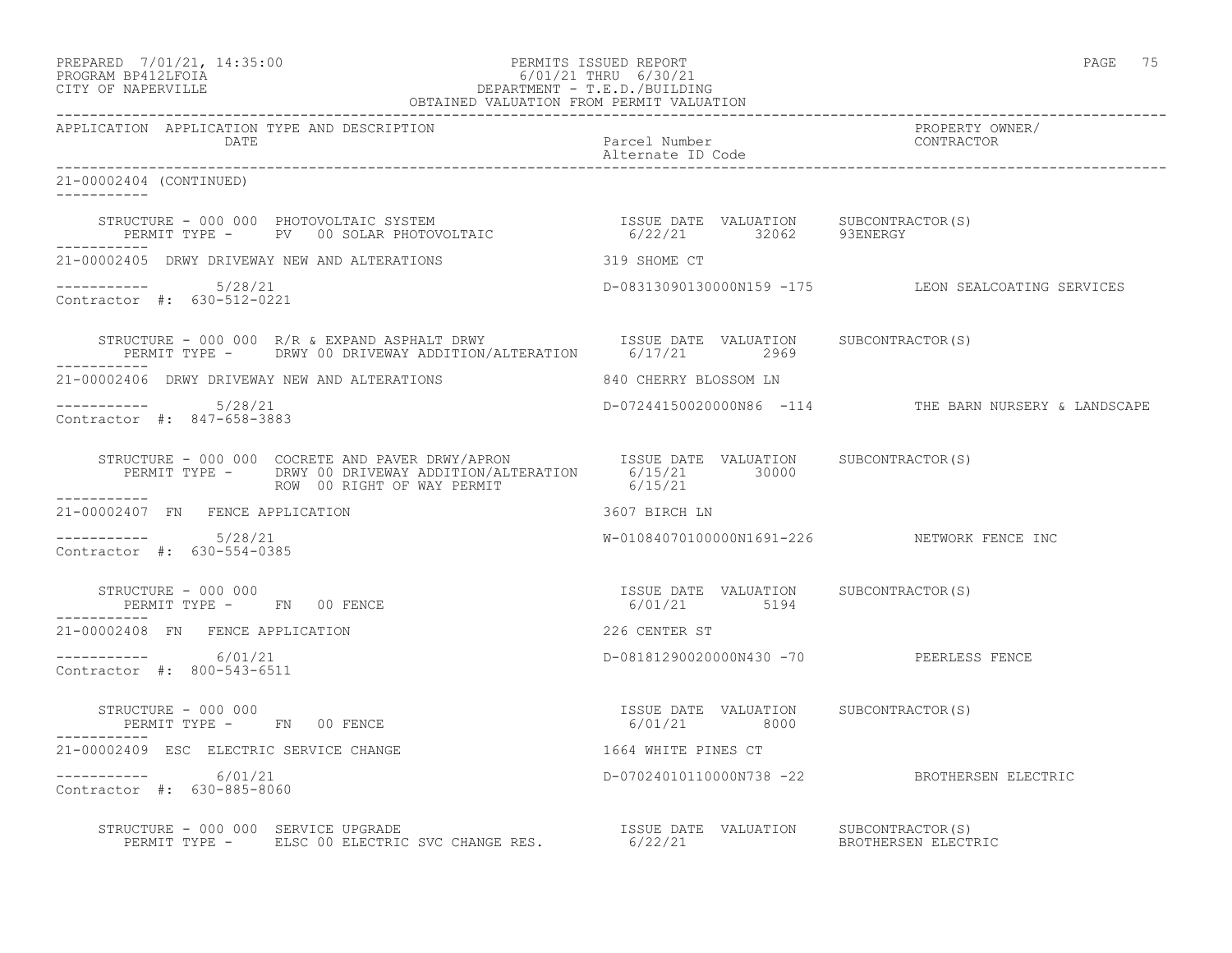#### PREPARED 7/01/21, 14:35:00 PERMITS ISSUED REPORT PAGE 75 PROGRAM BP412LFOIA 6/01/21 THRU 6/30/21 CITY OF NAPERVILLE DEPARTMENT - T.E.D./BUILDING OBTAINED VALUATION FROM PERMIT VALUATION

------------------------------------------------------------------------------------------------------------------------------------ APPLICATION APPLICATION TYPE AND DESCRIPTION PROPERTY OWNER/ DATE Parcel Number CONTRACTOR Alternate ID Code ------------------------------------------------------------------------------------------------------------------------------------ 21-00002404 (CONTINUED) ----------- STRUCTURE - 000 000 PHOTOVOLTAIC SYSTEM ISSUE DATE VALUATION SUBCONTRACTOR(S) PERMIT TYPE - PV 00 SOLAR PHOTOVOLTAIC 6/22/21 32062 93ENERGY ----------- 21-00002405 DRWY DRIVEWAY NEW AND ALTERATIONS 319 SHOME CT ----------- 5/28/21 D-08313090130000N159 -175 LEON SEALCOATING SERVICES Contractor #: 630-512-0221 STRUCTURE - 000 000 R/R & EXPAND ASPHALT DRWY **ISSUE DATE** VALUATION SUBCONTRACTOR(S) PERMIT TYPE - DRWY 00 DRIVEWAY ADDITION/ALTERATION 6/17/21 2969 ----------- 21-00002406 DRWY DRIVEWAY NEW AND ALTERATIONS 640 CHERRY BLOSSOM LN ----------- 5/28/21 D-07244150020000N86 -114 THE BARN NURSERY & LANDSCAPE Contractor #: 847-658-3883 STRUCTURE - 000 000 COCRETE AND PAVER DRWY/APRON ISSUE DATE VALUATION SUBCONTRACTOR(S) PERMIT TYPE - DRWY 00 DRIVEWAY ADDITION/ALTERATION 6/15/21 30000 ROW 00 RIGHT OF WAY PERMIT 6/15/21 ----------- 21-00002407 FN FENCE APPLICATION 3607 BIRCH LN  $--------- 5/28/21$  $W-01084070100000N1691-226$  NETWORK FENCE INC Contractor #: 630-554-0385 STRUCTURE - 000 000 ISSUE DATE VALUATION SUBCONTRACTOR(S) PERMIT TYPE - FN 00 FENCE 6/01/21 5194 ----------- 21-00002408 FN FENCE APPLICATION 226 CENTER ST ----------- 6/01/21 D-08181290020000N430 -70 PEERLESS FENCE Contractor #: 800-543-6511 STRUCTURE - 000 000 ISSUE DATE VALUATION SUBCONTRACTOR(S) PERMIT TYPE - FN 00 FENCE 21-00002409 ESC ELECTRIC SERVICE CHANGE 1664 WHITE PINES CT ----------- 6/01/21 D-07024010110000N738 -22 BROTHERSEN ELECTRIC Contractor #: 630-885-8060 STRUCTURE - 000 000 SERVICE UPGRADE ISSUE DATE VALUATION SUBCONTRACTOR(S) PERMIT TYPE - ELSC 00 ELECTRIC SVC CHANGE RES. 6/22/21 BROTHERSEN ELECTRIC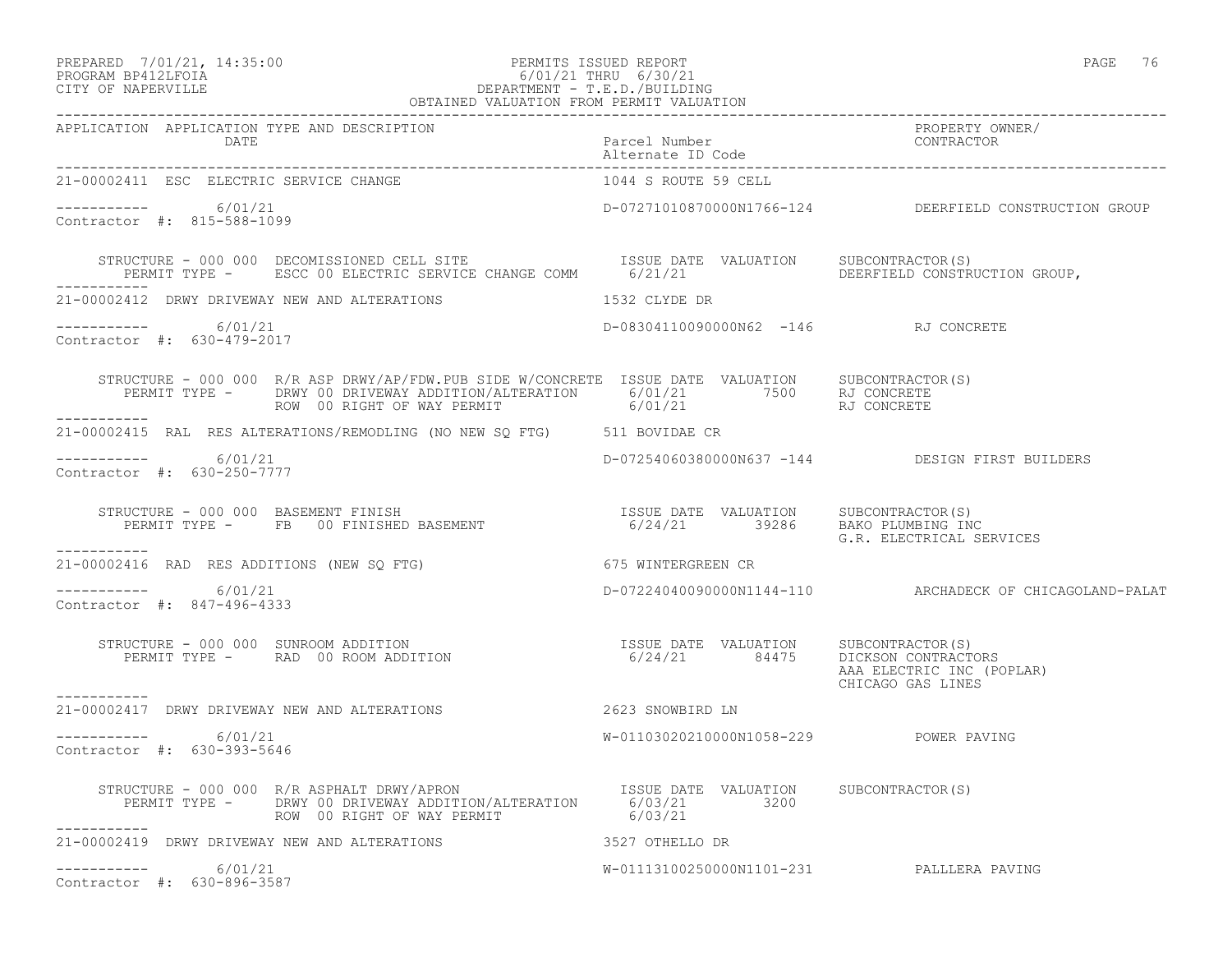### PREPARED 7/01/21, 14:35:00 PERMITS ISSUED REPORT PAGE 76 PROGRAM BP412LFOIA 6/01/21 THRU 6/30/21 CITY OF NAPERVILLE DEPARTMENT - T.E.D./BUILDING

| OBTAINED VALUATION FROM PERMIT VALUATION                                                                                                                                                                                                                                                                                                                                                                                                                   |                                           |                                                          |  |
|------------------------------------------------------------------------------------------------------------------------------------------------------------------------------------------------------------------------------------------------------------------------------------------------------------------------------------------------------------------------------------------------------------------------------------------------------------|-------------------------------------------|----------------------------------------------------------|--|
| APPLICATION APPLICATION TYPE AND DESCRIPTION                                                                                                                                                                                                                                                                                                                                                                                                               |                                           | PROPERTY OWNER/                                          |  |
| 21-00002411 ESC ELECTRIC SERVICE CHANGE                                                                                                                                                                                                                                                                                                                                                                                                                    | 1044 S ROUTE 59 CELL                      |                                                          |  |
| $--------- 6/01/21$<br>Contractor #: 815-588-1099                                                                                                                                                                                                                                                                                                                                                                                                          |                                           | D-07271010870000N1766-124 DEERFIELD CONSTRUCTION GROUP   |  |
| STRUCTURE - 000 000 DECOMISSIONED CELL SITE                        ISSUE DATE VALUATION     SUBCONTRACTOR(S)<br>PERMIT TYPE -      ESCC 00 ELECTRIC SERVICE CHANGE COMM       6/21/21                                                                                                                                                                                                                                                                      |                                           |                                                          |  |
| 21-00002412 DRWY DRIVEWAY NEW AND ALTERATIONS                                                                                                                                                                                                                                                                                                                                                                                                              | 1532 CLYDE DR                             |                                                          |  |
| $--------- 6/01/21$<br>Contractor #: 630-479-2017                                                                                                                                                                                                                                                                                                                                                                                                          | D-08304110090000N62 -146 RJ CONCRETE      |                                                          |  |
| STRUCTURE - 000 000 R/R ASP DRWY/AP/FDW.PUB SIDE W/CONCRETE ISSUE DATE VALUATION SUBCONTRACTOR(S)<br>PERMIT TYPE - DRWY 00 DRIVEWAY ADDITION/ALTERATION 6/01/21 7500 RJ CONCRETE<br>ROW 00 RIGHT OF WAY PERMIT 6/01/21 RJ CONCRETE<br>-----------                                                                                                                                                                                                          |                                           |                                                          |  |
| 21-00002415 RAL RES ALTERATIONS/REMODLING (NO NEW SQ FTG) 511 BOVIDAE CR                                                                                                                                                                                                                                                                                                                                                                                   |                                           |                                                          |  |
| -----------     6/01/21<br>Contractor #: 630-250-7777                                                                                                                                                                                                                                                                                                                                                                                                      |                                           | D-07254060380000N637 -144 DESIGN FIRST BUILDERS          |  |
| -----------                                                                                                                                                                                                                                                                                                                                                                                                                                                |                                           |                                                          |  |
| 21-00002416 RAD RES ADDITIONS (NEW SQ FTG) 675 WINTERGREEN CR                                                                                                                                                                                                                                                                                                                                                                                              |                                           |                                                          |  |
| $--------- 6/01/21$<br>Contractor #: 847-496-4333                                                                                                                                                                                                                                                                                                                                                                                                          |                                           | D-07224040090000N1144-110 ARCHADECK OF CHICAGOLAND-PALAT |  |
| $\begin{array}{cccc} \texttt{STRUCTURE} & - & 000 & 000 & \texttt{SUNROM ADDITION} \\ \texttt{PERMIT TYPE} & - & \texttt{RAD} & 00 & \texttt{ROOM ADDITION} \\ \end{array} \qquad \begin{array}{cccc} \texttt{TSSUE} & \texttt{DATE} & \texttt{VALUATION} \\ \texttt{6/24/21} & \texttt{84475} & \texttt{DICKSON}\end{array} \qquad \begin{array}{cccc} \texttt{SUBCONTRACTOR(S)} & \texttt{SUBCONTRACTORS} \\ \texttt{DICKSON}\end{array}$<br>----------- |                                           | AAA ELECTRIC INC (POPLAR)<br>CHICAGO GAS LINES           |  |
| 21-00002417 DRWY DRIVEWAY NEW AND ALTERATIONS 2623 SNOWBIRD LN                                                                                                                                                                                                                                                                                                                                                                                             |                                           |                                                          |  |
| -----------     6/01/21<br>Contractor #: 630-393-5646                                                                                                                                                                                                                                                                                                                                                                                                      | W-01103020210000N1058-229 POWER PAVING    |                                                          |  |
| STRUCTURE - 000 000 R/R ASPHALT DRWY/APRON<br>PERMIT TYPE - DRWY 00 DRIVEWAY ADDITION/ALTERATION 6/03/21 3200<br>ROW 00 RIGHT OF WAY PERMIT 6/03/21 6/03/21<br>------------                                                                                                                                                                                                                                                                                |                                           |                                                          |  |
| 21-00002419 DRWY DRIVEWAY NEW AND ALTERATIONS 3527 OTHELLO DR                                                                                                                                                                                                                                                                                                                                                                                              |                                           |                                                          |  |
| $--------- 6/01/21$<br>Contractor #: 630-896-3587                                                                                                                                                                                                                                                                                                                                                                                                          | W-01113100250000N1101-231 PALLLERA PAVING |                                                          |  |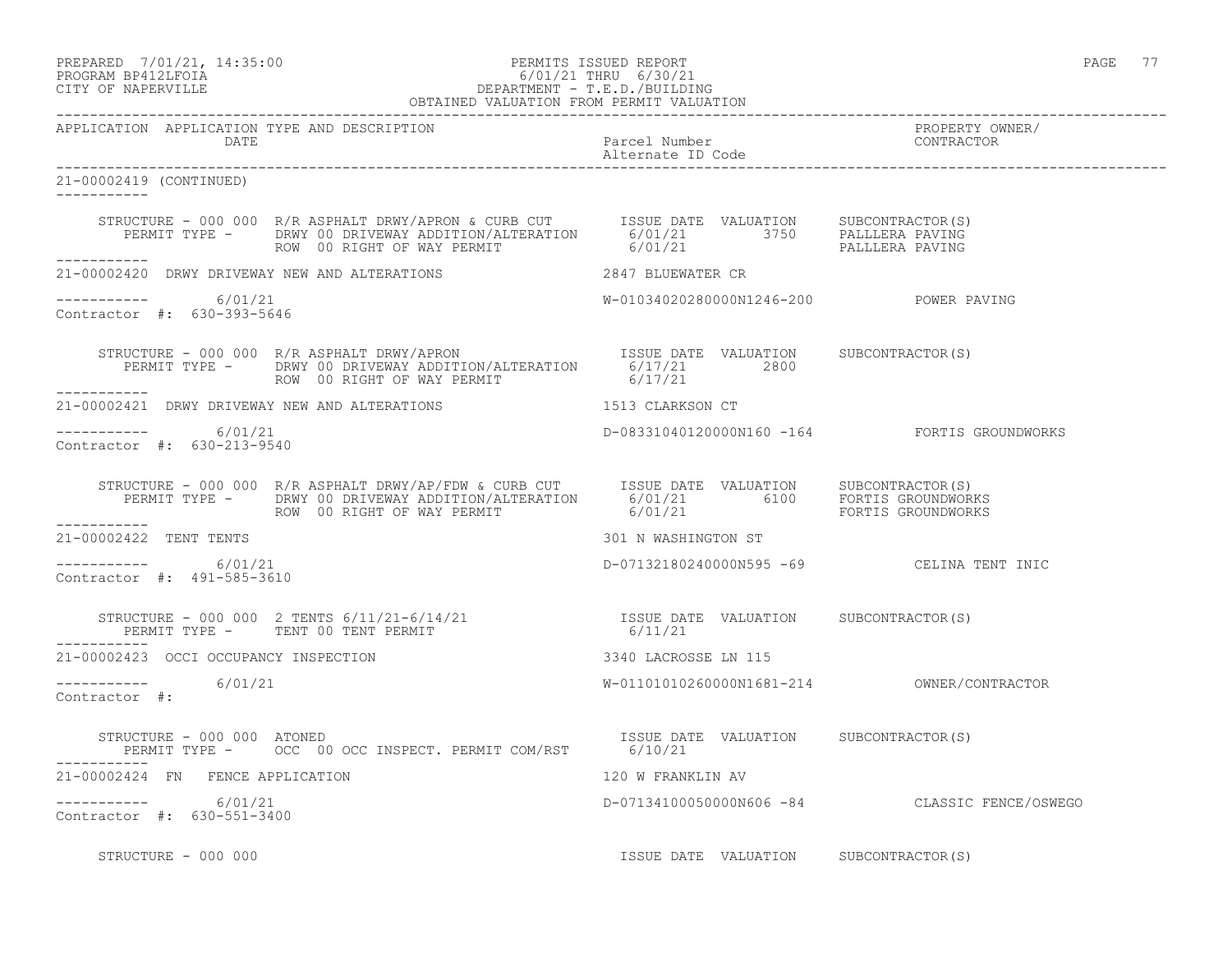#### PREPARED 7/01/21, 14:35:00 PERMITS ISSUED REPORT PAGE 77 PROGRAM BP412LFOIA 6/01/21 THRU 6/30/21 CITY OF NAPERVILLE DEPARTMENT - T.E.D./BUILDING OBTAINED VALUATION FROM PERMIT VALUATION

| APPLICATION APPLICATION TYPE AND DESCRIPTION<br>DATE |                                                                                                                                                                                                                                  |                                           |                                               |
|------------------------------------------------------|----------------------------------------------------------------------------------------------------------------------------------------------------------------------------------------------------------------------------------|-------------------------------------------|-----------------------------------------------|
| 21-00002419 (CONTINUED)                              |                                                                                                                                                                                                                                  |                                           |                                               |
|                                                      | STRUCTURE - 000 000 R/R ASPHALT DRWY/APRON & CURB CUT TISSUE DATE VALUATION SUBCONTRACTOR(S)<br>PERMIT TYPE - DRWY 00 DRIVEWAY ADDITION/ALTERATION 6/01/21 3750 PALLLERA PAVING<br>------- ROW 00 RIGHT OF WAY PERMIT 6/01/21 1  |                                           |                                               |
| ___________                                          |                                                                                                                                                                                                                                  |                                           |                                               |
| $--------- 6/01/21$<br>Contractor #: 630-393-5646    |                                                                                                                                                                                                                                  | W-01034020280000N1246-200 POWER PAVING    |                                               |
|                                                      | STRUCTURE - 000 000 R/R ASPHALT DRWY/APRON<br>PERMIT TYPE - DRWY 00 DRIVEWAY ADDITION/ALTERATION 6/17/21 2800<br>2800<br>ROW 00 RIGHT OF WAY PERMIT                                                                              | 6/17/21                                   |                                               |
|                                                      | 21-00002421 DRWY DRIVEWAY NEW AND ALTERATIONS 1513 CLARKSON CT                                                                                                                                                                   |                                           |                                               |
| ----------- 6/01/21<br>Contractor #: 630-213-9540    |                                                                                                                                                                                                                                  |                                           | D-08331040120000N160 -164 FORTIS GROUNDWORKS  |
|                                                      | STRUCTURE - 000 000 R/R ASPHALT DRWY/AP/FDW & CURB CUT TSSUE DATE VALUATION SUBCONTRACTOR(S)<br>PERMIT TYPE - DRWY 00 DRIVEWAY ADDITION/ALTERATION 6/01/21 6100 FORTIS GROUNDWORKS<br>ROW 00 RIGHT OF WAY PERMIT 6/01/21 6/01/21 |                                           |                                               |
| ___________<br>21-00002422 TENT TENTS                |                                                                                                                                                                                                                                  | 301 N WASHINGTON ST                       |                                               |
| $--------- 6/01/21$<br>Contractor #: 491-585-3610    |                                                                                                                                                                                                                                  | D-07132180240000N595 -69 CELINA TENT INIC |                                               |
|                                                      |                                                                                                                                                                                                                                  |                                           |                                               |
| 21-00002423 OCCI OCCUPANCY INSPECTION                |                                                                                                                                                                                                                                  | 3340 LACROSSE LN 115                      |                                               |
| $--------- 6/01/21$<br>Contractor #:                 |                                                                                                                                                                                                                                  |                                           |                                               |
|                                                      | STRUCTURE - 000 000 ATONED<br>PERMIT TYPE -     OCC 00 OCC INSPECT. PERMIT COM/RST     6/10/21                                                                                                                                   |                                           |                                               |
| 21-00002424 FN FENCE APPLICATION                     |                                                                                                                                                                                                                                  | 120 W FRANKLIN AV                         |                                               |
| ----------- 6/01/21<br>Contractor #: 630-551-3400    |                                                                                                                                                                                                                                  |                                           | D-07134100050000N606 -84 CLASSIC FENCE/OSWEGO |
| STRUCTURE - 000 000                                  |                                                                                                                                                                                                                                  | ISSUE DATE VALUATION SUBCONTRACTOR(S)     |                                               |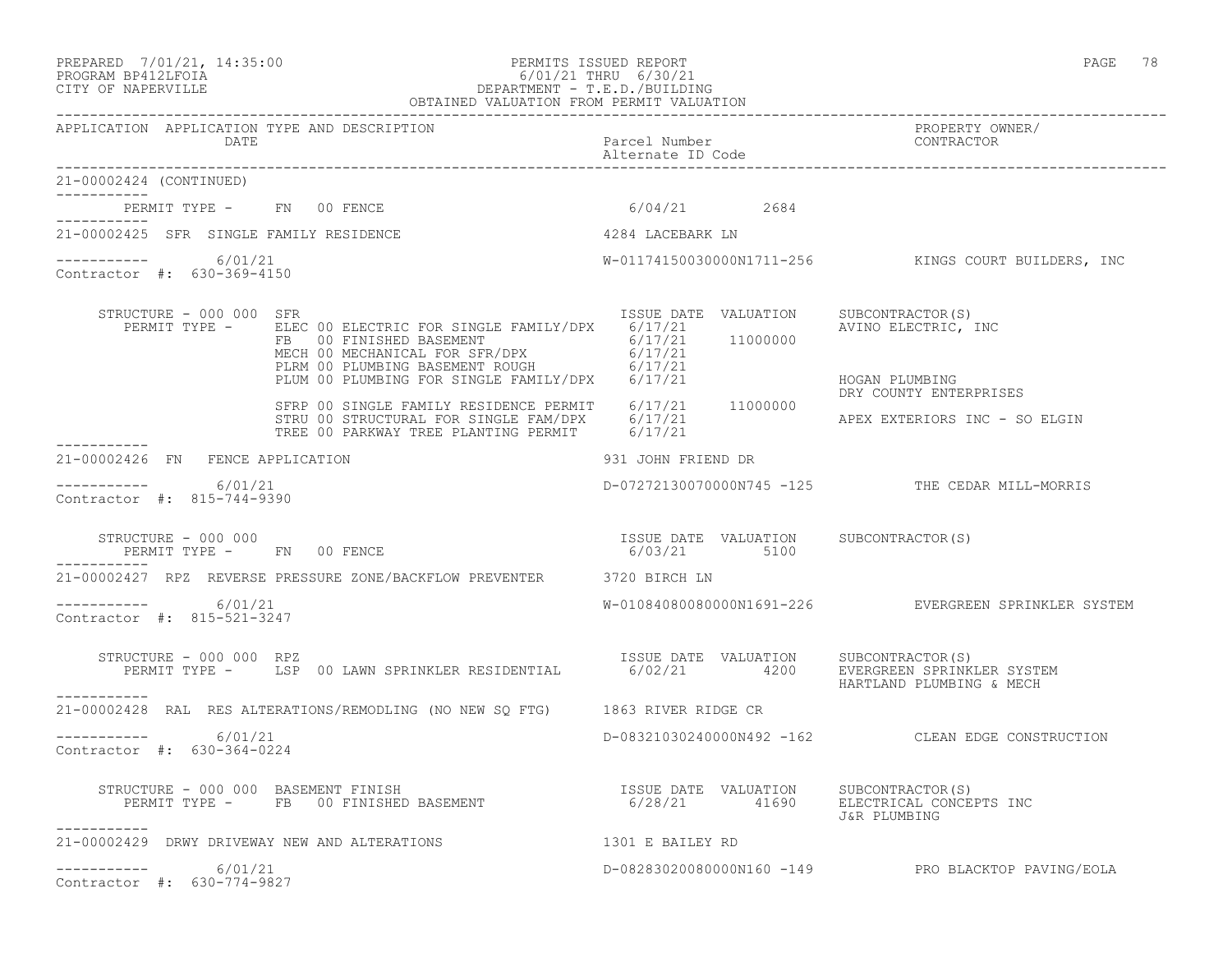#### PREPARED 7/01/21, 14:35:00 PERMITS ISSUED REPORT PAGE 78 PROGRAM BP412LFOIA 6/01/21 THRU 6/30/21 CITY OF NAPERVILLE DEPARTMENT - T.E.D./BUILDING OBTAINED VALUATION FROM PERMIT VALUATION

------------------------------------------------------------------------------------------------------------------------------------ APPLICATION APPLICATION TYPE AND DESCRIPTION PROPERTY OWNER/ DATE PARTICLE IN PARTICLE IN THE PARTICLE IN THE PARTICLE IN THE PARTICLE IN THE PARTICLE IN THE PARTICLE IN THE PARTICLE IN THE PARTICLE IN THE PARTICLE IN THE PARTICLE IN THE PARTICLE IN THE PARTICLE IN THE PARTICLE IN T Alternate ID Code ------------------------------------------------------------------------------------------------------------------------------------ 21-00002424 (CONTINUED) ----------- PERMIT TYPE - FN 00 FENCE 6/04/21 2684 ----------- 21-00002425 SFR SINGLE FAMILY RESIDENCE 4284 LACEBARK LN ----------- 6/01/21 W-01174150030000N1711-256 KINGS COURT BUILDERS, INC Contractor #: 630-369-4150 STRUCTURE - 000 000 SFR<br>PERMIT TYPE - ELEC 00 ELECTRIC FOR SINGLE FAMILY/DPX 6/17/21 AVLIMO ELECTRIC, INC PERMIT TYPE - ELEC 00 ELECTRIC FOR SINGLE FAMILY/DPX 6/17/21 FB 00 FINISHED BASEMENT 6/17/21 11000000 MECH 00 MECHANICAL FOR SFR/DPX 6/17/21 PLRM 00 PLUMBING BASEMENT ROUGH 6/17/21 PLUM 00 PLUMBING FOR SINGLE FAMILY/DPX 6/17/21 HOGAN PLUMBING DRY COUNTY ENTERPRISES SFRP 00 SINGLE FAMILY RESIDENCE PERMIT 6/17/21 11000000 STRU 00 STRUCTURAL FOR SINGLE FAM/DPX  $6/17/21$  APEX EXTERIORS INC - SO ELGIN TREE 00 PARKWAY TREE PLANTING PERMIT 6/17/21 ----------- 21-00002426 FN FENCE APPLICATION 931 JOHN FRIEND DR  $--------- 6/01/21$ ----------- 6/01/21 D-07272130070000N745 -125 THE CEDAR MILL-MORRIS Contractor #: 815-744-9390 STRUCTURE - 000 000 ISSUE DATE VALUATION SUBCONTRACTOR(S) PERMIT TYPE - FN 00 FENCE ----------- 21-00002427 RPZ REVERSE PRESSURE ZONE/BACKFLOW PREVENTER 3720 BIRCH LN ----------- 6/01/21 W-01084080080000N1691-226 EVERGREEN SPRINKLER SYSTEM Contractor #: 815-521-3247 STRUCTURE - 000 000 RPZ<br>PERMIT TYPE - LSP 00 LAWN SPRINKLER RESIDENTIAL 6/02/21 4200 EVERGREEN SPRINKL 6/02/21 4200 EVERGREEN SPRINKLER SYSTEM HARTLAND PLUMBING & MECH ----------- 21-00002428 RAL RES ALTERATIONS/REMODLING (NO NEW SQ FTG) 1863 RIVER RIDGE CR ----------- 6/01/21 D-08321030240000N492 -162 CLEAN EDGE CONSTRUCTION Contractor #: 630-364-0224 STRUCTURE - 000 000 BASEMENT FINISH<br>PERMIT TYPE - FB 00 FINISHED BASEMENT ISSUE DATE VALUATION SUBCONTRACTOR(S)<br>6/28/21 41690 ELECTRICAL CONCEPTS INC J&R PLUMBING ----------- 21-00002429 DRWY DRIVEWAY NEW AND ALTERATIONS 1301 E BAILEY RD  $--------- 6/01/21$ D-08283020080000N160 -149 PRO BLACKTOP PAVING/EOLA Contractor #: 630-774-9827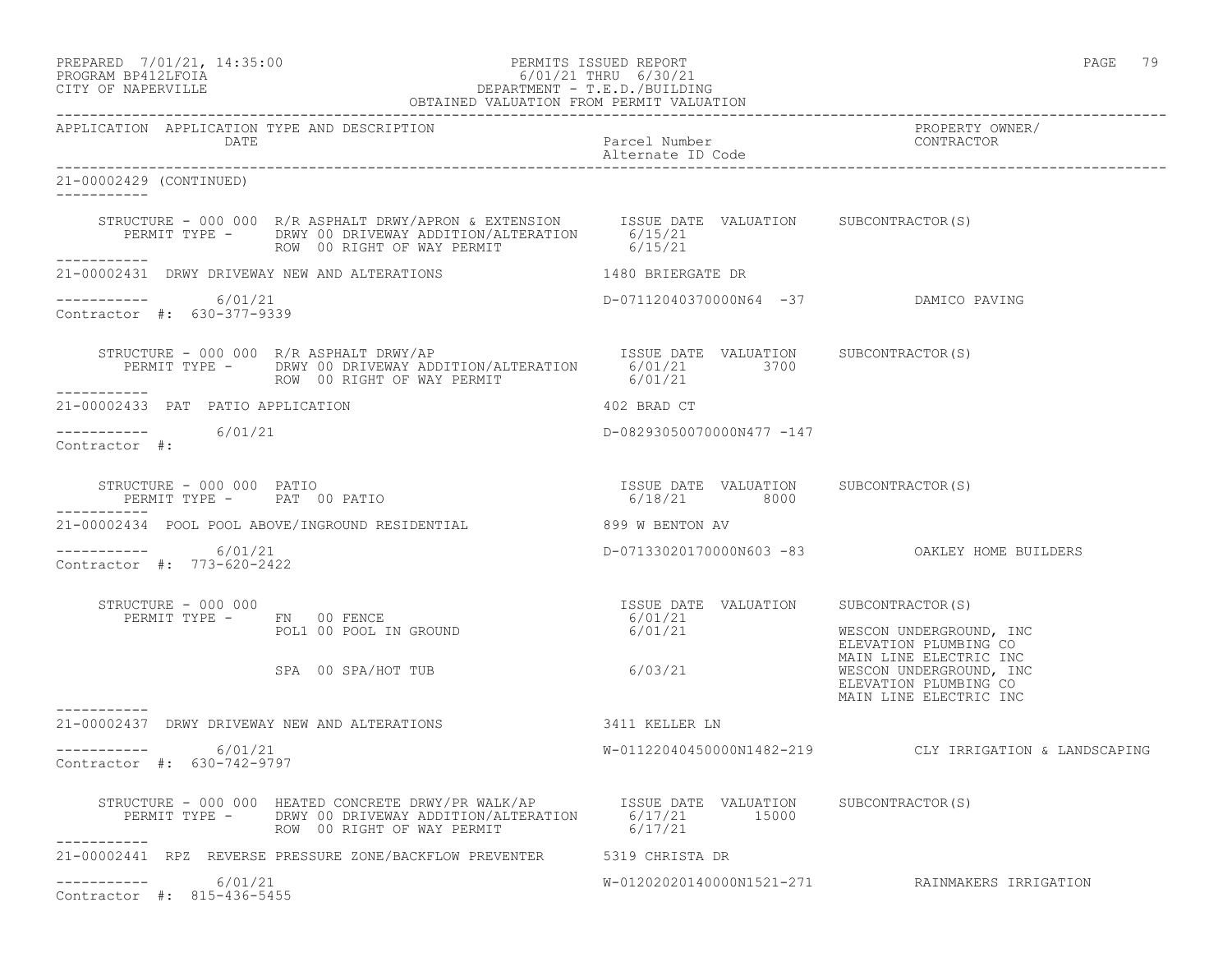### PREPARED 7/01/21, 14:35:00 PERMITS ISSUED REPORT PAGE 79 PROGRAM BP412LFOIA 6/01/21 THRU 6/30/21 CITY OF NAPERVILLE DEPARTMENT - T.E.D./BUILDING

| OBTAINED VALUATION FROM PERMIT VALUATION                    |                                                                                                                                                                                                         |                                                                        |                                                                                                                                                          |
|-------------------------------------------------------------|---------------------------------------------------------------------------------------------------------------------------------------------------------------------------------------------------------|------------------------------------------------------------------------|----------------------------------------------------------------------------------------------------------------------------------------------------------|
| APPLICATION APPLICATION TYPE AND DESCRIPTION<br><b>DATE</b> |                                                                                                                                                                                                         | Parcel Number<br>Alternate ID Code                                     | PROPERTY OWNER/<br>CONTRACTOR                                                                                                                            |
| 21-00002429 (CONTINUED)<br>-----------                      |                                                                                                                                                                                                         |                                                                        |                                                                                                                                                          |
|                                                             | STRUCTURE - 000 000 R/R ASPHALT DRWY/APRON & EXTENSION ISSUE DATE VALUATION SUBCONTRACTOR(S)<br>PERMIT TYPE - DRWY 00 DRIVEWAY ADDITION/ALTERATION 6/15/21<br>ROW 00 RIGHT OF WAY PERMIT 6/15/21        |                                                                        |                                                                                                                                                          |
|                                                             | 21-00002431 DRWY DRIVEWAY NEW AND ALTERATIONS                                                                                                                                                           | 1480 BRIERGATE DR                                                      |                                                                                                                                                          |
| ----------- 6/01/21<br>Contractor #: 630-377-9339           |                                                                                                                                                                                                         | D-07112040370000N64 -37 DAMICO PAVING                                  |                                                                                                                                                          |
| ___________                                                 |                                                                                                                                                                                                         |                                                                        |                                                                                                                                                          |
| 21-00002433 PAT PATIO APPLICATION                           |                                                                                                                                                                                                         | 402 BRAD CT                                                            |                                                                                                                                                          |
| ----------- 6/01/21<br>Contractor #:                        |                                                                                                                                                                                                         | D-08293050070000N477 -147                                              |                                                                                                                                                          |
|                                                             | STRUCTURE - 000 000 PATIO<br>$PAP$ 00 PATIO                                                                                                                                                             | ISSUE DATE VALUATION SUBCONTRACTOR(S)<br>6/18/21 8000                  |                                                                                                                                                          |
| ----------                                                  | 21-00002434 POOL POOL ABOVE/INGROUND RESIDENTIAL                                                                                                                                                        | 899 W BENTON AV                                                        |                                                                                                                                                          |
| -----------     6/01/21<br>Contractor #: 773-620-2422       |                                                                                                                                                                                                         |                                                                        |                                                                                                                                                          |
| STRUCTURE - 000 000                                         | PERMIT TYPE - FN 00 FENCE<br>POL1 00 POOL IN GROUND<br>SPA 00 SPA/HOT TUB                                                                                                                               | ISSUE DATE VALUATION SUBCONTRACTOR(S)<br>6/01/21<br>6/01/21<br>6/03/21 | WESCON UNDERGROUND, INC<br>ELEVATION PLUMBING CO<br>MAIN LINE ELECTRIC INC<br>WESCON UNDERGROUND, INC<br>ELEVATION PLUMBING CO<br>MAIN LINE ELECTRIC INC |
| -----------                                                 | 21-00002437 DRWY DRIVEWAY NEW AND ALTERATIONS                                                                                                                                                           | 3411 KELLER LN                                                         |                                                                                                                                                          |
| 6/01/21<br>Contractor #: 630-742-9797                       |                                                                                                                                                                                                         |                                                                        | $W-01122040450000N1482-219$ CLY IRRIGATION & LANDSCAPING                                                                                                 |
|                                                             | STRUCTURE - 000 000 HEATED CONCRETE DRWY/PR WALK/AP  ISSUE DATE VALUATION SUBCONTRACTOR(S)<br>PERMIT TYPE - DRWY 00 DRIVEWAY ADDITION/ALTERATION  6/17/21  15000<br>ROW 00 RIGHT OF WAY PERMIT  6/17/21 |                                                                        |                                                                                                                                                          |
|                                                             | 21-00002441 RPZ REVERSE PRESSURE ZONE/BACKFLOW PREVENTER 5319 CHRISTA DR                                                                                                                                |                                                                        |                                                                                                                                                          |
| 6/01/21<br>-----------<br>Contractor #: 815-436-5455        |                                                                                                                                                                                                         |                                                                        | W-01202020140000N1521-271 RAINMAKERS IRRIGATION                                                                                                          |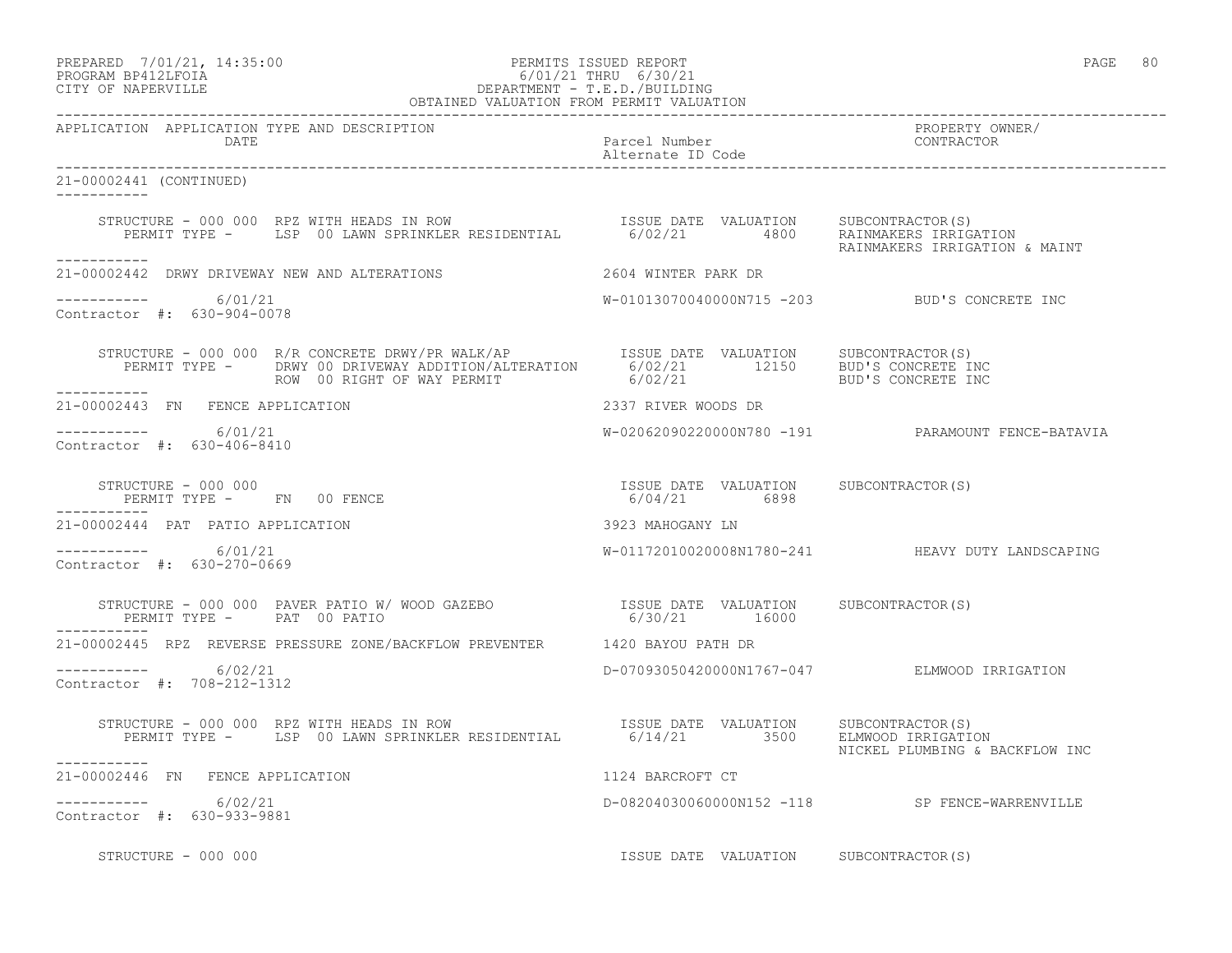### PREPARED 7/01/21, 14:35:00 PERMITS ISSUED REPORT PAGE 80 PROGRAM BP412LFOIA 6/01/21 THRU 6/30/21 CITY OF NAPERVILLE DEPARTMENT - T.E.D./BUILDING

| OBTAINED VALUATION FROM PERMIT VALUATION                                                                                                                                                                                                                                                                                                                            |                                       |                                                   |  |
|---------------------------------------------------------------------------------------------------------------------------------------------------------------------------------------------------------------------------------------------------------------------------------------------------------------------------------------------------------------------|---------------------------------------|---------------------------------------------------|--|
| APPLICATION APPLICATION TYPE AND DESCRIPTION<br><b>DATE</b>                                                                                                                                                                                                                                                                                                         | Parcel Number<br>Alternate ID Code    | PROPERTY OWNER/<br>CONTRACTOR                     |  |
| 21-00002441 (CONTINUED)<br>------------                                                                                                                                                                                                                                                                                                                             |                                       |                                                   |  |
| STRUCTURE - 000 000 RPZ WITH HEADS IN ROW<br>PERMIT TYPE - LSP 00 LAWN SPRINKLER RESIDENTIAL 6/02/21 4800 RAINMAKERS ERRIGATION<br>------------                                                                                                                                                                                                                     |                                       | RAINMAKERS IRRIGATION & MAINT                     |  |
|                                                                                                                                                                                                                                                                                                                                                                     |                                       |                                                   |  |
| ----------- 6/01/21<br>Contractor #: 630-904-0078                                                                                                                                                                                                                                                                                                                   |                                       | W-01013070040000N715 -203 BUD'S CONCRETE INC      |  |
|                                                                                                                                                                                                                                                                                                                                                                     |                                       |                                                   |  |
| 21-00002443 FN FENCE APPLICATION                                                                                                                                                                                                                                                                                                                                    | 2337 RIVER WOODS DR                   |                                                   |  |
| $--------- 6/01/21$<br>Contractor #: 630-406-8410                                                                                                                                                                                                                                                                                                                   |                                       | W-02062090220000N780 -191 PARAMOUNT FENCE-BATAVIA |  |
| $\begin{array}{cccccccccc} \texttt{STRUCTURE} & - & 000 & 000 & & & & & & & \\ \texttt{PERMIT TYPE} & - & \texttt{FN} & 00 & \texttt{FENCE} & & & & & & \\ \texttt{PERMIT TYPE} & - & \texttt{FN} & 00 & \texttt{FENCE} & & & & & \\ \end{array}$<br>------------                                                                                                   |                                       |                                                   |  |
| 21-00002444 PAT PATIO APPLICATION                                                                                                                                                                                                                                                                                                                                   | 3923 MAHOGANY LN                      |                                                   |  |
| $--------- 6/01/21$<br>Contractor #: 630-270-0669                                                                                                                                                                                                                                                                                                                   |                                       | W-01172010020008N1780-241 HEAVY DUTY LANDSCAPING  |  |
| $\begin{array}{cccccccccc} \texttt{STRUCTURE} & - & 000 & 000 & \texttt{PAVER} & \texttt{PATH} & \texttt{W/OOD} & \texttt{GAZEBO} & & & & & & & & \\ \texttt{PERMIT TYPE} & - & & \texttt{PAT} & 00 & \texttt{PATHIO} & & & & & & & \\ \texttt{PERMIT TYPE} & - & & \texttt{PAT} & 00 & \texttt{PATHIO} & & & & & & & \\ \end{array}$<br>PERMIT TYPE - PAT 00 PATIO |                                       |                                                   |  |
| 21-00002445 RPZ REVERSE PRESSURE ZONE/BACKFLOW PREVENTER 1420 BAYOU PATH DR                                                                                                                                                                                                                                                                                         |                                       |                                                   |  |
| -----------     6/02/21<br>Contractor #: 708-212-1312                                                                                                                                                                                                                                                                                                               |                                       | D-07093050420000N1767-047 ELMWOOD IRRIGATION      |  |
| STRUCTURE - 000 000 RPZ WITH HEADS IN ROW [SSUE DATE VALUATION SUBCONTRACTOR(S)<br>PERMIT TYPE - LSP 00 LAWN SPRINKLER RESIDENTIAL 6/14/21 3500 ELMWOOD IRRIGATION<br>-----------                                                                                                                                                                                   |                                       | NICKEL PLUMBING & BACKFLOW INC                    |  |
| 21-00002446 FN FENCE APPLICATION                                                                                                                                                                                                                                                                                                                                    | 1124 BARCROFT CT                      |                                                   |  |
| -----------     6/02/21<br>Contractor #: 630-933-9881                                                                                                                                                                                                                                                                                                               |                                       | D-08204030060000N152 -118 SP FENCE-WARRENVILLE    |  |
| STRUCTURE - 000 000                                                                                                                                                                                                                                                                                                                                                 | ISSUE DATE VALUATION SUBCONTRACTOR(S) |                                                   |  |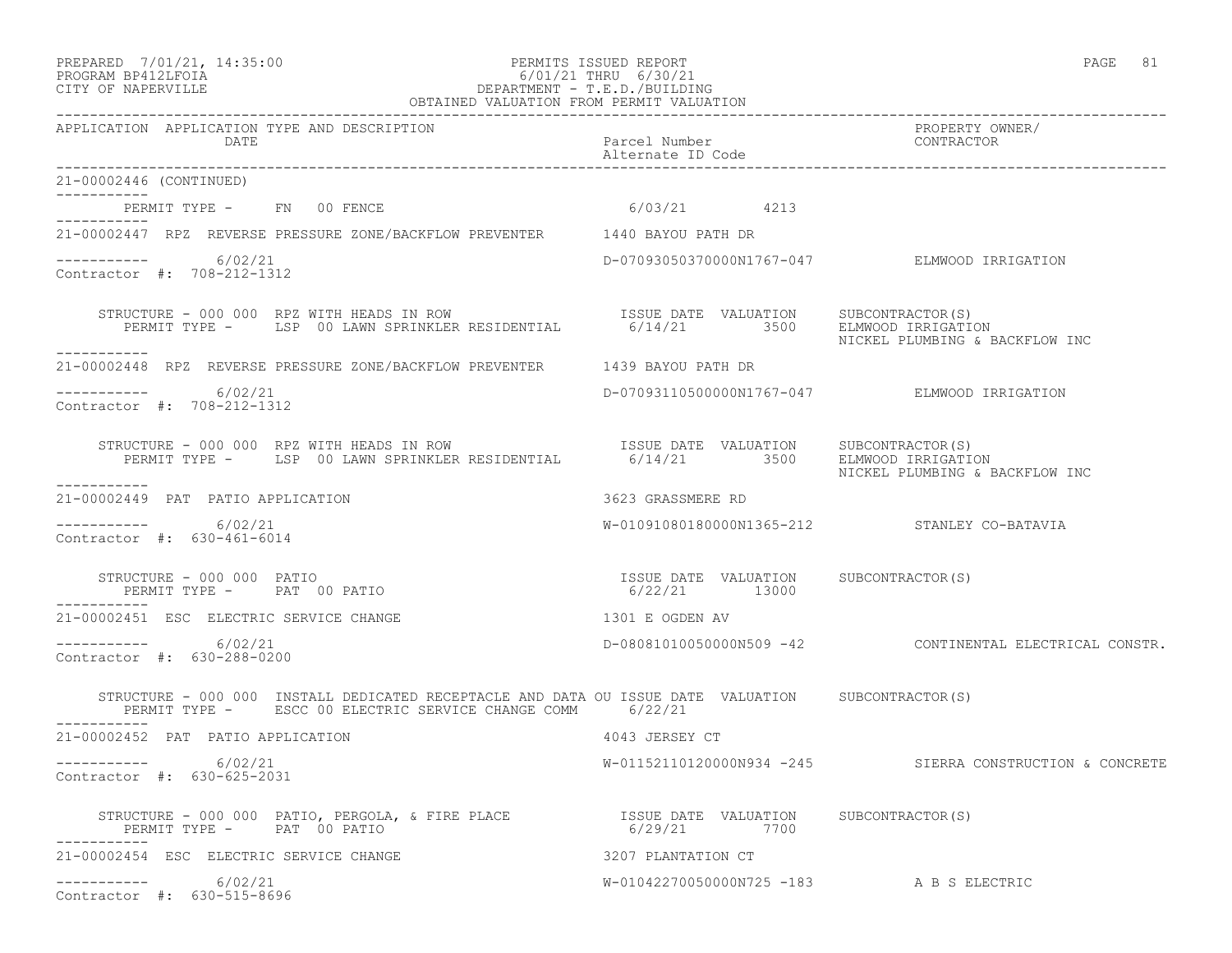#### PREPARED 7/01/21, 14:35:00 PERMITS ISSUED REPORT PAGE 81 PROGRAM BP412LFOIA 6/01/21 THRU 6/30/21 CITY OF NAPERVILLE DEPARTMENT - T.E.D./BUILDING OBTAINED VALUATION FROM PERMIT VALUATION

------------------------------------------------------------------------------------------------------------------------------------ APPLICATION APPLICATION TYPE AND DESCRIPTION PROPERTY OWNER/ DATE Parcel Number Contractor Contractor Parcel Number Alternate ID Code ------------------------------------------------------------------------------------------------------------------------------------ 21-00002446 (CONTINUED) ----------- PERMIT TYPE - FN 00 FENCE 10 10 10 10 10 10 12 13 ----------- 21-00002447 RPZ REVERSE PRESSURE ZONE/BACKFLOW PREVENTER 1440 BAYOU PATH DR  $--------- 6/02/21$ ----------- 6/02/21 D-07093050370000N1767-047 ELMWOOD IRRIGATION Contractor #: 708-212-1312 STRUCTURE - 000 000 RPZ WITH HEADS IN ROW ISSUE DATE VALUATION SUBCONTRACTOR(S) PERMIT TYPE - LSP 00 LAWN SPRINKLER RESIDENTIAL 6/14/21 3500 ELMWOOD IRRIGATION NICKEL PLUMBING & BACKFLOW INC ----------- 21-00002448 RPZ REVERSE PRESSURE ZONE/BACKFLOW PREVENTER 1439 BAYOU PATH DR <u> Liste Liste Lis</u>ter ----------- 6/02/21 D-07093110500000N1767-047 ELMWOOD IRRIGATION Contractor #: 708-212-1312 STRUCTURE - 000 000 RPZ WITH HEADS IN ROW ISSUE DATE VALUATION SUBCONTRACTOR(S) PERMIT TYPE - LSP 00 LAWN SPRINKLER RESIDENTIAL 6/14/21 3500 ELMWOOD IRRIGATION NICKEL PLUMBING & BACKFLOW INC ----------- 21-00002449 PAT PATIO APPLICATION 3623 GRASSMERE RD  $--------- 6/02/21$ W-01091080180000N1365-212 STANLEY CO-BATAVIA Contractor #: 630-461-6014 STRUCTURE - 000 000 PATIO ISSUE DATE VALUATION SUBCONTRACTOR(S) PERMIT TYPE - PAT 00 PATIO 6/22/21 13000 ----------- 21-00002451 ESC ELECTRIC SERVICE CHANGE 1301 E OGDEN AV ----------- 6/02/21 D-08081010050000N509 -42 CONTINENTAL ELECTRICAL CONSTR. Contractor #: 630-288-0200 STRUCTURE - 000 000 INSTALL DEDICATED RECEPTACLE AND DATA OU ISSUE DATE VALUATION SUBCONTRACTOR(S) PERMIT TYPE - ESCC 00 ELECTRIC SERVICE CHANGE COMM 6/22/21 ----------- 21-00002452 PAT PATIO APPLICATION 4043 JERSEY CT ----------- 6/02/21 W-01152110120000N934 -245 SIERRA CONSTRUCTION & CONCRETE Contractor #: 630-625-2031 STRUCTURE – 000 000 PATIO, PERGOLA, & FIRE PLACE ISSUE DATE VALUATION SUBCONTRACTOR(S)<br>
PERMIT TYPE – PAT 00 PATIO PERMIT TYPE - PAT 00 PATIO ----------- 21-00002454 ESC ELECTRIC SERVICE CHANGE 3207 PLANTATION CT ----------- 6/02/21 W-01042270050000N725 -183 A B S ELECTRIC Contractor #: 630-515-8696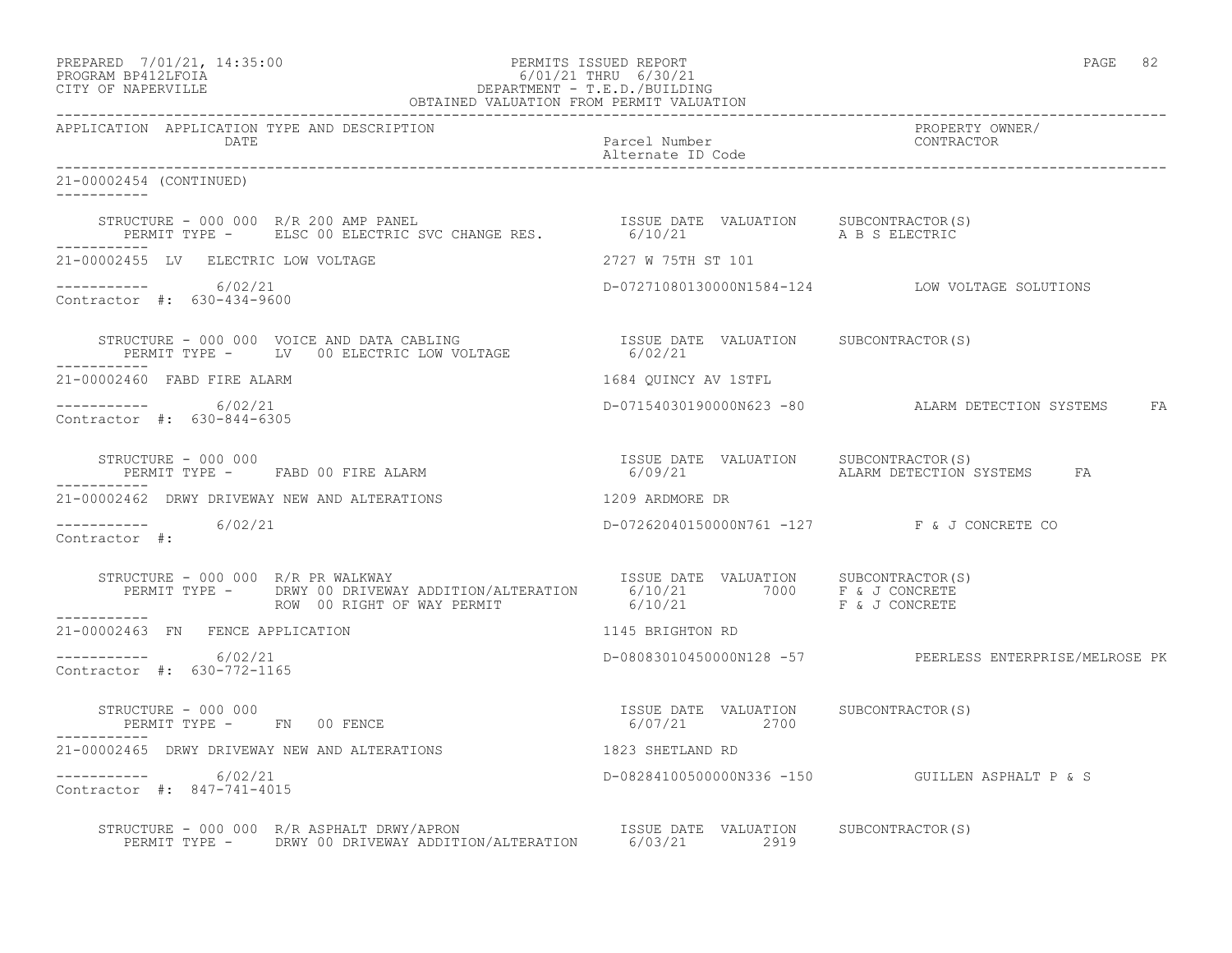#### PREPARED 7/01/21, 14:35:00 PERMITS ISSUED REPORT PAGE 82 PROGRAM BP412LFOIA 6/01/21 THRU 6/30/21 CITY OF NAPERVILLE DEPARTMENT - T.E.D./BUILDING OBTAINED VALUATION FROM PERMIT VALUATION

------------------------------------------------------------------------------------------------------------------------------------ APPLICATION APPLICATION TYPE AND DESCRIPTION PROPERTY OWNER/ DATE Parcel Number CONTRACTOR Alternate ID Code ------------------------------------------------------------------------------------------------------------------------------------ 21-00002454 (CONTINUED) ----------- STRUCTURE - 000 000 R/R 200 AMP PANEL ISSUE DATE VALUATION SUBCONTRACTOR(S) PERMIT TYPE - ELSC 00 ELECTRIC SVC CHANGE RES. 6/10/21 A B S ELECTRIC ----------- 21-00002455 LV ELECTRIC LOW VOLTAGE 2727 W 75TH ST 101 ----------- 6/02/21 D-07271080130000N1584-124 LOW VOLTAGE SOLUTIONS Contractor #: 630-434-9600 STRUCTURE - 000 000 VOICE AND DATA CABLING ISSUE DATE VALUATION SUBCONTRACTOR(S) PERMIT TYPE - LV 00 ELECTRIC LOW VOLTAGE 6/02/21 ----------- 21-00002460 FABD FIRE ALARM 1684 QUINCY AV 1STFL ----------- 6/02/21 D-07154030190000N623 -80 ALARM DETECTION SYSTEMS FA Contractor #: 630-844-6305 STRUCTURE - 000 000 ISSUE DATE VALUATION SUBCONTRACTOR(S) PERMIT TYPE - FABD 00 FIRE ALARM 6/09/21 ALARM DETECTION SYSTEMS FA ----------- 21-00002462 DRWY DRIVEWAY NEW AND ALTERATIONS 1209 ARDMORE DR ----------- 6/02/21 D-07262040150000N761 -127 F & J CONCRETE CO Contractor #: STRUCTURE - 000 000 R/R PR WALKWAY ISSUE DATE VALUATION SUBCONTRACTOR(S) PERMIT TYPE - DRWY 00 DRIVEWAY ADDITION/ALTERATION 6/10/21 7000 F & J CONCRETE ROW 00 RIGHT OF WAY PERMIT 6/10/21 F & J CONCRETE ----------- 21-00002463 FN FENCE APPLICATION 1145 BRIGHTON RD  $---------$  6/02/21 ----------- 6/02/21 D-08083010450000N128 -57 PEERLESS ENTERPRISE/MELROSE PK Contractor #: 630-772-1165 STRUCTURE - 000 000 ISSUE DATE VALUATION SUBCONTRACTOR(S) PERMIT TYPE - FN 00 FENCE 21-00002465 DRWY DRIVEWAY NEW AND ALTERATIONS 1823 SHETLAND RD ----------- 6/02/21 D-08284100500000N336 -150 GUILLEN ASPHALT P & S Contractor #: 847-741-4015 STRUCTURE - 000 000 R/R ASPHALT DRWY/APRON ISSUE DATE VALUATION SUBCONTRACTOR(S) PERMIT TYPE - DRWY 00 DRIVEWAY ADDITION/ALTERATION 6/03/21 2919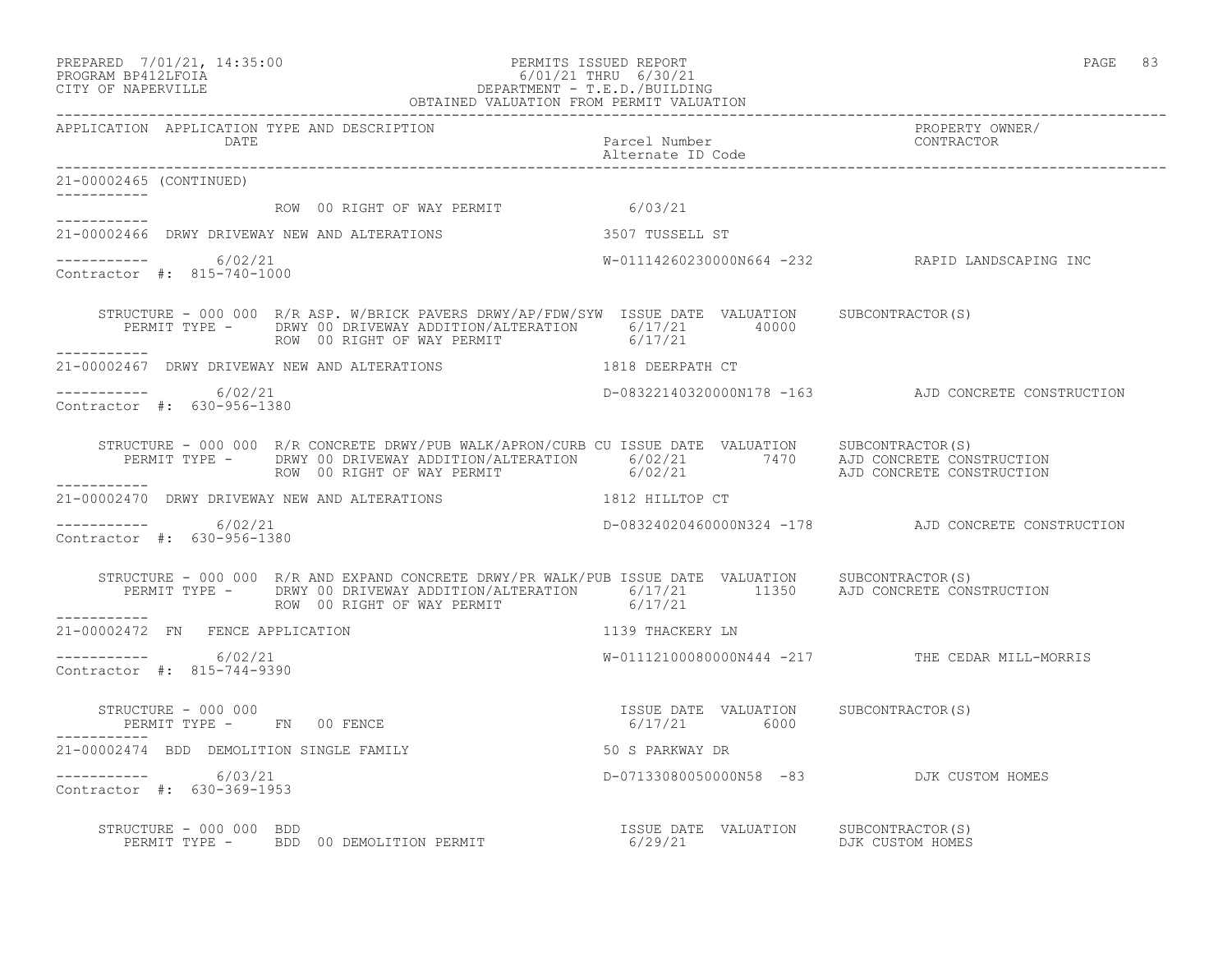#### PREPARED 7/01/21, 14:35:00 PERMITS ISSUED REPORT PAGE 83 PROGRAM BP412LFOIA 6/01/21 THRU 6/30/21 CITY OF NAPERVILLE DEPARTMENT - T.E.D./BUILDING OBTAINED VALUATION FROM PERMIT VALUATION

------------------------------------------------------------------------------------------------------------------------------------ APPLICATION APPLICATION TYPE AND DESCRIPTION<br>DATE DATE DATE DATE DATE Parcel Number CONTRACTOR Alternate ID Code ------------------------------------------------------------------------------------------------------------------------------------ 21-00002465 (CONTINUED) ----------- ROW 00 RIGHT OF WAY PERMIT 6/03/21 ----------- 21-00002466 DRWY DRIVEWAY NEW AND ALTERATIONS 3507 TUSSELL ST  $--------- 6/02/21$ ----------- 6/02/21 W-01114260230000N664 -232 RAPID LANDSCAPING INC Contractor #: 815-740-1000 STRUCTURE - 000 000 R/R ASP. W/BRICK PAVERS DRWY/AP/FDW/SYW ISSUE DATE VALUATION SUBCONTRACTOR(S) PERMIT TYPE - DRWY 00 DRIVEWAY ADDITION/ALTERATION 6/17/21 40000<br>ROW 00 RIGHT OF WAY PERMIT 6/17/21 ROW 00 RIGHT OF WAY PERMIT ----------- 21-00002467 DRWY DRIVEWAY NEW AND ALTERATIONS 1818 DEERPATH CT \_\_\_\_\_\_\_\_\_\_\_ ----------- 6/02/21 D-08322140320000N178 -163 AJD CONCRETE CONSTRUCTION Contractor #: 630-956-1380 STRUCTURE - 000 000 R/R CONCRETE DRWY/PUB WALK/APRON/CURB CU ISSUE DATE VALUATION SUBCONTRACTOR(S) PERMIT TYPE - DRWY 00 DRIVEWAY ADDITION/ALTERATION 6/02/21 7470 AJD CONCRETE CONSTRUCTION<br>ROW 00 RIGHT OF WAY PERMIT  $6/02/21$   $AD$  CONCRETE CONSTRUCTION ----------- 21-00002470 DRWY DRIVEWAY NEW AND ALTERATIONS 1812 HILLTOP CT  $--------- 6/02/21$ D-08324020460000N324 -178 AJD CONCRETE CONSTRUCTION Contractor #: 630-956-1380 STRUCTURE - 000 000 R/R AND EXPAND CONCRETE DRWY/PR WALK/PUB ISSUE DATE VALUATION SUBCONTRACTOR(S) PERMIT TYPE - DRWY 00 DRIVEWAY ADDITION/ALTERATION 6/17/21 11350 AJD CONCRETE CONSTRUCTION ROW 00 RIGHT OF WAY PERMIT 6/17/21 ----------- 21-00002472 FN FENCE APPLICATION 1139 THACKERY LN  $--------- 6/02/21$ W-01112100080000N444 -217 THE CEDAR MILL-MORRIS Contractor #: 815-744-9390 STRUCTURE - 000 000 ISSUE DATE VALUATION SUBCONTRACTOR(S) PERMIT TYPE - FN 00 FENCE 21-00002474 BDD DEMOLITION SINGLE FAMILY 50 S PARKWAY DR ----------- 6/03/21 D-07133080050000N58 -83 DJK CUSTOM HOMES Contractor #: 630-369-1953 STRUCTURE - 000 000 BDD ISSUE DATE VALUATION SUBCONTRACTOR(S) PERMIT TYPE - BDD 00 DEMOLITION PERMIT 6/29/21 691 DJK CUSTOM HOMES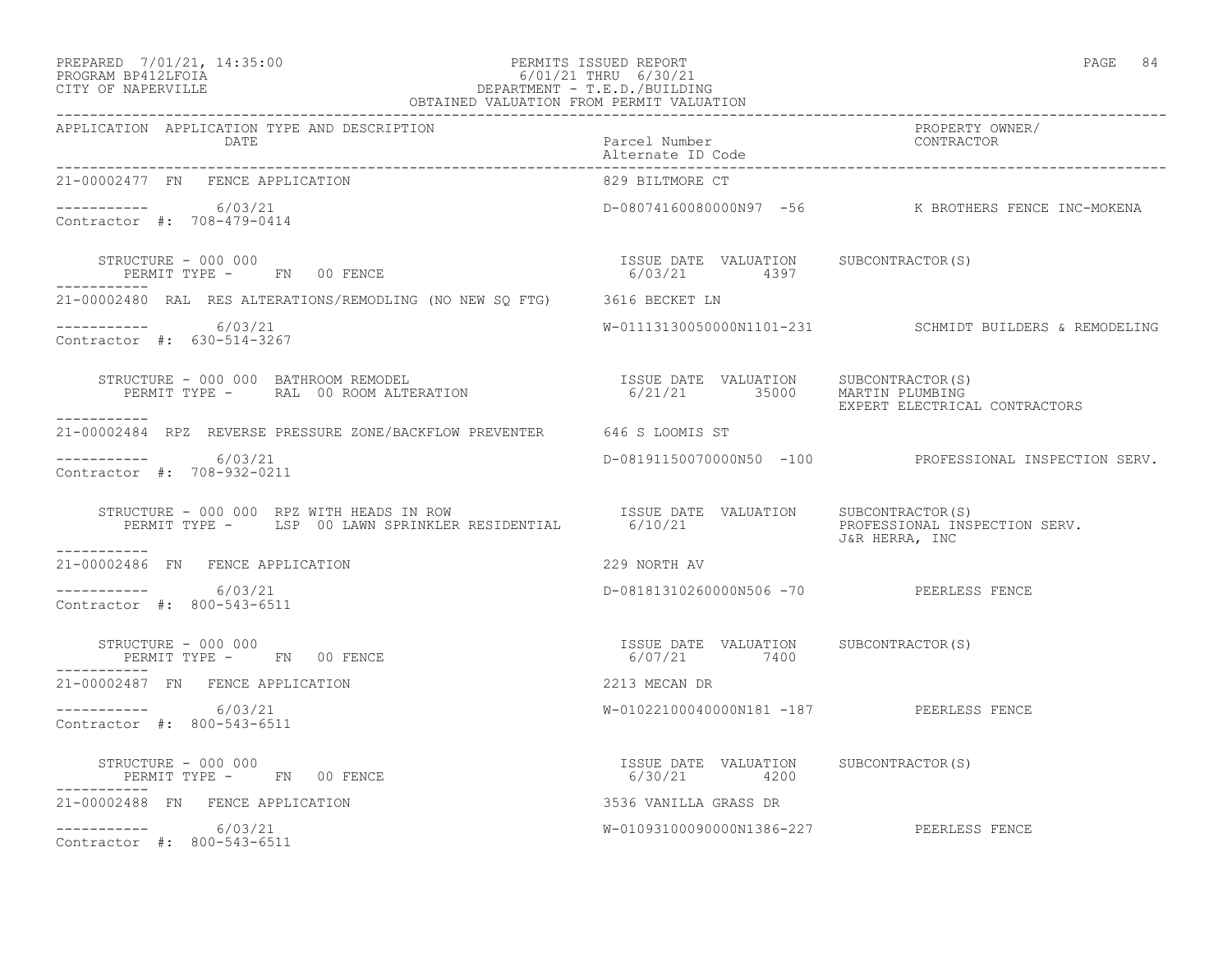### PREPARED 7/01/21, 14:35:00 PERMITS ISSUED REPORT PAGE 84 PROGRAM BP412LFOIA 6/01/21 THRU 6/30/21 CITY OF NAPERVILLE DEPARTMENT - T.E.D./BUILDING

| OBTAINED VALUATION FROM PERMIT VALUATION                                                                                                                                                                                                                                                                                                                                                     |                                          |                                                         |
|----------------------------------------------------------------------------------------------------------------------------------------------------------------------------------------------------------------------------------------------------------------------------------------------------------------------------------------------------------------------------------------------|------------------------------------------|---------------------------------------------------------|
| APPLICATION APPLICATION TYPE AND DESCRIPTION                                                                                                                                                                                                                                                                                                                                                 |                                          | PROPERTY OWNER/<br>CONTRACTOR                           |
| 21-00002477 FN FENCE APPLICATION                                                                                                                                                                                                                                                                                                                                                             | 829 BILTMORE CT                          |                                                         |
| -----------     6/03/21<br>Contractor #: 708-479-0414                                                                                                                                                                                                                                                                                                                                        |                                          | D-08074160080000N97 -56 K BROTHERS FENCE INC-MOKENA     |
| ۲ERN<br>------------                                                                                                                                                                                                                                                                                                                                                                         |                                          |                                                         |
| 21-00002480 RAL RES ALTERATIONS/REMODLING (NO NEW SQ FTG) 3616 BECKET LN                                                                                                                                                                                                                                                                                                                     |                                          |                                                         |
| ----------- 6/03/21<br>Contractor #: 630-514-3267                                                                                                                                                                                                                                                                                                                                            |                                          | W-01113130050000N1101-231 SCHMIDT BUILDERS & REMODELING |
| ___________                                                                                                                                                                                                                                                                                                                                                                                  |                                          | EXPERT ELECTRICAL CONTRACTORS                           |
| 21-00002484 RPZ REVERSE PRESSURE ZONE/BACKFLOW PREVENTER 646 S LOOMIS ST                                                                                                                                                                                                                                                                                                                     |                                          |                                                         |
| ----------- 6/03/21<br>Contractor #: 708-932-0211                                                                                                                                                                                                                                                                                                                                            |                                          | D-08191150070000N50 -100 PROFESSIONAL INSPECTION SERV.  |
| STRUCTURE - 000 000 RPZ WITH HEADS IN ROW ISSUE DATE VALUATION SUBCONTRACTOR(S)<br>PERMIT TYPE - LSP 00 LAWN SPRINKLER RESIDENTIAL 6/10/21 PROFESSIONAL INSP                                                                                                                                                                                                                                 |                                          | PROFESSIONAL INSPECTION SERV.<br>J&R HERRA, INC         |
| 21-00002486 FN FENCE APPLICATION                                                                                                                                                                                                                                                                                                                                                             | 229 NORTH AV                             |                                                         |
| ----------- 6/03/21<br>Contractor #: 800-543-6511                                                                                                                                                                                                                                                                                                                                            | D-08181310260000N506 -70 PEERLESS FENCE  |                                                         |
| STRUCTURE – 000 000<br>PERMIT TYPE – FN 00 FENCE – SUBCONTRACTOR (S) (ALUATION SUBCONTRACTOR (S)<br>STRUCTURE - 000 000                                                                                                                                                                                                                                                                      |                                          |                                                         |
| 21-00002487 FN FENCE APPLICATION                                                                                                                                                                                                                                                                                                                                                             | 2213 MECAN DR                            |                                                         |
| ----------- 6/03/21<br>Contractor #: 800-543-6511                                                                                                                                                                                                                                                                                                                                            | W-01022100040000N181 -187 PEERLESS FENCE |                                                         |
| $\begin{array}{cccccccccc} \texttt{STRUCTURE} & - & 000 & 000 & & & & & & & \\ \texttt{PERMIT TYPE} & - & & \texttt{FN} & 00 & \texttt{FENCE} & & & & & & \\ \end{array} \hspace{1.5cm} \begin{array}{cccccccccc} \texttt{TSSUE} & \texttt{DATE} & \texttt{VALUATION} & & \texttt{SUBCONTRACTOR(S)} \\ & & & & & & & \\ \texttt{6/30/21} & & & & & & 4200 & & \\ \end{array}$<br>----------- |                                          |                                                         |
| 21-00002488 FN FENCE APPLICATION                                                                                                                                                                                                                                                                                                                                                             | 3536 VANILLA GRASS DR                    |                                                         |
| $--------- 6/03/21$<br>Contractor #: 800-543-6511                                                                                                                                                                                                                                                                                                                                            | W-01093100090000N1386-227 PEERLESS FENCE |                                                         |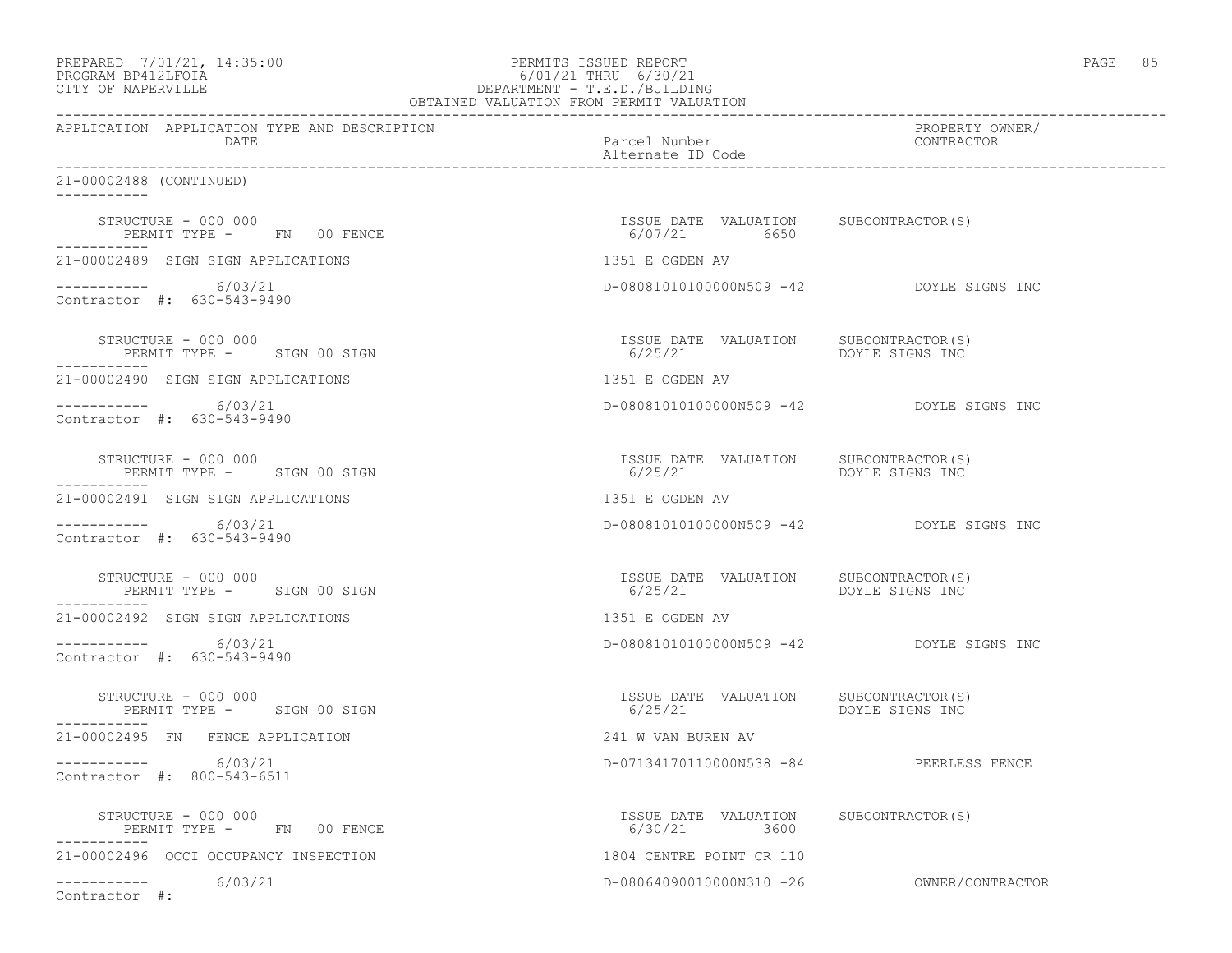| PREPARED        | 7/01/21, 14:35:00 |  |
|-----------------|-------------------|--|
| <b>DDOOD315</b> | $P^{\text{max}}$  |  |

### PREPARED 7/01/21, 14:35:00 PERMITS ISSUED REPORT PAGE 85 PROGRAM BP412LFOIA 6/01/21 THRU 6/30/21 CITY OF NAPERVILLE DEPARTMENT - T.E.D./BUILDING

| OBTAINED VALUATION FROM PERMIT VALUATION                         |                                                                   |                                           |
|------------------------------------------------------------------|-------------------------------------------------------------------|-------------------------------------------|
| APPLICATION APPLICATION TYPE AND DESCRIPTION<br>DATE             | Parcel Number<br>Alternate ID Code                                | PROPERTY OWNER/<br>CONTRACTOR             |
| 21-00002488 (CONTINUED)<br>-----------                           |                                                                   |                                           |
| STRUCTURE - 000 000<br>PERMIT TYPE - FN 00 FENCE                 | ISSUE DATE VALUATION SUBCONTRACTOR (S)<br>6/07/21 6650            |                                           |
| 21-00002489 SIGN SIGN APPLICATIONS                               | 1351 E OGDEN AV                                                   |                                           |
| $--------- 6/03/21$<br>Contractor #: 630-543-9490                | D-080810101000000N509 -42 DOYLE SIGNS INC                         |                                           |
| STRUCTURE - 000 000<br>PERMIT TYPE - SIGN 00 SIGN                | ISSUE DATE VALUATION SUBCONTRACTOR(S)<br>6/25/21                  | DOYLE SIGNS INC                           |
| 21-00002490 SIGN SIGN APPLICATIONS                               | 1351 E OGDEN AV                                                   |                                           |
| -----------     6/03/21<br>Contractor #: 630-543-9490            | D-08081010100000N509 -42 DOYLE SIGNS INC                          |                                           |
| STRUCTURE - 000 000<br>PERMIT TYPE - SIGN 00 SIGN                | ISSUE DATE VALUATION SUBCONTRACTOR(S)<br>6/25/21                  | DOYLE SIGNS INC                           |
| 21-00002491 SIGN SIGN APPLICATIONS                               | 1351 E OGDEN AV                                                   |                                           |
| ----------- 6/03/21<br>Contractor #: 630-543-9490                | D-080810101000000N509 -42 DOYLE SIGNS INC                         |                                           |
| STRUCTURE - 000 000<br>PERMIT TYPE - SIGN 00 SIGN                | ISSUE DATE VALUATION SUBCONTRACTOR (S)<br>6/25/21 DOYLE SIGNS INC |                                           |
| 21-00002492 SIGN SIGN APPLICATIONS                               | 1351 E OGDEN AV                                                   |                                           |
| ----------- 6/03/21<br>Contractor #: 630-543-9490                | D-080810101000000N509 -42 DOYLE SIGNS INC                         |                                           |
| STRUCTURE - 000 000<br>PERMIT TYPE - SIGN 00 SIGN<br>----------- | ISSUE DATE VALUATION SUBCONTRACTOR(S)<br>6/25/21                  | DOYLE SIGNS INC                           |
| 21-00002495 FN FENCE APPLICATION                                 | 241 W VAN BUREN AV                                                |                                           |
| $--------- 6/03/21$<br>Contractor #: 800-543-6511                | D-07134170110000N538 -84 PEERLESS FENCE                           |                                           |
| STRUCTURE - 000 000<br>PERMIT TYPE - FN 00 FENCE                 | ISSUE DATE VALUATION SUBCONTRACTOR(S)<br>6/30/21 3600             |                                           |
| 21-00002496 OCCI OCCUPANCY INSPECTION                            | 1804 CENTRE POINT CR 110                                          |                                           |
| -----------    6/03/21<br>Contractor #:                          |                                                                   | D-08064090010000N310 -26 OWNER/CONTRACTOR |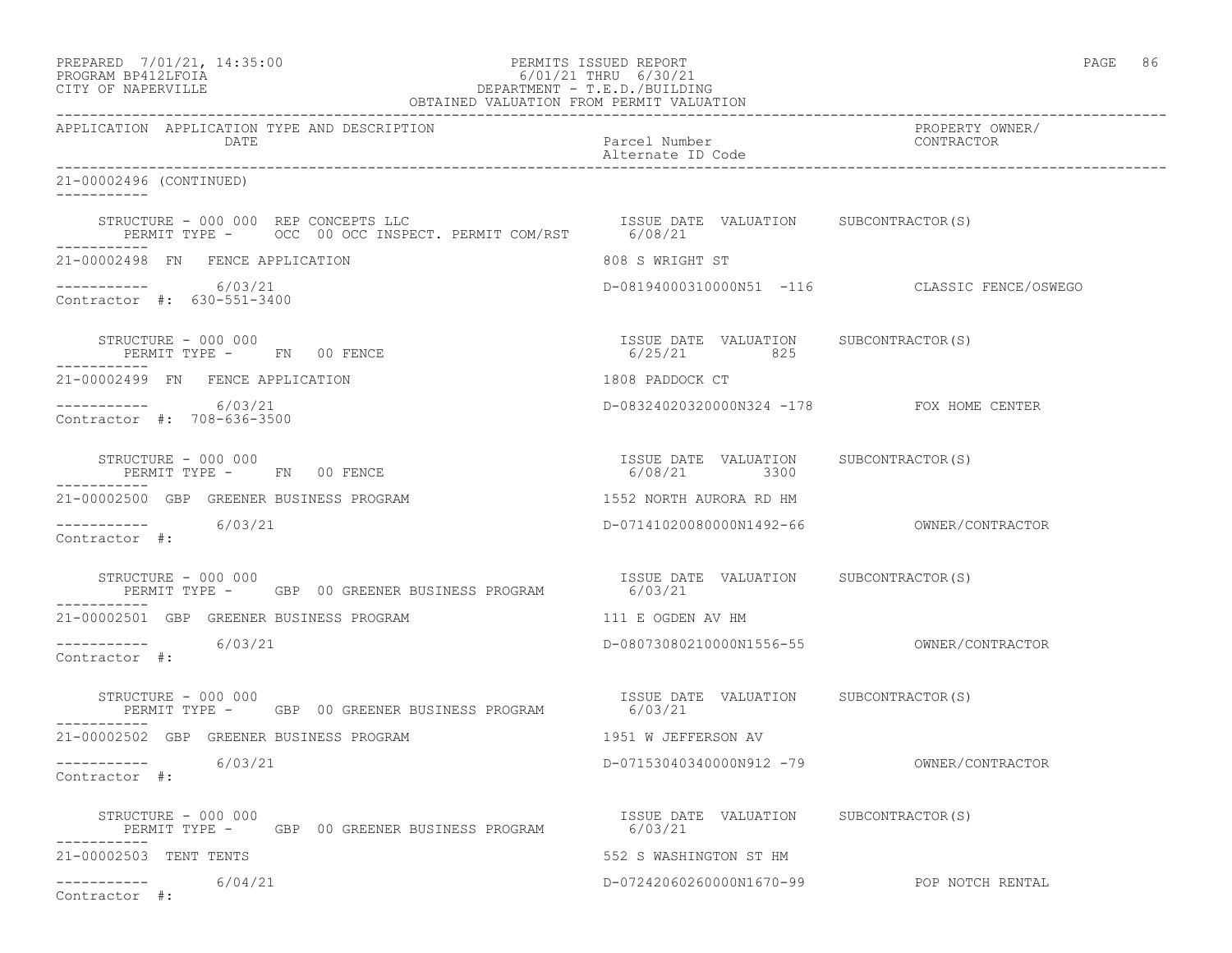| PREPARED            | 7/01/21, 14:35:00 |  |
|---------------------|-------------------|--|
| DDOCDAM DD410T DOTA |                   |  |

### PREPARED 7/01/21, 14:35:00 PERMITS ISSUED REPORT<br>PROGRAM BP412LFOIA PAGE 86 PROGRAM BP412LFOIA PROGRAM BP412LFOIA 6/01/21 THRU 6/30/21 CITY OF NAPERVILLE DEPARTMENT - T.E.D./BUILDING

| OBTAINED VALUATION FROM PERMIT VALUATION                                                                   |                                                       |                                               |
|------------------------------------------------------------------------------------------------------------|-------------------------------------------------------|-----------------------------------------------|
| APPLICATION APPLICATION TYPE AND DESCRIPTION<br>DATE                                                       | Parcel Number<br>Alternate ID Code                    | PROPERTY OWNER/<br>CONTRACTOR                 |
| 21-00002496 (CONTINUED)<br>-----------                                                                     |                                                       |                                               |
| STRUCTURE - 000 000 REP CONCEPTS LLC<br>PERMIT TYPE - OCC 00 OCC INSPECT. PERMIT COM/RST                   | ISSUE DATE VALUATION SUBCONTRACTOR(S)<br>6/08/21      |                                               |
| 21-00002498 FN FENCE APPLICATION                                                                           | 808 S WRIGHT ST                                       |                                               |
| $--------- 6/03/21$<br>Contractor #: 630-551-3400                                                          |                                                       | D-08194000310000N51 -116 CLASSIC FENCE/OSWEGO |
| STRUCTURE - 000 000<br>PERMIT TYPE - FN 00 FENCE                                                           | ISSUE DATE VALUATION SUBCONTRACTOR(S)<br>6/25/21 825  |                                               |
| 21-00002499 FN FENCE APPLICATION                                                                           | 1808 PADDOCK CT                                       |                                               |
| $---------$ 6/03/21<br>Contractor #: 708-636-3500                                                          | D-08324020320000N324 -178 FOX HOME CENTER             |                                               |
| STRUCTURE - 000 000<br>PERMIT TYPE - FN 00 FENCE                                                           | ISSUE DATE VALUATION SUBCONTRACTOR(S)<br>6/08/21 3300 |                                               |
| 21-00002500 GBP GREENER BUSINESS PROGRAM                                                                   | 1552 NORTH AURORA RD HM                               |                                               |
| $--------$ 6/03/21<br>Contractor #:                                                                        |                                                       |                                               |
| STRUCTURE - 000 000<br>PERMIT TYPE - GBP 00 GREENER BUSINESS PROGRAM                                       | ISSUE DATE VALUATION SUBCONTRACTOR(S)<br>6/03/21      |                                               |
| 21-00002501 GBP GREENER BUSINESS PROGRAM                                                                   | 111 E OGDEN AV HM                                     |                                               |
| ----------- 6/03/21<br>Contractor #:                                                                       |                                                       |                                               |
| STRUCTURE - 000 000<br>PERMIT TYPE - GBP 00 GREENER BUSINESS PROGRAM                                       | ISSUE DATE VALUATION SUBCONTRACTOR(S)<br>6/03/21      |                                               |
| 21-00002502 GBP GREENER BUSINESS PROGRAM                                                                   | 1951 W JEFFERSON AV                                   |                                               |
| -----------     6/03/21<br>Contractor #:                                                                   |                                                       |                                               |
| TSSUE DATE VALUATION SUBCONTRACTOR(S)<br>PERMIT TYPE – GBP 00 GREENER BUSINESS PROGRAM 6/03/21<br>-------- |                                                       |                                               |
| 21-00002503 TENT TENTS                                                                                     | 552 S WASHINGTON ST HM                                |                                               |
| -----------     6/04/21<br>Contractor #:                                                                   | D-07242060260000N1670-99 POP NOTCH RENTAL             |                                               |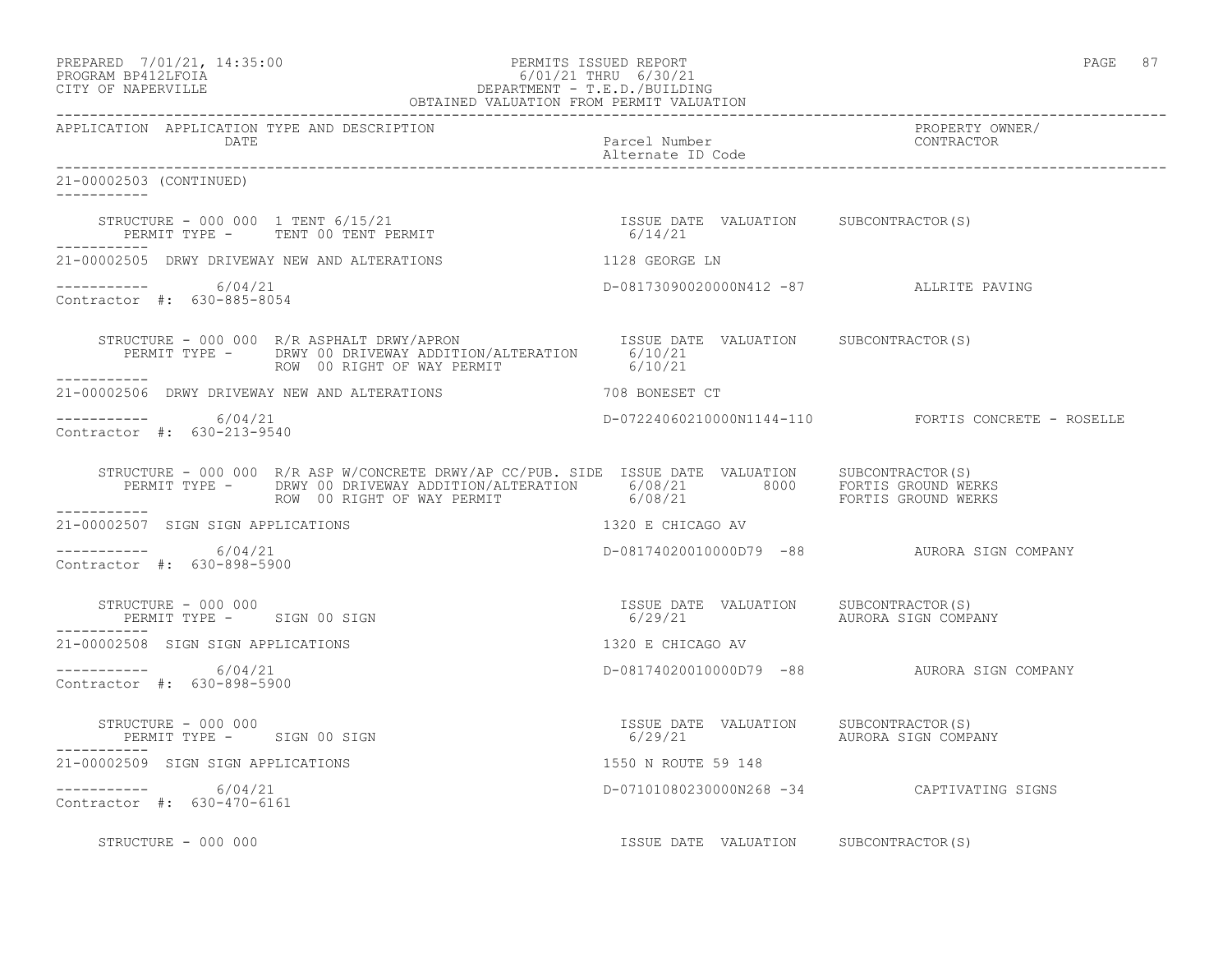| PREPARED |                    | 7/01/21, 14:35:00 |
|----------|--------------------|-------------------|
|          | PROGRAM RP412LFOIA |                   |

### PERMITS ISSUED REPORT AND SERMITS OF PAGE 87 PROGRAM BP412LFOIA 6/01/21 THRU 6/30/21 DEPARTMENT - T.E.D./BUILDING OBTAINED VALUATION FROM PERMIT VALUATION

------------------------------------------------------------------------------------------------------------------------------------ APPLICATION APPLICATION TYPE AND DESCRIPTION PROPERTY OWNER/ DATE Parcel Number Contractor of the Parcel Number Contractor of the Parcel Number Contractor of the Contractor of the Contractor of the Contractor of the Contractor of the Contractor of the Contractor of the Contractor of Alternate ID Code ------------------------------------------------------------------------------------------------------------------------------------ 21-00002503 (CONTINUED) ----------- STRUCTURE - 000 000 1 TENT 6/15/21 ISSUE DATE VALUATION SUBCONTRACTOR(S) PERMIT TYPE - TENT 00 TENT PERMIT ----------- 21-00002505 DRWY DRIVEWAY NEW AND ALTERATIONS 1128 GEORGE LN ----------- 6/04/21 D-08173090020000N412 -87 ALLRITE PAVING Contractor #: 630-885-8054 STRUCTURE - 000 000 R/R ASPHALT DRWY/APRON SISUE ISSUE DATE VALUATION SUBCONTRACTOR(S) PERMIT TYPE - DRWY 00 DRIVEWAY ADDITION/ALTERATION 6/10/21<br>ROW 00 RIGHT OF WAY PERMIT 6/10/21 ROW 00 RIGHT OF WAY PERMIT ----------- 21-00002506 DRWY DRIVEWAY NEW AND ALTERATIONS 708 BONESET CT ---------------------- 6/04/21 D-07224060210000N1144-110 FORTIS CONCRETE - ROSELLE Contractor #: 630-213-9540 STRUCTURE - 000 000 R/R ASP W/CONCRETE DRWY/AP CC/PUB. SIDE ISSUE DATE VALUATION SUBCONTRACTOR(S) PERMIT TYPE - DRWY 00 DRIVEWAY ADDITION/ALTERATION 6/08/21 8000 FORTIS GROUND WERKS ROW 00 RIGHT OF WAY PERMIT 6/08/21 FORTIS GROUND WERKS 21-00002507 SIGN SIGN APPLICATIONS 1320 E CHICAGO AV  $--------- 6/04/21$ ----------- 6/04/21 D-08174020010000D79 -88 AURORA SIGN COMPANY Contractor #: 630-898-5900 STRUCTURE – 000 000<br>
STRUCTURE – 000 000 ISSUE DATE VALUATION SUBCONTRACTOR(S)<br>
FERMIT TYPE – SIGN 00 SIGN PERMIT TYPE - SIGN 00 SIGN ----------- 21-00002508 SIGN SIGN APPLICATIONS 1320 E CHICAGO AV ----------- 6/04/21 D-08174020010000D79 -88 AURORA SIGN COMPANY Contractor #: 630-898-5900 STRUCTURE - 000 000 ISSUE DATE VALUATION SUBCONTRACTOR(S) PERMIT TYPE - SIGN 00 SIGN ----------- 21-00002509 SIGN SIGN APPLICATIONS 1550 N ROUTE 59 148 ----------- 6/04/21 D-07101080230000N268 -34 CAPTIVATING SIGNS Contractor #: 630-470-6161 STRUCTURE - 000 000 ISSUE DATE VALUATION SUBCONTRACTOR(S)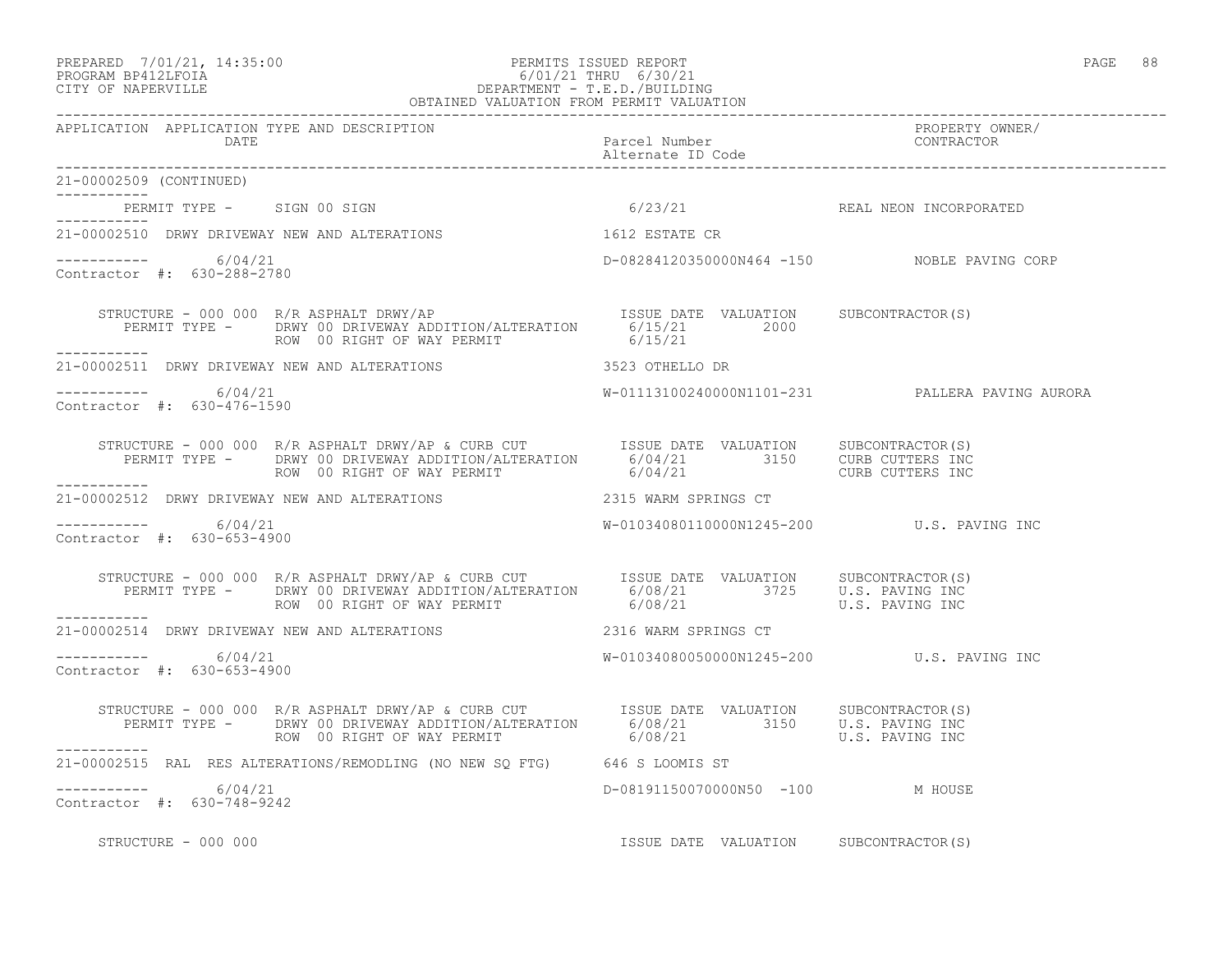#### PREPARED 7/01/21, 14:35:00 PERMITS ISSUED REPORT PAGE 88 PROGRAM BP412LFOIA 6/01/21 THRU 6/30/21 CITY OF NAPERVILLE DEPARTMENT - T.E.D./BUILDING OBTAINED VALUATION FROM PERMIT VALUATION

| APPLICATION APPLICATION TYPE AND DESCRIPTION      | APPLICATION APPLICATION TYPE AND DESCRIPTION PEXCELLED PACK PACE Number PACE PROPERTY OWNER PROPERTY OWNER<br>DATE Parcel Number Pace Pumper Patternate ID Code Patternate ID Code Patternate ID Code Patternate ID Code Patterna                                                                                                                                                                                                                    |                                             |                                                 |
|---------------------------------------------------|------------------------------------------------------------------------------------------------------------------------------------------------------------------------------------------------------------------------------------------------------------------------------------------------------------------------------------------------------------------------------------------------------------------------------------------------------|---------------------------------------------|-------------------------------------------------|
| 21-00002509 (CONTINUED)                           |                                                                                                                                                                                                                                                                                                                                                                                                                                                      |                                             |                                                 |
| ___________<br>PERMIT TYPE - SIGN 00 SIGN         |                                                                                                                                                                                                                                                                                                                                                                                                                                                      | 6/23/21 REAL NEON INCORPORATED              |                                                 |
| 21-00002510 DRWY DRIVEWAY NEW AND ALTERATIONS     |                                                                                                                                                                                                                                                                                                                                                                                                                                                      | 1612 ESTATE CR                              |                                                 |
| $--------- 6/04/21$<br>Contractor #: 630-288-2780 |                                                                                                                                                                                                                                                                                                                                                                                                                                                      | D-08284120350000N464 -150 NOBLE PAVING CORP |                                                 |
| -----------                                       |                                                                                                                                                                                                                                                                                                                                                                                                                                                      |                                             |                                                 |
|                                                   | 21-00002511 DRWY DRIVEWAY NEW AND ALTERATIONS 3523 OTHELLO DR                                                                                                                                                                                                                                                                                                                                                                                        |                                             |                                                 |
| $--------- 6/04/21$<br>Contractor #: 630-476-1590 |                                                                                                                                                                                                                                                                                                                                                                                                                                                      |                                             | W-01113100240000N1101-231 PALLERA PAVING AURORA |
|                                                   | $\begin{array}{cccc} \texttt{STRUCTURE} - 000 000 & \texttt{R/R} \texttt{ABPHALT} \texttt{DRW2/AP} & \texttt{CURB} \texttt{CUT} & \texttt{ISSUE} \texttt{DATE} \texttt{VALUATION} & \texttt{SUBCONTRACTOR(S)} \\ \texttt{PERMIT TYPE} - & \texttt{DRWY 00 DRIVEWAY ADDITION/ALTERATION} & 6/04/21 & 3150 & \texttt{CURB CUTERS INC} \\ \texttt{ROW} \texttt{ROW} & 00 \texttt{RIGHT OF} \texttt{WAY} \texttt{PERMIT} & 6/04/21 & 3150 & \texttt{CUR$ |                                             |                                                 |
|                                                   | 21-00002512 DRWY DRIVEWAY NEW AND ALTERATIONS 42315 WARM SPRINGS CT                                                                                                                                                                                                                                                                                                                                                                                  |                                             |                                                 |
| $--------- 6/04/21$<br>Contractor #: 630-653-4900 |                                                                                                                                                                                                                                                                                                                                                                                                                                                      | W-01034080110000N1245-200  U.S. PAVING INC  |                                                 |
| -----------                                       | STRUCTURE - 000 000 R/R ASPHALT DRWY/AP & CURB CUT      ISSUE DATE VALUATION     SUBCONTRACTOR(S)<br>PERMIT TYPE -     DRWY 00 DRIVEWAY ADDITION/ALTERATION     6/08/21         3725     U.S. PAVING INC<br>ROW 00 RIGHT OF WAY PERM                                                                                                                                                                                                                 |                                             |                                                 |
|                                                   | 21-00002514 DRWY DRIVEWAY NEW AND ALTERATIONS 2316 WARM SPRINGS CT                                                                                                                                                                                                                                                                                                                                                                                   |                                             |                                                 |
| $--------- 6/04/21$<br>Contractor #: 630-653-4900 |                                                                                                                                                                                                                                                                                                                                                                                                                                                      | W-01034080050000N1245-200 U.S. PAVING INC   |                                                 |
|                                                   | STRUCTURE - 000 000 R/R ASPHALT DRWY/AP & CURB CUT        ISSUE DATE VALUATION      SUBCONTRACTOR(S)<br>PERMIT TYPE -      DRWY 00 DRIVEWAY ADDITION/ALTERATION       6/08/21                        U.S. PAVING INC<br>---------                                                                                                                                                                                                                    |                                             |                                                 |
| ___________                                       | 21-00002515 RAL RES ALTERATIONS/REMODLING (NO NEW SQ FTG) 646 S LOOMIS ST                                                                                                                                                                                                                                                                                                                                                                            |                                             |                                                 |
| $--------- 6/04/21$<br>Contractor #: 630-748-9242 |                                                                                                                                                                                                                                                                                                                                                                                                                                                      | D-08191150070000N50 -100 M HOUSE            |                                                 |
| STRUCTURE - 000 000                               |                                                                                                                                                                                                                                                                                                                                                                                                                                                      | ISSUE DATE VALUATION SUBCONTRACTOR(S)       |                                                 |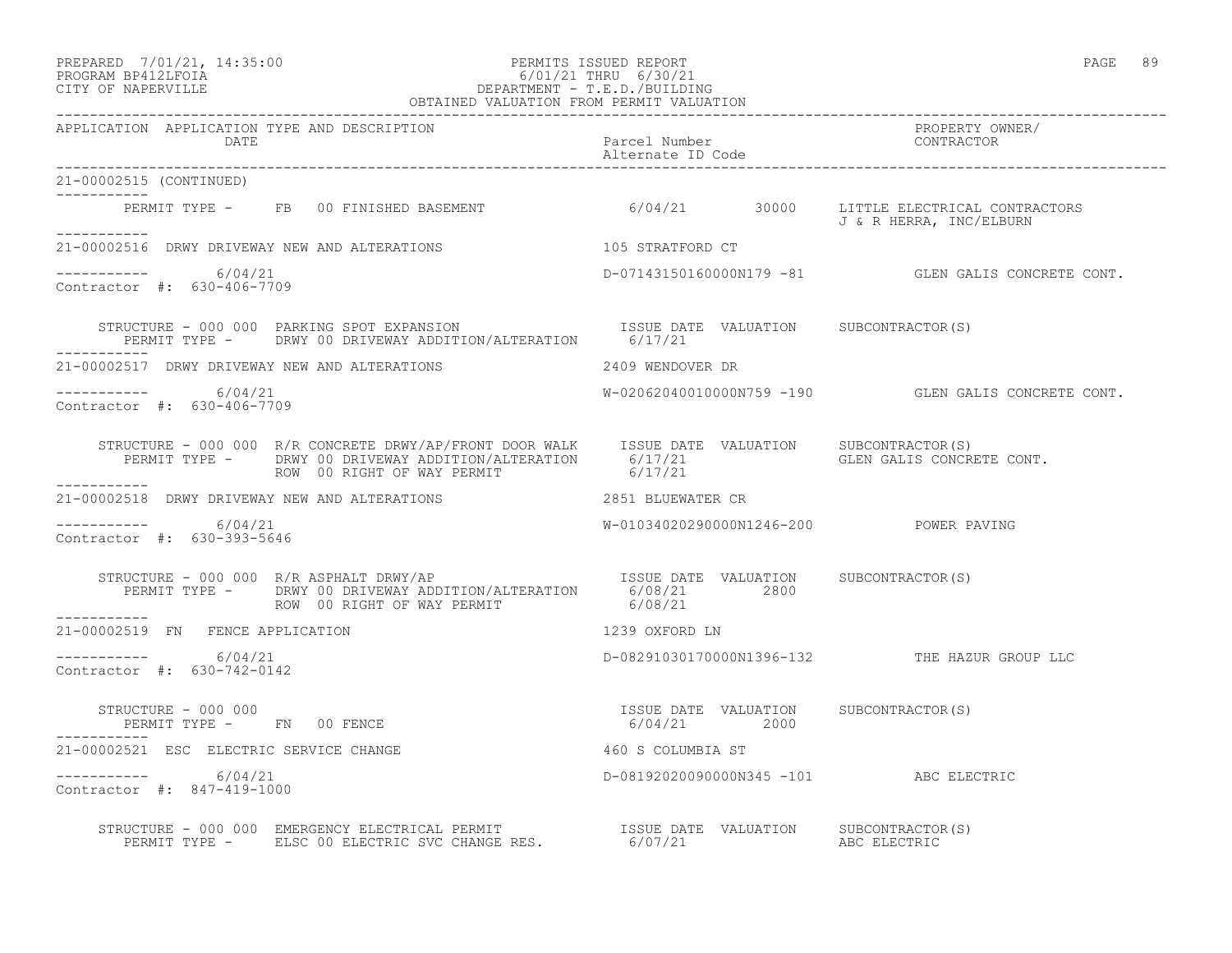#### PREPARED 7/01/21, 14:35:00 PERMITS ISSUED REPORT PAGE 89 PROGRAM BP412LFOIA 6/01/21 THRU 6/30/21 CITY OF NAPERVILLE DEPARTMENT - T.E.D./BUILDING OBTAINED VALUATION FROM PERMIT VALUATION

------------------------------------------------------------------------------------------------------------------------------------ APPLICATION APPLICATION TYPE AND DESCRIPTION<br>DATE bated parcel Number property owner/ DATE Parcel Number CONTRACTOR Alternate ID Code ------------------------------------------------------------------------------------------------------------------------------------ 21-00002515 (CONTINUED) ----------- PERMIT TYPE - FB 00 FINISHED BASEMENT 6/04/21 30000 LITTLE ELECTRICAL CONTRACTORS J & R HERRA, INC/ELBURN ----------- 21-00002516 DRWY DRIVEWAY NEW AND ALTERATIONS 105 STRATFORD CT  $--------- 6/04/21$ D-07143150160000N179 -81 GLEN GALIS CONCRETE CONT. Contractor #: 630-406-7709 STRUCTURE - 000 000 PARKING SPOT EXPANSION **ISSUE DATE** VALUATION SUBCONTRACTOR(S) PERMIT TYPE - DRWY 00 DRIVEWAY ADDITION/ALTERATION 6/17/21 ----------- 21-00002517 DRWY DRIVEWAY NEW AND ALTERATIONS 2409 WENDOVER DR ----------- 6/04/21 W-02062040010000N759 -190 GLEN GALIS CONCRETE CONT. Contractor #: 630-406-7709 STRUCTURE - 000 000 R/R CONCRETE DRWY/AP/FRONT DOOR WALK ISSUE DATE VALUATION SUBCONTRACTOR(S) PERMIT TYPE - DRWY 00 DRIVEWAY ADDITION/ALTERATION 6/17/21 GLEN GALIS CONCRETE CONT.<br>ROW 00 RIGHT OF WAY PERMIT ROW 00 RIGHT OF WAY PERMIT ----------- 21-00002518 DRWY DRIVEWAY NEW AND ALTERATIONS 2851 BLUEWATER CR  $--------- 6/04/21$ W-01034020290000N1246-200 POWER PAVING Contractor #: 630-393-5646 STRUCTURE - 000 000 R/R ASPHALT DRWY/AP ISSUE DATE VALUATION SUBCONTRACTOR(S) PERMIT TYPE - DRWY 00 DRIVEWAY ADDITION/ALTERATION 6/08/21 2800 ROW 00 RIGHT OF WAY PERMIT 6/08/21 ----------- 21-00002519 FN FENCE APPLICATION 1239 OXFORD LN  $---------$  6/04/21 ----------- 6/04/21 D-08291030170000N1396-132 THE HAZUR GROUP LLC Contractor #: 630-742-0142 STRUCTURE - 000 000 ISSUE DATE VALUATION SUBCONTRACTOR(S) PERMIT TYPE - FN 00 FENCE 21-00002521 ESC ELECTRIC SERVICE CHANGE 460 S COLUMBIA ST ----------- 6/04/21 D-08192020090000N345 -101 ABC ELECTRIC Contractor #: 847-419-1000 STRUCTURE - 000 000 EMERGENCY ELECTRICAL PERMIT ISSUE DATE VALUATION SUBCONTRACTOR(S) PERMIT TYPE - ELSC 00 ELECTRIC SVC CHANGE RES. 6/07/21 ABC ELECTRIC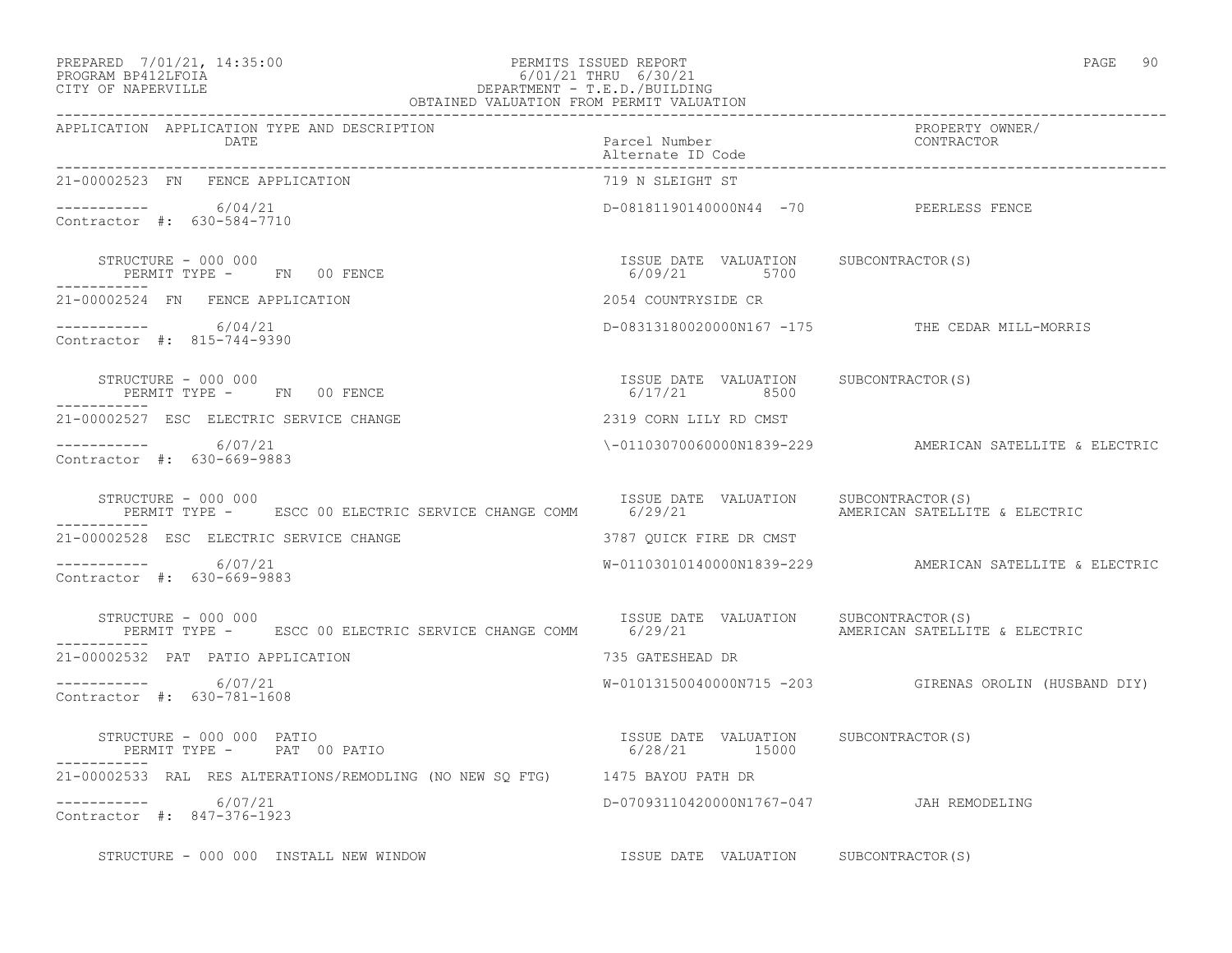### PREPARED 7/01/21, 14:35:00 PERMITS ISSUED REPORT PAGE 90 PROGRAM BP412LFOIA 6/01/21 THRU 6/30/21 CITY OF NAPERVILLE DEPARTMENT - T.E.D./BUILDING

 OBTAINED VALUATION FROM PERMIT VALUATION ------------------------------------------------------------------------------------------------------------------------------------ APPLICATION APPLICATION TYPE AND DESCRIPTION PROPERTY OWNER/ DATE PARTICLE IN PARTICLE IN THE PARTICLE IN THE PARTICLE IN THE PARTICLE IN THE PARTICLE IN THE PARTICLE IN THE PARTICLE IN THE PARTICLE IN THE PARTICLE IN THE PARTICLE IN THE PARTICLE IN THE PARTICLE IN THE PARTICLE IN T Alternate ID Code ------------------------------------------------------------------------------------------------------------------------------------ 21-00002523 FN FENCE APPLICATION  $--------- 6/04/21$ D-08181190140000N44 -70 PEERLESS FENCE Contractor #: 630-584-7710 STRUCTURE - 000 000 ISSUE DATE VALUATION SUBCONTRACTOR(S) PERMIT TYPE - FN 00 FENCE 1999 1999 1999/21 5700 ----------- 21-00002524 FN FENCE APPLICATION 2054 COUNTRYSIDE CR ----------- 6/04/21 D-08313180020000N167 -175 THE CEDAR MILL-MORRIS Contractor #: 815-744-9390 STRUCTURE - 000 000 ISSUE DATE VALUATION SUBCONTRACTOR(S) PERMIT TYPE - FN 00 FENCE ----------- 21-00002527 ESC ELECTRIC SERVICE CHANGE 2319 CORN LILY RD CMST ----------- 6/07/21 \-01103070060000N1839-229 AMERICAN SATELLITE & ELECTRIC Contractor #: 630-669-9883 STRUCTURE - 000 000<br>PERMIT TYPE - ESCC 00 ELECTRIC SERVICE CHANGE COMM 6/29/21 AMERICAN SATELLITE & ELECTRIC PERMIT TYPE - ESCC 00 ELECTRIC SERVICE CHANGE COMM 6/29/21 ----------- 21-00002528 ESC ELECTRIC SERVICE CHANGE 3787 QUICK FIRE DR CMST ----------- 6/07/21 W-01103010140000N1839-229 AMERICAN SATELLITE & ELECTRIC Contractor #: 630-669-9883 STRUCTURE - 000 000 **ISSUE DATE VALUATION** SUBCONTRACTOR(S) PERMIT TYPE - ESCC 00 ELECTRIC SERVICE CHANGE COMM 6/29/21 AMERICAN SATELLITE & ELECTRIC ----------- 21-00002532 PAT PATIO APPLICATION 735 GATESHEAD DR ----------- 6/07/21 W-01013150040000N715 -203 GIRENAS OROLIN (HUSBAND DIY) Contractor #: 630-781-1608 STRUCTURE - 000 000 PATIO ISSUE DATE VALUATION SUBCONTRACTOR(S) PERMIT TYPE - PAT 00 PATIO 16 (28/21 15000 ----------- 21-00002533 RAL RES ALTERATIONS/REMODLING (NO NEW SQ FTG) 1475 BAYOU PATH DR ----------- 6/07/21 D-07093110420000N1767-047 JAH REMODELING Contractor #: 847-376-1923

STRUCTURE - 000 000 INSTALL NEW WINDOW ISSUE DATE VALUATION SUBCONTRACTOR(S)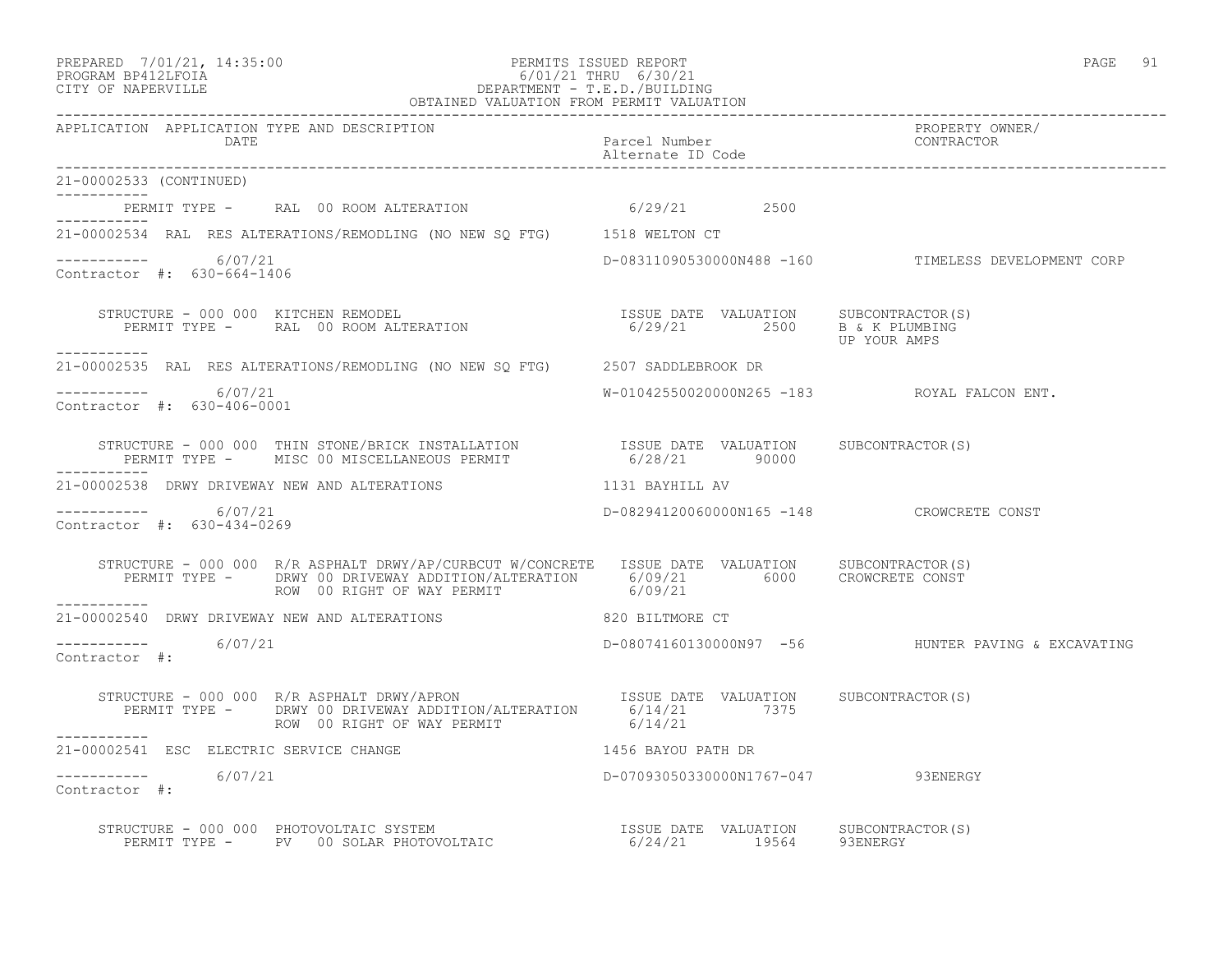#### PREPARED 7/01/21, 14:35:00 PERMITS ISSUED REPORT PAGE 91 PROGRAM BP412LFOIA 6/01/21 THRU 6/30/21 CITY OF NAPERVILLE DEPARTMENT - T.E.D./BUILDING OBTAINED VALUATION FROM PERMIT VALUATION

------------------------------------------------------------------------------------------------------------------------------------ APPLICATION APPLICATION TYPE AND DESCRIPTION PROPERTY OWNER/ DATE PARTICLE IN PARTICLE IN THE PARTICLE IN THE PARTICLE IN THE PARTICLE IN THE PARTICLE IN THE PARTICLE IN THE PARTICLE IN THE PARTICLE IN THE PARTICLE IN THE PARTICLE IN THE PARTICLE IN THE PARTICLE IN THE PARTICLE IN T Alternate ID Code ------------------------------------------------------------------------------------------------------------------------------------ 21-00002533 (CONTINUED) ----------- PERMIT TYPE - RAL 00 ROOM ALTERATION 6/29/21 2500 ----------- 21-00002534 RAL RES ALTERATIONS/REMODLING (NO NEW SQ FTG) 1518 WELTON CT  $--------- 6/07/21$ D-08311090530000N488 -160 TIMELESS DEVELOPMENT CORP Contractor #: 630-664-1406 STRUCTURE - 000 000 KITCHEN REMODEL ISSUE DATE VALUATION SUBCONTRACTOR(S) PERMIT TYPE - RAL 00 ROOM ALTERATION 6/29/21 2500 B & K PLUMBING UP YOUR AMPS ----------- 21-00002535 RAL RES ALTERATIONS/REMODLING (NO NEW SQ FTG) 2507 SADDLEBROOK DR \_\_\_\_\_\_\_\_\_\_\_ ----------- 6/07/21 W-01042550020000N265 -183 ROYAL FALCON ENT. Contractor #: 630-406-0001 STRUCTURE - 000 000 THIN STONE/BRICK INSTALLATION ISSUE DATE VALUATION SUBCONTRACTOR(S) PERMIT TYPE - MISC 00 MISCELLANEOUS PERMIT 6/28/21 90000 ----------- 21-00002538 DRWY DRIVEWAY NEW AND ALTERATIONS 1131 BAYHILL AV ----------- 6/07/21 D-08294120060000N165 -148 CROWCRETE CONST Contractor #: 630-434-0269 STRUCTURE - 000 000 R/R ASPHALT DRWY/AP/CURBCUT W/CONCRETE ISSUE DATE VALUATION SUBCONTRACTOR(S) PERMIT TYPE - DRWY 00 DRIVEWAY ADDITION/ALTERATION 6/09/21 6000 CROWCRETE CONST ROW 00 RIGHT OF WAY PERMIT 6/09/21 ----------- 21-00002540 DRWY DRIVEWAY NEW AND ALTERATIONS 820 BILTMORE CT  $--------- 6/07/21$ ----------- 6/07/21 D-08074160130000N97 -56 HUNTER PAVING & EXCAVATING Contractor #: STRUCTURE - 000 000 R/R ASPHALT DRWY/APRON ISSUE DATE VALUATION SUBCONTRACTOR(S) PERMIT TYPE - DRWY 00 DRIVEWAY ADDITION/ALTERATION 6/14/21 7375 ROW 00 RIGHT OF WAY PERMIT 6/14/21 ----------- 21-00002541 ESC ELECTRIC SERVICE CHANGE 1456 BAYOU PATH DR  $--------- 6/07/21$ D-07093050330000N1767-047 93ENERGY Contractor #: STRUCTURE - 000 000 PHOTOVOLTAIC SYSTEM ISSUE DATE VALUATION SUBCONTRACTOR(S) PERMIT TYPE - PV 00 SOLAR PHOTOVOLTAIC 6/24/21 19564 93ENERGY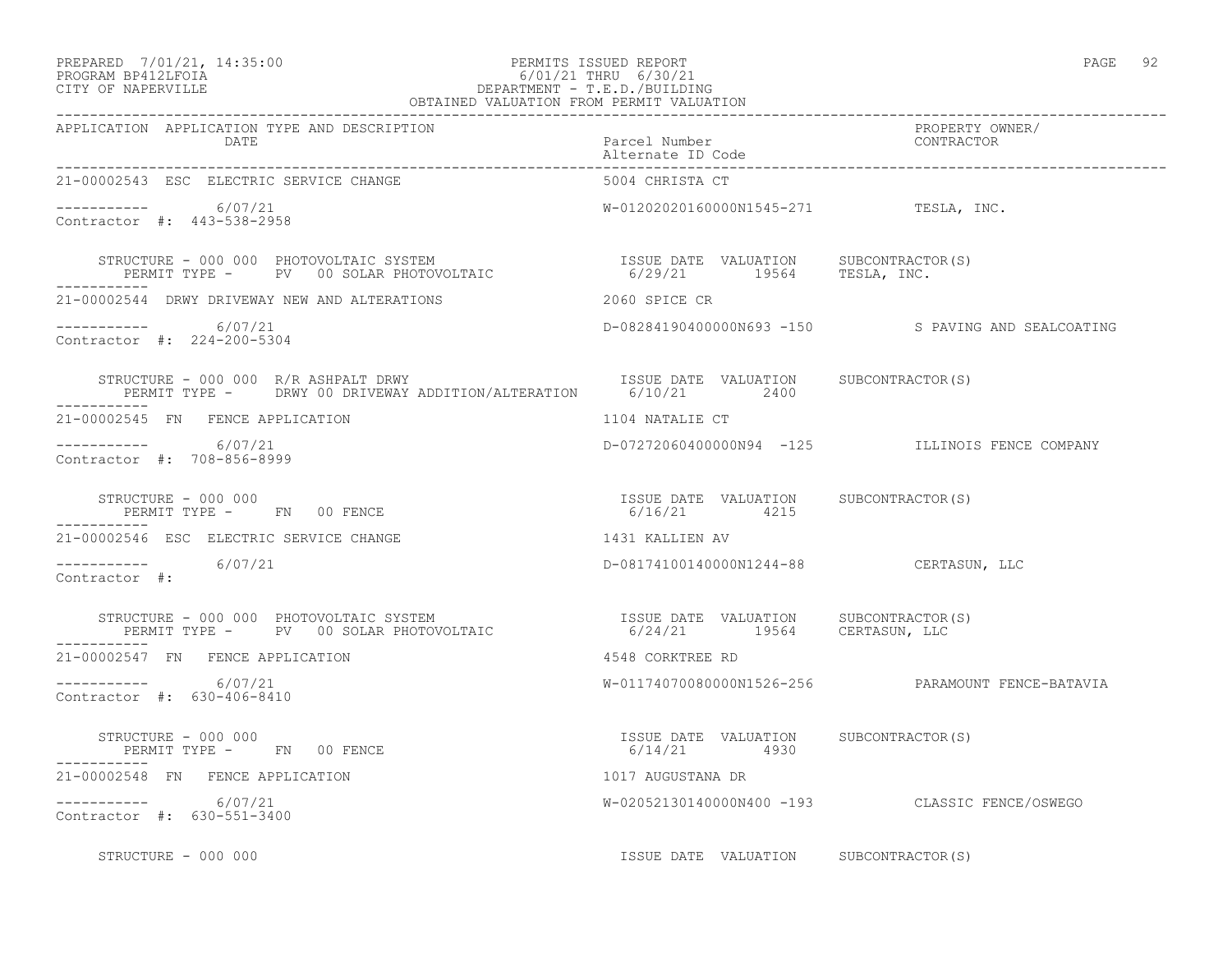### PREPARED 7/01/21, 14:35:00 PERMITS ISSUED REPORT PAGE 92 PROGRAM BP412LFOIA 6/01/21 THRU 6/30/21 CITY OF NAPERVILLE DEPARTMENT - T.E.D./BUILDING

| $\cdot$ .<br>ı<br>$-$ |  |
|-----------------------|--|
|-----------------------|--|

| OBTAINED VALUATION FROM PERMIT VALUATION                                                                                                                                                                                  |                                                        |                                                    |
|---------------------------------------------------------------------------------------------------------------------------------------------------------------------------------------------------------------------------|--------------------------------------------------------|----------------------------------------------------|
| APPLICATION APPLICATION TYPE AND DESCRIPTION<br>DATE                                                                                                                                                                      | Parcel Number<br>Alternate ID Code                     | PROPERTY OWNER/<br>CONTRACTOR                      |
| 21-00002543 ESC ELECTRIC SERVICE CHANGE                                                                                                                                                                                   | 5004 CHRISTA CT                                        |                                                    |
| $-$ - - - - - - - - - - 6/07/21<br>Contractor #: 443-538-2958                                                                                                                                                             | W-01202020160000N1545-271 TESLA, INC.                  |                                                    |
| STRUCTURE – 000 000 PHOTOVOLTAIC SYSTEM                            ISSUE DATE VALUATION      SUBCONTRACTOR(S)<br>PERMIT TYPE –      PV   00 SOLAR PHOTOVOLTAIC                       6/29/21       19564      TESLA, INC. |                                                        |                                                    |
| 21-00002544 DRWY DRIVEWAY NEW AND ALTERATIONS                                                                                                                                                                             | 2060 SPICE CR                                          |                                                    |
| $--------- 6/07/21$<br>Contractor #: 224-200-5304                                                                                                                                                                         |                                                        | D-08284190400000N693 -150 S PAVING AND SEALCOATING |
| STRUCTURE - 000 000 R/R ASHPALT DRWY<br>PERMIT TYPE - DRWY 00 DRIVEWAY ADDITION/ALTERATION 6/10/21 2400                                                                                                                   | ISSUE DATE VALUATION SUBCONTRACTOR(S)                  |                                                    |
| 21-00002545 FN FENCE APPLICATION                                                                                                                                                                                          | 1104 NATALIE CT                                        |                                                    |
| -----------     6/07/21<br>Contractor #: 708-856-8999                                                                                                                                                                     |                                                        | D-07272060400000N94 -125 ILLINOIS FENCE COMPANY    |
| STRUCTURE - 000 000<br>PERMIT TYPE - FN 00 FENCE                                                                                                                                                                          | ISSUE DATE VALUATION SUBCONTRACTOR(S)<br>6/16/21 4215  |                                                    |
| 21-00002546 ESC ELECTRIC SERVICE CHANGE                                                                                                                                                                                   | 1431 KALLIEN AV                                        |                                                    |
| $--------- 6/07/21$<br>Contractor #:                                                                                                                                                                                      | D-08174100140000N1244-88 CERTASUN, LLC                 |                                                    |
| STRUCTURE - 000 000 PHOTOVOLTAIC SYSTEM                            ISSUE DATE VALUATION     SUBCONTRACTOR(S)<br>PERMIT TYPE -     PV   00 SOLAR PHOTOVOLTAIC                      6/24/21       19564     CERTASUN, LLC   |                                                        |                                                    |
| 21-00002547 FN FENCE APPLICATION                                                                                                                                                                                          | 4548 CORKTREE RD                                       |                                                    |
| $--------- 6/07/21$<br>Contractor #: 630-406-8410                                                                                                                                                                         |                                                        | W-01174070080000N1526-256 PARAMOUNT FENCE-BATAVIA  |
| STRUCTURE - 000 000<br>PERMIT TYPE - FN 00 FENCE                                                                                                                                                                          | ISSUE DATE VALUATION SUBCONTRACTOR (S)<br>6/14/21 4930 |                                                    |
| 21-00002548 FN FENCE APPLICATION                                                                                                                                                                                          | 1017 AUGUSTANA DR                                      |                                                    |
| $--------- 6/07/21$<br>Contractor #: 630-551-3400                                                                                                                                                                         |                                                        | W-02052130140000N400 -193 CLASSIC FENCE/OSWEGO     |
| STRUCTURE - 000 000                                                                                                                                                                                                       | ISSUE DATE VALUATION SUBCONTRACTOR(S)                  |                                                    |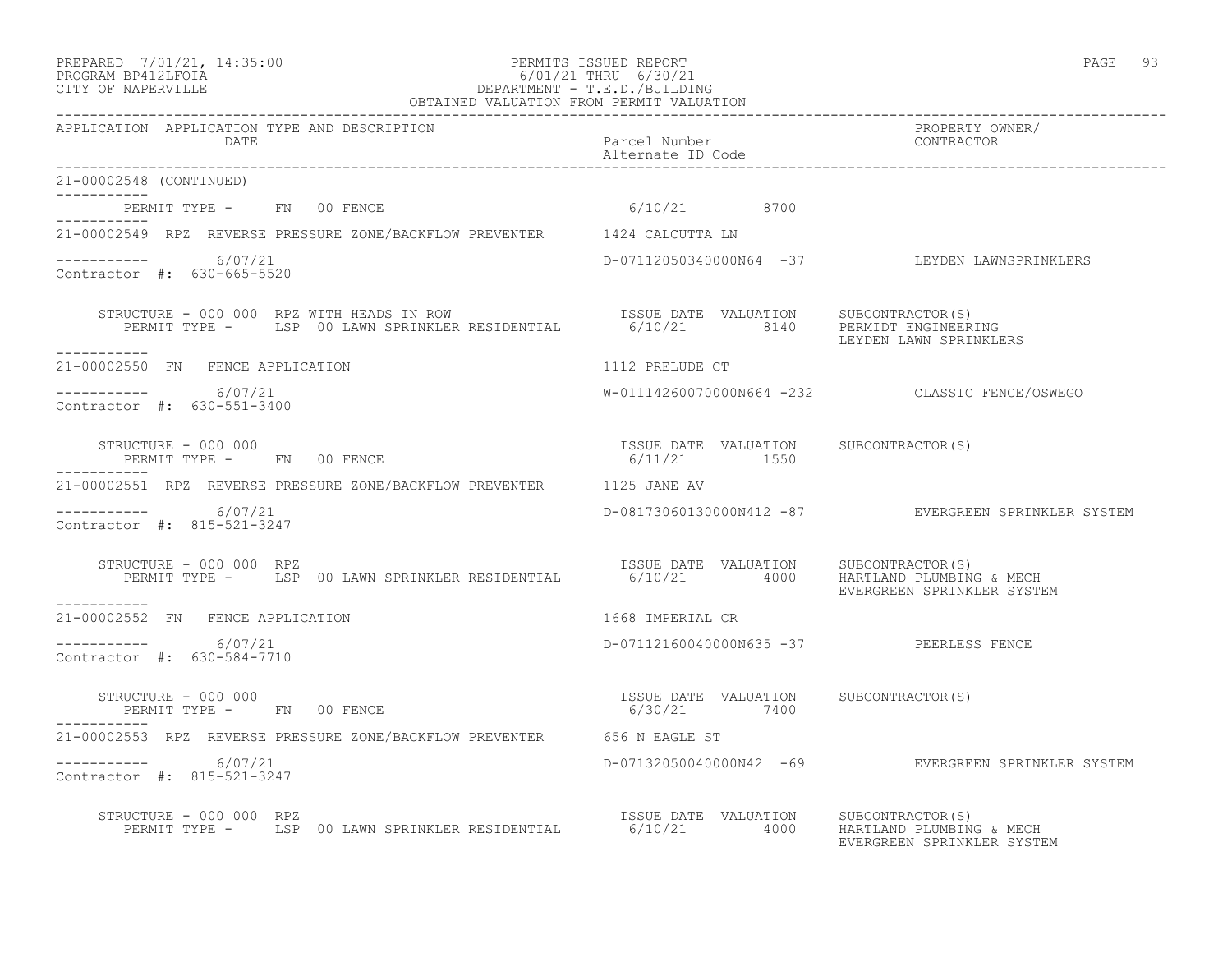### PREPARED 7/01/21, 14:35:00 PERMITS ISSUED REPORT PAGE 93 PROGRAM BP412LFOIA 6/01/21 THRU 6/30/21 CITY OF NAPERVILLE DEPARTMENT - T.E.D./BUILDING

 OBTAINED VALUATION FROM PERMIT VALUATION ------------------------------------------------------------------------------------------------------------------------------------ APPLICATION APPLICATION TYPE AND DESCRIPTION PROPERTY OWNER/ DATE PARTICLE IN PARTICLE IN THE PARTICLE IN THE PARTICLE IN THE PARTICLE IN THE PARTICLE IN THE PARTICLE IN THE PARTICLE IN THE PARTICLE IN THE PARTICLE IN THE PARTICLE IN THE PARTICLE IN THE PARTICLE IN THE PARTICLE IN T Alternate ID Code ------------------------------------------------------------------------------------------------------------------------------------ 21-00002548 (CONTINUED) ----------- PERMIT TYPE - FN 00 FENCE 6/10/21 8700 ----------- 21-00002549 RPZ REVERSE PRESSURE ZONE/BACKFLOW PREVENTER 1424 CALCUTTA LN  $--------- 6/07/21$ ----------- 6/07/21 D-07112050340000N64 -37 LEYDEN LAWNSPRINKLERS Contractor #: 630-665-5520 STRUCTURE - 000 000 RPZ WITH HEADS IN ROW ISSUE DATE VALUATION SUBCONTRACTOR(S) PERMIT TYPE - LSP 00 LAWN SPRINKLER RESIDENTIAL 6/10/21 8140 PERMIDT ENGINEERING LEYDEN LAWN SPRINKLERS ----------- 21-00002550 FN FENCE APPLICATION 1112 PRELUDE CT \_\_\_\_\_\_\_\_\_\_\_ ----------- 6/07/21 W-01114260070000N664 -232 CLASSIC FENCE/OSWEGO Contractor #: 630-551-3400 STRUCTURE - 000 000 ISSUE DATE VALUATION SUBCONTRACTOR(S) PERMIT TYPE - FN 00 FENCE ----------- 21-00002551 RPZ REVERSE PRESSURE ZONE/BACKFLOW PREVENTER 1125 JANE AV ----------- 6/07/21 D-08173060130000N412 -87 EVERGREEN SPRINKLER SYSTEM Contractor #: 815-521-3247 STRUCTURE - 000 000 RPZ ISSUE DATE VALUATION SUBCONTRACTOR(S) PERMIT TYPE - LSP 00 LAWN SPRINKLER RESIDENTIAL 6/10/21 4000 HARTLAND PLUMBING & MECH EVERGREEN SPRINKLER SYSTEM ----------- 21-00002552 FN FENCE APPLICATION 1668 IMPERIAL CR  $---------$  6/07/21 D-07112160040000N635 -37 PEERLESS FENCE Contractor #: 630-584-7710 STRUCTURE - 000 000 ISSUE DATE VALUATION SUBCONTRACTOR(S) PERMIT TYPE - FN 00 FENCE 6/30/21 7400 ----------- 21-00002553 RPZ REVERSE PRESSURE ZONE/BACKFLOW PREVENTER 656 N EAGLE ST ----------- 6/07/21 D-07132050040000N42 -69 EVERGREEN SPRINKLER SYSTEM Contractor #: 815-521-3247

 STRUCTURE - 000 000 RPZ ISSUE DATE VALUATION SUBCONTRACTOR(S) PERMIT TYPE - LSP 00 LAWN SPRINKLER RESIDENTIAL 6/10/21 4000 HARTLAND PLUMBING & MECH EVERGREEN SPRINKLER SYSTEM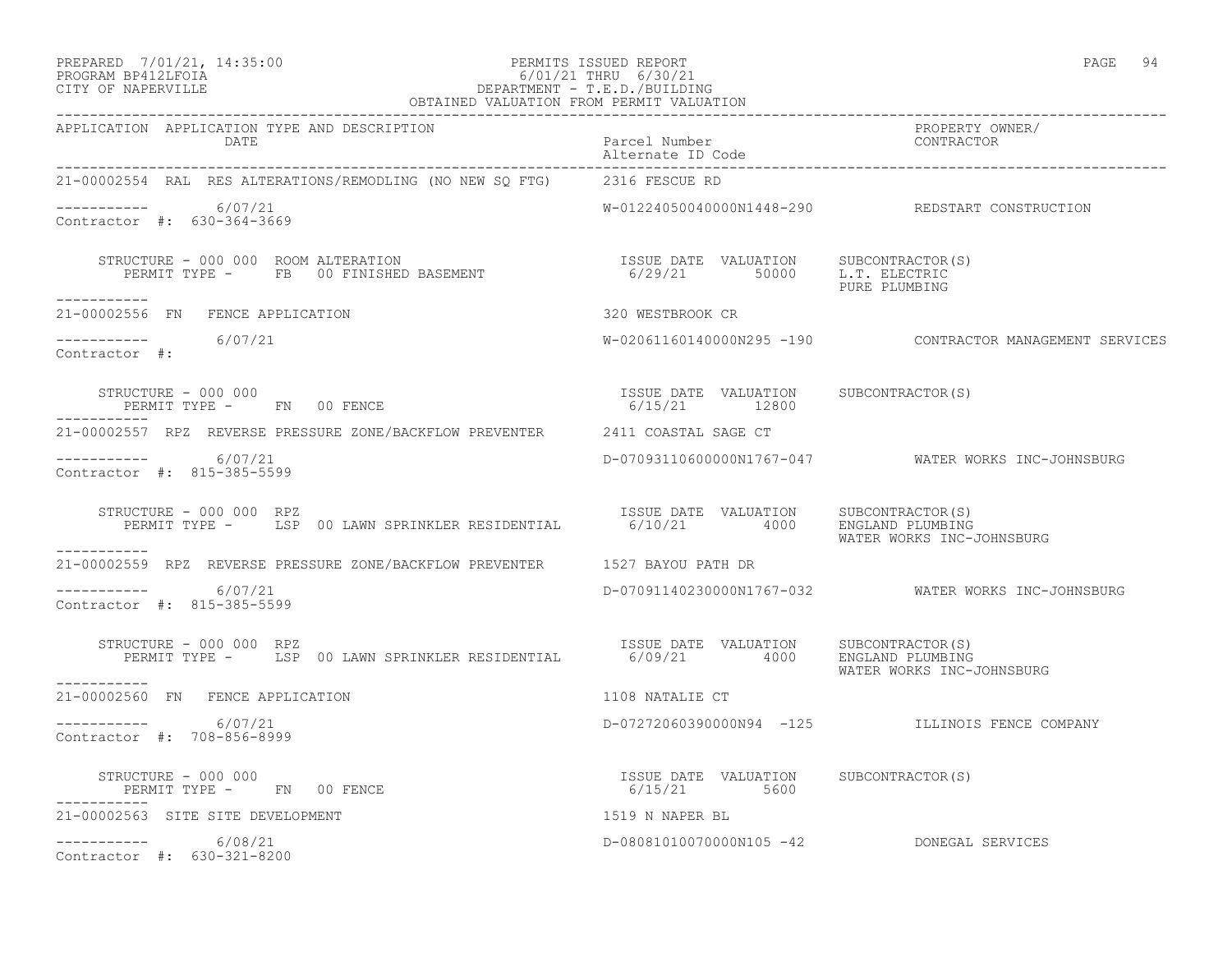### PREPARED 7/01/21, 14:35:00 PERMITS ISSUED REPORT PAGE 94 PROGRAM BP412LFOIA 6/01/21 THRU 6/30/21 CITY OF NAPERVILLE DEPARTMENT - T.E.D./BUILDING

| OBTAINED VALUATION FROM PERMIT VALUATION                                                                                                                                                                                                               |                                                                            |                                                          |
|--------------------------------------------------------------------------------------------------------------------------------------------------------------------------------------------------------------------------------------------------------|----------------------------------------------------------------------------|----------------------------------------------------------|
| APPLICATION APPLICATION TYPE AND DESCRIPTION<br>DATE                                                                                                                                                                                                   | Parcel Number<br>Alternate ID Code                                         | PROPERTY OWNER/<br>CONTRACTOR                            |
| 21-00002554 RAL RES ALTERATIONS/REMODLING (NO NEW SQ FTG) 2316 FESCUE RD                                                                                                                                                                               |                                                                            |                                                          |
| $--------- 6/07/21$<br>Contractor #: 630-364-3669                                                                                                                                                                                                      |                                                                            | W-01224050040000N1448-290 REDSTART CONSTRUCTION          |
| $\begin{array}{cccc} \texttt{STRUCTURE} & - & 000 & 000 & \texttt{ROM ALTERATION} \\ \texttt{PERMIT TYPE} & - & \texttt{FB} & 00 \texttt{ FINISHED BASEMENT} & \texttt{S000} & 6/29/21 & 50000 & \texttt{L.T. ELECTRIC} \\ \end{array}$<br>----------- |                                                                            | PURE PLUMBING                                            |
| 21-00002556 FN FENCE APPLICATION                                                                                                                                                                                                                       | 320 WESTBROOK CR                                                           |                                                          |
| $--------- 6/07/21$<br>Contractor #:                                                                                                                                                                                                                   |                                                                            | W-02061160140000N295 -190 CONTRACTOR MANAGEMENT SERVICES |
| STRUCTURE - 000 000<br>PERMIT TYPE - FN 00 FENCE                                                                                                                                                                                                       | ISSUE DATE VALUATION SUBCONTRACTOR(S)<br>6/15/21 12800                     |                                                          |
| 21-00002557 RPZ REVERSE PRESSURE ZONE/BACKFLOW PREVENTER 2411 COASTAL SAGE CT                                                                                                                                                                          |                                                                            |                                                          |
| $--------- 6/07/21$<br>Contractor #: 815-385-5599                                                                                                                                                                                                      |                                                                            | D-070931106000000N1767-047 WATER WORKS INC-JOHNSBURG     |
| STRUCTURE - 000 000 RPZ<br>PERMIT TYPE - LSP 00 LAWN SPRINKLER RESIDENTIAL                                                                                                                                                                             | ISSUE DATE VALUATION SUBCONTRACTOR(S)<br>6/10/21   4000   ENGLAND PLUMBING | WATER WORKS INC-JOHNSBURG                                |
| ___________<br>21-00002559 RPZ REVERSE PRESSURE ZONE/BACKFLOW PREVENTER 1527 BAYOU PATH DR                                                                                                                                                             |                                                                            |                                                          |
| $--------- 6/07/21$<br>Contractor #: 815-385-5599                                                                                                                                                                                                      |                                                                            |                                                          |
| STRUCTURE - 000 000 RPZ<br>STRUCTURE - 000 000 RPZ<br>PERMIT TYPE - LSP 00 LAWN SPRINKLER RESIDENTIAL 6/09/21 4000 ENGLAND PLUMBING                                                                                                                    |                                                                            | WATER WORKS INC-JOHNSBURG                                |
| 21-00002560 FN FENCE APPLICATION                                                                                                                                                                                                                       | 1108 NATALIE CT                                                            |                                                          |
| $---------$ 6/07/21<br>Contractor #: 708-856-8999                                                                                                                                                                                                      |                                                                            | D-07272060390000N94 -125 ILLINOIS FENCE COMPANY          |
|                                                                                                                                                                                                                                                        | ISSUE DATE VALUATION SUBCONTRACTOR(S)<br>6/15/21 5600                      |                                                          |
| 21-00002563 SITE SITE DEVELOPMENT                                                                                                                                                                                                                      |                                                                            |                                                          |
| $---------$ 6/08/21<br>Contractor #: 630-321-8200                                                                                                                                                                                                      |                                                                            | D-08081010070000N105 -42 DONEGAL SERVICES                |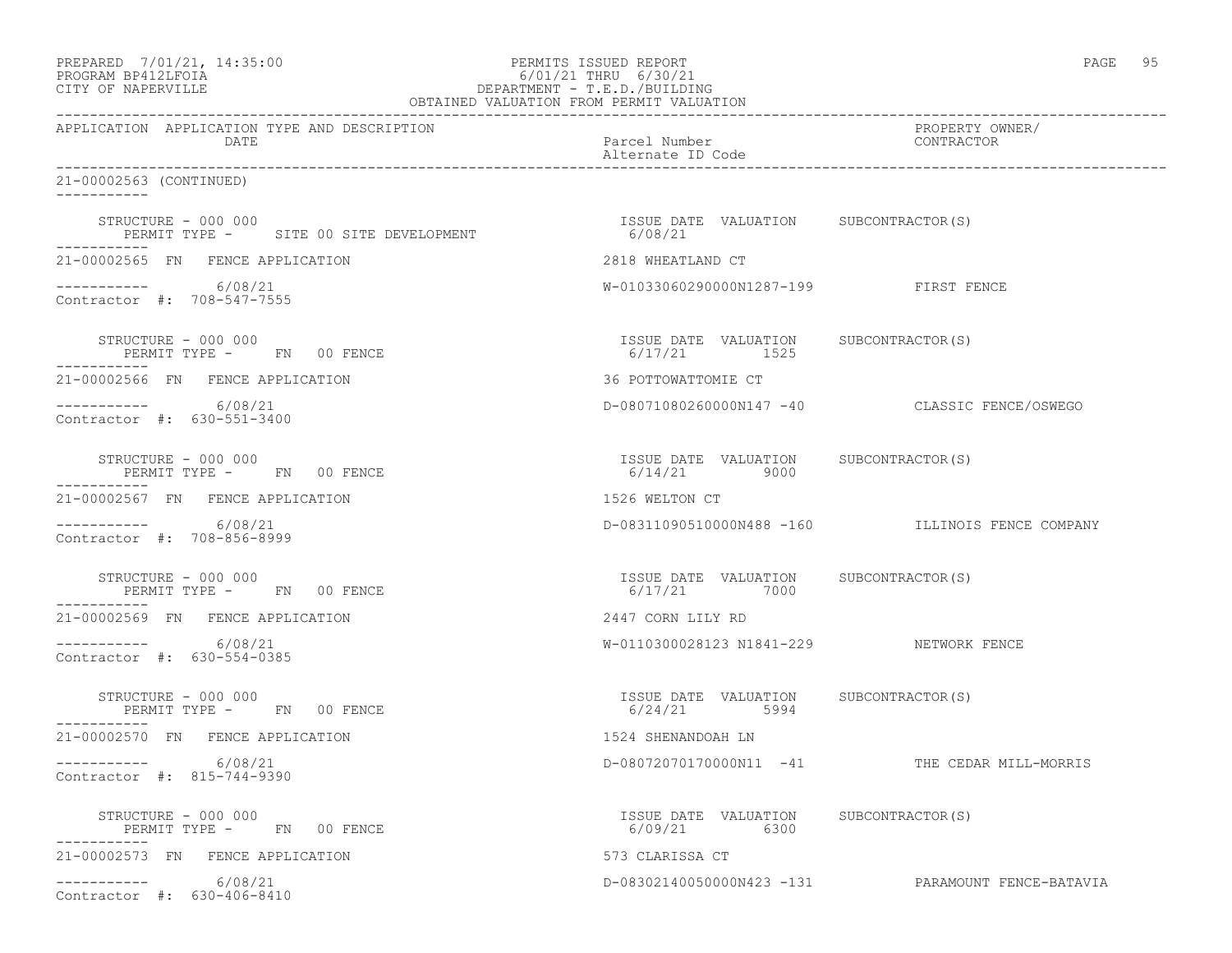| PREPARED            | 7/01/21, 14:35:0 |  |
|---------------------|------------------|--|
| DDOCD3M DD410T DOT3 |                  |  |

## PREPARED 7/01/21, 14:35:00 PERMITS ISSUED REPORT PAGE 95<br>PROGRAM BP412LFOIA PAGE 95 (01/21 THRU 6/30/21 PROGRAM BP412LFOIA 6/01/21 THRU 6/30/21 CITY OF NAPERVILLE DEPARTMENT - T.E.D./BUILDING

| OBTAINED VALUATION FROM PERMIT VALUATION                                      |                                                         |                                                   |  |  |
|-------------------------------------------------------------------------------|---------------------------------------------------------|---------------------------------------------------|--|--|
| APPLICATION APPLICATION TYPE AND DESCRIPTION<br>DATE                          | Parcel Number<br>Alternate ID Code                      | PROPERTY OWNER/<br>CONTRACTOR                     |  |  |
| 21-00002563 (CONTINUED)<br>-----------                                        |                                                         |                                                   |  |  |
| STRUCTURE - 000 000<br>PERMIT TYPE - SITE 00 SITE DEVELOPMENT<br>------------ | ISSUE DATE VALUATION SUBCONTRACTOR(S)<br>6/08/21        |                                                   |  |  |
| 21-00002565 FN FENCE APPLICATION                                              | 2818 WHEATLAND CT                                       |                                                   |  |  |
| $--------- 6/08/21$<br>Contractor #: 708-547-7555                             | W-01033060290000N1287-199 FIRST FENCE                   |                                                   |  |  |
| STRUCTURE - 000 000<br>PERMIT TYPE - FN 00 FENCE                              | ISSUE DATE VALUATION SUBCONTRACTOR(S)<br>6/17/21 1525   |                                                   |  |  |
| 21-00002566 FN FENCE APPLICATION                                              | 36 POTTOWATTOMIE CT                                     |                                                   |  |  |
| $--------- 6/08/21$<br>Contractor #: 630-551-3400                             |                                                         | D-08071080260000N147 -40 CLASSIC FENCE/OSWEGO     |  |  |
| STRUCTURE - 000 000<br>PERMIT TYPE - FN 00 FENCE                              | ISSUE DATE VALUATION SUBCONTRACTOR(S)<br>$6/14/21$ 9000 |                                                   |  |  |
| 21-00002567 FN FENCE APPLICATION                                              | 1526 WELTON CT                                          |                                                   |  |  |
| $--------$ 6/08/21<br>Contractor #: 708-856-8999                              |                                                         | D-08311090510000N488 -160 ILLINOIS FENCE COMPANY  |  |  |
| STRUCTURE - 000 000<br>PERMIT TYPE - FN 00 FENCE                              | ISSUE DATE VALUATION SUBCONTRACTOR(S)<br>6/17/21 7000   |                                                   |  |  |
| 21-00002569 FN FENCE APPLICATION                                              | 2447 CORN LILY RD                                       |                                                   |  |  |
| 6/08/21<br>Contractor #: 630-554-0385                                         | W-0110300028123 N1841-229 NETWORK FENCE                 |                                                   |  |  |
| STRUCTURE - 000 000<br>PERMIT TYPE - FN 00 FENCE<br>----------                | ISSUE DATE VALUATION SUBCONTRACTOR(S)<br>$6/24/21$ 5994 |                                                   |  |  |
| 21-00002570 FN FENCE APPLICATION                                              | 1524 SHENANDOAH LN                                      |                                                   |  |  |
| $---------$ 6/08/21<br>Contractor #: 815-744-9390                             |                                                         | D-08072070170000N11 -41 THE CEDAR MILL-MORRIS     |  |  |
| STRUCTURE - 000 000<br>PERMIT TYPE - FN 00 FENCE                              | ISSUE DATE VALUATION SUBCONTRACTOR (S)<br>6/09/21 6300  |                                                   |  |  |
| 21-00002573 FN FENCE APPLICATION                                              | 573 CLARISSA CT                                         |                                                   |  |  |
| $---------$ 6/08/21<br>Contractor #: 630-406-8410                             |                                                         | D-08302140050000N423 -131 PARAMOUNT FENCE-BATAVIA |  |  |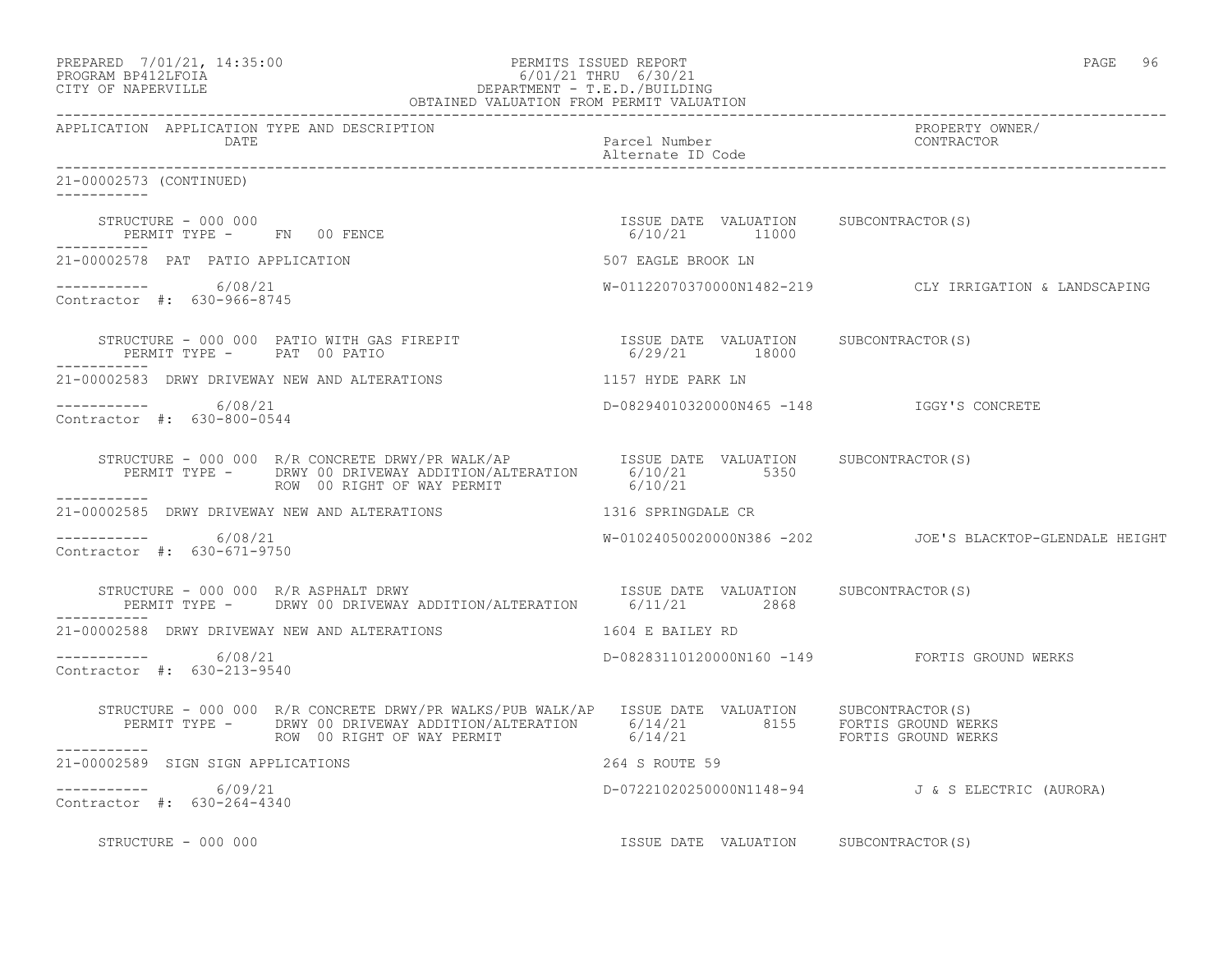| PREPARED            | 7/01/21, 14:35:00 |
|---------------------|-------------------|
| גד∩ם זר11מם וגמר∩מם |                   |

### PREPARED 7/01/21, 14:35:00 PERMITS ISSUED REPORT<br>PROGRAM BP412LFOIA PAGE 96 6/01/21 THRU 6/30/21 PROGRAM BP412LFOIA 6/01/21 THRU 6/30/21 DEPARTMENT - T.E.D./BUILDING

|                                                      | OBTAINED VALUATION FROM PERMIT VALUATION                                                                                                                                                                                                                                                                   |                                    |                                                          |
|------------------------------------------------------|------------------------------------------------------------------------------------------------------------------------------------------------------------------------------------------------------------------------------------------------------------------------------------------------------------|------------------------------------|----------------------------------------------------------|
| APPLICATION APPLICATION TYPE AND DESCRIPTION<br>DATE |                                                                                                                                                                                                                                                                                                            | Parcel Number<br>Alternate ID Code | PROPERTY OWNER/<br>CONTRACTOR                            |
| 21-00002573 (CONTINUED)                              |                                                                                                                                                                                                                                                                                                            |                                    |                                                          |
|                                                      | $\begin{array}{cccc} \texttt{STRUCTURE} & - & 000 & 000 \\ \texttt{PERMIT TYPE} & - & - & \texttt{FN} & 00 & \texttt{FENCE} \\ \end{array} \qquad \begin{array}{cccc} \texttt{TSSUE} & \texttt{DATE} & \texttt{VALUATION} & \texttt{SUBCONTRACTOR(S)} \\ \texttt{6/10/21} & \texttt{11000} \\ \end{array}$ |                                    |                                                          |
| 21-00002578 PAT PATIO APPLICATION                    |                                                                                                                                                                                                                                                                                                            | 507 EAGLE BROOK LN                 |                                                          |
| $--------- 6/08/21$<br>Contractor #: 630-966-8745    |                                                                                                                                                                                                                                                                                                            |                                    | W-01122070370000N1482-219 CLY IRRIGATION & LANDSCAPING   |
| ------------                                         | PERMIT TYPE - PAT 00 PATIO                                                                                                                                                                                                                                                                                 |                                    |                                                          |
|                                                      | 21-00002583 DRWY DRIVEWAY NEW AND ALTERATIONS THE RESERVE THAT AND RESERVE THAT AND ALTERATIONS                                                                                                                                                                                                            |                                    |                                                          |
| $--------- 6/08/21$<br>Contractor #: 630-800-0544    |                                                                                                                                                                                                                                                                                                            |                                    | D-08294010320000N465 -148    IGGY'S CONCRETE             |
| ___________                                          | STRUCTURE - 000 000 R/R CONCRETE DRWY/PR WALK/AP<br>PERMIT TYPE - DRWY 00 DRIVEWAY ADDITION/ALTERATION 6/10/21 5350 5350<br>ROW 00 RIGHT OF WAY PERMIT                                                                                                                                                     | 6/10/21                            |                                                          |
|                                                      | 21-00002585 DRWY DRIVEWAY NEW AND ALTERATIONS 1316 SPRINGDALE CR                                                                                                                                                                                                                                           |                                    |                                                          |
| ----------- 6/08/21<br>Contractor #: 630-671-9750    |                                                                                                                                                                                                                                                                                                            |                                    | W-01024050020000N386 -202 JOE'S BLACKTOP-GLENDALE HEIGHT |
|                                                      |                                                                                                                                                                                                                                                                                                            |                                    |                                                          |
|                                                      | 21-00002588 DRWY DRIVEWAY NEW AND ALTERATIONS 1604 E BAILEY RD                                                                                                                                                                                                                                             |                                    |                                                          |
| $--------- 6/08/21$<br>Contractor #: 630-213-9540    |                                                                                                                                                                                                                                                                                                            |                                    | D-08283110120000N160 -149 FORTIS GROUND WERKS            |
|                                                      | STRUCTURE - 000 000 R/R CONCRETE DRWY/PR WALKS/PUB WALK/AP ISSUE DATE VALUATION SUBCONTRACTOR(S)<br>PERMIT TYPE - DRWY 00 DRIVEWAY ADDITION/ALTERATION 6/14/21 8155 FORTIS GROUND WERKS<br>------- ROW 00 RIGHT OF WAY PERMIT 6/14/2                                                                       |                                    |                                                          |
| ___________<br>21-00002589 SIGN SIGN APPLICATIONS    |                                                                                                                                                                                                                                                                                                            | 264 S ROUTE 59                     |                                                          |
| $--------- 6/09/21$<br>Contractor #: 630-264-4340    |                                                                                                                                                                                                                                                                                                            |                                    | D-07221020250000N1148-94 J&SELECTRIC (AURORA)            |
| STRUCTURE - 000 000                                  |                                                                                                                                                                                                                                                                                                            |                                    | ISSUE DATE VALUATION SUBCONTRACTOR(S)                    |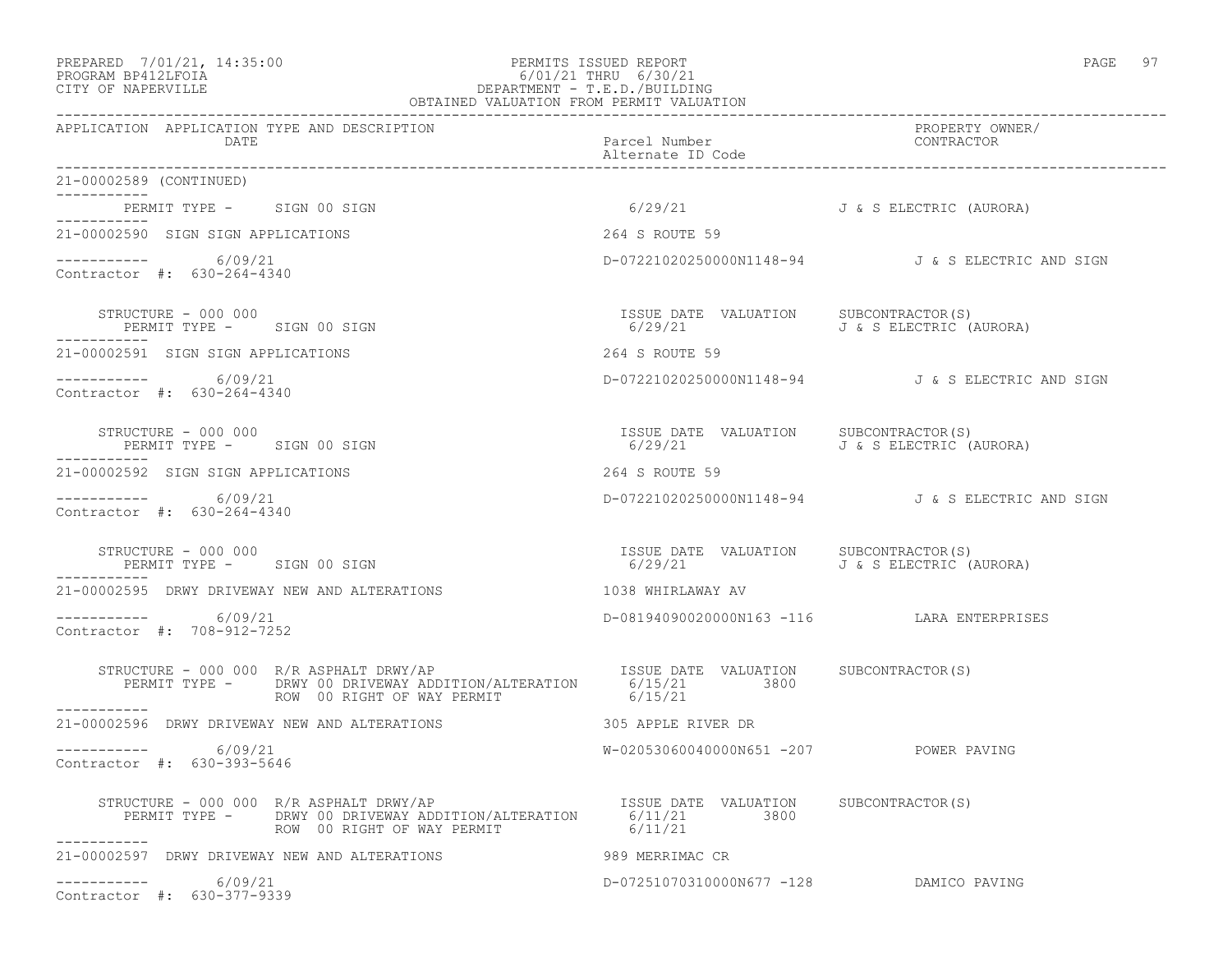### PREPARED 7/01/21, 14:35:00 PERMITS ISSUED REPORT PAGE 97 PROGRAM BP412LFOIA 6/01/21 THRU 6/30/21 CITY OF NAPERVILLE DEPARTMENT - T.E.D./BUILDING

|                                                                  | OBTAINED VALUATION FROM PERMIT VALUATION                                                                                                         |                                                                                                  |                                                  |  |
|------------------------------------------------------------------|--------------------------------------------------------------------------------------------------------------------------------------------------|--------------------------------------------------------------------------------------------------|--------------------------------------------------|--|
| APPLICATION APPLICATION TYPE AND DESCRIPTION<br>DATE             |                                                                                                                                                  | Parcel Number<br>Alternate ID Code                                                               | PROPERTY OWNER/<br>CONTRACTOR                    |  |
| 21-00002589 (CONTINUED)<br>___________                           |                                                                                                                                                  |                                                                                                  |                                                  |  |
| PERMIT TYPE - SIGN 00 SIGN<br>-----------                        |                                                                                                                                                  | 6/29/21 J & S ELECTRIC (AURORA)                                                                  |                                                  |  |
| 21-00002590 SIGN SIGN APPLICATIONS                               |                                                                                                                                                  | 264 S ROUTE 59                                                                                   |                                                  |  |
| -----------     6/09/21<br>Contractor #: 630-264-4340            |                                                                                                                                                  |                                                                                                  | D-07221020250000N1148-94 J&S ELECTRIC AND SIGN   |  |
| STRUCTURE - 000 000<br>PERMIT TYPE - SIGN 00 SIGN<br>----------- |                                                                                                                                                  | ISSUE DATE VALUATION SUBCONTRACTOR(S)<br>6/29/21                         J & S ELECTRIC (AURORA) |                                                  |  |
| 21-00002591 SIGN SIGN APPLICATIONS                               |                                                                                                                                                  | 264 S ROUTE 59                                                                                   |                                                  |  |
| -----------     6/09/21<br>Contractor #: 630-264-4340            |                                                                                                                                                  |                                                                                                  | D-07221020250000N1148-94 J & S ELECTRIC AND SIGN |  |
| STRUCTURE - 000 000<br>PERMIT TYPE - SIGN 00 SIGN                |                                                                                                                                                  | ISSUE DATE VALUATION SUBCONTRACTOR(S)<br>6/29/21 J & S ELECTRIC (AURORA)                         |                                                  |  |
| 21-00002592 SIGN SIGN APPLICATIONS                               |                                                                                                                                                  | 264 S ROUTE 59                                                                                   |                                                  |  |
| ----------- 6/09/21<br>Contractor #: 630-264-4340                |                                                                                                                                                  |                                                                                                  | D-07221020250000N1148-94 J&S ELECTRIC AND SIGN   |  |
| STRUCTURE - 000 000<br>PERMIT TYPE - SIGN 00 SIGN                |                                                                                                                                                  | ISSUE DATE VALUATION SUBCONTRACTOR(S)<br>6/29/21 J & S ELECTRIC (AURORA)                         |                                                  |  |
| 21-00002595 DRWY DRIVEWAY NEW AND ALTERATIONS                    |                                                                                                                                                  | 1038 WHIRLAWAY AV                                                                                |                                                  |  |
| $--------- 6/09/21$<br>Contractor #: 708-912-7252                |                                                                                                                                                  | D-08194090020000N163 -116 LARA ENTERPRISES                                                       |                                                  |  |
| STRUCTURE - 000 000 R/R ASPHALT DRWY/AP<br>------------          | STRUCTURE - 000 000 R/R ASPHALT DRWY/AP<br>PERMIT TYPE - DRWY 00 DRIVEWAY ADDITION/ALTERATION 6/15/21 3800<br>ROW 00 RIGHT OF WAY PERMIT 6/15/21 |                                                                                                  |                                                  |  |
| 21-00002596 DRWY DRIVEWAY NEW AND ALTERATIONS                    |                                                                                                                                                  | 305 APPLE RIVER DR                                                                               |                                                  |  |
| 6/09/21<br>Contractor #: 630-393-5646                            |                                                                                                                                                  | W-02053060040000N651 -207 POWER PAVING                                                           |                                                  |  |
|                                                                  | STRUCTURE - 000 000 R/R ASPHALT DRWY/AP<br>PERMIT TYPE - DRWY 00 DRIVEWAY ADDITION/ALTERATION 6/11/21 3800<br>ROW 00 RIGHT OF WAY PERMIT 6/11/21 |                                                                                                  |                                                  |  |
| 21-00002597 DRWY DRIVEWAY NEW AND ALTERATIONS                    |                                                                                                                                                  | 989 MERRIMAC CR                                                                                  |                                                  |  |
| -----------<br>6/09/21<br>Contractor #: 630-377-9339             |                                                                                                                                                  | D-07251070310000N677 -128 DAMICO PAVING                                                          |                                                  |  |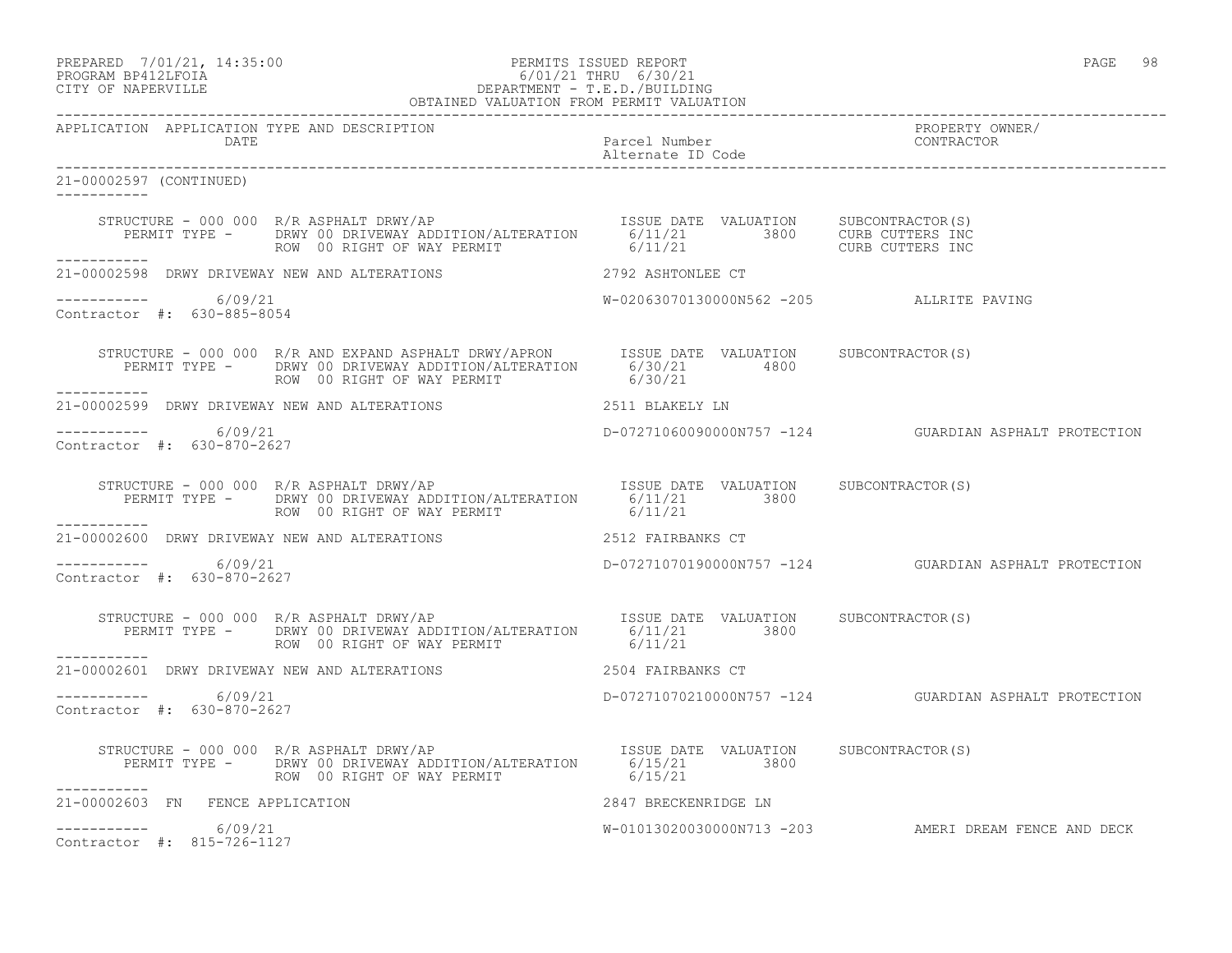PREPARED 7/01/21, 14:35:00 PERMITS ISSUED REPORT PAGE 98

### PROGRAM BP412LFOIA 6/01/21 THRU 6/30/21 CITY OF NAPERVILLE DEPARTMENT - T.E.D./BUILDING OBTAINED VALUATION FROM PERMIT VALUATION

------------------------------------------------------------------------------------------------------------------------------------

APPLICATION APPLICATION TYPE AND DESCRIPTION<br>DATE DATE DATE DATE DATE Parcel Number CONTRACTOR Alternate ID Code ------------------------------------------------------------------------------------------------------------------------------------ 21-00002597 (CONTINUED) ----------- STRUCTURE - 000 000 R/R ASPHALT DRWY/AP ISSUE DATE VALUATION SUBCONTRACTOR(S) PERMIT TYPE - DRWY 00 DRIVEWAY ADDITION/ALTERATION 6/11/21 3800 CURB CUTTERS INC ROW 00 RIGHT OF WAY PERMIT  $6/11/21$  CURB CUTTERS INC ----------- 21-00002598 DRWY DRIVEWAY NEW AND ALTERATIONS 2792 ASHTONLEE CT  $--------- 6/09/21$ W-02063070130000N562 -205 ALLRITE PAVING Contractor #: 630-885-8054 STRUCTURE - 000 000 R/R AND EXPAND ASPHALT DRWY/APRON ISSUE DATE VALUATION SUBCONTRACTOR(S) PERMIT TYPE - DRWY 00 DRIVEWAY ADDITION/ALTERATION 6/30/21 4800 ROW 00 RIGHT OF WAY PERMIT 6/30/21 ----------- 21-00002599 DRWY DRIVEWAY NEW AND ALTERATIONS 2511 BLAKELY LN \_\_\_\_\_\_\_\_\_\_\_ ----------- 6/09/21 D-07271060090000N757 -124 GUARDIAN ASPHALT PROTECTION Contractor #: 630-870-2627 STRUCTURE - 000 000 R/R ASPHALT DRWY/AP ISSUE DATE VALUATION SUBCONTRACTOR(S) PERMIT TYPE - DRWY 00 DRIVEWAY ADDITION/ALTERATION 6/11/21 3800 ROW 00 RIGHT OF WAY PERMIT 6/11/21 ----------- 21-00002600 DRWY DRIVEWAY NEW AND ALTERATIONS 2512 FAIRBANKS CT  $--------- 6/09/21$ D-07271070190000N757 -124 GUARDIAN ASPHALT PROTECTION Contractor #: 630-870-2627 STRUCTURE - 000 000 R/R ASPHALT DRWY/AP **ISSUE DATE VALUATION** SUBCONTRACTOR(S) PERMIT TYPE - DRWY 00 DRIVEWAY ADDITION/ALTERATION 6/11/21 3800<br>ROW 00 RIGHT OF WAY PERMIT 6/11/21 ROW 00 RIGHT OF WAY PERMIT ----------- 21-00002601 DRWY DRIVEWAY NEW AND ALTERATIONS 2504 FAIRBANKS CT \_\_\_\_\_\_\_\_\_\_\_ ----------- 6/09/21 D-07271070210000N757 -124 GUARDIAN ASPHALT PROTECTION Contractor #: 630-870-2627 STRUCTURE - 000 000 R/R ASPHALT DRWY/AP **ISSUE DATE VALUATION** SUBCONTRACTOR(S) PERMIT TYPE - DRWY 00 DRIVEWAY ADDITION/ALTERATION 6/15/21 3800 ROW 00 RIGHT OF WAY PERMIT ----------- 21-00002603 FN FENCE APPLICATION 2847 BRECKENRIDGE LN  $--------- 6/09/21$ W-01013020030000N713 -203 AMERI DREAM FENCE AND DECK Contractor #: 815-726-1127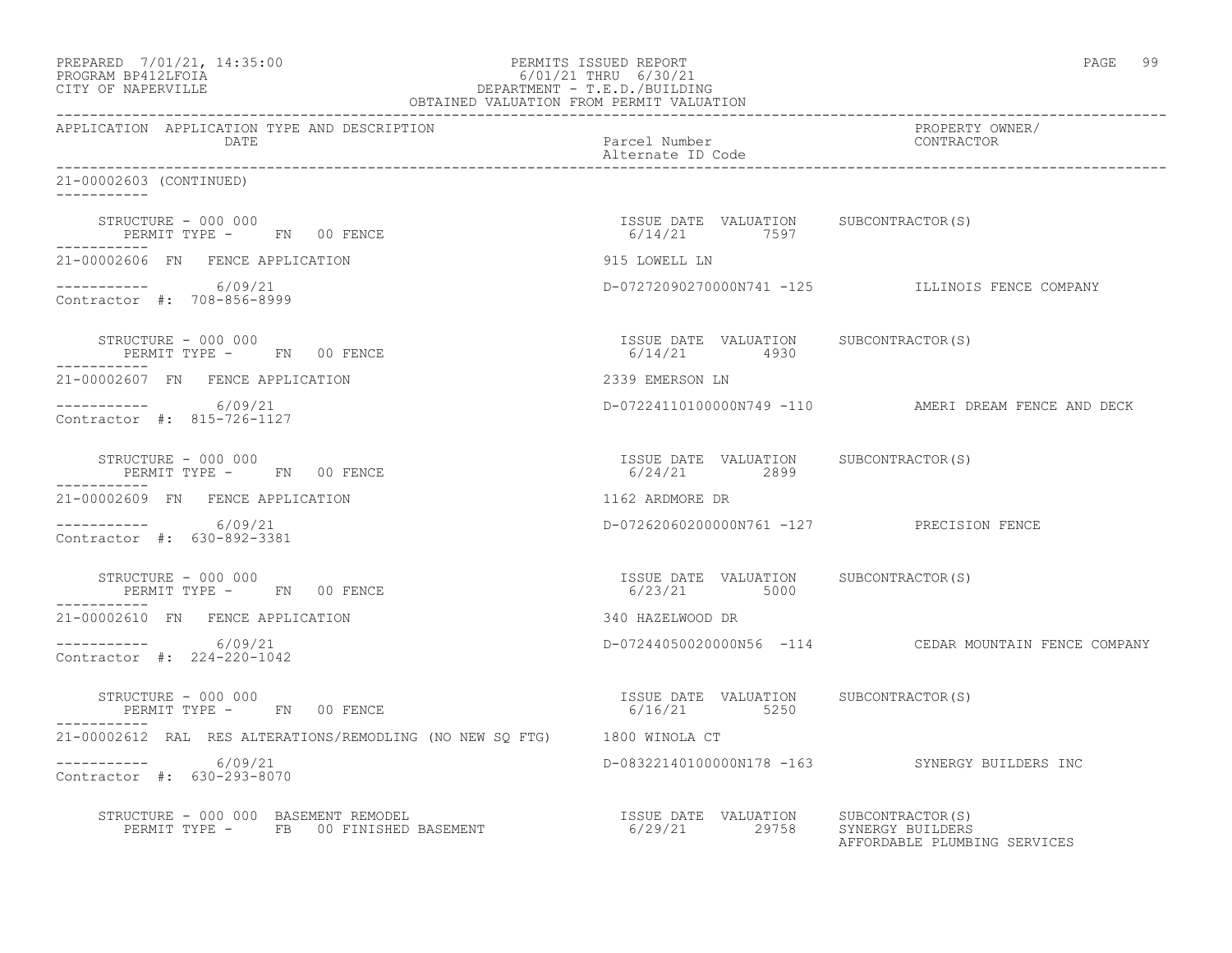| PREPARED 7/01/21, 14:35:00<br>PERMITS ISSUED REPORT<br>PROGRAM BP412LFOIA<br>CITY OF NAPERVILLE<br>CITY OF NAPERVILLE<br>CITY OF NAPERVILLE<br>CITY OF NAPERVILLE<br>OBTAINED VALUATION FROM PERMIT VALUATION |                                                                                                                                                                                                                               | PAGE 99                                               |
|---------------------------------------------------------------------------------------------------------------------------------------------------------------------------------------------------------------|-------------------------------------------------------------------------------------------------------------------------------------------------------------------------------------------------------------------------------|-------------------------------------------------------|
| APPLICATION APPLICATION TYPE AND DESCRIPTION<br>DATE                                                                                                                                                          | Parcel Number<br>Alternate ID Code                                                                                                                                                                                            | PROPERTY OWNER/<br>CONTRACTOR                         |
| 21-00002603 (CONTINUED)                                                                                                                                                                                       |                                                                                                                                                                                                                               |                                                       |
| STRUCTURE - 000 000<br>PERMIT TYPE - FN 00 FENCE                                                                                                                                                              | ISSUE DATE VALUATION SUBCONTRACTOR(S)<br>6/14/21 7597                                                                                                                                                                         |                                                       |
| 21-00002606 FN FENCE APPLICATION                                                                                                                                                                              | 915 LOWELL LN                                                                                                                                                                                                                 |                                                       |
| $--------- 6/09/21$<br>Contractor #: 708-856-8999                                                                                                                                                             |                                                                                                                                                                                                                               | D-07272090270000N741 -125 ILLINOIS FENCE COMPANY      |
| STRUCTURE - 000 000<br>PERMIT TYPE - FN 00 FENCE                                                                                                                                                              | ISSUE DATE VALUATION SUBCONTRACTOR(S)<br>6/14/21 4930                                                                                                                                                                         |                                                       |
| 21-00002607 FN FENCE APPLICATION                                                                                                                                                                              | 2339 EMERSON LN                                                                                                                                                                                                               |                                                       |
| $--------- 6/09/21$<br>Contractor #: 815-726-1127                                                                                                                                                             |                                                                                                                                                                                                                               | D-07224110100000N749 -110 AMERI DREAM FENCE AND DECK  |
| STRUCTURE - 000 000<br>PERMIT TYPE -      FN    00 FENCE<br>-----------                                                                                                                                       | ISSUE DATE VALUATION SUBCONTRACTOR(S)<br>6/24/21 2899                                                                                                                                                                         |                                                       |
| 21-00002609 FN FENCE APPLICATION                                                                                                                                                                              | 1162 ARDMORE DR                                                                                                                                                                                                               |                                                       |
| $--------- 6/09/21$<br>Contractor #: 630-892-3381                                                                                                                                                             | D-07262060200000N761 -127 PRECISION FENCE                                                                                                                                                                                     |                                                       |
| STRUCTURE - 000 000<br>PERMIT TYPE - FN 00 FENCE                                                                                                                                                              | ISSUE DATE VALUATION SUBCONTRACTOR(S)<br>6/23/21 5000                                                                                                                                                                         |                                                       |
| 21-00002610 FN FENCE APPLICATION                                                                                                                                                                              | 340 HAZELWOOD DR                                                                                                                                                                                                              |                                                       |
| $--------- 6/09/21$<br>Contractor #: 224-220-1042                                                                                                                                                             |                                                                                                                                                                                                                               | D-07244050020000N56 -114 CEDAR MOUNTAIN FENCE COMPANY |
| STRUCTURE - 000 000<br>PERMIT TYPE - FN 00 FENCE                                                                                                                                                              | ISSUE DATE VALUATION SUBCONTRACTOR(S)<br>6/16/21 5250                                                                                                                                                                         |                                                       |
| 21-00002612 RAL RES ALTERATIONS/REMODLING (NO NEW SQ FTG) 1800 WINOLA CT                                                                                                                                      |                                                                                                                                                                                                                               |                                                       |
| -----------     6/09/21<br>Contractor #: 630-293-8070                                                                                                                                                         |                                                                                                                                                                                                                               | D-08322140100000N178 -163 SYNERGY BUILDERS INC        |
| STRUCTURE - 000 000 BASEMENT REMODEL                                                                                                                                                                          | RUCTURE – 000 000 BASEMENT REMODEL                                   ISSUE DATE VALUATION     SUBCONTRACTOR(S)<br>PERMIT TYPE –      FB  00 FINISHED BASEMENT                        6/29/21        29758    SYNERGY BUILDERS | AFFORDABLE PLUMBING SERVICES                          |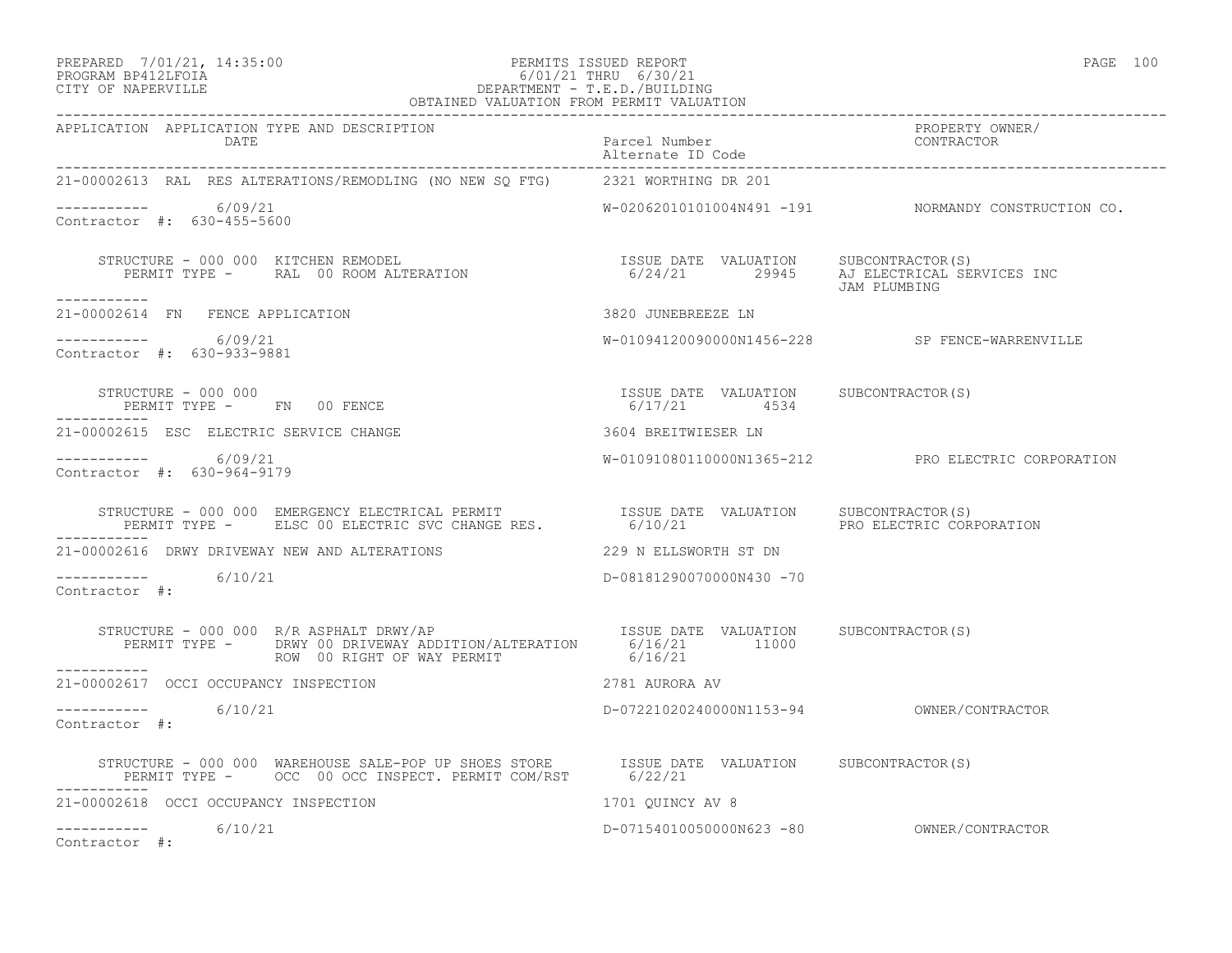### PREPARED 7/01/21, 14:35:00 PERMITS ISSUED REPORT PAGE 100 PROGRAM BP412LFOIA 6/01/21 THRU 6/30/21 CITY OF NAPERVILLE DEPARTMENT - T.E.D./BUILDING

| OBTAINED VALUATION FROM PERMIT VALUATION                                                                                                                                                                                          |                                                       |                                                     |
|-----------------------------------------------------------------------------------------------------------------------------------------------------------------------------------------------------------------------------------|-------------------------------------------------------|-----------------------------------------------------|
| APPLICATION APPLICATION TYPE AND DESCRIPTION<br>DATE                                                                                                                                                                              | Parcel Number<br>Alternate ID Code                    | PROPERTY OWNER/<br>CONTRACTOR                       |
| 21-00002613 RAL RES ALTERATIONS/REMODLING (NO NEW SQ FTG) 2321 WORTHING DR 201                                                                                                                                                    |                                                       |                                                     |
| -----------     6/09/21<br>Contractor #: 630-455-5600                                                                                                                                                                             |                                                       | W-02062010101004N491 -191 NORMANDY CONSTRUCTION CO. |
|                                                                                                                                                                                                                                   |                                                       |                                                     |
| 21-00002614 FN FENCE APPLICATION                                                                                                                                                                                                  | 3820 JUNEBREEZE LN                                    |                                                     |
| ----------     6/09/21<br>Contractor #: 630-933-9881                                                                                                                                                                              |                                                       | W-01094120090000N1456-228 SP FENCE-WARRENVILLE      |
| STRUCTURE - 000 000<br>PERMIT TYPE -       FN     00 FENCE                                                                                                                                                                        | ISSUE DATE VALUATION SUBCONTRACTOR(S)<br>6/17/21 4534 |                                                     |
| 21-00002615 ESC ELECTRIC SERVICE CHANGE                                                                                                                                                                                           | 3604 BREITWIESER LN                                   |                                                     |
| ----------- 6/09/21<br>Contractor #: 630-964-9179                                                                                                                                                                                 |                                                       | W-01091080110000N1365-212 PRO ELECTRIC CORPORATION  |
| STRUCTURE - 000 000 EMERGENCY ELECTRICAL PERMIT                 ISSUE DATE VALUATION     SUBCONTRACTOR(S)<br>PERMIT TYPE -      ELSC 00 ELECTRIC SVC CHANGE RES.              6/10/21                         PRO ELECTRIC CORPOR |                                                       |                                                     |
| 21-00002616 DRWY DRIVEWAY NEW AND ALTERATIONS                                                                                                                                                                                     | 229 N ELLSWORTH ST DN                                 |                                                     |
| $--------- 6/10/21$<br>Contractor #:                                                                                                                                                                                              | D-08181290070000N430 -70                              |                                                     |
| STRUCTURE - 000 000 R/R ASPHALT DRWY/AP<br>PERMIT TYPE - DRWY 00 DRIVEWAY ADDITION/ALTERATION 6/16/21 11000<br>ROW 00 RIGHT OF WAY PERMIT 6/16/21<br>___________                                                                  |                                                       |                                                     |
| 21-00002617 OCCI OCCUPANCY INSPECTION                                                                                                                                                                                             | 2781 AURORA AV                                        |                                                     |
| $--------- 6/10/21$<br>Contractor #:                                                                                                                                                                                              |                                                       |                                                     |
| STRUCTURE – 000 000 WAREHOUSE SALE-POP UP SHOES STORE      ISSUE DATE VALUATION     SUBCONTRACTOR(S)<br>PERMIT TYPE –    OCC  00 OCC INSPECT. PERMIT COM/RST       6/22/21                                                        |                                                       |                                                     |
| 21-00002618 OCCI OCCUPANCY INSPECTION                                                                                                                                                                                             | 1701 OUINCY AV 8                                      |                                                     |
| $--------- 6/10/21$<br>Contractor #:                                                                                                                                                                                              |                                                       |                                                     |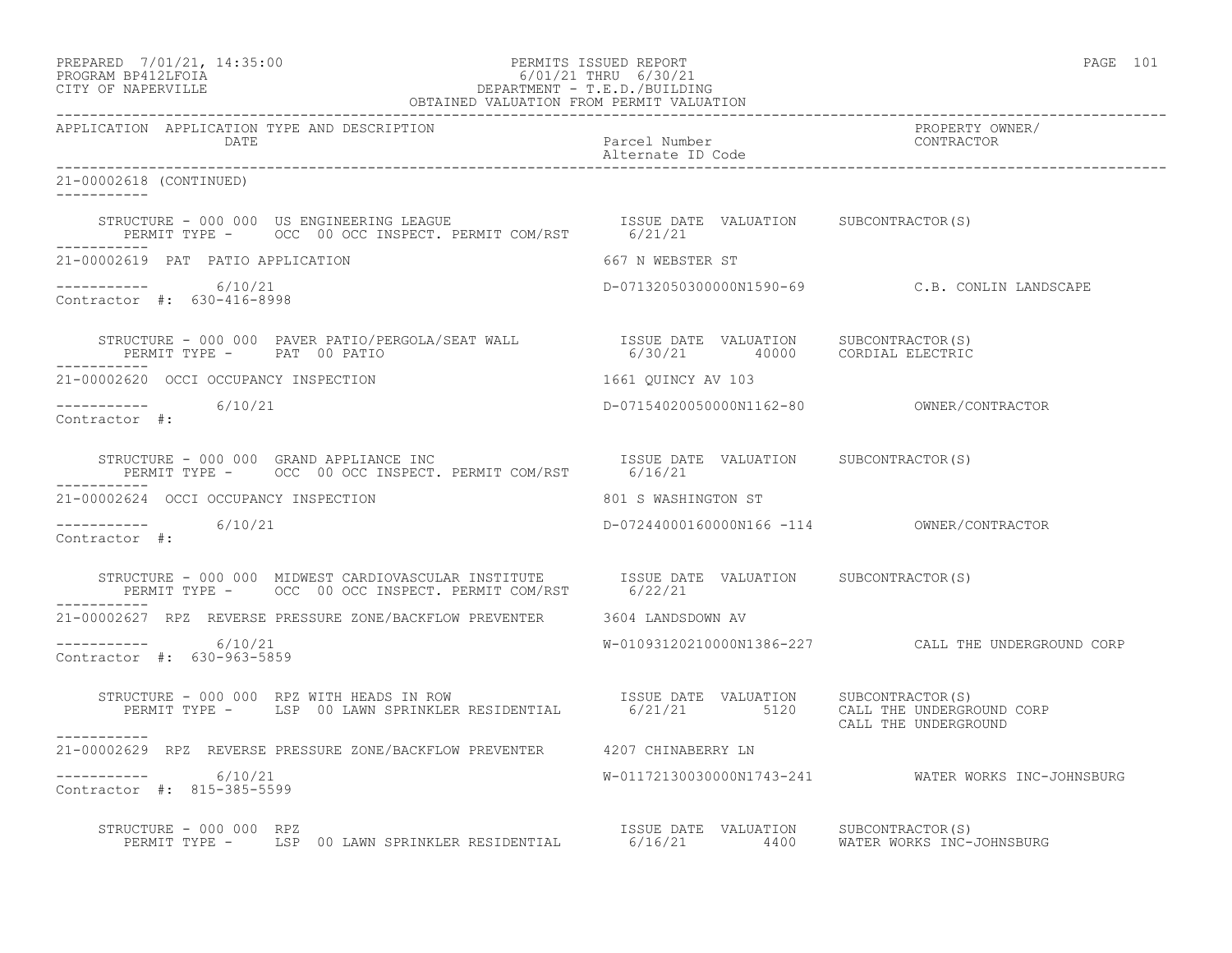PREPARED 7/01/21, 14:35:00 PERMITS ISSUED REPORT PAGE 101

# PROGRAM BP412LFOIA 6/01/21 THRU 6/30/21 CITY OF NAPERVILLE DEPARTMENT - T.E.D./BUILDING

| OBTAINED VALUATION FROM PERMIT VALUATION                                                                                                                                                                                                                                                           |                                    |                                                     |
|----------------------------------------------------------------------------------------------------------------------------------------------------------------------------------------------------------------------------------------------------------------------------------------------------|------------------------------------|-----------------------------------------------------|
| APPLICATION APPLICATION TYPE AND DESCRIPTION<br>DATE                                                                                                                                                                                                                                               | Parcel Number<br>Alternate ID Code | PROPERTY OWNER/<br>CONTRACTOR                       |
| 21-00002618 (CONTINUED)                                                                                                                                                                                                                                                                            |                                    |                                                     |
| STRUCTURE - 000 000 US ENGINEERING LEAGUE                          ISSUE DATE VALUATION      SUBCONTRACTOR(S)<br>PERMIT TYPE -       OCC  00 OCC INSPECT. PERMIT COM/RST        6/21/21                                                                                                            |                                    |                                                     |
| 21-00002619 PAT PATIO APPLICATION                                                                                                                                                                                                                                                                  | 667 N WEBSTER ST                   |                                                     |
| $--------- 6/10/21$<br>Contractor #: 630-416-8998                                                                                                                                                                                                                                                  |                                    | D-07132050300000N1590-69 C.B. CONLIN LANDSCAPE      |
| PERMIT TYPE - PAT 00 PATIO<br>------------                                                                                                                                                                                                                                                         |                                    |                                                     |
| 21-00002620 OCCI OCCUPANCY INSPECTION                                                                                                                                                                                                                                                              | 1661 QUINCY AV 103                 |                                                     |
| $--------- 6/10/21$<br>Contractor #:                                                                                                                                                                                                                                                               |                                    |                                                     |
| $\begin{tabular}{lclclcl} \texttt{STRUCTURE} & - & 000 & 000 & \texttt{GRAND APPLICATION} & \texttt{SUE DATE} & \texttt{VALUATION} & \texttt{SUBCONTRACTOR(S)} \\ \texttt{PERMIT TYPE} & - & \texttt{OCC} & 00 & \texttt{OCC} & \texttt{INSPECT. PERMIT COM/RST} & & & & 6/16/21 \\ \end{tabular}$ |                                    |                                                     |
| ------------<br>21-00002624 OCCI OCCUPANCY INSPECTION                                                                                                                                                                                                                                              | 801 S WASHINGTON ST                |                                                     |
| $--------- 6/10/21$<br>Contractor #:                                                                                                                                                                                                                                                               |                                    |                                                     |
|                                                                                                                                                                                                                                                                                                    |                                    |                                                     |
| 21-00002627 RPZ REVERSE PRESSURE ZONE/BACKFLOW PREVENTER 3604 LANDSDOWN AV                                                                                                                                                                                                                         |                                    |                                                     |
| $--------- 6/10/21$<br>Contractor #: 630-963-5859                                                                                                                                                                                                                                                  |                                    | W-01093120210000N1386-227 CALL THE UNDERGROUND CORP |
| STRUCTURE - 000 000 RPZ WITH HEADS IN ROW ISSUE DATE VALUATION SUBCONTRACTOR(S)<br>PERMIT TYPE - LSP 00 LAWN SPRINKLER RESIDENTIAL 6/21/21 5120 CALL THE UNDERGROUND CORP<br>-----------                                                                                                           |                                    | CALL THE UNDERGROUND                                |
| 21-00002629 RPZ REVERSE PRESSURE ZONE/BACKFLOW PREVENTER 4207 CHINABERRY LN                                                                                                                                                                                                                        |                                    |                                                     |
| $--------- 6/10/21$<br>Contractor #: 815-385-5599                                                                                                                                                                                                                                                  |                                    | W-01172130030000N1743-241 WATER WORKS INC-JOHNSBURG |
| RUCTURE - 000 000 RPZ<br>PERMIT TYPE - LSP 00 LAWN SPRINKLER RESIDENTIAL 6/16/21 4400 WATER WORKS INC-JOHNSBURG<br>STRUCTURE - 000 000 RPZ                                                                                                                                                         |                                    |                                                     |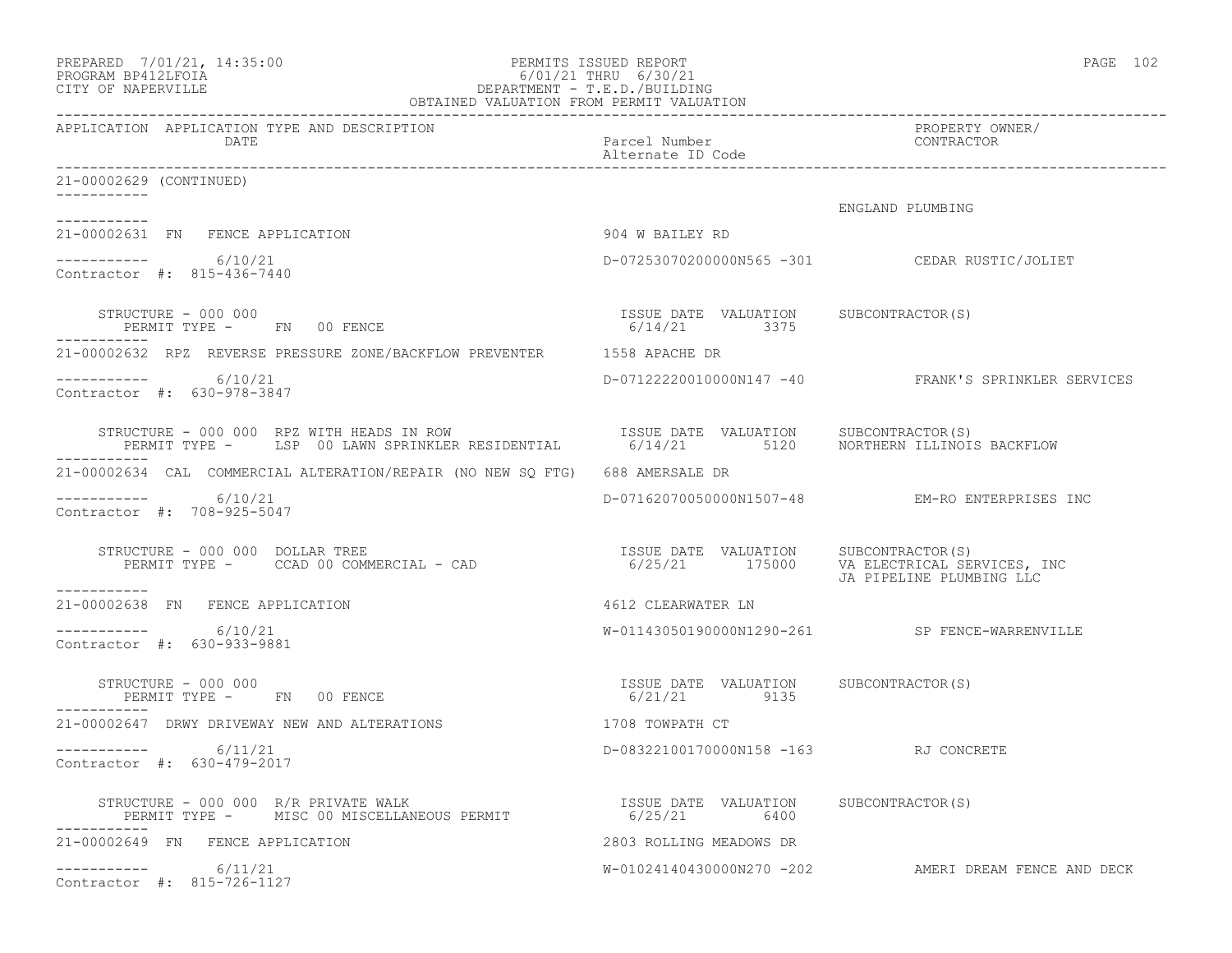| PREPARED 7/01/21, 14:35:00<br>6/01/21 THRU 6/30/21<br>DEPARTMENT - T.E.D./BUILDING<br>OBTAINED VALUATION FROM PERMIT VALUATION<br>PROGRAM BP412LFOIA<br>CITY OF NAPERVILLE  | PERMITS ISSUED REPORT                                 | PAGE 102                                                               |
|-----------------------------------------------------------------------------------------------------------------------------------------------------------------------------|-------------------------------------------------------|------------------------------------------------------------------------|
| APPLICATION APPLICATION TYPE AND DESCRIPTION<br>DATE                                                                                                                        | Parcel Number                                         | PROPERTY OWNER/<br>CONTRACTOR                                          |
| 21-00002629 (CONTINUED)                                                                                                                                                     |                                                       |                                                                        |
|                                                                                                                                                                             |                                                       | ENGLAND PLUMBING                                                       |
| 21-00002631 FN FENCE APPLICATION                                                                                                                                            | 904 W BAILEY RD                                       |                                                                        |
| $--------- 6/10/21$<br>Contractor #: 815-436-7440                                                                                                                           |                                                       | D-07253070200000N565 -301 CEDAR RUSTIC/JOLIET                          |
| STRUCTURE - 000 000<br>PERMIT TYPE - FN 00 FENCE                                                                                                                            | ISSUE DATE VALUATION SUBCONTRACTOR(S)<br>6/14/21 3375 |                                                                        |
| 21-00002632 RPZ REVERSE PRESSURE ZONE/BACKFLOW PREVENTER 1558 APACHE DR                                                                                                     |                                                       |                                                                        |
| $---------$ 6/10/21<br>Contractor #: 630-978-3847                                                                                                                           |                                                       | D-07122220010000N147 -40 FRANK'S SPRINKLER SERVICES                    |
| STRUCTURE - 000 000 RPZ WITH HEADS IN ROW SISSUE DATE VALUATION SUBCONTRACTOR(S)<br>PERMIT TYPE - LSP 00 LAWN SPRINKLER RESIDENTIAL 6/14/21 5120 NORTHERN ILLINOIS BACKFLOW |                                                       |                                                                        |
| 21-00002634 CAL COMMERCIAL ALTERATION/REPAIR (NO NEW SQ FTG) 688 AMERSALE DR                                                                                                |                                                       |                                                                        |
| -----------     6/10/21<br>Contractor #: 708-925-5047                                                                                                                       |                                                       | D-07162070050000N1507-48 EM-RO ENTERPRISES INC                         |
| STRUCTURE - 000 000 DOLLAR TREE<br>PERMIT TYPE - CCAD 00 COMMERCIAL - CAD<br>-----------                                                                                    | ISSUE DATE VALUATION SUBCONTRACTOR(S)                 | 6/25/21 175000 VA ELECTRICAL SERVICES, INC<br>JA PIPELINE PLUMBING LLC |
| 21-00002638 FN FENCE APPLICATION                                                                                                                                            | 4612 CLEARWATER LN                                    |                                                                        |
| $---------$ 6/10/21<br>Contractor #: 630-933-9881                                                                                                                           |                                                       | W-01143050190000N1290-261 SP FENCE-WARRENVILLE                         |
| STRUCTURE - 000 000<br>PERMIT TYPE - FN 00 FENCE                                                                                                                            | ISSUE DATE VALUATION SUBCONTRACTOR(S)<br>6/21/21 9135 |                                                                        |
| 21-00002647 DRWY DRIVEWAY NEW AND ALTERATIONS                                                                                                                               | 1708 TOWPATH CT                                       |                                                                        |
| 6/11/21<br>Contractor #: 630-479-2017                                                                                                                                       | D-08322100170000N158 -163 RJ CONCRETE                 |                                                                        |
| RUCTURE - 000 000 R/R PRIVATE WALK<br>PERMIT TYPE - MISC 00 MISCELLANEOUS PERMIT<br>STRUCTURE - 000 000 R/R PRIVATE WALK                                                    | ISSUE DATE VALUATION SUBCONTRACTOR(S)<br>6/25/21 6400 |                                                                        |
| 21-00002649 FN FENCE APPLICATION                                                                                                                                            | 2803 ROLLING MEADOWS DR                               |                                                                        |
| $--------$ 6/11/21<br>Contractor #: 815-726-1127                                                                                                                            |                                                       | W-01024140430000N270 -202 AMERI DREAM FENCE AND DECK                   |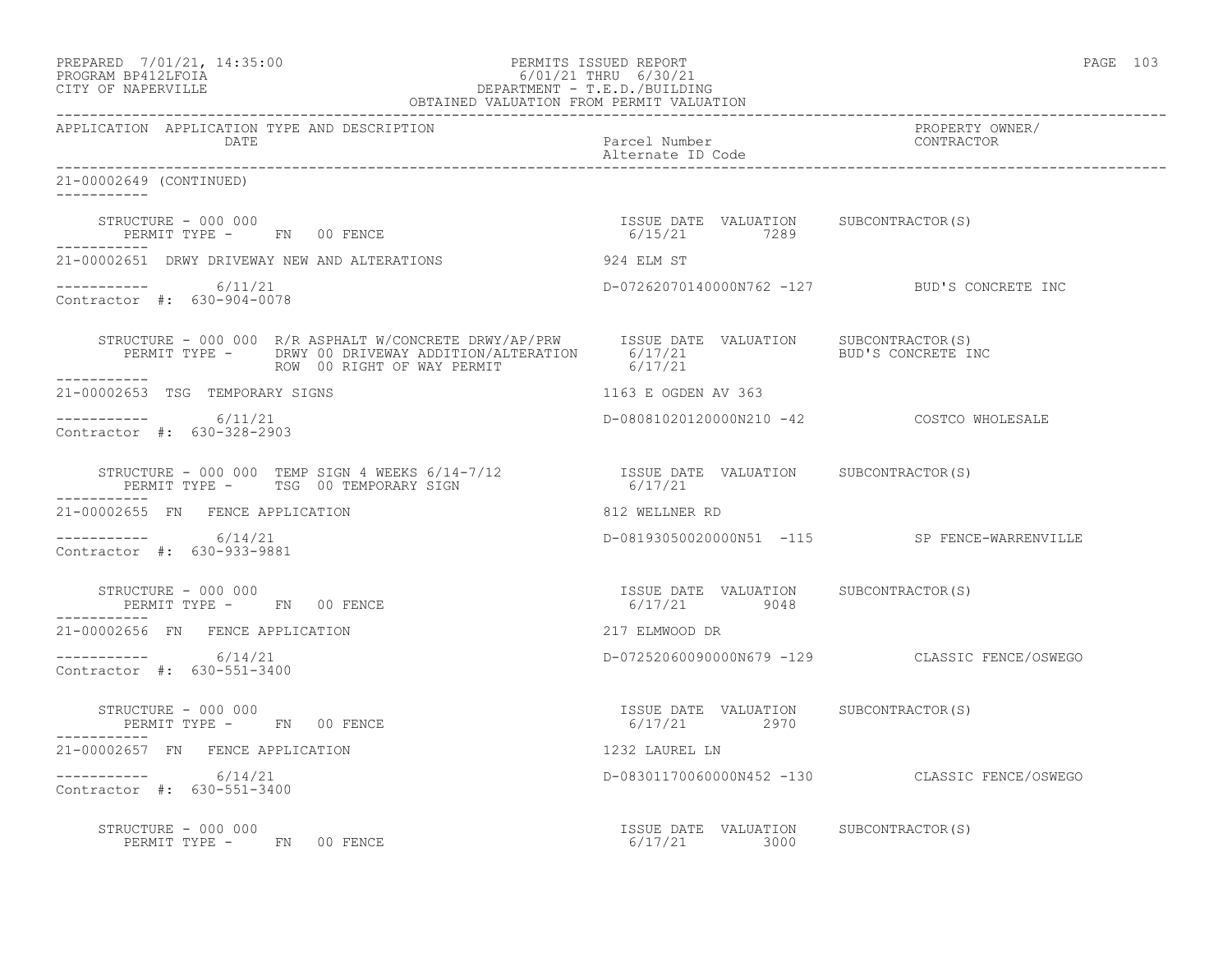| PREPARED             | 7/01/21, 14:35:00 |
|----------------------|-------------------|
| גד∩ם זר11תם ווגם∩חםם |                   |

### PREPARED 7/01/21, 14:35:00 PERMITS ISSUED REPORT<br>PROGRAM BP412LFOIA PAGE 103<br>
6/01/21 THRU 6/30/21 PROGRAM BP412LFOIA 6/01/21 THRU 6/30/21 CITY OF NAPERVILLE DEPARTMENT - T.E.D./BUILDING

| OBTAINED VALUATION FROM PERMIT VALUATION                                                                                                                                                                                                                     |                                                       |                                                |
|--------------------------------------------------------------------------------------------------------------------------------------------------------------------------------------------------------------------------------------------------------------|-------------------------------------------------------|------------------------------------------------|
| APPLICATION APPLICATION TYPE AND DESCRIPTION<br>DATE                                                                                                                                                                                                         | Parcel Number<br>Alternate ID Code                    | PROPERTY OWNER/<br>CONTRACTOR                  |
| 21-00002649 (CONTINUED)                                                                                                                                                                                                                                      |                                                       |                                                |
| $\begin{array}{cccccccccc} \texttt{STRUCTURE} & - & 000 & 000 & & & & & & & \\ \texttt{PERMIT TYPE} & - & & \texttt{FN} & 00 & \texttt{FENCE} & & & & & & \\ \texttt{PERMIT TYPE} & - & & \texttt{FN} & 00 & \texttt{FENCE} & & & & & \\ \end{array}$        |                                                       |                                                |
|                                                                                                                                                                                                                                                              |                                                       |                                                |
| $--------$ 6/11/21<br>Contractor #: 630-904-0078                                                                                                                                                                                                             | D-07262070140000N762 -127 BUD'S CONCRETE INC          |                                                |
| STRUCTURE - 000 000 R/R ASPHALT W/CONCRETE DRWY/AP/PRW ISSUE DATE VALUATION SUBCONTRACTOR(S)<br>PERMIT TYPE - DRWY 00 DRIVEWAY ADDITION/ALTERATION 6/17/21 BUD'S CONCRETE INC<br>ROW 00 RIGHT OF WAY PERMIT                                                  | 6/17/21                                               |                                                |
| 21-00002653 TSG TEMPORARY SIGNS                                                                                                                                                                                                                              | 1163 E OGDEN AV 363                                   |                                                |
| ----------- 6/11/21<br>Contractor #: 630-328-2903                                                                                                                                                                                                            | D-08081020120000N210 -42 COSTCO WHOLESALE             |                                                |
| $\begin{array}{cccccc} \texttt{STRUCTURE} & - & 000 & 000 & \texttt{TEMP SIGN} & 4 & \texttt{WEEKS} & 6/14-7/12 & & & & & & & \\ & & & & & & & & & & & \\ \texttt{PERMIT TYPE} & - & \texttt{TSG} & 00 & \texttt{TEMPORARY SIGN} & & & & & & \\ \end{array}$ |                                                       |                                                |
| 21-00002655 FN FENCE APPLICATION                                                                                                                                                                                                                             | 812 WELLNER RD                                        |                                                |
| $--------- 6/14/21$<br>Contractor #: 630-933-9881                                                                                                                                                                                                            | D-08193050020000N51 -115 SP FENCE-WARRENVILLE         |                                                |
| STRUCTURE - 000 000<br>PERMIT TYPE - FN 00 FENCE                                                                                                                                                                                                             | ISSUE DATE VALUATION SUBCONTRACTOR(S)<br>6/17/21 9048 |                                                |
| 21-00002656 FN FENCE APPLICATION                                                                                                                                                                                                                             | 217 ELMWOOD DR                                        |                                                |
| $--------- 6/14/21$<br>Contractor #: 630-551-3400                                                                                                                                                                                                            |                                                       | D-07252060090000N679 -129 CLASSIC FENCE/OSWEGO |
| STRUCTURE - 000 000<br>PERMIT TYPE - FN 00 FENCE                                                                                                                                                                                                             | ISSUE DATE VALUATION SUBCONTRACTOR(S)<br>6/17/21 2970 |                                                |
| 21-00002657 FN FENCE APPLICATION                                                                                                                                                                                                                             | 1232 LAUREL LN                                        |                                                |
| $---------$ 6/14/21<br>Contractor #: 630-551-3400                                                                                                                                                                                                            |                                                       | D-08301170060000N452 -130 CLASSIC FENCE/OSWEGO |
| STRUCTURE - 000 000<br>PERMIT TYPE - FN 00 FENCE                                                                                                                                                                                                             | ISSUE DATE VALUATION SUBCONTRACTOR(S)<br>6/17/21 3000 |                                                |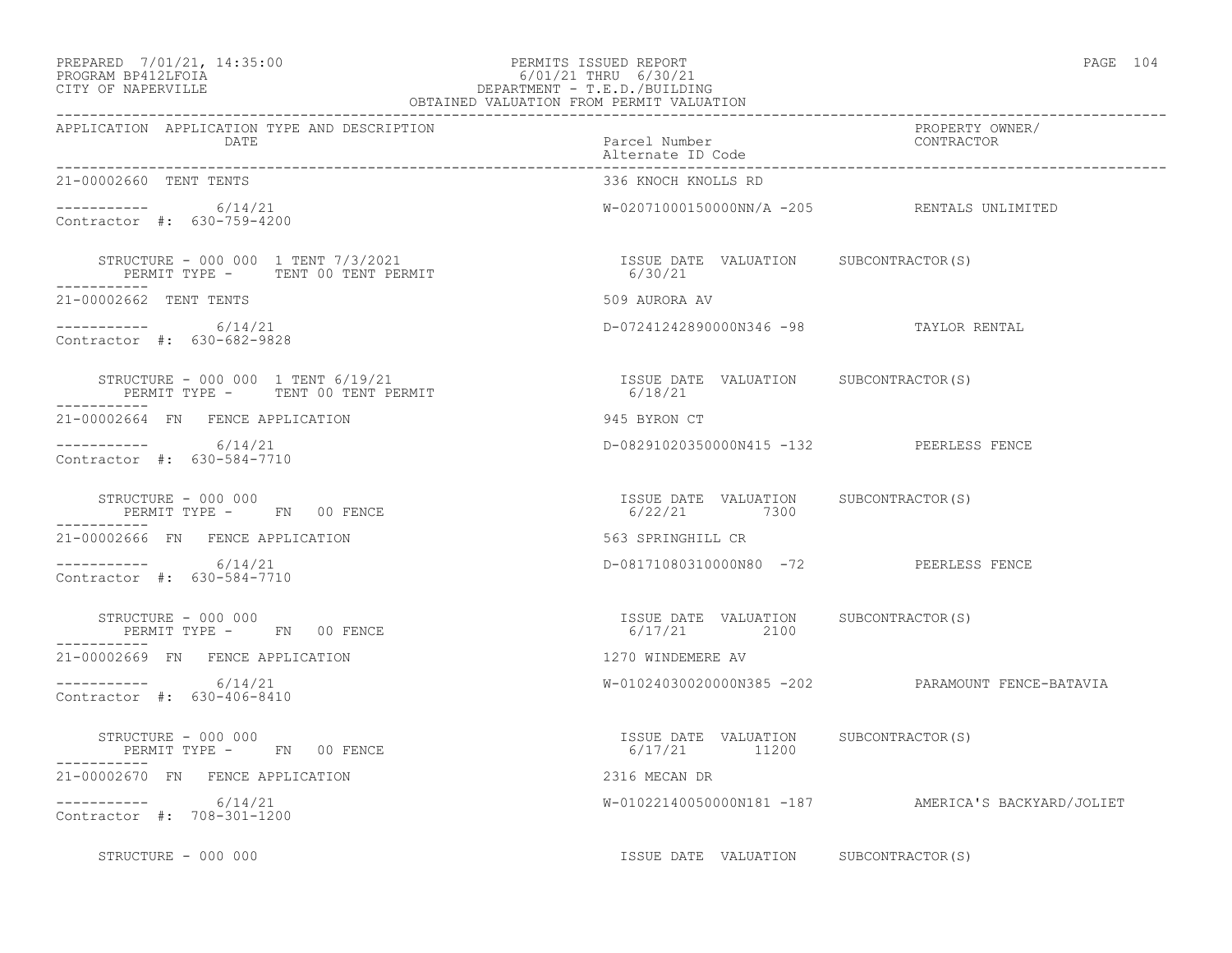### PREPARED 7/01/21, 14:35:00 PERMITS ISSUED REPORT PAGE 104 PROGRAM BP412LFOIA 6/01/21 THRU 6/30/21  $\begin{tabular}{lcccccc} PREPARED & 7/01/21, & 14:35:00 & & & & & & & & & \multicolumn{2}{c}{\small PERMITS} & ISSUBD REPORT \\ PROGRAM BP412LFOIA & & & & & & & & & & & \multicolumn{2}{c}{\small G/01/21} & \texttt{THRU} & 6/30/21 \\ \texttt{CITY OF NAPERVILLE & & & & & & & & \multicolumn{2}{c}{\small DEPARTMENT - T.E.D./BULIDING} \end{tabular}$

| OBTAINED VALUATION FROM PERMIT VALUATION                                               |                                                         |                                                     |
|----------------------------------------------------------------------------------------|---------------------------------------------------------|-----------------------------------------------------|
| APPLICATION APPLICATION TYPE AND DESCRIPTION<br>DATE                                   | Parcel Number<br>Alternate ID Code                      | PROPERTY OWNER/<br>CONTRACTOR                       |
| 21-00002660 TENT TENTS                                                                 | 336 KNOCH KNOLLS RD                                     |                                                     |
| $--------- 6/14/21$<br>Contractor #: 630-759-4200                                      |                                                         | W-02071000150000NN/A -205 RENTALS UNLIMITED         |
| STRUCTURE - 000 000 1 TENT 7/3/2021<br>PERMIT TYPE - TENT 00 TENT PERMIT               | ISSUE DATE VALUATION SUBCONTRACTOR(S)<br>6/30/21        |                                                     |
| 21-00002662 TENT TENTS                                                                 | 509 AURORA AV                                           |                                                     |
| $--------- 6/14/21$<br>Contractor #: 630-682-9828                                      | D-07241242890000N346 -98 TAYLOR RENTAL                  |                                                     |
| STRUCTURE - 000 000 1 TENT 6/19/21<br>PERMIT TYPE - TENT 00 TENT PERMIT<br>----------- | ISSUE DATE VALUATION SUBCONTRACTOR(S)<br>6/18/21        |                                                     |
| 21-00002664 FN FENCE APPLICATION                                                       | 945 BYRON CT                                            |                                                     |
| -----------     6/14/21<br>Contractor #: 630-584-7710                                  | D-08291020350000N415 -132 PEERLESS FENCE                |                                                     |
| STRUCTURE - 000 000<br>PERMIT TYPE - FN 00 FENCE                                       | ISSUE DATE VALUATION SUBCONTRACTOR(S)<br>6/22/21 7300   |                                                     |
| 21-00002666 FN FENCE APPLICATION                                                       | 563 SPRINGHILL CR                                       |                                                     |
| $--------- 6/14/21$<br>Contractor #: 630-584-7710                                      | D-08171080310000N80 -72 PEERLESS FENCE                  |                                                     |
| STRUCTURE - 000 000<br>PERMIT TYPE - FN 00 FENCE                                       | ISSUE DATE VALUATION SUBCONTRACTOR(S)<br>6/17/21 2100   |                                                     |
| 21-00002669 FN FENCE APPLICATION                                                       | 1270 WINDEMERE AV                                       |                                                     |
| $--------- 6/14/21$<br>Contractor #: 630-406-8410                                      |                                                         | W-01024030020000N385 -202 PARAMOUNT FENCE-BATAVIA   |
| $\texttt{STRUCTURE} = 000 000$<br>PERMIT TYPE - FN 00 FENCE                            | ISSUE DATE VALUATION SUBCONTRACTOR (S)<br>6/17/21 11200 |                                                     |
| 21-00002670 FN FENCE APPLICATION                                                       | 2316 MECAN DR                                           |                                                     |
| $--------- 6/14/21$<br>Contractor #: 708-301-1200                                      |                                                         | W-01022140050000N181 -187 AMERICA'S BACKYARD/JOLIET |
| STRUCTURE - 000 000                                                                    | ISSUE DATE VALUATION SUBCONTRACTOR(S)                   |                                                     |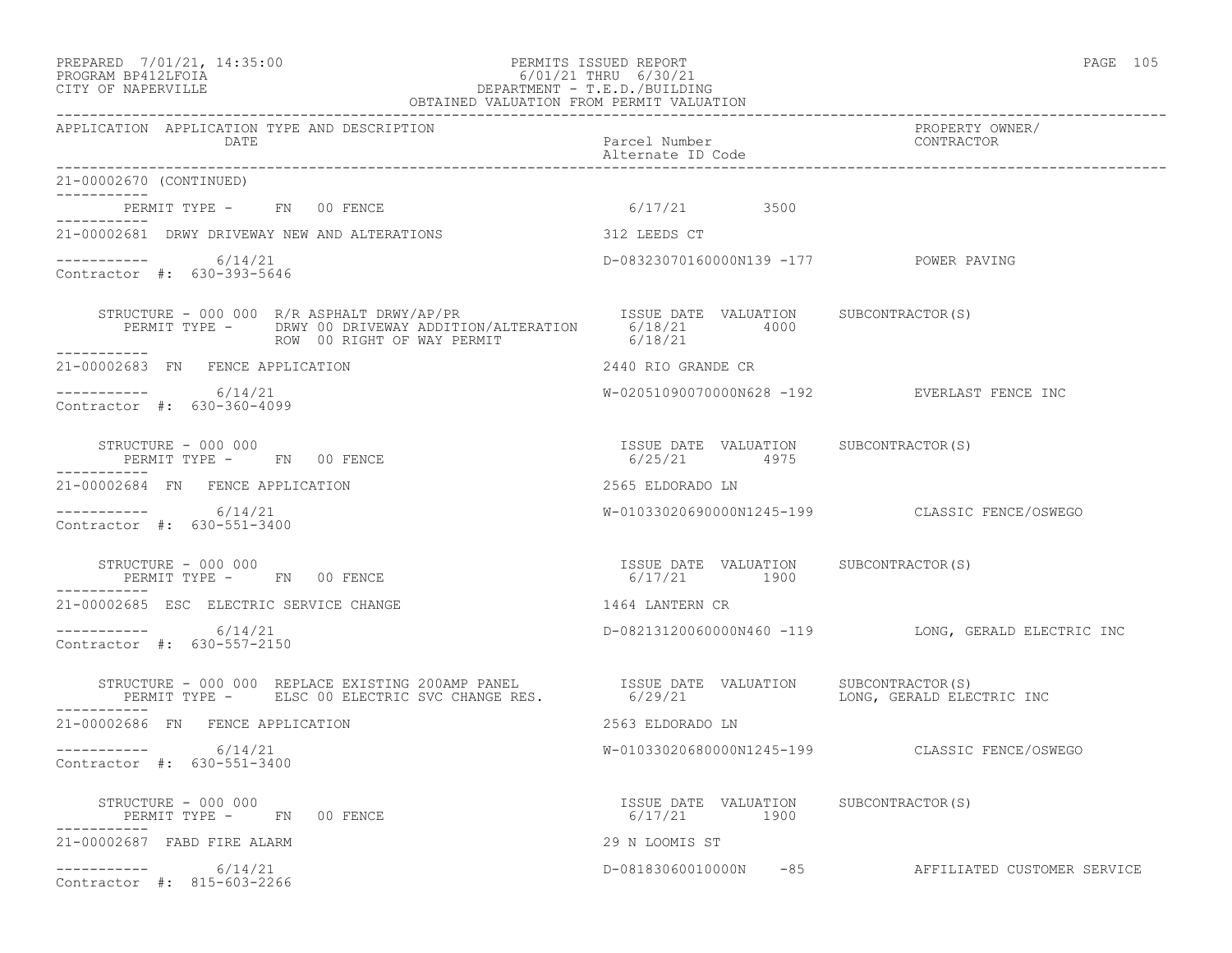### PREPARED 7/01/21, 14:35:00 PERMITS ISSUED REPORT PAGE 105 PROGRAM BP412LFOIA 6/01/21 THRU 6/30/21 CITY OF NAPERVILLE DEPARTMENT - T.E.D./BUILDING

| OBTAINED VALUATION FROM PERMIT VALUATION                                                                                                                    |                                                       |                                                     |
|-------------------------------------------------------------------------------------------------------------------------------------------------------------|-------------------------------------------------------|-----------------------------------------------------|
| APPLICATION APPLICATION TYPE AND DESCRIPTION<br>DATE                                                                                                        | Parcel Number<br>Alternate ID Code                    | PROPERTY OWNER/<br>CONTRACTOR                       |
| 21-00002670 (CONTINUED)<br>___________                                                                                                                      |                                                       |                                                     |
| PERMIT TYPE - FN 00 FENCE<br>----------                                                                                                                     | 6/17/21 3500                                          |                                                     |
| 21-00002681 DRWY DRIVEWAY NEW AND ALTERATIONS                                                                                                               | 312 LEEDS CT                                          |                                                     |
| $--------- 6/14/21$<br>Contractor #: 630-393-5646                                                                                                           | D-08323070160000N139 -177 POWER PAVING                |                                                     |
| STRUCTURE – 000 000 R/R ASPHALT DRWY/AP/PR<br>PERMIT TYPE – DRWY 00 DRIVEWAY ADDITION/ALTERATION 6/18/21 4000<br>ROW 00 RIGHT OF WAY PERMIT<br>------------ | 6/18/21                                               |                                                     |
| 21-00002683 FN FENCE APPLICATION                                                                                                                            | 2440 RIO GRANDE CR                                    |                                                     |
| -----------     6/14/21<br>Contractor #: 630-360-4099                                                                                                       |                                                       | W-02051090070000N628 -192 EVERLAST FENCE INC        |
| STRUCTURE - 000 000<br>PERMIT TYPE - FN 00 FENCE                                                                                                            | ISSUE DATE VALUATION SUBCONTRACTOR(S)<br>6/25/21 4975 |                                                     |
| 21-00002684 FN FENCE APPLICATION                                                                                                                            | 2565 ELDORADO LN                                      |                                                     |
| $--------- 6/14/21$<br>Contractor #: 630-551-3400                                                                                                           |                                                       | W-01033020690000N1245-199 CLASSIC FENCE/OSWEGO      |
| STRUCTURE - 000 000<br>PERMIT TYPE - FN 00 FENCE<br>-----------                                                                                             | ISSUE DATE VALUATION SUBCONTRACTOR(S)<br>6/17/21 1900 |                                                     |
| 21-00002685 ESC ELECTRIC SERVICE CHANGE                                                                                                                     | 1464 LANTERN CR                                       |                                                     |
| 6/14/21<br>Contractor #: 630-557-2150                                                                                                                       |                                                       | D-08213120060000N460 -119 LONG, GERALD ELECTRIC INC |
| STRUCTURE – 000 000 REPLACE EXISTING 200AMP PANEL (ISSUE DATE VALUATION PERMIT TYPE – ELSC 00 ELECTRIC SVC CHANGE RES. $6/29/21$<br>-----------             |                                                       | SUBCONTRACTOR(S)<br>LONG, GERALD ELECTRIC INC       |
| 21-00002686 FN FENCE APPLICATION                                                                                                                            | 2563 ELDORADO LN                                      |                                                     |
| $--------- 6/14/21$<br>Contractor #: 630-551-3400                                                                                                           |                                                       | W-01033020680000N1245-199 CLASSIC FENCE/OSWEGO      |
| STRUCTURE - 000 000<br>PERMIT TYPE - FN 00 FENCE                                                                                                            | ISSUE DATE VALUATION SUBCONTRACTOR(S)<br>6/17/21 1900 |                                                     |
| 21-00002687 FABD FIRE ALARM                                                                                                                                 | 29 N LOOMIS ST                                        |                                                     |
| $--------- 6/14/21$<br>Contractor #: 815-603-2266                                                                                                           |                                                       | D-08183060010000N -85 AFFILIATED CUSTOMER SERVICE   |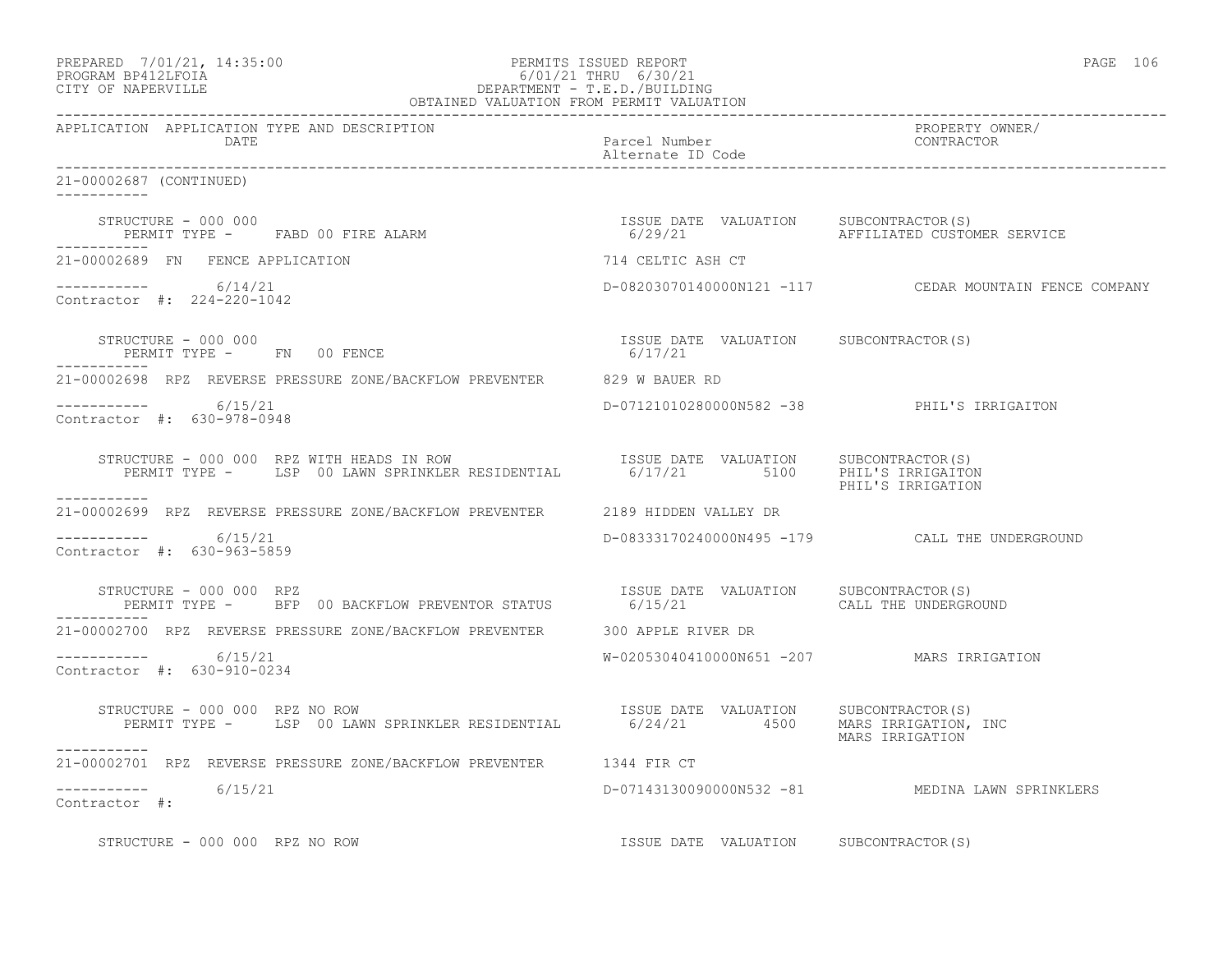|                                                                                                                                                         |                                                                              | PAGE 106                                               |
|---------------------------------------------------------------------------------------------------------------------------------------------------------|------------------------------------------------------------------------------|--------------------------------------------------------|
| APPLICATION APPLICATION TYPE AND DESCRIPTION<br>DATE                                                                                                    | Parcel Number<br>Alternate ID Code                                           | PROPERTY OWNER/<br>CONTRACTOR                          |
| 21-00002687 (CONTINUED)                                                                                                                                 |                                                                              |                                                        |
| STRUCTURE - 000 000<br>PERMIT TYPE - FABD 00 FIRE ALARM                                                                                                 | ISSUE DATE VALUATION SUBCONTRACTOR(S)                                        | 6/29/21 AFFILIATED CUSTOMER SERVICE                    |
| 21-00002689 FN FENCE APPLICATION                                                                                                                        | 714 CELTIC ASH CT                                                            |                                                        |
| $--------- 6/14/21$<br>Contractor #: 224-220-1042                                                                                                       |                                                                              | D-08203070140000N121 -117 CEDAR MOUNTAIN FENCE COMPANY |
| STRUCTURE - 000 000<br>PERMIT TYPE - FN 00 FENCE                                                                                                        | ISSUE DATE VALUATION SUBCONTRACTOR(S)<br>6/17/21                             |                                                        |
| 21-00002698 RPZ REVERSE PRESSURE ZONE/BACKFLOW PREVENTER 629 W BAUER RD                                                                                 |                                                                              |                                                        |
| ----------- 6/15/21<br>Contractor #: 630-978-0948                                                                                                       |                                                                              | D-07121010280000N582 -38 PHIL'S IRRIGAITON             |
| STRUCTURE - 000 000 RPZ WITH HEADS IN ROW<br>PERMIT TYPE - LSP 00 LAWN SPRINKLER RESIDENTIAL 6/17/21 5100 PHIL'S IRRIGAITON                             |                                                                              | PHIL'S IRRIGATION                                      |
| 21-00002699 RPZ REVERSE PRESSURE ZONE/BACKFLOW PREVENTER 2189 HIDDEN VALLEY DR                                                                          |                                                                              |                                                        |
| $--------- 6/15/21$<br>Contractor #: 630-963-5859                                                                                                       |                                                                              | D-08333170240000N495 -179 CALL THE UNDERGROUND         |
| STRUCTURE – 000 000 RPZ<br>PERMIT TYPE –     BFP 00 BACKFLOW PREVENTOR STATUS           6/15/21         VALUATION     CALL THE UNDERGRO<br>------------ |                                                                              | CALL THE UNDERGROUND                                   |
| 21-00002700 RPZ REVERSE PRESSURE ZONE/BACKFLOW PREVENTER 300 APPLE RIVER DR                                                                             |                                                                              |                                                        |
| $--------- 6/15/21$<br>Contractor #: 630-910-0234                                                                                                       | W-02053040410000N651 -207 MARS IRRIGATION                                    |                                                        |
| STRUCTURE - 000 000 RPZ NO ROW<br>PERMIT TYPE - LSP 00 LAWN SPRINKLER RESIDENTIAL                                                                       | ISSUE DATE VALUATION SUBCONTRACTOR(S)<br>6/24/21   4500 MARS IRRIGATION, INC | MARS IRRIGATION                                        |
| 21-00002701 RPZ REVERSE PRESSURE ZONE/BACKFLOW PREVENTER 1344 FIR CT                                                                                    |                                                                              |                                                        |
| -----------     6/15/21<br>Contractor #:                                                                                                                |                                                                              | D-07143130090000N532 -81 MEDINA LAWN SPRINKLERS        |
| STRUCTURE - 000 000 RPZ NO ROW                                                                                                                          | ISSUE DATE VALUATION SUBCONTRACTOR(S)                                        |                                                        |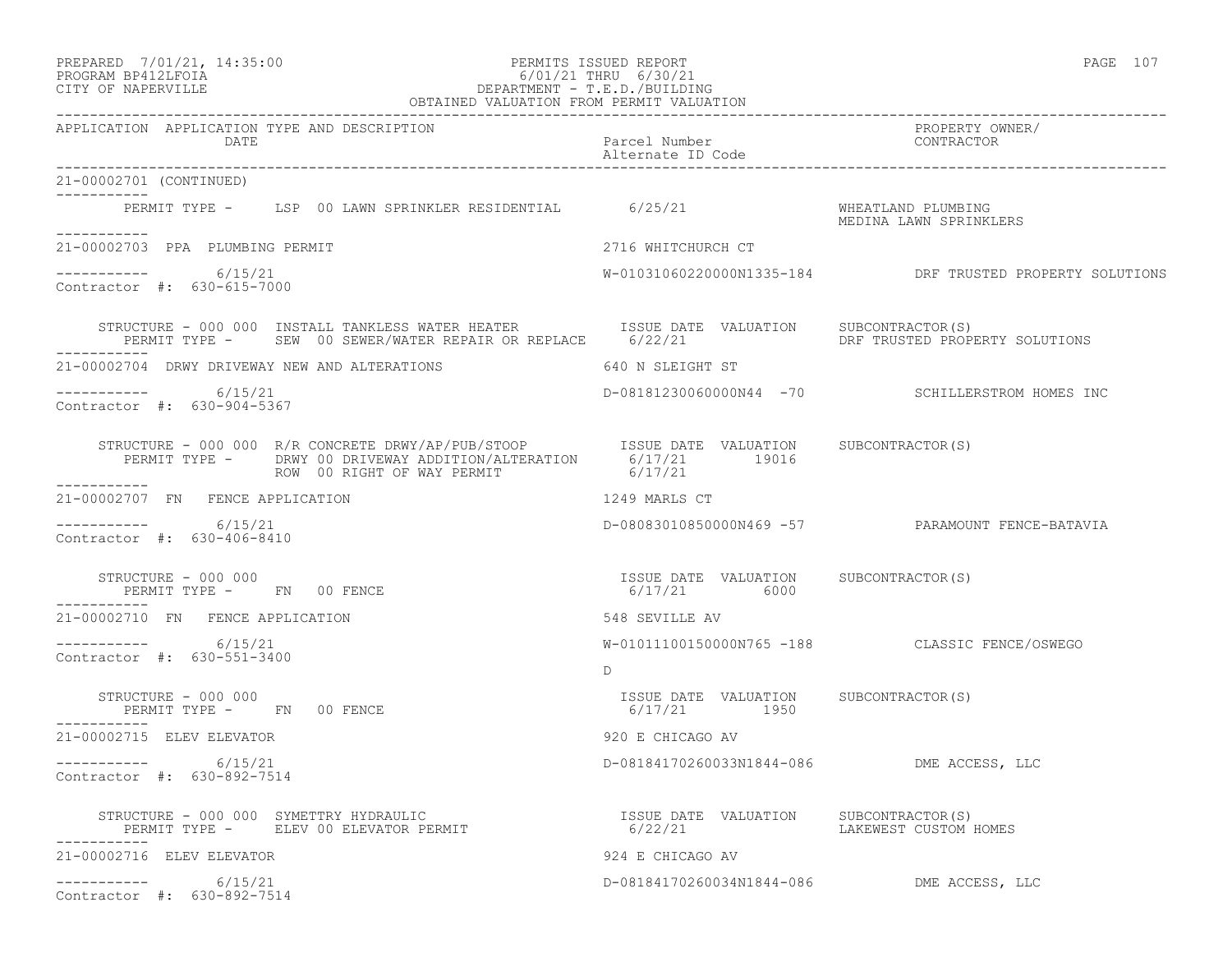### PREPARED 7/01/21, 14:35:00 PERMITS ISSUED REPORT PAGE 107 PROGRAM BP412LFOIA 6/01/21 THRU 6/30/21 CITY OF NAPERVILLE DEPARTMENT - T.E.D./BUILDING

| OBTAINED VALUATION FROM PERMIT VALUATION                                                                                                                     |                                                       |                                                  |  |
|--------------------------------------------------------------------------------------------------------------------------------------------------------------|-------------------------------------------------------|--------------------------------------------------|--|
| APPLICATION APPLICATION TYPE AND DESCRIPTION<br>DATE                                                                                                         | Parcel Number<br>Alternate ID Code                    | PROPERTY OWNER/<br>CONTRACTOR                    |  |
| 21-00002701 (CONTINUED)<br>------------                                                                                                                      |                                                       |                                                  |  |
| PERMIT TYPE - LSP 00 LAWN SPRINKLER RESIDENTIAL 6/25/21<br>-----------                                                                                       |                                                       | WHEATLAND PLUMBING<br>MEDINA LAWN SPRINKLERS     |  |
| 21-00002703 PPA PLUMBING PERMIT                                                                                                                              | 2716 WHITCHURCH CT                                    |                                                  |  |
| $--------- 6/15/21$<br>Contractor #: 630-615-7000                                                                                                            |                                                       |                                                  |  |
| STRUCTURE - 000 000 INSTALL TANKLESS WATER HEATER TSSUE DATE VALUATION SUBCONTRACTOR(S)<br>PERMIT TYPE - SEW 00 SEWER/WATER REPAIR OR REPLACE - 6/22/21      |                                                       | DRF TRUSTED PROPERTY SOLUTIONS                   |  |
| 21-00002704 DRWY DRIVEWAY NEW AND ALTERATIONS                                                                                                                | 640 N SLEIGHT ST                                      |                                                  |  |
| $--------- 6/15/21$<br>Contractor #: 630-904-5367                                                                                                            |                                                       | D-08181230060000N44 -70 SCHILLERSTROM HOMES INC  |  |
| STRUCTURE - 000 000 R/R CONCRETE DRWY/AP/PUB/STOOP<br>PERMIT TYPE - DRWY 00 DRIVEWAY ADDITION LITERATION 6/17/21 19016<br>2016<br>ROW 00 RIGHT OF WAY PERMIT | 6/17/21                                               |                                                  |  |
| 21-00002707 FN FENCE APPLICATION                                                                                                                             | 1249 MARLS CT                                         |                                                  |  |
| 6/15/21<br>_________<br>Contractor #: 630-406-8410                                                                                                           |                                                       | D-08083010850000N469 -57 PARAMOUNT FENCE-BATAVIA |  |
| STRUCTURE - 000 000<br>PERMIT TYPE - FN 00 FENCE                                                                                                             | ISSUE DATE VALUATION SUBCONTRACTOR(S)<br>6/17/21 6000 |                                                  |  |
| 21-00002710 FN FENCE APPLICATION                                                                                                                             | 548 SEVILLE AV                                        |                                                  |  |
| 6/15/21<br>Contractor #: 630-551-3400                                                                                                                        | $\Gamma$                                              | W-01011100150000N765 -188 CLASSIC FENCE/OSWEGO   |  |
| STRUCTURE - 000 000<br>PERMIT TYPE - FN 00 FENCE                                                                                                             | ISSUE DATE VALUATION SUBCONTRACTOR(S)<br>6/17/21 1950 |                                                  |  |
| 21-00002715 ELEV ELEVATOR                                                                                                                                    | 920 E CHICAGO AV                                      |                                                  |  |
| -----------     6/15/21<br>Contractor #: 630-892-7514                                                                                                        | D-08184170260033N1844-086 DME ACCESS, LLC             |                                                  |  |
| STRUCTURE - 000 000 SYMETTRY HYDRAULIC<br>PERMIT TYPE - ELEV 00 ELEVATOR PERMIT<br>PERMIT TYPE - ELEV 00 ELEVATOR PERMIT<br>-----                            | ISSUE DATE VALUATION SUBCONTRACTOR(S)<br>6/22/21      | LAKEWEST CUSTOM HOMES                            |  |
| 21-00002716 ELEV ELEVATOR                                                                                                                                    | 924 E CHICAGO AV                                      |                                                  |  |
| 6/15/21<br>___________<br>Contractor #: 630-892-7514                                                                                                         | D-08184170260034N1844-086 DME ACCESS, LLC             |                                                  |  |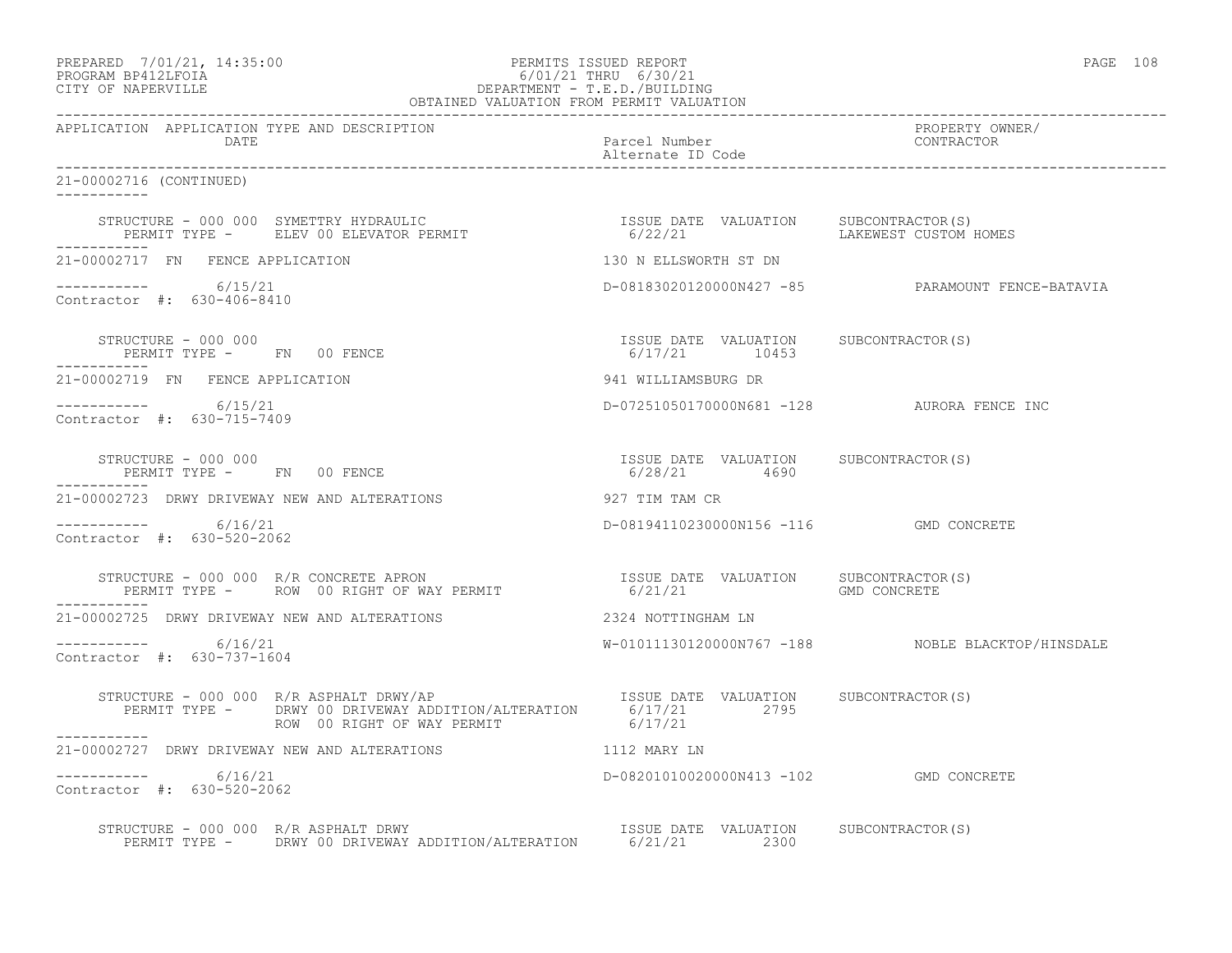# PREPARED 7/01/21, 14:35:00 PERMITS ISSUED REPORT PAGE 108 PROGRAM BP412LFOIA 6/01/21 THRU 6/30/21 CITY OF NAPERVILLE **DEPARTMENT - T.E.D./BUILDING**

| OBTAINED VALUATION FROM PERMIT VALUATION                                                                                                                                                                                                                                                                                                                                                                           |                                            |                                                   |  |
|--------------------------------------------------------------------------------------------------------------------------------------------------------------------------------------------------------------------------------------------------------------------------------------------------------------------------------------------------------------------------------------------------------------------|--------------------------------------------|---------------------------------------------------|--|
| APPLICATION APPLICATION TYPE AND DESCRIPTION<br><b>DATE</b>                                                                                                                                                                                                                                                                                                                                                        | Parcel Number<br>Alternate ID Code         | PROPERTY OWNER/<br>CONTRACTOR                     |  |
| 21-00002716 (CONTINUED)                                                                                                                                                                                                                                                                                                                                                                                            |                                            |                                                   |  |
| STRUCTURE – 000 000 SYMETTRY HYDRAULIC                                ISSUE DATE VALUATION     SUBCONTRACTOR(S)<br>PERMIT TYPE –      ELEV 00 ELEVATOR PERMIT                          6/22/21                  LAKEWEST CUSTOM I                                                                                                                                                                                  |                                            | LAKEWEST CUSTOM HOMES                             |  |
| 21-00002717 FN FENCE APPLICATION                                                                                                                                                                                                                                                                                                                                                                                   | 130 N ELLSWORTH ST DN                      |                                                   |  |
| $--------- 6/15/21$<br>Contractor #: 630-406-8410                                                                                                                                                                                                                                                                                                                                                                  |                                            | D-08183020120000N427 -85 PARAMOUNT FENCE-BATAVIA  |  |
| $\begin{array}{cccccccccc} \texttt{STRUCTURE} & - & 000 & 000 & & & & & & \\ \texttt{PERMIT TYPE} & - & - & \texttt{FN} & 00 & \texttt{FENCE} & & & & & \\ \end{array} \hspace{2.5in} \begin{array}{cccccccccc} \texttt{TSSUE} & \texttt{DATE} & \texttt{VALUATION} & & \texttt{SUBCONTRACTOR(S)} \\ & & & & & & \\ \texttt{6/17/21} & & & & 10453 & & \\ \end{array}$<br>PERMIT TYPE - FN 00 FENCE<br>___________ |                                            |                                                   |  |
| 21-00002719 FN FENCE APPLICATION                                                                                                                                                                                                                                                                                                                                                                                   | 941 WILLIAMSBURG DR                        |                                                   |  |
| $--------- 6/15/21$<br>Contractor #: 630-715-7409                                                                                                                                                                                                                                                                                                                                                                  | D-07251050170000N681 -128 AURORA FENCE INC |                                                   |  |
| $\begin{array}{cccccccccc} \texttt{STRUCTURE} & - & 000 & 000 & & & & & & & \\ \texttt{PERMIT TYPE} & - & & \texttt{FN} & 00 & \texttt{FENCE} & & & & & & \\ \texttt{PERMIT TYPE} & - & & \texttt{FN} & 00 & \texttt{FENCE} & & & & & \\ \end{array}$<br>-----------                                                                                                                                               |                                            |                                                   |  |
| 21-00002723 DRWY DRIVEWAY NEW AND ALTERATIONS                                                                                                                                                                                                                                                                                                                                                                      | 927 TIM TAM CR                             |                                                   |  |
| $--------- 6/16/21$<br>Contractor #: 630-520-2062                                                                                                                                                                                                                                                                                                                                                                  | D-08194110230000N156 -116 GMD CONCRETE     |                                                   |  |
| ___________                                                                                                                                                                                                                                                                                                                                                                                                        |                                            |                                                   |  |
| 21-00002725 DRWY DRIVEWAY NEW AND ALTERATIONS                                                                                                                                                                                                                                                                                                                                                                      | 2324 NOTTINGHAM LN                         |                                                   |  |
| $--------- 6/16/21$<br>Contractor #: 630-737-1604                                                                                                                                                                                                                                                                                                                                                                  |                                            | W-01011130120000N767 -188 NOBLE BLACKTOP/HINSDALE |  |
|                                                                                                                                                                                                                                                                                                                                                                                                                    |                                            |                                                   |  |
| ------------<br>21-00002727 DRWY DRIVEWAY NEW AND ALTERATIONS                                                                                                                                                                                                                                                                                                                                                      | 1112 MARY LN                               |                                                   |  |
| $--------- 6/16/21$<br>Contractor #: 630-520-2062                                                                                                                                                                                                                                                                                                                                                                  | D-08201010020000N413 -102 GMD CONCRETE     |                                                   |  |
| STRUCTURE - 000 000 R/R ASPHALT DRWY<br>PERMIT TYPE - DRWY 00 DRIVEWAY ADDITION/ALTERATION 6/21/21 2300                                                                                                                                                                                                                                                                                                            |                                            |                                                   |  |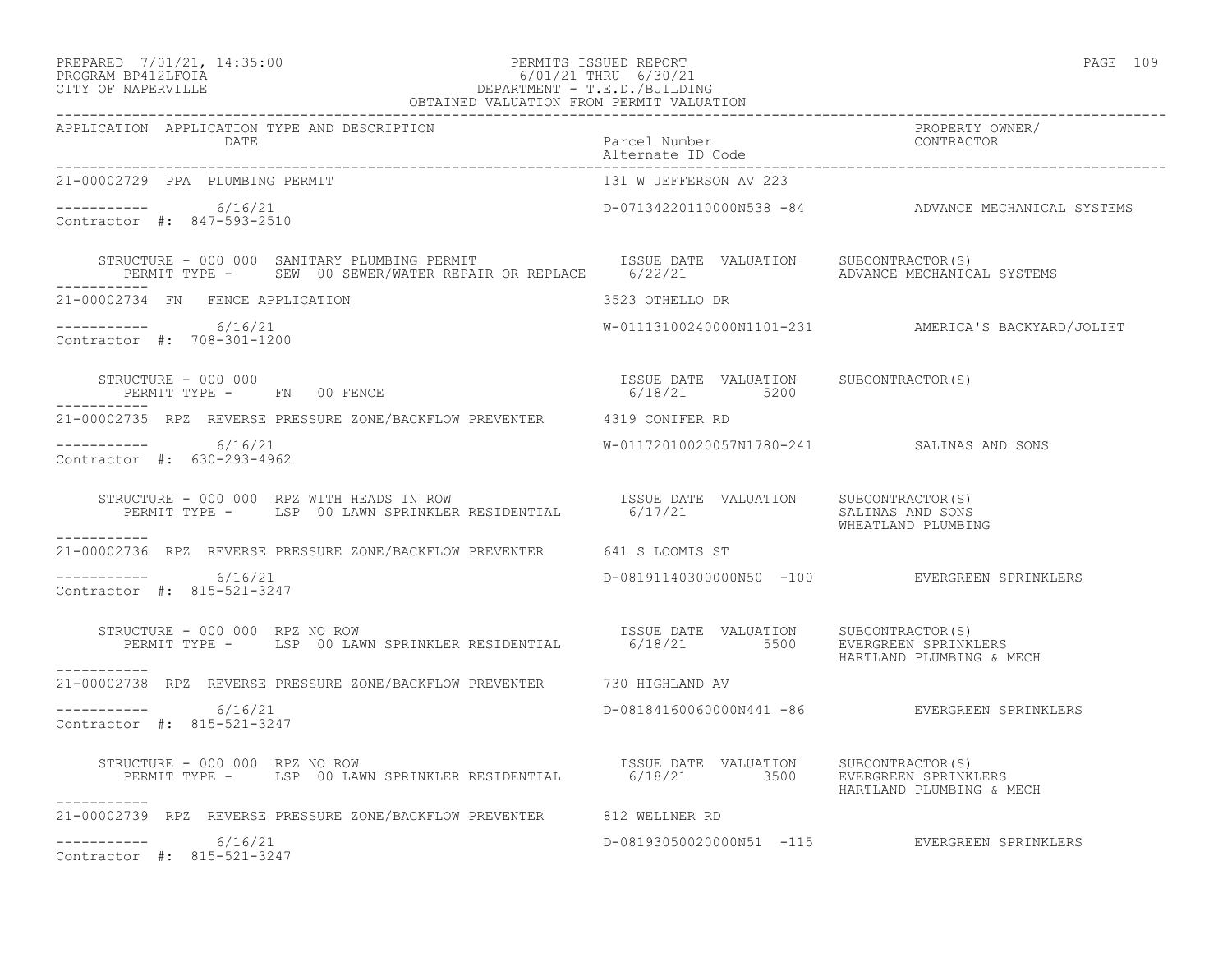# PREPARED 7/01/21, 14:35:00 PERMITS ISSUED REPORT PAGE 109 PROGRAM BP412LFOIA 6/01/21 THRU 6/30/21 CITY OF NAPERVILLE DEPARTMENT - T.E.D./BUILDING

| OBTAINED VALUATION FROM PERMIT VALUATION                                                                                                                                                                                          |                                                       |                                                     |  |
|-----------------------------------------------------------------------------------------------------------------------------------------------------------------------------------------------------------------------------------|-------------------------------------------------------|-----------------------------------------------------|--|
| APPLICATION APPLICATION TYPE AND DESCRIPTION<br>DATE                                                                                                                                                                              | Parcel Number<br>Alternate ID Code and CONTRACTOR     | PROPERTY OWNER/                                     |  |
| 21-00002729 PPA PLUMBING PERMIT                                                                                                                                                                                                   | 131 W JEFFERSON AV 223                                |                                                     |  |
| $-$ - - - - - - - - 6/16/21<br>Contractor #: 847-593-2510                                                                                                                                                                         |                                                       | D-07134220110000N538 -84 ADVANCE MECHANICAL SYSTEMS |  |
| STRUCTURE - 000 000 SANITARY PLUMBING PERMIT                       ISSUE DATE VALUATION     SUBCONTRACTOR(S)<br>PERMIT TYPE -     SEW 00 SEWER/WATER REPAIR OR REPLACE      6/22/21                        ADVANCE MECHANICAL SYS |                                                       |                                                     |  |
| 21-00002734 FN FENCE APPLICATION                                                                                                                                                                                                  | 3523 OTHELLO DR                                       |                                                     |  |
| $--------- 6/16/21$<br>Contractor #: 708-301-1200                                                                                                                                                                                 |                                                       | W-01113100240000N1101-231 AMERICA'S BACKYARD/JOLIET |  |
| STRUCTURE - 000 000<br>PERMIT TYPE - FN 00 FENCE                                                                                                                                                                                  | ISSUE DATE VALUATION SUBCONTRACTOR(S)<br>6/18/21 5200 |                                                     |  |
| 21-00002735 RPZ REVERSE PRESSURE ZONE/BACKFLOW PREVENTER 4319 CONIFER RD                                                                                                                                                          |                                                       |                                                     |  |
| $--------$ 6/16/21<br>Contractor #: 630-293-4962                                                                                                                                                                                  | W-01172010020057N1780-241 SALINAS AND SONS            |                                                     |  |
| STRUCTURE - 000 000 RPZ WITH HEADS IN ROW<br>PERMIT TYPE - LSP 00 LAWN SPRINKLER RESIDENTIAL 6/17/21 SALUATION SALINAS AND SONS                                                                                                   |                                                       | WHEATLAND PLUMBING                                  |  |
| 21-00002736 RPZ REVERSE PRESSURE ZONE/BACKFLOW PREVENTER 641 S LOOMIS ST                                                                                                                                                          |                                                       |                                                     |  |
| ----------- 6/16/21<br>Contractor #: 815-521-3247                                                                                                                                                                                 |                                                       | D-08191140300000N50 -100 EVERGREEN SPRINKLERS       |  |
| STRUCTURE - 000 000 RPZ NO ROW<br>PERMIT TYPE - LSP 00 LAWN SPRINKLER RESIDENTIAL 6/18/21 5500 EVERGREEN SPRINKLERS<br>STRUCTURE - 000 000 RPZ NO ROW<br>------------                                                             |                                                       | HARTLAND PLUMBING & MECH                            |  |
| 21-00002738 RPZ REVERSE PRESSURE ZONE/BACKFLOW PREVENTER 6730 HIGHLAND AV                                                                                                                                                         |                                                       |                                                     |  |
| ----------- 6/16/21<br>Contractor #: 815-521-3247                                                                                                                                                                                 |                                                       | D-08184160060000N441 -86 EVERGREEN SPRINKLERS       |  |
| STRUCTURE - 000 000 RPZ NO ROW                                                                                                                                                                                                    |                                                       | HARTLAND PLUMBING & MECH                            |  |
| 21-00002739 RPZ REVERSE PRESSURE ZONE/BACKFLOW PREVENTER 612 WELLNER RD                                                                                                                                                           |                                                       |                                                     |  |
| $-$ --------- $6/16/21$<br>Contractor #: 815-521-3247                                                                                                                                                                             |                                                       | D-08193050020000N51 -115 EVERGREEN SPRINKLERS       |  |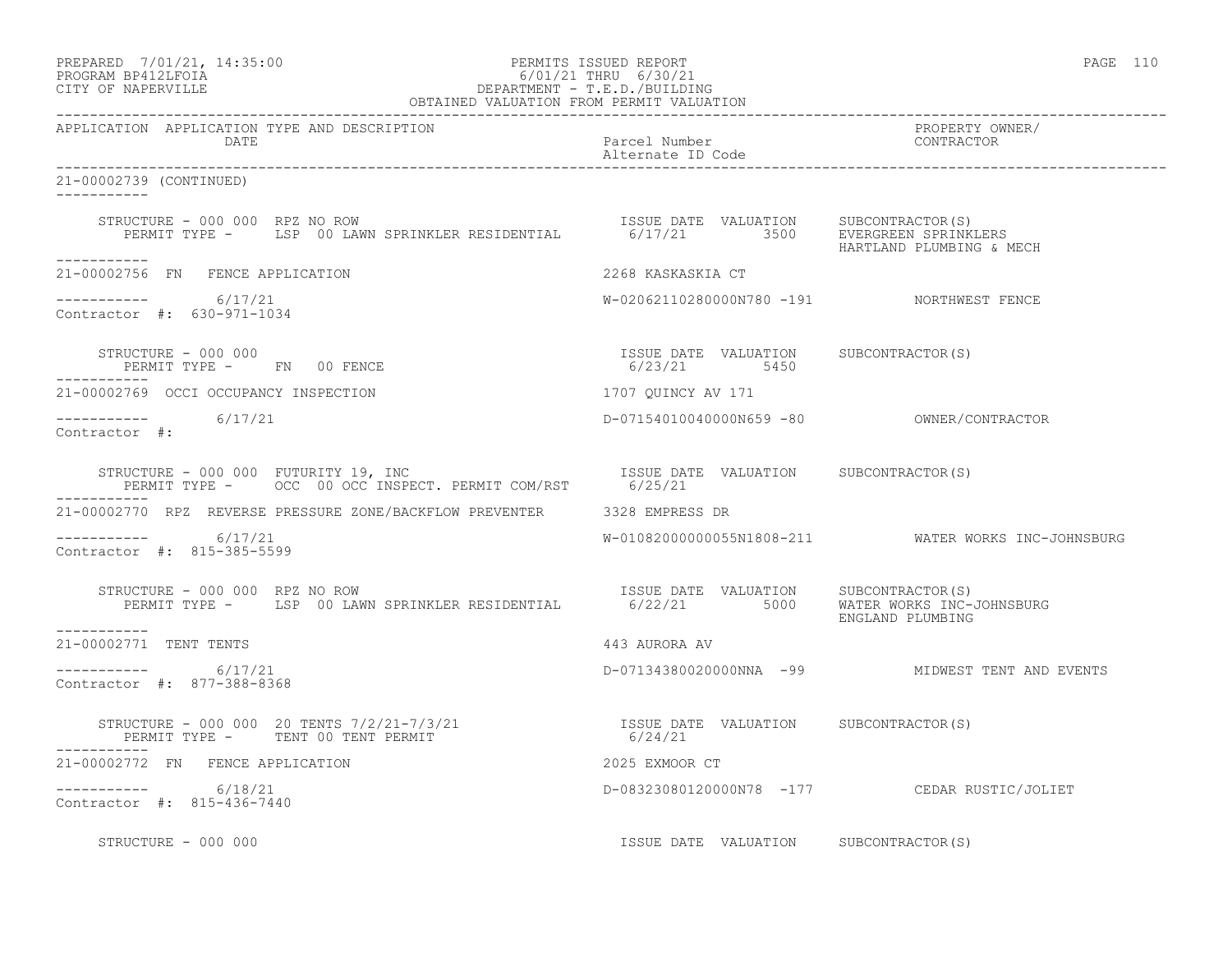| PREPARED             | 7/01/21, 14:35:00 |
|----------------------|-------------------|
| גדמת זרונתם וגנסמספם |                   |

# PREPARED 7/01/21, 14:35:00 PERMITS ISSUED REPORT<br>PROGRAM BP412LFOIA PAGE 110 PROGRAM BP412LFOIA 6/01/21 THRU 6/30/21 CITY OF NAPERVILLE DEPARTMENT - T.E.D./BUILDING

| OBTAINED VALUATION FROM PERMIT VALUATION                                                                                                                                                                    |                                                       |                                                     |  |
|-------------------------------------------------------------------------------------------------------------------------------------------------------------------------------------------------------------|-------------------------------------------------------|-----------------------------------------------------|--|
| APPLICATION APPLICATION TYPE AND DESCRIPTION<br>DATE                                                                                                                                                        | Parcel Number<br>Alternate ID Code                    | PROPERTY OWNER/<br>CONTRACTOR                       |  |
| 21-00002739 (CONTINUED)<br>___________                                                                                                                                                                      |                                                       |                                                     |  |
| STRUCTURE - 000 000 RPZ NO ROW SPRINKLER RESIDENTIAL TSSUE DATE VALUATION SUBCONTRACTOR(S)<br>PERMIT TYPE - LSP 00 LAWN SPRINKLER RESIDENTIAL 6/17/21 3500 EVERGREEN SPRINKLERS<br>HARTLAND PLUMBING & MECH |                                                       |                                                     |  |
| ___________<br>21-00002756 FN FENCE APPLICATION                                                                                                                                                             | 2268 KASKASKIA CT                                     |                                                     |  |
| -----------     6/17/21<br>Contractor #: 630-971-1034                                                                                                                                                       | W-02062110280000N780 -191 NORTHWEST FENCE             |                                                     |  |
| STRUCTURE - 000 000<br>PERMIT TYPE - FN 00 FENCE                                                                                                                                                            | ISSUE DATE VALUATION SUBCONTRACTOR(S)<br>6/23/21 5450 |                                                     |  |
| 21-00002769 OCCI OCCUPANCY INSPECTION 1707 QUINCY AV 171                                                                                                                                                    |                                                       |                                                     |  |
| ----------- 6/17/21<br>Contractor #:                                                                                                                                                                        |                                                       |                                                     |  |
| STRUCTURE - 000 000 FUTURITY 19, INC<br>PERMIT TYPE - OCC 00 OCC INSPECT. PERMIT COM/RST 6/25/21<br>STRUCTURE - 000 000 FUTURITY 19, INC                                                                    |                                                       |                                                     |  |
| 21-00002770 RPZ REVERSE PRESSURE ZONE/BACKFLOW PREVENTER 3328 EMPRESS DR                                                                                                                                    |                                                       |                                                     |  |
| ----------- 6/17/21<br>Contractor #: 815-385-5599                                                                                                                                                           |                                                       | W-01082000000055N1808-211 WATER WORKS INC-JOHNSBURG |  |
| NUCTURE - 000 000 RPZ NO ROW<br>PERMIT TYPE - LSP 00 LAWN SPRINKLER RESIDENTIAL 6/22/21 5000 MATER WORKS INC-JOHNSBURG<br>STRUCTURE - 000 000 RPZ NO ROW                                                    |                                                       | ENGLAND PLUMBING                                    |  |
| ___________<br>21-00002771 TENT TENTS                                                                                                                                                                       | 443 AURORA AV                                         |                                                     |  |
| $--------- 6/17/21$<br>Contractor #: 877-388-8368                                                                                                                                                           |                                                       | D-07134380020000NNA -99 MIDWEST TENT AND EVENTS     |  |
| STRUCTURE – 000 000 20 TENTS $7/2/21 - 7/3/21$<br>PERMIT TYPE – TENT 00 TENT PERMIT – 6/24/21                                                                                                               |                                                       |                                                     |  |
| 21-00002772 FN FENCE APPLICATION                                                                                                                                                                            | 2025 EXMOOR CT                                        |                                                     |  |
| $--------- 6/18/21$<br>Contractor #: 815-436-7440                                                                                                                                                           |                                                       | D-08323080120000N78 -177 CEDAR RUSTIC/JOLIET        |  |
| STRUCTURE - 000 000                                                                                                                                                                                         | ISSUE DATE VALUATION SUBCONTRACTOR(S)                 |                                                     |  |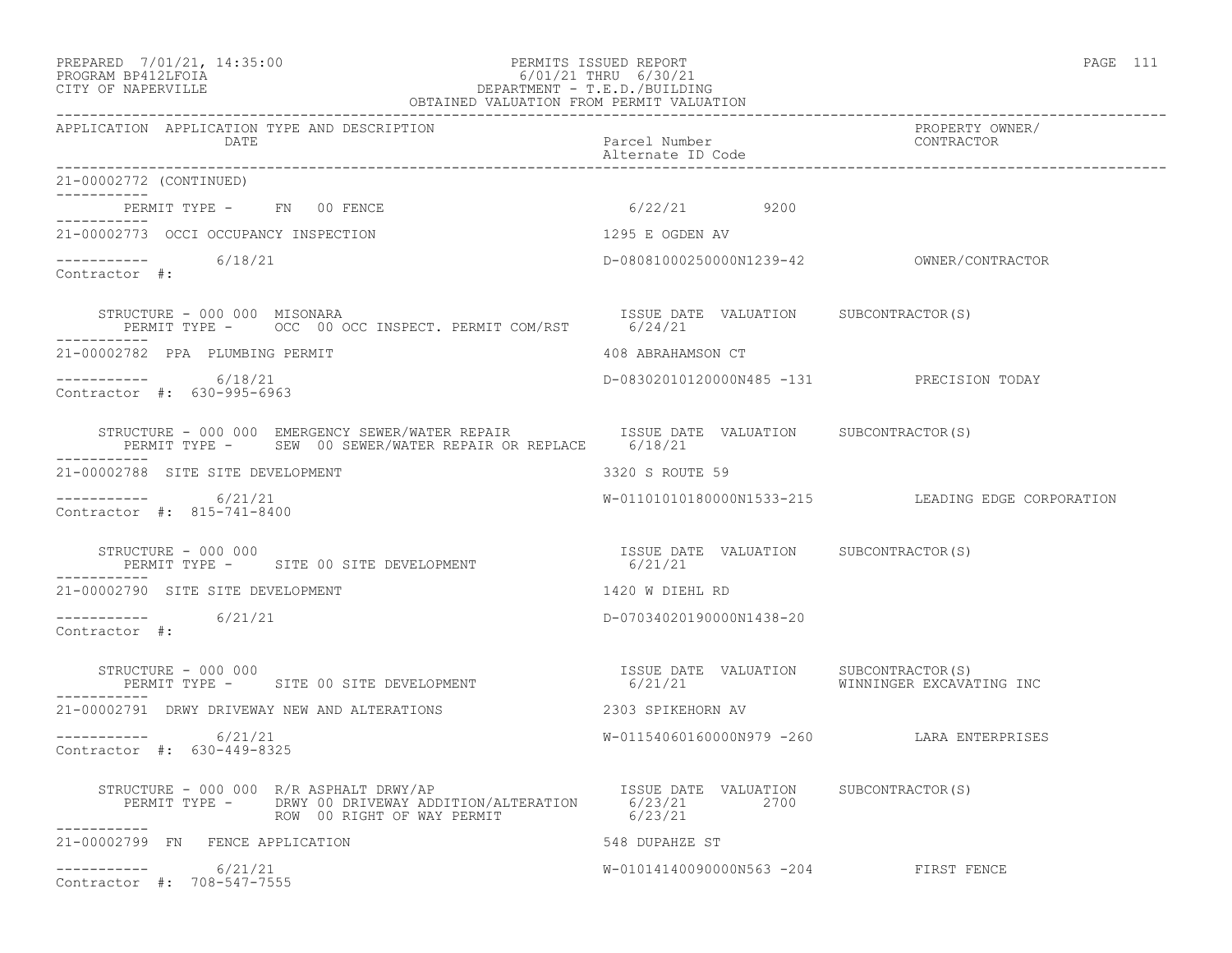### PREPARED 7/01/21, 14:35:00 PERMITS ISSUED REPORT PAGE 111 PROGRAM BP412LFOIA 6/01/21 THRU 6/30/21 CITY OF NAPERVILLE DEPARTMENT - T.E.D./BUILDING OBTAINED VALUATION FROM PERMIT VALUATION

------------------------------------------------------------------------------------------------------------------------------------ APPLICATION APPLICATION TYPE AND DESCRIPTION PROPERTY OWNER/ DATE Parcel Number Alternate ID Code ------------------------------------------------------------------------------------------------------------------------------------ 21-00002772 (CONTINUED) ----------- PERMIT TYPE - FN 00 FENCE 6/22/21 9200 ----------- 21-00002773 OCCI OCCUPANCY INSPECTION 1295 E OGDEN AV ----------- 6/18/21 ----------- 6/18/21 D-08081000250000N1239-42 OWNER/CONTRACTOR Contractor #: STRUCTURE - 000 000 MISONARA ISSUE DATE VALUATION SUBCONTRACTOR(S) PERMIT TYPE - OCC 00 OCC INSPECT. PERMIT COM/RST 6/24/21 ----------- 21-00002782 PPA PLUMBING PERMIT 408 ABRAHAMSON CT ----------- 6/18/21 D-08302010120000N485 -131 PRECISION TODAY Contractor #: 630-995-6963 STRUCTURE - 000 000 EMERGENCY SEWER/WATER REPAIR **ISSUE DATE VALUATION** SUBCONTRACTOR(S) PERMIT TYPE - SEW 00 SEWER/WATER REPAIR OR REPLACE 6/18/21 ----------- 21-00002788 SITE SITE DEVELOPMENT 3320 S ROUTE 59 ----------- 6/21/21 W-01101010180000N1533-215 LEADING EDGE CORPORATION Contractor #: 815-741-8400 STRUCTURE - 000 000<br>
PERMIT TYPE - SITE 00 SITE DEVELOPMENT 6/21/21<br>
FERMIT TYPE - SITE 00 SITE DEVELOPMENT 6/21/21 PERMIT TYPE - SITE 00 SITE DEVELOPMENT ----------- 21-00002790 SITE SITE DEVELOPMENT 1420 W DIEHL RD ----------- 6/21/21 D-07034020190000N1438-20 Contractor #: STRUCTURE - 000 000 ISSUE DATE VALUATION SUBCONTRACTOR(S) PERMIT TYPE - SITE 00 SITE DEVELOPMENT 6/21/21 ----------- 21-00002791 DRWY DRIVEWAY NEW AND ALTERATIONS 2303 SPIKEHORN AV ----------- 6/21/21 W-01154060160000N979 -260 LARA ENTERPRISES Contractor #: 630-449-8325 STRUCTURE - 000 000 R/R ASPHALT DRWY/AP ISSUE DATE VALUATION SUBCONTRACTOR(S) PERMIT TYPE - DRWY 00 DRIVEWAY ADDITION/ALTERATION 6/23/21 2700 ROW 00 RIGHT OF WAY PERMIT 6/23/21 ----------- 21-00002799 FN FENCE APPLICATION 548 DUPAHZE ST  $--------- 6/21/21$ W-01014140090000N563 -204 FIRST FENCE Contractor #: 708-547-7555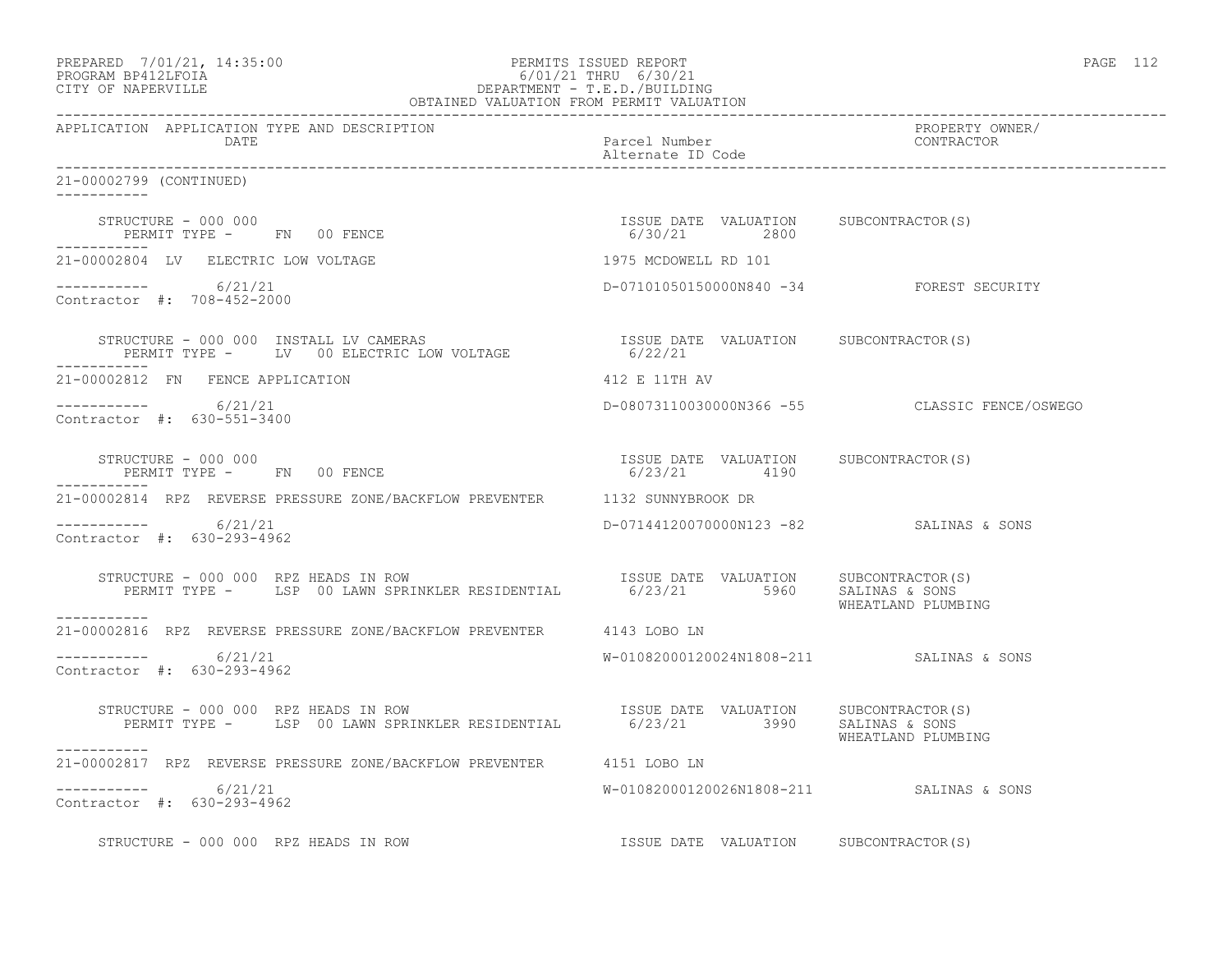| PREPARED 7/01/21, 14:35:00 | PERMITS ISSUED REPORT     | 112<br>PAGE<br>---- |
|----------------------------|---------------------------|---------------------|
| גדמה זמנומת ווגמממת        | $C/01/01$ munit $C/00/01$ |                     |

# PROGRAM BP412LFOIA 6/01/21 THRU 6/30/21 CITY OF NAPERVILLE DEPARTMENT - T.E.D./BUILDING OBTAINED VALUATION FROM PERMIT VALUATION

------------------------------------------------------------------------------------------------------------------------------------ APPLICATION APPLICATION TYPE AND DESCRIPTION PROPERTY OWNER/ DATE DATE Parcel Number<br>
Alternate ID Code Alternate ID Code ------------------------------------------------------------------------------------------------------------------------------------ 21-00002799 (CONTINUED) ----------- STRUCTURE - 000 000 ISSUE DATE VALUATION SUBCONTRACTOR(S) PERMIT TYPE - FN 00 FENCE ----------- 21-00002804 LV ELECTRIC LOW VOLTAGE 1975 MCDOWELL RD 101 ----------- 6/21/21 D-07101050150000N840 -34 FOREST SECURITY Contractor #: 708-452-2000 STRUCTURE - 000 000 INSTALL LV CAMERAS ISSUE DATE VALUATION SUBCONTRACTOR(S) PERMIT TYPE - LV 00 ELECTRIC LOW VOLTAGE 6/22/21 ----------- 21-00002812 FN FENCE APPLICATION 412 E 11TH AV ----------- 6/21/21 D-08073110030000N366 -55 CLASSIC FENCE/OSWEGO Contractor #: 630-551-3400 STRUCTURE - 000 000 ISSUE DATE VALUATION SUBCONTRACTOR(S) PERMIT TYPE - FN 00 FENCE ----------- 21-00002814 RPZ REVERSE PRESSURE ZONE/BACKFLOW PREVENTER 1132 SUNNYBROOK DR ----------- 6/21/21 D-07144120070000N123 -82 SALINAS & SONS Contractor #: 630-293-4962 STRUCTURE - 000 000 RPZ HEADS IN ROW ISSUE DATE VALUATION SUBCONTRACTOR(S) PERMIT TYPE - LSP 00 LAWN SPRINKLER RESIDENTIAL 6/23/21 5960 SALINAS & SONS WHEATLAND PLUMBING ----------- 21-00002816 RPZ REVERSE PRESSURE ZONE/BACKFLOW PREVENTER 4143 LOBO LN \_\_\_\_\_\_\_\_\_\_\_ ----------- 6/21/21 W-01082000120024N1808-211 SALINAS & SONS Contractor #: 630-293-4962 STRUCTURE - 000 000 RPZ HEADS IN ROW ISSUE DATE VALUATION SUBCONTRACTOR(S) PERMIT TYPE - LSP 00 LAWN SPRINKLER RESIDENTIAL 6/23/21 3990 SALINAS & SONS WHEATLAND PLUMBING ----------- 21-00002817 RPZ REVERSE PRESSURE ZONE/BACKFLOW PREVENTER 4151 LOBO LN  $--------- 6/21/21$ W-01082000120026N1808-211 SALINAS & SONS Contractor #: 630-293-4962 STRUCTURE - 000 000 RPZ HEADS IN ROW ISSUE DATE VALUATION SUBCONTRACTOR(S)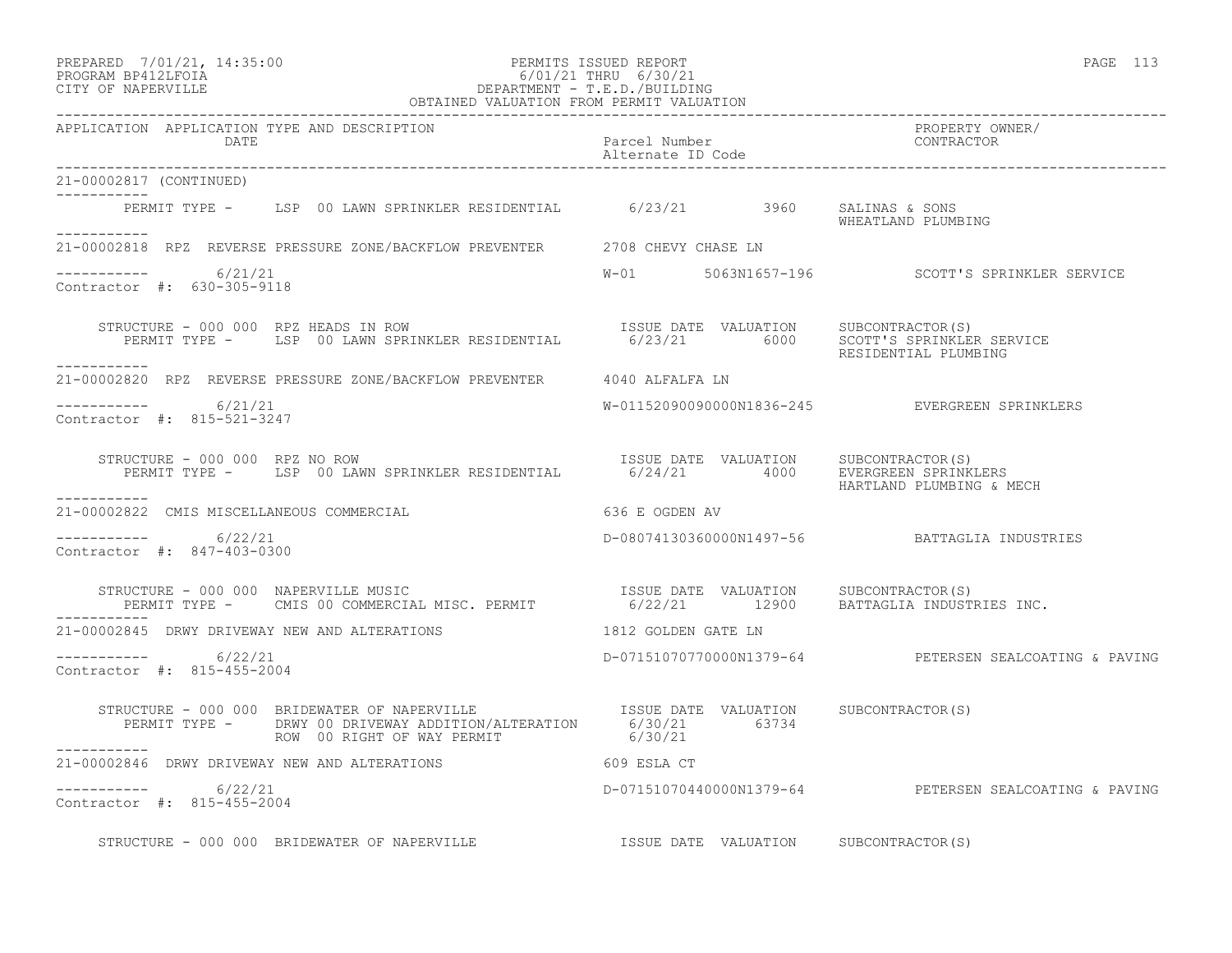### PREPARED 7/01/21, 14:35:00 PERMITS ISSUED REPORT PAGE 113 PROGRAM BP412LFOIA 6/01/21 THRU 6/30/21 CITY OF NAPERVILLE DEPARTMENT - T.E.D./BUILDING

| OBTAINED VALUATION FROM PERMIT VALUATION                                                                                                                                                                        |                                       |                                                        |
|-----------------------------------------------------------------------------------------------------------------------------------------------------------------------------------------------------------------|---------------------------------------|--------------------------------------------------------|
| APPLICATION APPLICATION TYPE AND DESCRIPTION<br>DATE                                                                                                                                                            | Parcel Number<br>Alternate ID Code    | PROPERTY OWNER/<br>CONTRACTOR                          |
| 21-00002817 (CONTINUED)                                                                                                                                                                                         |                                       |                                                        |
| PERMIT TYPE - LSP 00 LAWN SPRINKLER RESIDENTIAL 6/23/21 3960 SALINAS & SONS<br>___________                                                                                                                      |                                       | WHEATLAND PLUMBING                                     |
| 21-00002818 RPZ REVERSE PRESSURE ZONE/BACKFLOW PREVENTER 2708 CHEVY CHASE LN                                                                                                                                    |                                       |                                                        |
| $--------- 6/21/21$<br>Contractor #: 630-305-9118                                                                                                                                                               |                                       | W-01 5063N1657-196 SCOTT'S SPRINKLER SERVICE           |
| STRUCTURE - 000 000 RPZ HEADS IN ROW<br>PERMIT TYPE - LSP 00 LAWN SPRINKLER RESIDENTIAL 6/23/21 6000 SCOTT'S SPRINKLER SERVICE<br>RESIDENTIAL PLUMBING<br>-----------                                           |                                       |                                                        |
| 21-00002820 RPZ REVERSE PRESSURE ZONE/BACKFLOW PREVENTER 4040 ALFALFA LN                                                                                                                                        |                                       |                                                        |
| $--------- 6/21/21$<br>Contractor #: 815-521-3247                                                                                                                                                               |                                       | W-01152090090000N1836-245 EVERGREEN SPRINKLERS         |
| STRUCTURE - 000 000 RPZ NO ROW<br>PERMIT TYPE - LSP 00 LAWN SPRINKLER RESIDENTIAL 6/24/21 4000 EVERGREEN SPRINKLERS<br>STRUCTURE - 000 000 RPZ NO ROW<br>-----------                                            |                                       | HARTLAND PLUMBING & MECH                               |
| 636 E OGDEN AV<br>21-00002822 CMIS MISCELLANEOUS COMMERCIAL                                                                                                                                                     |                                       |                                                        |
| -----------     6/22/21<br>Contractor #: 847-403-0300                                                                                                                                                           |                                       | D-08074130360000N1497-56 BATTAGLIA INDUSTRIES          |
| STRUCTURE - 000 000 NAPERVILLE MUSIC<br>PERMIT TYPE - CMIS 00 COMMERCIAL MISC. PERMIT                 6/22/21      12900   BATTAGLIA INDUSTRIES INC.<br>STRUCTURE - 000 000 NAPERVILLE MUSIC                    |                                       |                                                        |
| 21-00002845 DRWY DRIVEWAY NEW AND ALTERATIONS                                                                                                                                                                   | 1812 GOLDEN GATE LN                   |                                                        |
| $--------- 6/22/21$<br>Contractor #: 815-455-2004                                                                                                                                                               |                                       | D-07151070770000N1379-64 PETERSEN SEALCOATING & PAVING |
| STRUCTURE - 000 000 BRIDEWATER OF NAPERVILLE <b>STATE SERVE SOME SUBE SUBE SUBCONTRACTOR(S)</b><br>PERMIT TYPE - DRWY 00 DRIVEWAY ADDITION/ALTERATION 6/30/21 63734<br>ROW 00 RIGHT OF WAY PERMIT 6/30/21 63734 |                                       |                                                        |
| 21-00002846 DRWY DRIVEWAY NEW AND ALTERATIONS 609 ESLA CT                                                                                                                                                       |                                       |                                                        |
| $--------- 6/22/21$<br>Contractor #: 815-455-2004                                                                                                                                                               |                                       | D-07151070440000N1379-64 PETERSEN SEALCOATING & PAVING |
| STRUCTURE - 000 000 BRIDEWATER OF NAPERVILLE                                                                                                                                                                    | ISSUE DATE VALUATION SUBCONTRACTOR(S) |                                                        |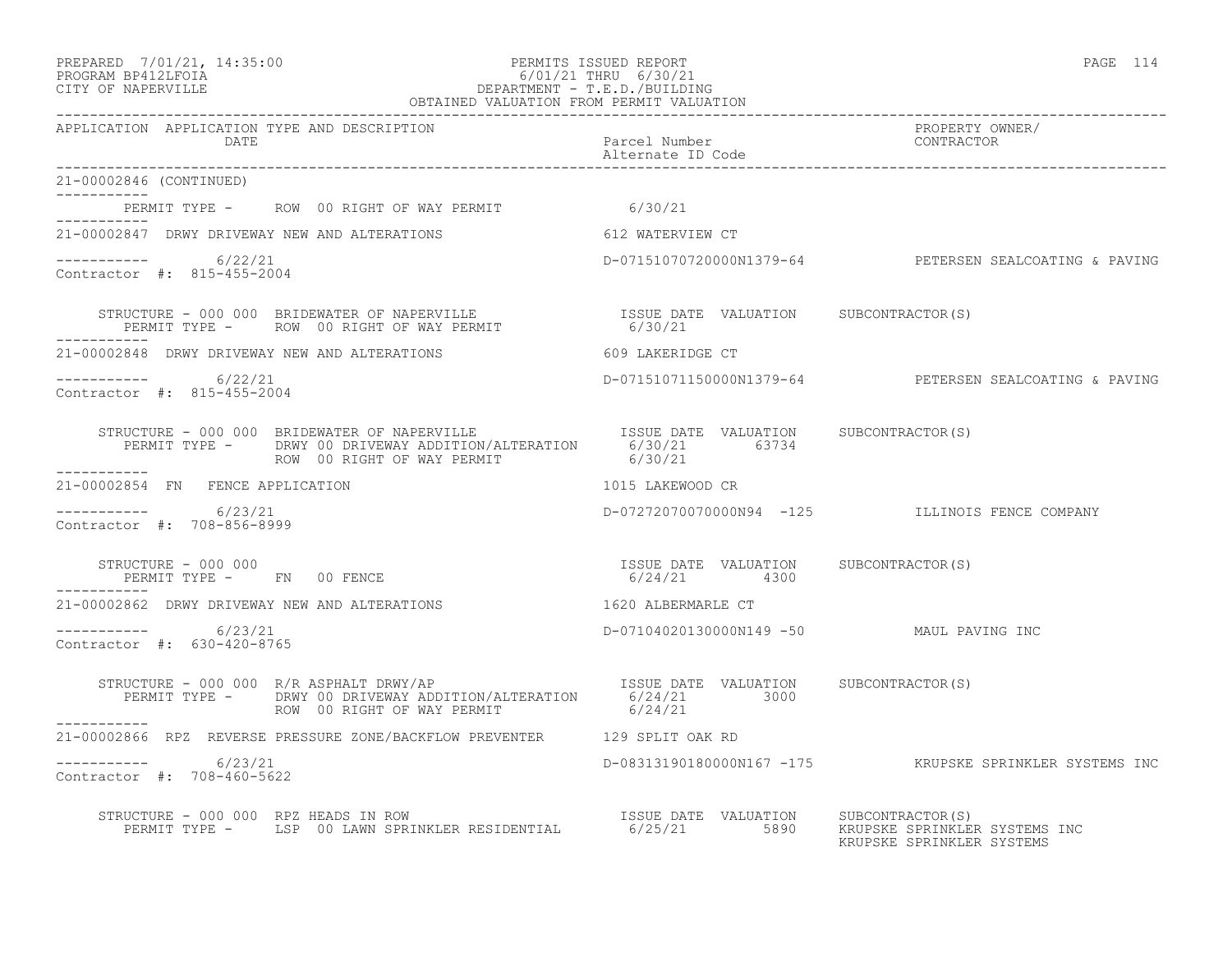# PREPARED 7/01/21, 14:35:00 PERMITS ISSUED REPORT PAGE 114 PROGRAM BP412LFOIA 6/01/21 THRU 6/30/21 CITY OF NAPERVILLE DEPARTMENT - T.E.D./BUILDING

| OBTAINED VALUATION FROM PERMIT VALUATION                                                                                                                                                                                                                                                                                                                  |                                          |                                                            |  |
|-----------------------------------------------------------------------------------------------------------------------------------------------------------------------------------------------------------------------------------------------------------------------------------------------------------------------------------------------------------|------------------------------------------|------------------------------------------------------------|--|
| APPLICATION APPLICATION TYPE AND DESCRIPTION<br>DATE                                                                                                                                                                                                                                                                                                      | Parcel Number<br>Alternate ID Code       | PROPERTY OWNER/<br>CONTRACTOR                              |  |
| 21-00002846 (CONTINUED)                                                                                                                                                                                                                                                                                                                                   |                                          |                                                            |  |
| PERMIT TYPE -     ROW  00 RIGHT OF WAY PERMIT                           6/30/21<br>----------                                                                                                                                                                                                                                                             |                                          |                                                            |  |
| 21-00002847 DRWY DRIVEWAY NEW AND ALTERATIONS 612 WATERVIEW CT                                                                                                                                                                                                                                                                                            |                                          |                                                            |  |
| -----------     6/22/21<br>Contractor #: 815-455-2004                                                                                                                                                                                                                                                                                                     |                                          | D-07151070720000N1379-64 PETERSEN SEALCOATING & PAVING     |  |
| STRUCTURE – 000 000 BRIDEWATER OF NAPERVILLE $$\sf$ ISSUE DATE VALUATION SUBCONTRACTOR(S) PERMIT TYPE $-$ ROW 00 RIGHT OF WAY PERMIT $$\sf 6/30/21$$                                                                                                                                                                                                      |                                          |                                                            |  |
| 21-00002848 DRWY DRIVEWAY NEW AND ALTERATIONS THE RESERVED SOLUTIONS CT                                                                                                                                                                                                                                                                                   |                                          |                                                            |  |
| ---------     6/22/21<br>Contractor #: 815-455-2004                                                                                                                                                                                                                                                                                                       |                                          | D-07151071150000N1379-64 PETERSEN SEALCOATING & PAVING     |  |
| STRUCTURE - 000 000 BRIDEWATER OF NAPERVILLE TSSUE DATE VALUATION SUBCONTRACTOR(S)<br>PERMIT TYPE - DRWY 00 DRIVEWAY ADDITION/ALTERATION 6/30/21 63734<br>ROW 00 RIGHT OF WAY PERMIT 6/30/21                                                                                                                                                              |                                          |                                                            |  |
| ------------<br>21-00002854 FN FENCE APPLICATION                                                                                                                                                                                                                                                                                                          | 1015 LAKEWOOD CR                         |                                                            |  |
| $--------$ 6/23/21<br>Contractor #: 708-856-8999                                                                                                                                                                                                                                                                                                          |                                          | D-07272070070000N94 -125 ILLINOIS FENCE COMPANY            |  |
| $\begin{array}{cccc} \texttt{STRUCTURE} & - & 000 & 000 \\ \texttt{PERMIT TYPE} & - & \texttt{FN} & 00 & \texttt{FENCE} \\ \end{array} \qquad \begin{array}{cccc} \texttt{TSSUE} & \texttt{DATE} & \texttt{VALUATION} \\ & 6/24/21 & 4300 \\ \end{array} \qquad \begin{array}{cccc} \texttt{SUECOMTRACTOR(S)} & \texttt{SUECONTRACTOR(S)} \\ \end{array}$ |                                          |                                                            |  |
| 21-00002862 DRWY DRIVEWAY NEW AND ALTERATIONS                                                                                                                                                                                                                                                                                                             | 1620 ALBERMARLE CT                       |                                                            |  |
| -----------    6/23/21<br>Contractor #: 630-420-8765                                                                                                                                                                                                                                                                                                      | D-07104020130000N149 -50 MAUL PAVING INC |                                                            |  |
| STRUCTURE - 000 000 R/R ASPHALT DRWY/AP<br>PERMIT TYPE - DRWY 00 DRIVEWAY ADDITION/ALTERATION 6/24/21 3000<br>ROW 00 RIGHT OF WAY PERMIT 6/24/21                                                                                                                                                                                                          |                                          |                                                            |  |
| ------------<br>21-00002866 RPZ REVERSE PRESSURE ZONE/BACKFLOW PREVENTER 129 SPLIT OAK RD                                                                                                                                                                                                                                                                 |                                          |                                                            |  |
| $--------- 6/23/21$<br>Contractor #: 708-460-5622                                                                                                                                                                                                                                                                                                         |                                          |                                                            |  |
| STRUCTURE - 000 000 RPZ HEADS IN ROW<br>PERMIT TYPE - LSP 00 LAWN SPRINKLER RESIDENTIAL 6/25/21 5890 KRUPSKE SPRINKLER                                                                                                                                                                                                                                    |                                          | KRUPSKE SPRINKLER SYSTEMS INC<br>KRUPSKE SPRINKLER SYSTEMS |  |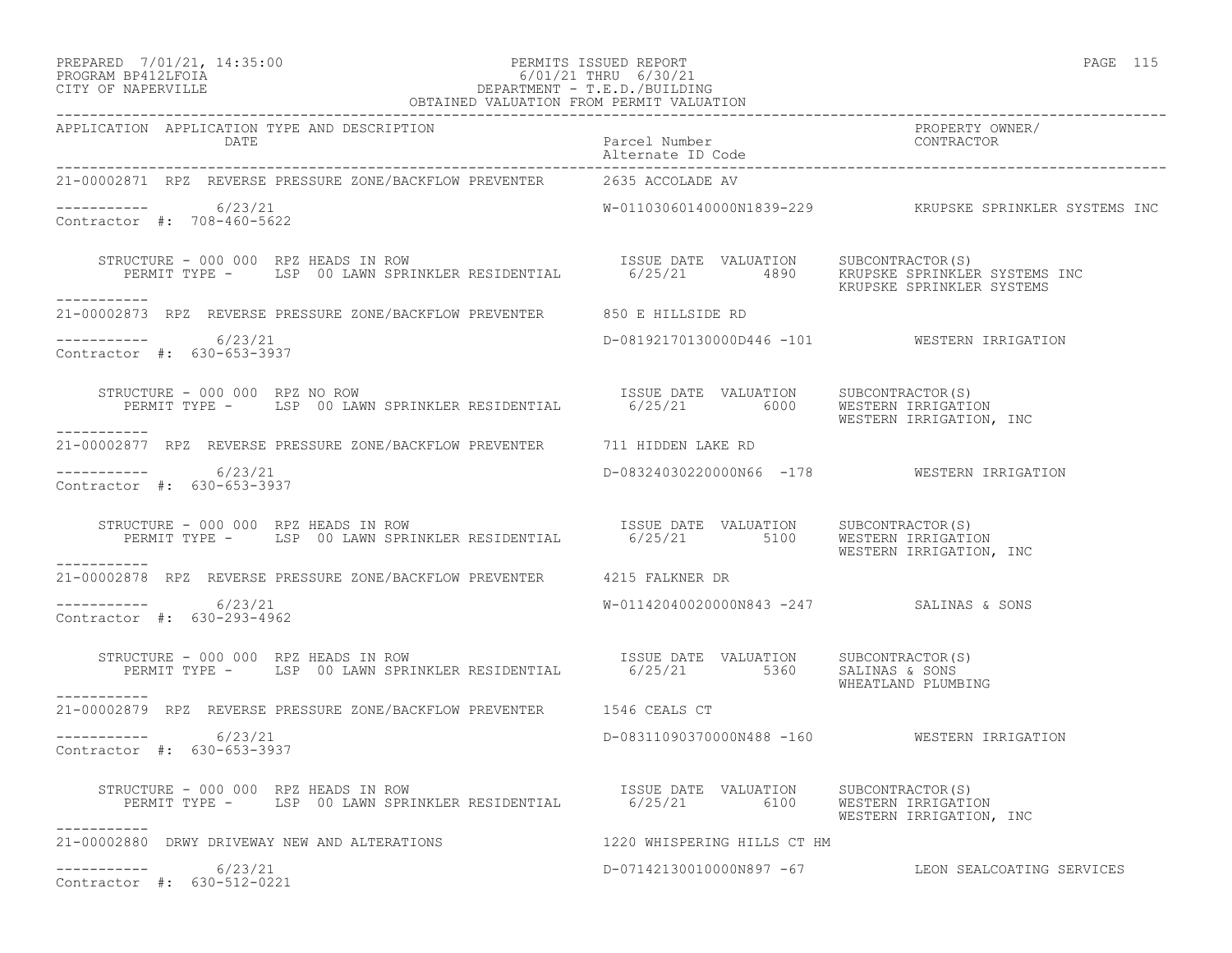## PREPARED 7/01/21, 14:35:00 PERMITS ISSUED REPORT PAGE 115 PROGRAM BP412LFOIA 6/01/21 THRU 6/30/21 CITY OF NAPERVILLE CHARGES OF DEPARTMENT - T.E.D./BUILDING

| OBTAINED VALUATION FROM PERMIT VALUATION                                                                                                                                                                                                                                          |                                              |                                                         |  |
|-----------------------------------------------------------------------------------------------------------------------------------------------------------------------------------------------------------------------------------------------------------------------------------|----------------------------------------------|---------------------------------------------------------|--|
| APPLICATION APPLICATION TYPE AND DESCRIPTION<br>DATE DATE Parcel Number<br>"Alternate ID Code Alternate ID Code Alternate ID Code Alternate ID Code Alternate ID Code Alternate ID Code Alternate ID Code Alternate ID Code Alternate ID Code Alternate ID Code Alternate ID Code |                                              | PROPERTY OWNER/                                         |  |
| 21-00002871 RPZ REVERSE PRESSURE ZONE/BACKFLOW PREVENTER 2635 ACCOLADE AV                                                                                                                                                                                                         |                                              |                                                         |  |
| $--------- 6/23/21$<br>Contractor #: 708-460-5622                                                                                                                                                                                                                                 |                                              | W-01103060140000N1839-229 KRUPSKE SPRINKLER SYSTEMS INC |  |
| RUCTURE - 000 000 RPZ HEADS IN ROW NOW ISSUE DATE VALUATION SUBCONTRACTOR(S)<br>PERMIT TYPE - LSP 00 LAWN SPRINKLER RESIDENTIAL 6/25/21 4890 KRUPSKE SPRINKLER SYSTEMS INC<br>STRUCTURE - 000 000 RPZ HEADS IN ROW<br>-----------                                                 |                                              |                                                         |  |
| 21-00002873 RPZ REVERSE PRESSURE ZONE/BACKFLOW PREVENTER 650 E HILLSIDE RD                                                                                                                                                                                                        |                                              |                                                         |  |
| ---------- 6/23/21<br>Contractor #: 630-653-3937                                                                                                                                                                                                                                  |                                              | D-08192170130000D446 -101 WESTERN IRRIGATION            |  |
| FIRUCTURE - 000 000 RPZ NO ROW (SPRINKLER RESIDENTIAL TISSUE DATE VALUATION SUBCONTRACTOR<br>PERMIT TYPE - LSP 00 LAWN SPRINKLER RESIDENTIAL 6/25/21 6000 WESTERN IRRIGATION, INC<br>STRUCTURE - 000 000 RPZ NO ROW<br>------------                                               |                                              |                                                         |  |
| 21-00002877 RPZ REVERSE PRESSURE ZONE/BACKFLOW PREVENTER 711 HIDDEN LAKE RD                                                                                                                                                                                                       |                                              |                                                         |  |
| $--------- 6/23/21$<br>Contractor #: 630-653-3937                                                                                                                                                                                                                                 | D-08324030220000N66 -178 WESTERN IRRIGATION  |                                                         |  |
| STRUCTURE - 000 000 RPZ HEADS IN ROW<br>PERMIT TYPE - LSP 00 LAWN SPRINKLER RESIDENTIAL 6/25/21 5100 WESTERN IRRIGATION<br>WESTERN IRRIGATION, INC<br><u> Ludwaldulu Ludwa</u>                                                                                                    |                                              |                                                         |  |
| 21-00002878 RPZ REVERSE PRESSURE ZONE/BACKFLOW PREVENTER 4215 FALKNER DR                                                                                                                                                                                                          |                                              |                                                         |  |
| $--------- 6/23/21$<br>Contractor #: 630-293-4962                                                                                                                                                                                                                                 | W-01142040020000N843 -247 SALINAS & SONS     |                                                         |  |
| STRUCTURE - 000 000 RPZ HEADS IN ROW<br>PERMIT TYPE - LSP 00 LAWN SPRINKLER RESIDENTIAL 6/25/21 5360 SALLATION SUBCONTRACTOR(S)<br>-----------                                                                                                                                    |                                              | WHEATLAND PLUMBING                                      |  |
| 21-00002879 RPZ REVERSE PRESSURE ZONE/BACKFLOW PREVENTER 1546 CEALS CT                                                                                                                                                                                                            |                                              |                                                         |  |
| -----------     6/23/21<br>Contractor #: 630-653-3937                                                                                                                                                                                                                             | D-08311090370000N488 -160 WESTERN IRRIGATION |                                                         |  |
| EXAMPLE - 000 000 RPZ HEADS IN ROW TO SUBSUE DATE VALUATION SUBCONTRACTOR(S)<br>PERMIT TYPE - LSP 00 LAWN SPRINKLER RESIDENTIAL 6/25/21 6100 WESTERN IRRIGATION<br>STRUCTURE - 000 000 RPZ HEADS IN ROW                                                                           |                                              | WESTERN IRRIGATION, INC                                 |  |
| 21-00002880 DRWY DRIVEWAY NEW AND ALTERATIONS THE RELEASE RELEASE OF HILLS CT HM                                                                                                                                                                                                  |                                              |                                                         |  |
| $--------- 6/23/21$<br>Contractor #: 630-512-0221                                                                                                                                                                                                                                 |                                              | D-07142130010000N897 -67 LEON SEALCOATING SERVICES      |  |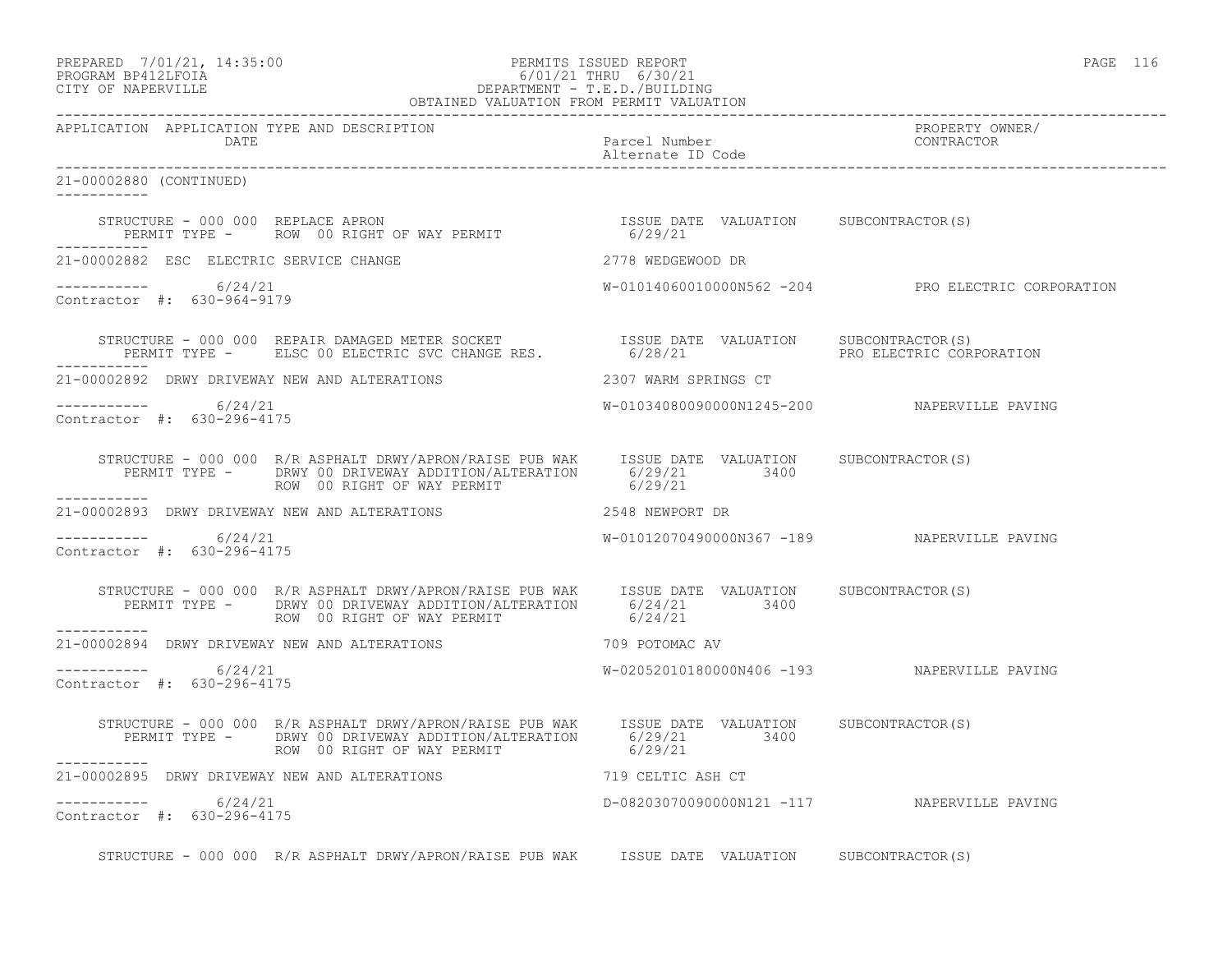### PREPARED 7/01/21, 14:35:00 PERMITS ISSUED REPORT PAGE 116 PROGRAM BP412LFOIA 6/01/21 THRU 6/30/21 CITY OF NAPERVILLE DEPARTMENT - T.E.D./BUILDING OBTAINED VALUATION FROM PERMIT VALUATION

------------------------------------------------------------------------------------------------------------------------------------ APPLICATION APPLICATION TYPE AND DESCRIPTION<br>DATE DATE DATE DATE Parcel Number CONTRACTOR Alternate ID Code ------------------------------------------------------------------------------------------------------------------------------------ 21-00002880 (CONTINUED) ----------- STRUCTURE - 000 000 REPLACE APRON ISSUE DATE VALUATION SUBCONTRACTOR(S) PERMIT TYPE - ROW 00 RIGHT OF WAY PERMIT 6/29/21 ----------- 21-00002882 ESC ELECTRIC SERVICE CHANGE 2778 WEDGEWOOD DR ----------- 6/24/21 W-01014060010000N562 -204 PRO ELECTRIC CORPORATION Contractor #: 630-964-9179 STRUCTURE - 000 000 REPAIR DAMAGED METER SOCKET TERMISSUE DATE VALUATION SUBCONTRACTOR(S) PERMIT TYPE - ELSC 00 ELECTRIC SVC CHANGE RES.  $6/28/21$  PRO ELECTRIC CORPORATION ----------- 21-00002892 DRWY DRIVEWAY NEW AND ALTERATIONS 2307 WARM SPRINGS CT ----------- 6/24/21 W-01034080090000N1245-200 NAPERVILLE PAVING Contractor #: 630-296-4175 STRUCTURE - 000 000 R/R ASPHALT DRWY/APRON/RAISE PUB WAK ISSUE DATE VALUATION SUBCONTRACTOR(S) PERMIT TYPE - DRWY 00 DRIVEWAY ADDITION/ALTERATION 6/29/21 3400 ROW 00 RIGHT OF WAY PERMIT 6/29/21 ----------- 21-00002893 DRWY DRIVEWAY NEW AND ALTERATIONS 2548 NEWPORT DR  $--------- 6/24/21$ ----------- 6/24/21 W-01012070490000N367 -189 NAPERVILLE PAVING Contractor #: 630-296-4175 STRUCTURE - 000 000 R/R ASPHALT DRWY/APRON/RAISE PUB WAK ISSUE DATE VALUATION SUBCONTRACTOR(S) PERMIT TYPE - DRWY 00 DRIVEWAY ADDITION/ALTERATION 6/24/21 3400<br>ROW 00 RIGHT OF WAY PERMIT 6/24/21 ROW 00 RIGHT OF WAY PERMIT ----------- 21-00002894 DRWY DRIVEWAY NEW AND ALTERATIONS 709 POTOMAC AV \_\_\_\_\_\_\_\_\_\_\_  $6/24/21$   $W-02052010180000N406 -193$  NAPERVILLE PAVING Contractor #: 630-296-4175 STRUCTURE - 000 000 R/R ASPHALT DRWY/APRON/RAISE PUB WAK ISSUE DATE VALUATION SUBCONTRACTOR(S) PERMIT TYPE - DRWY 00 DRIVEWAY ADDITION/ALTERATION 6/29/21 3400 ROW 00 RIGHT OF WAY PERMIT 6/29/21 ----------- 21-00002895 DRWY DRIVEWAY NEW AND ALTERATIONS **719 CELTIC ASH CT** ----------- 6/24/21 D-08203070090000N121 -117 NAPERVILLE PAVING Contractor #: 630-296-4175

STRUCTURE - 000 000 R/R ASPHALT DRWY/APRON/RAISE PUB WAK ISSUE DATE VALUATION SUBCONTRACTOR(S)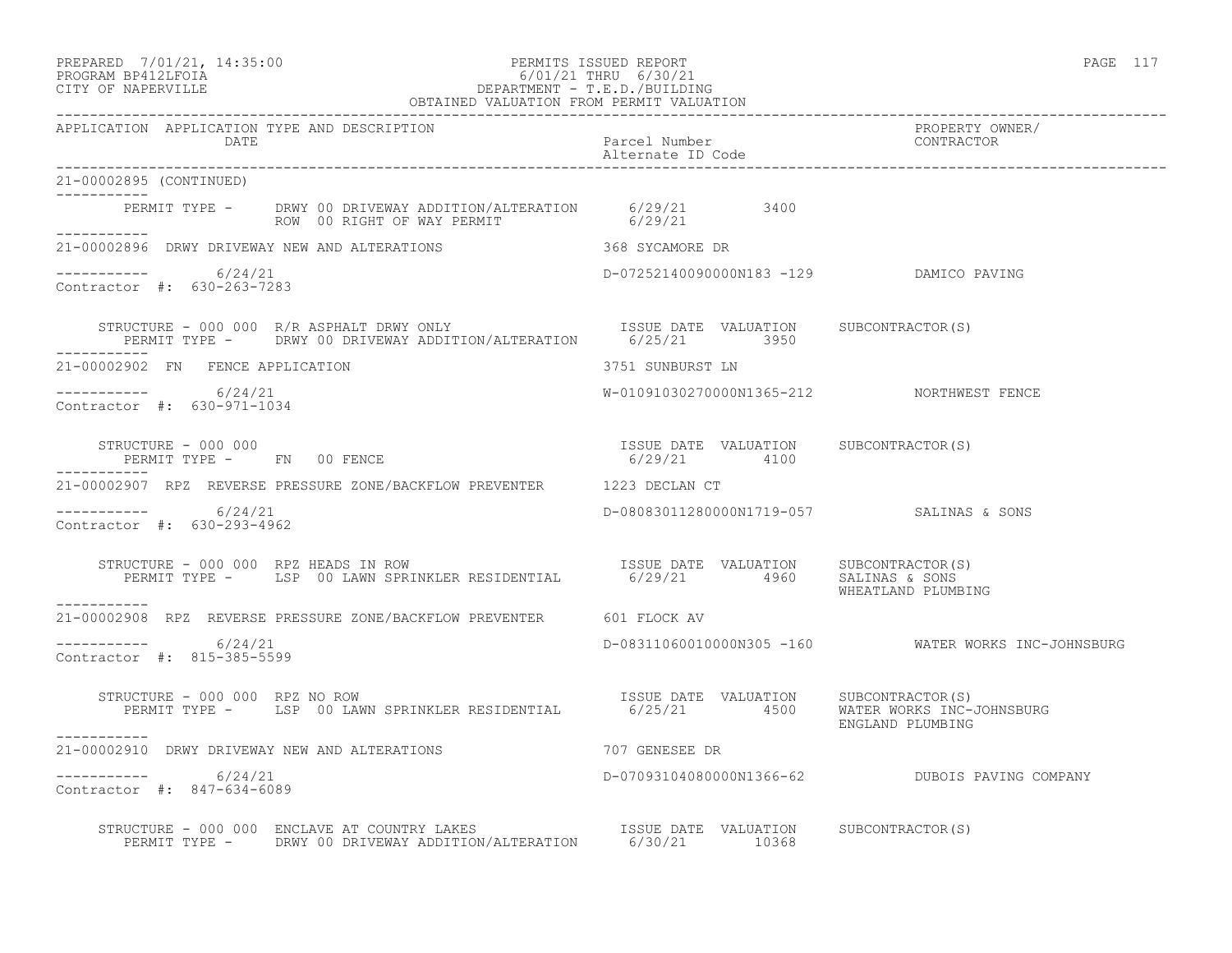### PREPARED 7/01/21, 14:35:00 PERMITS ISSUED REPORT PROGRAM BP412LFOIA PAGE 117 PROGRAM BP412LFOIA 6/01/21 THRU 6/30/21 CITY OF NAPERVILLE DEPARTMENT - T.E.D./BUILDING OBTAINED VALUATION FROM PERMIT VALUATION

| APPLICATION APPLICATION TYPE AND DESCRIPTION<br><b>DATE</b>                                                                                                                                                                                                           | Parcel Number<br>Alternate ID Code        | PROPERTY OWNER/<br>CONTRACTOR                       |
|-----------------------------------------------------------------------------------------------------------------------------------------------------------------------------------------------------------------------------------------------------------------------|-------------------------------------------|-----------------------------------------------------|
| 21-00002895 (CONTINUED)<br>___________                                                                                                                                                                                                                                |                                           |                                                     |
| PERMIT TYPE - DRWY 00 DRIVEWAY ADDITION/ALTERATION 6/29/21 3400<br>ROW 00 RIGHT OF WAY PERMIT 6/29/21<br>___________                                                                                                                                                  |                                           |                                                     |
| 21-00002896 DRWY DRIVEWAY NEW AND ALTERATIONS THE RESERVED STORM SECAMORE DR                                                                                                                                                                                          |                                           |                                                     |
| -----------     6/24/21<br>Contractor #: 630-263-7283                                                                                                                                                                                                                 | D-07252140090000N183 -129 DAMICO PAVING   |                                                     |
| STRUCTURE - 000 000 R/R ASPHALT DRWY ONLY ISSUE DATE VALUATION SUBCONTRACTOR(S)<br>PERMIT TYPE - DRWY 00 DRIVEWAY ADDITION/ALTERATION 6/25/21 3950<br>-----------                                                                                                     |                                           |                                                     |
| 21-00002902 FN FENCE APPLICATION                                                                                                                                                                                                                                      | 3751 SUNBURST LN                          |                                                     |
| ----------- 6/24/21<br>Contractor #: 630-971-1034                                                                                                                                                                                                                     | W-01091030270000N1365-212 NORTHWEST FENCE |                                                     |
| $\begin{array}{cccccccccc} \texttt{STRUCTURE} & - & 000 & 000 & & & & & & & \\ \texttt{PERMIT TYPE} & - & & \texttt{FN} & 00 & \texttt{FENCE} & & & & & & \\ \texttt{PERMIT TYPE} & - & & \texttt{FN} & 00 & \texttt{FENCE} & & & & & \\ \end{array}$<br>------------ |                                           |                                                     |
| 21-00002907 RPZ REVERSE PRESSURE ZONE/BACKFLOW PREVENTER 1223 DECLAN CT                                                                                                                                                                                               |                                           |                                                     |
| ----------- 6/24/21<br>Contractor #: 630-293-4962                                                                                                                                                                                                                     | D-08083011280000N1719-057 SALINAS & SONS  |                                                     |
|                                                                                                                                                                                                                                                                       |                                           | WHEATLAND PLUMBING                                  |
| 21-00002908 RPZ REVERSE PRESSURE ZONE/BACKFLOW PREVENTER 601 FLOCK AV                                                                                                                                                                                                 |                                           |                                                     |
| $--------$ 6/24/21<br>Contractor #: 815-385-5599                                                                                                                                                                                                                      |                                           | D-08311060010000N305 -160 WATER WORKS INC-JOHNSBURG |
| STRUCTURE - 000 000 RPZ NO ROW<br>PERMIT TYPE - LSP 00 LAWN SPRINKLER RESIDENTIAL 6/25/21 4500 WATER WORKS INC-JOHNSBURG<br>-----------                                                                                                                               | ISSUE DATE VALUATION SUBCONTRACTOR(S)     | ENGLAND PLUMBING                                    |
| 21-00002910 DRWY DRIVEWAY NEW AND ALTERATIONS                                                                                                                                                                                                                         | 707 GENESEE DR                            |                                                     |
| $--------$ 6/24/21<br>Contractor #: 847-634-6089                                                                                                                                                                                                                      |                                           | D-07093104080000N1366-62 DUBOIS PAVING COMPANY      |
| STRUCTURE - 000 000 ENCLAVE AT COUNTRY LAKES<br>PERMIT TYPE - DRWY 00 DRIVEWAY ADDITION/ALTERATION 6/30/21 10368                                                                                                                                                      |                                           |                                                     |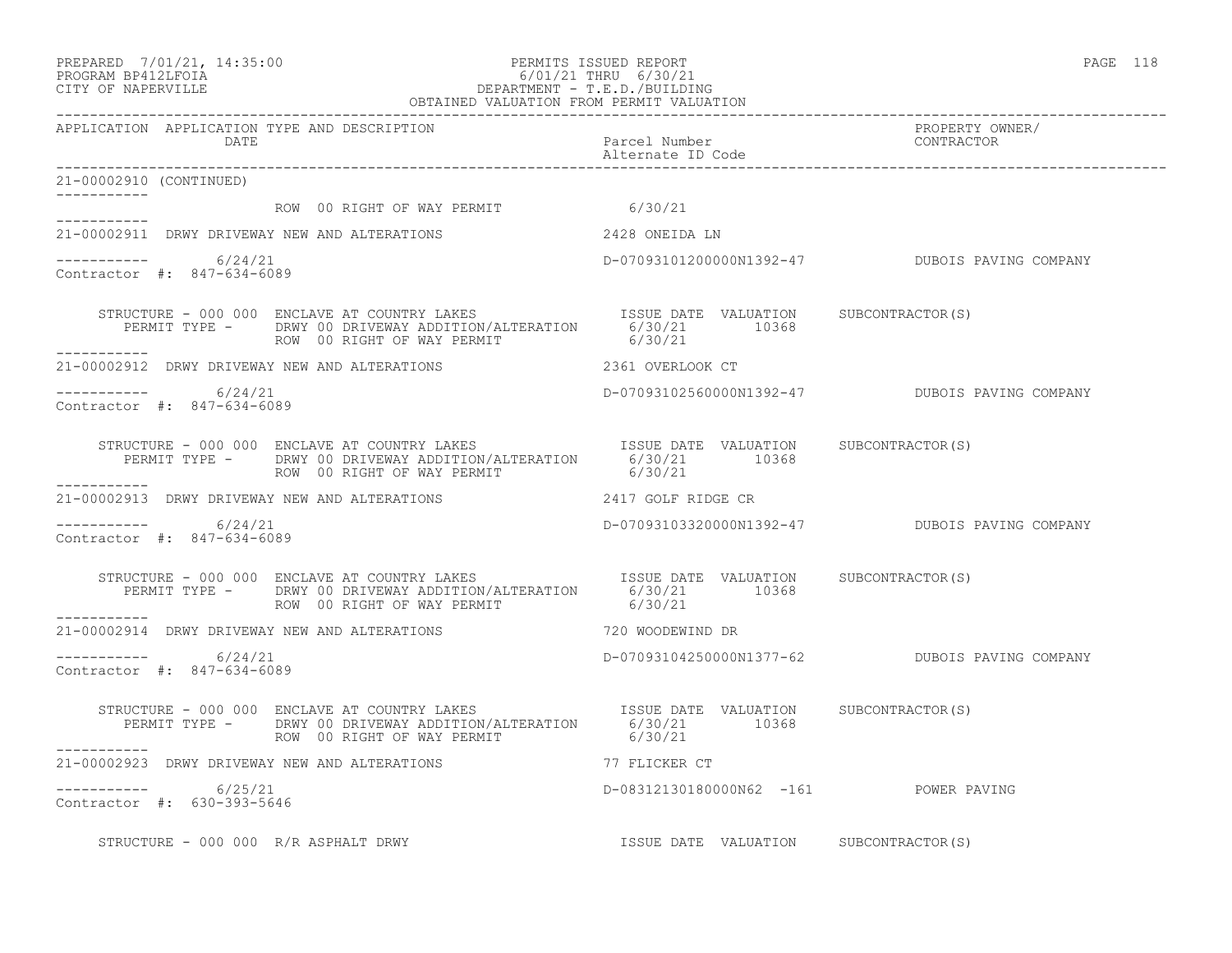### PREPARED 7/01/21, 14:35:00 PERMITS ISSUED REPORT PAGE 118 PROGRAM BP412LFOIA 6/01/21 THRU 6/30/21 CITY OF NAPERVILLE DEPARTMENT - T.E.D./BUILDING OBTAINED VALUATION FROM PERMIT VALUATION

------------------------------------------------------------------------------------------------------------------------------------ APPLICATION APPLICATION TYPE AND DESCRIPTION<br>DATE bated parcel Number property contractor DATE Parcel Number CONTRACTOR Alternate ID Code ------------------------------------------------------------------------------------------------------------------------------------ 21-00002910 (CONTINUED) ----------- ROW 00 RIGHT OF WAY PERMIT 6/30/21 ----------- 21-00002911 DRWY DRIVEWAY NEW AND ALTERATIONS 2428 ONEIDA LN  $--------- 6/24/21$ ----------- 6/24/21 D-07093101200000N1392-47 DUBOIS PAVING COMPANY Contractor #: 847-634-6089 STRUCTURE - 000 000 ENCLAVE AT COUNTRY LAKES **ISSUE DATE VALUATION** SUBCONTRACTOR(S) PERMIT TYPE - DRWY 00 DRIVEWAY ADDITION/ALTERATION 6/30/21 10368 ROW 00 RIGHT OF WAY PERMIT ----------- 21-00002912 DRWY DRIVEWAY NEW AND ALTERATIONS 2361 OVERLOOK CT \_\_\_\_\_\_\_\_\_\_\_ ----------- 6/24/21 D-07093102560000N1392-47 DUBOIS PAVING COMPANY Contractor #: 847-634-6089 STRUCTURE - 000 000 ENCLAVE AT COUNTRY LAKES **ISSUE DATE** VALUATION SUBCONTRACTOR(S) PERMIT TYPE - DRWY 00 DRIVEWAY ADDITION/ALTERATION 6/30/21 10368<br>ROW 00 RIGHT OF WAY PERMIT 6/30/21 ROW 00 RIGHT OF WAY PERMIT ----------- 21-00002913 DRWY DRIVEWAY NEW AND ALTERATIONS 2417 GOLF RIDGE CR  $--------- 6/24/21$ D-07093103320000N1392-47 DUBOIS PAVING COMPANY Contractor #: 847-634-6089 STRUCTURE - 000 000 ENCLAVE AT COUNTRY LAKES ISSUE DATE VALUATION SUBCONTRACTOR(S) PERMIT TYPE - DRWY 00 DRIVEWAY ADDITION/ALTERATION 6/30/21 10368 ROW 00 RIGHT OF WAY PERMIT 6/30/21 ----------- 21-00002914 DRWY DRIVEWAY NEW AND ALTERATIONS 720 WOODEWIND DR \_\_\_\_\_\_\_\_\_\_\_ ----------- 6/24/21 D-07093104250000N1377-62 DUBOIS PAVING COMPANY Contractor #: 847-634-6089 STRUCTURE - 000 000 ENCLAVE AT COUNTRY LAKES ISSUE DATE VALUATION SUBCONTRACTOR(S) PERMIT TYPE - DRWY 00 DRIVEWAY ADDITION/ALTERATION 6/30/21 10368 ROW 00 RIGHT OF WAY PERMIT 6/30/21 ----------- 21-00002923 DRWY DRIVEWAY NEW AND ALTERATIONS 77 FLICKER CT  $--------- 6/25/21$ D-08312130180000N62 -161 POWER PAVING Contractor #: 630-393-5646 STRUCTURE - 000 000 R/R ASPHALT DRWY ISSUE DATE VALUATION SUBCONTRACTOR(S)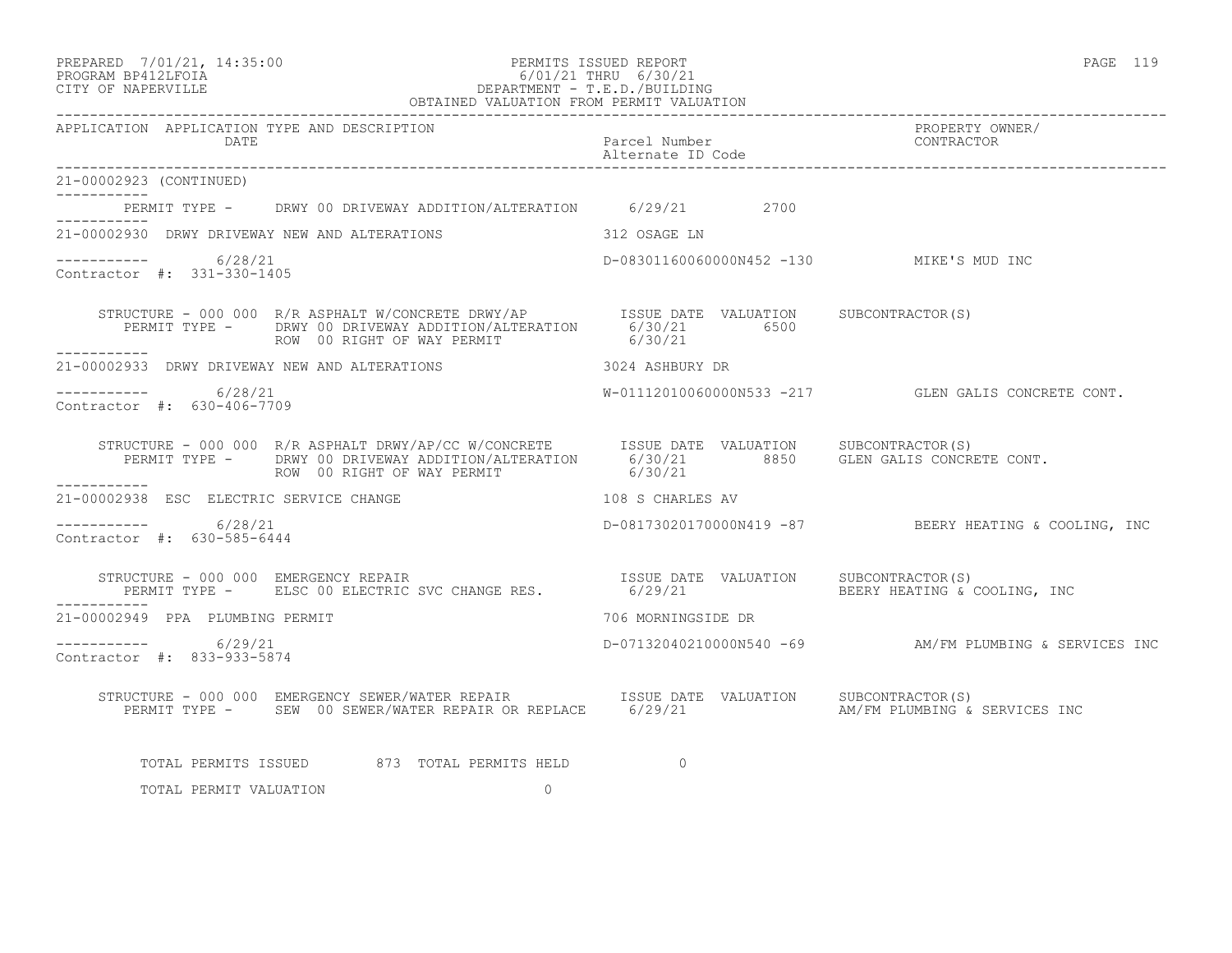# PREPARED 7/01/21, 14:35:00 PERMITS ISSUED REPORT PAGE 119 PROGRAM BP412LFOIA 6/01/21 THRU 6/30/21 CITY OF NAPERVILLE DEPARTMENT - T.E.D./BUILDING

| OBTAINED VALUATION FROM PERMIT VALUATION             |                                                                                                                                                                                                                                |                                    |  |                                                        |
|------------------------------------------------------|--------------------------------------------------------------------------------------------------------------------------------------------------------------------------------------------------------------------------------|------------------------------------|--|--------------------------------------------------------|
| APPLICATION APPLICATION TYPE AND DESCRIPTION<br>DATE |                                                                                                                                                                                                                                | Parcel Number<br>Alternate ID Code |  | PROPERTY OWNER/<br>CONTRACTOR                          |
| 21-00002923 (CONTINUED)                              |                                                                                                                                                                                                                                |                                    |  |                                                        |
|                                                      | PERMIT TYPE - DRWY 00 DRIVEWAY ADDITION/ALTERATION 6/29/21 2700                                                                                                                                                                |                                    |  |                                                        |
|                                                      | 21-00002930 DRWY DRIVEWAY NEW AND ALTERATIONS 312 OSAGE LN                                                                                                                                                                     |                                    |  |                                                        |
| ----------- 6/28/21<br>Contractor #: 331-330-1405    |                                                                                                                                                                                                                                |                                    |  | D-08301160060000N452 -130 MIKE'S MUD INC               |
| ------------                                         | STRUCTURE - 000 000 R/R ASPHALT W/CONCRETE DRWY/AP        ISSUE DATE VALUATION     SUBCONTRACTOR(S)<br>PERMIT TYPE -     DRWY 00 DRIVEWAY ADDITION/ALTERATION       6/30/21         6500<br>ROW 00 RIGHT OF WAY PERMIT         |                                    |  |                                                        |
|                                                      | 21-00002933 DRWY DRIVEWAY NEW AND ALTERATIONS 3024 ASHBURY DR                                                                                                                                                                  |                                    |  |                                                        |
| ---------- 6/28/21<br>Contractor #: 630-406-7709     |                                                                                                                                                                                                                                |                                    |  | W-01112010060000N533 -217 GLEN GALIS CONCRETE CONT.    |
|                                                      | STRUCTURE - 000 000 R/R ASPHALT DRWY/AP/CC W/CONCRETE ISSUE DATE VALUATION SUBCONTRACTOR(S)<br>PERMIT TYPE - DRWY 00 DRIVEWAY ADDITION/ALTERATION 6/30/21 8850 GLEN GALIS CONCRETE CONT.<br>ROW 00 RIGHT OF WAY PERMIT 6/30/21 |                                    |  |                                                        |
| 21-00002938 ESC ELECTRIC SERVICE CHANGE              | 108 S CHARLES AV                                                                                                                                                                                                               |                                    |  |                                                        |
| $--------$ 6/28/21<br>Contractor #: 630-585-6444     |                                                                                                                                                                                                                                |                                    |  | D-08173020170000N419 -87 BEERY HEATING & COOLING, INC  |
| STRUCTURE - 000 000 EMERGENCY REPAIR                 | RUCTURE - 000 000 EMERGENCY REPAIR<br>PERMIT TYPE -     ELSC 00 ELECTRIC SVC CHANGE RES.            6/29/21                                                                                                                    |                                    |  | SUBCONTRACTOR (S)<br>BEERY HEATING & COOLING, INC      |
| 21-00002949 PPA PLUMBING PERMIT                      |                                                                                                                                                                                                                                | 706 MORNINGSIDE DR                 |  |                                                        |
| ----------     6/29/21<br>Contractor #: 833-933-5874 |                                                                                                                                                                                                                                |                                    |  | D-07132040210000N540 -69 AM/FM PLUMBING & SERVICES INC |
|                                                      |                                                                                                                                                                                                                                |                                    |  | AM/FM PLUMBING & SERVICES INC                          |
|                                                      | TOTAL PERMITS ISSUED 673 TOTAL PERMITS HELD                                                                                                                                                                                    | $\circ$                            |  |                                                        |
| TOTAL PERMIT VALUATION                               | 0                                                                                                                                                                                                                              |                                    |  |                                                        |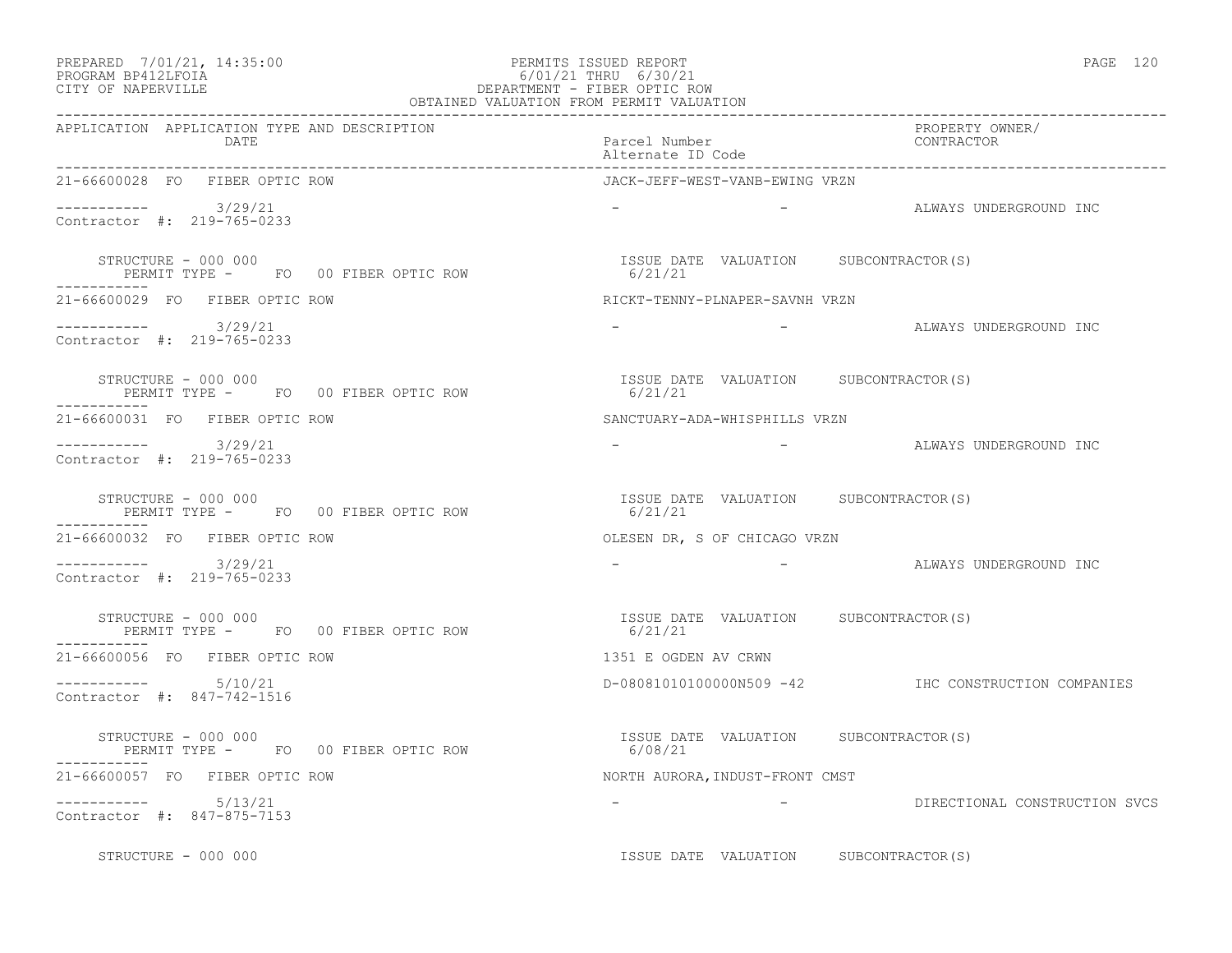# PREPARED 7/01/21, 14:35:00 PERMITS ISSUED REPORT PAGE 120 PROGRAM BP412LFOIA 6/01/21 THRU 6/30/21 CITY OF NAPERVILLE DEPARTMENT - FIBER OPTIC ROW

|                                                                        | OBTAINED VALUATION FROM PERMIT VALUATION         |                                                                                                                                                                               |
|------------------------------------------------------------------------|--------------------------------------------------|-------------------------------------------------------------------------------------------------------------------------------------------------------------------------------|
| APPLICATION APPLICATION TYPE AND DESCRIPTION<br>DATE                   | Parcel Number<br>Alternate ID Code               | PROPERTY OWNER/<br>CONTRACTOR                                                                                                                                                 |
| 21-66600028 FO FIBER OPTIC ROW                                         | JACK-JEFF-WEST-VANB-EWING VRZN                   |                                                                                                                                                                               |
| $-$ --------- $3/29/21$<br>Contractor #: 219-765-0233                  |                                                  | - ALWAYS UNDERGROUND INC                                                                                                                                                      |
| STRUCTURE - 000 000<br>PERMIT TYPE - FO 00 FIBER OPTIC ROW             | ISSUE DATE VALUATION SUBCONTRACTOR(S)<br>6/21/21 |                                                                                                                                                                               |
| 21-66600029 FO FIBER OPTIC ROW                                         | RICKT-TENNY-PLNAPER-SAVNH VRZN                   |                                                                                                                                                                               |
| $--------- 3/29/21$<br>Contractor #: 219-765-0233                      | <b>Service</b>                                   | -                 ALWAYS UNDERGROUND INC                                                                                                                                      |
| STRUCTURE - 000 000<br>PERMIT TYPE - FO 00 FIBER OPTIC ROW             | ISSUE DATE VALUATION SUBCONTRACTOR(S)<br>6/21/21 |                                                                                                                                                                               |
| 21-66600031 FO FIBER OPTIC ROW                                         | SANCTUARY-ADA-WHISPHILLS VRZN                    |                                                                                                                                                                               |
| $--------$ 3/29/21<br>Contractor #: 219-765-0233                       |                                                  | - ALWAYS UNDERGROUND INC                                                                                                                                                      |
| STRUCTURE - 000 000<br>PERMIT TYPE - FOOOFIBER OPTIC ROW               | ISSUE DATE VALUATION SUBCONTRACTOR(S)<br>6/21/21 |                                                                                                                                                                               |
| 21-66600032 FO FIBER OPTIC ROW                                         | OLESEN DR, S OF CHICAGO VRZN                     |                                                                                                                                                                               |
| $--------$ 3/29/21<br>Contractor #: 219-765-0233                       |                                                  | ALWAYS UNDERGROUND INC<br>$\mathcal{L}^{\mathcal{L}}(\mathcal{L}^{\mathcal{L}})$ and $\mathcal{L}^{\mathcal{L}}(\mathcal{L}^{\mathcal{L}})$ . The contract of the contract of |
| STRUCTURE - 000 000<br>PERMIT TYPE - FO 00 FIBER OPTIC ROW             | ISSUE DATE VALUATION SUBCONTRACTOR(S)<br>6/21/21 |                                                                                                                                                                               |
| 21-66600056 FO FIBER OPTIC ROW                                         | 1351 E OGDEN AV CRWN                             |                                                                                                                                                                               |
| $--------$ 5/10/21<br>Contractor #: 847-742-1516                       |                                                  | D-080810101000000N509 -42 IHC CONSTRUCTION COMPANIES                                                                                                                          |
| STRUCTURE - 000 000<br>PERMIT TYPE - FO 00 FIBER OPTIC ROW<br>-------- | ISSUE DATE VALUATION SUBCONTRACTOR(S)<br>6/08/21 |                                                                                                                                                                               |
| 21-66600057 FO FIBER OPTIC ROW                                         | NORTH AURORA, INDUST-FRONT CMST                  |                                                                                                                                                                               |
| $-$ --------- $5/13/21$<br>Contractor #: 847-875-7153                  |                                                  | - DIRECTIONAL CONSTRUCTION SVCS                                                                                                                                               |
| STRUCTURE - 000 000                                                    | ISSUE DATE VALUATION SUBCONTRACTOR(S)            |                                                                                                                                                                               |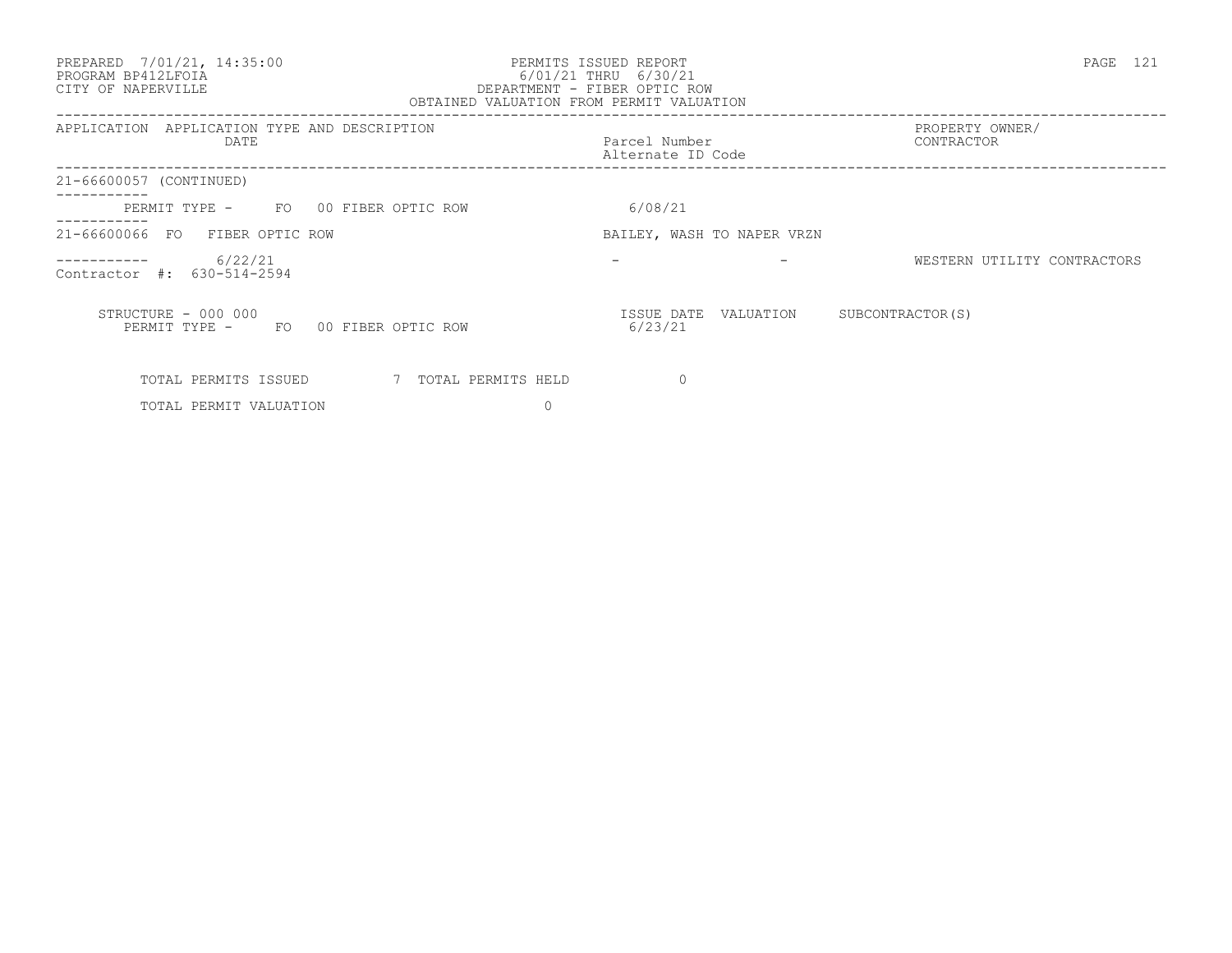### PREPARED 7/01/21, 14:35:00 PERMITS ISSUED REPORT PAGE 121 PROGRAM BP412LFOIA 6/01/21 THRU 6/30/21 CITY OF NAPERVILLE DEPARTMENT - FIBER OPTIC ROW OBTAINED VALUATION FROM PERMIT VALUATION

| APPLICATION<br>APPLICATION TYPE AND DESCRIPTION<br>DATE    | Parcel Number<br>Alternate ID Code | PROPERTY OWNER/<br>CONTRACTOR |
|------------------------------------------------------------|------------------------------------|-------------------------------|
| 21-66600057 (CONTINUED)                                    |                                    |                               |
| PERMIT TYPE - FO 00 FIBER OPTIC ROW                        | 6/08/21                            |                               |
| 21-66600066 FO FIBER OPTIC ROW                             | BAILEY, WASH TO NAPER VRZN         |                               |
| 6/22/21<br>Contractor #: 630-514-2594                      |                                    | WESTERN UTILITY CONTRACTORS   |
| STRUCTURE - 000 000<br>PERMIT TYPE - FO 00 FIBER OPTIC ROW | ISSUE DATE VALUATION<br>6/23/21    | SUBCONTRACTOR (S)             |
| TOTAL PERMITS ISSUED<br>7 TOTAL PERMITS HELD               | 0                                  |                               |
| TOTAL PERMIT VALUATION                                     |                                    |                               |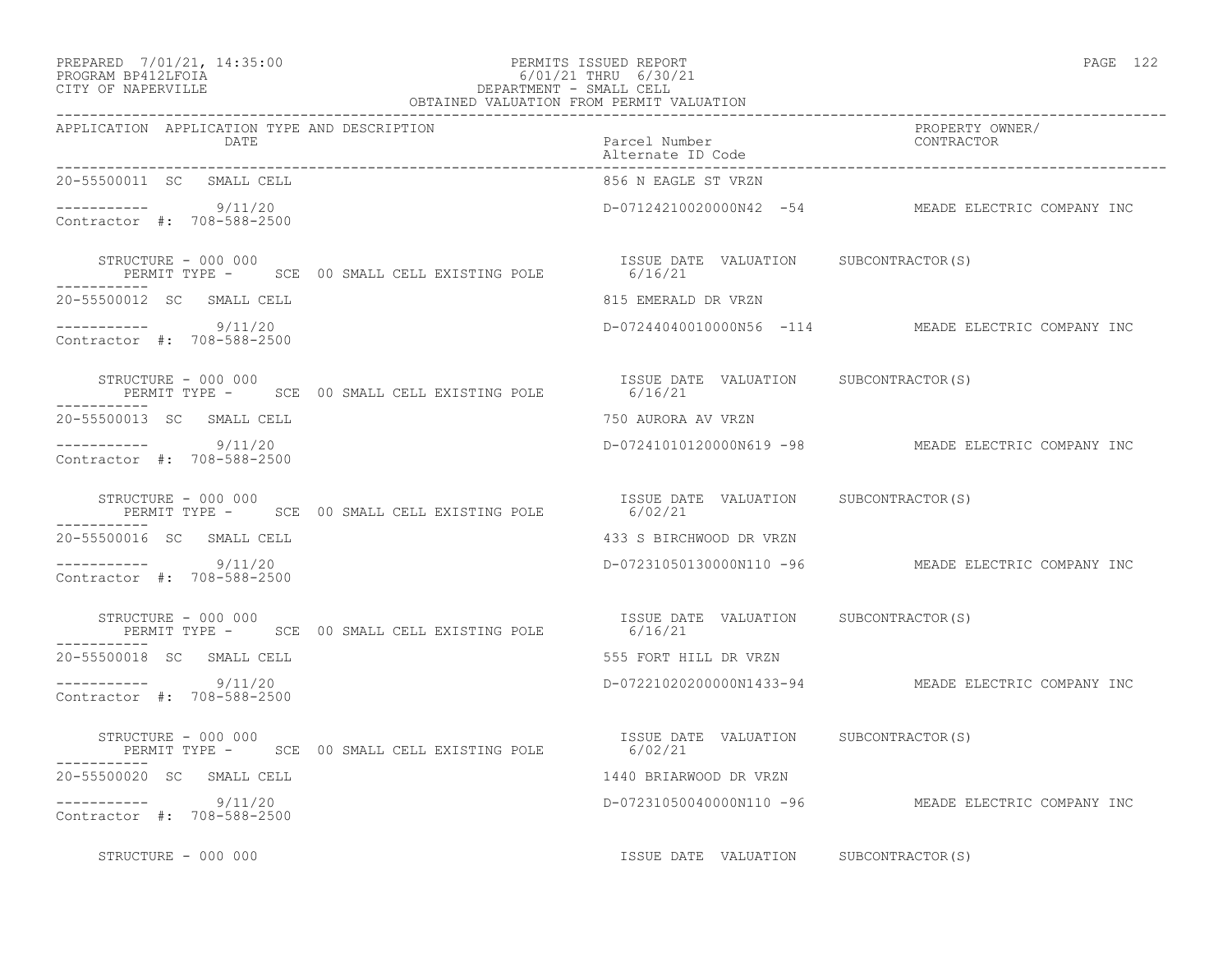# PREPARED 7/01/21, 14:35:00 PERMITS ISSUED REPORT PAGE 122 PROGRAM BP412LFOIA 6/01/21 THRU 6/30/21 PREPARED 7/01/21, 14:35:00<br>
PROGRAM BP412LFOIA 6/30/<br>
CITY OF NAPERVILLE DEPARTMENT - SMALL CELL

| OBTAINED VALUATION FROM PERMIT VALUATION                                     |                                        |                                                     |
|------------------------------------------------------------------------------|----------------------------------------|-----------------------------------------------------|
| APPLICATION APPLICATION TYPE AND DESCRIPTION<br>DATE                         | Parcel Number<br>Alternate ID Code     | PROPERTY OWNER/<br>CONTRACTOR                       |
| 20-55500011 SC SMALL CELL                                                    | 856 N EAGLE ST VRZN                    |                                                     |
| $--------$ 9/11/20<br>Contractor #: 708-588-2500                             |                                        | D-07124210020000N42 -54 MEADE ELECTRIC COMPANY INC  |
| STRUCTURE - 000 000<br>PERMIT TYPE - SCE 00 SMALL CELL EXISTING POLE 6/16/21 | ISSUE DATE VALUATION SUBCONTRACTOR(S)  |                                                     |
| 20-55500012 SC SMALL CELL                                                    | 815 EMERALD DR VRZN                    |                                                     |
| $--------- 9/11/20$<br>Contractor #: 708-588-2500                            |                                        | D-07244040010000N56 -114 MEADE ELECTRIC COMPANY INC |
| STRUCTURE - 000 000<br>PERMIT TYPE - SCE 00 SMALL CELL EXISTING POLE 6/16/21 | ISSUE DATE VALUATION SUBCONTRACTOR(S)  |                                                     |
| 20-55500013 SC SMALL CELL                                                    | 750 AURORA AV VRZN                     |                                                     |
| $--------$ 9/11/20<br>Contractor #: 708-588-2500                             |                                        | D-07241010120000N619 -98 MEADE ELECTRIC COMPANY INC |
| STRUCTURE - 000 000                                                          |                                        |                                                     |
| 20-55500016 SC SMALL CELL                                                    | 433 S BIRCHWOOD DR VRZN                |                                                     |
| $-$ ---------- 9/11/20<br>Contractor #: 708-588-2500                         |                                        | D-07231050130000N110 -96 MEADE ELECTRIC COMPANY INC |
| STRUCTURE - 000 000<br>PERMIT TYPE - SCE 00 SMALL CELL EXISTING POLE 6/16/21 | ISSUE DATE VALUATION SUBCONTRACTOR(S)  |                                                     |
| 20-55500018 SC SMALL CELL                                                    | 555 FORT HILL DR VRZN                  |                                                     |
| $--------- 9/11/20$<br>Contractor #: 708-588-2500                            |                                        | D-07221020200000N1433-94 MEADE ELECTRIC COMPANY INC |
| STRUCTURE - 000 000<br>PERMIT TYPE - SCE 00 SMALL CELL EXISTING POLE 6/02/21 | ISSUE DATE VALUATION SUBCONTRACTOR (S) |                                                     |
| 20-55500020 SC SMALL CELL                                                    | 1440 BRIARWOOD DR VRZN                 |                                                     |
| -----------<br>9/11/20<br>Contractor #: 708-588-2500                         |                                        | D-07231050040000N110 -96 MEADE ELECTRIC COMPANY INC |
| STRUCTURE - 000 000                                                          | ISSUE DATE VALUATION SUBCONTRACTOR(S)  |                                                     |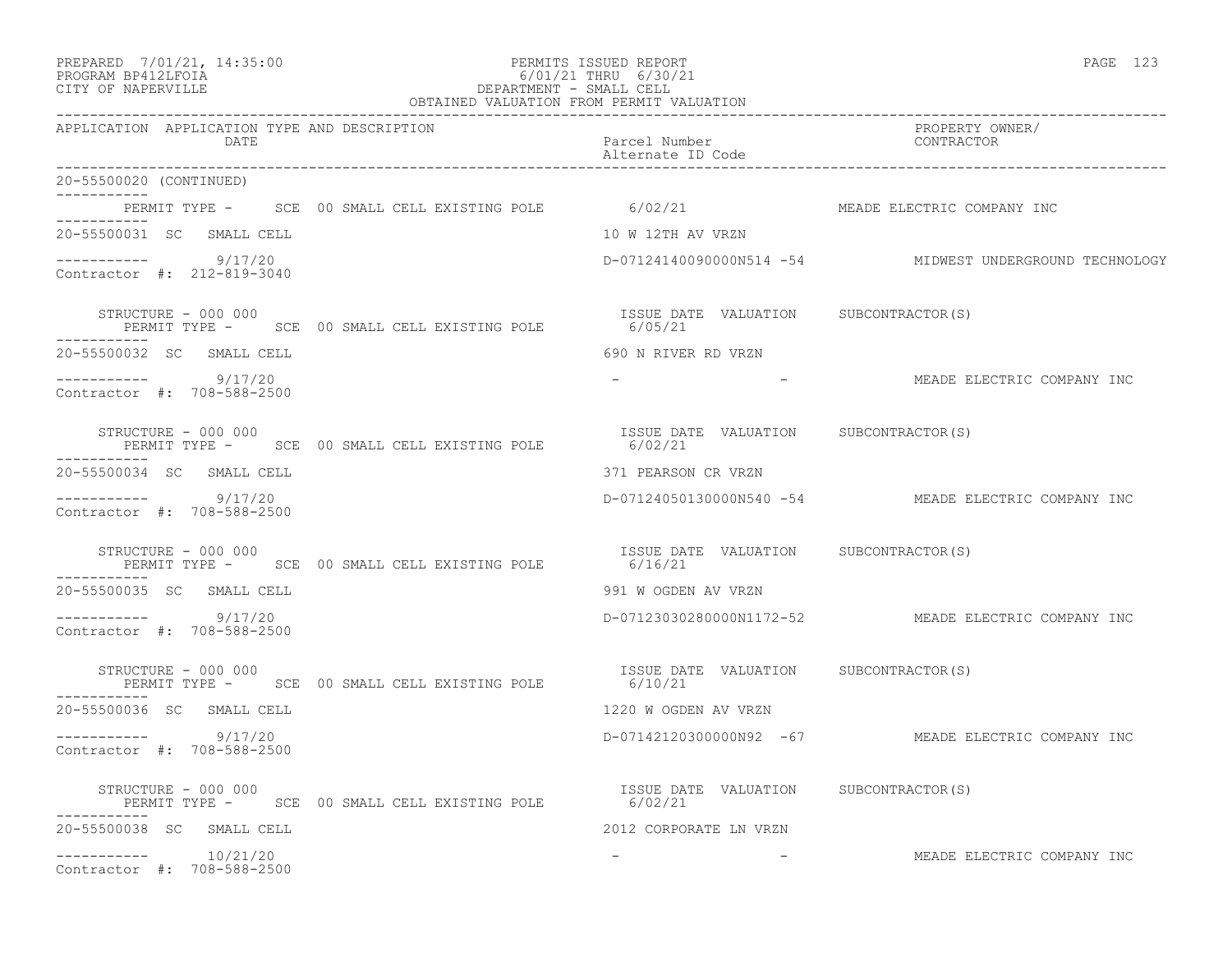## PREPARED 7/01/21, 14:35:00 PERMITS ISSUED REPORT<br>PROGRAM BP412LFOIA PAGE 123 PROGRAM BP412LFOIA 6/01/21 THRU 6/30/21 CITY OF NAPERVILLE **6/01/21** CITY OF NAPERVILLE DEPARTMENT - SMALL CELL

|                                                                                                      | OBTAINED VALUATION FROM PERMIT VALUATION |                                                         |
|------------------------------------------------------------------------------------------------------|------------------------------------------|---------------------------------------------------------|
| APPLICATION APPLICATION TYPE AND DESCRIPTION<br>DATE                                                 | Parcel Number<br>Alternate ID Code       | PROPERTY OWNER/<br>CONTRACTOR                           |
| 20-55500020 (CONTINUED)<br>____________                                                              |                                          |                                                         |
| PERMIT TYPE - SCE 00 SMALL CELL EXISTING POLE 6/02/21<br>. _ _ _ _ _ _ _ _ _                         |                                          | MEADE ELECTRIC COMPANY INC                              |
| 20-55500031 SC SMALL CELL                                                                            | 10 W 12TH AV VRZN                        |                                                         |
| ----------- 9/17/20<br>Contractor #: 212-819-3040                                                    |                                          | D-07124140090000N514 -54 MIDWEST UNDERGROUND TECHNOLOGY |
| STRUCTURE - 000 000<br>PERMIT TYPE - SCE 00 SMALL CELL EXISTING POLE 6/05/21                         | ISSUE DATE VALUATION SUBCONTRACTOR(S)    |                                                         |
| 20-55500032 SC SMALL CELL                                                                            | 690 N RIVER RD VRZN                      |                                                         |
| ----------- 9/17/20<br>Contractor #: 708-588-2500                                                    |                                          | -                           MEADE ELECTRIC COMPANY INC  |
| STRUCTURE - 000 000<br>PERMIT TYPE - SCE 00 SMALL CELL EXISTING POLE 6/02/21 6/02/21<br>------------ |                                          |                                                         |
| 20-55500034 SC SMALL CELL                                                                            | 371 PEARSON CR VRZN                      |                                                         |
| $--------- 9/17/20$<br>Contractor #: 708-588-2500                                                    |                                          | D-07124050130000N540 -54 MEADE ELECTRIC COMPANY INC     |
| STRUCTURE - 000 000<br>PERMIT TYPE - SCE 00 SMALL CELL EXISTING POLE 6/16/21                         | ISSUE DATE VALUATION SUBCONTRACTOR(S)    |                                                         |
| 20-55500035 SC SMALL CELL                                                                            | 991 W OGDEN AV VRZN                      |                                                         |
| ----------- 9/17/20<br>Contractor #: 708-588-2500                                                    |                                          | D-07123030280000N1172-52 MEADE ELECTRIC COMPANY INC     |
| STRUCTURE - 000 000<br>PERMIT TYPE - SCE 00 SMALL CELL EXISTING POLE 6/10/21                         | ISSUE DATE VALUATION SUBCONTRACTOR(S)    |                                                         |
| 20-55500036 SC SMALL CELL                                                                            | 1220 W OGDEN AV VRZN                     |                                                         |
| $--------- 9/17/20$<br>Contractor #: 708-588-2500                                                    |                                          | D-07142120300000N92 -67 MEADE ELECTRIC COMPANY INC      |
| STRUCTURE - 000 000<br>PERMIT TYPE - SCE 00 SMALL CELL EXISTING POLE 6/02/21                         | ISSUE DATE VALUATION SUBCONTRACTOR(S)    |                                                         |
| 20-55500038 SC SMALL CELL                                                                            | 2012 CORPORATE LN VRZN                   |                                                         |
| $--------- 10/21/20$<br>Contractor #: 708-588-2500                                                   |                                          | MEADE ELECTRIC COMPANY INC                              |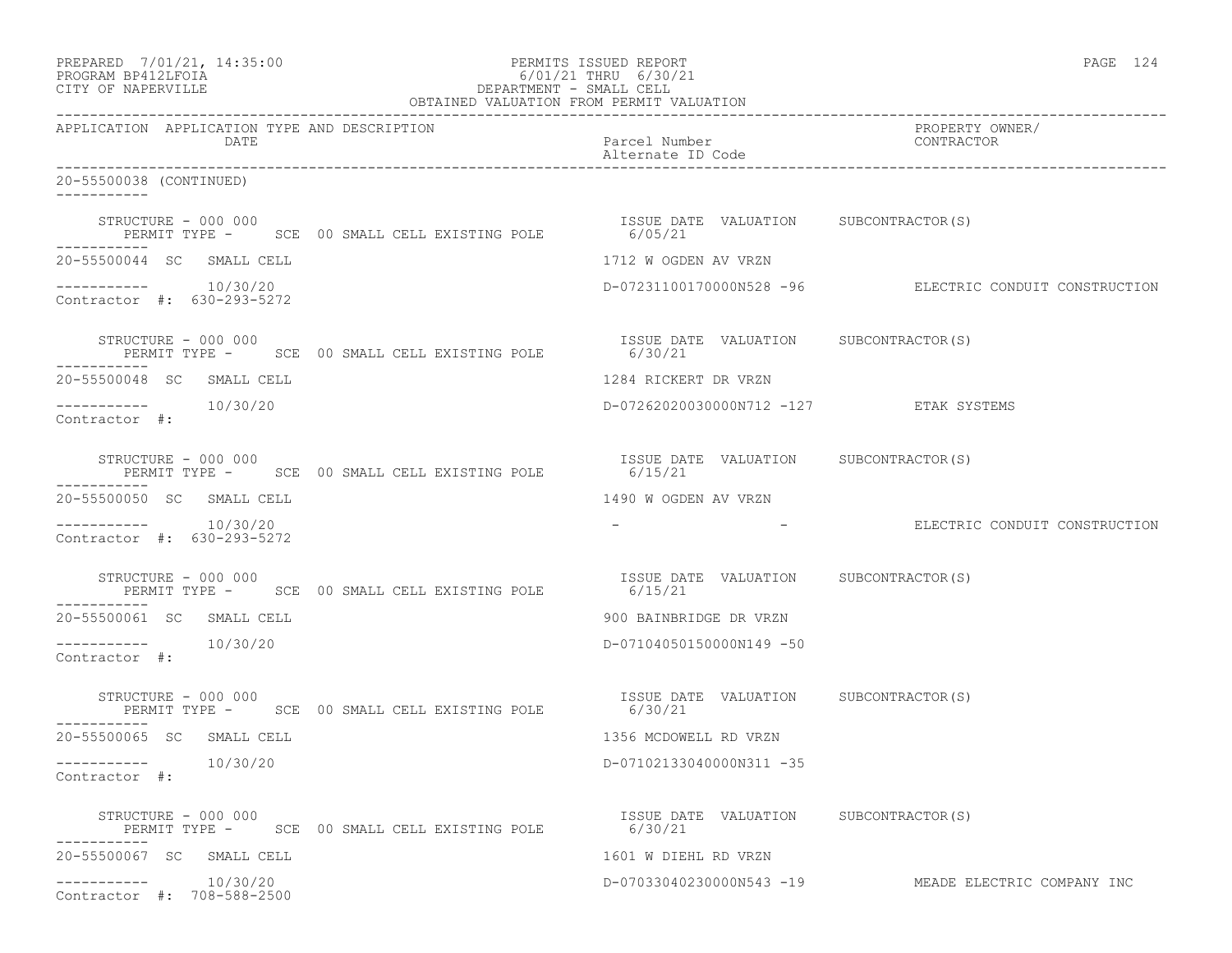| PREPARED 7/01/21, 14:35:00<br>PROGRAM BP412LFOIA<br>O/UI/ZI THRU 0/30/ZI<br>DEPARTMENT - SMALL CELL<br>OBTAINED VALUATION FROM PERMIT VALUATION<br>CITY OF NAPERVILLE | PERMITS ISSUED REPORT<br>6/01/21 THRU 6/30/21    | PAGE 124                                               |  |
|-----------------------------------------------------------------------------------------------------------------------------------------------------------------------|--------------------------------------------------|--------------------------------------------------------|--|
| APPLICATION APPLICATION TYPE AND DESCRIPTION<br>DATE                                                                                                                  | Parcel Number<br>Alternate ID Code               | PROPERTY OWNER/<br>CONTRACTOR                          |  |
| 20-55500038 (CONTINUED)                                                                                                                                               |                                                  |                                                        |  |
| STRUCTURE - 000 000<br>XUCTURE - UUU UUU<br>PERMIT TYPE -     SCE  00 SMALL CELL EXISTING POLE                6/05/21<br>-----------                                  | ISSUE DATE VALUATION SUBCONTRACTOR(S)            |                                                        |  |
| 20-55500044 SC SMALL CELL                                                                                                                                             | 1712 W OGDEN AV VRZN                             |                                                        |  |
| $--------- 10/30/20$<br>Contractor #: 630-293-5272                                                                                                                    |                                                  | D-07231100170000N528 -96 ELECTRIC CONDUIT CONSTRUCTION |  |
| STRUCTURE - 000 000<br>PERMIT TYPE - SCE 00 SMALL CELL EXISTING POLE 6/30/21                                                                                          | ISSUE DATE VALUATION SUBCONTRACTOR(S)            |                                                        |  |
| 20-55500048 SC SMALL CELL                                                                                                                                             | 1284 RICKERT DR VRZN                             |                                                        |  |
| -----------    10/30/20<br>Contractor #:                                                                                                                              | D-07262020030000N712 -127 ETAK SYSTEMS           |                                                        |  |
| STRUCTURE - 000 000<br>PERMIT TYPE - SCE 00 SMALL CELL EXISTING POLE 6/15/21<br>-----------                                                                           | ISSUE DATE VALUATION SUBCONTRACTOR(S)            |                                                        |  |
| 20-55500050 SC SMALL CELL                                                                                                                                             | 1490 W OGDEN AV VRZN                             |                                                        |  |
| $--------- 10/30/20$<br>Contractor #: 630-293-5272                                                                                                                    |                                                  | - ELECTRIC CONDUIT CONSTRUCTION                        |  |
| STRUCTURE - 000 000<br>PERMIT TYPE - SCE 00 SMALL CELL EXISTING POLE 6/15/21<br>6/15/21<br>-----------                                                                |                                                  |                                                        |  |
| 20-55500061 SC SMALL CELL                                                                                                                                             | 900 BAINBRIDGE DR VRZN                           |                                                        |  |
| $--------- 10/30/20$<br>Contractor #:                                                                                                                                 | D-07104050150000N149 -50                         |                                                        |  |
| STRUCTURE - 000 000<br>PERMIT TYPE - SCE 00 SMALL CELL EXISTING POLE 6/30/21<br>----------                                                                            | ISSUE DATE VALUATION SUBCONTRACTOR(S)            |                                                        |  |
| 20-55500065 SC SMALL CELL                                                                                                                                             | 1356 MCDOWELL RD VRZN                            |                                                        |  |
| 10/30/20<br>------------<br>Contractor #:                                                                                                                             | D-07102133040000N311 -35                         |                                                        |  |
| STRUCTURE - 000 000<br>PERMIT TYPE - SCE 00 SMALL CELL EXISTING POLE                                                                                                  | ISSUE DATE VALUATION SUBCONTRACTOR(S)<br>6/30/21 |                                                        |  |
| 20-55500067 SC SMALL CELL                                                                                                                                             | 1601 W DIEHL RD VRZN                             |                                                        |  |
| 10/30/20<br>Contractor #: 708-588-2500                                                                                                                                | D-07033040230000N543 -19                         | MEADE ELECTRIC COMPANY INC                             |  |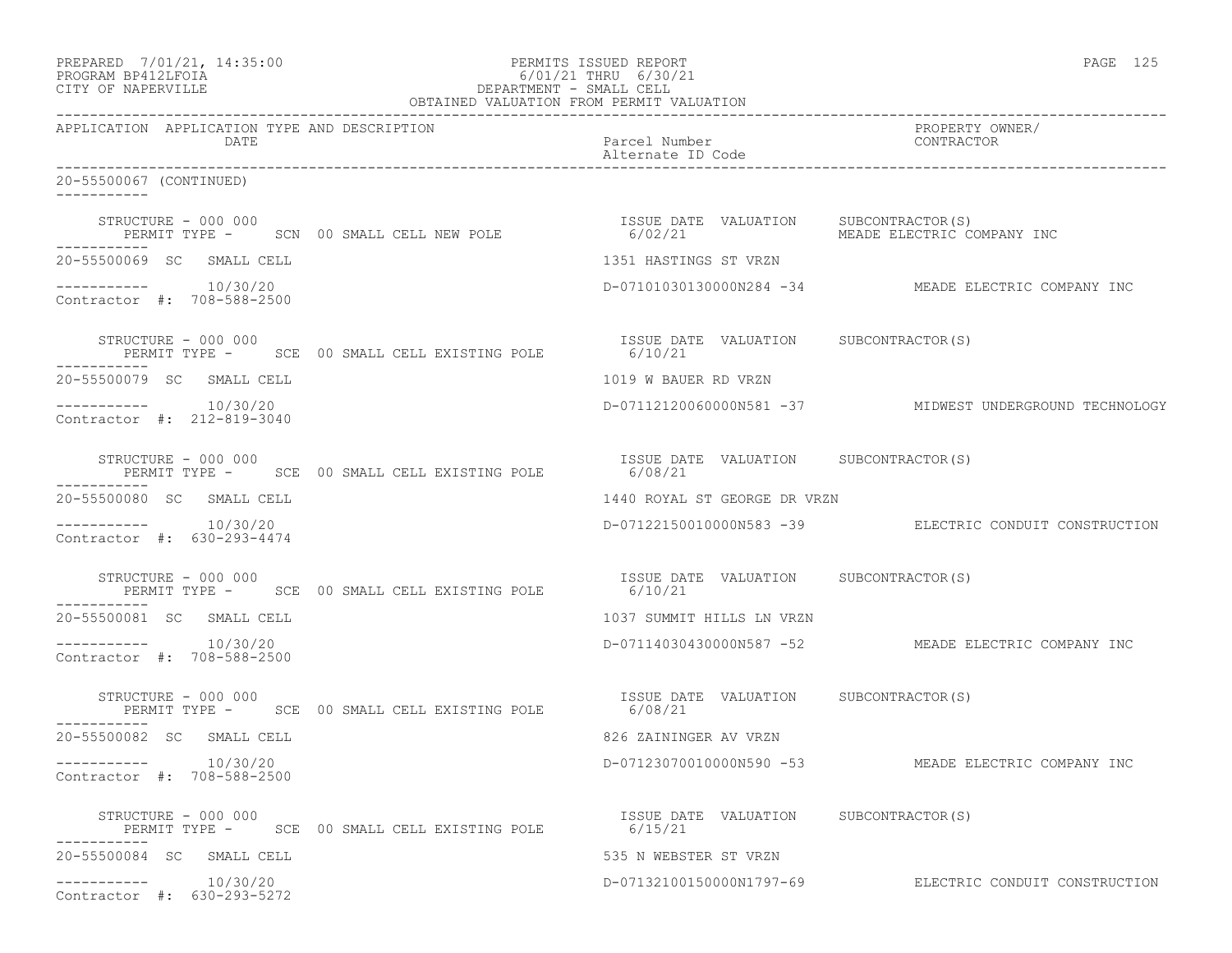| PREPARED 7/01/21, 14:35:00<br>PROGRAM BP412LFOIA<br>CITY OF NAPERVILLE |                     |                                                       | PERMITS ISSUED REPORT<br>6/01/21 THRU 6/30/21<br>6/01/21 THRU 6/30/21<br>DEPARTMENT - SMALL CELL<br>OBTAINED VALUATION FROM PERMIT VALUATION | PAGE 125                                                |
|------------------------------------------------------------------------|---------------------|-------------------------------------------------------|----------------------------------------------------------------------------------------------------------------------------------------------|---------------------------------------------------------|
|                                                                        | DATE                | APPLICATION APPLICATION TYPE AND DESCRIPTION          | Parcel Number<br>Alternate ID Code                                                                                                           | PROPERTY OWNER/<br>CONTRACTOR                           |
| 20-55500067 (CONTINUED)                                                |                     |                                                       |                                                                                                                                              |                                                         |
|                                                                        |                     |                                                       | STRUCTURE – 000 000<br>PERMIT TYPE – SCN 00 SMALL CELL NEW POLE – 6/02/21 MEADE ELECTRIC CO                                                  | MEADE ELECTRIC COMPANY INC                              |
| 20-55500069 SC SMALL CELL                                              |                     |                                                       | 1351 HASTINGS ST VRZN                                                                                                                        |                                                         |
| $--------- 10/30/20$<br>Contractor #: 708-588-2500                     |                     |                                                       |                                                                                                                                              | D-07101030130000N284 -34 MEADE ELECTRIC COMPANY INC     |
|                                                                        | STRUCTURE - 000 000 | PERMIT TYPE - SCE 00 SMALL CELL EXISTING POLE 6/10/21 | ISSUE DATE VALUATION SUBCONTRACTOR(S)                                                                                                        |                                                         |
| 20-55500079 SC SMALL CELL                                              |                     |                                                       | 1019 W BAUER RD VRZN                                                                                                                         |                                                         |
| $--------- 10/30/20$<br>Contractor #: 212-819-3040                     |                     |                                                       |                                                                                                                                              | D-07112120060000N581 -37 MIDWEST UNDERGROUND TECHNOLOGY |
|                                                                        | STRUCTURE - 000 000 | PERMIT TYPE - SCE 00 SMALL CELL EXISTING POLE 6/08/21 | ISSUE DATE VALUATION SUBCONTRACTOR(S)                                                                                                        |                                                         |
| 20-55500080 SC SMALL CELL                                              |                     |                                                       | 1440 ROYAL ST GEORGE DR VRZN                                                                                                                 |                                                         |
| $--------- 10/30/20$<br>Contractor #: 630-293-4474                     |                     |                                                       |                                                                                                                                              | D-07122150010000N583 -39 ELECTRIC CONDUIT CONSTRUCTION  |
|                                                                        | STRUCTURE - 000 000 | PERMIT TYPE - SCE 00 SMALL CELL EXISTING POLE         | ISSUE DATE VALUATION SUBCONTRACTOR(S)<br>6/10/21                                                                                             |                                                         |
| 20-55500081 SC SMALL CELL                                              |                     |                                                       | 1037 SUMMIT HILLS LN VRZN                                                                                                                    |                                                         |
| $--------- 10/30/20$<br>Contractor #: 708-588-2500                     |                     |                                                       |                                                                                                                                              | D-07114030430000N587 -52 MEADE ELECTRIC COMPANY INC     |
|                                                                        | STRUCTURE - 000 000 | PERMIT TYPE - SCE 00 SMALL CELL EXISTING POLE 6/08/21 | ISSUE DATE VALUATION SUBCONTRACTOR(S)                                                                                                        |                                                         |
| 20-55500082 SC SMALL CELL                                              |                     |                                                       | 826 ZAININGER AV VRZN                                                                                                                        |                                                         |
| Contractor #: 708-588-2500                                             | 10/30/20            |                                                       |                                                                                                                                              | D-07123070010000N590 -53 MEADE ELECTRIC COMPANY INC     |
|                                                                        | STRUCTURE - 000 000 | PERMIT TYPE - SCE 00 SMALL CELL EXISTING POLE         | ISSUE DATE VALUATION SUBCONTRACTOR(S)<br>6/15/21                                                                                             |                                                         |
| 20-55500084 SC SMALL CELL                                              |                     |                                                       | 535 N WEBSTER ST VRZN                                                                                                                        |                                                         |
| -----------<br>Contractor #: 630-293-5272                              | 10/30/20            |                                                       | D-07132100150000N1797-69                                                                                                                     | ELECTRIC CONDUIT CONSTRUCTION                           |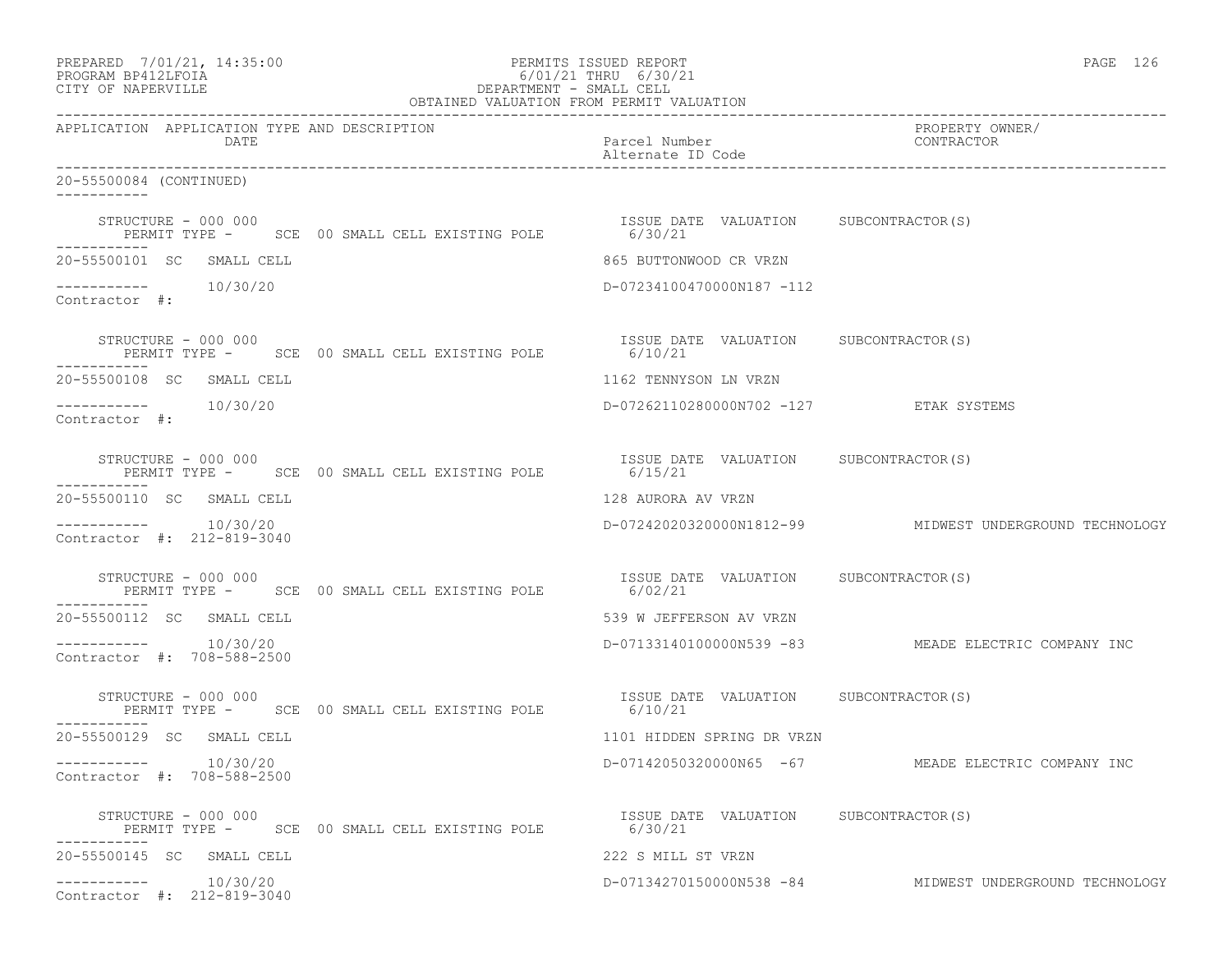|                         |                                                    |                                                                                                  | PREPARED 7/01/21, 14:35:00<br>PERMITS ISSUED REPORT<br>PROGRAM BP412LFOIA 6/01/21 THRU 6/30/21<br>CITY OF NAPERVILLE DEPARTMENT - SMALL CELL<br>OBTAINED VALUATION FROM PERMIT VALUATION | PAGE 126                                                |
|-------------------------|----------------------------------------------------|--------------------------------------------------------------------------------------------------|------------------------------------------------------------------------------------------------------------------------------------------------------------------------------------------|---------------------------------------------------------|
|                         | DATE                                               | APPLICATION APPLICATION TYPE AND DESCRIPTION                                                     | Parcel Number<br>Alternate ID Code                                                                                                                                                       | PROPERTY OWNER/<br>CONTRACTOR                           |
| 20-55500084 (CONTINUED) |                                                    |                                                                                                  |                                                                                                                                                                                          |                                                         |
| -----------             | STRUCTURE - 000 000                                | PERMIT TYPE - SCE 00 SMALL CELL EXISTING POLE 6/30/21                                            | ISSUE DATE VALUATION SUBCONTRACTOR(S)                                                                                                                                                    |                                                         |
|                         | 20-55500101 SC SMALL CELL                          |                                                                                                  | 865 BUTTONWOOD CR VRZN                                                                                                                                                                   |                                                         |
| Contractor #:           | $--------- 10/30/20$                               |                                                                                                  | D-07234100470000N187 -112                                                                                                                                                                |                                                         |
|                         |                                                    |                                                                                                  | STRUCTURE - 000 000<br>PERMIT TYPE - SCE 00 SMALL CELL EXISTING POLE 6/10/21                                                                                                             |                                                         |
|                         | 20-55500108 SC SMALL CELL                          |                                                                                                  | 1162 TENNYSON LN VRZN                                                                                                                                                                    |                                                         |
| Contractor #:           | $--------- 10/30/20$                               |                                                                                                  | D-07262110280000N702 -127 ETAK SYSTEMS                                                                                                                                                   |                                                         |
|                         |                                                    |                                                                                                  | STRUCTURE - 000 000<br>PERMIT TYPE - SCE 00 SMALL CELL EXISTING POLE 6/15/21                                                                                                             |                                                         |
|                         | 20-55500110 SC SMALL CELL                          |                                                                                                  | 128 AURORA AV VRZN                                                                                                                                                                       |                                                         |
|                         | $--------- 10/30/20$<br>Contractor #: 212-819-3040 |                                                                                                  |                                                                                                                                                                                          | D-07242020320000N1812-99 MIDWEST UNDERGROUND TECHNOLOGY |
| -----------             |                                                    | STRUCTURE - 000 000<br>PERMIT TYPE -     SCE  00 SMALL CELL EXISTING POLE                6/02/21 | ISSUE DATE VALUATION SUBCONTRACTOR(S)                                                                                                                                                    |                                                         |
|                         | 20-55500112 SC SMALL CELL                          |                                                                                                  | 539 W JEFFERSON AV VRZN                                                                                                                                                                  |                                                         |
|                         | $--------- 10/30/20$<br>Contractor #: 708-588-2500 |                                                                                                  |                                                                                                                                                                                          | D-07133140100000N539 -83 MEADE ELECTRIC COMPANY INC     |
|                         | STRUCTURE - 000 000                                | PERMIT TYPE - SCE 00 SMALL CELL EXISTING POLE 6/10/21                                            | ISSUE DATE VALUATION SUBCONTRACTOR(S)                                                                                                                                                    |                                                         |
|                         | 20-55500129 SC SMALL CELL                          |                                                                                                  | 1101 HIDDEN SPRING DR VRZN                                                                                                                                                               |                                                         |
|                         | $--------- 10/30/20$<br>Contractor #: 708-588-2500 |                                                                                                  | D-07142050320000N65 -67                                                                                                                                                                  | MEADE ELECTRIC COMPANY INC                              |
|                         | STRUCTURE - 000 000                                | PERMIT TYPE - SCE 00 SMALL CELL EXISTING POLE                                                    | ISSUE DATE VALUATION SUBCONTRACTOR(S)<br>6/30/21                                                                                                                                         |                                                         |
|                         | 20-55500145 SC SMALL CELL                          |                                                                                                  | 222 S MILL ST VRZN                                                                                                                                                                       |                                                         |
|                         | $--------- 10/30/20$<br>Contractor #: 212-819-3040 |                                                                                                  |                                                                                                                                                                                          | D-07134270150000N538 -84 MIDWEST UNDERGROUND TECHNOLOGY |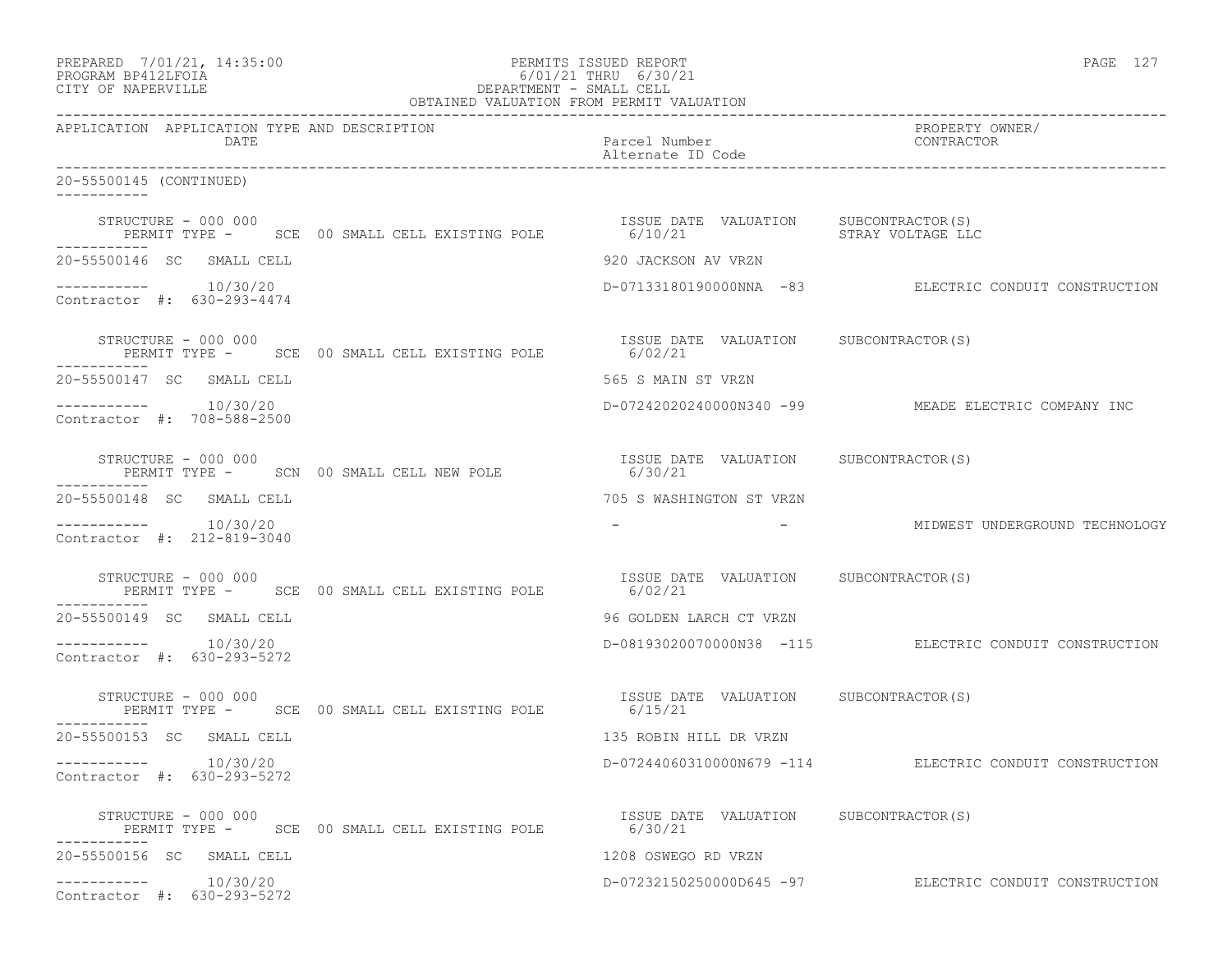| PREPARED 7/01/21, 14:35:00<br>PROGRAM BP412LFOIA<br>CITY OF NAPERVILLE                       | PERMITS ISSUED REPORT<br>COLORATION AND CONSUMERED THRU 6/30/21<br>DEPARTMENT - SMALL CELL<br>OBTAINED VALUATION FROM PERMIT VALUATION | PAGE 127                                                           |  |
|----------------------------------------------------------------------------------------------|----------------------------------------------------------------------------------------------------------------------------------------|--------------------------------------------------------------------|--|
| APPLICATION APPLICATION TYPE AND DESCRIPTION<br>DATE                                         | Parcel Number CONTRACTOR<br>Alternate ID Code                                                                                          | PROPERTY OWNER/                                                    |  |
| 20-55500145 (CONTINUED)                                                                      |                                                                                                                                        |                                                                    |  |
| STRUCTURE - 000 000<br>-----------                                                           | ISSUE DATE VALUATION SUBCONTRACTOR(S)                                                                                                  |                                                                    |  |
| 20-55500146 SC SMALL CELL                                                                    | 920 JACKSON AV VRZN                                                                                                                    |                                                                    |  |
| $--------- 10/30/20$<br>Contractor #: 630-293-4474                                           |                                                                                                                                        | D-07133180190000NNA -83 ELECTRIC CONDUIT CONSTRUCTION              |  |
| STRUCTURE - 000 000<br>PERMIT TYPE - SCE 00 SMALL CELL EXISTING POLE 6/02/21                 | ISSUE DATE VALUATION SUBCONTRACTOR(S)                                                                                                  |                                                                    |  |
| 20-55500147 SC SMALL CELL                                                                    | 565 S MAIN ST VRZN                                                                                                                     |                                                                    |  |
| $--------- 10/30/20$<br>Contractor #: 708-588-2500                                           | D-07242020240000N340 -99 MEADE ELECTRIC COMPANY INC                                                                                    |                                                                    |  |
| STRUCTURE - 000 000<br>STRUCTURE - 000 000<br>PERMIT TYPE -      SCN  00 SMALL CELL NEW POLE | ISSUE DATE VALUATION SUBCONTRACTOR(S)<br>6/30/21                                                                                       |                                                                    |  |
| 20-55500148 SC SMALL CELL                                                                    | 705 S WASHINGTON ST VRZN                                                                                                               |                                                                    |  |
| $--------- 10/30/20$<br>Contractor #: 212-819-3040                                           |                                                                                                                                        | -                                   MIDWEST UNDERGROUND TECHNOLOGY |  |
| STRUCTURE - 000 000<br>PERMIT TYPE - SCE 00 SMALL CELL EXISTING POLE 6/02/21                 | ISSUE DATE VALUATION SUBCONTRACTOR(S)                                                                                                  |                                                                    |  |
| 20-55500149 SC SMALL CELL                                                                    | 96 GOLDEN LARCH CT VRZN                                                                                                                |                                                                    |  |
| Contractor #: 630-293-5272                                                                   |                                                                                                                                        | D-08193020070000N38 -115 ELECTRIC CONDUIT CONSTRUCTION             |  |
| STRUCTURE - 000 000<br>PERMIT TYPE - SCE 00 SMALL CELL EXISTING POLE 6/15/21                 | ISSUE DATE VALUATION SUBCONTRACTOR(S)                                                                                                  |                                                                    |  |
| 20-55500153 SC SMALL CELL                                                                    | 135 ROBIN HILL DR VRZN                                                                                                                 |                                                                    |  |
| 10/30/20<br>-----------<br>Contractor #: 630-293-5272                                        |                                                                                                                                        | D-07244060310000N679 -114 ELECTRIC CONDUIT CONSTRUCTION            |  |
| STRUCTURE - 000 000<br>PERMIT TYPE -      SCE  00 SMALL CELL EXISTING POLE<br>-----------    | ISSUE DATE VALUATION SUBCONTRACTOR(S)<br>6/30/21                                                                                       |                                                                    |  |
| 20-55500156 SC SMALL CELL                                                                    | 1208 OSWEGO RD VRZN                                                                                                                    |                                                                    |  |
| -----------    10/30/20<br>Contractor #: 630-293-5272                                        |                                                                                                                                        | D-07232150250000D645 -97 ELECTRIC CONDUIT CONSTRUCTION             |  |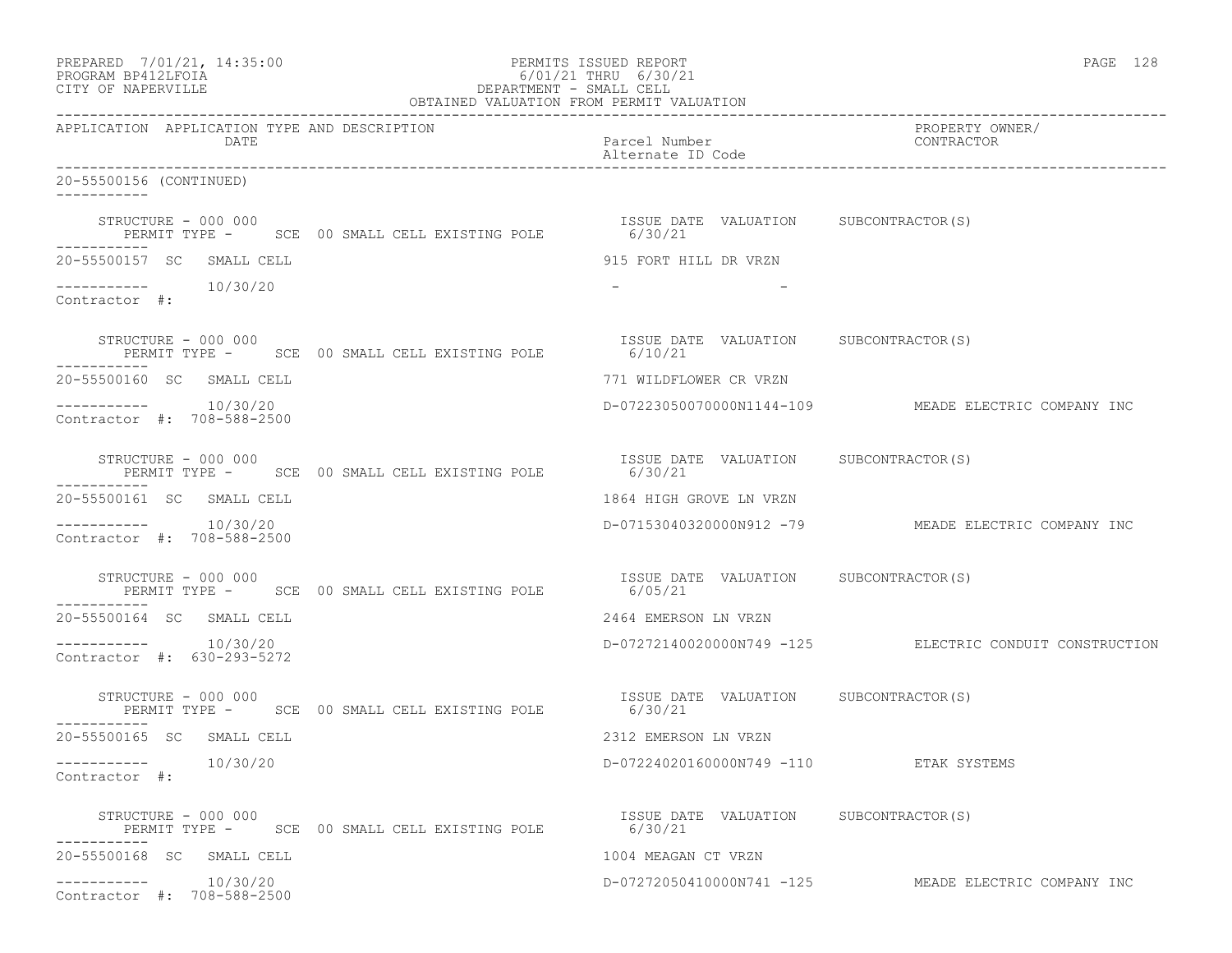| PREPARED 7/01/21, 14:35:00<br>PROGRAM BP412LFOIA<br>CITY OF NAPERVILLE |                                                       | PERMITS ISSUED REPORT<br>6/01/21 THRU 6/30/21<br>DEPARTMENT - SMALL CELL<br>OBTAINED VALUATION FROM PERMIT VALUATION | PAGE 128                                                |
|------------------------------------------------------------------------|-------------------------------------------------------|----------------------------------------------------------------------------------------------------------------------|---------------------------------------------------------|
| APPLICATION APPLICATION TYPE AND DESCRIPTION<br>DATE                   | --------------------------------------                | Parcel Number<br>Alternate ID Code                                                                                   | ------<br>PROPERTY_OWNER/<br>CONTRACT                   |
| 20-55500156 (CONTINUED)                                                |                                                       |                                                                                                                      |                                                         |
| STRUCTURE - 000 000                                                    | PERMIT TYPE - SCE 00 SMALL CELL EXISTING POLE 6/30/21 | ISSUE DATE VALUATION SUBCONTRACTOR(S)                                                                                |                                                         |
| 20-55500157 SC SMALL CELL                                              |                                                       | 915 FORT HILL DR VRZN                                                                                                |                                                         |
| $--------- 10/30/20$<br>Contractor #:                                  |                                                       |                                                                                                                      |                                                         |
| STRUCTURE - 000 000                                                    | PERMIT TYPE - SCE 00 SMALL CELL EXISTING POLE 6/10/21 | ISSUE DATE VALUATION SUBCONTRACTOR(S)                                                                                |                                                         |
| 20-55500160 SC SMALL CELL                                              |                                                       | 771 WILDFLOWER CR VRZN                                                                                               |                                                         |
| Contractor #: 708-588-2500                                             |                                                       |                                                                                                                      | D-07223050070000N1144-109 MEADE ELECTRIC COMPANY INC    |
| STRUCTURE - 000 000                                                    | PERMIT TYPE - SCE 00 SMALL CELL EXISTING POLE 6/30/21 | ISSUE DATE VALUATION SUBCONTRACTOR(S)                                                                                |                                                         |
| 20-55500161 SC SMALL CELL                                              |                                                       | 1864 HIGH GROVE LN VRZN                                                                                              |                                                         |
| $--------- 10/30/20$<br>Contractor #: 708-588-2500                     |                                                       |                                                                                                                      | D-07153040320000N912 -79 MEADE ELECTRIC COMPANY INC     |
| STRUCTURE - 000 000                                                    | PERMIT TYPE - SCE 00 SMALL CELL EXISTING POLE         | ISSUE DATE VALUATION SUBCONTRACTOR(S)<br>6/05/21                                                                     |                                                         |
| 20-55500164 SC SMALL CELL                                              |                                                       | 2464 EMERSON LN VRZN                                                                                                 |                                                         |
| $--------- 10/30/20$<br>Contractor #: 630-293-5272                     |                                                       |                                                                                                                      | D-07272140020000N749 -125 ELECTRIC CONDUIT CONSTRUCTION |
| STRUCTURE - 000 000                                                    | PERMIT TYPE - SCE 00 SMALL CELL EXISTING POLE 6/30/21 | ISSUE DATE VALUATION SUBCONTRACTOR(S)                                                                                |                                                         |
| 20-55500165 SC SMALL CELL                                              |                                                       | 2312 EMERSON LN VRZN                                                                                                 |                                                         |
| 10/30/20<br>-----------<br>Contractor $\#$ :                           |                                                       | D-07224020160000N749 -110 ETAK SYSTEMS                                                                               |                                                         |
| STRUCTURE - 000 000                                                    | PERMIT TYPE - SCE 00 SMALL CELL EXISTING POLE         | ISSUE DATE VALUATION SUBCONTRACTOR(S)<br>6/30/21                                                                     |                                                         |
| 20-55500168 SC SMALL CELL                                              |                                                       | 1004 MEAGAN CT VRZN                                                                                                  |                                                         |
| 10/30/20<br>------------<br>Contractor #: 708-588-2500                 |                                                       |                                                                                                                      | D-07272050410000N741 -125 MEADE ELECTRIC COMPANY INC    |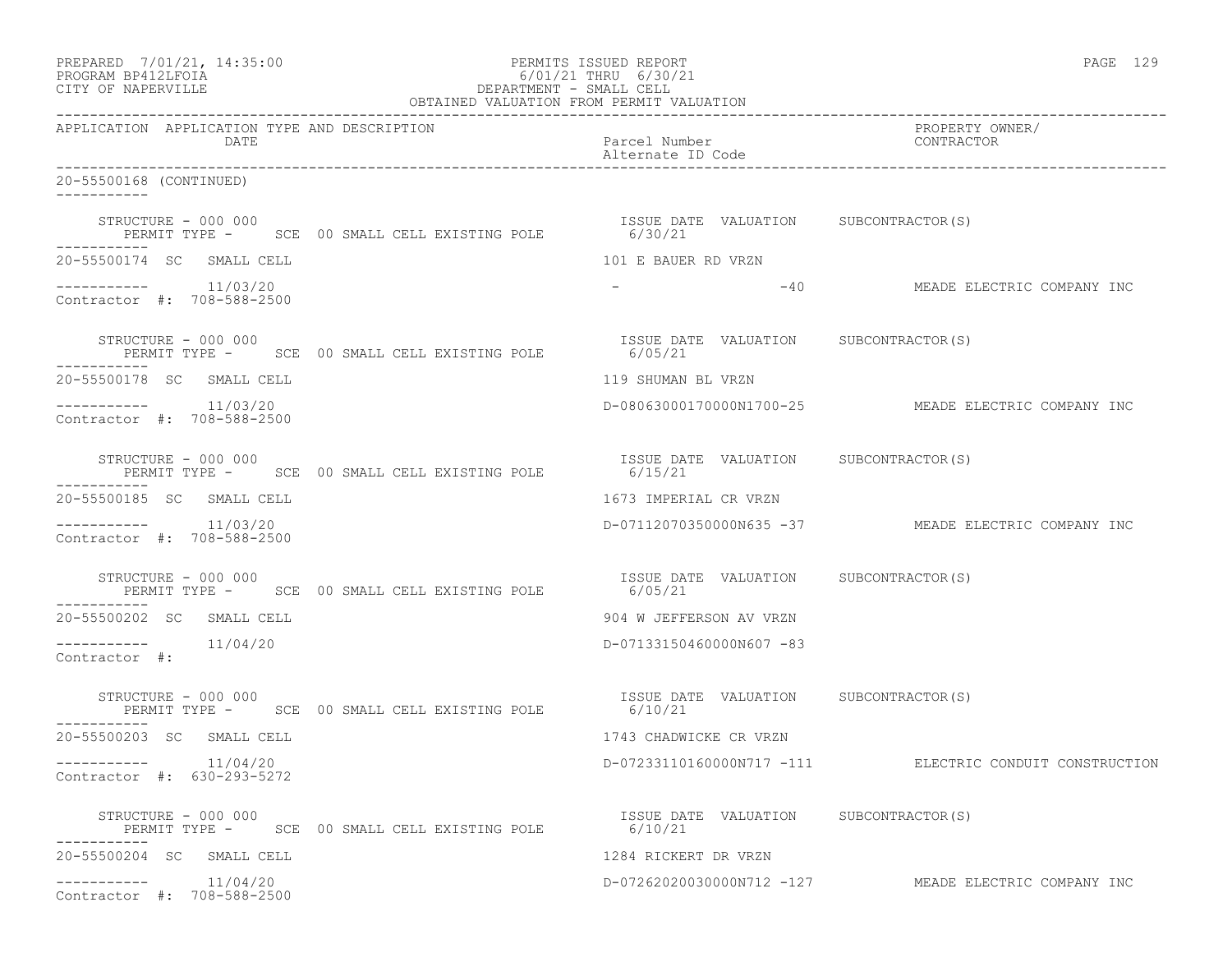| PREPARED 7/01/21, 14:35:00<br>PROGRAM BP412LFOIA<br>CITY OF NAPERVILLE                      | PERMITS ISSUED REPORT<br>6/01/21 THRU 6/30/21<br>DEPARTMENT - SMALL CELL<br>OBTAINED VALUATION FROM PERMIT VALUATION | PAGE 129                                             |  |
|---------------------------------------------------------------------------------------------|----------------------------------------------------------------------------------------------------------------------|------------------------------------------------------|--|
| APPLICATION APPLICATION TYPE AND DESCRIPTION<br>DATE                                        | Parcel Number<br>Alternate ID Code                                                                                   | ------<br>PROPERTY OWNER/<br>CONTRACTOR              |  |
| 20-55500168 (CONTINUED)                                                                     |                                                                                                                      |                                                      |  |
| STRUCTURE - 000 000<br>PERMIT TYPE - SCE 00 SMALL CELL EXISTING POLE 6/30/21                | ISSUE DATE VALUATION SUBCONTRACTOR(S)                                                                                |                                                      |  |
| 20-55500174 SC SMALL CELL                                                                   | 101 E BAUER RD VRZN                                                                                                  |                                                      |  |
| $--------- 11/03/20$<br>Contractor #: 708-588-2500                                          |                                                                                                                      | -40 MEADE ELECTRIC COMPANY INC                       |  |
| STRUCTURE - 000 000<br>PERMIT TYPE - SCE 00 SMALL CELL EXISTING POLE 6/05/21                | ISSUE DATE VALUATION SUBCONTRACTOR(S)                                                                                |                                                      |  |
| 20-55500178 SC SMALL CELL                                                                   | 119 SHUMAN BL VRZN                                                                                                   |                                                      |  |
| $--------- 11/03/20$<br>Contractor #: 708-588-2500                                          |                                                                                                                      | D-08063000170000N1700-25 MEADE ELECTRIC COMPANY INC  |  |
| STRUCTURE - 000 000<br>PERMIT TYPE - SCE 00 SMALL CELL EXISTING POLE 6/15/21<br>----------- | ISSUE DATE VALUATION SUBCONTRACTOR(S)                                                                                |                                                      |  |
| 20-55500185 SC SMALL CELL                                                                   | 1673 IMPERIAL CR VRZN                                                                                                |                                                      |  |
| $--------- 11/03/20$<br>Contractor #: 708-588-2500                                          |                                                                                                                      | D-07112070350000N635 -37 MEADE ELECTRIC COMPANY INC  |  |
| STRUCTURE - 000 000<br>PERMIT TYPE - SCE 00 SMALL CELL EXISTING POLE                        | ISSUE DATE VALUATION SUBCONTRACTOR(S)<br>6/05/21                                                                     |                                                      |  |
| 20-55500202 SC SMALL CELL                                                                   | 904 W JEFFERSON AV VRZN                                                                                              |                                                      |  |
| $--------- 11/04/20$<br>Contractor $\#$ :                                                   | D-07133150460000N607 -83                                                                                             |                                                      |  |
| STRUCTURE - 000 000<br>PERMIT TYPE - SCE 00 SMALL CELL EXISTING POLE 6/10/21                | ISSUE DATE VALUATION SUBCONTRACTOR(S)                                                                                |                                                      |  |
| 20-55500203 SC SMALL CELL                                                                   | 1743 CHADWICKE CR VRZN                                                                                               |                                                      |  |
| 11/04/20<br>------------<br>Contractor #: 630-293-5272                                      | D-07233110160000N717 -111                                                                                            | ELECTRIC CONDUIT CONSTRUCTION                        |  |
| STRUCTURE - 000 000<br>PERMIT TYPE - SCE 00 SMALL CELL EXISTING POLE                        | ISSUE DATE VALUATION SUBCONTRACTOR(S)<br>6/10/21                                                                     |                                                      |  |
| 20-55500204 SC SMALL CELL                                                                   | 1284 RICKERT DR VRZN                                                                                                 |                                                      |  |
| 11/04/20<br>. _ _ _ _ _ _ _ _ _ _<br>Contractor #: 708-588-2500                             |                                                                                                                      | D-07262020030000N712 -127 MEADE ELECTRIC COMPANY INC |  |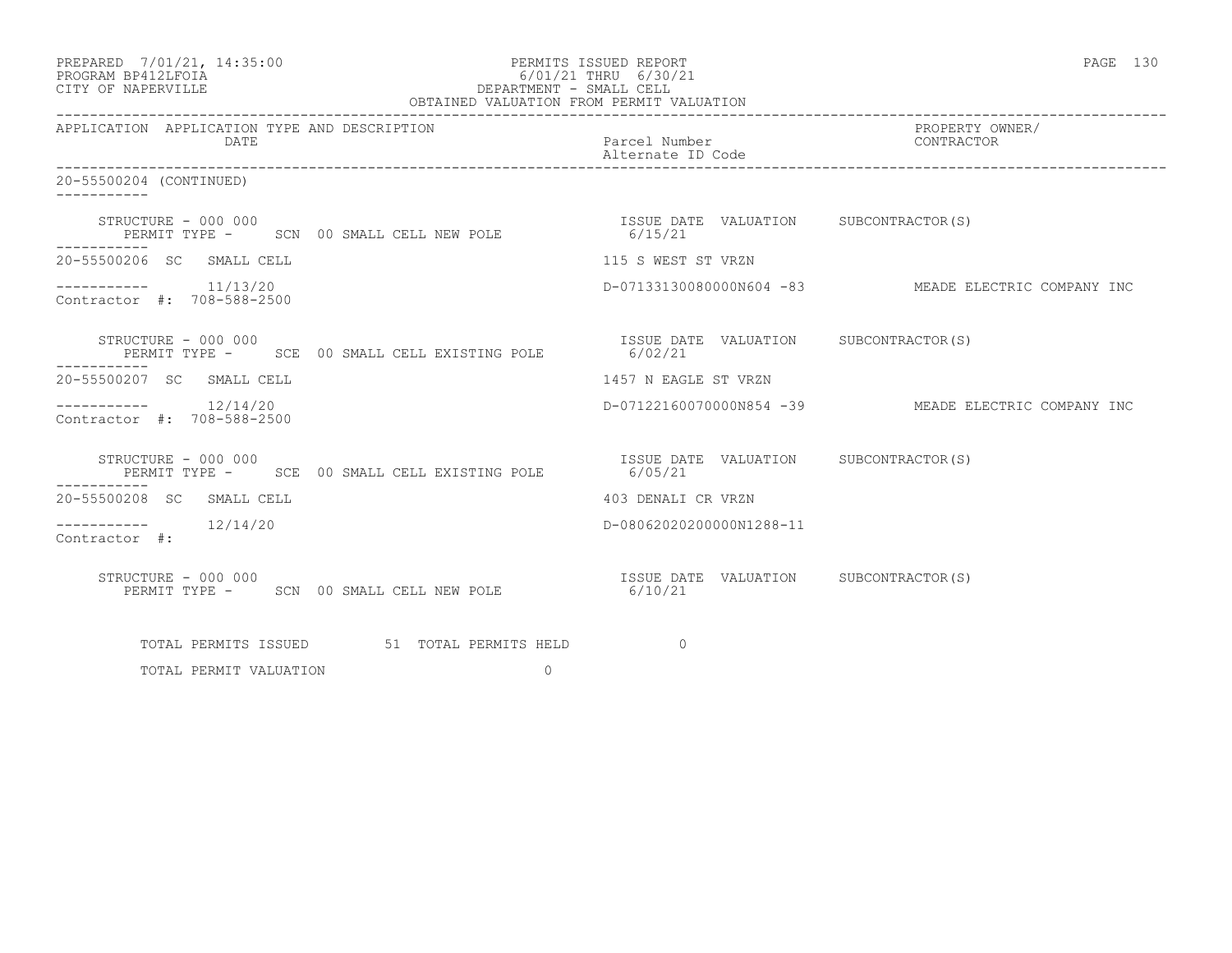| PREPARED 7/01/21, 14:35:00<br>PROGRAM BP412LFOIA<br>6/01/21 THRU 6/30/21<br>DEPARTMENT - SMALL CELL<br>OBTAINED VALUATION FROM PERMIT VALUATION<br>CITY OF NAPERVILLE | PERMITS ISSUED REPORT                             | PAGE 130                                            |
|-----------------------------------------------------------------------------------------------------------------------------------------------------------------------|---------------------------------------------------|-----------------------------------------------------|
| APPLICATION APPLICATION TYPE AND DESCRIPTION<br>DATE                                                                                                                  | Parcel Number<br>Alternate ID Code                | PROPERTY OWNER/<br>CONTRACTOR                       |
| 20-55500204 (CONTINUED)                                                                                                                                               |                                                   |                                                     |
| STRUCTURE - 000 000<br>RUCTURE - 000 000<br>PERMIT TYPE - SCN 00 SMALL CELL NEW POLE 6/15/21<br>-----------                                                           | ISSUE DATE VALUATION SUBCONTRACTOR(S)             |                                                     |
| 20-55500206 SC SMALL CELL                                                                                                                                             | 115 S WEST ST VRZN                                |                                                     |
| $--------- 11/13/20$<br>Contractor #: 708-588-2500                                                                                                                    |                                                   | D-07133130080000N604 -83 MEADE ELECTRIC COMPANY INC |
| STRUCTURE - 000 000<br>PERMIT TYPE - SCE 00 SMALL CELL EXISTING POLE 6/02/21                                                                                          | ISSUE DATE VALUATION SUBCONTRACTOR(S)             |                                                     |
| 20-55500207 SC SMALL CELL                                                                                                                                             | 1457 N EAGLE ST VRZN                              |                                                     |
| $--------- 12/14/20$<br>Contractor #: 708-588-2500                                                                                                                    |                                                   | D-07122160070000N854 -39 MEADE ELECTRIC COMPANY INC |
| STRUCTURE - 000 000<br>PERMIT TYPE - SCE 00 SMALL CELL EXISTING POLE                                                                                                  | ISSUE DATE VALUATION SUBCONTRACTOR (S)<br>6/05/21 |                                                     |
| 20-55500208 SC SMALL CELL                                                                                                                                             | 403 DENALI CR VRZN                                |                                                     |
| $--------- 12/14/20$<br>Contractor #:                                                                                                                                 | D-08062020200000N1288-11                          |                                                     |
| STRUCTURE - 000 000<br>PERMIT TYPE - SCN 00 SMALL CELL NEW POLE 6/10/21                                                                                               | ISSUE DATE VALUATION SUBCONTRACTOR(S)             |                                                     |
| TOTAL PERMITS ISSUED 51 TOTAL PERMITS HELD                                                                                                                            | $\Omega$                                          |                                                     |
| $\circ$<br>TOTAL PERMIT VALUATION                                                                                                                                     |                                                   |                                                     |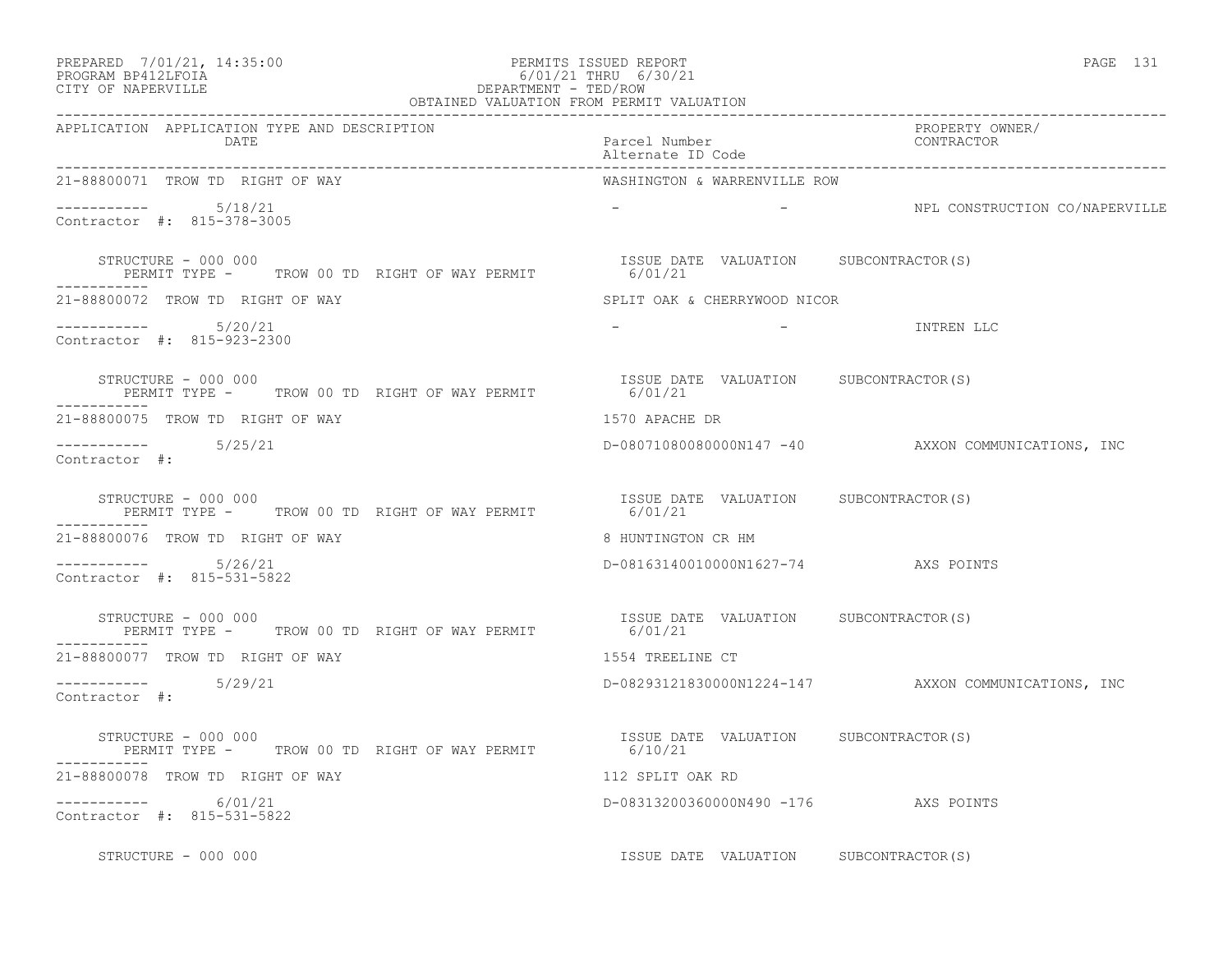| PREPARED | 7/01/21, 14:35:00 |  |
|----------|-------------------|--|
|----------|-------------------|--|

# PREPARED 7/01/21, 14:35:00 PERMITS ISSUED REPORT<br>PROGRAM BP412LFOIA PAGE 131 PROGRAM BP412LFOIA 6/01/21 THRU 6/30/21 CITY OF NAPERVILLE CITY OF NAPERVILLE **Example 20** and the contract of the DEPARTMENT - TED/ROW

| OBTAINED VALUATION FROM PERMIT VALUATION                                     |                                                  |                                                     |  |  |
|------------------------------------------------------------------------------|--------------------------------------------------|-----------------------------------------------------|--|--|
| APPLICATION APPLICATION TYPE AND DESCRIPTION<br>DATE                         | Parcel Number<br>Alternate ID Code               | PROPERTY OWNER/<br>CONTRACTOR                       |  |  |
| 21-88800071 TROW TD RIGHT OF WAY                                             | WASHINGTON & WARRENVILLE ROW                     |                                                     |  |  |
| Contractor #: 815-378-3005                                                   |                                                  | - SALL CONSTRUCTION CO/NAPERVILLE                   |  |  |
| STRUCTURE - 000 000<br>PERMIT TYPE - TROW 00 TD RIGHT OF WAY PERMIT 1990 121 | ISSUE DATE VALUATION SUBCONTRACTOR(S)            |                                                     |  |  |
| 21-88800072 TROW TD RIGHT OF WAY                                             | SPLIT OAK & CHERRYWOOD NICOR                     |                                                     |  |  |
| $--------- 5/20/21$<br>Contractor #: 815-923-2300                            | $\sim$ $\sim$ $\sim$                             | - TNTREN LLC                                        |  |  |
| STRUCTURE - 000 000<br>PERMIT TYPE - TROW 00 TD RIGHT OF WAY PERMIT          | ISSUE DATE VALUATION SUBCONTRACTOR(S)<br>6/01/21 |                                                     |  |  |
| 21-88800075 TROW TD RIGHT OF WAY                                             | 1570 APACHE DR                                   |                                                     |  |  |
| $--------- 5/25/21$<br>Contractor #:                                         |                                                  | D-08071080080000N147 -40 AXXON COMMUNICATIONS, INC  |  |  |
| STRUCTURE - 000 000<br>PERMIT TYPE - TROW 00 TD RIGHT OF WAY PERMIT          | ISSUE DATE VALUATION SUBCONTRACTOR(S)<br>6/01/21 |                                                     |  |  |
| 21-88800076 TROW TD RIGHT OF WAY                                             | 8 HUNTINGTON CR HM                               |                                                     |  |  |
| $--------- 5/26/21$<br>Contractor #: 815-531-5822                            | D-08163140010000N1627-74 AXS POINTS              |                                                     |  |  |
| STRUCTURE - 000 000<br>PERMIT TYPE - TROW 00 TD RIGHT OF WAY PERMIT 6/01/21  | ISSUE DATE VALUATION SUBCONTRACTOR(S)            |                                                     |  |  |
| 21-88800077 TROW TD RIGHT OF WAY                                             | 1554 TREELINE CT                                 |                                                     |  |  |
| $--------- 5/29/21$<br>Contractor #:                                         |                                                  | D-08293121830000N1224-147 AXXON COMMUNICATIONS, INC |  |  |
| STRUCTURE - 000 000<br>PERMIT TYPE - TROW 00 TD RIGHT OF WAY PERMIT 6/10/21  | ISSUE DATE VALUATION SUBCONTRACTOR(S)            |                                                     |  |  |
| 21-88800078 TROW TD RIGHT OF WAY                                             | 112 SPLIT OAK RD                                 |                                                     |  |  |
| $---------$ 6/01/21<br>Contractor #: 815-531-5822                            | D-08313200360000N490 -176 AXS POINTS             |                                                     |  |  |
| STRUCTURE - 000 000                                                          | ISSUE DATE VALUATION SUBCONTRACTOR(S)            |                                                     |  |  |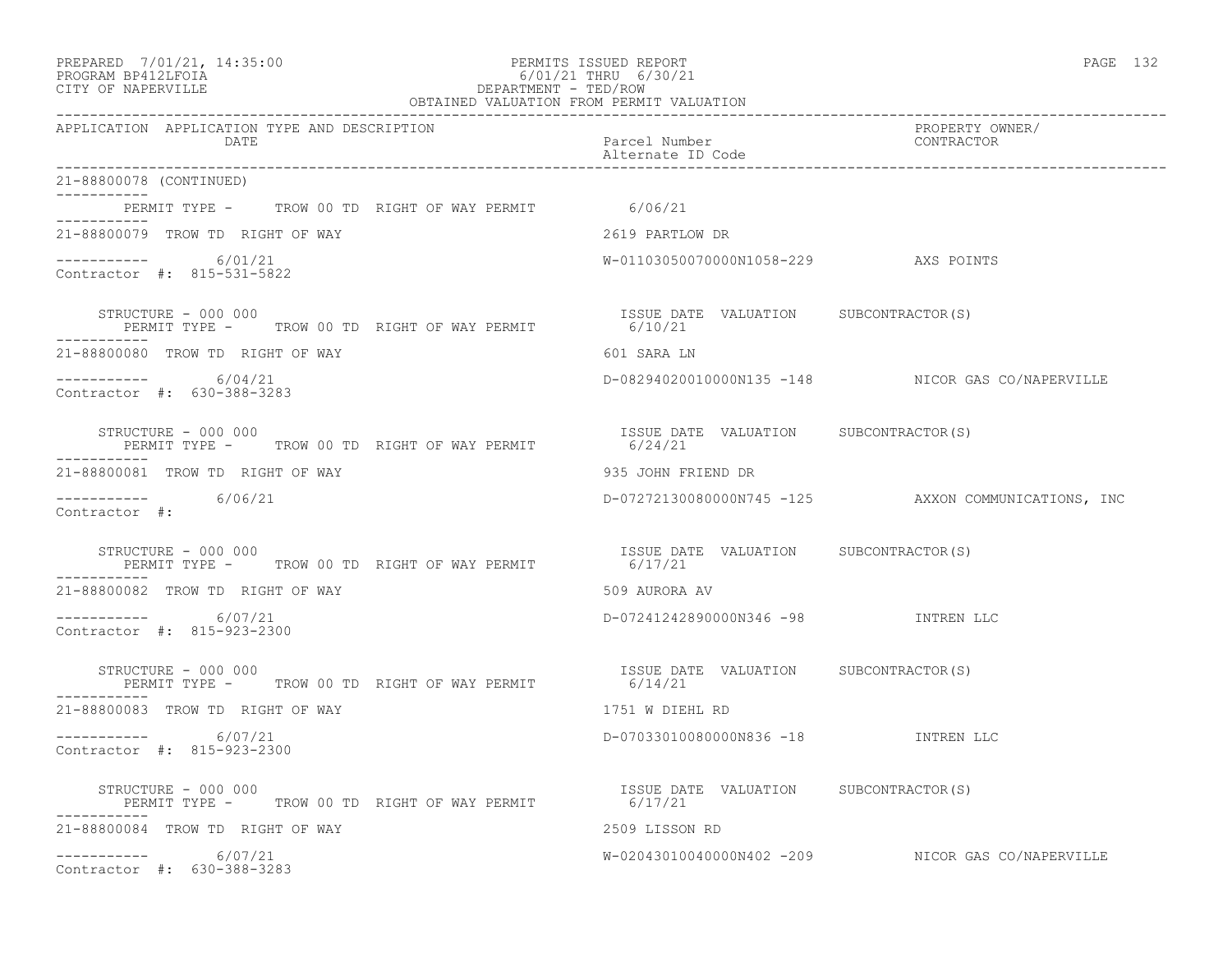### PREPARED 7/01/21, 14:35:00 PERMITS ISSUED REPORT<br>PROGRAM BP412LFOIA PAGE 132 PROGRAM BP412LFOIA 6/01/21 THRU 6/30/21 CITY OF NAPERVILLE **Example 20** and the contract of the DEPARTMENT - TED/ROW OBTAINED VALUATION FROM PERMIT VALUATION

| APPLICATION APPLICATION TYPE AND DESCRIPTION<br>DATE                                       | Parcel Number<br>Alternate ID Code                                | PROPERTY OWNER/<br>CONTRACTOR                       |  |
|--------------------------------------------------------------------------------------------|-------------------------------------------------------------------|-----------------------------------------------------|--|
| 21-88800078 (CONTINUED)                                                                    |                                                                   |                                                     |  |
| PERMIT TYPE - TROW 00 TD RIGHT OF WAY PERMIT 6/06/21                                       |                                                                   |                                                     |  |
| ----------<br>21-88800079 TROW TD RIGHT OF WAY                                             | 2619 PARTLOW DR                                                   |                                                     |  |
| $--------- 6/01/21$<br>Contractor #: 815-531-5822                                          | W-01103050070000N1058-229 AXS POINTS                              |                                                     |  |
| STRUCTURE - 000 000<br>PERMIT TYPE - TROW 00 TD RIGHT OF WAY PERMIT 6/10/21<br>----------- | ISSUE DATE VALUATION SUBCONTRACTOR(S)                             |                                                     |  |
| 21-88800080 TROW TD RIGHT OF WAY                                                           | 601 SARA LN                                                       |                                                     |  |
| -----------     6/04/21<br>Contractor #: 630-388-3283                                      |                                                                   | D-08294020010000N135 -148 NICOR GAS CO/NAPERVILLE   |  |
| STRUCTURE - 000 000<br>PERMIT TYPE - TROW 00 TD RIGHT OF WAY PERMIT                        | ISSUE DATE VALUATION SUBCONTRACTOR (S)<br>6/24/21                 |                                                     |  |
| 21-88800081 TROW TD RIGHT OF WAY                                                           | 935 JOHN FRIEND DR                                                |                                                     |  |
| $--------- 6/06/21$<br>Contractor #:                                                       |                                                                   | D-07272130080000N745 -125 AXXON COMMUNICATIONS, INC |  |
| STRUCTURE - 000 000<br>PERMIT TYPE - TROW 00 TD RIGHT OF WAY PERMIT                        | ISSUE DATE VALUATION SUBCONTRACTOR(S)<br>6/17/21                  |                                                     |  |
| 21-88800082 TROW TD RIGHT OF WAY                                                           | 509 AURORA AV                                                     |                                                     |  |
| $--------- 6/07/21$<br>Contractor #: 815-923-2300                                          | D-07241242890000N346 -98 INTREN LLC                               |                                                     |  |
| STRUCTURE - 000 000<br>PERMIT TYPE - TROW 00 TD RIGHT OF WAY PERMIT 6/14/21                | ISSUE DATE VALUATION SUBCONTRACTOR (S)                            |                                                     |  |
| 21-88800083 TROW TD RIGHT OF WAY                                                           | 1751 W DIEHL RD                                                   |                                                     |  |
| $--------- 6/07/21$<br>Contractor #: 815-923-2300                                          | D-07033010080000N836 -18 INTREN LLC                               |                                                     |  |
| STRUCTURE – 000 000<br>PERMIT TYPE - TROW 00 TD RIGHT OF WAY PERMIT                        | ISSUE DATE VALUATION SUBCONTRACTOR(S)<br>HT OF WAY PERMIT 6/17/21 |                                                     |  |
| 21-88800084 TROW TD RIGHT OF WAY                                                           | 2509 LISSON RD                                                    |                                                     |  |
| $--------- 6/07/21$<br>Contractor #: 630-388-3283                                          |                                                                   | W-02043010040000N402 -209 NICOR GAS CO/NAPERVILLE   |  |